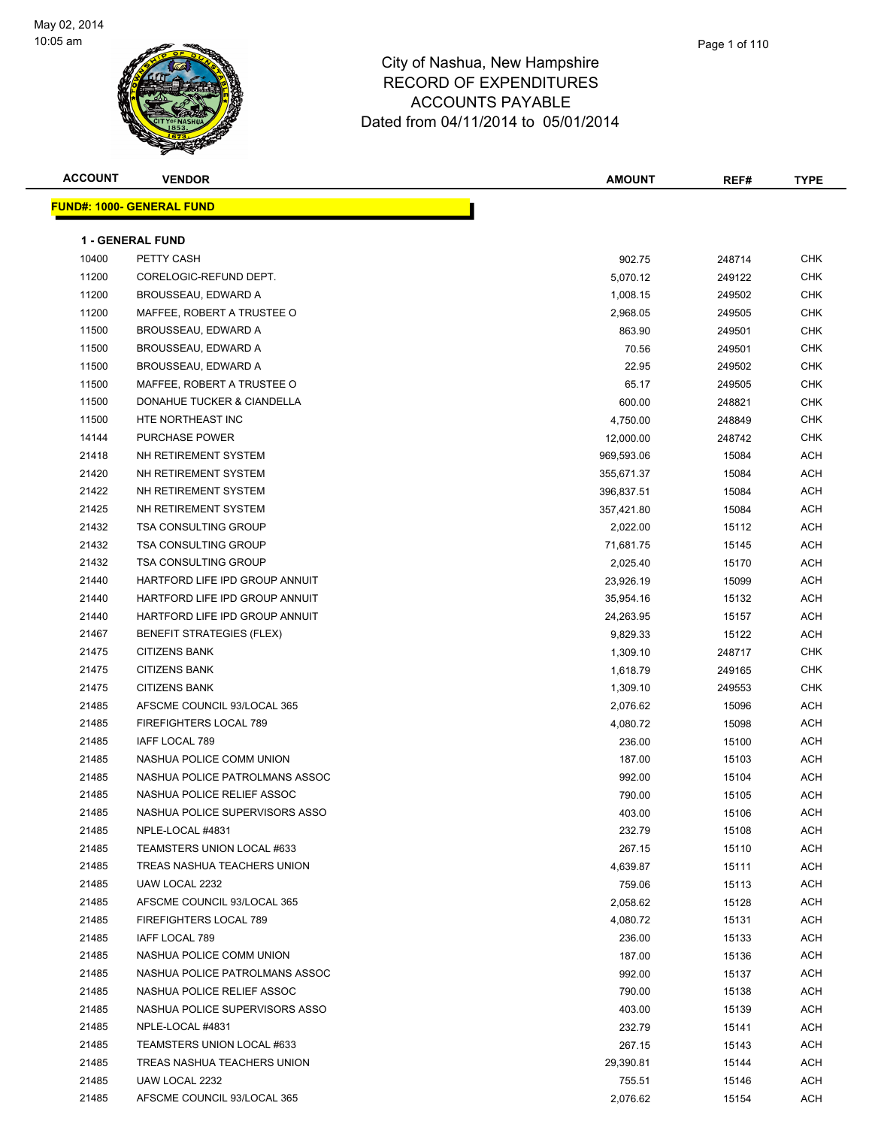

**ACCOUNT VENDOR AMOUNT REF# TYPE FUND#: 1000- GENERAL FUND 1 - GENERAL FUND** 10400 PETTY CASH 902.75 248714 CHK 11200 CORELOGIC-REFUND DEPT. 5,070.12 249122 CHK 11200 BROUSSEAU, EDWARD A 1,008.15 249502 CHK 11200 MAFFEE, ROBERT A TRUSTEE O 2,968.05 249505 CHK 11500 BROUSSEAU, EDWARD A 863.90 BROUSSEAU, EDWARD A 863.90 BROUSSEAU, EDWARD A 11500 BROUSSEAU, EDWARD A 70.56 249501 CHK 11500 BROUSSEAU, EDWARD A 22.95 249502 CHK 11500 MAFFEE, ROBERT A TRUSTEE O 65.17 249505 CHK 11500 DONAHUE TUCKER & CIANDELLA 600.00 248821 CHK 11500 HTE NORTHEAST INC 4,750.00 248849 CHK 14144 PURCHASE POWER 12,000.00 248742 CHK 21418 NH RETIREMENT SYSTEM **1200 ACH 1200 ACH 21418** 969,593.06 15084 ACH 21420 NH RETIREMENT SYSTEM 355,671.37 21420 NH RETIREMENT SYSTEM 355,671.37 21422 NH RETIREMENT SYSTEM 396,837.51 21422 NH RETIREMENT SYSTEM 396,837.51 396,837.51 396,837.51 21425 NH RETIREMENT SYSTEM 357,421.80 21425 NH RETIREMENT SYSTEM 357,421.80 21432 TSA CONSULTING GROUP 2,022.00 15112 ACH 21432 TSA CONSULTING GROUP **21432 TSA CONSULTING GROUP 71,681.75** 15145 ACH 21432 TSA CONSULTING GROUP **2.025.40** 15170 ACH 21440 HARTFORD LIFE IPD GROUP ANNUIT CONTROL CONTROL CONTROL CONTROL CONTROL CONTROL CONTROL CONTROL CONTROL CO 21440 HARTFORD LIFE IPD GROUP ANNUIT AND STOLEN STOLEN AND RESIDENCE AND STOLEN ASSESSED AND A LOTE AND A LOTE 21440 HARTFORD LIFE IPD GROUP ANNUIT CONTROL CONTROL CONTROL CONTROL CONTROL CONTROL CONTROL CONTROL CONTROL CO 21467 BENEFIT STRATEGIES (FLEX) 89 1992 121467 BENEFIT STRATEGIES (FLEX) 21475 CITIZENS BANK 1,309.10 248717 CHK 21475 CITIZENS BANK 1,618.79 249165 CHK 21475 CITIZENS BANK 1,309.10 249553 CHK 21485 AFSCME COUNCIL 93/LOCAL 365 2,076.62 215096 ACH 21485 FIREFIGHTERS LOCAL 789 ACH (2002) 21485 FIREFIGHTERS LOCAL 789 ACH (2003) 21485 ACH 21485 IAFF LOCAL 789 236.00 15100 ACH 21485 NASHUA POLICE COMM UNION 187.00 15103 ACH 21485 NASHUA POLICE PATROLMANS ASSOC 992.00 15104 ACH 21485 NASHUA POLICE RELIEF ASSOC NASHUA POLICE RELIEF ASSOC NASHUA NASHUA SHUGA ACH 21485 NASHUA POLICE SUPERVISORS ASSO **1999 121485** ACH 15106 15106 ACH 21485 NPLE-LOCAL #4831 232.79 15108 ACH 21485 TEAMSTERS UNION LOCAL #633 267.15 267.15 15110 ACH 21485 TREAS NASHUA TEACHERS UNION 4,639.87 15111 ACH 21485 UAW LOCAL 2232 759.06 15113 ACH 21485 AFSCME COUNCIL 93/LOCAL 365 2,058.62 15128 ACH 21485 FIREFIGHTERS LOCAL 789 **15131 ACH SEARCH 121485** FIREFIGHTERS LOCAL 789 21485 IAFF LOCAL 789 236.00 15133 ACH 21485 NASHUA POLICE COMM UNION 187.00 15136 ACH 21485 NASHUA POLICE PATROLMANS ASSOC 992.00 15137 ACH 21485 NASHUA POLICE RELIEF ASSOC NASHUA POLICE RELIEF ASSOC NASHUA NASHUA SHUGA ACH 21485 NASHUA POLICE SUPERVISORS ASSO 403.00 15139 ACH 21485 NPLE-LOCAL #4831 232.79 15141 ACH 21485 TEAMSTERS UNION LOCAL #633 267.15 267.15 267.15 267.15 21485 TREAS NASHUA TEACHERS UNION 29,390.81 15144 ACH

 21485 UAW LOCAL 2232 755.51 15146 ACH 21485 AFSCME COUNCIL 93/LOCAL 365 2,076.62 215154 ACH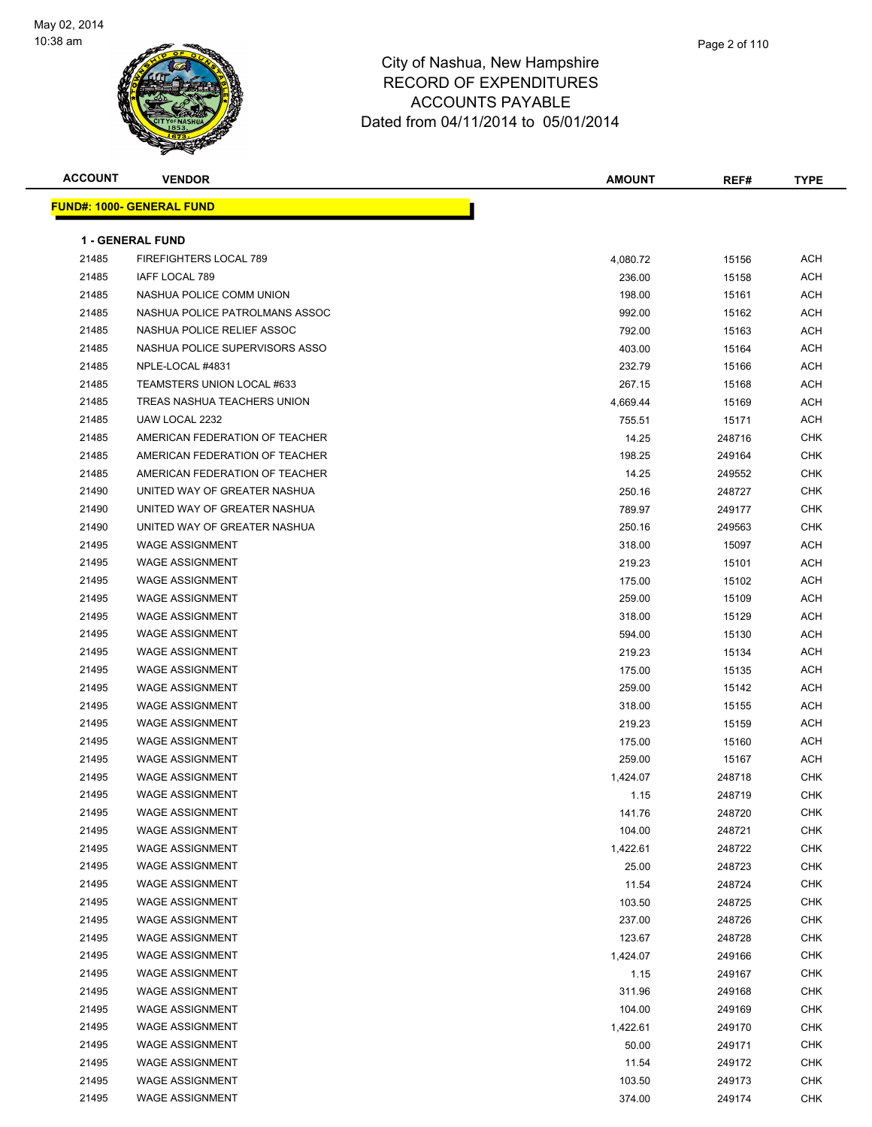

| <b>ACCOUNT</b> | <b>VENDOR</b>                     | <b>AMOUNT</b> | REF#   | <b>TYPE</b> |
|----------------|-----------------------------------|---------------|--------|-------------|
|                | <u> FUND#: 1000- GENERAL FUND</u> |               |        |             |
|                |                                   |               |        |             |
|                | <b>1 - GENERAL FUND</b>           |               |        |             |
| 21485          | FIREFIGHTERS LOCAL 789            | 4,080.72      | 15156  | <b>ACH</b>  |
| 21485          | IAFF LOCAL 789                    | 236.00        | 15158  | <b>ACH</b>  |
| 21485          | NASHUA POLICE COMM UNION          | 198.00        | 15161  | ACH         |
| 21485          | NASHUA POLICE PATROLMANS ASSOC    | 992.00        | 15162  | ACH         |
| 21485          | NASHUA POLICE RELIEF ASSOC        | 792.00        | 15163  | <b>ACH</b>  |
| 21485          | NASHUA POLICE SUPERVISORS ASSO    | 403.00        | 15164  | ACH         |
| 21485          | NPLE-LOCAL #4831                  | 232.79        | 15166  | <b>ACH</b>  |
| 21485          | TEAMSTERS UNION LOCAL #633        | 267.15        | 15168  | <b>ACH</b>  |
| 21485          | TREAS NASHUA TEACHERS UNION       | 4,669.44      | 15169  | ACH         |
| 21485          | UAW LOCAL 2232                    | 755.51        | 15171  | ACH         |
| 21485          | AMERICAN FEDERATION OF TEACHER    | 14.25         | 248716 | <b>CHK</b>  |
| 21485          | AMERICAN FEDERATION OF TEACHER    | 198.25        | 249164 | <b>CHK</b>  |
| 21485          | AMERICAN FEDERATION OF TEACHER    | 14.25         | 249552 | <b>CHK</b>  |
| 21490          | UNITED WAY OF GREATER NASHUA      | 250.16        | 248727 | <b>CHK</b>  |
| 21490          | UNITED WAY OF GREATER NASHUA      | 789.97        | 249177 | <b>CHK</b>  |
| 21490          | UNITED WAY OF GREATER NASHUA      | 250.16        | 249563 | <b>CHK</b>  |
| 21495          | <b>WAGE ASSIGNMENT</b>            | 318.00        | 15097  | ACH         |
| 21495          | <b>WAGE ASSIGNMENT</b>            | 219.23        | 15101  | <b>ACH</b>  |
| 21495          | <b>WAGE ASSIGNMENT</b>            | 175.00        | 15102  | <b>ACH</b>  |
| 21495          | <b>WAGE ASSIGNMENT</b>            | 259.00        | 15109  | ACH         |
| 21495          | <b>WAGE ASSIGNMENT</b>            | 318.00        | 15129  | ACH         |
| 21495          | <b>WAGE ASSIGNMENT</b>            | 594.00        | 15130  | ACH         |
| 21495          | <b>WAGE ASSIGNMENT</b>            | 219.23        | 15134  | ACH         |
| 21495          | <b>WAGE ASSIGNMENT</b>            | 175.00        | 15135  | <b>ACH</b>  |
| 21495          | <b>WAGE ASSIGNMENT</b>            | 259.00        | 15142  | ACH         |
| 21495          | <b>WAGE ASSIGNMENT</b>            | 318.00        | 15155  | ACH         |
| 21495          | <b>WAGE ASSIGNMENT</b>            | 219.23        | 15159  | <b>ACH</b>  |
| 21495          | <b>WAGE ASSIGNMENT</b>            | 175.00        | 15160  | ACH         |
| 21495          | <b>WAGE ASSIGNMENT</b>            | 259.00        | 15167  | ACH         |
| 21495          | <b>WAGE ASSIGNMENT</b>            | 1,424.07      | 248718 | <b>CHK</b>  |
| 21495          | <b>WAGE ASSIGNMENT</b>            | 1.15          | 248719 | <b>CHK</b>  |
| 21495          | <b>WAGE ASSIGNMENT</b>            | 141.76        | 248720 | <b>CHK</b>  |
| 21495          | <b>WAGE ASSIGNMENT</b>            | 104.00        | 248721 | <b>CHK</b>  |
| 21495          | <b>WAGE ASSIGNMENT</b>            | 1,422.61      | 248722 | <b>CHK</b>  |
| 21495          | <b>WAGE ASSIGNMENT</b>            | 25.00         | 248723 | <b>CHK</b>  |
| 21495          | <b>WAGE ASSIGNMENT</b>            | 11.54         | 248724 | <b>CHK</b>  |
| 21495          | <b>WAGE ASSIGNMENT</b>            | 103.50        | 248725 | <b>CHK</b>  |
| 21495          | <b>WAGE ASSIGNMENT</b>            | 237.00        | 248726 | <b>CHK</b>  |
| 21495          | <b>WAGE ASSIGNMENT</b>            | 123.67        | 248728 | CHK         |
| 21495          | <b>WAGE ASSIGNMENT</b>            | 1,424.07      | 249166 | CHK         |
| 21495          | <b>WAGE ASSIGNMENT</b>            | 1.15          | 249167 | <b>CHK</b>  |
| 21495          | <b>WAGE ASSIGNMENT</b>            | 311.96        | 249168 | <b>CHK</b>  |
| 21495          | <b>WAGE ASSIGNMENT</b>            | 104.00        | 249169 | <b>CHK</b>  |
| 21495          | <b>WAGE ASSIGNMENT</b>            | 1,422.61      | 249170 | <b>CHK</b>  |
| 21495          | <b>WAGE ASSIGNMENT</b>            | 50.00         | 249171 | CHK         |
| 21495          | <b>WAGE ASSIGNMENT</b>            | 11.54         | 249172 | <b>CHK</b>  |
| 21495          | <b>WAGE ASSIGNMENT</b>            | 103.50        | 249173 | <b>CHK</b>  |
| 21495          | <b>WAGE ASSIGNMENT</b>            | 374.00        | 249174 | <b>CHK</b>  |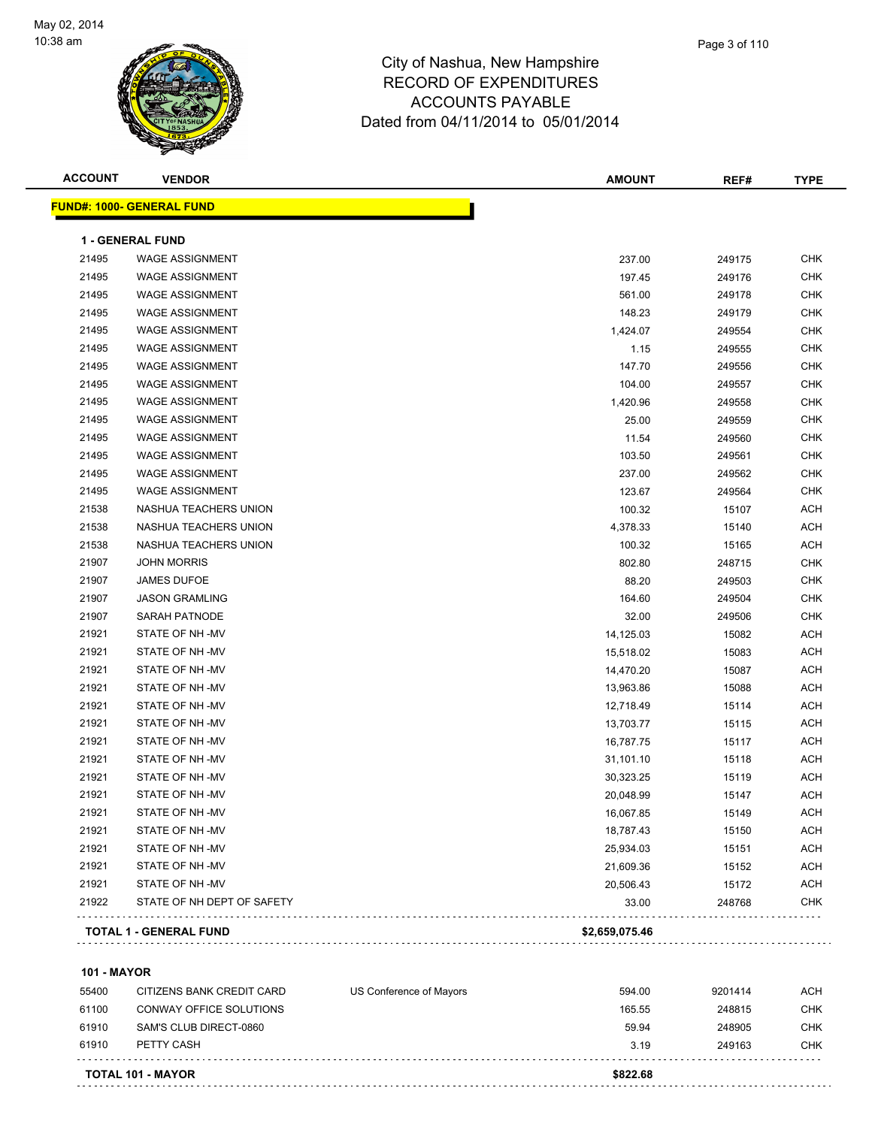

| <b>ACCOUNT</b> | <b>VENDOR</b>                    | <b>AMOUNT</b>  | REF#   | <b>TYPE</b> |
|----------------|----------------------------------|----------------|--------|-------------|
|                | <b>FUND#: 1000- GENERAL FUND</b> |                |        |             |
|                | <b>1 - GENERAL FUND</b>          |                |        |             |
| 21495          | <b>WAGE ASSIGNMENT</b>           | 237.00         | 249175 | CHK         |
| 21495          | <b>WAGE ASSIGNMENT</b>           | 197.45         | 249176 | <b>CHK</b>  |
| 21495          | <b>WAGE ASSIGNMENT</b>           | 561.00         | 249178 | <b>CHK</b>  |
| 21495          | <b>WAGE ASSIGNMENT</b>           | 148.23         | 249179 | <b>CHK</b>  |
| 21495          | <b>WAGE ASSIGNMENT</b>           | 1,424.07       | 249554 | <b>CHK</b>  |
| 21495          | <b>WAGE ASSIGNMENT</b>           | 1.15           | 249555 | <b>CHK</b>  |
| 21495          | <b>WAGE ASSIGNMENT</b>           | 147.70         | 249556 | CHK         |
| 21495          | <b>WAGE ASSIGNMENT</b>           | 104.00         | 249557 | CHK         |
| 21495          | <b>WAGE ASSIGNMENT</b>           | 1,420.96       | 249558 | CHK         |
| 21495          | <b>WAGE ASSIGNMENT</b>           | 25.00          | 249559 | CHK         |
| 21495          | <b>WAGE ASSIGNMENT</b>           | 11.54          | 249560 | CHK         |
| 21495          | <b>WAGE ASSIGNMENT</b>           | 103.50         | 249561 | CHK         |
| 21495          | <b>WAGE ASSIGNMENT</b>           | 237.00         | 249562 | CHK         |
| 21495          | <b>WAGE ASSIGNMENT</b>           | 123.67         | 249564 | <b>CHK</b>  |
| 21538          | NASHUA TEACHERS UNION            | 100.32         | 15107  | <b>ACH</b>  |
| 21538          | NASHUA TEACHERS UNION            | 4,378.33       | 15140  | <b>ACH</b>  |
| 21538          | NASHUA TEACHERS UNION            | 100.32         | 15165  | <b>ACH</b>  |
| 21907          | <b>JOHN MORRIS</b>               | 802.80         | 248715 | CHK         |
| 21907          | <b>JAMES DUFOE</b>               | 88.20          | 249503 | CHK         |
| 21907          | <b>JASON GRAMLING</b>            | 164.60         | 249504 | CHK         |
| 21907          | SARAH PATNODE                    | 32.00          | 249506 | CHK         |
| 21921          | STATE OF NH-MV                   | 14,125.03      | 15082  | <b>ACH</b>  |
| 21921          | STATE OF NH-MV                   | 15,518.02      | 15083  | ACH         |
| 21921          | STATE OF NH-MV                   | 14,470.20      | 15087  | <b>ACH</b>  |
| 21921          | STATE OF NH-MV                   | 13,963.86      | 15088  | <b>ACH</b>  |
| 21921          | STATE OF NH-MV                   | 12,718.49      | 15114  | <b>ACH</b>  |
| 21921          | STATE OF NH-MV                   | 13,703.77      | 15115  | <b>ACH</b>  |
| 21921          | STATE OF NH-MV                   | 16,787.75      | 15117  | <b>ACH</b>  |
| 21921          | STATE OF NH-MV                   | 31,101.10      | 15118  | ACH         |
| 21921          | STATE OF NH-MV                   | 30,323.25      | 15119  | ACH         |
| 21921          | STATE OF NH-MV                   | 20,048.99      | 15147  | ACH         |
| 21921          | STATE OF NH-MV                   | 16,067.85      | 15149  | ACH         |
| 21921          | STATE OF NH-MV                   | 18,787.43      | 15150  | <b>ACH</b>  |
| 21921          | STATE OF NH-MV                   | 25,934.03      | 15151  | <b>ACH</b>  |
| 21921          | STATE OF NH-MV                   | 21,609.36      | 15152  | <b>ACH</b>  |
| 21921          | STATE OF NH -MV                  | 20,506.43      | 15172  | <b>ACH</b>  |
| 21922          | STATE OF NH DEPT OF SAFETY       | 33.00          | 248768 | CHK         |
|                | TOTAL 1 - GENERAL FUND           | \$2,659,075.46 |        |             |
|                |                                  |                |        |             |

**101 - MAYOR**

|       | <b>TOTAL 101 - MAYOR</b>  |                         | \$822.68 |         |            |
|-------|---------------------------|-------------------------|----------|---------|------------|
| 61910 | PETTY CASH                |                         | 3.19     | 249163  | <b>CHK</b> |
| 61910 | SAM'S CLUB DIRECT-0860    |                         | 59.94    | 248905  | CHK        |
| 61100 | CONWAY OFFICE SOLUTIONS   |                         | 165.55   | 248815  | <b>CHK</b> |
| 55400 | CITIZENS BANK CREDIT CARD | US Conference of Mayors | 594.00   | 9201414 | <b>ACH</b> |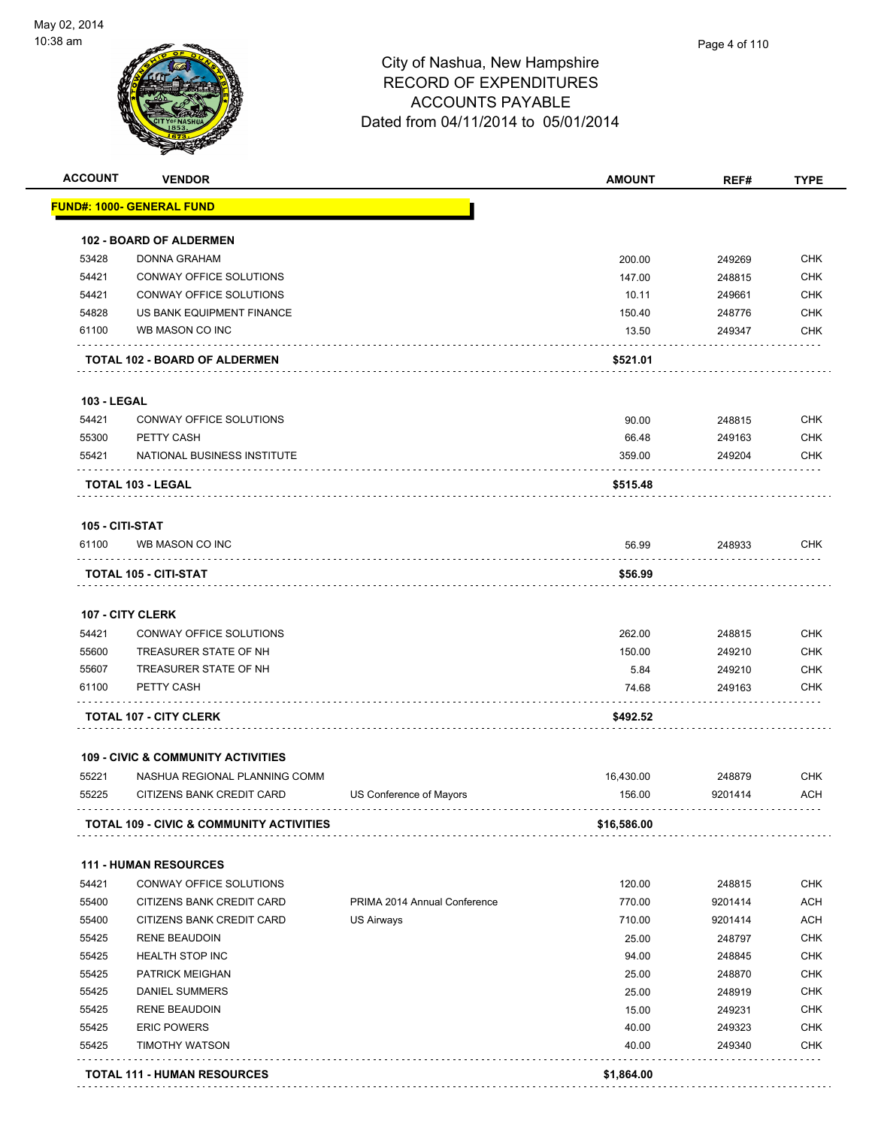

| <b>ACCOUNT</b>     | <b>VENDOR</b>                                       |                              | <b>AMOUNT</b> | REF#    | <b>TYPE</b> |
|--------------------|-----------------------------------------------------|------------------------------|---------------|---------|-------------|
|                    | FUND#: 1000- GENERAL FUND                           |                              |               |         |             |
|                    | <b>102 - BOARD OF ALDERMEN</b>                      |                              |               |         |             |
| 53428              | <b>DONNA GRAHAM</b>                                 |                              | 200.00        | 249269  | <b>CHK</b>  |
| 54421              | CONWAY OFFICE SOLUTIONS                             |                              | 147.00        | 248815  | <b>CHK</b>  |
| 54421              | CONWAY OFFICE SOLUTIONS                             |                              | 10.11         | 249661  | <b>CHK</b>  |
| 54828              | US BANK EQUIPMENT FINANCE                           |                              | 150.40        | 248776  | <b>CHK</b>  |
| 61100              | WB MASON CO INC                                     |                              | 13.50         | 249347  | <b>CHK</b>  |
|                    | <b>TOTAL 102 - BOARD OF ALDERMEN</b>                |                              | \$521.01      |         |             |
| <b>103 - LEGAL</b> |                                                     |                              |               |         |             |
| 54421              | CONWAY OFFICE SOLUTIONS                             |                              | 90.00         | 248815  | <b>CHK</b>  |
| 55300              | PETTY CASH                                          |                              | 66.48         | 249163  | <b>CHK</b>  |
| 55421              | NATIONAL BUSINESS INSTITUTE                         |                              | 359.00        | 249204  | <b>CHK</b>  |
|                    | TOTAL 103 - LEGAL                                   |                              | \$515.48      |         |             |
| 105 - CITI-STAT    |                                                     |                              |               |         |             |
| 61100              | WB MASON CO INC                                     |                              | 56.99         | 248933  | <b>CHK</b>  |
|                    | TOTAL 105 - CITI-STAT                               |                              | \$56.99       |         |             |
|                    | <b>107 - CITY CLERK</b>                             |                              |               |         |             |
| 54421              | CONWAY OFFICE SOLUTIONS                             |                              | 262.00        | 248815  | <b>CHK</b>  |
| 55600              | TREASURER STATE OF NH                               |                              | 150.00        | 249210  | <b>CHK</b>  |
| 55607              | TREASURER STATE OF NH                               |                              | 5.84          | 249210  | <b>CHK</b>  |
| 61100              | PETTY CASH                                          |                              | 74.68         | 249163  | <b>CHK</b>  |
|                    | <b>TOTAL 107 - CITY CLERK</b>                       |                              | \$492.52      |         |             |
|                    | <b>109 - CIVIC &amp; COMMUNITY ACTIVITIES</b>       |                              |               |         |             |
| 55221              | NASHUA REGIONAL PLANNING COMM                       |                              | 16,430.00     | 248879  | <b>CHK</b>  |
| 55225              | CITIZENS BANK CREDIT CARD                           | US Conference of Mayors      | 156.00        | 9201414 | <b>ACH</b>  |
|                    | <b>TOTAL 109 - CIVIC &amp; COMMUNITY ACTIVITIES</b> |                              | \$16,586.00   |         |             |
|                    | <b>111 - HUMAN RESOURCES</b>                        |                              |               |         |             |
| 54421              | CONWAY OFFICE SOLUTIONS                             |                              | 120.00        | 248815  | <b>CHK</b>  |
| 55400              | CITIZENS BANK CREDIT CARD                           | PRIMA 2014 Annual Conference | 770.00        | 9201414 | <b>ACH</b>  |
| 55400              | CITIZENS BANK CREDIT CARD                           | <b>US Airways</b>            | 710.00        | 9201414 | <b>ACH</b>  |
| 55425              | <b>RENE BEAUDOIN</b>                                |                              | 25.00         | 248797  | <b>CHK</b>  |
| 55425              | <b>HEALTH STOP INC</b>                              |                              | 94.00         | 248845  | <b>CHK</b>  |
| 55425              | PATRICK MEIGHAN                                     |                              | 25.00         | 248870  | <b>CHK</b>  |
| 55425              | <b>DANIEL SUMMERS</b>                               |                              | 25.00         | 248919  | <b>CHK</b>  |
| 55425              | <b>RENE BEAUDOIN</b>                                |                              | 15.00         | 249231  | <b>CHK</b>  |
| 55425              | <b>ERIC POWERS</b>                                  |                              | 40.00         | 249323  | <b>CHK</b>  |
| 55425              | <b>TIMOTHY WATSON</b>                               |                              | 40.00         | 249340  | <b>CHK</b>  |
|                    |                                                     |                              |               |         |             |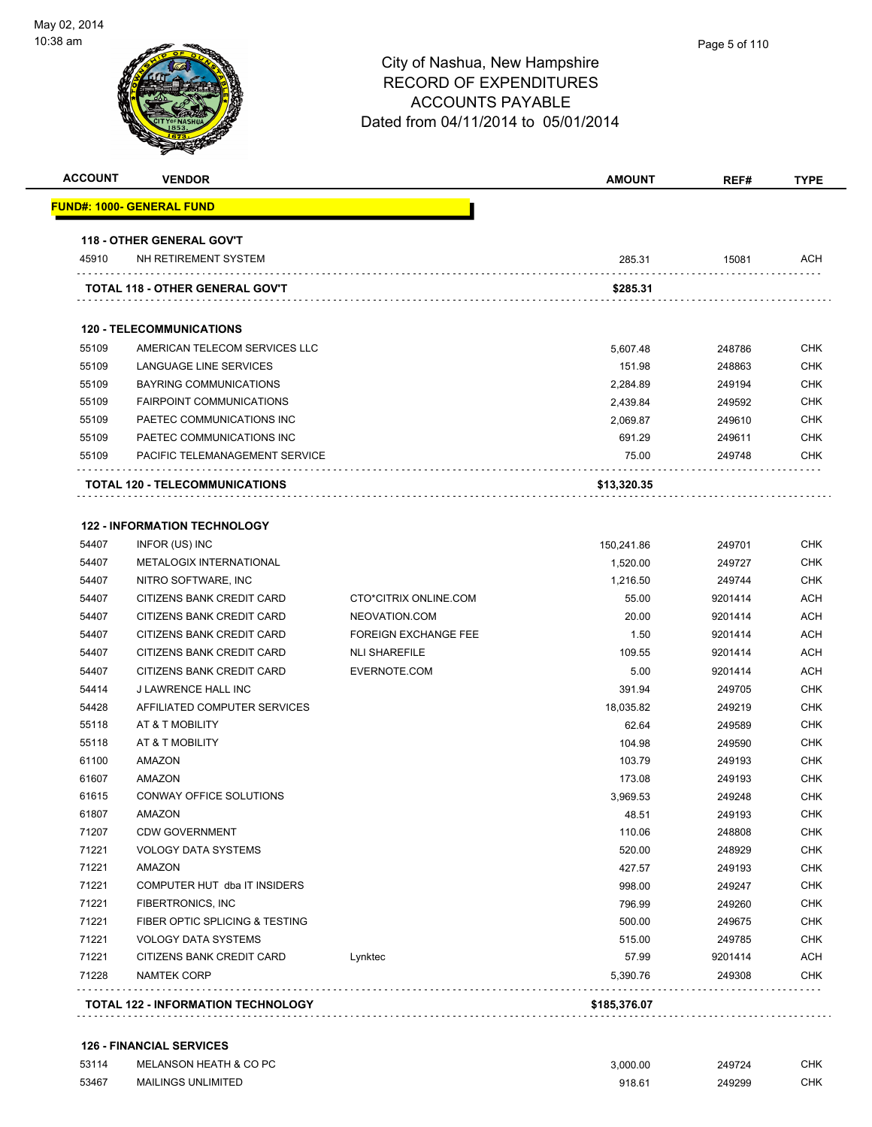

| <b>ACCOUNT</b> | <b>VENDOR</b>                       |                             | <b>AMOUNT</b> | REF#    | <b>TYPE</b> |
|----------------|-------------------------------------|-----------------------------|---------------|---------|-------------|
|                | FUND#: 1000- GENERAL FUND           |                             |               |         |             |
|                | <b>118 - OTHER GENERAL GOV'T</b>    |                             |               |         |             |
| 45910          | NH RETIREMENT SYSTEM                |                             | 285.31        | 15081   | <b>ACH</b>  |
|                | TOTAL 118 - OTHER GENERAL GOV'T     |                             | \$285.31      |         |             |
|                | <b>120 - TELECOMMUNICATIONS</b>     |                             |               |         |             |
| 55109          | AMERICAN TELECOM SERVICES LLC       |                             | 5,607.48      | 248786  | <b>CHK</b>  |
| 55109          | LANGUAGE LINE SERVICES              |                             | 151.98        | 248863  | <b>CHK</b>  |
| 55109          | BAYRING COMMUNICATIONS              |                             | 2,284.89      | 249194  | <b>CHK</b>  |
| 55109          | <b>FAIRPOINT COMMUNICATIONS</b>     |                             | 2,439.84      | 249592  | <b>CHK</b>  |
| 55109          | PAETEC COMMUNICATIONS INC           |                             | 2,069.87      | 249610  | <b>CHK</b>  |
| 55109          | PAETEC COMMUNICATIONS INC           |                             | 691.29        | 249611  | <b>CHK</b>  |
| 55109          | PACIFIC TELEMANAGEMENT SERVICE      |                             | 75.00         | 249748  | <b>CHK</b>  |
|                | TOTAL 120 - TELECOMMUNICATIONS      |                             | \$13,320.35   |         |             |
|                |                                     |                             |               |         |             |
|                | <b>122 - INFORMATION TECHNOLOGY</b> |                             |               |         |             |
| 54407          | INFOR (US) INC                      |                             | 150,241.86    | 249701  | <b>CHK</b>  |
| 54407          | METALOGIX INTERNATIONAL             |                             | 1,520.00      | 249727  | <b>CHK</b>  |
| 54407          | NITRO SOFTWARE, INC                 |                             | 1,216.50      | 249744  | <b>CHK</b>  |
| 54407          | CITIZENS BANK CREDIT CARD           | CTO*CITRIX ONLINE.COM       | 55.00         | 9201414 | <b>ACH</b>  |
| 54407          | CITIZENS BANK CREDIT CARD           | NEOVATION.COM               | 20.00         | 9201414 | <b>ACH</b>  |
| 54407          | CITIZENS BANK CREDIT CARD           | <b>FOREIGN EXCHANGE FEE</b> | 1.50          | 9201414 | <b>ACH</b>  |
| 54407          | CITIZENS BANK CREDIT CARD           | <b>NLI SHAREFILE</b>        | 109.55        | 9201414 | <b>ACH</b>  |
| 54407          | CITIZENS BANK CREDIT CARD           | EVERNOTE.COM                | 5.00          | 9201414 | <b>ACH</b>  |
| 54414          | J LAWRENCE HALL INC                 |                             | 391.94        | 249705  | <b>CHK</b>  |
| 54428          | AFFILIATED COMPUTER SERVICES        |                             | 18,035.82     | 249219  | <b>CHK</b>  |
| 55118          | AT & T MOBILITY                     |                             | 62.64         | 249589  | <b>CHK</b>  |
| 55118          | AT & T MOBILITY                     |                             | 104.98        | 249590  | <b>CHK</b>  |
| 61100          | <b>AMAZON</b>                       |                             | 103.79        | 249193  | <b>CHK</b>  |
| 61607          | <b>AMAZON</b>                       |                             | 173.08        | 249193  | <b>CHK</b>  |
| 61615          | CONWAY OFFICE SOLUTIONS             |                             | 3.969.53      | 249248  | <b>CHK</b>  |
| 61807          | <b>AMAZON</b>                       |                             | 48.51         | 249193  | <b>CHK</b>  |
| 71207          | <b>CDW GOVERNMENT</b>               |                             | 110.06        | 248808  | <b>CHK</b>  |
| 71221          | <b>VOLOGY DATA SYSTEMS</b>          |                             | 520.00        | 248929  | <b>CHK</b>  |
| 71221          | <b>AMAZON</b>                       |                             | 427.57        | 249193  | <b>CHK</b>  |
| 71221          | COMPUTER HUT dba IT INSIDERS        |                             | 998.00        | 249247  | <b>CHK</b>  |
| 71221          | FIBERTRONICS, INC                   |                             | 796.99        | 249260  | <b>CHK</b>  |
| 71221          | FIBER OPTIC SPLICING & TESTING      |                             | 500.00        | 249675  | <b>CHK</b>  |
| 71221          | <b>VOLOGY DATA SYSTEMS</b>          |                             | 515.00        | 249785  | <b>CHK</b>  |
| 71221          | CITIZENS BANK CREDIT CARD           | Lynktec                     | 57.99         | 9201414 | <b>ACH</b>  |
| 71228          | <b>NAMTEK CORP</b>                  |                             | 5,390.76      | 249308  | <b>CHK</b>  |

#### **126 - FINANCIAL SERVICES**

| 53114 | MELANSON HEATH & CO PC    | 3.000.00 | 249724 | CHK |
|-------|---------------------------|----------|--------|-----|
| 53467 | <b>MAILINGS UNLIMITED</b> | 918.61   | 249299 | CHK |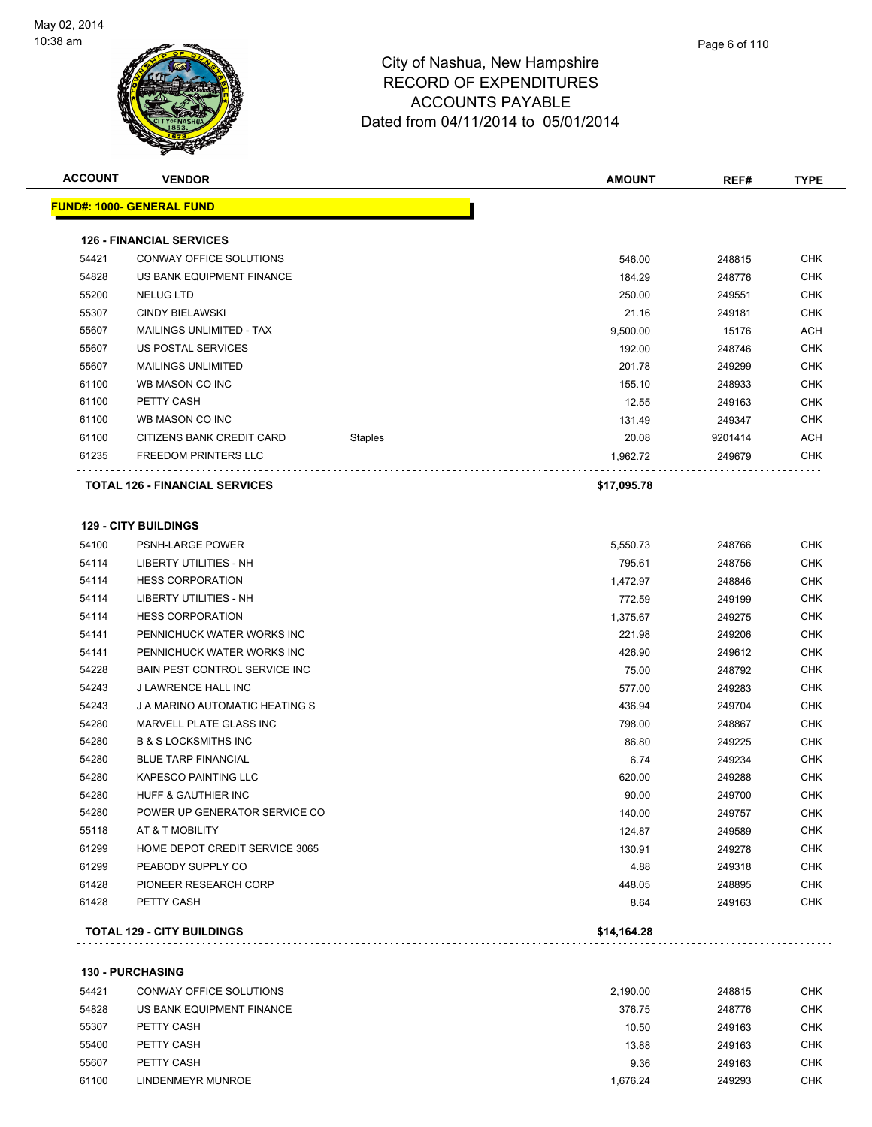

| <b>ACCOUNT</b> | <b>VENDOR</b>                                      |                | <b>AMOUNT</b> | REF#    | <b>TYPE</b> |
|----------------|----------------------------------------------------|----------------|---------------|---------|-------------|
|                | <u> FUND#: 1000- GENERAL FUND</u>                  |                |               |         |             |
|                | <b>126 - FINANCIAL SERVICES</b>                    |                |               |         |             |
| 54421          | CONWAY OFFICE SOLUTIONS                            |                | 546.00        | 248815  | <b>CHK</b>  |
| 54828          | US BANK EQUIPMENT FINANCE                          |                | 184.29        | 248776  | <b>CHK</b>  |
| 55200          | <b>NELUG LTD</b>                                   |                | 250.00        | 249551  | CHK         |
| 55307          | <b>CINDY BIELAWSKI</b>                             |                | 21.16         | 249181  | CHK         |
| 55607          | MAILINGS UNLIMITED - TAX                           |                | 9,500.00      | 15176   | ACH         |
| 55607          | US POSTAL SERVICES                                 |                | 192.00        | 248746  | CHK         |
| 55607          | <b>MAILINGS UNLIMITED</b>                          |                | 201.78        | 249299  | <b>CHK</b>  |
| 61100          | WB MASON CO INC                                    |                | 155.10        | 248933  | CHK         |
| 61100          | PETTY CASH                                         |                | 12.55         | 249163  | CHK         |
| 61100          | WB MASON CO INC                                    |                | 131.49        | 249347  | CHK         |
| 61100          | CITIZENS BANK CREDIT CARD                          | <b>Staples</b> | 20.08         | 9201414 | ACH         |
| 61235          | <b>FREEDOM PRINTERS LLC</b>                        |                | 1,962.72      | 249679  | CHK         |
|                | <b>TOTAL 126 - FINANCIAL SERVICES</b>              |                | \$17,095.78   |         |             |
|                |                                                    |                |               |         |             |
|                | <b>129 - CITY BUILDINGS</b>                        |                |               |         |             |
| 54100          | PSNH-LARGE POWER                                   |                | 5,550.73      | 248766  | CHK         |
| 54114          | <b>LIBERTY UTILITIES - NH</b>                      |                | 795.61        | 248756  | CHK         |
| 54114          | <b>HESS CORPORATION</b>                            |                | 1,472.97      | 248846  | CHK         |
| 54114          | LIBERTY UTILITIES - NH                             |                | 772.59        | 249199  | CHK         |
| 54114          | <b>HESS CORPORATION</b>                            |                | 1,375.67      | 249275  | CHK         |
| 54141          | PENNICHUCK WATER WORKS INC                         |                | 221.98        | 249206  | CHK         |
| 54141          | PENNICHUCK WATER WORKS INC                         |                | 426.90        | 249612  | <b>CHK</b>  |
| 54228          | <b>BAIN PEST CONTROL SERVICE INC</b>               |                | 75.00         | 248792  | <b>CHK</b>  |
| 54243          | J LAWRENCE HALL INC                                |                | 577.00        | 249283  | CHK         |
| 54243          | J A MARINO AUTOMATIC HEATING S                     |                | 436.94        | 249704  | CHK         |
| 54280          | <b>MARVELL PLATE GLASS INC</b>                     |                | 798.00        | 248867  | CHK         |
| 54280          | <b>B &amp; S LOCKSMITHS INC</b>                    |                | 86.80         | 249225  | CHK         |
| 54280          | <b>BLUE TARP FINANCIAL</b>                         |                | 6.74          | 249234  | CHK         |
| 54280          | <b>KAPESCO PAINTING LLC</b>                        |                | 620.00        | 249288  | CHK         |
| 54280          | HUFF & GAUTHIER INC                                |                | 90.00         | 249700  | CHK         |
| 54280          | POWER UP GENERATOR SERVICE CO                      |                | 140.00        | 249757  | CHK         |
| 55118          | AT & T MOBILITY                                    |                | 124.87        | 249589  | CHK         |
| 61299          | HOME DEPOT CREDIT SERVICE 3065                     |                | 130.91        | 249278  | <b>CHK</b>  |
| 61299          | PEABODY SUPPLY CO                                  |                | 4.88          | 249318  | CHK         |
| 61428          | PIONEER RESEARCH CORP                              |                | 448.05        | 248895  | CHK         |
| 61428          | PETTY CASH                                         |                | 8.64          | 249163  | <b>CHK</b>  |
|                | <b>TOTAL 129 - CITY BUILDINGS</b>                  |                | \$14,164.28   |         |             |
|                |                                                    |                |               |         |             |
| 54421          | <b>130 - PURCHASING</b><br>CONWAY OFFICE SOLUTIONS |                | 2,190.00      | 248815  | <b>CHK</b>  |
| 54828          | US BANK EQUIPMENT FINANCE                          |                | 376.75        | 248776  | <b>CHK</b>  |
|                |                                                    |                |               |         |             |

 PETTY CASH 10.50 249163 CHK PETTY CASH 13.88 249163 CHK PETTY CASH 9.36 249163 CHK 61100 LINDENMEYR MUNROE **1,676.24** 249293 CHK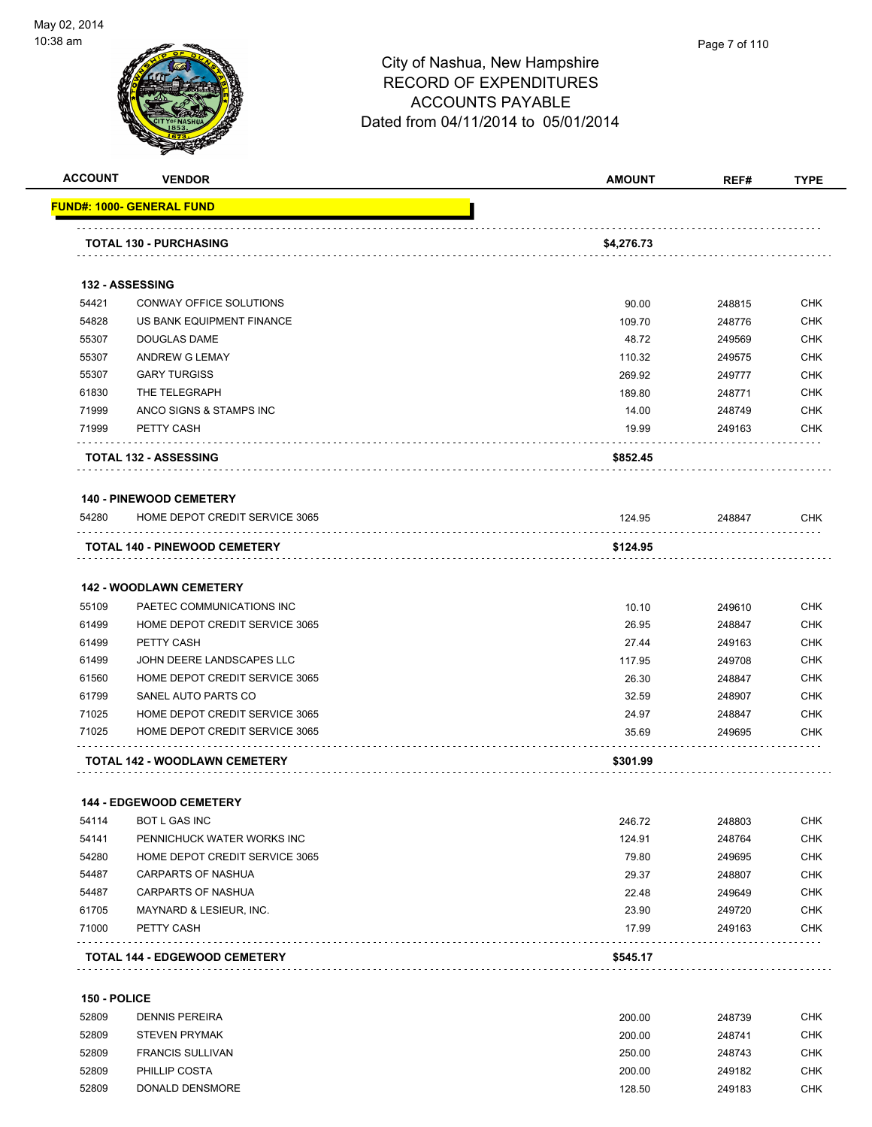

| <b>ACCOUNT</b> | <b>VENDOR</b>                        | <b>AMOUNT</b> | REF#   | <b>TYPE</b> |
|----------------|--------------------------------------|---------------|--------|-------------|
|                | <u> FUND#: 1000- GENERAL FUND</u>    |               |        |             |
|                | <b>TOTAL 130 - PURCHASING</b>        | \$4,276.73    |        |             |
|                | 132 - ASSESSING                      |               |        |             |
| 54421          | CONWAY OFFICE SOLUTIONS              | 90.00         | 248815 | <b>CHK</b>  |
| 54828          | US BANK EQUIPMENT FINANCE            | 109.70        | 248776 | <b>CHK</b>  |
| 55307          | <b>DOUGLAS DAME</b>                  | 48.72         | 249569 | <b>CHK</b>  |
| 55307          | ANDREW G LEMAY                       | 110.32        | 249575 | <b>CHK</b>  |
| 55307          | <b>GARY TURGISS</b>                  | 269.92        | 249777 | <b>CHK</b>  |
| 61830          | THE TELEGRAPH                        | 189.80        | 248771 | <b>CHK</b>  |
| 71999          | ANCO SIGNS & STAMPS INC              | 14.00         | 248749 | <b>CHK</b>  |
| 71999          | PETTY CASH                           | 19.99         | 249163 | <b>CHK</b>  |
|                | <b>TOTAL 132 - ASSESSING</b>         | \$852.45      |        |             |
|                | <b>140 - PINEWOOD CEMETERY</b>       |               |        |             |
| 54280          | HOME DEPOT CREDIT SERVICE 3065       | 124.95        | 248847 | <b>CHK</b>  |
|                | TOTAL 140 - PINEWOOD CEMETERY        | \$124.95      |        |             |
|                | <b>142 - WOODLAWN CEMETERY</b>       |               |        |             |
| 55109          | PAETEC COMMUNICATIONS INC            | 10.10         | 249610 | <b>CHK</b>  |
| 61499          | HOME DEPOT CREDIT SERVICE 3065       | 26.95         | 248847 | <b>CHK</b>  |
| 61499          | PETTY CASH                           | 27.44         | 249163 | <b>CHK</b>  |
| 61499          | JOHN DEERE LANDSCAPES LLC            | 117.95        | 249708 | <b>CHK</b>  |
| 61560          | HOME DEPOT CREDIT SERVICE 3065       | 26.30         | 248847 | <b>CHK</b>  |
| 61799          | SANEL AUTO PARTS CO                  | 32.59         | 248907 | <b>CHK</b>  |
| 71025          | HOME DEPOT CREDIT SERVICE 3065       | 24.97         | 248847 | <b>CHK</b>  |
| 71025          | HOME DEPOT CREDIT SERVICE 3065       | 35.69         | 249695 | <b>CHK</b>  |
|                | TOTAL 142 - WOODLAWN CEMETERY        | \$301.99      |        |             |
|                | <b>144 - EDGEWOOD CEMETERY</b>       |               |        |             |
| 54114          | BOT L GAS INC                        | 246.72        | 248803 | <b>CHK</b>  |
| 54141          | PENNICHUCK WATER WORKS INC           | 124.91        | 248764 | <b>CHK</b>  |
| 54280          | HOME DEPOT CREDIT SERVICE 3065       | 79.80         | 249695 | <b>CHK</b>  |
| 54487          | CARPARTS OF NASHUA                   | 29.37         | 248807 | <b>CHK</b>  |
| 54487          | <b>CARPARTS OF NASHUA</b>            | 22.48         | 249649 | <b>CHK</b>  |
| 61705          | MAYNARD & LESIEUR, INC.              | 23.90         | 249720 | <b>CHK</b>  |
| 71000          | PETTY CASH                           | 17.99         | 249163 | CHK         |
|                | <b>TOTAL 144 - EDGEWOOD CEMETERY</b> | \$545.17      |        |             |
| 150 - POLICE   |                                      |               |        |             |
| 52809          | <b>DENNIS PEREIRA</b>                | 200.00        | 248739 | CHK         |
| 52809          | <b>STEVEN PRYMAK</b>                 | 200.00        | 248741 | <b>CHK</b>  |
| 52809          | <b>FRANCIS SULLIVAN</b>              | 250.00        | 248743 | <b>CHK</b>  |
| 52809          | PHILLIP COSTA                        | 200.00        | 249182 | <b>CHK</b>  |
| 52809          | DONALD DENSMORE                      | 128.50        | 249183 | <b>CHK</b>  |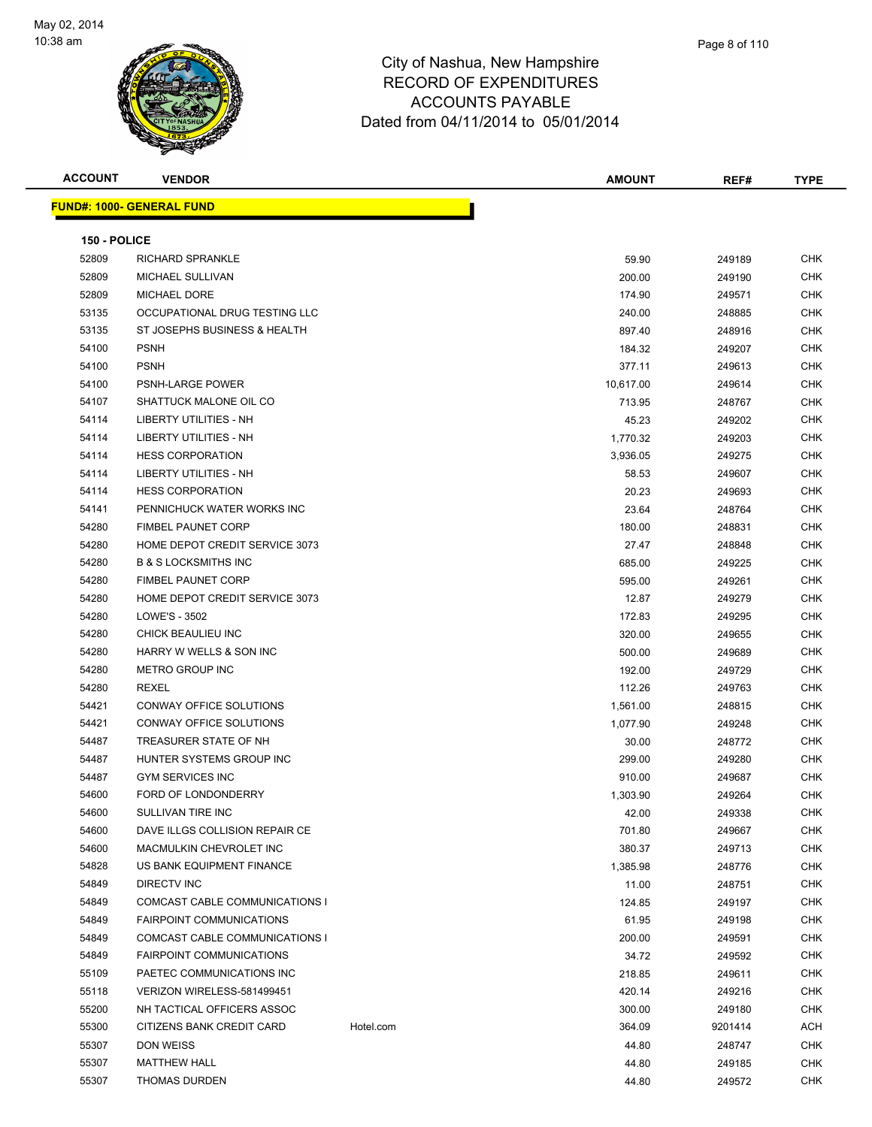

**ACCOUNT VENDOR AMOUNT REF# TYPE FUND#: 1000- GENERAL FUND 150 - POLICE** RICHARD SPRANKLE 59.90 249189 CHK MICHAEL SULLIVAN 200.00 249190 CHK MICHAEL DORE 174.90 249571 CHK OCCUPATIONAL DRUG TESTING LLC 240.00 248885 CHK ST JOSEPHS BUSINESS & HEALTH 897.40 248916 CHK PSNH 184.32 249207 CHK PSNH 377.11 249613 CHK 54100 PSNH-LARGE POWER 10.617.00 249614 CHK 54107 SHATTUCK MALONE OIL CO **12.000 SHATTUCK MALONE OIL CO** 6 TO 248767 CHK LIBERTY UTILITIES - NH 45.23 249202 CHK LIBERTY UTILITIES - NH 1,770.32 249203 CHK HESS CORPORATION 3,936.05 249275 CHK LIBERTY UTILITIES - NH 58.53 249607 CHK HESS CORPORATION 20.23 249693 CHK PENNICHUCK WATER WORKS INC 23.64 248764 CHK FIMBEL PAUNET CORP 180.00 248831 CHK HOME DEPOT CREDIT SERVICE 3073 27.47 248848 CHK B & S LOCKSMITHS INC 685.00 249225 CHK FIMBEL PAUNET CORP 595.00 249261 CHK HOME DEPOT CREDIT SERVICE 3073 12.87 249279 CHK LOWE'S - 3502 172.83 249295 CHK CHICK BEAULIEU INC 320.00 249655 CHK HARRY W WELLS & SON INC 500.00 249689 CHK METRO GROUP INC 192.00 249729 CHK REXEL 112.26 249763 CHK CONWAY OFFICE SOLUTIONS 1,561.00 248815 CHK CONWAY OFFICE SOLUTIONS 1,077.90 249248 CHK TREASURER STATE OF NH 30.00 248772 CHK HUNTER SYSTEMS GROUP INC 299.00 249280 CHK GYM SERVICES INC 910.00 249687 CHK FORD OF LONDONDERRY 1,303.90 249264 CHK SULLIVAN TIRE INC 42.00 249338 CHK DAVE ILLGS COLLISION REPAIR CE 701.80 249667 CHK MACMULKIN CHEVROLET INC 380.37 249713 CHK US BANK EQUIPMENT FINANCE 1,385.98 248776 CHK DIRECTV INC 11.00 248751 CHK 54849 COMCAST CABLE COMMUNICATIONS I 124.85 249197 CHK FAIRPOINT COMMUNICATIONS 61.95 249198 CHK COMCAST CABLE COMMUNICATIONS I 200.00 249591 CHK FAIRPOINT COMMUNICATIONS 34.72 249592 CHK PAETEC COMMUNICATIONS INC 218.85 249611 CHK VERIZON WIRELESS-581499451 420.14 249216 CHK NH TACTICAL OFFICERS ASSOC 300.00 249180 CHK 55300 CITIZENS BANK CREDIT CARD Hotel.com 364.09 9201414 ACH DON WEISS 44.80 248747 CHK MATTHEW HALL 44.80 249185 CHK THOMAS DURDEN 44.80 249572 CHK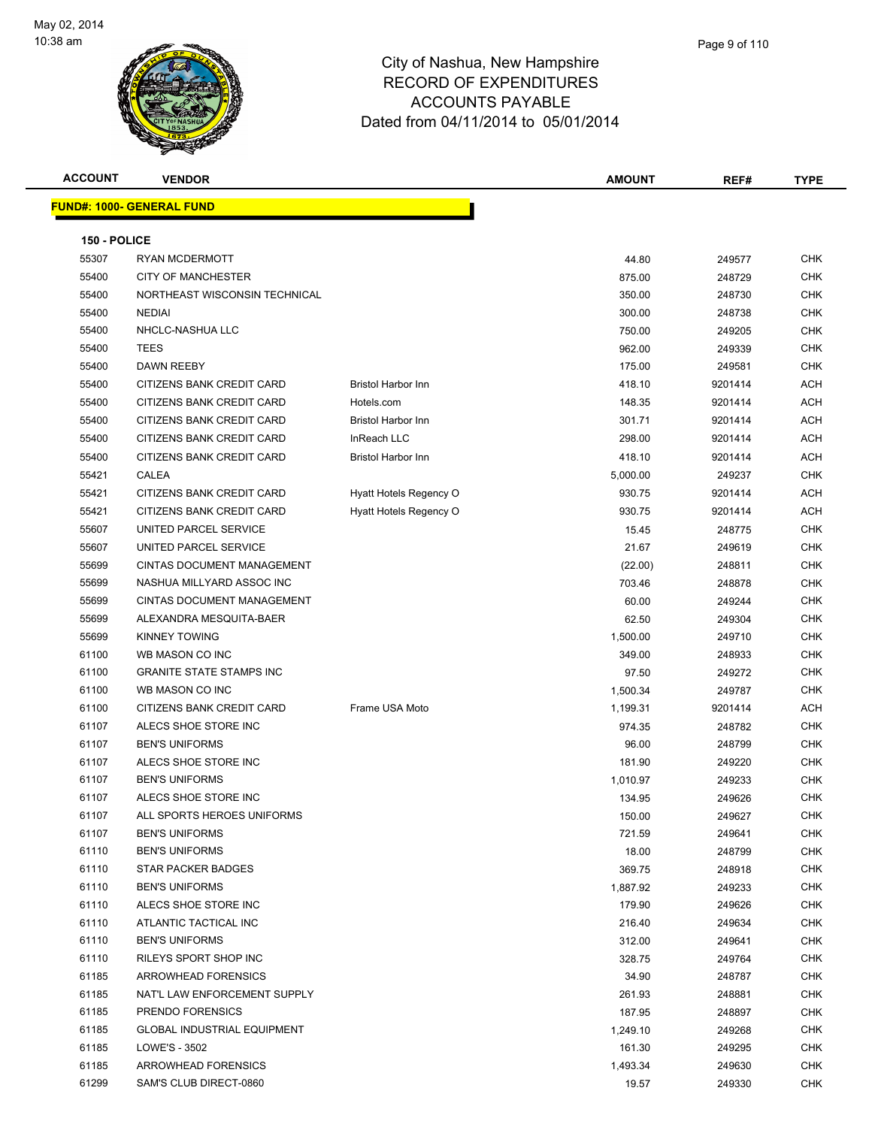

**ACCOUNT VENDOR AMOUNT REF# TYPE FUND#: 1000- GENERAL FUND 150 - POLICE** RYAN MCDERMOTT 44.80 249577 CHK CITY OF MANCHESTER 875.00 248729 CHK NORTHEAST WISCONSIN TECHNICAL 350.00 248730 CHK NEDIAI 300.00 248738 CHK NHCLC-NASHUA LLC 750.00 249205 CHK TEES 962.00 249339 CHK DAWN REEBY 175.00 249581 CHK 55400 CITIZENS BANK CREDIT CARD Bristol Harbor Inn 418.10 9201414 ACH 55400 CITIZENS BANK CREDIT CARD Hotels.com 148.35 9201414 ACH 55400 CITIZENS BANK CREDIT CARD Bristol Harbor Inn 301.71 9201414 ACH 55400 CITIZENS BANK CREDIT CARD InReach LLC 298.00 9201414 ACH 55400 CITIZENS BANK CREDIT CARD Bristol Harbor Inn 418.10 9201414 ACH CALEA 5,000.00 249237 CHK 55421 CITIZENS BANK CREDIT CARD Hyatt Hotels Regency O 930.75 9201414 ACH 55421 CITIZENS BANK CREDIT CARD Hyatt Hotels Regency O 930.75 9201414 ACH 55607 UNITED PARCEL SERVICE NERVICE And the state of the state of the state of the state of the state of the state of the state of the state of the state of the state of the state of the state of the state of the state of 55607 UNITED PARCEL SERVICE **21.67** 21.67 249619 CHK CINTAS DOCUMENT MANAGEMENT (22.00) 248811 CHK NASHUA MILLYARD ASSOC INC 703.46 248878 CHK CINTAS DOCUMENT MANAGEMENT 60.00 249244 CHK ALEXANDRA MESQUITA-BAER 62.50 249304 CHK KINNEY TOWING 1,500.00 249710 CHK WB MASON CO INC 349.00 248933 CHK er and the STATE STAMPS INC and the STATE STAMPS INC and the STATE STAMPS INCLUSION CHK AND THE STATE STAMPS INC WB MASON CO INC 1,500.34 249787 CHK 61100 CITIZENS BANK CREDIT CARD Frame USA Moto 1,199.31 9201414 ACH ALECS SHOE STORE INC 974.35 248782 CHK BEN'S UNIFORMS 96.00 248799 CHK 61107 ALECS SHOE STORE INC 181.90 249220 CHK BEN'S UNIFORMS 1,010.97 249233 CHK er and the state of the state of the state of the state of the state of the state of the state of the state of the state of the state of the state of the state of the state of the state of the state of the state of the sta ALL SPORTS HEROES UNIFORMS 150.00 249627 CHK BEN'S UNIFORMS 721.59 249641 CHK BEN'S UNIFORMS 18.00 248799 CHK STAR PACKER BADGES 369.75 248918 CHK BEN'S UNIFORMS 1,887.92 249233 CHK ALECS SHOE STORE INC 179.90 249626 CHK ATLANTIC TACTICAL INC 216.40 249634 CHK BEN'S UNIFORMS 312.00 249641 CHK 61110 RILEYS SPORT SHOP INC **CHK SEE A SEE A SEE A SEE A SEE A SEE A** SEE A SEE A SEE A SEE A SEE A SEE A SEE A S ARROWHEAD FORENSICS 34.90 248787 CHK NAT'L LAW ENFORCEMENT SUPPLY 261.93 248881 CHK PRENDO FORENSICS 187.95 248897 CHK GLOBAL INDUSTRIAL EQUIPMENT 1,249.10 249268 CHK

 61185 LOWE'S - 3502 161.30 249295 CHK 61185 ARROWHEAD FORENSICS 1,493.34 249630 CHK 61299 SAM'S CLUB DIRECT-0860 19.57 249330 CHK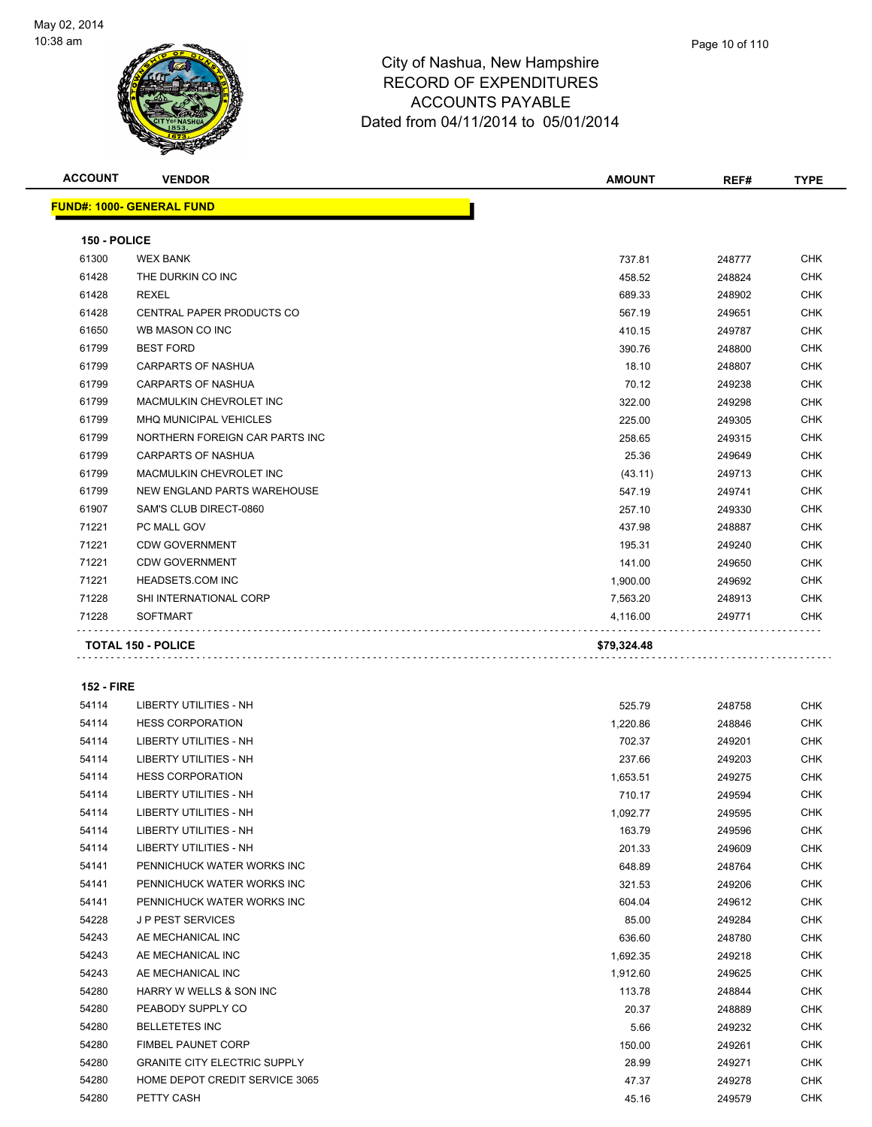

**ACCOUNT VENDOR AMOUNT REF# TYPE**

| Page 10 of 110 |
|----------------|
|                |

distribution de

**FUND#: 1000- GENERAL FUND 150 - POLICE** WEX BANK 737.81 248777 CHK THE DURKIN CO INC 458.52 248824 CHK REXEL 689.33 248902 CHK er and the Second CENTRAL PAPER PRODUCTS CO and the Second CHK CHK CHK CHK Second CHK CHK Second CHK WB MASON CO INC 410.15 249787 CHK BEST FORD 390.76 248800 CHK CARPARTS OF NASHUA 18.10 248807 CHK

| 71228 | <b>SOFTMART</b>                | 4.116.00 | 249771 | <b>CHK</b> |
|-------|--------------------------------|----------|--------|------------|
| 71228 | <b>SHI INTERNATIONAL CORP</b>  | 7,563.20 | 248913 | <b>CHK</b> |
| 71221 | <b>HEADSETS.COM INC</b>        | 1,900.00 | 249692 | CHK        |
| 71221 | <b>CDW GOVERNMENT</b>          | 141.00   | 249650 | <b>CHK</b> |
| 71221 | <b>CDW GOVERNMENT</b>          | 195.31   | 249240 | <b>CHK</b> |
| 71221 | PC MALL GOV                    | 437.98   | 248887 | <b>CHK</b> |
| 61907 | SAM'S CLUB DIRECT-0860         | 257.10   | 249330 | <b>CHK</b> |
| 61799 | NEW ENGLAND PARTS WAREHOUSE    | 547.19   | 249741 | CHK        |
| 61799 | <b>MACMULKIN CHEVROLET INC</b> | (43.11)  | 249713 | <b>CHK</b> |
| 61799 | <b>CARPARTS OF NASHUA</b>      | 25.36    | 249649 | <b>CHK</b> |
| 61799 | NORTHERN FOREIGN CAR PARTS INC | 258.65   | 249315 | <b>CHK</b> |
| 61799 | <b>MHQ MUNICIPAL VEHICLES</b>  | 225.00   | 249305 | <b>CHK</b> |
| 61799 | <b>MACMULKIN CHEVROLET INC</b> | 322.00   | 249298 | CHK        |
| 61799 | <b>CARPARTS OF NASHUA</b>      | 70.12    | 249238 | CHK        |

**TOTAL 150 - POLICE \$79,324.48**

**152 - FIRE**

### LIBERTY UTILITIES - NH 525.79 248758 CHK HESS CORPORATION 1,220.86 248846 CHK LIBERTY UTILITIES - NH 702.37 249201 CHK LIBERTY UTILITIES - NH 237.66 249203 CHK HESS CORPORATION 1,653.51 249275 CHK 54114 LIBERTY UTILITIES - NH 710.17 249594 CHK LIBERTY UTILITIES - NH 1,092.77 249595 CHK LIBERTY UTILITIES - NH 163.79 249596 CHK LIBERTY UTILITIES - NH 201.33 249609 CHK PENNICHUCK WATER WORKS INC 648.89 248764 CHK 54141 PENNICHUCK WATER WORKS INC CHANNEL SERVICE SERVICE SERVICE SERVICE SERVICE SERVICE SERVICE SERVICE SERVICE SERVICE SERVICE SERVICE SERVICE SERVICE SERVICE SERVICE SERVICE SERVICE SERVICE SERVICE SERVICE SERVICE SERVI PENNICHUCK WATER WORKS INC 604.04 249612 CHK J P PEST SERVICES 85.00 249284 CHK AE MECHANICAL INC 636.60 248780 CHK AE MECHANICAL INC 1,692.35 249218 CHK AE MECHANICAL INC 1,912.60 249625 CHK HARRY W WELLS & SON INC 113.78 248844 CHK PEABODY SUPPLY CO 20.37 248889 CHK BELLETETES INC 5.66 249232 CHK of the set of the set of the set of the set of the set of the set of the set of the set of the set of the set of the set of the set of the set of the set of the set of the set of the set of the set of the set of the set of GRANITE CITY ELECTRIC SUPPLY 28.99 249271 CHK HOME DEPOT CREDIT SERVICE 3065 47.37 249278 CHK PETTY CASH 45.16 249579 CHK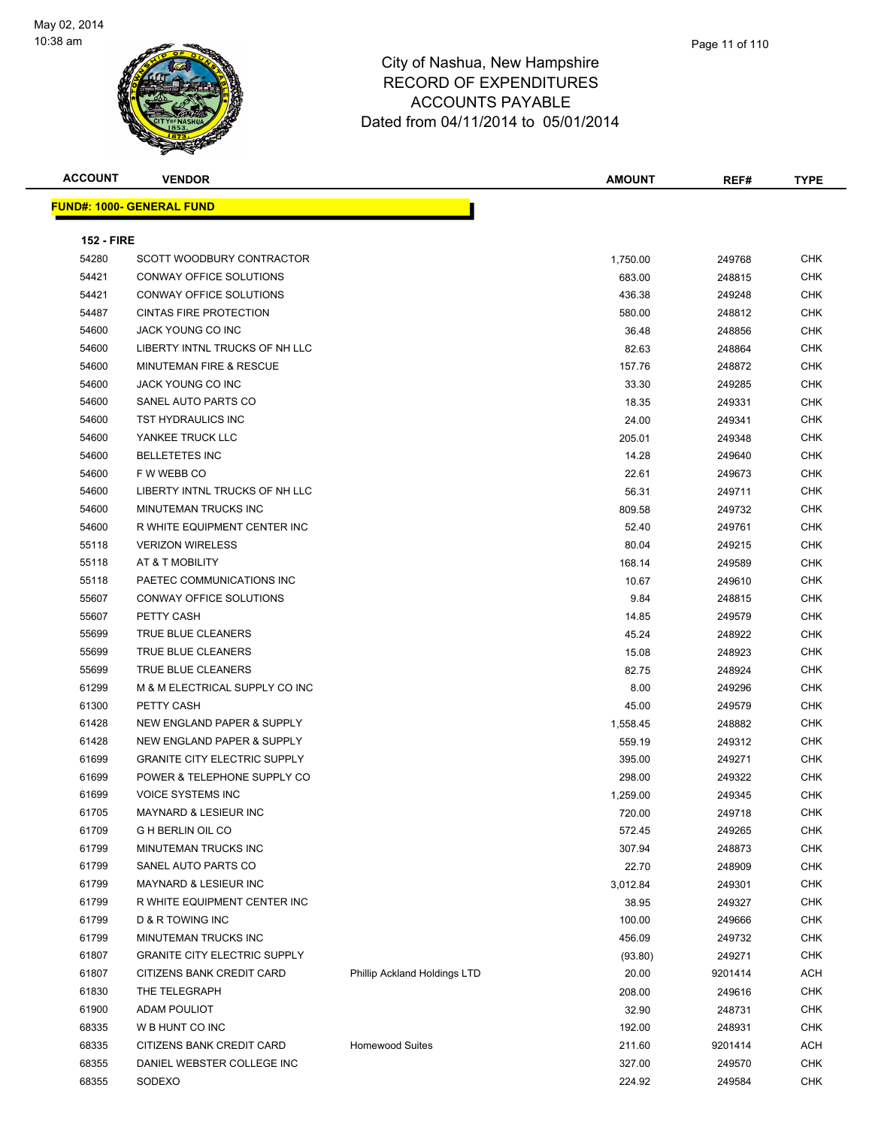

| <b>ACCOUNT</b>    | <b>VENDOR</b>                                                      |                              | <b>AMOUNT</b>    | REF#             | <b>TYPE</b>              |
|-------------------|--------------------------------------------------------------------|------------------------------|------------------|------------------|--------------------------|
|                   | <b>FUND#: 1000- GENERAL FUND</b>                                   |                              |                  |                  |                          |
|                   |                                                                    |                              |                  |                  |                          |
| <b>152 - FIRE</b> |                                                                    |                              |                  |                  |                          |
| 54280             | SCOTT WOODBURY CONTRACTOR                                          |                              | 1,750.00         | 249768           | <b>CHK</b>               |
| 54421             | <b>CONWAY OFFICE SOLUTIONS</b>                                     |                              | 683.00           | 248815           | <b>CHK</b>               |
| 54421             | CONWAY OFFICE SOLUTIONS                                            |                              | 436.38           | 249248           | CHK                      |
| 54487             | <b>CINTAS FIRE PROTECTION</b>                                      |                              | 580.00           | 248812           | <b>CHK</b>               |
| 54600             | JACK YOUNG CO INC                                                  |                              | 36.48            | 248856           | <b>CHK</b>               |
| 54600             | LIBERTY INTNL TRUCKS OF NH LLC                                     |                              | 82.63            | 248864           | <b>CHK</b>               |
| 54600             | MINUTEMAN FIRE & RESCUE                                            |                              | 157.76           | 248872           | <b>CHK</b>               |
| 54600             | JACK YOUNG CO INC                                                  |                              | 33.30            | 249285           | <b>CHK</b>               |
| 54600             | SANEL AUTO PARTS CO                                                |                              | 18.35            | 249331           | <b>CHK</b>               |
| 54600             | TST HYDRAULICS INC                                                 |                              | 24.00            | 249341           | <b>CHK</b>               |
| 54600             | YANKEE TRUCK LLC                                                   |                              | 205.01           | 249348           | <b>CHK</b>               |
| 54600             | <b>BELLETETES INC</b>                                              |                              | 14.28            | 249640           | <b>CHK</b>               |
| 54600             | F W WEBB CO                                                        |                              | 22.61            | 249673           | <b>CHK</b>               |
| 54600             | LIBERTY INTNL TRUCKS OF NH LLC                                     |                              | 56.31            | 249711           | <b>CHK</b>               |
| 54600             | <b>MINUTEMAN TRUCKS INC</b>                                        |                              | 809.58           | 249732           | <b>CHK</b>               |
| 54600             | R WHITE EQUIPMENT CENTER INC                                       |                              | 52.40            | 249761           | <b>CHK</b>               |
| 55118             | <b>VERIZON WIRELESS</b>                                            |                              | 80.04            | 249215           | <b>CHK</b>               |
| 55118             | AT & T MOBILITY                                                    |                              | 168.14           | 249589           | <b>CHK</b>               |
| 55118             | PAETEC COMMUNICATIONS INC                                          |                              | 10.67            | 249610           | CHK                      |
| 55607             | CONWAY OFFICE SOLUTIONS                                            |                              | 9.84             | 248815           | <b>CHK</b>               |
| 55607             | PETTY CASH                                                         |                              | 14.85            | 249579           | CHK                      |
| 55699             | TRUE BLUE CLEANERS                                                 |                              | 45.24            | 248922           | CHK                      |
| 55699             | TRUE BLUE CLEANERS                                                 |                              | 15.08            | 248923           | <b>CHK</b>               |
| 55699             | TRUE BLUE CLEANERS                                                 |                              | 82.75            | 248924           | <b>CHK</b>               |
| 61299             | M & M ELECTRICAL SUPPLY CO INC<br>PETTY CASH                       |                              | 8.00             | 249296           | CHK<br><b>CHK</b>        |
| 61300             |                                                                    |                              | 45.00            | 249579           |                          |
| 61428             | NEW ENGLAND PAPER & SUPPLY<br>NEW ENGLAND PAPER & SUPPLY           |                              | 1,558.45         | 248882           | <b>CHK</b>               |
| 61428<br>61699    |                                                                    |                              | 559.19           | 249312           | <b>CHK</b><br><b>CHK</b> |
| 61699             | <b>GRANITE CITY ELECTRIC SUPPLY</b><br>POWER & TELEPHONE SUPPLY CO |                              | 395.00           | 249271           | CHK                      |
|                   | <b>VOICE SYSTEMS INC</b>                                           |                              | 298.00           | 249322           | <b>CHK</b>               |
| 61699<br>61705    | MAYNARD & LESIEUR INC                                              |                              | 1,259.00         | 249345           | <b>CHK</b>               |
| 61709             | <b>G H BERLIN OIL CO</b>                                           |                              | 720.00           | 249718           |                          |
| 61799             | MINUTEMAN TRUCKS INC                                               |                              | 572.45<br>307.94 | 249265<br>248873 | CHK<br><b>CHK</b>        |
| 61799             | SANEL AUTO PARTS CO                                                |                              | 22.70            | 248909           | <b>CHK</b>               |
| 61799             | MAYNARD & LESIEUR INC                                              |                              | 3,012.84         |                  | <b>CHK</b>               |
| 61799             | R WHITE EQUIPMENT CENTER INC                                       |                              | 38.95            | 249301<br>249327 | <b>CHK</b>               |
| 61799             | D & R TOWING INC                                                   |                              |                  |                  | <b>CHK</b>               |
| 61799             | MINUTEMAN TRUCKS INC                                               |                              | 100.00<br>456.09 | 249666<br>249732 | <b>CHK</b>               |
| 61807             | <b>GRANITE CITY ELECTRIC SUPPLY</b>                                |                              |                  | 249271           | <b>CHK</b>               |
| 61807             | CITIZENS BANK CREDIT CARD                                          | Phillip Ackland Holdings LTD | (93.80)<br>20.00 | 9201414          | <b>ACH</b>               |
| 61830             | THE TELEGRAPH                                                      |                              | 208.00           |                  | <b>CHK</b>               |
|                   |                                                                    |                              |                  | 249616           |                          |
| 61900<br>68335    | ADAM POULIOT<br>W B HUNT CO INC                                    |                              | 32.90            | 248731           | <b>CHK</b>               |
|                   |                                                                    |                              | 192.00           | 248931           | <b>CHK</b>               |
| 68335             | CITIZENS BANK CREDIT CARD                                          | <b>Homewood Suites</b>       | 211.60           | 9201414          | <b>ACH</b>               |
| 68355             | DANIEL WEBSTER COLLEGE INC                                         |                              | 327.00           | 249570           | <b>CHK</b>               |
| 68355             | SODEXO                                                             |                              | 224.92           | 249584           | <b>CHK</b>               |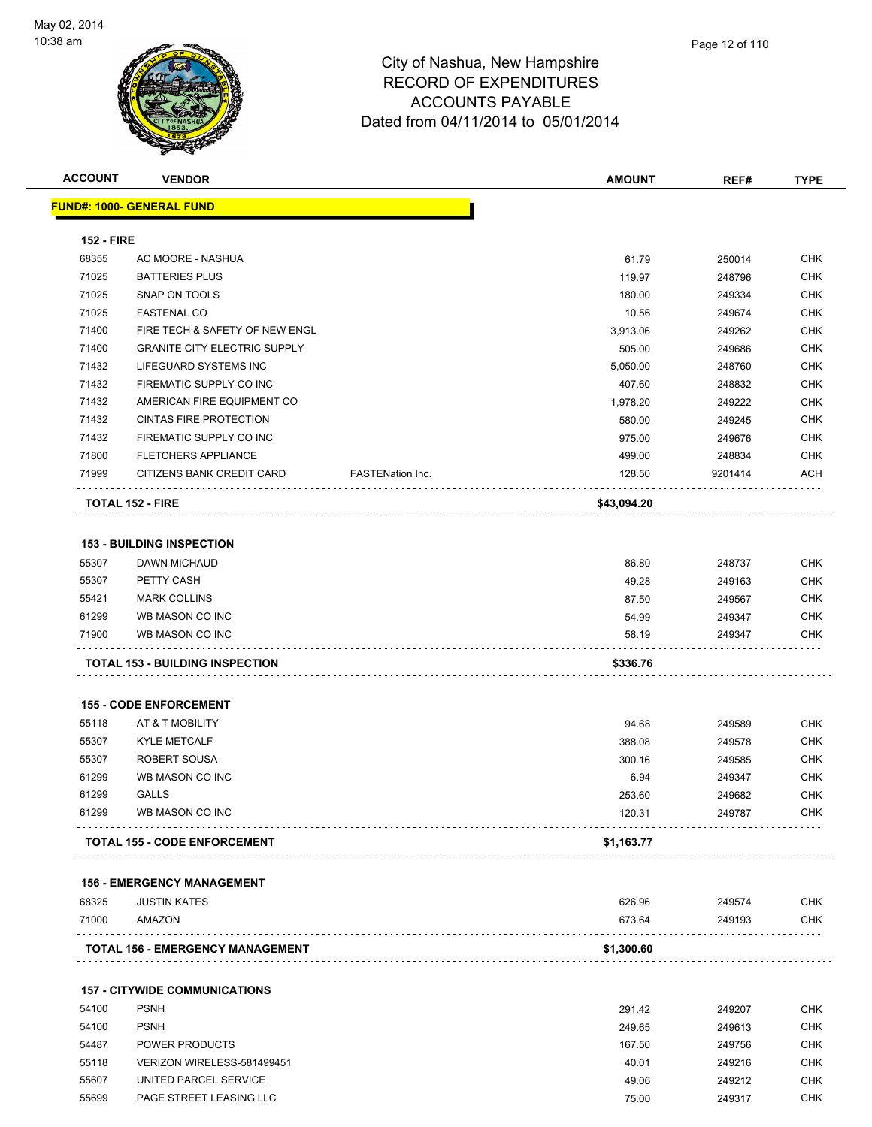

| <b>ACCOUNT</b>    | <b>VENDOR</b>                           |                  | <b>AMOUNT</b>    | REF#             | <b>TYPE</b>              |
|-------------------|-----------------------------------------|------------------|------------------|------------------|--------------------------|
|                   | <b>FUND#: 1000- GENERAL FUND</b>        |                  |                  |                  |                          |
| <b>152 - FIRE</b> |                                         |                  |                  |                  |                          |
| 68355             | AC MOORE - NASHUA                       |                  | 61.79            | 250014           | <b>CHK</b>               |
| 71025             | <b>BATTERIES PLUS</b>                   |                  | 119.97           | 248796           | <b>CHK</b>               |
| 71025             | SNAP ON TOOLS                           |                  | 180.00           | 249334           | <b>CHK</b>               |
| 71025             | <b>FASTENAL CO</b>                      |                  | 10.56            | 249674           | <b>CHK</b>               |
| 71400             | FIRE TECH & SAFETY OF NEW ENGL          |                  | 3,913.06         | 249262           | <b>CHK</b>               |
| 71400             | <b>GRANITE CITY ELECTRIC SUPPLY</b>     |                  | 505.00           | 249686           | <b>CHK</b>               |
| 71432             | LIFEGUARD SYSTEMS INC                   |                  | 5,050.00         | 248760           | CHK                      |
| 71432             | FIREMATIC SUPPLY CO INC                 |                  | 407.60           | 248832           | <b>CHK</b>               |
| 71432             | AMERICAN FIRE EQUIPMENT CO              |                  | 1,978.20         | 249222           | <b>CHK</b>               |
| 71432             | <b>CINTAS FIRE PROTECTION</b>           |                  | 580.00           | 249245           | <b>CHK</b>               |
| 71432             | FIREMATIC SUPPLY CO INC                 |                  | 975.00           | 249676           | <b>CHK</b>               |
| 71800             | <b>FLETCHERS APPLIANCE</b>              |                  | 499.00           | 248834           | <b>CHK</b>               |
| 71999             | CITIZENS BANK CREDIT CARD               | FASTENation Inc. | 128.50           | 9201414          | <b>ACH</b>               |
|                   | <b>TOTAL 152 - FIRE</b>                 |                  | \$43,094.20      |                  |                          |
|                   | <b>153 - BUILDING INSPECTION</b>        |                  |                  |                  |                          |
| 55307             | DAWN MICHAUD                            |                  | 86.80            | 248737           | CHK                      |
| 55307             | PETTY CASH                              |                  | 49.28            | 249163           | CHK                      |
| 55421             | <b>MARK COLLINS</b>                     |                  | 87.50            | 249567           | <b>CHK</b>               |
| 61299             | WB MASON CO INC                         |                  | 54.99            | 249347           | <b>CHK</b>               |
| 71900             | WB MASON CO INC                         |                  | 58.19            | 249347           | <b>CHK</b>               |
|                   | <b>TOTAL 153 - BUILDING INSPECTION</b>  |                  | \$336.76         |                  |                          |
|                   | <b>155 - CODE ENFORCEMENT</b>           |                  |                  |                  |                          |
| 55118             | AT & T MOBILITY                         |                  | 94.68            | 249589           | CHK                      |
| 55307             | <b>KYLE METCALF</b>                     |                  | 388.08           | 249578           | <b>CHK</b>               |
| 55307             | <b>ROBERT SOUSA</b>                     |                  | 300.16           | 249585           | CHK                      |
| 61299             | WB MASON CO INC                         |                  | 6.94             | 249347           | CHK                      |
| 61299             | <b>GALLS</b>                            |                  | 253.60           | 249682           | <b>CHK</b>               |
| 61299             | WB MASON CO INC                         |                  | 120.31           | 249787           | <b>CHK</b>               |
|                   | <b>TOTAL 155 - CODE ENFORCEMENT</b>     |                  | \$1,163.77       |                  |                          |
|                   |                                         |                  |                  |                  |                          |
|                   | <b>156 - EMERGENCY MANAGEMENT</b>       |                  |                  |                  |                          |
| 68325<br>71000    | <b>JUSTIN KATES</b><br>AMAZON           |                  | 626.96<br>673.64 | 249574<br>249193 | <b>CHK</b><br><b>CHK</b> |
|                   |                                         |                  |                  |                  |                          |
|                   | <b>TOTAL 156 - EMERGENCY MANAGEMENT</b> |                  | \$1,300.60       |                  |                          |
|                   | <b>157 - CITYWIDE COMMUNICATIONS</b>    |                  |                  |                  |                          |
| 54100             | <b>PSNH</b>                             |                  | 291.42           | 249207           | CHK                      |

## PSNH 249.65 249613 CHK POWER PRODUCTS 167.50 249756 CHK VERIZON WIRELESS-581499451 40.01 249216 CHK UNITED PARCEL SERVICE 49.06 249212 CHK PAGE STREET LEASING LLC 75.00 249317 CHK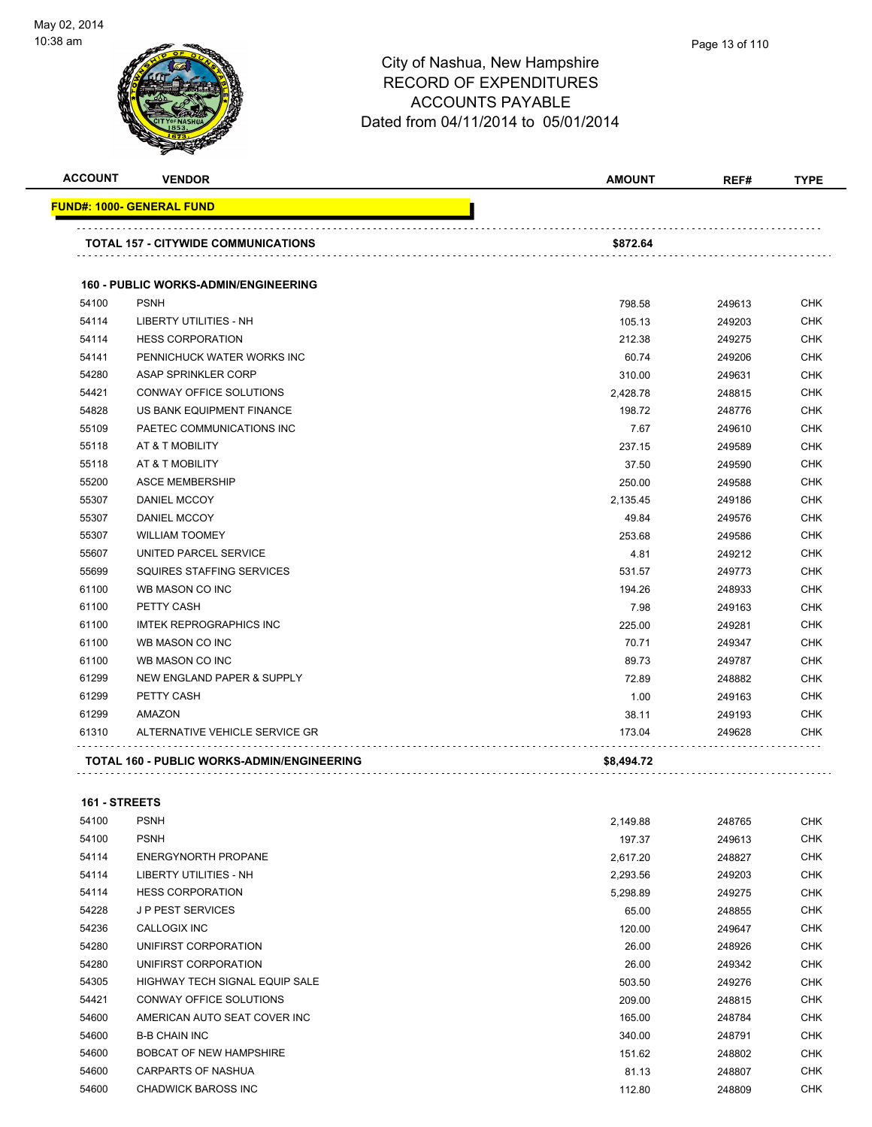

**FUND#: 1000- GENERAL FUND**

# City of Nashua, New Hampshire RECORD OF EXPENDITURES  $\overline{A}$ COUNTS DAVABLE

| <u> IND#: 1000- GENERAL FUND</u> |                                                         |      |             |  |
|----------------------------------|---------------------------------------------------------|------|-------------|--|
| <b>ACCOUNT</b><br><b>VENDOR</b>  | <b>AMOUNT</b>                                           | REF# | <b>TYPE</b> |  |
| 门灯<br>W                          | ACCOUNTS PAYABLE<br>Dated from 04/11/2014 to 05/01/2014 |      |             |  |

|       | <b>TOTAL 157 - CITYWIDE COMMUNICATIONS</b>        | \$872.64   |        |            |
|-------|---------------------------------------------------|------------|--------|------------|
|       | <b>160 - PUBLIC WORKS-ADMIN/ENGINEERING</b>       |            |        |            |
| 54100 | <b>PSNH</b>                                       | 798.58     | 249613 | <b>CHK</b> |
| 54114 | LIBERTY UTILITIES - NH                            | 105.13     | 249203 | CHK        |
| 54114 | <b>HESS CORPORATION</b>                           | 212.38     | 249275 | <b>CHK</b> |
| 54141 | PENNICHUCK WATER WORKS INC                        | 60.74      | 249206 | <b>CHK</b> |
| 54280 | ASAP SPRINKLER CORP                               | 310.00     | 249631 | <b>CHK</b> |
| 54421 | CONWAY OFFICE SOLUTIONS                           | 2,428.78   | 248815 | <b>CHK</b> |
| 54828 | US BANK EQUIPMENT FINANCE                         | 198.72     | 248776 | CHK        |
| 55109 | PAETEC COMMUNICATIONS INC                         | 7.67       | 249610 | <b>CHK</b> |
| 55118 | AT & T MOBILITY                                   | 237.15     | 249589 | <b>CHK</b> |
| 55118 | AT & T MOBILITY                                   | 37.50      | 249590 | <b>CHK</b> |
| 55200 | <b>ASCE MEMBERSHIP</b>                            | 250.00     | 249588 | <b>CHK</b> |
| 55307 | <b>DANIEL MCCOY</b>                               | 2,135.45   | 249186 | <b>CHK</b> |
| 55307 | DANIEL MCCOY                                      | 49.84      | 249576 | <b>CHK</b> |
| 55307 | <b>WILLIAM TOOMEY</b>                             | 253.68     | 249586 | <b>CHK</b> |
| 55607 | UNITED PARCEL SERVICE                             | 4.81       | 249212 | <b>CHK</b> |
| 55699 | SQUIRES STAFFING SERVICES                         | 531.57     | 249773 | <b>CHK</b> |
| 61100 | WB MASON CO INC                                   | 194.26     | 248933 | <b>CHK</b> |
| 61100 | PETTY CASH                                        | 7.98       | 249163 | <b>CHK</b> |
| 61100 | <b>IMTEK REPROGRAPHICS INC</b>                    | 225.00     | 249281 | <b>CHK</b> |
| 61100 | WB MASON CO INC                                   | 70.71      | 249347 | <b>CHK</b> |
| 61100 | WB MASON CO INC                                   | 89.73      | 249787 | <b>CHK</b> |
| 61299 | NEW ENGLAND PAPER & SUPPLY                        | 72.89      | 248882 | CHK        |
| 61299 | PETTY CASH                                        | 1.00       | 249163 | <b>CHK</b> |
| 61299 | <b>AMAZON</b>                                     | 38.11      | 249193 | <b>CHK</b> |
| 61310 | ALTERNATIVE VEHICLE SERVICE GR                    | 173.04     | 249628 | <b>CHK</b> |
|       | <b>TOTAL 160 - PUBLIC WORKS-ADMIN/ENGINEERING</b> | \$8,494.72 |        |            |

### **161 - STREETS**

| 54100 | <b>PSNH</b>                           | 2,149.88 | 248765 | <b>CHK</b> |
|-------|---------------------------------------|----------|--------|------------|
| 54100 | <b>PSNH</b>                           | 197.37   | 249613 | <b>CHK</b> |
| 54114 | ENERGYNORTH PROPANE                   | 2,617.20 | 248827 | <b>CHK</b> |
| 54114 | LIBERTY UTILITIES - NH                | 2,293.56 | 249203 | <b>CHK</b> |
| 54114 | <b>HESS CORPORATION</b>               | 5,298.89 | 249275 | <b>CHK</b> |
| 54228 | <b>JP PEST SERVICES</b>               | 65.00    | 248855 | <b>CHK</b> |
| 54236 | <b>CALLOGIX INC</b>                   | 120.00   | 249647 | <b>CHK</b> |
| 54280 | UNIFIRST CORPORATION                  | 26.00    | 248926 | <b>CHK</b> |
| 54280 | UNIFIRST CORPORATION                  | 26.00    | 249342 | <b>CHK</b> |
| 54305 | <b>HIGHWAY TECH SIGNAL EQUIP SALE</b> | 503.50   | 249276 | <b>CHK</b> |
| 54421 | CONWAY OFFICE SOLUTIONS               | 209.00   | 248815 | <b>CHK</b> |
| 54600 | AMERICAN AUTO SEAT COVER INC          | 165.00   | 248784 | <b>CHK</b> |
| 54600 | <b>B-B CHAIN INC</b>                  | 340.00   | 248791 | <b>CHK</b> |
| 54600 | <b>BOBCAT OF NEW HAMPSHIRE</b>        | 151.62   | 248802 | <b>CHK</b> |
| 54600 | <b>CARPARTS OF NASHUA</b>             | 81.13    | 248807 | <b>CHK</b> |
| 54600 | <b>CHADWICK BAROSS INC</b>            | 112.80   | 248809 | CHK        |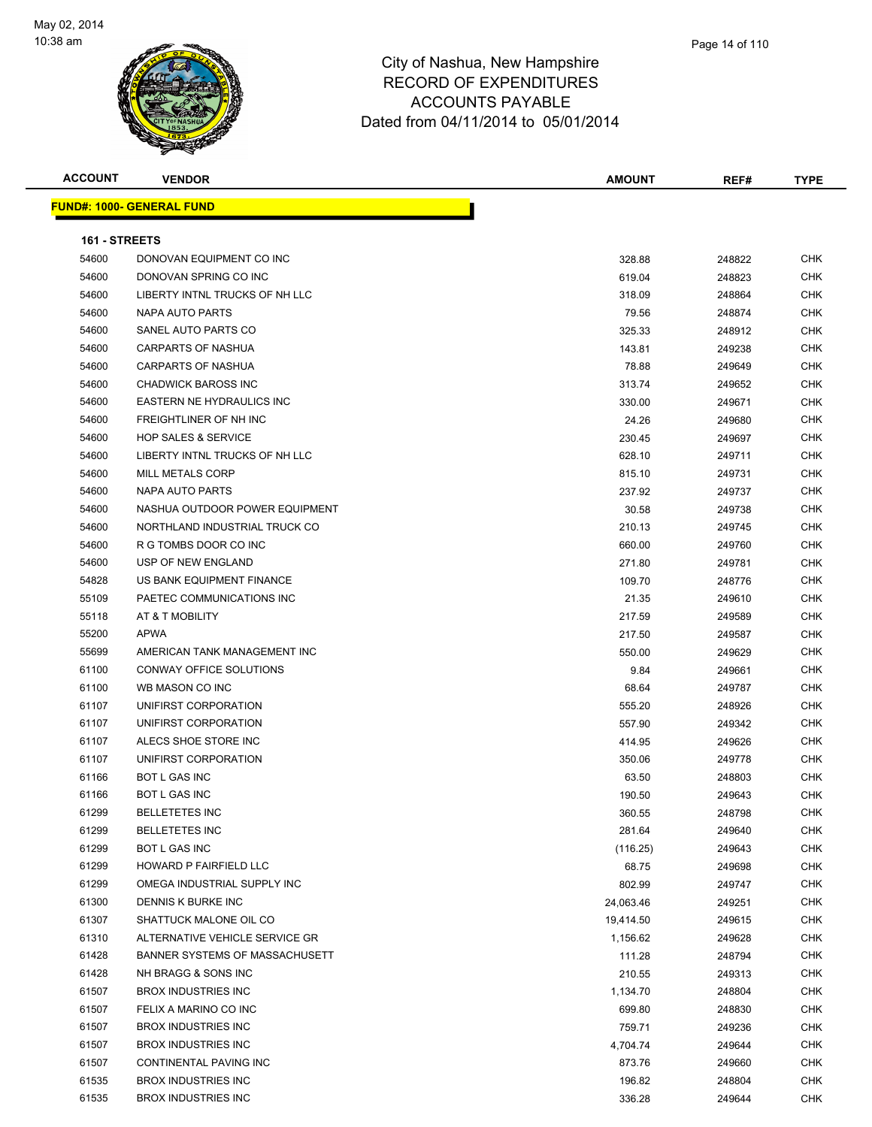

**ACCOUNT VENDOR AMOUNT REF# TYPE FUND#: 1000- GENERAL FUND 161 - STREETS** DONOVAN EQUIPMENT CO INC 328.88 248822 CHK DONOVAN SPRING CO INC 619.04 248823 CHK LIBERTY INTNL TRUCKS OF NH LLC 318.09 248864 CHK NAPA AUTO PARTS 79.56 248874 CHK SANEL AUTO PARTS CO 325.33 248912 CHK CARPARTS OF NASHUA 143.81 249238 CHK 54600 CARPARTS OF NASHUA 76 CHK 249649 CHK CHADWICK BAROSS INC 313.74 249652 CHK 54600 EASTERN NE HYDRAULICS INC NEW STATE STATES AND RESERVE THE STATE OF STATES AND RESERVE THE STATES OF STA FREIGHTLINER OF NH INC 24.26 249680 CHK HOP SALES & SERVICE 230.45 249697 CHK LIBERTY INTNL TRUCKS OF NH LLC 628.10 249711 CHK MILL METALS CORP 815.10 249731 CHK NAPA AUTO PARTS 237.92 249737 CHK NASHUA OUTDOOR POWER EQUIPMENT 30.58 249738 CHK NORTHLAND INDUSTRIAL TRUCK CO 210.13 249745 CHK R G TOMBS DOOR CO INC 660.00 249760 CHK USP OF NEW ENGLAND 271.80 249781 CHK US BANK EQUIPMENT FINANCE 109.70 248776 CHK PAETEC COMMUNICATIONS INC 21.35 249610 CHK AT & T MOBILITY 217.59 249589 CHK APWA 217.50 249587 CHK AMERICAN TANK MANAGEMENT INC 550.00 249629 CHK CONWAY OFFICE SOLUTIONS 9.84 249661 CHK WB MASON CO INC 68.64 249787 CHK UNIFIRST CORPORATION 555.20 248926 CHK UNIFIRST CORPORATION 557.90 249342 CHK 61107 ALECS SHOE STORE INC 61 ALECS SHOE STORE INC UNIFIRST CORPORATION 350.06 249778 CHK BOT L GAS INC 63.50 248803 CHK BOT L GAS INC 190.50 249643 CHK BELLETETES INC 360.55 248798 CHK BELLETETES INC 281.64 249640 CHK BOT L GAS INC (116.25) 249643 CHK HOWARD P FAIRFIELD LLC 68.75 249698 CHK er om the State of the State of the State of the State of the State of the State of the State of the State of the State of the State of the State of the State of the State of the State of the State of the State of the Stat DENNIS K BURKE INC 24,063.46 249251 CHK SHATTUCK MALONE OIL CO 19,414.50 249615 CHK 61310 ALTERNATIVE VEHICLE SERVICE GR<br>
61310 ALTERNATIVE VEHICLE SERVICE GR 61428 BANNER SYSTEMS OF MASSACHUSETT **111.28** 111.28 248794 CHK NH BRAGG & SONS INC 210.55 249313 CHK 61507 BROX INDUSTRIES INC 248804 CHK (1,134.70 248804 CHK FELIX A MARINO CO INC 699.80 248830 CHK BROX INDUSTRIES INC 759.71 249236 CHK BROX INDUSTRIES INC 4,704.74 249644 CHK CONTINENTAL PAVING INC 873.76 249660 CHK

 BROX INDUSTRIES INC 196.82 248804 CHK 61535 BROX INDUSTRIES INC 2002 CHK 2003 12:00 2004 2005 2006 2012 2013 336.28 249644 CHK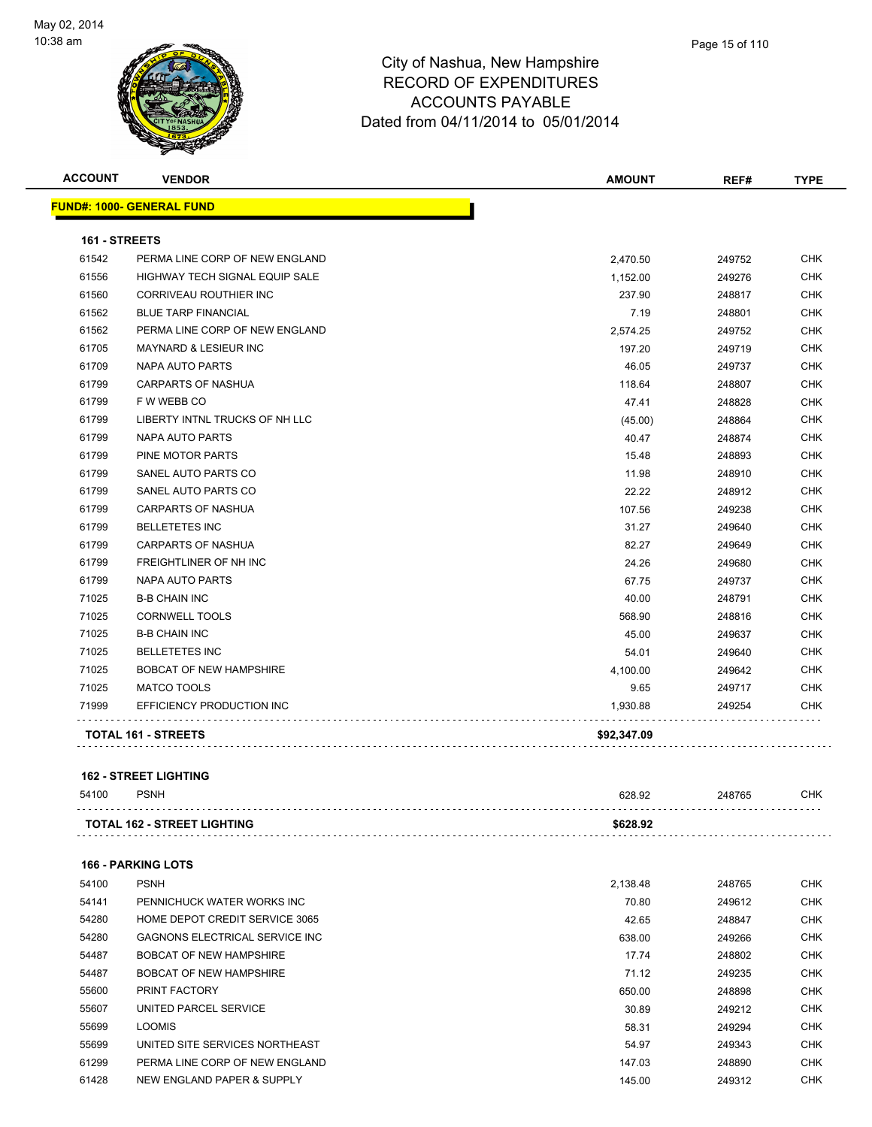

| Page 15 of 110 |
|----------------|
|                |

| <b>ACCOUNT</b> | <b>VENDOR</b>                         | <b>AMOUNT</b> | REF#   | <b>TYPE</b> |
|----------------|---------------------------------------|---------------|--------|-------------|
|                | <b>FUND#: 1000- GENERAL FUND</b>      |               |        |             |
| 161 - STREETS  |                                       |               |        |             |
| 61542          | PERMA LINE CORP OF NEW ENGLAND        | 2,470.50      | 249752 | <b>CHK</b>  |
| 61556          | <b>HIGHWAY TECH SIGNAL EQUIP SALE</b> | 1,152.00      | 249276 | <b>CHK</b>  |
| 61560          | CORRIVEAU ROUTHIER INC                | 237.90        | 248817 | <b>CHK</b>  |
| 61562          | <b>BLUE TARP FINANCIAL</b>            | 7.19          | 248801 | <b>CHK</b>  |
| 61562          | PERMA LINE CORP OF NEW ENGLAND        | 2,574.25      | 249752 | <b>CHK</b>  |
| 61705          | MAYNARD & LESIEUR INC                 | 197.20        | 249719 | <b>CHK</b>  |
| 61709          | NAPA AUTO PARTS                       | 46.05         | 249737 | <b>CHK</b>  |
| 61799          | <b>CARPARTS OF NASHUA</b>             | 118.64        | 248807 | <b>CHK</b>  |
| 61799          | F W WEBB CO                           | 47.41         | 248828 | <b>CHK</b>  |
| 61799          | LIBERTY INTNL TRUCKS OF NH LLC        | (45.00)       | 248864 | <b>CHK</b>  |
| 61799          | <b>NAPA AUTO PARTS</b>                | 40.47         | 248874 | <b>CHK</b>  |
| 61799          | PINE MOTOR PARTS                      | 15.48         | 248893 | <b>CHK</b>  |
| 61799          | SANEL AUTO PARTS CO                   | 11.98         | 248910 | <b>CHK</b>  |
| 61799          | SANEL AUTO PARTS CO                   | 22.22         | 248912 | <b>CHK</b>  |
| 61799          | <b>CARPARTS OF NASHUA</b>             | 107.56        | 249238 | <b>CHK</b>  |
| 61799          | <b>BELLETETES INC</b>                 | 31.27         | 249640 | <b>CHK</b>  |
| 61799          | <b>CARPARTS OF NASHUA</b>             | 82.27         | 249649 | <b>CHK</b>  |
| 61799          | FREIGHTLINER OF NH INC                | 24.26         | 249680 | <b>CHK</b>  |
| 61799          | <b>NAPA AUTO PARTS</b>                | 67.75         | 249737 | <b>CHK</b>  |
| 71025          | <b>B-B CHAIN INC</b>                  | 40.00         | 248791 | <b>CHK</b>  |
| 71025          | <b>CORNWELL TOOLS</b>                 | 568.90        | 248816 | <b>CHK</b>  |
| 71025          | <b>B-B CHAIN INC</b>                  | 45.00         | 249637 | <b>CHK</b>  |
| 71025          | <b>BELLETETES INC</b>                 | 54.01         | 249640 | <b>CHK</b>  |
| 71025          | <b>BOBCAT OF NEW HAMPSHIRE</b>        | 4,100.00      | 249642 | <b>CHK</b>  |
| 71025          | <b>MATCO TOOLS</b>                    | 9.65          | 249717 | <b>CHK</b>  |
| 71999          | EFFICIENCY PRODUCTION INC             | 1,930.88      | 249254 | <b>CHK</b>  |
|                | <b>TOTAL 161 - STREETS</b>            | \$92,347.09   |        |             |
|                |                                       |               |        |             |

#### **162 - STREET LIGHTING**

| 54100<br><b>PSNH</b><br>628.92                 | 248765 | СНК |
|------------------------------------------------|--------|-----|
| <b>TOTAL 162 - STREET LIGHTING</b><br>\$628.92 |        |     |

### **166 - PARKING LOTS**

| 54100 | <b>PSNH</b>                            | 2,138.48 | 248765 | <b>CHK</b> |
|-------|----------------------------------------|----------|--------|------------|
| 54141 | PENNICHUCK WATER WORKS INC             | 70.80    | 249612 | <b>CHK</b> |
| 54280 | HOME DEPOT CREDIT SERVICE 3065         | 42.65    | 248847 | <b>CHK</b> |
| 54280 | <b>GAGNONS ELECTRICAL SERVICE INC.</b> | 638.00   | 249266 | <b>CHK</b> |
| 54487 | <b>BOBCAT OF NEW HAMPSHIRE</b>         | 17.74    | 248802 | <b>CHK</b> |
| 54487 | <b>BOBCAT OF NEW HAMPSHIRE</b>         | 71.12    | 249235 | <b>CHK</b> |
| 55600 | PRINT FACTORY                          | 650.00   | 248898 | <b>CHK</b> |
| 55607 | UNITED PARCEL SERVICE                  | 30.89    | 249212 | <b>CHK</b> |
| 55699 | <b>LOOMIS</b>                          | 58.31    | 249294 | <b>CHK</b> |
| 55699 | UNITED SITE SERVICES NORTHEAST         | 54.97    | 249343 | <b>CHK</b> |
| 61299 | PERMA LINE CORP OF NEW ENGLAND         | 147.03   | 248890 | <b>CHK</b> |
| 61428 | NEW ENGLAND PAPER & SUPPLY             | 145.00   | 249312 | <b>CHK</b> |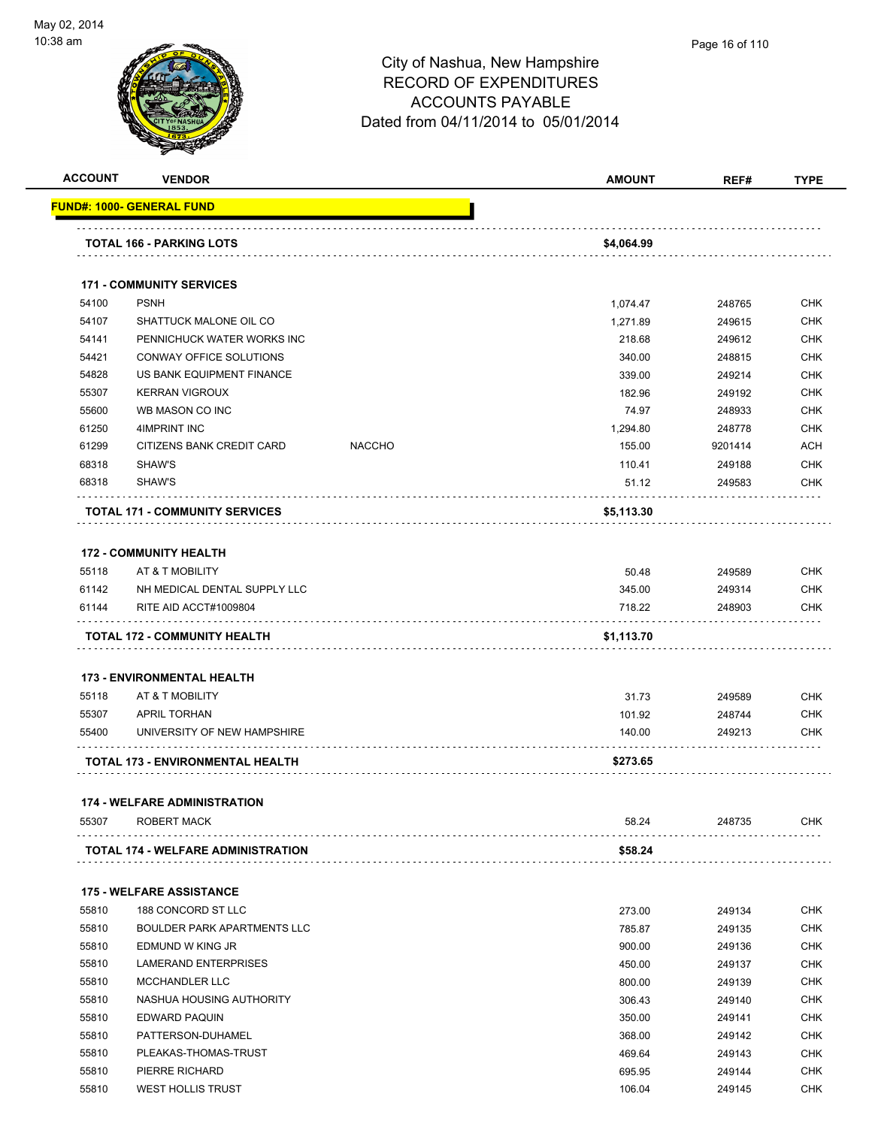

| <b>ACCOUNT</b> | <b>VENDOR</b>                                   |               | <b>AMOUNT</b> | REF#    | <b>TYPE</b> |
|----------------|-------------------------------------------------|---------------|---------------|---------|-------------|
|                | <b>FUND#: 1000- GENERAL FUND</b>                |               |               |         |             |
|                |                                                 |               |               |         |             |
|                | <b>TOTAL 166 - PARKING LOTS</b>                 |               | \$4,064.99    |         |             |
|                | <b>171 - COMMUNITY SERVICES</b>                 |               |               |         |             |
| 54100          | <b>PSNH</b>                                     |               | 1,074.47      | 248765  | <b>CHK</b>  |
| 54107          | SHATTUCK MALONE OIL CO                          |               | 1,271.89      | 249615  | <b>CHK</b>  |
| 54141          | PENNICHUCK WATER WORKS INC                      |               | 218.68        | 249612  | <b>CHK</b>  |
| 54421          | CONWAY OFFICE SOLUTIONS                         |               | 340.00        | 248815  | <b>CHK</b>  |
| 54828          | US BANK EQUIPMENT FINANCE                       |               | 339.00        | 249214  | <b>CHK</b>  |
| 55307          | <b>KERRAN VIGROUX</b>                           |               | 182.96        | 249192  | <b>CHK</b>  |
| 55600          | WB MASON CO INC                                 |               | 74.97         | 248933  | <b>CHK</b>  |
| 61250          | 4IMPRINT INC                                    |               | 1,294.80      | 248778  | <b>CHK</b>  |
| 61299          | CITIZENS BANK CREDIT CARD                       | <b>NACCHO</b> | 155.00        | 9201414 | ACH         |
| 68318          | SHAW'S                                          |               | 110.41        | 249188  | <b>CHK</b>  |
| 68318          | SHAW'S                                          |               | 51.12         | 249583  | <b>CHK</b>  |
|                |                                                 |               |               |         |             |
|                | <b>TOTAL 171 - COMMUNITY SERVICES</b>           |               | \$5,113.30    |         |             |
|                | <b>172 - COMMUNITY HEALTH</b>                   |               |               |         |             |
|                |                                                 |               |               |         |             |
| 55118<br>61142 | AT & T MOBILITY<br>NH MEDICAL DENTAL SUPPLY LLC |               | 50.48         | 249589  | <b>CHK</b>  |
|                |                                                 |               | 345.00        | 249314  | <b>CHK</b>  |
| 61144          | RITE AID ACCT#1009804                           |               | 718.22        | 248903  | <b>CHK</b>  |
|                | TOTAL 172 - COMMUNITY HEALTH                    |               | \$1,113.70    |         |             |
|                | <b>173 - ENVIRONMENTAL HEALTH</b>               |               |               |         |             |
| 55118          | AT & T MOBILITY                                 |               | 31.73         | 249589  | <b>CHK</b>  |
| 55307          | <b>APRIL TORHAN</b>                             |               | 101.92        | 248744  | <b>CHK</b>  |
| 55400          | UNIVERSITY OF NEW HAMPSHIRE                     |               | 140.00        | 249213  | <b>CHK</b>  |
|                |                                                 |               |               |         |             |
|                | <b>TOTAL 173 - ENVIRONMENTAL HEALTH</b>         |               | \$273.65      |         |             |
|                | <b>174 - WELFARE ADMINISTRATION</b>             |               |               |         |             |
| 55307          | ROBERT MACK                                     |               | 58.24         | 248735  | CHK         |
|                | <b>TOTAL 174 - WELFARE ADMINISTRATION</b>       |               | \$58.24       |         |             |
|                |                                                 |               |               |         |             |
|                | <b>175 - WELFARE ASSISTANCE</b>                 |               |               |         |             |
| 55810          | 188 CONCORD ST LLC                              |               | 273.00        | 249134  | CHK         |
| 55810          | BOULDER PARK APARTMENTS LLC                     |               | 785.87        | 249135  | CHK         |
| 55810          | EDMUND W KING JR                                |               | 900.00        | 249136  | CHK         |
| 55810          | LAMERAND ENTERPRISES                            |               | 450.00        | 249137  | CHK         |
| 55810          | MCCHANDLER LLC                                  |               | 800.00        | 249139  | CHK         |
| 55810          | NASHUA HOUSING AUTHORITY                        |               | 306.43        | 249140  | <b>CHK</b>  |
| 55810          | EDWARD PAQUIN                                   |               | 350.00        | 249141  | CHK         |
| 55810          | PATTERSON-DUHAMEL                               |               | 368.00        | 249142  | CHK         |
| 55810          | PLEAKAS-THOMAS-TRUST                            |               | 469.64        | 249143  | <b>CHK</b>  |
| 55810          | PIERRE RICHARD                                  |               | 695.95        | 249144  | CHK         |
| 55810          | <b>WEST HOLLIS TRUST</b>                        |               | 106.04        | 249145  | CHK         |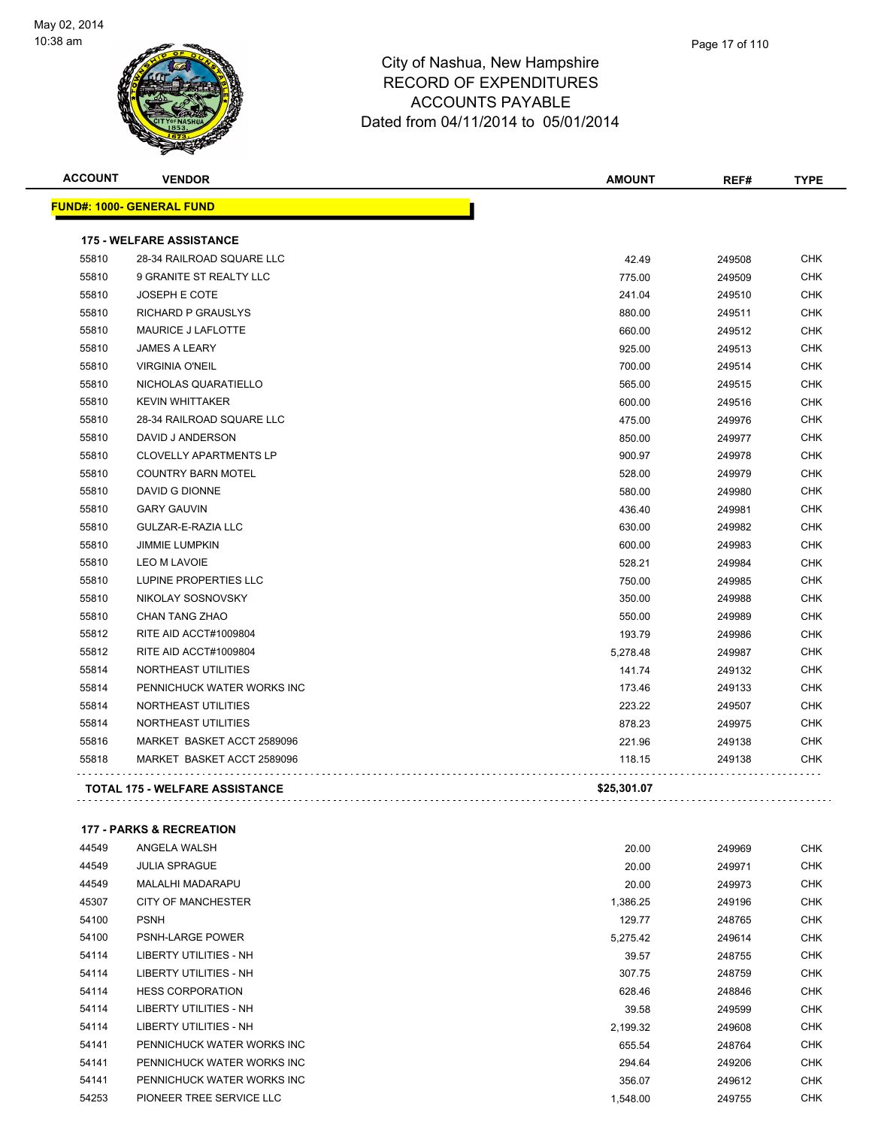

|    | Page 17 of 110 |  |
|----|----------------|--|
| re |                |  |

| <b>ACCOUNT</b> | <b>VENDOR</b>                         | <b>AMOUNT</b> | REF#   | <b>TYPE</b> |
|----------------|---------------------------------------|---------------|--------|-------------|
|                | FUND#: 1000- GENERAL FUND             |               |        |             |
|                | <b>175 - WELFARE ASSISTANCE</b>       |               |        |             |
| 55810          | 28-34 RAILROAD SQUARE LLC             | 42.49         | 249508 | <b>CHK</b>  |
| 55810          | 9 GRANITE ST REALTY LLC               | 775.00        | 249509 | <b>CHK</b>  |
| 55810          | <b>JOSEPH E COTE</b>                  | 241.04        | 249510 | <b>CHK</b>  |
| 55810          | <b>RICHARD P GRAUSLYS</b>             | 880.00        | 249511 | <b>CHK</b>  |
| 55810          | MAURICE J LAFLOTTE                    | 660.00        | 249512 | <b>CHK</b>  |
| 55810          | <b>JAMES A LEARY</b>                  | 925.00        | 249513 | <b>CHK</b>  |
| 55810          | <b>VIRGINIA O'NEIL</b>                | 700.00        | 249514 | <b>CHK</b>  |
| 55810          | NICHOLAS QUARATIELLO                  | 565.00        | 249515 | CHK         |
| 55810          | <b>KEVIN WHITTAKER</b>                | 600.00        | 249516 | <b>CHK</b>  |
| 55810          | 28-34 RAILROAD SQUARE LLC             | 475.00        | 249976 | <b>CHK</b>  |
| 55810          | DAVID J ANDERSON                      | 850.00        | 249977 | <b>CHK</b>  |
| 55810          | <b>CLOVELLY APARTMENTS LP</b>         | 900.97        | 249978 | CHK         |
| 55810          | <b>COUNTRY BARN MOTEL</b>             | 528.00        | 249979 | <b>CHK</b>  |
| 55810          | DAVID G DIONNE                        | 580.00        | 249980 | CHK         |
| 55810          | <b>GARY GAUVIN</b>                    | 436.40        | 249981 | <b>CHK</b>  |
| 55810          | GULZAR-E-RAZIA LLC                    | 630.00        | 249982 | <b>CHK</b>  |
| 55810          | <b>JIMMIE LUMPKIN</b>                 | 600.00        | 249983 | <b>CHK</b>  |
| 55810          | <b>LEO M LAVOIE</b>                   | 528.21        | 249984 | <b>CHK</b>  |
| 55810          | LUPINE PROPERTIES LLC                 | 750.00        | 249985 | <b>CHK</b>  |
| 55810          | NIKOLAY SOSNOVSKY                     | 350.00        | 249988 | <b>CHK</b>  |
| 55810          | CHAN TANG ZHAO                        | 550.00        | 249989 | <b>CHK</b>  |
| 55812          | RITE AID ACCT#1009804                 | 193.79        | 249986 | <b>CHK</b>  |
| 55812          | RITE AID ACCT#1009804                 | 5,278.48      | 249987 | <b>CHK</b>  |
| 55814          | NORTHEAST UTILITIES                   | 141.74        | 249132 | <b>CHK</b>  |
| 55814          | PENNICHUCK WATER WORKS INC            | 173.46        | 249133 | <b>CHK</b>  |
| 55814          | NORTHEAST UTILITIES                   | 223.22        | 249507 | <b>CHK</b>  |
| 55814          | NORTHEAST UTILITIES                   | 878.23        | 249975 | <b>CHK</b>  |
| 55816          | MARKET BASKET ACCT 2589096            | 221.96        | 249138 | <b>CHK</b>  |
| 55818          | MARKET BASKET ACCT 2589096            | 118.15        | 249138 | CHK         |
|                | <b>TOTAL 175 - WELFARE ASSISTANCE</b> | \$25,301.07   |        |             |
|                |                                       |               |        |             |

#### **177 - PARKS & RECREATION**

| 44549 | ANGELA WALSH               | 20.00    | 249969 | <b>CHK</b> |
|-------|----------------------------|----------|--------|------------|
| 44549 | <b>JULIA SPRAGUE</b>       | 20.00    | 249971 | <b>CHK</b> |
| 44549 | <b>MALALHI MADARAPU</b>    | 20.00    | 249973 | <b>CHK</b> |
| 45307 | CITY OF MANCHESTER         | 1,386.25 | 249196 | <b>CHK</b> |
| 54100 | <b>PSNH</b>                | 129.77   | 248765 | <b>CHK</b> |
| 54100 | <b>PSNH-LARGE POWER</b>    | 5,275.42 | 249614 | <b>CHK</b> |
| 54114 | LIBERTY UTILITIES - NH     | 39.57    | 248755 | <b>CHK</b> |
| 54114 | LIBERTY UTILITIES - NH     | 307.75   | 248759 | CHK        |
| 54114 | <b>HESS CORPORATION</b>    | 628.46   | 248846 | <b>CHK</b> |
| 54114 | LIBERTY UTILITIES - NH     | 39.58    | 249599 | <b>CHK</b> |
| 54114 | LIBERTY UTILITIES - NH     | 2,199.32 | 249608 | <b>CHK</b> |
| 54141 | PENNICHUCK WATER WORKS INC | 655.54   | 248764 | CHK        |
| 54141 | PENNICHUCK WATER WORKS INC | 294.64   | 249206 | <b>CHK</b> |
| 54141 | PENNICHUCK WATER WORKS INC | 356.07   | 249612 | <b>CHK</b> |
| 54253 | PIONEER TREE SERVICE LLC   | 1,548.00 | 249755 | CHK        |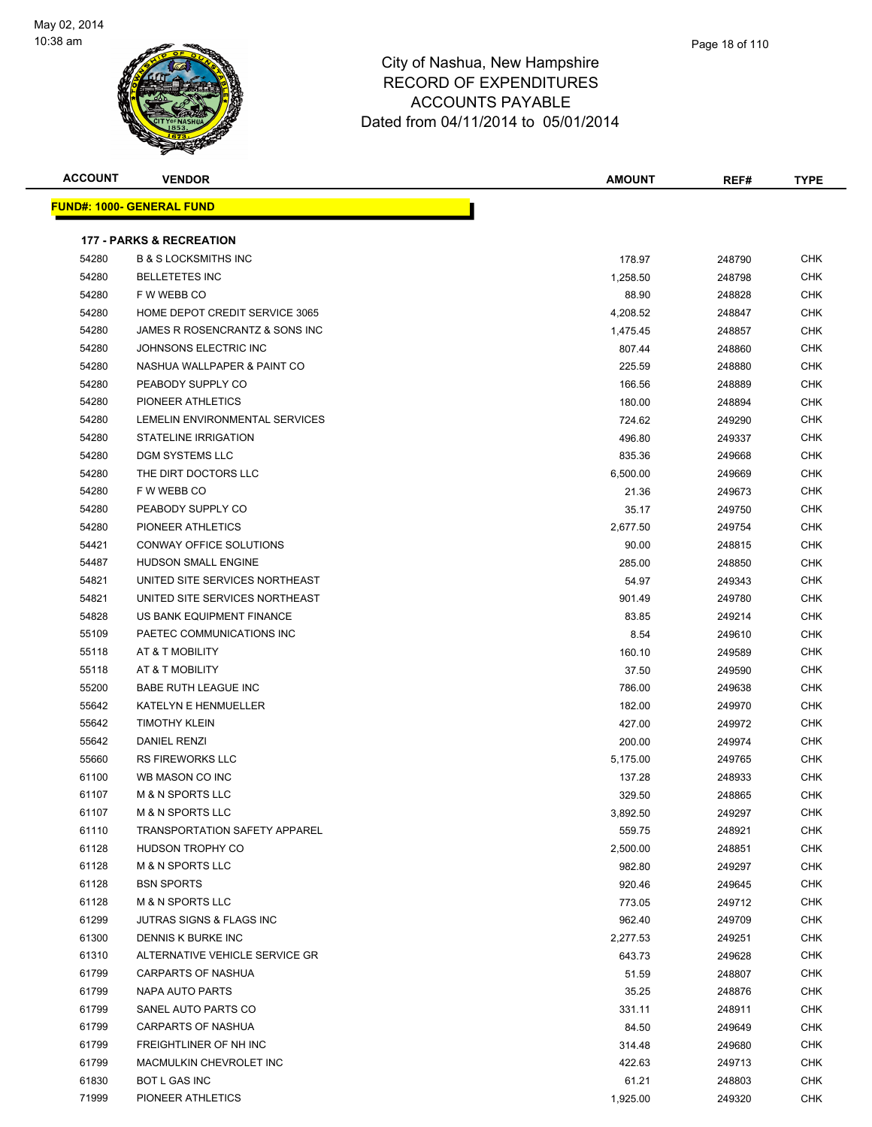

| <b>ACCOUNT</b> | <b>VENDOR</b>                        | <b>AMOUNT</b> | REF#   | <b>TYPE</b> |
|----------------|--------------------------------------|---------------|--------|-------------|
|                | <b>FUND#: 1000- GENERAL FUND</b>     |               |        |             |
|                | <b>177 - PARKS &amp; RECREATION</b>  |               |        |             |
| 54280          | <b>B &amp; S LOCKSMITHS INC</b>      | 178.97        | 248790 | <b>CHK</b>  |
| 54280          | <b>BELLETETES INC</b>                | 1,258.50      | 248798 | <b>CHK</b>  |
| 54280          | F W WEBB CO                          | 88.90         | 248828 | <b>CHK</b>  |
| 54280          | HOME DEPOT CREDIT SERVICE 3065       | 4,208.52      | 248847 | <b>CHK</b>  |
| 54280          | JAMES R ROSENCRANTZ & SONS INC       | 1,475.45      | 248857 | CHK         |
| 54280          | JOHNSONS ELECTRIC INC                | 807.44        | 248860 | <b>CHK</b>  |
| 54280          | NASHUA WALLPAPER & PAINT CO          | 225.59        | 248880 | <b>CHK</b>  |
| 54280          | PEABODY SUPPLY CO                    | 166.56        | 248889 | <b>CHK</b>  |
| 54280          | PIONEER ATHLETICS                    | 180.00        | 248894 | <b>CHK</b>  |
| 54280          | LEMELIN ENVIRONMENTAL SERVICES       | 724.62        | 249290 | <b>CHK</b>  |
| 54280          | STATELINE IRRIGATION                 | 496.80        | 249337 | CHK         |
| 54280          | DGM SYSTEMS LLC                      | 835.36        | 249668 | CHK         |
| 54280          | THE DIRT DOCTORS LLC                 | 6,500.00      | 249669 | <b>CHK</b>  |
| 54280          | F W WEBB CO                          | 21.36         | 249673 | CHK         |
| 54280          | PEABODY SUPPLY CO                    | 35.17         | 249750 | <b>CHK</b>  |
| 54280          | PIONEER ATHLETICS                    | 2,677.50      | 249754 | CHK         |
| 54421          | <b>CONWAY OFFICE SOLUTIONS</b>       | 90.00         | 248815 | <b>CHK</b>  |
| 54487          | <b>HUDSON SMALL ENGINE</b>           | 285.00        | 248850 | <b>CHK</b>  |
| 54821          | UNITED SITE SERVICES NORTHEAST       | 54.97         | 249343 | <b>CHK</b>  |
| 54821          | UNITED SITE SERVICES NORTHEAST       | 901.49        | 249780 | <b>CHK</b>  |
| 54828          | US BANK EQUIPMENT FINANCE            | 83.85         | 249214 | <b>CHK</b>  |
| 55109          | PAETEC COMMUNICATIONS INC            | 8.54          | 249610 | <b>CHK</b>  |
| 55118          | AT & T MOBILITY                      | 160.10        | 249589 | <b>CHK</b>  |
| 55118          | AT & T MOBILITY                      | 37.50         | 249590 | <b>CHK</b>  |
| 55200          | BABE RUTH LEAGUE INC                 | 786.00        | 249638 | <b>CHK</b>  |
| 55642          | KATELYN E HENMUELLER                 | 182.00        | 249970 | <b>CHK</b>  |
| 55642          | <b>TIMOTHY KLEIN</b>                 | 427.00        | 249972 | CHK         |
| 55642          | <b>DANIEL RENZI</b>                  | 200.00        | 249974 | <b>CHK</b>  |
| 55660          | <b>RS FIREWORKS LLC</b>              | 5,175.00      | 249765 | <b>CHK</b>  |
| 61100          | WB MASON CO INC                      | 137.28        | 248933 | <b>CHK</b>  |
| 61107          | <b>M &amp; N SPORTS LLC</b>          | 329.50        | 248865 | <b>CHK</b>  |
| 61107          | <b>M &amp; N SPORTS LLC</b>          | 3,892.50      | 249297 | <b>CHK</b>  |
| 61110          | <b>TRANSPORTATION SAFETY APPAREL</b> | 559.75        | 248921 | <b>CHK</b>  |
| 61128          | HUDSON TROPHY CO                     | 2,500.00      | 248851 | <b>CHK</b>  |
| 61128          | <b>M &amp; N SPORTS LLC</b>          | 982.80        | 249297 | <b>CHK</b>  |
| 61128          | <b>BSN SPORTS</b>                    | 920.46        | 249645 | <b>CHK</b>  |
| 61128          | <b>M &amp; N SPORTS LLC</b>          | 773.05        | 249712 | <b>CHK</b>  |
| 61299          | JUTRAS SIGNS & FLAGS INC             | 962.40        | 249709 | <b>CHK</b>  |
| 61300          | DENNIS K BURKE INC                   | 2,277.53      | 249251 | <b>CHK</b>  |
| 61310          | ALTERNATIVE VEHICLE SERVICE GR       | 643.73        | 249628 | <b>CHK</b>  |
| 61799          | <b>CARPARTS OF NASHUA</b>            | 51.59         | 248807 | <b>CHK</b>  |
| 61799          | NAPA AUTO PARTS                      | 35.25         | 248876 | <b>CHK</b>  |
| 61799          | SANEL AUTO PARTS CO                  | 331.11        | 248911 | CHK         |
| 61799          | <b>CARPARTS OF NASHUA</b>            | 84.50         | 249649 | <b>CHK</b>  |
| 61799          | FREIGHTLINER OF NH INC               | 314.48        | 249680 | CHK         |
| 61799          | MACMULKIN CHEVROLET INC              | 422.63        | 249713 | <b>CHK</b>  |
| 61830          | BOT L GAS INC                        | 61.21         | 248803 | <b>CHK</b>  |

The PIONEER ATHLETICS CHARGE AT A LOCAL CHARGE AT A LOCAL CHARGE AT A LOCAL CHARGE AT A LOCAL CHARGE AT A LOCAL CHARGE AT A LOCAL CHARGE AT A LOCAL CHARGE AT A LOCAL CHARGE AT A LOCAL CHARGE AT A LOCAL CHARGE AT A LOCAL CH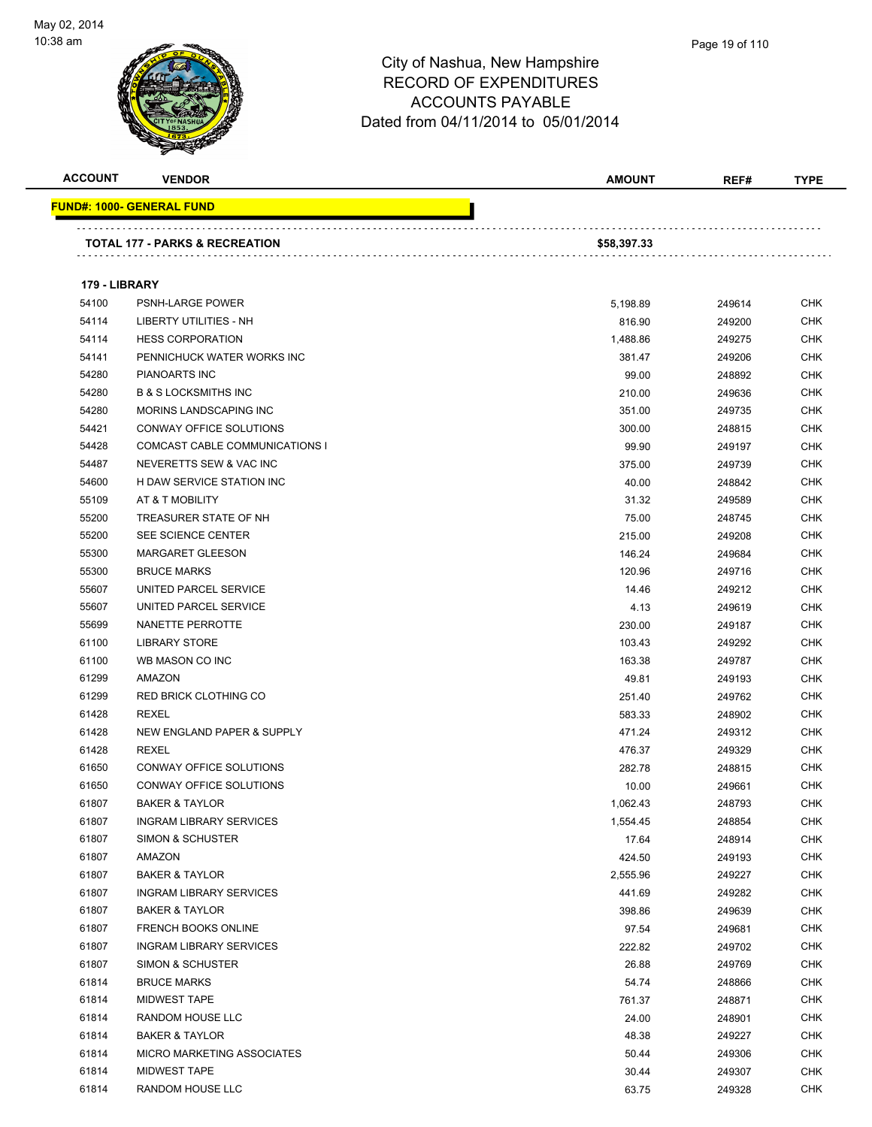

| <b>ACCOUNT</b> | <b>VENDOR</b>                     | <b>AMOUNT</b> | REF#   | <b>TYPE</b> |
|----------------|-----------------------------------|---------------|--------|-------------|
|                | <u> FUND#: 1000- GENERAL FUND</u> |               |        |             |
|                |                                   |               |        |             |
|                | TOTAL 177 - PARKS & RECREATION    | \$58,397.33   |        |             |
| 179 - LIBRARY  |                                   |               |        |             |
| 54100          | PSNH-LARGE POWER                  | 5,198.89      | 249614 | <b>CHK</b>  |
| 54114          | LIBERTY UTILITIES - NH            | 816.90        | 249200 | <b>CHK</b>  |
| 54114          | <b>HESS CORPORATION</b>           | 1,488.86      | 249275 | <b>CHK</b>  |
| 54141          | PENNICHUCK WATER WORKS INC        | 381.47        | 249206 | <b>CHK</b>  |
| 54280          | <b>PIANOARTS INC</b>              | 99.00         | 248892 | <b>CHK</b>  |
| 54280          | <b>B &amp; S LOCKSMITHS INC</b>   | 210.00        | 249636 | <b>CHK</b>  |
| 54280          | MORINS LANDSCAPING INC            | 351.00        | 249735 | <b>CHK</b>  |
| 54421          | CONWAY OFFICE SOLUTIONS           | 300.00        | 248815 | <b>CHK</b>  |
| 54428          | COMCAST CABLE COMMUNICATIONS I    | 99.90         | 249197 | <b>CHK</b>  |
| 54487          | NEVERETTS SEW & VAC INC           | 375.00        | 249739 | <b>CHK</b>  |
| 54600          | H DAW SERVICE STATION INC         | 40.00         | 248842 | <b>CHK</b>  |
| 55109          | AT & T MOBILITY                   | 31.32         | 249589 | <b>CHK</b>  |
| 55200          | TREASURER STATE OF NH             | 75.00         | 248745 | <b>CHK</b>  |
| 55200          | SEE SCIENCE CENTER                | 215.00        | 249208 | <b>CHK</b>  |
| 55300          | <b>MARGARET GLEESON</b>           | 146.24        | 249684 | <b>CHK</b>  |
| 55300          | <b>BRUCE MARKS</b>                | 120.96        | 249716 | <b>CHK</b>  |
| 55607          | UNITED PARCEL SERVICE             | 14.46         | 249212 | <b>CHK</b>  |
| 55607          | UNITED PARCEL SERVICE             | 4.13          | 249619 | <b>CHK</b>  |
| 55699          | NANETTE PERROTTE                  | 230.00        | 249187 | <b>CHK</b>  |
| 61100          | <b>LIBRARY STORE</b>              | 103.43        | 249292 | <b>CHK</b>  |
| 61100          | WB MASON CO INC                   | 163.38        | 249787 | <b>CHK</b>  |
| 61299          | AMAZON                            | 49.81         | 249193 | <b>CHK</b>  |
| 61299          | <b>RED BRICK CLOTHING CO</b>      | 251.40        | 249762 | <b>CHK</b>  |
| 61428          | <b>REXEL</b>                      | 583.33        | 248902 | <b>CHK</b>  |
| 61428          | NEW ENGLAND PAPER & SUPPLY        | 471.24        | 249312 | <b>CHK</b>  |
| 61428          | <b>REXEL</b>                      | 476.37        | 249329 | <b>CHK</b>  |
| 61650          | CONWAY OFFICE SOLUTIONS           | 282.78        | 248815 | <b>CHK</b>  |
| 61650          | CONWAY OFFICE SOLUTIONS           | 10.00         | 249661 | <b>CHK</b>  |
| 61807          | <b>BAKER &amp; TAYLOR</b>         | 1,062.43      | 248793 | <b>CHK</b>  |
| 61807          | <b>INGRAM LIBRARY SERVICES</b>    | 1,554.45      | 248854 | <b>CHK</b>  |
| 61807          | SIMON & SCHUSTER                  | 17.64         | 248914 | <b>CHK</b>  |
| 61807          | AMAZON                            | 424.50        | 249193 | <b>CHK</b>  |
| 61807          | <b>BAKER &amp; TAYLOR</b>         | 2,555.96      | 249227 | <b>CHK</b>  |
| 61807          | <b>INGRAM LIBRARY SERVICES</b>    | 441.69        | 249282 | <b>CHK</b>  |
| 61807          | <b>BAKER &amp; TAYLOR</b>         | 398.86        | 249639 | <b>CHK</b>  |
| 61807          | <b>FRENCH BOOKS ONLINE</b>        | 97.54         | 249681 | <b>CHK</b>  |
| 61807          | <b>INGRAM LIBRARY SERVICES</b>    | 222.82        | 249702 | <b>CHK</b>  |
| 61807          | SIMON & SCHUSTER                  | 26.88         | 249769 | <b>CHK</b>  |
| 61814          | <b>BRUCE MARKS</b>                | 54.74         | 248866 | <b>CHK</b>  |
| 61814          | <b>MIDWEST TAPE</b>               | 761.37        | 248871 | <b>CHK</b>  |
| 61814          | RANDOM HOUSE LLC                  | 24.00         | 248901 | <b>CHK</b>  |
| 61814          | <b>BAKER &amp; TAYLOR</b>         | 48.38         | 249227 | <b>CHK</b>  |
| 61814          | MICRO MARKETING ASSOCIATES        | 50.44         | 249306 | <b>CHK</b>  |
| 61814          | <b>MIDWEST TAPE</b>               | 30.44         | 249307 | <b>CHK</b>  |
| 61814          | RANDOM HOUSE LLC                  | 63.75         | 249328 | <b>CHK</b>  |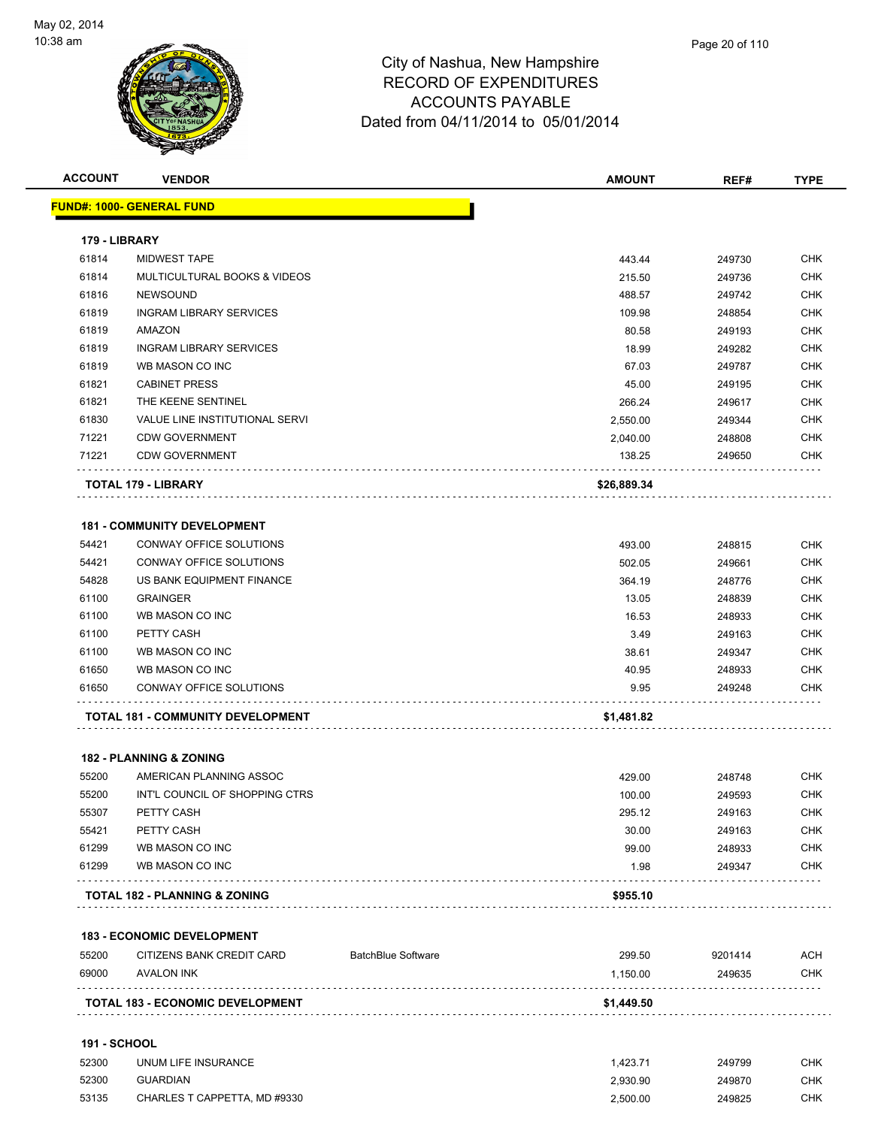

| <b>ACCOUNT</b> | <b>VENDOR</b>                            | <b>AMOUNT</b> | REF#   | <b>TYPE</b> |
|----------------|------------------------------------------|---------------|--------|-------------|
|                | <u> FUND#: 1000- GENERAL FUND</u>        |               |        |             |
| 179 - LIBRARY  |                                          |               |        |             |
| 61814          | <b>MIDWEST TAPE</b>                      | 443.44        | 249730 | <b>CHK</b>  |
| 61814          | MULTICULTURAL BOOKS & VIDEOS             | 215.50        | 249736 | <b>CHK</b>  |
| 61816          | <b>NEWSOUND</b>                          | 488.57        | 249742 | <b>CHK</b>  |
| 61819          | <b>INGRAM LIBRARY SERVICES</b>           | 109.98        | 248854 | <b>CHK</b>  |
| 61819          | AMAZON                                   | 80.58         | 249193 | <b>CHK</b>  |
| 61819          | <b>INGRAM LIBRARY SERVICES</b>           | 18.99         | 249282 | <b>CHK</b>  |
| 61819          | WB MASON CO INC                          | 67.03         | 249787 | <b>CHK</b>  |
| 61821          | <b>CABINET PRESS</b>                     | 45.00         | 249195 | <b>CHK</b>  |
| 61821          | THE KEENE SENTINEL                       | 266.24        | 249617 | <b>CHK</b>  |
| 61830          | VALUE LINE INSTITUTIONAL SERVI           | 2,550.00      | 249344 | <b>CHK</b>  |
| 71221          | <b>CDW GOVERNMENT</b>                    | 2,040.00      | 248808 | <b>CHK</b>  |
| 71221          | <b>CDW GOVERNMENT</b>                    | 138.25        | 249650 | <b>CHK</b>  |
|                | TOTAL 179 - LIBRARY                      | \$26,889.34   |        |             |
|                | <b>181 - COMMUNITY DEVELOPMENT</b>       |               |        |             |
| 54421          | CONWAY OFFICE SOLUTIONS                  | 493.00        | 248815 | <b>CHK</b>  |
| 54421          | CONWAY OFFICE SOLUTIONS                  | 502.05        | 249661 | <b>CHK</b>  |
| 54828          | US BANK EQUIPMENT FINANCE                | 364.19        | 248776 | <b>CHK</b>  |
| 61100          | <b>GRAINGER</b>                          | 13.05         | 248839 | <b>CHK</b>  |
| 61100          | WB MASON CO INC                          | 16.53         | 248933 | <b>CHK</b>  |
| 61100          | PETTY CASH                               | 3.49          | 249163 | <b>CHK</b>  |
| 61100          | WB MASON CO INC                          | 38.61         | 249347 | <b>CHK</b>  |
| 61650          | WB MASON CO INC                          | 40.95         | 248933 | <b>CHK</b>  |
| 61650          | CONWAY OFFICE SOLUTIONS                  | 9.95          | 249248 | <b>CHK</b>  |
|                | <b>TOTAL 181 - COMMUNITY DEVELOPMENT</b> | \$1,481.82    |        |             |
|                | <b>182 - PLANNING &amp; ZONING</b>       |               |        |             |
| 55200          | AMERICAN PLANNING ASSOC                  | 429.00        | 248748 | <b>CHK</b>  |
| 55200          | INT'L COUNCIL OF SHOPPING CTRS           | 100.00        | 249593 | <b>CHK</b>  |
| 55307          | PETTY CASH                               | 295.12        | 249163 | <b>CHK</b>  |
| 55421          | PETTY CASH                               | 30.00         | 249163 | <b>CHK</b>  |
| 61299          | WB MASON CO INC                          | 99.00         | 248933 | <b>CHK</b>  |
| 61299          | WB MASON CO INC                          | 1.98          | 249347 | <b>CHK</b>  |
|                |                                          | \$955.10      |        |             |

| 55200 | CITIZENS BANK CREDIT CARD               | <b>BatchBlue Software</b> | 299.50     | 9201414 | ACH        |
|-------|-----------------------------------------|---------------------------|------------|---------|------------|
| 69000 | AVALON INK                              |                           | 1.150.00   | 249635  | <b>CHK</b> |
|       | <b>TOTAL 183 - ECONOMIC DEVELOPMENT</b> |                           | \$1,449.50 |         |            |

#### **191 - SCHOOL**

| 52300 | UNUM LIFE INSURANCE          | 1.423.7' | 249799 | СНК |
|-------|------------------------------|----------|--------|-----|
| 52300 | GUARDIAN                     | 2.930.90 | 249870 | СНК |
| 53135 | CHARLES T CAPPETTA. MD #9330 | 2.500.00 | 249825 | СНК |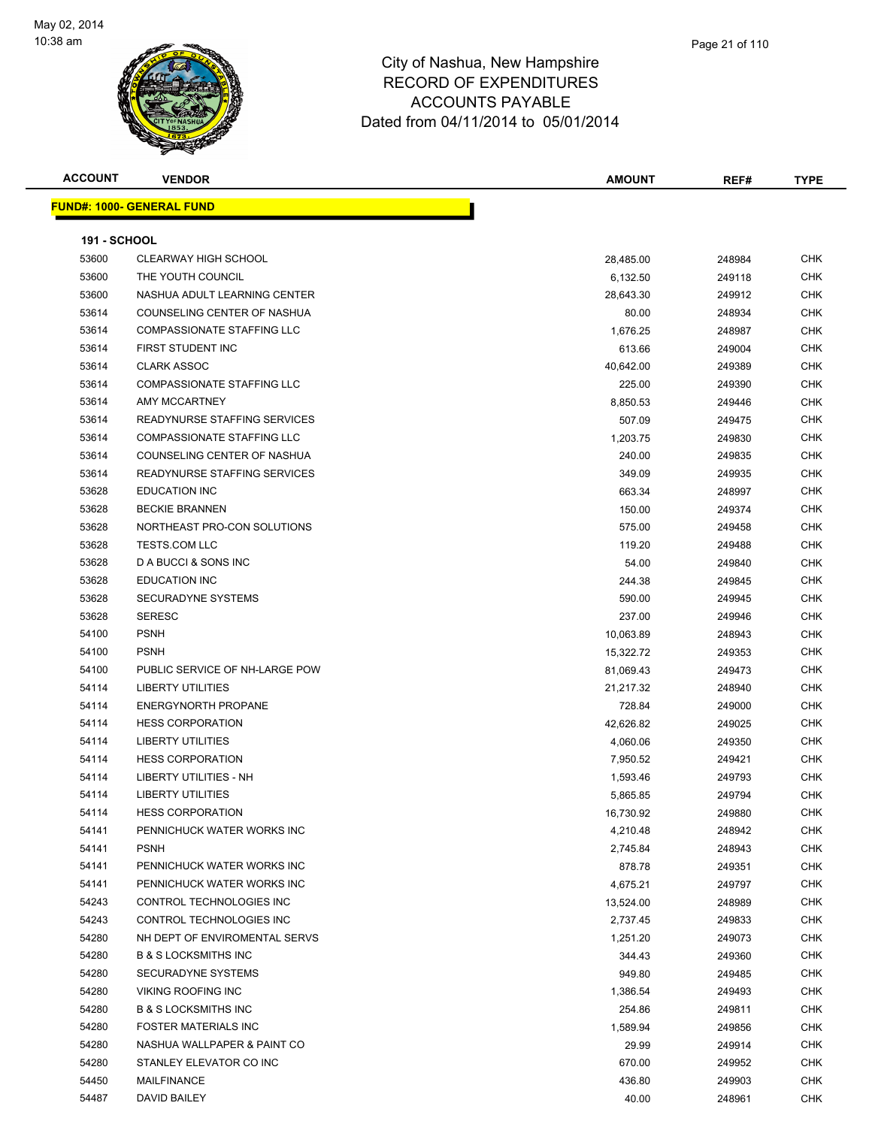

| <b>ACCOUNT</b>      | <b>VENDOR</b>                     | <b>AMOUNT</b> | REF#   | <b>TYPE</b> |
|---------------------|-----------------------------------|---------------|--------|-------------|
|                     | <b>FUND#: 1000- GENERAL FUND</b>  |               |        |             |
| <b>191 - SCHOOL</b> |                                   |               |        |             |
| 53600               | <b>CLEARWAY HIGH SCHOOL</b>       | 28,485.00     | 248984 | <b>CHK</b>  |
| 53600               | THE YOUTH COUNCIL                 | 6,132.50      | 249118 | <b>CHK</b>  |
| 53600               | NASHUA ADULT LEARNING CENTER      | 28,643.30     | 249912 | <b>CHK</b>  |
| 53614               | COUNSELING CENTER OF NASHUA       | 80.00         | 248934 | <b>CHK</b>  |
| 53614               | <b>COMPASSIONATE STAFFING LLC</b> | 1,676.25      | 248987 | <b>CHK</b>  |
| 53614               | FIRST STUDENT INC                 | 613.66        | 249004 | <b>CHK</b>  |
| 53614               | <b>CLARK ASSOC</b>                | 40,642.00     | 249389 | <b>CHK</b>  |
| 53614               | <b>COMPASSIONATE STAFFING LLC</b> | 225.00        | 249390 | <b>CHK</b>  |
| 53614               | AMY MCCARTNEY                     | 8,850.53      | 249446 | <b>CHK</b>  |
| 53614               | READYNURSE STAFFING SERVICES      | 507.09        | 249475 | <b>CHK</b>  |
| 53614               | <b>COMPASSIONATE STAFFING LLC</b> | 1,203.75      | 249830 | <b>CHK</b>  |
| 53614               | COUNSELING CENTER OF NASHUA       | 240.00        | 249835 | <b>CHK</b>  |
| 53614               | READYNURSE STAFFING SERVICES      | 349.09        | 249935 | <b>CHK</b>  |
| 53628               | <b>EDUCATION INC</b>              | 663.34        | 248997 | <b>CHK</b>  |
| 53628               | <b>BECKIE BRANNEN</b>             | 150.00        | 249374 | <b>CHK</b>  |
| 53628               | NORTHEAST PRO-CON SOLUTIONS       | 575.00        | 249458 | <b>CHK</b>  |
| 53628               | <b>TESTS.COM LLC</b>              | 119.20        | 249488 | <b>CHK</b>  |
| 53628               | D A BUCCI & SONS INC              | 54.00         | 249840 | <b>CHK</b>  |
| 53628               | <b>EDUCATION INC</b>              | 244.38        | 249845 | <b>CHK</b>  |
| 53628               | <b>SECURADYNE SYSTEMS</b>         | 590.00        | 249945 | <b>CHK</b>  |
| 53628               | <b>SERESC</b>                     | 237.00        | 249946 | <b>CHK</b>  |
| 54100               | <b>PSNH</b>                       | 10,063.89     | 248943 | <b>CHK</b>  |
| 54100               | <b>PSNH</b>                       | 15,322.72     | 249353 | <b>CHK</b>  |
| 54100               | PUBLIC SERVICE OF NH-LARGE POW    | 81,069.43     | 249473 | <b>CHK</b>  |
| 54114               | <b>LIBERTY UTILITIES</b>          | 21,217.32     | 248940 | <b>CHK</b>  |
| 54114               | <b>ENERGYNORTH PROPANE</b>        | 728.84        | 249000 | <b>CHK</b>  |
| 54114               | <b>HESS CORPORATION</b>           | 42,626.82     | 249025 | <b>CHK</b>  |
| 54114               | <b>LIBERTY UTILITIES</b>          | 4,060.06      | 249350 | <b>CHK</b>  |
| 54114               | <b>HESS CORPORATION</b>           | 7,950.52      | 249421 | <b>CHK</b>  |
| 54114               | LIBERTY UTILITIES - NH            | 1,593.46      | 249793 | <b>CHK</b>  |
| 54114               | <b>LIBERTY UTILITIES</b>          | 5,865.85      | 249794 | <b>CHK</b>  |
| 54114               | <b>HESS CORPORATION</b>           | 16,730.92     | 249880 | <b>CHK</b>  |
| 54141               | PENNICHUCK WATER WORKS INC        | 4,210.48      | 248942 | <b>CHK</b>  |
| 54141               | <b>PSNH</b>                       | 2,745.84      | 248943 | <b>CHK</b>  |
| 54141               | PENNICHUCK WATER WORKS INC        | 878.78        | 249351 | <b>CHK</b>  |
| 54141               | PENNICHUCK WATER WORKS INC        | 4,675.21      | 249797 | <b>CHK</b>  |
| 54243               | CONTROL TECHNOLOGIES INC          | 13,524.00     | 248989 | <b>CHK</b>  |
| 54243               | CONTROL TECHNOLOGIES INC          | 2,737.45      | 249833 | <b>CHK</b>  |
| 54280               | NH DEPT OF ENVIROMENTAL SERVS     | 1,251.20      | 249073 | <b>CHK</b>  |
| 54280               | <b>B &amp; S LOCKSMITHS INC</b>   | 344.43        | 249360 | <b>CHK</b>  |
| 54280               | SECURADYNE SYSTEMS                | 949.80        | 249485 | <b>CHK</b>  |
| 54280               | VIKING ROOFING INC                | 1,386.54      | 249493 | <b>CHK</b>  |

 B & S LOCKSMITHS INC 254.86 249811 CHK FOSTER MATERIALS INC 1,589.94 249856 CHK NASHUA WALLPAPER & PAINT CO 29.99 249914 CHK STANLEY ELEVATOR CO INC 670.00 249952 CHK MAILFINANCE 436.80 249903 CHK DAVID BAILEY 40.00 248961 CHK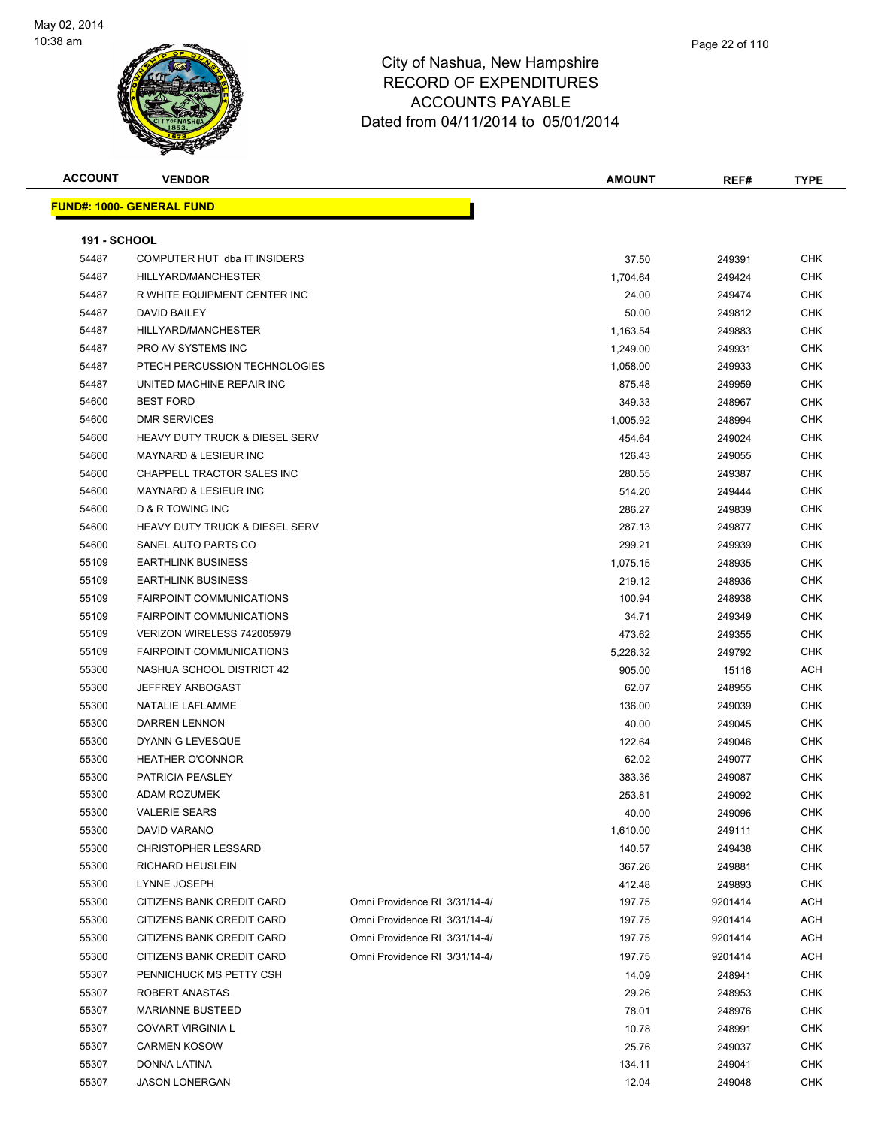

| <b>ACCOUNT</b>      | <b>VENDOR</b>                             |                               | <b>AMOUNT</b> | REF#    | <b>TYPE</b> |
|---------------------|-------------------------------------------|-------------------------------|---------------|---------|-------------|
|                     | <u> FUND#: 1000- GENERAL FUND</u>         |                               |               |         |             |
| <b>191 - SCHOOL</b> |                                           |                               |               |         |             |
| 54487               | COMPUTER HUT dba IT INSIDERS              |                               | 37.50         | 249391  | <b>CHK</b>  |
| 54487               | HILLYARD/MANCHESTER                       |                               | 1,704.64      | 249424  | <b>CHK</b>  |
| 54487               | R WHITE EQUIPMENT CENTER INC              |                               | 24.00         | 249474  | CHK         |
| 54487               | DAVID BAILEY                              |                               | 50.00         | 249812  | <b>CHK</b>  |
| 54487               | HILLYARD/MANCHESTER                       |                               | 1,163.54      | 249883  | <b>CHK</b>  |
| 54487               | PRO AV SYSTEMS INC                        |                               | 1,249.00      | 249931  | <b>CHK</b>  |
| 54487               | PTECH PERCUSSION TECHNOLOGIES             |                               | 1,058.00      | 249933  | CHK         |
| 54487               | UNITED MACHINE REPAIR INC                 |                               | 875.48        | 249959  | <b>CHK</b>  |
| 54600               | <b>BEST FORD</b>                          |                               | 349.33        | 248967  | <b>CHK</b>  |
| 54600               | <b>DMR SERVICES</b>                       |                               | 1,005.92      | 248994  | CHK         |
| 54600               | <b>HEAVY DUTY TRUCK &amp; DIESEL SERV</b> |                               | 454.64        | 249024  | <b>CHK</b>  |
| 54600               | <b>MAYNARD &amp; LESIEUR INC</b>          |                               | 126.43        | 249055  | <b>CHK</b>  |
| 54600               | CHAPPELL TRACTOR SALES INC                |                               | 280.55        | 249387  | CHK         |
| 54600               | <b>MAYNARD &amp; LESIEUR INC</b>          |                               | 514.20        | 249444  | CHK         |
| 54600               | D & R TOWING INC                          |                               | 286.27        | 249839  | CHK         |
| 54600               | <b>HEAVY DUTY TRUCK &amp; DIESEL SERV</b> |                               | 287.13        | 249877  | <b>CHK</b>  |
| 54600               | SANEL AUTO PARTS CO                       |                               | 299.21        | 249939  | <b>CHK</b>  |
| 55109               | <b>EARTHLINK BUSINESS</b>                 |                               | 1,075.15      | 248935  | CHK         |
| 55109               | <b>EARTHLINK BUSINESS</b>                 |                               | 219.12        | 248936  | <b>CHK</b>  |
| 55109               | <b>FAIRPOINT COMMUNICATIONS</b>           |                               | 100.94        | 248938  | <b>CHK</b>  |
| 55109               | <b>FAIRPOINT COMMUNICATIONS</b>           |                               | 34.71         | 249349  | CHK         |
| 55109               | VERIZON WIRELESS 742005979                |                               | 473.62        | 249355  | <b>CHK</b>  |
| 55109               | <b>FAIRPOINT COMMUNICATIONS</b>           |                               | 5,226.32      | 249792  | <b>CHK</b>  |
| 55300               | NASHUA SCHOOL DISTRICT 42                 |                               | 905.00        | 15116   | ACH         |
| 55300               | <b>JEFFREY ARBOGAST</b>                   |                               | 62.07         | 248955  | CHK         |
| 55300               | NATALIE LAFLAMME                          |                               | 136.00        | 249039  | <b>CHK</b>  |
| 55300               | <b>DARREN LENNON</b>                      |                               | 40.00         | 249045  | <b>CHK</b>  |
| 55300               | DYANN G LEVESQUE                          |                               | 122.64        | 249046  | <b>CHK</b>  |
| 55300               | <b>HEATHER O'CONNOR</b>                   |                               | 62.02         | 249077  | CHK         |
| 55300               | PATRICIA PEASLEY                          |                               | 383.36        | 249087  | CHK         |
| 55300               | <b>ADAM ROZUMEK</b>                       |                               | 253.81        | 249092  | <b>CHK</b>  |
| 55300               | <b>VALERIE SEARS</b>                      |                               | 40.00         | 249096  | <b>CHK</b>  |
| 55300               | DAVID VARANO                              |                               | 1,610.00      | 249111  | <b>CHK</b>  |
| 55300               | CHRISTOPHER LESSARD                       |                               | 140.57        | 249438  | <b>CHK</b>  |
| 55300               | RICHARD HEUSLEIN                          |                               | 367.26        | 249881  | <b>CHK</b>  |
| 55300               | LYNNE JOSEPH                              |                               | 412.48        | 249893  | <b>CHK</b>  |
| 55300               | CITIZENS BANK CREDIT CARD                 | Omni Providence RI 3/31/14-4/ | 197.75        | 9201414 | <b>ACH</b>  |
| 55300               | CITIZENS BANK CREDIT CARD                 | Omni Providence RI 3/31/14-4/ | 197.75        | 9201414 | ACH         |
| 55300               | CITIZENS BANK CREDIT CARD                 | Omni Providence RI 3/31/14-4/ | 197.75        | 9201414 | ACH         |
| 55300               | CITIZENS BANK CREDIT CARD                 | Omni Providence RI 3/31/14-4/ | 197.75        | 9201414 | <b>ACH</b>  |
| 55307               | PENNICHUCK MS PETTY CSH                   |                               | 14.09         | 248941  | <b>CHK</b>  |
| 55307               | ROBERT ANASTAS                            |                               | 29.26         | 248953  | <b>CHK</b>  |
| 55307               | <b>MARIANNE BUSTEED</b>                   |                               | 78.01         | 248976  | <b>CHK</b>  |
| 55307               | <b>COVART VIRGINIA L</b>                  |                               | 10.78         | 248991  | <b>CHK</b>  |
| 55307               | <b>CARMEN KOSOW</b>                       |                               | 25.76         | 249037  | <b>CHK</b>  |
| 55307               | DONNA LATINA                              |                               | 134.11        | 249041  | <b>CHK</b>  |

JASON LONERGAN 12.04 249048 CHK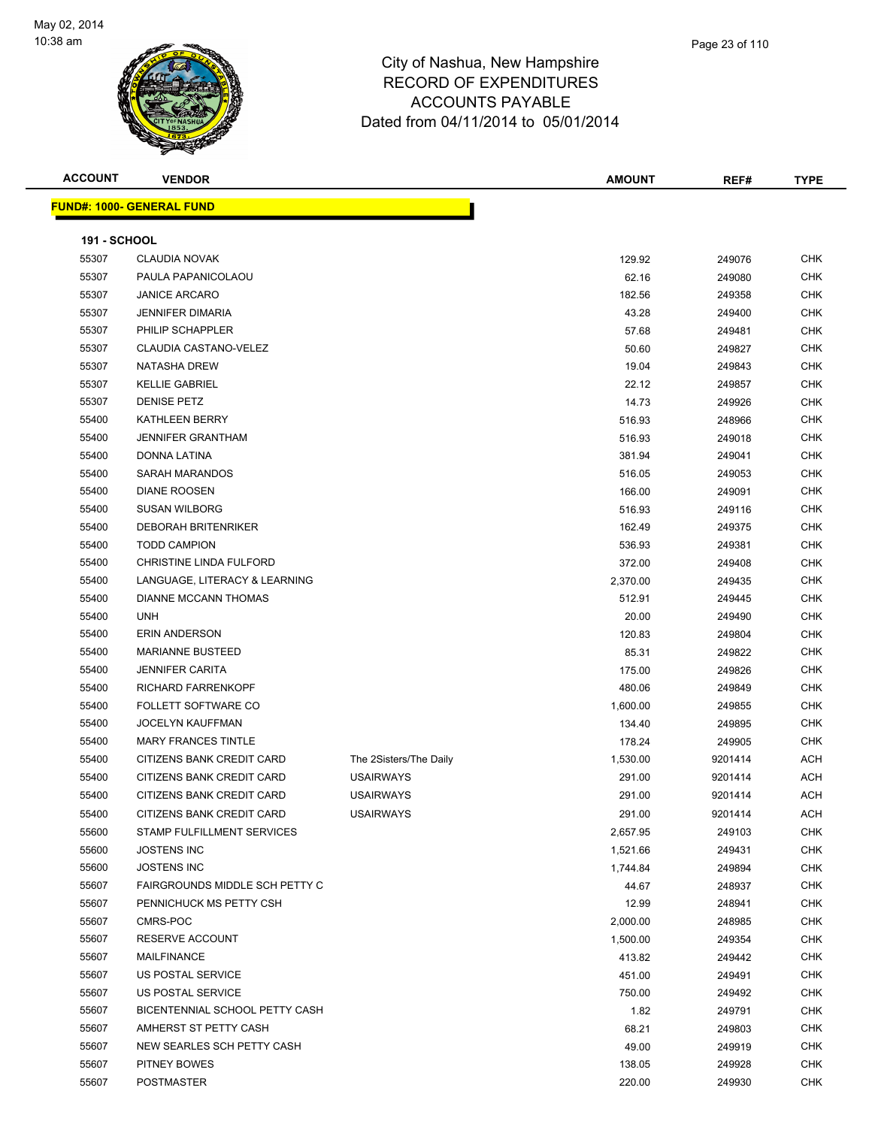

**ACCOUNT VENDOR AMOUNT REF# TYPE**

|   | Page 23 of 110 |  |
|---|----------------|--|
| e |                |  |
| ⌒ |                |  |

|                     | <b>FUND#: 1000- GENERAL FUND</b> |                        |          |         |
|---------------------|----------------------------------|------------------------|----------|---------|
| <b>191 - SCHOOL</b> |                                  |                        |          |         |
| 55307               | CLAUDIA NOVAK                    |                        | 129.92   | 249076  |
| 55307               | PAULA PAPANICOLAOU               |                        | 62.16    | 249080  |
| 55307               | <b>JANICE ARCARO</b>             |                        | 182.56   | 249358  |
| 55307               | <b>JENNIFER DIMARIA</b>          |                        | 43.28    | 249400  |
| 55307               | PHILIP SCHAPPLER                 |                        | 57.68    | 249481  |
| 55307               | CLAUDIA CASTANO-VELEZ            |                        | 50.60    | 249827  |
| 55307               | <b>NATASHA DREW</b>              |                        | 19.04    | 249843  |
| 55307               | <b>KELLIE GABRIEL</b>            |                        | 22.12    | 249857  |
| 55307               | <b>DENISE PETZ</b>               |                        | 14.73    | 249926  |
| 55400               | KATHLEEN BERRY                   |                        | 516.93   | 248966  |
| 55400               | <b>JENNIFER GRANTHAM</b>         |                        | 516.93   | 249018  |
| 55400               | <b>DONNA LATINA</b>              |                        | 381.94   | 249041  |
| 55400               | SARAH MARANDOS                   |                        | 516.05   | 249053  |
| 55400               | <b>DIANE ROOSEN</b>              |                        | 166.00   | 249091  |
| 55400               | <b>SUSAN WILBORG</b>             |                        | 516.93   | 249116  |
| 55400               | <b>DEBORAH BRITENRIKER</b>       |                        | 162.49   | 249375  |
| 55400               | <b>TODD CAMPION</b>              |                        | 536.93   | 249381  |
| 55400               | CHRISTINE LINDA FULFORD          |                        | 372.00   | 249408  |
| 55400               | LANGUAGE, LITERACY & LEARNING    |                        | 2,370.00 | 249435  |
| 55400               | DIANNE MCCANN THOMAS             |                        | 512.91   | 249445  |
| 55400               | <b>UNH</b>                       |                        | 20.00    | 249490  |
| 55400               | <b>ERIN ANDERSON</b>             |                        | 120.83   | 249804  |
| 55400               | <b>MARIANNE BUSTEED</b>          |                        | 85.31    | 249822  |
| 55400               | <b>JENNIFER CARITA</b>           |                        | 175.00   | 249826  |
| 55400               | <b>RICHARD FARRENKOPF</b>        |                        | 480.06   | 249849  |
| 55400               | <b>FOLLETT SOFTWARE CO</b>       |                        | 1,600.00 | 249855  |
| 55400               | <b>JOCELYN KAUFFMAN</b>          |                        | 134.40   | 249895  |
| 55400               | <b>MARY FRANCES TINTLE</b>       |                        | 178.24   | 249905  |
| 55400               | CITIZENS BANK CREDIT CARD        | The 2Sisters/The Daily | 1,530.00 | 9201414 |
| 55400               | CITIZENS BANK CREDIT CARD        | <b>USAIRWAYS</b>       | 291.00   | 9201414 |
| 55400               | CITIZENS BANK CREDIT CARD        | <b>USAIRWAYS</b>       | 291.00   | 9201414 |
| 55400               | CITIZENS BANK CREDIT CARD        | <b>USAIRWAYS</b>       | 291.00   | 9201414 |
| 55600               | STAMP FULFILLMENT SERVICES       |                        | 2,657.95 | 249103  |
| 55600               | <b>JOSTENS INC</b>               |                        | 1,521.66 | 249431  |
| 55600               | <b>JOSTENS INC</b>               |                        | 1,744.84 | 249894  |

55607 FAIRGROUNDS MIDDLE SCH PETTY C AND A SERIES AND THE SERIES AND THE STATE OF A 44.67 AND 248937 CHK 55607 PENNICHUCK MS PETTY CSH 12.99 248941 CHK CMRS-POC 2,000.00 248985 CHK RESERVE ACCOUNT 1,500.00 249354 CHK MAILFINANCE 413.82 249442 CHK US POSTAL SERVICE 451.00 249491 CHK US POSTAL SERVICE 750.00 249492 CHK 55607 BICENTENNIAL SCHOOL PETTY CASH 1.82 249791 CHK AMHERST ST PETTY CASH 68.21 249803 CHK NEW SEARLES SCH PETTY CASH 49.00 249919 CHK PITNEY BOWES 138.05 249928 CHK POSTMASTER 220.00 249930 CHK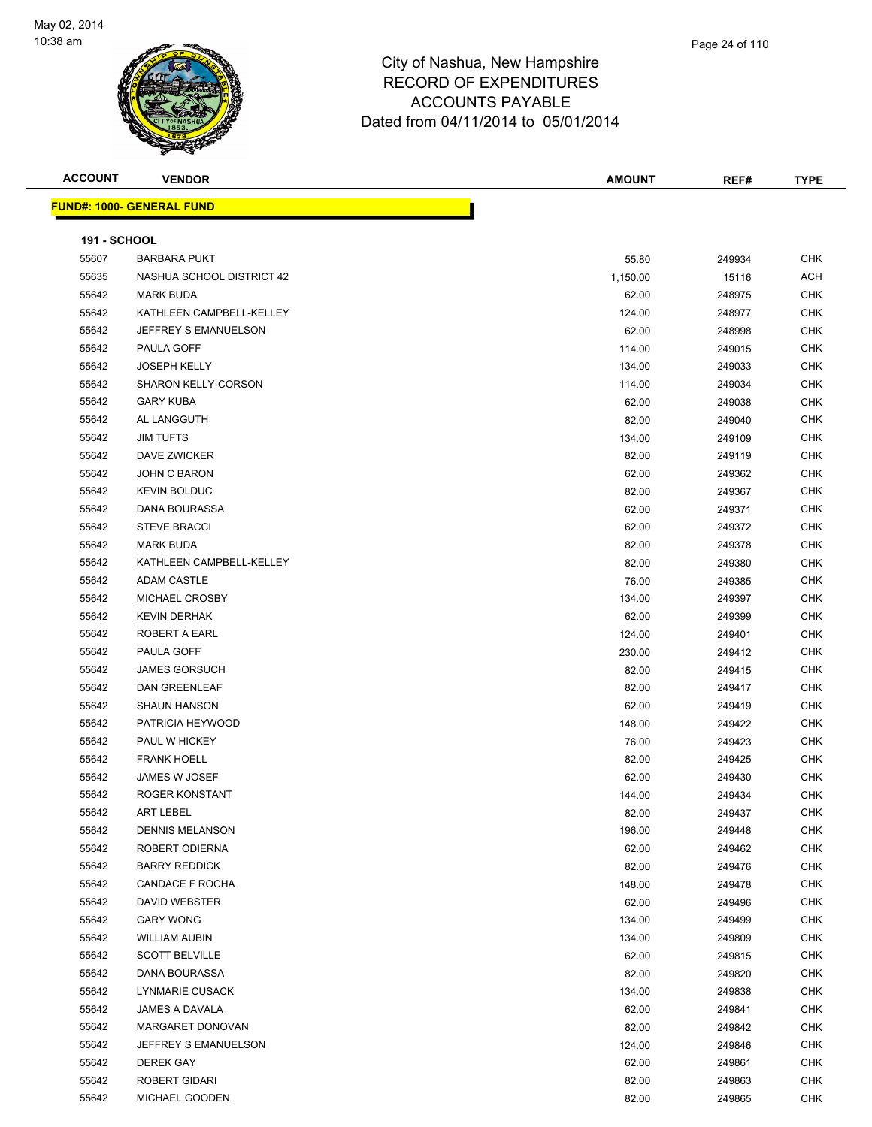

| <b>ACCOUNT</b>      | <b>VENDOR</b>                    | <b>AMOUNT</b> | REF#   | <b>TYPE</b> |
|---------------------|----------------------------------|---------------|--------|-------------|
|                     | <b>FUND#: 1000- GENERAL FUND</b> |               |        |             |
|                     |                                  |               |        |             |
| <b>191 - SCHOOL</b> |                                  |               |        |             |
| 55607               | <b>BARBARA PUKT</b>              | 55.80         | 249934 | <b>CHK</b>  |
| 55635               | NASHUA SCHOOL DISTRICT 42        | 1,150.00      | 15116  | <b>ACH</b>  |
| 55642               | <b>MARK BUDA</b>                 | 62.00         | 248975 | <b>CHK</b>  |
| 55642               | KATHLEEN CAMPBELL-KELLEY         | 124.00        | 248977 | <b>CHK</b>  |
| 55642               | JEFFREY S EMANUELSON             | 62.00         | 248998 | <b>CHK</b>  |
| 55642               | PAULA GOFF                       | 114.00        | 249015 | <b>CHK</b>  |
| 55642               | <b>JOSEPH KELLY</b>              | 134.00        | 249033 | <b>CHK</b>  |
| 55642               | <b>SHARON KELLY-CORSON</b>       | 114.00        | 249034 | <b>CHK</b>  |
| 55642               | <b>GARY KUBA</b>                 | 62.00         | 249038 | <b>CHK</b>  |
| 55642               | AL LANGGUTH                      | 82.00         | 249040 | <b>CHK</b>  |
| 55642               | <b>JIM TUFTS</b>                 | 134.00        | 249109 | <b>CHK</b>  |
| 55642               | DAVE ZWICKER                     | 82.00         | 249119 | <b>CHK</b>  |
| 55642               | JOHN C BARON                     | 62.00         | 249362 | <b>CHK</b>  |
| 55642               | <b>KEVIN BOLDUC</b>              | 82.00         | 249367 | <b>CHK</b>  |
| 55642               | DANA BOURASSA                    | 62.00         | 249371 | <b>CHK</b>  |
| 55642               | <b>STEVE BRACCI</b>              | 62.00         | 249372 | <b>CHK</b>  |
| 55642               | <b>MARK BUDA</b>                 | 82.00         | 249378 | <b>CHK</b>  |
| 55642               | KATHLEEN CAMPBELL-KELLEY         | 82.00         | 249380 | <b>CHK</b>  |
| 55642               | <b>ADAM CASTLE</b>               | 76.00         | 249385 | <b>CHK</b>  |
| 55642               | MICHAEL CROSBY                   | 134.00        | 249397 | <b>CHK</b>  |
| 55642               | <b>KEVIN DERHAK</b>              | 62.00         | 249399 | <b>CHK</b>  |
| 55642               | ROBERT A EARL                    | 124.00        | 249401 | <b>CHK</b>  |
| 55642               | PAULA GOFF                       | 230.00        | 249412 | <b>CHK</b>  |
| 55642               | <b>JAMES GORSUCH</b>             | 82.00         | 249415 | <b>CHK</b>  |
| 55642               | <b>DAN GREENLEAF</b>             | 82.00         | 249417 | <b>CHK</b>  |
| 55642               | <b>SHAUN HANSON</b>              | 62.00         | 249419 | <b>CHK</b>  |
| 55642               | PATRICIA HEYWOOD                 | 148.00        | 249422 | <b>CHK</b>  |
| 55642               | PAUL W HICKEY                    | 76.00         | 249423 | <b>CHK</b>  |
| 55642               | <b>FRANK HOELL</b>               | 82.00         | 249425 | <b>CHK</b>  |
| 55642               | JAMES W JOSEF                    | 62.00         | 249430 | <b>CHK</b>  |
| 55642               | ROGER KONSTANT                   | 144.00        | 249434 | <b>CHK</b>  |
| 55642               | <b>ART LEBEL</b>                 | 82.00         | 249437 | <b>CHK</b>  |
| 55642               | <b>DENNIS MELANSON</b>           | 196.00        | 249448 | <b>CHK</b>  |
| 55642               | ROBERT ODIERNA                   | 62.00         | 249462 | <b>CHK</b>  |
| 55642               | <b>BARRY REDDICK</b>             | 82.00         | 249476 | <b>CHK</b>  |
| 55642               | CANDACE F ROCHA                  | 148.00        | 249478 | <b>CHK</b>  |
| 55642               | DAVID WEBSTER                    | 62.00         | 249496 | <b>CHK</b>  |
| 55642               | <b>GARY WONG</b>                 | 134.00        | 249499 | <b>CHK</b>  |
| 55642               | <b>WILLIAM AUBIN</b>             | 134.00        | 249809 | <b>CHK</b>  |
| 55642               | <b>SCOTT BELVILLE</b>            | 62.00         | 249815 | <b>CHK</b>  |
| 55642               | DANA BOURASSA                    | 82.00         | 249820 | <b>CHK</b>  |
| 55642               | <b>LYNMARIE CUSACK</b>           | 134.00        | 249838 | <b>CHK</b>  |
| 55642               | JAMES A DAVALA                   | 62.00         | 249841 | <b>CHK</b>  |
| 55642               | MARGARET DONOVAN                 | 82.00         | 249842 | CHK         |
| 55642               | JEFFREY S EMANUELSON             | 124.00        | 249846 | <b>CHK</b>  |
| 55642               | <b>DEREK GAY</b>                 | 62.00         | 249861 | <b>CHK</b>  |
| 55642               | ROBERT GIDARI                    | 82.00         | 249863 | <b>CHK</b>  |
| 55642               | MICHAEL GOODEN                   | 82.00         | 249865 | <b>CHK</b>  |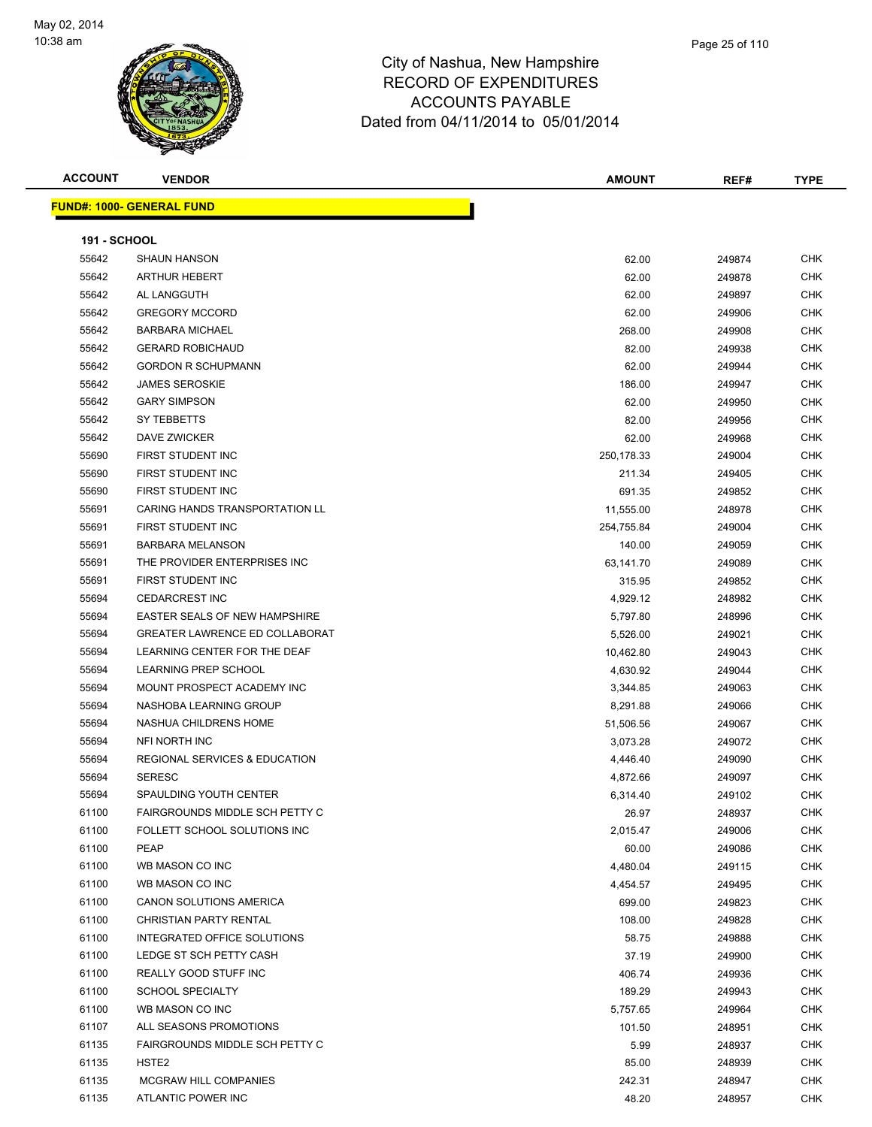

**ACCOUNT VENDOR AMOUNT REF# TYPE FUND#: 1000- GENERAL FUND 191 - SCHOOL** SHAUN HANSON 62.00 249874 CHK ARTHUR HEBERT 62.00 249878 CHK AL LANGGUTH 62.00 249897 CHK GREGORY MCCORD 62.00 249906 CHK BARBARA MICHAEL 268.00 249908 CHK GERARD ROBICHAUD 82.00 249938 CHK GORDON R SCHUPMANN 62.00 249944 CHK 55642 JAMES SEROSKIE NA MARIJA SEROSKIE NA MARIJA SEROSKIE NA MARIJA SEROSKIE OHK GARY SIMPSON 62.00 249950 CHK SY TEBBETTS 82.00 249956 CHK DAVE ZWICKER 62.00 249968 CHK FIRST STUDENT INC 250,178.33 249004 CHK FIRST STUDENT INC 211.34 249405 CHK FIRST STUDENT INC 691.35 249852 CHK CARING HANDS TRANSPORTATION LL 11,555.00 248978 CHK FIRST STUDENT INC 254,755.84 249004 CHK BARBARA MELANSON 140.00 249059 CHK THE PROVIDER ENTERPRISES INC 63,141.70 249089 CHK FIRST STUDENT INC 315.95 249852 CHK CEDARCREST INC 4,929.12 248982 CHK EASTER SEALS OF NEW HAMPSHIRE 5,797.80 248996 CHK GREATER LAWRENCE ED COLLABORAT 5,526.00 249021 CHK 55694 LEARNING CENTER FOR THE DEAF 10.462.80 249043 CHK 55694 LEARNING PREP SCHOOL **And the CHK SCHOOL ASSESSED A CHK** 4,630.92 249044 CHK MOUNT PROSPECT ACADEMY INC 3,344.85 249063 CHK NASHOBA LEARNING GROUP 8,291.88 249066 CHK NASHUA CHILDRENS HOME 51,506.56 249067 CHK NFI NORTH INC 3,073.28 249072 CHK REGIONAL SERVICES & EDUCATION 4,446.40 249090 CHK SERESC 4,872.66 249097 CHK SPAULDING YOUTH CENTER 6,314.40 249102 CHK FAIRGROUNDS MIDDLE SCH PETTY C 26.97 248937 CHK FOLLETT SCHOOL SOLUTIONS INC 2,015.47 249006 CHK PEAP 60.00 249086 CHK WB MASON CO INC 4,480.04 249115 CHK WB MASON CO INC 4,454.57 249495 CHK CANON SOLUTIONS AMERICA 699.00 249823 CHK CHRISTIAN PARTY RENTAL 108.00 249828 CHK INTEGRATED OFFICE SOLUTIONS 58.75 249888 CHK 61100 LEDGE ST SCH PETTY CASH 37.19 249900 CHK 61100 REALLY GOOD STUFF INC **And Alternative CHK** 249936 CHK SCHOOL SPECIALTY 189.29 249943 CHK WB MASON CO INC 5,757.65 249964 CHK 61107 ALL SEASONS PROMOTIONS **101.50** CHK 61135 FAIRGROUNDS MIDDLE SCH PETTY C CONTROL CHANGE AND THE STATE STATE STATE OF SALES AND THE STATE STATE OF STATE STATE STATE STATE STATE STATE STATE STATE STATE STATE STATE STATE STATE STATE STATE STATE STATE STATE STAT HSTE2 85.00 248939 CHK 61135 MCGRAW HILL COMPANIES 242.31 248947 CHK

ATLANTIC POWER INC 48.20 248957 CHK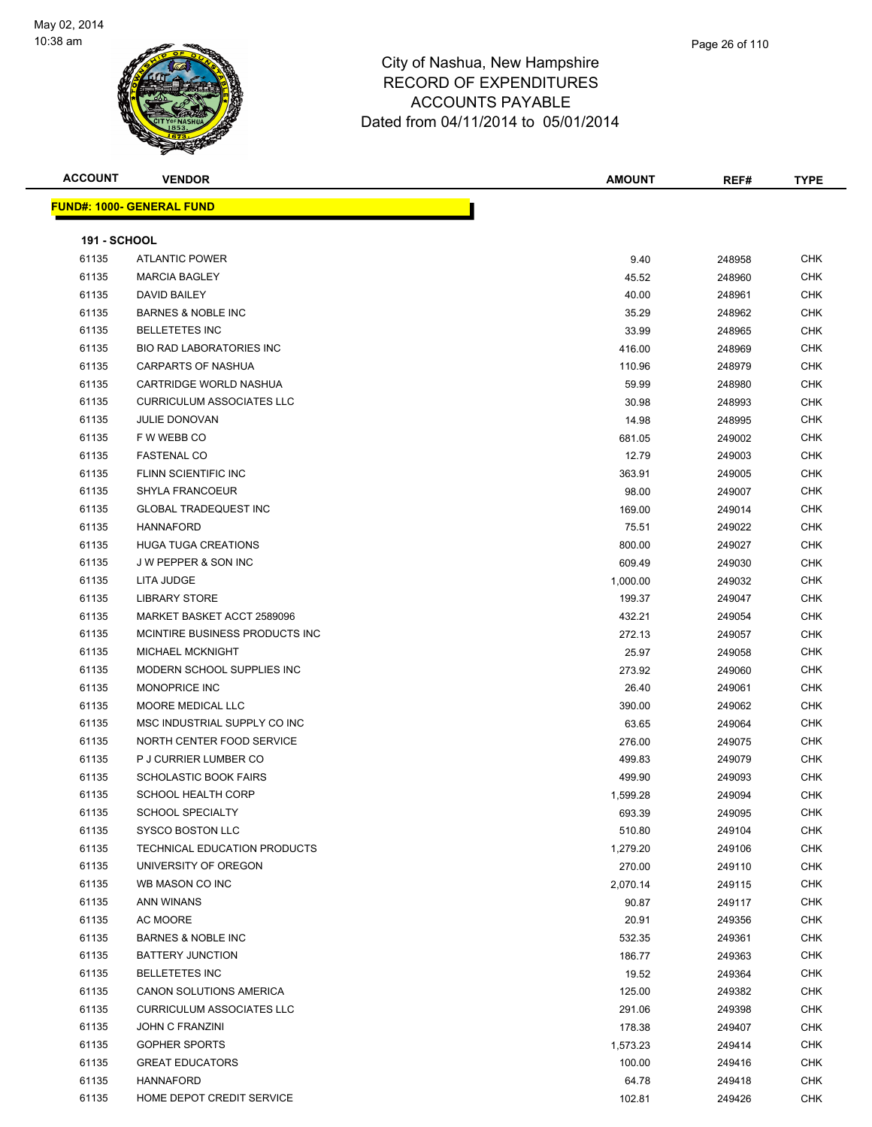

**ACCOUNT VENDOR AMOUNT REF# TYPE**

| pshire |  |  |
|--------|--|--|
| URFS   |  |  |

Page 26 of 110

|                | <b>FUND#: 1000- GENERAL FUND</b>                      |          |
|----------------|-------------------------------------------------------|----------|
|                | 191 - SCHOOL                                          |          |
| 61135          | <b>ATLANTIC POWER</b>                                 | 9.40     |
| 61135          | <b>MARCIA BAGLEY</b>                                  | 45.52    |
| 61135          | <b>DAVID BAILEY</b>                                   | 40.00    |
| 61135          | <b>BARNES &amp; NOBLE INC</b>                         | 35.29    |
| 61135          | <b>BELLETETES INC</b>                                 | 33.99    |
| 61135          | <b>BIO RAD LABORATORIES INC</b>                       | 416.00   |
| 61135          | <b>CARPARTS OF NASHUA</b>                             | 110.96   |
| 61135          | CARTRIDGE WORLD NASHUA                                | 59.99    |
| 61135          | <b>CURRICULUM ASSOCIATES LLC</b>                      | 30.98    |
| 61135          | <b>JULIE DONOVAN</b>                                  | 14.98    |
| 61135          | F W WEBB CO                                           | 681.05   |
| 61135          | <b>FASTENAL CO</b>                                    | 12.79    |
| 61135          | FLINN SCIENTIFIC INC                                  | 363.91   |
| 61135          | <b>SHYLA FRANCOEUR</b>                                | 98.00    |
| 61135          | <b>GLOBAL TRADEQUEST INC</b>                          | 169.00   |
| 61135          | <b>HANNAFORD</b>                                      | 75.51    |
| 61135          | <b>HUGA TUGA CREATIONS</b>                            | 800.00   |
| 61135          | J W PEPPER & SON INC                                  | 609.49   |
| 61135          | LITA JUDGE                                            | 1,000.00 |
| 61135          | <b>LIBRARY STORE</b>                                  | 199.37   |
| 61135          | MARKET BASKET ACCT 2589096                            | 432.21   |
| 61135          | MCINTIRE BUSINESS PRODUCTS INC                        | 272.13   |
| 61135          | <b>MICHAEL MCKNIGHT</b>                               | 25.97    |
| 61135          | MODERN SCHOOL SUPPLIES INC                            | 273.92   |
| 61135          | MONOPRICE INC                                         | 26.40    |
| 61135          | MOORE MEDICAL LLC                                     | 390.00   |
| 61135          | MSC INDUSTRIAL SUPPLY CO INC                          | 63.65    |
| 61135          | NORTH CENTER FOOD SERVICE                             |          |
|                |                                                       | 276.00   |
| 61135          | P J CURRIER LUMBER CO<br><b>SCHOLASTIC BOOK FAIRS</b> | 499.83   |
| 61135          |                                                       | 499.90   |
| 61135          | <b>SCHOOL HEALTH CORP</b>                             | 1,599.28 |
| 61135<br>61135 | <b>SCHOOL SPECIALTY</b><br>SYSCO BOSTON LLC           | 693.39   |
|                |                                                       | 510.80   |
| 61135          | TECHNICAL EDUCATION PRODUCTS                          | 1,279.20 |
| 61135          | UNIVERSITY OF OREGON                                  | 270.00   |
| 61135          | WB MASON CO INC                                       | 2,070.14 |
| 61135          | ANN WINANS                                            | 90.87    |
| 61135          | AC MOORE                                              | 20.91    |
| 61135          | <b>BARNES &amp; NOBLE INC</b>                         | 532.35   |
| 61135          | <b>BATTERY JUNCTION</b>                               | 186.77   |
| 61135          | <b>BELLETETES INC</b>                                 | 19.52    |
| 61135          | CANON SOLUTIONS AMERICA                               | 125.00   |
| 61135          | <b>CURRICULUM ASSOCIATES LLC</b>                      | 291.06   |
| 61135          | JOHN C FRANZINI                                       | 178.38   |

 GOPHER SPORTS 1,573.23 249414 CHK education of the GREAT EDUCATORS of the contract of the contract of the contract of the contract of the contract of the contract of the contract of the contract of the contract of the contract of the contract of the contra HANNAFORD 64.78 249418 CHK er and the series of the series of the series of the series of the series of the series of the series of the series of the series of the series of the series of the series of the series of the series of the series of the s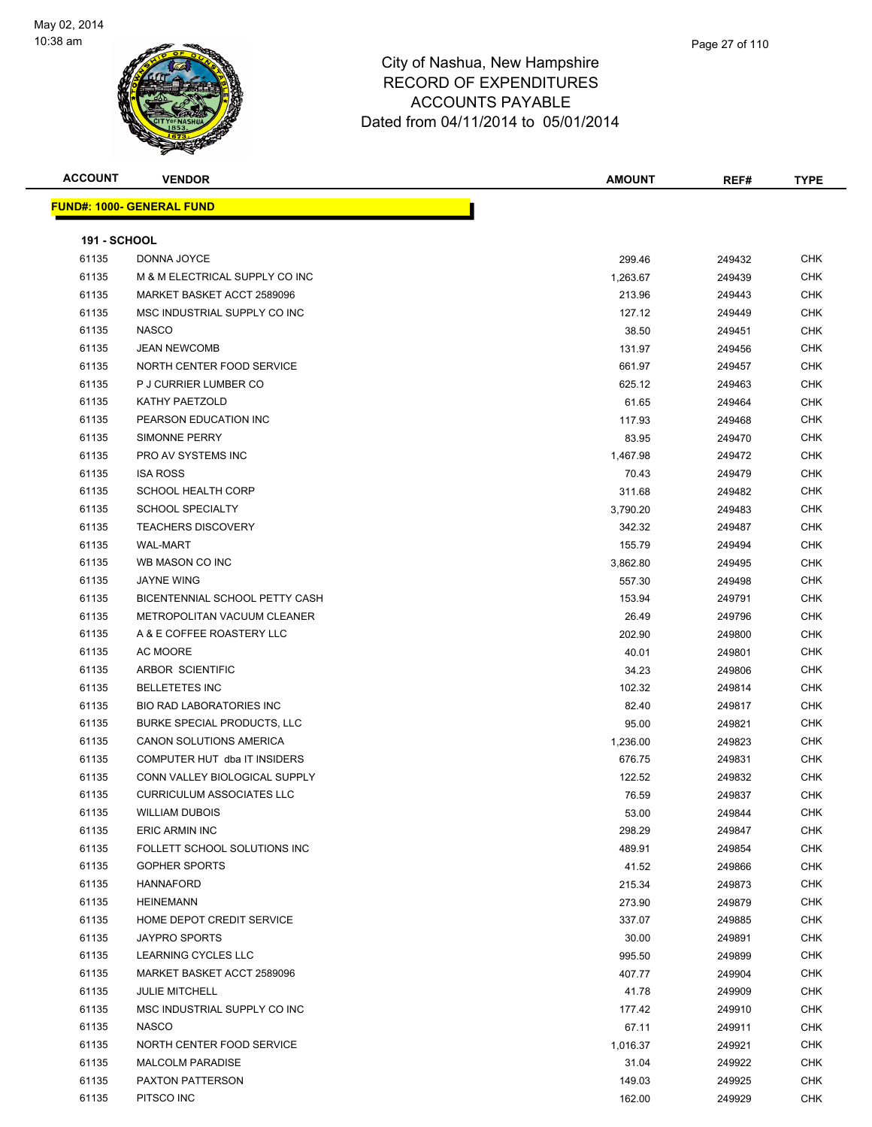

| <b>ACCOUNT</b>      | <b>VENDOR</b>                      | <b>AMOUNT</b> | REF#   | <b>TYPE</b> |
|---------------------|------------------------------------|---------------|--------|-------------|
|                     | <u> FUND#: 1000- GENERAL FUND</u>  |               |        |             |
|                     |                                    |               |        |             |
| <b>191 - SCHOOL</b> |                                    |               |        |             |
| 61135               | DONNA JOYCE                        | 299.46        | 249432 | <b>CHK</b>  |
| 61135               | M & M ELECTRICAL SUPPLY CO INC     | 1,263.67      | 249439 | <b>CHK</b>  |
| 61135               | MARKET BASKET ACCT 2589096         | 213.96        | 249443 | <b>CHK</b>  |
| 61135               | MSC INDUSTRIAL SUPPLY CO INC       | 127.12        | 249449 | <b>CHK</b>  |
| 61135               | <b>NASCO</b>                       | 38.50         | 249451 | CHK         |
| 61135               | <b>JEAN NEWCOMB</b>                | 131.97        | 249456 | CHK         |
| 61135               | NORTH CENTER FOOD SERVICE          | 661.97        | 249457 | CHK         |
| 61135               | P J CURRIER LUMBER CO              | 625.12        | 249463 | CHK         |
| 61135               | KATHY PAETZOLD                     | 61.65         | 249464 | <b>CHK</b>  |
| 61135               | PEARSON EDUCATION INC              | 117.93        | 249468 | CHK         |
| 61135               | SIMONNE PERRY                      | 83.95         | 249470 | CHK         |
| 61135               | PRO AV SYSTEMS INC                 | 1,467.98      | 249472 | <b>CHK</b>  |
| 61135               | <b>ISA ROSS</b>                    | 70.43         | 249479 | <b>CHK</b>  |
| 61135               | <b>SCHOOL HEALTH CORP</b>          | 311.68        | 249482 | CHK         |
| 61135               | <b>SCHOOL SPECIALTY</b>            | 3,790.20      | 249483 | CHK         |
| 61135               | <b>TEACHERS DISCOVERY</b>          | 342.32        | 249487 | CHK         |
| 61135               | <b>WAL-MART</b>                    | 155.79        | 249494 | CHK         |
| 61135               | WB MASON CO INC                    | 3,862.80      | 249495 | <b>CHK</b>  |
| 61135               | JAYNE WING                         | 557.30        | 249498 | CHK         |
| 61135               | BICENTENNIAL SCHOOL PETTY CASH     | 153.94        | 249791 | <b>CHK</b>  |
| 61135               | METROPOLITAN VACUUM CLEANER        | 26.49         | 249796 | <b>CHK</b>  |
| 61135               | A & E COFFEE ROASTERY LLC          | 202.90        | 249800 | CHK         |
| 61135               | AC MOORE                           | 40.01         | 249801 | <b>CHK</b>  |
| 61135               | ARBOR SCIENTIFIC                   | 34.23         | 249806 | CHK         |
| 61135               | <b>BELLETETES INC</b>              | 102.32        | 249814 | <b>CHK</b>  |
| 61135               | <b>BIO RAD LABORATORIES INC</b>    | 82.40         | 249817 | <b>CHK</b>  |
| 61135               | <b>BURKE SPECIAL PRODUCTS, LLC</b> | 95.00         | 249821 | CHK         |
| 61135               | CANON SOLUTIONS AMERICA            | 1,236.00      | 249823 | <b>CHK</b>  |
| 61135               | COMPUTER HUT dba IT INSIDERS       | 676.75        | 249831 | <b>CHK</b>  |
| 61135               | CONN VALLEY BIOLOGICAL SUPPLY      | 122.52        | 249832 | CHK         |
| 61135               | <b>CURRICULUM ASSOCIATES LLC</b>   | 76.59         | 249837 | <b>CHK</b>  |
| 61135               | <b>WILLIAM DUBOIS</b>              | 53.00         | 249844 | <b>CHK</b>  |
| 61135               | <b>ERIC ARMIN INC</b>              | 298.29        | 249847 | <b>CHK</b>  |
| 61135               | FOLLETT SCHOOL SOLUTIONS INC       | 489.91        | 249854 | <b>CHK</b>  |
| 61135               | <b>GOPHER SPORTS</b>               | 41.52         | 249866 | <b>CHK</b>  |
| 61135               | <b>HANNAFORD</b>                   | 215.34        | 249873 | <b>CHK</b>  |
| 61135               | <b>HEINEMANN</b>                   | 273.90        | 249879 | <b>CHK</b>  |
| 61135               | HOME DEPOT CREDIT SERVICE          | 337.07        | 249885 | <b>CHK</b>  |
| 61135               | <b>JAYPRO SPORTS</b>               | 30.00         | 249891 | <b>CHK</b>  |
| 61135               | LEARNING CYCLES LLC                | 995.50        | 249899 | <b>CHK</b>  |
| 61135               | MARKET BASKET ACCT 2589096         | 407.77        | 249904 | CHK         |
| 61135               | <b>JULIE MITCHELL</b>              | 41.78         | 249909 | <b>CHK</b>  |
| 61135               | MSC INDUSTRIAL SUPPLY CO INC       | 177.42        | 249910 | <b>CHK</b>  |
| 61135               | <b>NASCO</b>                       | 67.11         | 249911 | <b>CHK</b>  |
| 61135               | NORTH CENTER FOOD SERVICE          | 1,016.37      | 249921 | <b>CHK</b>  |
| 61135               | <b>MALCOLM PARADISE</b>            | 31.04         | 249922 | <b>CHK</b>  |
| 61135               | PAXTON PATTERSON                   | 149.03        | 249925 | <b>CHK</b>  |
| 61135               | PITSCO INC                         | 162.00        | 249929 | <b>CHK</b>  |
|                     |                                    |               |        |             |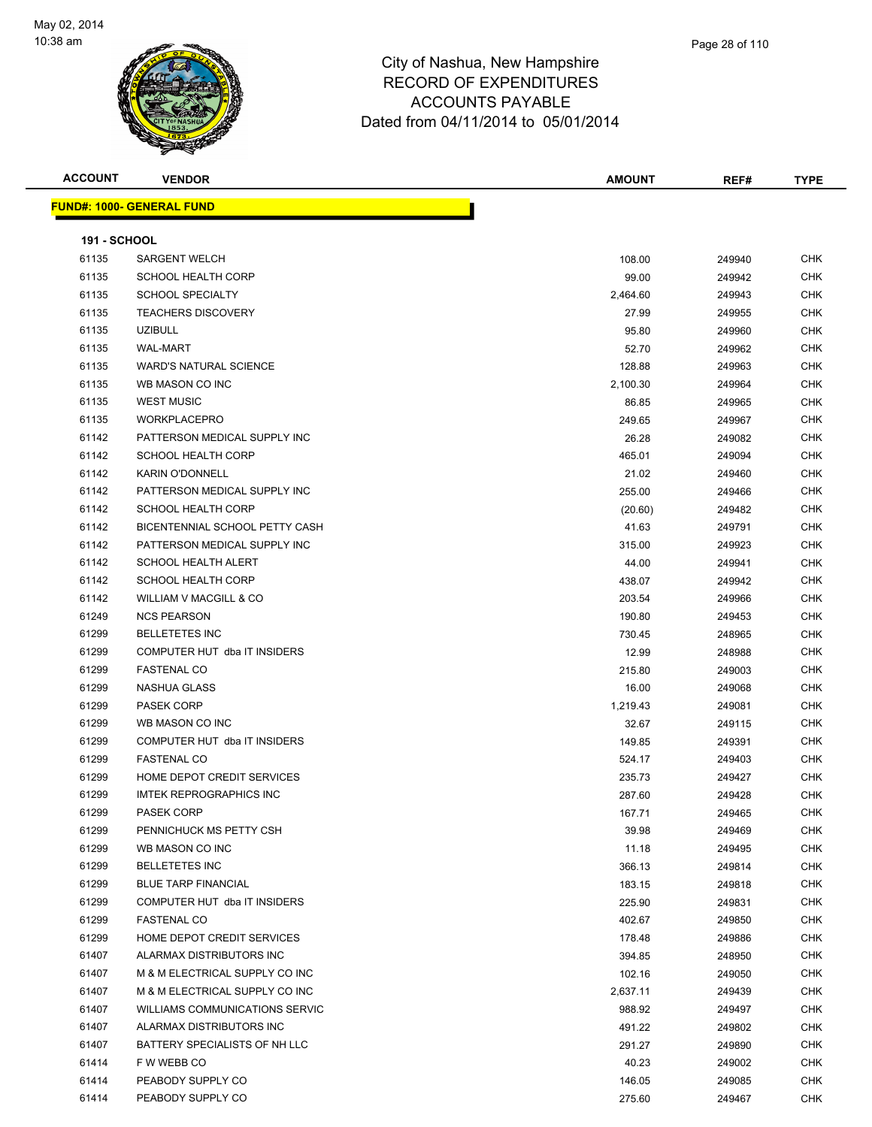

| <b>ACCOUNT</b> | <b>VENDOR</b>                    | <b>AMOUNT</b> | REF#   | <b>TYPE</b> |
|----------------|----------------------------------|---------------|--------|-------------|
|                | <b>FUND#: 1000- GENERAL FUND</b> |               |        |             |
| 191 - SCHOOL   |                                  |               |        |             |
| 61135          | <b>SARGENT WELCH</b>             | 108.00        | 249940 | CHK         |
| 61135          | <b>SCHOOL HEALTH CORP</b>        | 99.00         | 249942 | <b>CHK</b>  |
| 61135          | <b>SCHOOL SPECIALTY</b>          | 2,464.60      | 249943 | <b>CHK</b>  |
| 61135          | <b>TEACHERS DISCOVERY</b>        | 27.99         | 249955 | <b>CHK</b>  |
| 61135          | <b>UZIBULL</b>                   | 95.80         | 249960 | <b>CHK</b>  |
| 61135          | <b>WAL-MART</b>                  | 52.70         | 249962 | <b>CHK</b>  |
| 61135          | <b>WARD'S NATURAL SCIENCE</b>    | 128.88        | 249963 | <b>CHK</b>  |
| 61135          | WB MASON CO INC                  | 2,100.30      | 249964 | <b>CHK</b>  |
| 61135          | <b>WEST MUSIC</b>                | 86.85         | 249965 | <b>CHK</b>  |
| 61135          | <b>WORKPLACEPRO</b>              | 249.65        | 249967 | <b>CHK</b>  |
| 61142          | PATTERSON MEDICAL SUPPLY INC     | 26.28         | 249082 | <b>CHK</b>  |
| 61142          | <b>SCHOOL HEALTH CORP</b>        | 465.01        | 249094 | <b>CHK</b>  |
|                |                                  |               |        |             |
| 61142          | <b>KARIN O'DONNELL</b>           | 21.02         | 249460 | <b>CHK</b>  |
| 61142          | PATTERSON MEDICAL SUPPLY INC     | 255.00        | 249466 | <b>CHK</b>  |
| 61142          | <b>SCHOOL HEALTH CORP</b>        | (20.60)       | 249482 | <b>CHK</b>  |
| 61142          | BICENTENNIAL SCHOOL PETTY CASH   | 41.63         | 249791 | <b>CHK</b>  |
| 61142          | PATTERSON MEDICAL SUPPLY INC     | 315.00        | 249923 | <b>CHK</b>  |
| 61142          | <b>SCHOOL HEALTH ALERT</b>       | 44.00         | 249941 | <b>CHK</b>  |
| 61142          | <b>SCHOOL HEALTH CORP</b>        | 438.07        | 249942 | <b>CHK</b>  |
| 61142          | WILLIAM V MACGILL & CO           | 203.54        | 249966 | <b>CHK</b>  |
| 61249          | <b>NCS PEARSON</b>               | 190.80        | 249453 | <b>CHK</b>  |
| 61299          | <b>BELLETETES INC</b>            | 730.45        | 248965 | <b>CHK</b>  |
| 61299          | COMPUTER HUT dba IT INSIDERS     | 12.99         | 248988 | <b>CHK</b>  |
| 61299          | <b>FASTENAL CO</b>               | 215.80        | 249003 | <b>CHK</b>  |
| 61299          | NASHUA GLASS                     | 16.00         | 249068 | <b>CHK</b>  |
| 61299          | PASEK CORP                       | 1,219.43      | 249081 | <b>CHK</b>  |
| 61299          | WB MASON CO INC                  | 32.67         | 249115 | <b>CHK</b>  |
| 61299          | COMPUTER HUT dba IT INSIDERS     | 149.85        | 249391 | <b>CHK</b>  |
| 61299          | <b>FASTENAL CO</b>               | 524.17        | 249403 | <b>CHK</b>  |
| 61299          | HOME DEPOT CREDIT SERVICES       | 235.73        | 249427 | <b>CHK</b>  |
| 61299          | <b>IMTEK REPROGRAPHICS INC</b>   | 287.60        | 249428 | <b>CHK</b>  |
| 61299          | PASEK CORP                       | 167.71        | 249465 | <b>CHK</b>  |
| 61299          | PENNICHUCK MS PETTY CSH          | 39.98         | 249469 | <b>CHK</b>  |
| 61299          | WB MASON CO INC                  | 11.18         | 249495 | CHK         |
| 61299          | <b>BELLETETES INC</b>            | 366.13        | 249814 | <b>CHK</b>  |
| 61299          | <b>BLUE TARP FINANCIAL</b>       | 183.15        | 249818 | <b>CHK</b>  |
| 61299          | COMPUTER HUT dba IT INSIDERS     | 225.90        | 249831 | <b>CHK</b>  |
| 61299          | <b>FASTENAL CO</b>               | 402.67        | 249850 | CHK         |
| 61299          | HOME DEPOT CREDIT SERVICES       | 178.48        | 249886 | CHK         |
| 61407          | ALARMAX DISTRIBUTORS INC         | 394.85        | 248950 | <b>CHK</b>  |
| 61407          | M & M ELECTRICAL SUPPLY CO INC   | 102.16        | 249050 | CHK         |
| 61407          | M & M ELECTRICAL SUPPLY CO INC   | 2,637.11      | 249439 | CHK         |
| 61407          | WILLIAMS COMMUNICATIONS SERVIC   | 988.92        |        | CHK         |
|                |                                  |               | 249497 |             |
| 61407          | ALARMAX DISTRIBUTORS INC         | 491.22        | 249802 | CHK         |
| 61407          | BATTERY SPECIALISTS OF NH LLC    | 291.27        | 249890 | CHK         |
| 61414          | F W WEBB CO                      | 40.23         | 249002 | <b>CHK</b>  |
| 61414          | PEABODY SUPPLY CO                | 146.05        | 249085 | CHK         |
| 61414          | PEABODY SUPPLY CO                | 275.60        | 249467 | CHK         |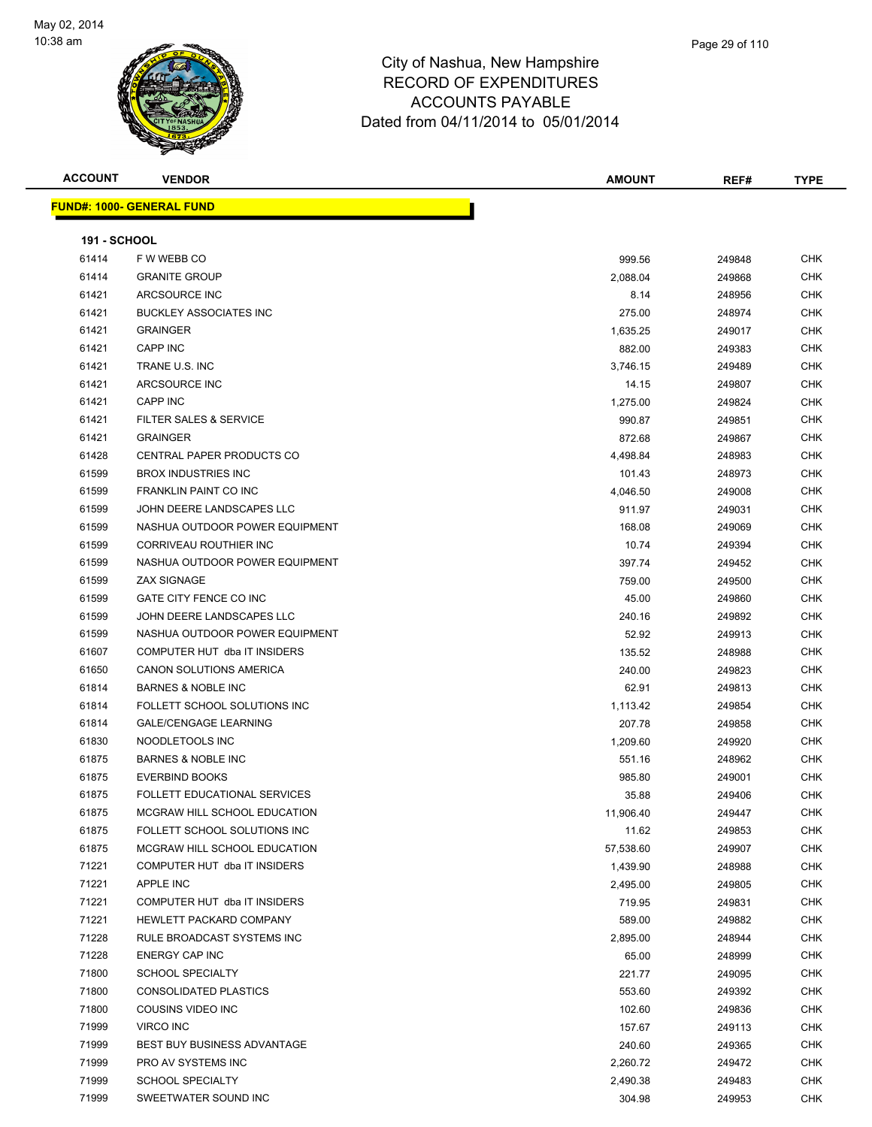

| <b>ACCOUNT</b>      | <b>VENDOR</b>                       | <b>AMOUNT</b> | REF#   | <b>TYPE</b> |
|---------------------|-------------------------------------|---------------|--------|-------------|
|                     | <b>FUND#: 1000- GENERAL FUND</b>    |               |        |             |
|                     |                                     |               |        |             |
| <b>191 - SCHOOL</b> |                                     |               |        |             |
| 61414               | F W WEBB CO                         | 999.56        | 249848 | <b>CHK</b>  |
| 61414               | <b>GRANITE GROUP</b>                | 2,088.04      | 249868 | <b>CHK</b>  |
| 61421               | ARCSOURCE INC                       | 8.14          | 248956 | <b>CHK</b>  |
| 61421               | <b>BUCKLEY ASSOCIATES INC</b>       | 275.00        | 248974 | <b>CHK</b>  |
| 61421               | <b>GRAINGER</b>                     | 1,635.25      | 249017 | <b>CHK</b>  |
| 61421               | <b>CAPP INC</b>                     | 882.00        | 249383 | <b>CHK</b>  |
| 61421               | TRANE U.S. INC                      | 3,746.15      | 249489 | <b>CHK</b>  |
| 61421               | ARCSOURCE INC                       | 14.15         | 249807 | <b>CHK</b>  |
| 61421               | <b>CAPP INC</b>                     | 1,275.00      | 249824 | <b>CHK</b>  |
| 61421               | FILTER SALES & SERVICE              | 990.87        | 249851 | <b>CHK</b>  |
| 61421               | <b>GRAINGER</b>                     | 872.68        | 249867 | <b>CHK</b>  |
| 61428               | CENTRAL PAPER PRODUCTS CO           | 4,498.84      | 248983 | <b>CHK</b>  |
| 61599               | <b>BROX INDUSTRIES INC</b>          | 101.43        | 248973 | <b>CHK</b>  |
| 61599               | <b>FRANKLIN PAINT CO INC</b>        | 4,046.50      | 249008 | <b>CHK</b>  |
| 61599               | JOHN DEERE LANDSCAPES LLC           | 911.97        | 249031 | CHK         |
| 61599               | NASHUA OUTDOOR POWER EQUIPMENT      | 168.08        | 249069 | <b>CHK</b>  |
| 61599               | CORRIVEAU ROUTHIER INC              | 10.74         | 249394 | <b>CHK</b>  |
| 61599               | NASHUA OUTDOOR POWER EQUIPMENT      | 397.74        | 249452 | CHK         |
| 61599               | <b>ZAX SIGNAGE</b>                  | 759.00        | 249500 | <b>CHK</b>  |
| 61599               | GATE CITY FENCE CO INC              | 45.00         | 249860 | <b>CHK</b>  |
| 61599               | JOHN DEERE LANDSCAPES LLC           | 240.16        | 249892 | CHK         |
| 61599               | NASHUA OUTDOOR POWER EQUIPMENT      | 52.92         | 249913 | <b>CHK</b>  |
| 61607               | COMPUTER HUT dba IT INSIDERS        | 135.52        | 248988 | CHK         |
| 61650               | CANON SOLUTIONS AMERICA             | 240.00        | 249823 | CHK         |
| 61814               | <b>BARNES &amp; NOBLE INC</b>       | 62.91         | 249813 | CHK         |
| 61814               | FOLLETT SCHOOL SOLUTIONS INC        | 1,113.42      | 249854 | CHK         |
| 61814               | <b>GALE/CENGAGE LEARNING</b>        | 207.78        | 249858 | <b>CHK</b>  |
| 61830               | NOODLETOOLS INC                     | 1,209.60      | 249920 | <b>CHK</b>  |
| 61875               | <b>BARNES &amp; NOBLE INC</b>       | 551.16        | 248962 | <b>CHK</b>  |
| 61875               | <b>EVERBIND BOOKS</b>               | 985.80        | 249001 | <b>CHK</b>  |
| 61875               | <b>FOLLETT EDUCATIONAL SERVICES</b> | 35.88         | 249406 | <b>CHK</b>  |
| 61875               | MCGRAW HILL SCHOOL EDUCATION        | 11,906.40     | 249447 | CHK         |
| 61875               | FOLLETT SCHOOL SOLUTIONS INC        | 11.62         | 249853 | <b>CHK</b>  |
| 61875               | MCGRAW HILL SCHOOL EDUCATION        | 57,538.60     | 249907 | <b>CHK</b>  |
| 71221               | COMPUTER HUT dba IT INSIDERS        | 1,439.90      | 248988 | <b>CHK</b>  |
| 71221               | <b>APPLE INC</b>                    | 2,495.00      | 249805 | <b>CHK</b>  |
| 71221               | COMPUTER HUT dba IT INSIDERS        | 719.95        | 249831 | <b>CHK</b>  |
| 71221               | HEWLETT PACKARD COMPANY             | 589.00        | 249882 | <b>CHK</b>  |
| 71228               | RULE BROADCAST SYSTEMS INC          | 2,895.00      | 248944 | <b>CHK</b>  |
| 71228               | <b>ENERGY CAP INC</b>               | 65.00         | 248999 | <b>CHK</b>  |
| 71800               | <b>SCHOOL SPECIALTY</b>             | 221.77        | 249095 | <b>CHK</b>  |
| 71800               | CONSOLIDATED PLASTICS               | 553.60        | 249392 | <b>CHK</b>  |
| 71800               | COUSINS VIDEO INC                   | 102.60        | 249836 | <b>CHK</b>  |
| 71999               | VIRCO INC                           | 157.67        | 249113 | <b>CHK</b>  |
| 71999               | BEST BUY BUSINESS ADVANTAGE         | 240.60        | 249365 | <b>CHK</b>  |
| 71999               | PRO AV SYSTEMS INC                  | 2,260.72      | 249472 | <b>CHK</b>  |
| 71999               | <b>SCHOOL SPECIALTY</b>             | 2,490.38      | 249483 | <b>CHK</b>  |
| 71999               | SWEETWATER SOUND INC                | 304.98        | 249953 | <b>CHK</b>  |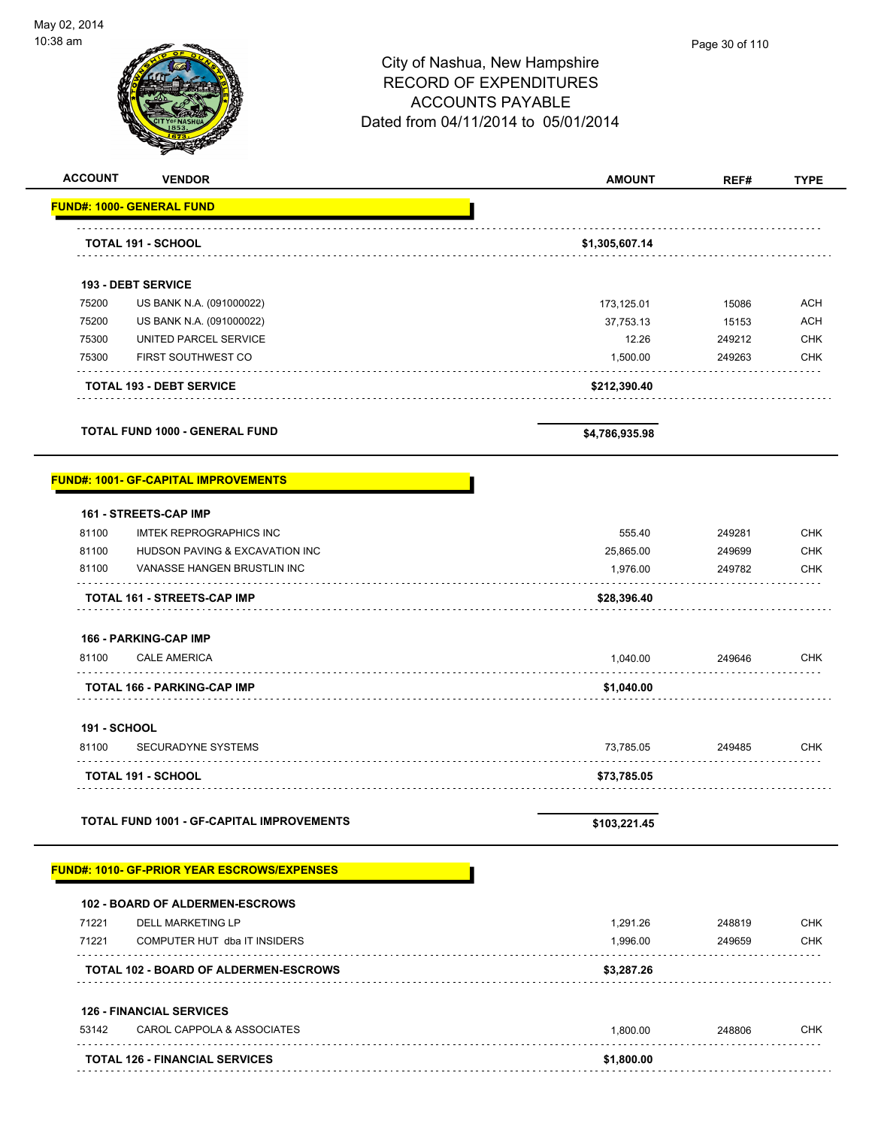

| <b>ACCOUNT</b><br><b>VENDOR</b>                                        | <b>AMOUNT</b>  | REF#   | <b>TYPE</b> |
|------------------------------------------------------------------------|----------------|--------|-------------|
| <b>FUND#: 1000- GENERAL FUND</b>                                       |                |        |             |
| <b>TOTAL 191 - SCHOOL</b>                                              | \$1,305,607.14 |        |             |
|                                                                        |                |        |             |
| <b>193 - DEBT SERVICE</b>                                              |                |        |             |
| 75200<br>US BANK N.A. (091000022)                                      | 173,125.01     | 15086  | <b>ACH</b>  |
| 75200<br>US BANK N.A. (091000022)                                      | 37,753.13      | 15153  | <b>ACH</b>  |
| 75300<br>UNITED PARCEL SERVICE                                         | 12.26          | 249212 | <b>CHK</b>  |
| 75300<br><b>FIRST SOUTHWEST CO</b>                                     | 1,500.00       | 249263 | <b>CHK</b>  |
| .<br><b>TOTAL 193 - DEBT SERVICE</b>                                   | \$212,390.40   |        |             |
| <b>TOTAL FUND 1000 - GENERAL FUND</b>                                  |                |        |             |
|                                                                        | \$4,786,935.98 |        |             |
| <b>FUND#: 1001- GF-CAPITAL IMPROVEMENTS</b>                            |                |        |             |
| 161 - STREETS-CAP IMP                                                  |                |        |             |
| 81100<br><b>IMTEK REPROGRAPHICS INC</b>                                | 555.40         | 249281 | <b>CHK</b>  |
| 81100<br>HUDSON PAVING & EXCAVATION INC                                | 25,865.00      | 249699 | <b>CHK</b>  |
| 81100<br>VANASSE HANGEN BRUSTLIN INC                                   | 1,976.00       | 249782 | <b>CHK</b>  |
| <b>TOTAL 161 - STREETS-CAP IMP</b>                                     | \$28,396.40    |        |             |
| 166 - PARKING-CAP IMP                                                  |                |        |             |
| 81100<br><b>CALE AMERICA</b>                                           | 1,040.00       | 249646 | <b>CHK</b>  |
| <b>TOTAL 166 - PARKING-CAP IMP</b>                                     | \$1,040.00     |        |             |
| 191 - SCHOOL                                                           |                |        |             |
| 81100<br><b>SECURADYNE SYSTEMS</b>                                     | 73,785.05      | 249485 | <b>CHK</b>  |
| <b>TOTAL 191 - SCHOOL</b>                                              | \$73,785.05    |        |             |
|                                                                        |                |        |             |
| <b>TOTAL FUND 1001 - GF-CAPITAL IMPROVEMENTS</b>                       | \$103,221.45   |        |             |
| <b>FUND#: 1010- GF-PRIOR YEAR ESCROWS/EXPENSES</b>                     |                |        |             |
| <b>102 - BOARD OF ALDERMEN-ESCROWS</b>                                 |                |        |             |
| 71221<br><b>DELL MARKETING LP</b>                                      | 1,291.26       | 248819 | <b>CHK</b>  |
| 71221<br>COMPUTER HUT dba IT INSIDERS                                  | 1,996.00       | 249659 | <b>CHK</b>  |
| <b>TOTAL 102 - BOARD OF ALDERMEN-ESCROWS</b>                           | \$3,287.26     |        |             |
|                                                                        |                |        |             |
|                                                                        |                |        |             |
| <b>126 - FINANCIAL SERVICES</b><br>53142<br>CAROL CAPPOLA & ASSOCIATES | 1,800.00       | 248806 | <b>CHK</b>  |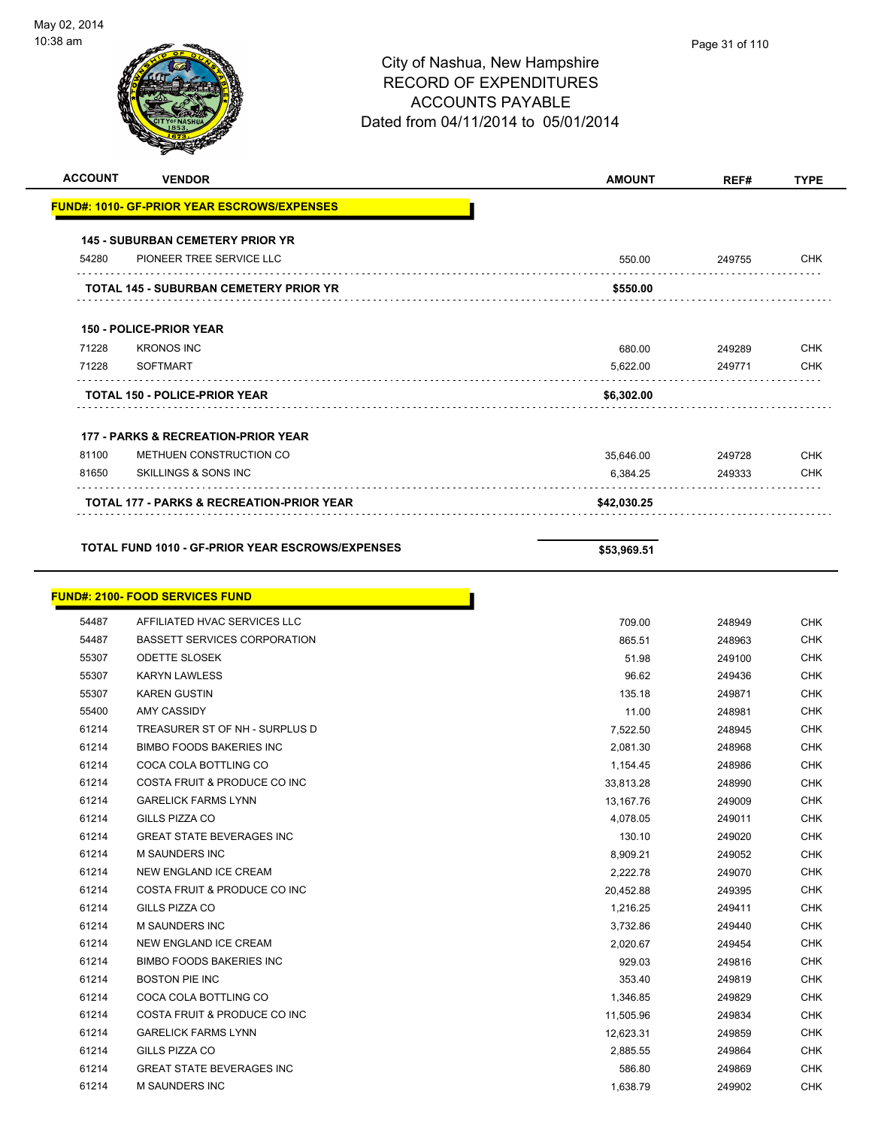| <b>ACCOUNT</b> | <b>VENDOR</b>                                           | <b>AMOUNT</b>        | REF#             | <b>TYPE</b>              |
|----------------|---------------------------------------------------------|----------------------|------------------|--------------------------|
|                | <u> FUND#: 1010- GF-PRIOR YEAR ESCROWS/EXPENSES</u>     |                      |                  |                          |
|                | <b>145 - SUBURBAN CEMETERY PRIOR YR</b>                 |                      |                  |                          |
| 54280          | PIONEER TREE SERVICE LLC                                | 550.00               | 249755           | <b>CHK</b>               |
|                |                                                         |                      |                  |                          |
|                | TOTAL 145 - SUBURBAN CEMETERY PRIOR YR                  | \$550.00             |                  |                          |
|                | <b>150 - POLICE-PRIOR YEAR</b>                          |                      |                  |                          |
| 71228          | <b>KRONOS INC</b>                                       | 680.00               | 249289           | <b>CHK</b>               |
| 71228          | <b>SOFTMART</b>                                         | 5.622.00             | 249771           | <b>CHK</b>               |
|                |                                                         |                      |                  |                          |
|                | <b>TOTAL 150 - POLICE-PRIOR YEAR</b>                    | \$6,302.00           |                  |                          |
|                | 177 - PARKS & RECREATION-PRIOR YEAR                     |                      |                  |                          |
| 81100          | METHUEN CONSTRUCTION CO                                 | 35,646.00            | 249728           | <b>CHK</b>               |
| 81650          | SKILLINGS & SONS INC                                    | 6,384.25             | 249333           | <b>CHK</b>               |
|                | <b>TOTAL 177 - PARKS &amp; RECREATION-PRIOR YEAR</b>    | \$42,030.25          |                  |                          |
|                |                                                         |                      |                  |                          |
|                | <b>TOTAL FUND 1010 - GF-PRIOR YEAR ESCROWS/EXPENSES</b> | \$53,969.51          |                  |                          |
|                |                                                         |                      |                  |                          |
|                | <u> FUND#: 2100- FOOD SERVICES FUND</u>                 |                      |                  |                          |
| 54487          | AFFILIATED HVAC SERVICES LLC                            | 709.00               | 248949           | <b>CHK</b>               |
| 54487          | BASSETT SERVICES CORPORATION                            | 865.51               | 248963           | <b>CHK</b>               |
| 55307          | <b>ODETTE SLOSEK</b>                                    | 51.98                | 249100           | <b>CHK</b>               |
| 55307          | <b>KARYN LAWLESS</b>                                    | 96.62                | 249436           | <b>CHK</b>               |
| 55307          | <b>KAREN GUSTIN</b>                                     | 135.18               | 249871           | <b>CHK</b>               |
| 55400          | AMY CASSIDY                                             | 11.00                | 248981           | <b>CHK</b>               |
| 61214          | TREASURER ST OF NH - SURPLUS D                          | 7,522.50             | 248945           | <b>CHK</b>               |
| 61214          | <b>BIMBO FOODS BAKERIES INC</b>                         | 2,081.30             | 248968           | <b>CHK</b>               |
| 61214          | COCA COLA BOTTLING CO                                   | 1,154.45             | 248986           | <b>CHK</b>               |
| 61214          | COSTA FRUIT & PRODUCE CO INC                            | 33,813.28            | 248990           | <b>CHK</b>               |
| 61214          | <b>GARELICK FARMS LYNN</b>                              | 13,167.76            | 249009           | <b>CHK</b>               |
| 61214<br>61214 | GILLS PIZZA CO<br><b>GREAT STATE BEVERAGES INC</b>      | 4,078.05             | 249011           | <b>CHK</b>               |
| 61214          | M SAUNDERS INC                                          | 130.10               | 249020           | <b>CHK</b><br><b>CHK</b> |
| 61214          | NEW ENGLAND ICE CREAM                                   | 8,909.21<br>2,222.78 | 249052<br>249070 | <b>CHK</b>               |
| 61214          | COSTA FRUIT & PRODUCE CO INC                            | 20,452.88            | 249395           | <b>CHK</b>               |
| 61214          | GILLS PIZZA CO                                          | 1,216.25             | 249411           | <b>CHK</b>               |
| 61214          | M SAUNDERS INC                                          | 3,732.86             | 249440           | <b>CHK</b>               |
| 61214          | NEW ENGLAND ICE CREAM                                   | 2,020.67             | 249454           | <b>CHK</b>               |
| 61214          | <b>BIMBO FOODS BAKERIES INC</b>                         | 929.03               | 249816           | <b>CHK</b>               |
| 61214          | <b>BOSTON PIE INC</b>                                   | 353.40               | 249819           | <b>CHK</b>               |
| 61214          | COCA COLA BOTTLING CO                                   | 1,346.85             | 249829           | <b>CHK</b>               |
| 61214          | COSTA FRUIT & PRODUCE CO INC                            | 11,505.96            | 249834           | <b>CHK</b>               |
| 61214          | <b>GARELICK FARMS LYNN</b>                              | 12,623.31            | 249859           | <b>CHK</b>               |
| 61214          | GILLS PIZZA CO                                          | 2,885.55             | 249864           | <b>CHK</b>               |
| 61214          | <b>GREAT STATE BEVERAGES INC</b>                        | 586.80               | 249869           | <b>CHK</b>               |
| 61214          | <b>M SAUNDERS INC</b>                                   | 1,638.79             | 249902           | <b>CHK</b>               |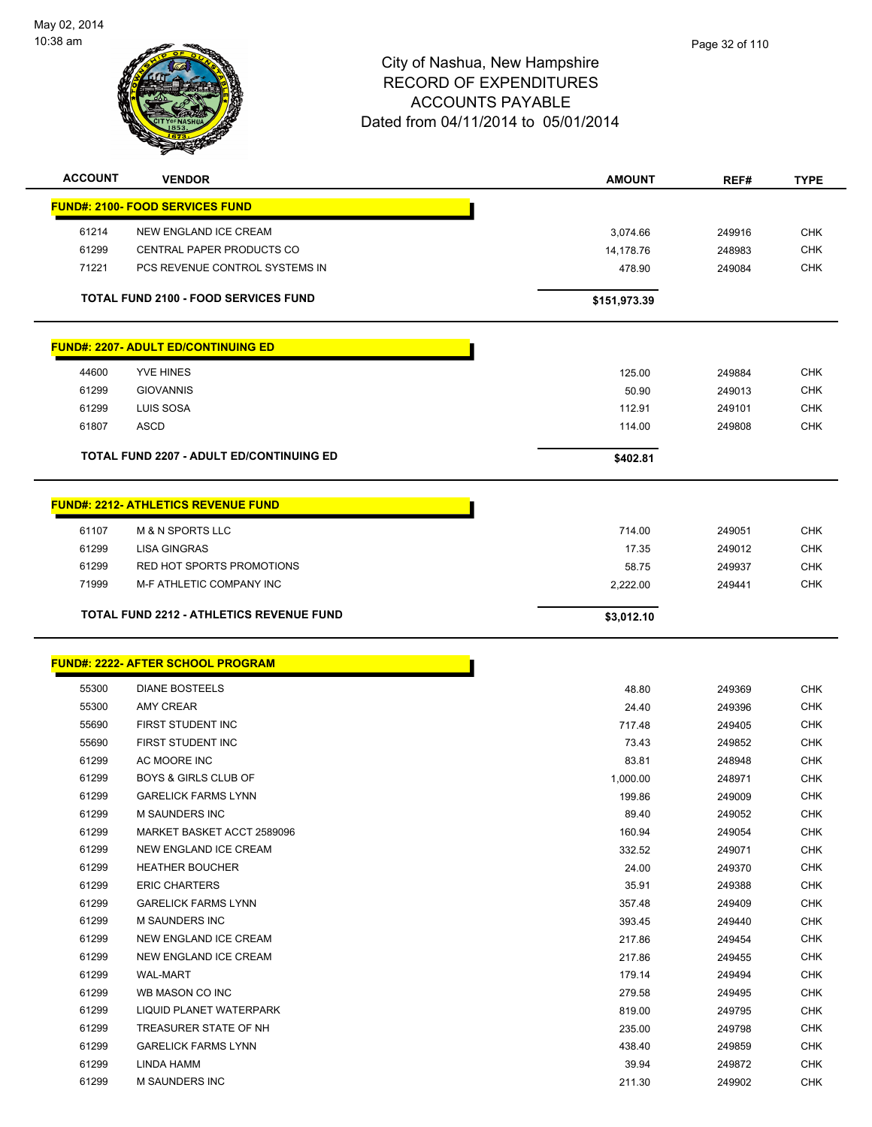

|       | <b>VENDOR</b>                                   | <b>AMOUNT</b> | REF#             | <b>TYPE</b> |
|-------|-------------------------------------------------|---------------|------------------|-------------|
|       | <b>FUND#: 2100- FOOD SERVICES FUND</b>          |               |                  |             |
| 61214 | NEW ENGLAND ICE CREAM                           | 3,074.66      | 249916           | <b>CHK</b>  |
| 61299 | CENTRAL PAPER PRODUCTS CO                       | 14,178.76     | 248983           | <b>CHK</b>  |
| 71221 | PCS REVENUE CONTROL SYSTEMS IN                  | 478.90        | 249084           | <b>CHK</b>  |
|       |                                                 |               |                  |             |
|       | <b>TOTAL FUND 2100 - FOOD SERVICES FUND</b>     | \$151,973.39  |                  |             |
|       | <b>FUND#: 2207- ADULT ED/CONTINUING ED</b>      |               |                  |             |
| 44600 | <b>YVE HINES</b>                                | 125.00        | 249884           | <b>CHK</b>  |
| 61299 | <b>GIOVANNIS</b>                                | 50.90         | 249013           | <b>CHK</b>  |
| 61299 | LUIS SOSA                                       | 112.91        | 249101           | <b>CHK</b>  |
| 61807 | <b>ASCD</b>                                     | 114.00        | 249808           | <b>CHK</b>  |
|       |                                                 |               |                  |             |
|       | <b>TOTAL FUND 2207 - ADULT ED/CONTINUING ED</b> | \$402.81      |                  |             |
|       | <b>FUND#: 2212- ATHLETICS REVENUE FUND</b>      |               |                  |             |
| 61107 | <b>M &amp; N SPORTS LLC</b>                     | 714.00        | 249051           | <b>CHK</b>  |
| 61299 | <b>LISA GINGRAS</b>                             | 17.35         | 249012           | <b>CHK</b>  |
| 61299 | <b>RED HOT SPORTS PROMOTIONS</b>                | 58.75         | 249937           | <b>CHK</b>  |
| 71999 | M-F ATHLETIC COMPANY INC                        | 2,222.00      | 249441           | <b>CHK</b>  |
|       |                                                 |               |                  |             |
|       | <b>TOTAL FUND 2212 - ATHLETICS REVENUE FUND</b> | \$3,012.10    |                  |             |
|       | <b>FUND#: 2222- AFTER SCHOOL PROGRAM</b>        |               |                  |             |
| 55300 | <b>DIANE BOSTEELS</b>                           | 48.80         | 249369           | <b>CHK</b>  |
| 55300 | AMY CREAR                                       | 24.40         |                  | <b>CHK</b>  |
| 55690 |                                                 |               |                  |             |
|       | FIRST STUDENT INC                               | 717.48        | 249396<br>249405 | <b>CHK</b>  |
| 55690 | FIRST STUDENT INC                               | 73.43         | 249852           | <b>CHK</b>  |
| 61299 | AC MOORE INC                                    | 83.81         | 248948           | <b>CHK</b>  |
| 61299 | <b>BOYS &amp; GIRLS CLUB OF</b>                 | 1,000.00      | 248971           | <b>CHK</b>  |
| 61299 | <b>GARELICK FARMS LYNN</b>                      | 199.86        | 249009           | <b>CHK</b>  |
| 61299 | M SAUNDERS INC                                  | 89.40         | 249052           | <b>CHK</b>  |
| 61299 | MARKET BASKET ACCT 2589096                      | 160.94        | 249054           | <b>CHK</b>  |
| 61299 | NEW ENGLAND ICE CREAM                           | 332.52        | 249071           | <b>CHK</b>  |
| 61299 | <b>HEATHER BOUCHER</b>                          | 24.00         | 249370           | <b>CHK</b>  |
| 61299 | <b>ERIC CHARTERS</b>                            | 35.91         | 249388           | <b>CHK</b>  |
| 61299 | <b>GARELICK FARMS LYNN</b>                      | 357.48        | 249409           | <b>CHK</b>  |
| 61299 | M SAUNDERS INC                                  | 393.45        | 249440           | <b>CHK</b>  |
| 61299 | NEW ENGLAND ICE CREAM                           | 217.86        | 249454           | <b>CHK</b>  |
| 61299 | NEW ENGLAND ICE CREAM                           | 217.86        | 249455           | CHK         |
| 61299 | <b>WAL-MART</b>                                 | 179.14        | 249494           | <b>CHK</b>  |
| 61299 | WB MASON CO INC                                 | 279.58        | 249495           | <b>CHK</b>  |
| 61299 | LIQUID PLANET WATERPARK                         | 819.00        | 249795           | <b>CHK</b>  |
| 61299 | TREASURER STATE OF NH                           | 235.00        | 249798           | <b>CHK</b>  |
| 61299 | <b>GARELICK FARMS LYNN</b>                      | 438.40        | 249859           | <b>CHK</b>  |
| 61299 | LINDA HAMM                                      | 39.94         | 249872           | <b>CHK</b>  |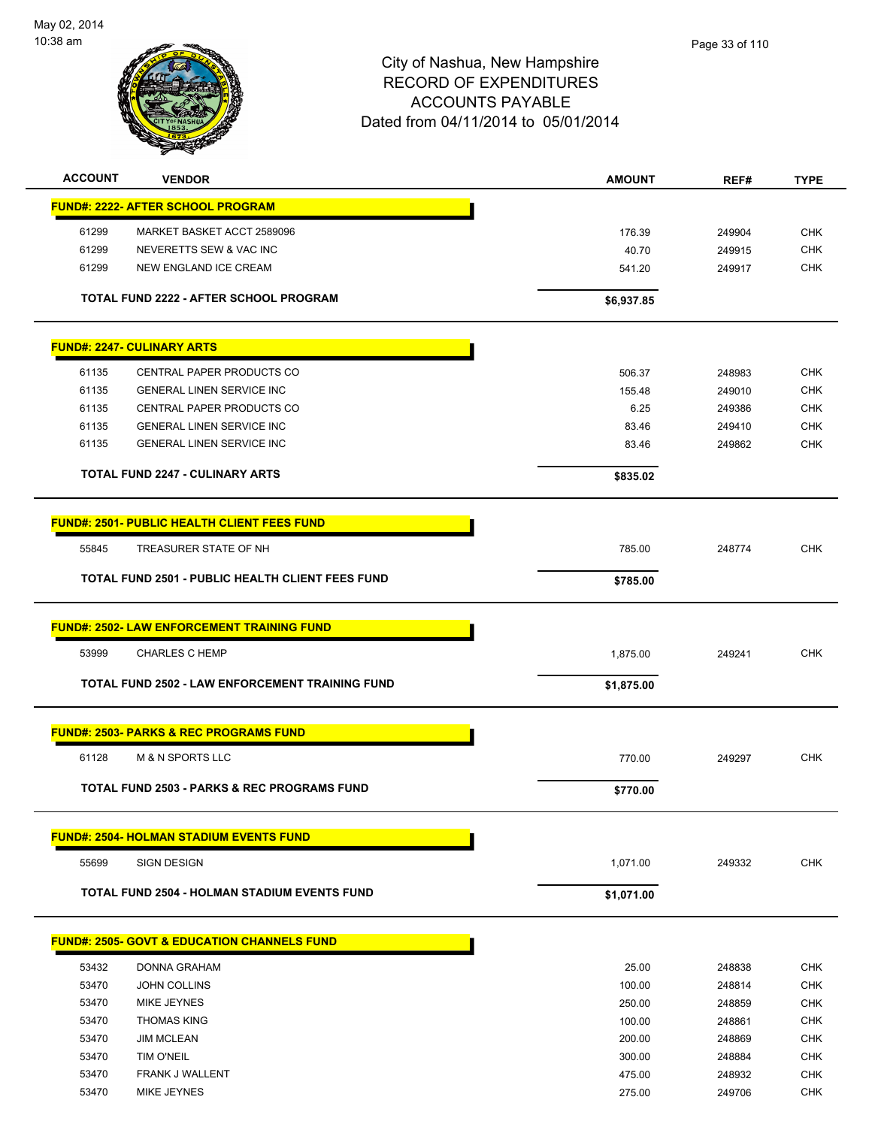

| <b>ACCOUNT</b> | <b>VENDOR</b>                                           | <b>AMOUNT</b>    | REF#             | <b>TYPE</b>              |
|----------------|---------------------------------------------------------|------------------|------------------|--------------------------|
|                | <u> FUND#: 2222- AFTER SCHOOL PROGRAM</u>               |                  |                  |                          |
| 61299          | MARKET BASKET ACCT 2589096                              | 176.39           | 249904           | <b>CHK</b>               |
| 61299          | NEVERETTS SEW & VAC INC                                 | 40.70            | 249915           | <b>CHK</b>               |
| 61299          | NEW ENGLAND ICE CREAM                                   | 541.20           | 249917           | <b>CHK</b>               |
|                |                                                         |                  |                  |                          |
|                | TOTAL FUND 2222 - AFTER SCHOOL PROGRAM                  | \$6,937.85       |                  |                          |
|                | <b>FUND#: 2247- CULINARY ARTS</b>                       |                  |                  |                          |
| 61135          | CENTRAL PAPER PRODUCTS CO                               | 506.37           | 248983           | <b>CHK</b>               |
| 61135          | <b>GENERAL LINEN SERVICE INC</b>                        | 155.48           | 249010           | <b>CHK</b>               |
| 61135          | CENTRAL PAPER PRODUCTS CO                               | 6.25             | 249386           | <b>CHK</b>               |
| 61135          | <b>GENERAL LINEN SERVICE INC</b>                        | 83.46            | 249410           | <b>CHK</b>               |
| 61135          | <b>GENERAL LINEN SERVICE INC</b>                        | 83.46            | 249862           | <b>CHK</b>               |
|                | <b>TOTAL FUND 2247 - CULINARY ARTS</b>                  | \$835.02         |                  |                          |
|                |                                                         |                  |                  |                          |
|                | <b>FUND#: 2501- PUBLIC HEALTH CLIENT FEES FUND</b>      |                  |                  |                          |
| 55845          | TREASURER STATE OF NH                                   | 785.00           | 248774           | <b>CHK</b>               |
|                | <b>TOTAL FUND 2501 - PUBLIC HEALTH CLIENT FEES FUND</b> | \$785.00         |                  |                          |
|                | <b>FUND#: 2502- LAW ENFORCEMENT TRAINING FUND</b>       |                  |                  |                          |
| 53999          | <b>CHARLES C HEMP</b>                                   | 1,875.00         | 249241           | <b>CHK</b>               |
|                |                                                         |                  |                  |                          |
|                | <b>TOTAL FUND 2502 - LAW ENFORCEMENT TRAINING FUND</b>  | \$1,875.00       |                  |                          |
|                | <b>FUND#: 2503- PARKS &amp; REC PROGRAMS FUND</b>       |                  |                  |                          |
| 61128          | <b>M &amp; N SPORTS LLC</b>                             | 770.00           | 249297           | <b>CHK</b>               |
|                | <b>TOTAL FUND 2503 - PARKS &amp; REC PROGRAMS FUND</b>  | \$770.00         |                  |                          |
|                | <b>FUND#: 2504- HOLMAN STADIUM EVENTS FUND</b>          |                  |                  |                          |
| 55699          | <b>SIGN DESIGN</b>                                      | 1,071.00         | 249332           | <b>CHK</b>               |
|                | <b>TOTAL FUND 2504 - HOLMAN STADIUM EVENTS FUND</b>     | \$1,071.00       |                  |                          |
|                | <b>FUND#: 2505- GOVT &amp; EDUCATION CHANNELS FUND</b>  |                  |                  |                          |
|                |                                                         |                  |                  |                          |
| 53432          | DONNA GRAHAM                                            | 25.00            | 248838           | <b>CHK</b>               |
| 53470          | <b>JOHN COLLINS</b>                                     | 100.00           | 248814           | <b>CHK</b>               |
| 53470          | MIKE JEYNES                                             | 250.00           | 248859           | <b>CHK</b>               |
| 53470          | <b>THOMAS KING</b>                                      | 100.00           | 248861           | <b>CHK</b>               |
| 53470          | <b>JIM MCLEAN</b>                                       | 200.00           | 248869           | <b>CHK</b>               |
| 53470<br>53470 | <b>TIM O'NEIL</b><br>FRANK J WALLENT                    | 300.00<br>475.00 | 248884<br>248932 | <b>CHK</b><br><b>CHK</b> |
| 53470          | MIKE JEYNES                                             | 275.00           | 249706           | <b>CHK</b>               |
|                |                                                         |                  |                  |                          |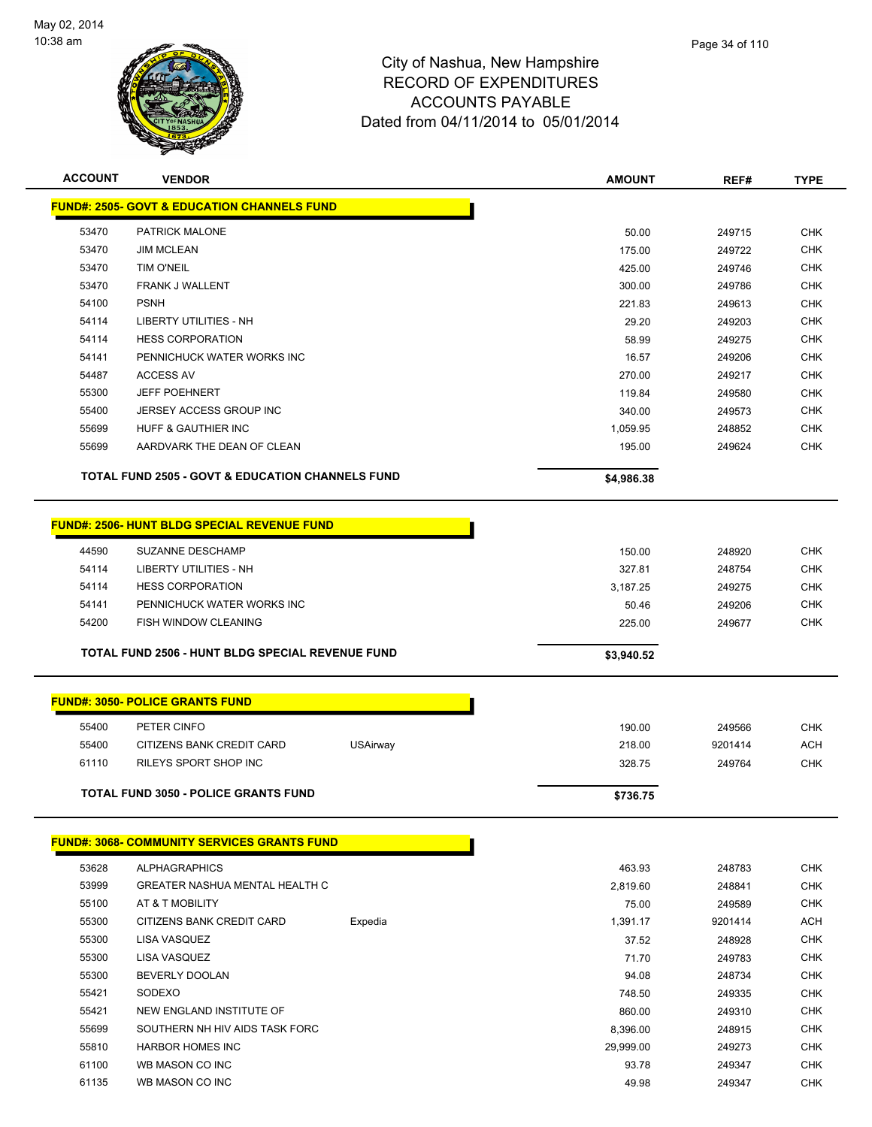

| <b>ACCOUNT</b> | <b>VENDOR</b>                                               |                 | <b>AMOUNT</b>    | REF#             | <b>TYPE</b> |
|----------------|-------------------------------------------------------------|-----------------|------------------|------------------|-------------|
|                | <b>FUND#: 2505- GOVT &amp; EDUCATION CHANNELS FUND</b>      |                 |                  |                  |             |
| 53470          | PATRICK MALONE                                              |                 | 50.00            | 249715           | <b>CHK</b>  |
| 53470          | <b>JIM MCLEAN</b>                                           |                 | 175.00           | 249722           | <b>CHK</b>  |
| 53470          | <b>TIM O'NEIL</b>                                           |                 | 425.00           | 249746           | <b>CHK</b>  |
| 53470          | FRANK J WALLENT                                             |                 | 300.00           | 249786           | <b>CHK</b>  |
| 54100          | <b>PSNH</b>                                                 |                 | 221.83           | 249613           | <b>CHK</b>  |
| 54114          | LIBERTY UTILITIES - NH                                      |                 | 29.20            | 249203           | <b>CHK</b>  |
| 54114          | <b>HESS CORPORATION</b>                                     |                 | 58.99            | 249275           | <b>CHK</b>  |
| 54141          | PENNICHUCK WATER WORKS INC                                  |                 | 16.57            | 249206           | <b>CHK</b>  |
| 54487          | <b>ACCESS AV</b>                                            |                 | 270.00           | 249217           | <b>CHK</b>  |
| 55300          | <b>JEFF POEHNERT</b>                                        |                 | 119.84           | 249580           | <b>CHK</b>  |
| 55400          | JERSEY ACCESS GROUP INC                                     |                 | 340.00           | 249573           | <b>CHK</b>  |
| 55699          | HUFF & GAUTHIER INC                                         |                 | 1,059.95         | 248852           | <b>CHK</b>  |
| 55699          | AARDVARK THE DEAN OF CLEAN                                  |                 | 195.00           | 249624           | <b>CHK</b>  |
|                | <b>TOTAL FUND 2505 - GOVT &amp; EDUCATION CHANNELS FUND</b> |                 | \$4,986.38       |                  |             |
|                | FUND#: 2506- HUNT BLDG SPECIAL REVENUE FUND                 |                 |                  |                  |             |
| 44590          | SUZANNE DESCHAMP                                            |                 |                  |                  | <b>CHK</b>  |
| 54114          | LIBERTY UTILITIES - NH                                      |                 | 150.00<br>327.81 | 248920<br>248754 | <b>CHK</b>  |
| 54114          | <b>HESS CORPORATION</b>                                     |                 | 3,187.25         | 249275           | <b>CHK</b>  |
| 54141          | PENNICHUCK WATER WORKS INC                                  |                 | 50.46            | 249206           | <b>CHK</b>  |
| 54200          | <b>FISH WINDOW CLEANING</b>                                 |                 | 225.00           | 249677           | <b>CHK</b>  |
|                |                                                             |                 |                  |                  |             |
|                | TOTAL FUND 2506 - HUNT BLDG SPECIAL REVENUE FUND            |                 | \$3,940.52       |                  |             |
|                | <b>FUND#: 3050- POLICE GRANTS FUND</b>                      |                 |                  |                  |             |
| 55400          | PETER CINFO                                                 |                 | 190.00           | 249566           | <b>CHK</b>  |
| 55400          | CITIZENS BANK CREDIT CARD                                   | <b>USAirway</b> | 218.00           | 9201414          | ACH         |
| 61110          | <b>RILEYS SPORT SHOP INC</b>                                |                 | 328.75           | 249764           | <b>CHK</b>  |
|                |                                                             |                 |                  |                  |             |
|                | TOTAL FUND 3050 - POLICE GRANTS FUND                        |                 | \$736.75         |                  |             |
|                | <b>FUND#: 3068- COMMUNITY SERVICES GRANTS FUND</b>          |                 |                  |                  |             |
| 53628          | <b>ALPHAGRAPHICS</b>                                        |                 | 463.93           | 248783           | <b>CHK</b>  |
| 53999          | <b>GREATER NASHUA MENTAL HEALTH C</b>                       |                 | 2,819.60         | 248841           | <b>CHK</b>  |
| 55100          | AT & T MOBILITY                                             |                 | 75.00            | 249589           | <b>CHK</b>  |
| 55300          | CITIZENS BANK CREDIT CARD                                   | Expedia         | 1,391.17         | 9201414          | <b>ACH</b>  |
| 55300          | LISA VASQUEZ                                                |                 | 37.52            | 248928           | <b>CHK</b>  |
| 55300          | LISA VASQUEZ                                                |                 | 71.70            | 249783           | <b>CHK</b>  |
| 55300          | BEVERLY DOOLAN                                              |                 | 94.08            | 248734           | <b>CHK</b>  |
| 55421          | SODEXO                                                      |                 | 748.50           | 249335           | <b>CHK</b>  |
| 55421          | NEW ENGLAND INSTITUTE OF                                    |                 | 860.00           | 249310           | <b>CHK</b>  |
| 55699          | SOUTHERN NH HIV AIDS TASK FORC                              |                 | 8,396.00         | 248915           | <b>CHK</b>  |
| 55810          | <b>HARBOR HOMES INC</b>                                     |                 | 29,999.00        | 249273           | <b>CHK</b>  |
| 61100          | WB MASON CO INC                                             |                 | 93.78            | 249347           | <b>CHK</b>  |
| 61135          | WB MASON CO INC                                             |                 | 49.98            | 249347           | <b>CHK</b>  |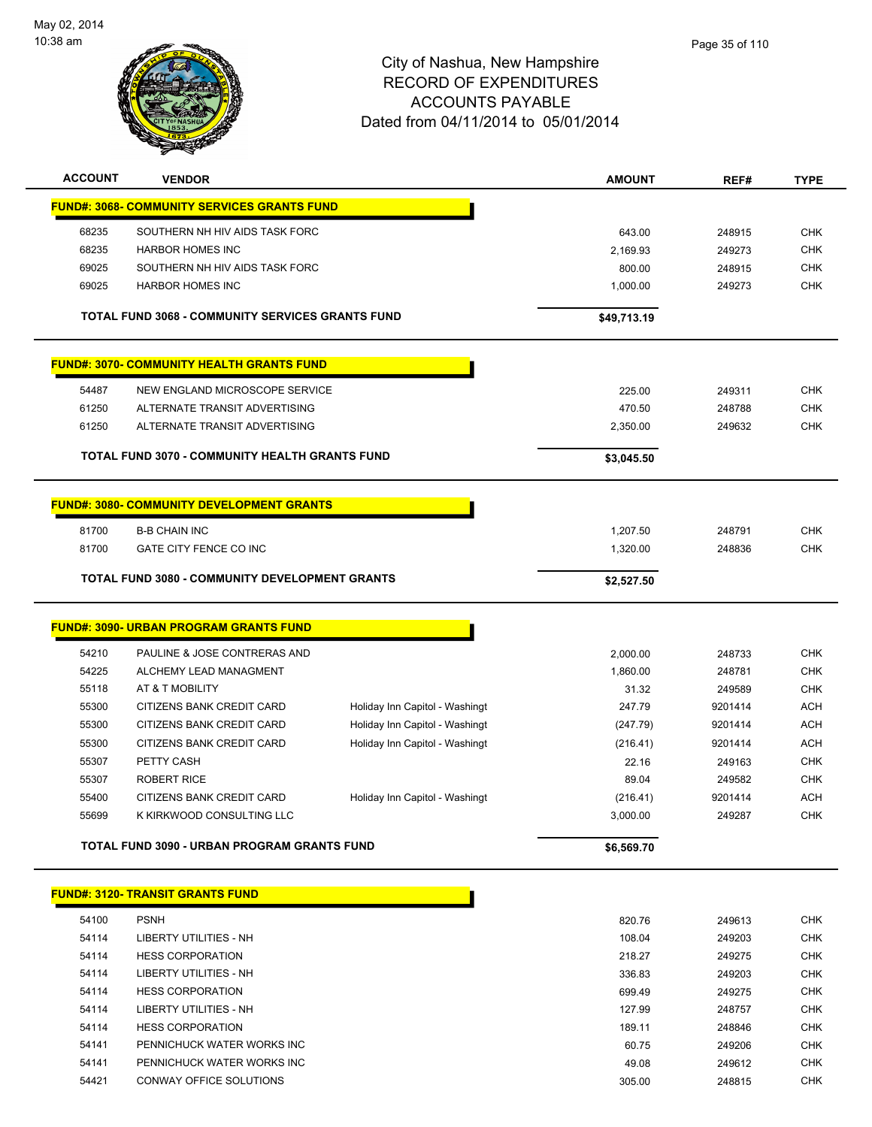

| <b>ACCOUNT</b> | <b>VENDOR</b>                                             |                                | <b>AMOUNT</b>      | REF#             | <b>TYPE</b>              |
|----------------|-----------------------------------------------------------|--------------------------------|--------------------|------------------|--------------------------|
|                | <b>FUND#: 3068- COMMUNITY SERVICES GRANTS FUND</b>        |                                |                    |                  |                          |
|                |                                                           |                                |                    |                  |                          |
| 68235<br>68235 | SOUTHERN NH HIV AIDS TASK FORC<br><b>HARBOR HOMES INC</b> |                                | 643.00             | 248915           | <b>CHK</b>               |
| 69025          | SOUTHERN NH HIV AIDS TASK FORC                            |                                | 2,169.93<br>800.00 | 249273<br>248915 | <b>CHK</b><br><b>CHK</b> |
| 69025          | <b>HARBOR HOMES INC</b>                                   |                                | 1,000.00           | 249273           | <b>CHK</b>               |
|                |                                                           |                                |                    |                  |                          |
|                | TOTAL FUND 3068 - COMMUNITY SERVICES GRANTS FUND          |                                | \$49,713.19        |                  |                          |
|                | <b>FUND#: 3070- COMMUNITY HEALTH GRANTS FUND</b>          |                                |                    |                  |                          |
| 54487          | NEW ENGLAND MICROSCOPE SERVICE                            |                                | 225.00             | 249311           | <b>CHK</b>               |
| 61250          | ALTERNATE TRANSIT ADVERTISING                             |                                | 470.50             | 248788           | <b>CHK</b>               |
| 61250          | ALTERNATE TRANSIT ADVERTISING                             |                                | 2,350.00           | 249632           | <b>CHK</b>               |
|                |                                                           |                                |                    |                  |                          |
|                | TOTAL FUND 3070 - COMMUNITY HEALTH GRANTS FUND            |                                | \$3,045.50         |                  |                          |
|                | <b>FUND#: 3080- COMMUNITY DEVELOPMENT GRANTS</b>          |                                |                    |                  |                          |
| 81700          | <b>B-B CHAIN INC</b>                                      |                                | 1,207.50           | 248791           | <b>CHK</b>               |
| 81700          | GATE CITY FENCE CO INC                                    |                                | 1,320.00           | 248836           | <b>CHK</b>               |
|                |                                                           |                                |                    |                  |                          |
|                | <b>TOTAL FUND 3080 - COMMUNITY DEVELOPMENT GRANTS</b>     |                                | \$2,527.50         |                  |                          |
|                | <b>FUND#: 3090- URBAN PROGRAM GRANTS FUND</b>             |                                |                    |                  |                          |
|                |                                                           |                                |                    |                  |                          |
| 54210          | PAULINE & JOSE CONTRERAS AND                              |                                | 2,000.00           | 248733           | <b>CHK</b>               |
| 54225          | ALCHEMY LEAD MANAGMENT                                    |                                | 1,860.00           | 248781           | <b>CHK</b>               |
| 55118          | AT & T MOBILITY                                           |                                | 31.32              | 249589           | <b>CHK</b>               |
| 55300          | CITIZENS BANK CREDIT CARD                                 | Holiday Inn Capitol - Washingt | 247.79             | 9201414          | <b>ACH</b>               |
| 55300          | CITIZENS BANK CREDIT CARD                                 | Holiday Inn Capitol - Washingt | (247.79)           | 9201414          | <b>ACH</b>               |
| 55300          | CITIZENS BANK CREDIT CARD                                 | Holiday Inn Capitol - Washingt | (216.41)           | 9201414          | <b>ACH</b>               |
| 55307          | PETTY CASH                                                |                                | 22.16              | 249163           | <b>CHK</b>               |
| 55307          | <b>ROBERT RICE</b>                                        |                                | 89.04              | 249582           | <b>CHK</b>               |
| 55400          | CITIZENS BANK CREDIT CARD<br>K KIRKWOOD CONSULTING LLC    | Holiday Inn Capitol - Washingt | (216.41)           | 9201414          | <b>ACH</b>               |
| 55699          |                                                           |                                | 3,000.00           | 249287           | <b>CHK</b>               |
|                | TOTAL FUND 3090 - URBAN PROGRAM GRANTS FUND               |                                | \$6,569.70         |                  |                          |
|                | <b>FUND#: 3120- TRANSIT GRANTS FUND</b>                   |                                |                    |                  |                          |
|                |                                                           |                                |                    |                  |                          |
| 54100          | <b>PSNH</b>                                               |                                | 820.76             | 249613           | <b>CHK</b>               |
| 54114          | LIBERTY UTILITIES - NH                                    |                                | 108.04             | 249203           | <b>CHK</b>               |
| 54114          | <b>HESS CORPORATION</b><br>LIBERTY UTILITIES - NH         |                                | 218.27             | 249275           | <b>CHK</b>               |
| 54114<br>54114 | <b>HESS CORPORATION</b>                                   |                                | 336.83<br>699.49   | 249203           | CHK<br>CHK               |
| 54114          | LIBERTY UTILITIES - NH                                    |                                | 127.99             | 249275<br>248757 | CHK                      |
| 54114          | <b>HESS CORPORATION</b>                                   |                                | 189.11             | 248846           | <b>CHK</b>               |
| 54141          | PENNICHUCK WATER WORKS INC                                |                                | 60.75              | 249206           | <b>CHK</b>               |
| 54141          | PENNICHUCK WATER WORKS INC                                |                                | 49.08              | 249612           | <b>CHK</b>               |
| 54421          | CONWAY OFFICE SOLUTIONS                                   |                                | 305.00             | 248815           | <b>CHK</b>               |
|                |                                                           |                                |                    |                  |                          |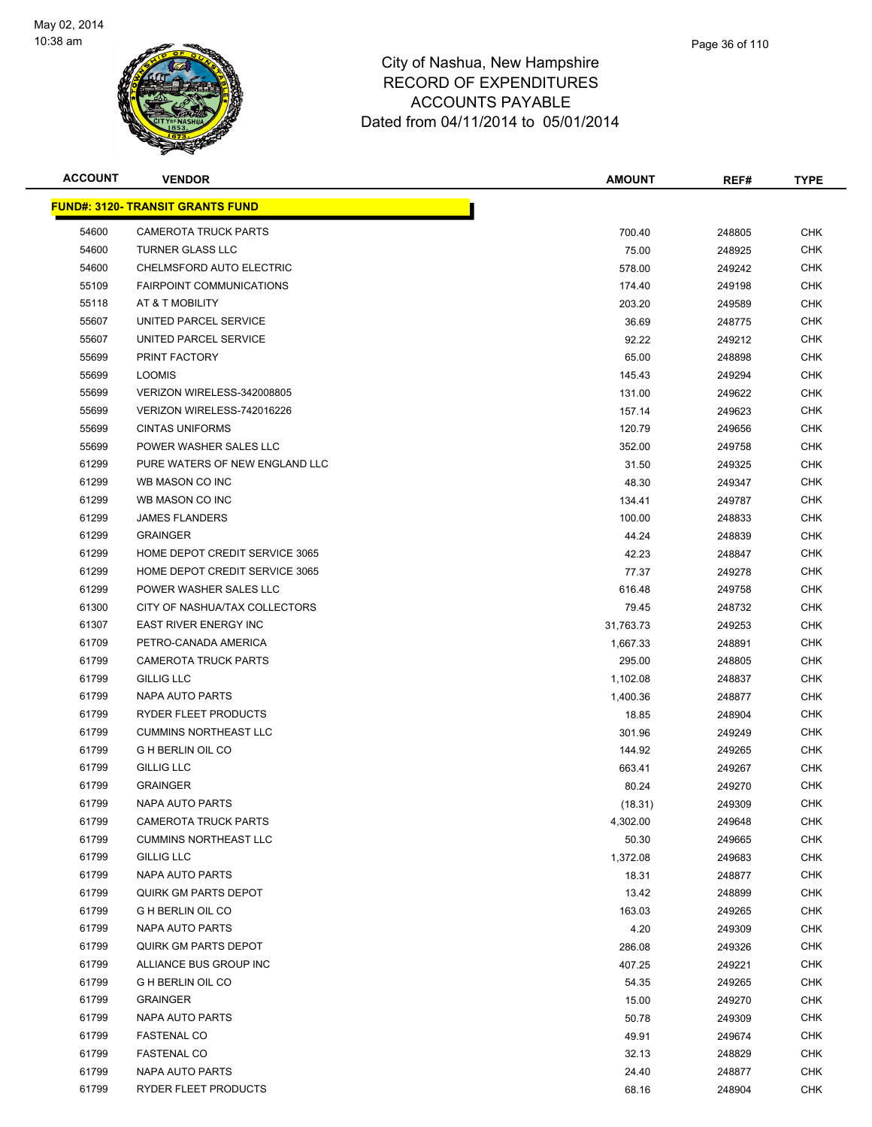

| <b>ACCOUNT</b> | <b>VENDOR</b>                           | <b>AMOUNT</b> | REF#   | <b>TYPE</b> |
|----------------|-----------------------------------------|---------------|--------|-------------|
|                | <u>FUND#: 3120- TRANSIT GRANTS FUND</u> |               |        |             |
| 54600          | <b>CAMEROTA TRUCK PARTS</b>             | 700.40        | 248805 | <b>CHK</b>  |
| 54600          | <b>TURNER GLASS LLC</b>                 | 75.00         | 248925 | <b>CHK</b>  |
| 54600          | CHELMSFORD AUTO ELECTRIC                | 578.00        | 249242 | <b>CHK</b>  |
| 55109          | <b>FAIRPOINT COMMUNICATIONS</b>         | 174.40        | 249198 | <b>CHK</b>  |
| 55118          | AT & T MOBILITY                         | 203.20        | 249589 | <b>CHK</b>  |
| 55607          | UNITED PARCEL SERVICE                   | 36.69         | 248775 | <b>CHK</b>  |
| 55607          | UNITED PARCEL SERVICE                   | 92.22         | 249212 | <b>CHK</b>  |
| 55699          | PRINT FACTORY                           | 65.00         | 248898 | <b>CHK</b>  |
| 55699          | <b>LOOMIS</b>                           | 145.43        | 249294 | <b>CHK</b>  |
| 55699          | VERIZON WIRELESS-342008805              | 131.00        | 249622 | <b>CHK</b>  |
| 55699          | VERIZON WIRELESS-742016226              | 157.14        | 249623 | CHK         |
| 55699          | <b>CINTAS UNIFORMS</b>                  | 120.79        | 249656 | <b>CHK</b>  |
| 55699          | POWER WASHER SALES LLC                  | 352.00        | 249758 | <b>CHK</b>  |
| 61299          | PURE WATERS OF NEW ENGLAND LLC          | 31.50         | 249325 | CHK         |
| 61299          | WB MASON CO INC                         | 48.30         | 249347 | <b>CHK</b>  |
| 61299          | WB MASON CO INC                         | 134.41        | 249787 | <b>CHK</b>  |
| 61299          | <b>JAMES FLANDERS</b>                   | 100.00        | 248833 | <b>CHK</b>  |
| 61299          | <b>GRAINGER</b>                         | 44.24         | 248839 | <b>CHK</b>  |
| 61299          | HOME DEPOT CREDIT SERVICE 3065          | 42.23         | 248847 | <b>CHK</b>  |
| 61299          | HOME DEPOT CREDIT SERVICE 3065          | 77.37         | 249278 | <b>CHK</b>  |
| 61299          | POWER WASHER SALES LLC                  | 616.48        | 249758 | CHK         |
| 61300          | CITY OF NASHUA/TAX COLLECTORS           | 79.45         | 248732 | CHK         |
| 61307          | <b>EAST RIVER ENERGY INC</b>            | 31,763.73     | 249253 | <b>CHK</b>  |
| 61709          | PETRO-CANADA AMERICA                    | 1,667.33      | 248891 | <b>CHK</b>  |
| 61799          | <b>CAMEROTA TRUCK PARTS</b>             | 295.00        | 248805 | CHK         |
| 61799          | <b>GILLIG LLC</b>                       | 1,102.08      | 248837 | <b>CHK</b>  |
| 61799          | NAPA AUTO PARTS                         | 1,400.36      | 248877 | <b>CHK</b>  |
| 61799          | RYDER FLEET PRODUCTS                    | 18.85         | 248904 | <b>CHK</b>  |
| 61799          | <b>CUMMINS NORTHEAST LLC</b>            | 301.96        | 249249 | <b>CHK</b>  |
| 61799          | <b>G H BERLIN OIL CO</b>                | 144.92        | 249265 | <b>CHK</b>  |
| 61799          | <b>GILLIG LLC</b>                       | 663.41        | 249267 | CHK         |
| 61799          | <b>GRAINGER</b>                         | 80.24         | 249270 | CHK         |
| 61799          | <b>NAPA AUTO PARTS</b>                  | (18.31)       | 249309 | <b>CHK</b>  |
| 61799          | <b>CAMEROTA TRUCK PARTS</b>             | 4,302.00      | 249648 | <b>CHK</b>  |
| 61799          | <b>CUMMINS NORTHEAST LLC</b>            | 50.30         | 249665 | <b>CHK</b>  |
| 61799          | <b>GILLIG LLC</b>                       | 1,372.08      | 249683 | <b>CHK</b>  |
| 61799          | NAPA AUTO PARTS                         | 18.31         | 248877 | <b>CHK</b>  |
| 61799          | QUIRK GM PARTS DEPOT                    | 13.42         | 248899 | <b>CHK</b>  |
| 61799          | <b>G H BERLIN OIL CO</b>                | 163.03        | 249265 | <b>CHK</b>  |
| 61799          | NAPA AUTO PARTS                         | 4.20          | 249309 | <b>CHK</b>  |
| 61799          | <b>QUIRK GM PARTS DEPOT</b>             | 286.08        | 249326 | <b>CHK</b>  |
| 61799          | ALLIANCE BUS GROUP INC                  | 407.25        | 249221 | <b>CHK</b>  |
| 61799          | <b>G H BERLIN OIL CO</b>                | 54.35         | 249265 | <b>CHK</b>  |
| 61799          | <b>GRAINGER</b>                         | 15.00         | 249270 | <b>CHK</b>  |
| 61799          | NAPA AUTO PARTS                         | 50.78         | 249309 | <b>CHK</b>  |
| 61799          | <b>FASTENAL CO</b>                      | 49.91         | 249674 | <b>CHK</b>  |
| 61799          | <b>FASTENAL CO</b>                      | 32.13         | 248829 | <b>CHK</b>  |
| 61799          | NAPA AUTO PARTS                         | 24.40         | 248877 | <b>CHK</b>  |
| 61799          | RYDER FLEET PRODUCTS                    | 68.16         | 248904 | <b>CHK</b>  |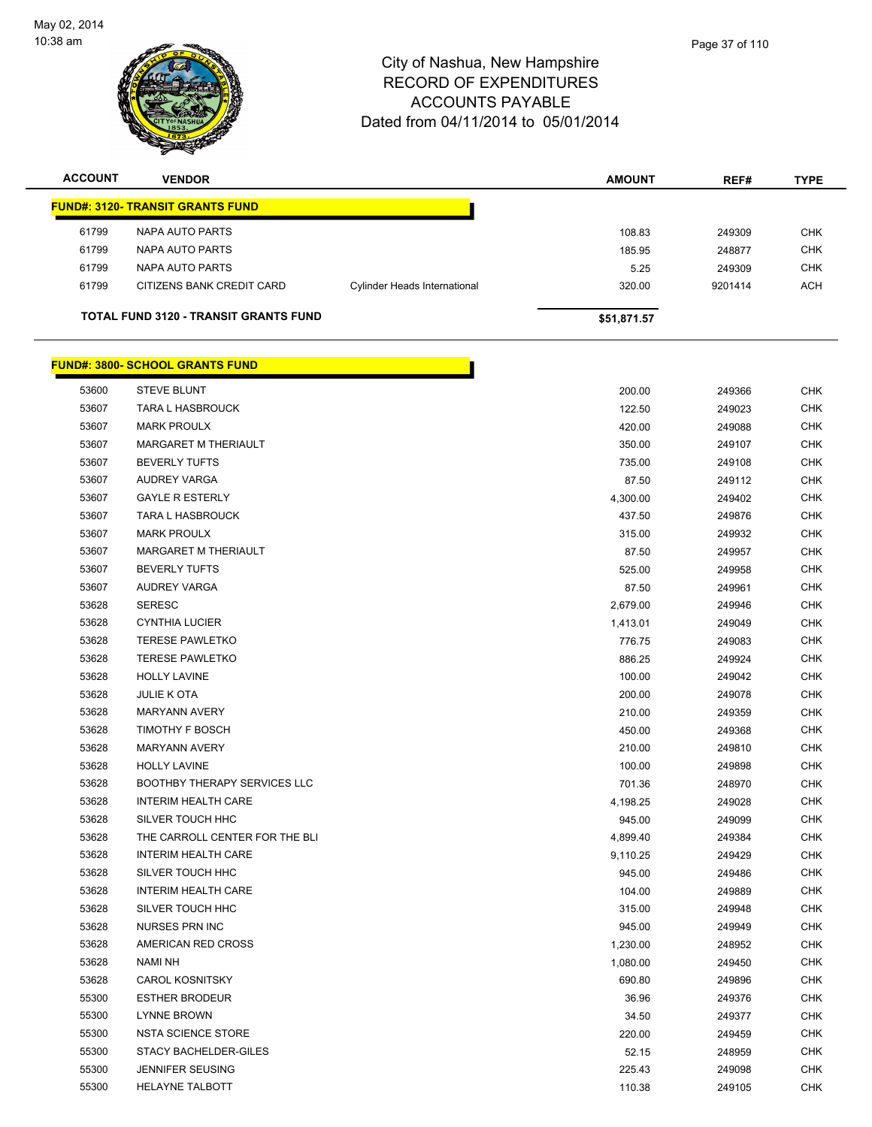

| <b>ACCOUNT</b> | <b>VENDOR</b>                           |                                     | <b>AMOUNT</b> | REF#    | <b>TYPE</b> |
|----------------|-----------------------------------------|-------------------------------------|---------------|---------|-------------|
|                | <b>FUND#: 3120- TRANSIT GRANTS FUND</b> |                                     |               |         |             |
| 61799          | NAPA AUTO PARTS                         |                                     | 108.83        | 249309  | <b>CHK</b>  |
| 61799          | NAPA AUTO PARTS                         |                                     | 185.95        | 248877  | <b>CHK</b>  |
| 61799          | NAPA AUTO PARTS                         |                                     | 5.25          | 249309  | <b>CHK</b>  |
| 61799          | CITIZENS BANK CREDIT CARD               | <b>Cylinder Heads International</b> | 320.00        | 9201414 | <b>ACH</b>  |
|                |                                         |                                     |               |         |             |

**TOTAL FUND 3120 - TRANSIT GRANTS FUND \$51,871.57** 

|       | <b>FUND#: 3800- SCHOOL GRANTS FUND</b> |          |        |  |
|-------|----------------------------------------|----------|--------|--|
| 53600 | <b>STEVE BLUNT</b>                     | 200.00   | 249366 |  |
| 53607 | <b>TARA L HASBROUCK</b>                | 122.50   | 249023 |  |
| 53607 | <b>MARK PROULX</b>                     | 420.00   | 249088 |  |
| 53607 | MARGARET M THERIAULT                   | 350.00   | 249107 |  |
| 53607 | <b>BEVERLY TUFTS</b>                   | 735.00   | 249108 |  |
| 53607 | <b>AUDREY VARGA</b>                    | 87.50    | 249112 |  |
| 53607 | <b>GAYLE R ESTERLY</b>                 | 4,300.00 | 249402 |  |
| 53607 | TARA L HASBROUCK                       | 437.50   | 249876 |  |
| 53607 | <b>MARK PROULX</b>                     | 315.00   | 249932 |  |
| 53607 | MARGARET M THERIAULT                   | 87.50    | 249957 |  |
| 53607 | <b>BEVERLY TUFTS</b>                   | 525.00   | 249958 |  |
| 53607 | <b>AUDREY VARGA</b>                    | 87.50    | 249961 |  |
| 53628 | <b>SERESC</b>                          | 2,679.00 | 249946 |  |
| 53628 | <b>CYNTHIA LUCIER</b>                  | 1,413.01 | 249049 |  |
| 53628 | <b>TERESE PAWLETKO</b>                 | 776.75   | 249083 |  |
| 53628 | <b>TERESE PAWLETKO</b>                 | 886.25   | 249924 |  |
| 53628 | <b>HOLLY LAVINE</b>                    | 100.00   | 249042 |  |
| 53628 | <b>JULIE K OTA</b>                     | 200.00   | 249078 |  |
| 53628 | <b>MARYANN AVERY</b>                   | 210.00   | 249359 |  |
| 53628 | <b>TIMOTHY F BOSCH</b>                 | 450.00   | 249368 |  |
| 53628 | <b>MARYANN AVERY</b>                   | 210.00   | 249810 |  |
| 53628 | <b>HOLLY LAVINE</b>                    | 100.00   | 249898 |  |
| 53628 | <b>BOOTHBY THERAPY SERVICES LLC</b>    | 701.36   | 248970 |  |
| 53628 | <b>INTERIM HEALTH CARE</b>             | 4,198.25 | 249028 |  |
| 53628 | SILVER TOUCH HHC                       | 945.00   | 249099 |  |
| 53628 | THE CARROLL CENTER FOR THE BLI         | 4,899.40 | 249384 |  |
| 53628 | <b>INTERIM HEALTH CARE</b>             | 9,110.25 | 249429 |  |
| 53628 | SILVER TOUCH HHC                       | 945.00   | 249486 |  |
| 53628 | <b>INTERIM HEALTH CARE</b>             | 104.00   | 249889 |  |
| 53628 | SILVER TOUCH HHC                       | 315.00   | 249948 |  |
| 53628 | <b>NURSES PRN INC</b>                  | 945.00   | 249949 |  |
| 53628 | AMERICAN RED CROSS                     | 1,230.00 | 248952 |  |
| 53628 | NAMI NH                                | 1,080.00 | 249450 |  |
| 53628 | <b>CAROL KOSNITSKY</b>                 | 690.80   | 249896 |  |
| 55300 | <b>ESTHER BRODEUR</b>                  | 36.96    | 249376 |  |
| 55300 | <b>LYNNE BROWN</b>                     | 34.50    | 249377 |  |
| 55300 | <b>NSTA SCIENCE STORE</b>              | 220.00   | 249459 |  |
| 55300 | STACY BACHELDER-GILES                  | 52.15    | 248959 |  |
| 55300 | <b>JENNIFER SEUSING</b>                | 225.43   | 249098 |  |
| 55300 | <b>HELAYNE TALBOTT</b>                 | 110.38   | 249105 |  |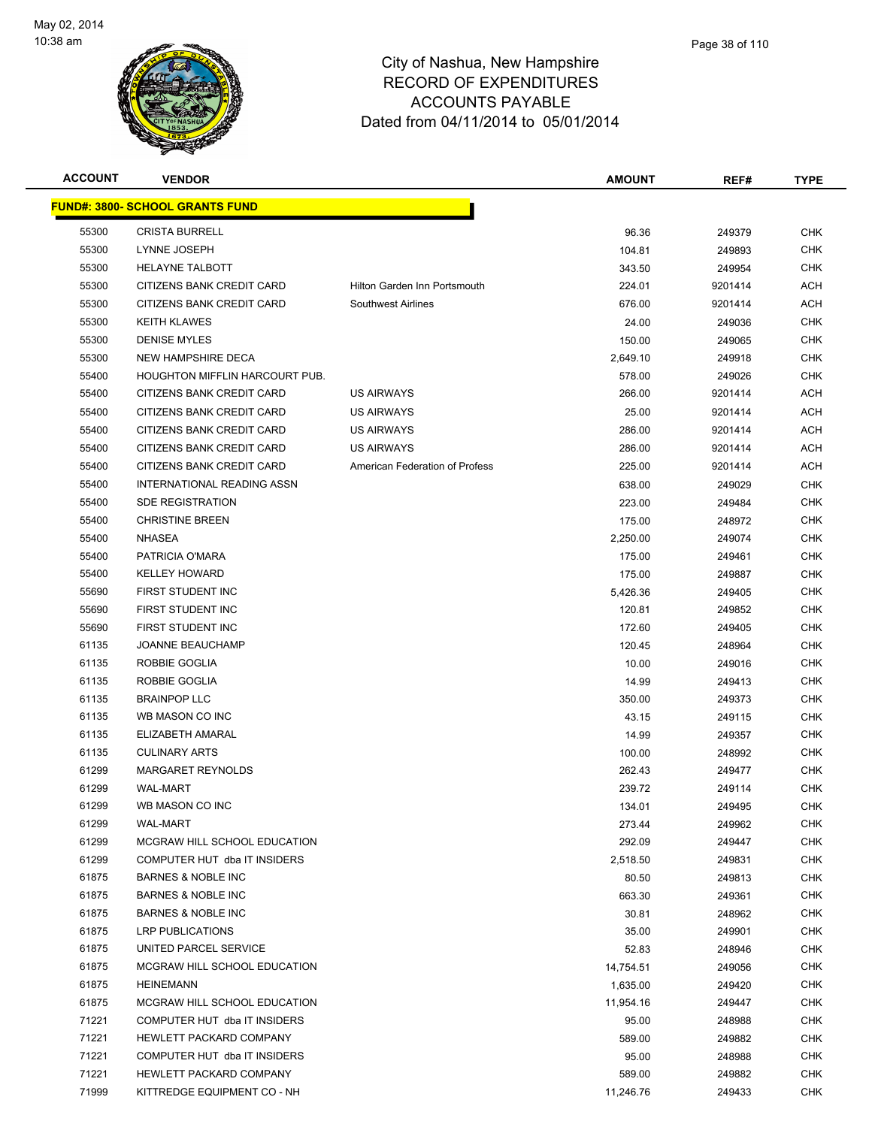

| <b>ACCOUNT</b> | <b>VENDOR</b>                          |                                | <b>AMOUNT</b> | REF#    | <b>TYPE</b> |
|----------------|----------------------------------------|--------------------------------|---------------|---------|-------------|
|                | <b>FUND#: 3800- SCHOOL GRANTS FUND</b> |                                |               |         |             |
| 55300          | <b>CRISTA BURRELL</b>                  |                                | 96.36         | 249379  | <b>CHK</b>  |
| 55300          | LYNNE JOSEPH                           |                                | 104.81        | 249893  | <b>CHK</b>  |
| 55300          | <b>HELAYNE TALBOTT</b>                 |                                | 343.50        | 249954  | <b>CHK</b>  |
| 55300          | CITIZENS BANK CREDIT CARD              | Hilton Garden Inn Portsmouth   | 224.01        | 9201414 | <b>ACH</b>  |
| 55300          | CITIZENS BANK CREDIT CARD              | <b>Southwest Airlines</b>      | 676.00        | 9201414 | <b>ACH</b>  |
| 55300          | <b>KEITH KLAWES</b>                    |                                | 24.00         | 249036  | <b>CHK</b>  |
| 55300          | <b>DENISE MYLES</b>                    |                                | 150.00        | 249065  | <b>CHK</b>  |
| 55300          | NEW HAMPSHIRE DECA                     |                                | 2,649.10      | 249918  | <b>CHK</b>  |
| 55400          | HOUGHTON MIFFLIN HARCOURT PUB.         |                                | 578.00        | 249026  | <b>CHK</b>  |
| 55400          | CITIZENS BANK CREDIT CARD              | <b>US AIRWAYS</b>              | 266.00        | 9201414 | ACH         |
| 55400          | CITIZENS BANK CREDIT CARD              | <b>US AIRWAYS</b>              | 25.00         | 9201414 | ACH         |
| 55400          | CITIZENS BANK CREDIT CARD              | <b>US AIRWAYS</b>              | 286.00        | 9201414 | <b>ACH</b>  |
| 55400          | CITIZENS BANK CREDIT CARD              | <b>US AIRWAYS</b>              | 286.00        | 9201414 | <b>ACH</b>  |
| 55400          | CITIZENS BANK CREDIT CARD              | American Federation of Profess | 225.00        | 9201414 | ACH         |
| 55400          | INTERNATIONAL READING ASSN             |                                | 638.00        | 249029  | <b>CHK</b>  |
| 55400          | <b>SDE REGISTRATION</b>                |                                | 223.00        | 249484  | <b>CHK</b>  |
| 55400          | <b>CHRISTINE BREEN</b>                 |                                | 175.00        | 248972  | <b>CHK</b>  |
| 55400          | <b>NHASEA</b>                          |                                | 2,250.00      | 249074  | <b>CHK</b>  |
| 55400          | PATRICIA O'MARA                        |                                | 175.00        | 249461  | <b>CHK</b>  |
| 55400          | <b>KELLEY HOWARD</b>                   |                                | 175.00        | 249887  | <b>CHK</b>  |
| 55690          | FIRST STUDENT INC                      |                                | 5,426.36      | 249405  | <b>CHK</b>  |
| 55690          | FIRST STUDENT INC                      |                                | 120.81        | 249852  | <b>CHK</b>  |
| 55690          | FIRST STUDENT INC                      |                                | 172.60        | 249405  | <b>CHK</b>  |
| 61135          | JOANNE BEAUCHAMP                       |                                | 120.45        | 248964  | <b>CHK</b>  |
| 61135          | ROBBIE GOGLIA                          |                                | 10.00         | 249016  | <b>CHK</b>  |
| 61135          | ROBBIE GOGLIA                          |                                | 14.99         | 249413  | <b>CHK</b>  |
| 61135          | <b>BRAINPOP LLC</b>                    |                                | 350.00        | 249373  | <b>CHK</b>  |
| 61135          | WB MASON CO INC                        |                                | 43.15         | 249115  | <b>CHK</b>  |
| 61135          | ELIZABETH AMARAL                       |                                | 14.99         | 249357  | <b>CHK</b>  |
| 61135          | <b>CULINARY ARTS</b>                   |                                | 100.00        | 248992  | <b>CHK</b>  |
| 61299          | MARGARET REYNOLDS                      |                                | 262.43        | 249477  | <b>CHK</b>  |
| 61299          | <b>WAL-MART</b>                        |                                | 239.72        | 249114  | CHK         |
| 61299          | WB MASON CO INC                        |                                | 134.01        | 249495  | <b>CHK</b>  |
| 61299          | <b>WAL-MART</b>                        |                                | 273.44        | 249962  | <b>CHK</b>  |
| 61299          | MCGRAW HILL SCHOOL EDUCATION           |                                | 292.09        | 249447  | <b>CHK</b>  |
| 61299          | COMPUTER HUT dba IT INSIDERS           |                                | 2,518.50      | 249831  | <b>CHK</b>  |
| 61875          | <b>BARNES &amp; NOBLE INC</b>          |                                | 80.50         | 249813  | CHK         |
| 61875          | <b>BARNES &amp; NOBLE INC</b>          |                                | 663.30        | 249361  | <b>CHK</b>  |
| 61875          | <b>BARNES &amp; NOBLE INC</b>          |                                | 30.81         | 248962  | <b>CHK</b>  |
| 61875          | LRP PUBLICATIONS                       |                                | 35.00         | 249901  | <b>CHK</b>  |
| 61875          | UNITED PARCEL SERVICE                  |                                | 52.83         | 248946  | <b>CHK</b>  |
| 61875          | MCGRAW HILL SCHOOL EDUCATION           |                                | 14,754.51     | 249056  | CHK         |
| 61875          | HEINEMANN                              |                                | 1,635.00      | 249420  | <b>CHK</b>  |
| 61875          | MCGRAW HILL SCHOOL EDUCATION           |                                | 11,954.16     | 249447  | <b>CHK</b>  |
| 71221          | COMPUTER HUT dba IT INSIDERS           |                                | 95.00         | 248988  | <b>CHK</b>  |
| 71221          | HEWLETT PACKARD COMPANY                |                                | 589.00        | 249882  | <b>CHK</b>  |
| 71221          | COMPUTER HUT dba IT INSIDERS           |                                | 95.00         | 248988  | <b>CHK</b>  |
| 71221          | HEWLETT PACKARD COMPANY                |                                | 589.00        | 249882  | <b>CHK</b>  |
| 71999          | KITTREDGE EQUIPMENT CO - NH            |                                | 11,246.76     | 249433  | <b>CHK</b>  |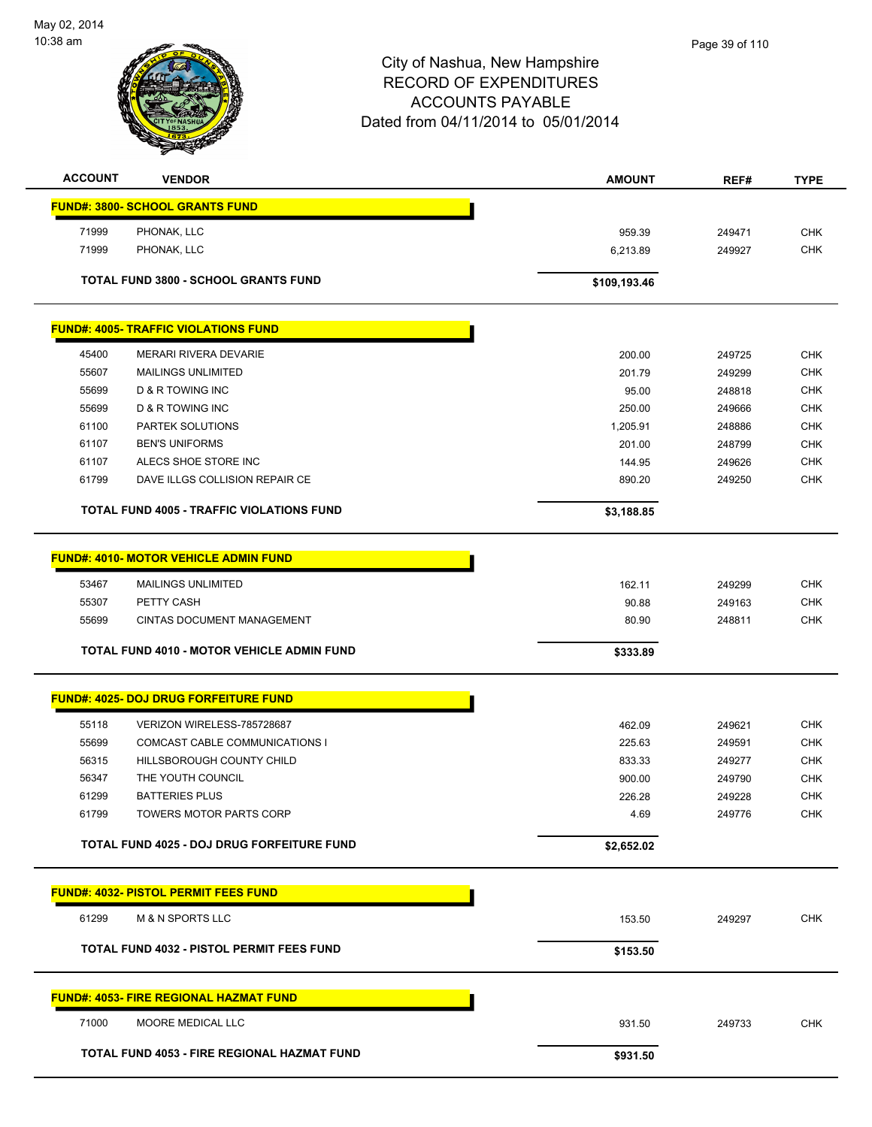

| <b>ACCOUNT</b> | <b>VENDOR</b>                                                       | <b>AMOUNT</b>    | REF#             | <b>TYPE</b> |
|----------------|---------------------------------------------------------------------|------------------|------------------|-------------|
|                | <b>FUND#: 3800- SCHOOL GRANTS FUND</b>                              |                  |                  |             |
|                |                                                                     |                  |                  |             |
| 71999<br>71999 | PHONAK, LLC                                                         | 959.39           | 249471           | <b>CHK</b>  |
|                | PHONAK, LLC                                                         | 6,213.89         | 249927           | <b>CHK</b>  |
|                | TOTAL FUND 3800 - SCHOOL GRANTS FUND                                | \$109,193.46     |                  |             |
|                | <b>FUND#: 4005- TRAFFIC VIOLATIONS FUND</b>                         |                  |                  |             |
| 45400          | <b>MERARI RIVERA DEVARIE</b>                                        | 200.00           | 249725           | <b>CHK</b>  |
| 55607          | <b>MAILINGS UNLIMITED</b>                                           | 201.79           | 249299           | CHK         |
| 55699          | <b>D &amp; R TOWING INC</b>                                         | 95.00            | 248818           | <b>CHK</b>  |
| 55699          | <b>D &amp; R TOWING INC</b>                                         | 250.00           | 249666           | <b>CHK</b>  |
| 61100          | PARTEK SOLUTIONS                                                    | 1,205.91         | 248886           | <b>CHK</b>  |
| 61107          | <b>BEN'S UNIFORMS</b>                                               | 201.00           | 248799           | <b>CHK</b>  |
| 61107          | ALECS SHOE STORE INC                                                | 144.95           | 249626           | <b>CHK</b>  |
| 61799          | DAVE ILLGS COLLISION REPAIR CE                                      | 890.20           | 249250           | <b>CHK</b>  |
|                |                                                                     |                  |                  |             |
|                | TOTAL FUND 4005 - TRAFFIC VIOLATIONS FUND                           | \$3,188.85       |                  |             |
|                | <b>FUND#: 4010- MOTOR VEHICLE ADMIN FUND</b>                        |                  |                  |             |
|                |                                                                     |                  |                  | <b>CHK</b>  |
| 53467<br>55307 | <b>MAILINGS UNLIMITED</b><br>PETTY CASH                             | 162.11<br>90.88  | 249299<br>249163 | <b>CHK</b>  |
| 55699          | CINTAS DOCUMENT MANAGEMENT                                          | 80.90            | 248811           | <b>CHK</b>  |
|                |                                                                     |                  |                  |             |
|                | <b>TOTAL FUND 4010 - MOTOR VEHICLE ADMIN FUND</b>                   | \$333.89         |                  |             |
|                | <b>FUND#: 4025- DOJ DRUG FORFEITURE FUND</b>                        |                  |                  |             |
|                |                                                                     |                  |                  | <b>CHK</b>  |
| 55118<br>55699 | VERIZON WIRELESS-785728687<br><b>COMCAST CABLE COMMUNICATIONS I</b> | 462.09<br>225.63 | 249621<br>249591 | <b>CHK</b>  |
| 56315          | HILLSBOROUGH COUNTY CHILD                                           |                  |                  | <b>CHK</b>  |
| 56347          | THE YOUTH COUNCIL                                                   | 833.33<br>900.00 | 249277<br>249790 | <b>CHK</b>  |
| 61299          | <b>BATTERIES PLUS</b>                                               | 226.28           | 249228           | <b>CHK</b>  |
| 61799          | TOWERS MOTOR PARTS CORP                                             | 4.69             |                  | <b>CHK</b>  |
|                |                                                                     |                  | 249776           |             |
|                | TOTAL FUND 4025 - DOJ DRUG FORFEITURE FUND                          | \$2,652.02       |                  |             |
|                | <b>FUND#: 4032- PISTOL PERMIT FEES FUND</b>                         |                  |                  |             |
|                |                                                                     |                  |                  |             |
| 61299          | <b>M &amp; N SPORTS LLC</b>                                         | 153.50           | 249297           | <b>CHK</b>  |
|                | <b>TOTAL FUND 4032 - PISTOL PERMIT FEES FUND</b>                    | \$153.50         |                  |             |
|                | <b>FUND#: 4053- FIRE REGIONAL HAZMAT FUND</b>                       |                  |                  |             |
| 71000          | MOORE MEDICAL LLC                                                   | 931.50           | 249733           | <b>CHK</b>  |
|                |                                                                     |                  |                  |             |
|                | TOTAL FUND 4053 - FIRE REGIONAL HAZMAT FUND                         | \$931.50         |                  |             |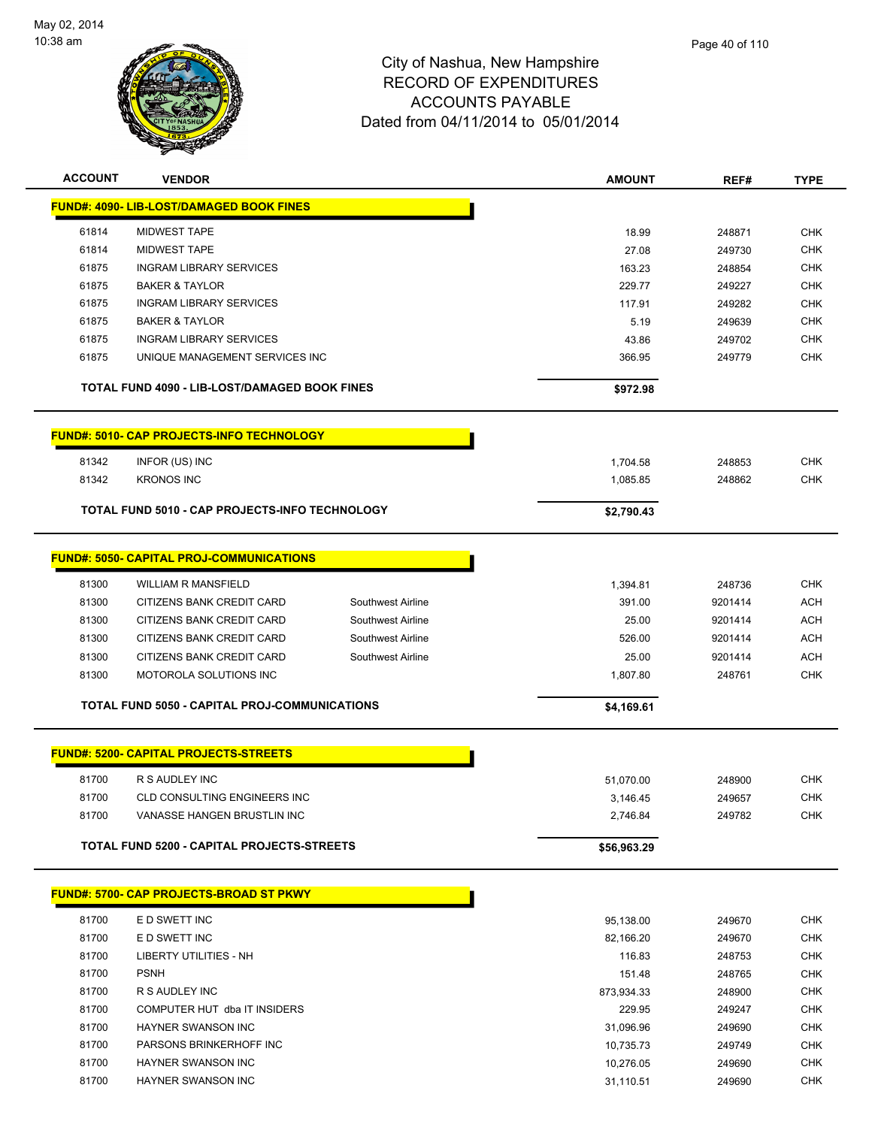

| <b>ACCOUNT</b>                                | <b>VENDOR</b>                                         |                   | <b>AMOUNT</b>          | REF#             | <b>TYPE</b>       |
|-----------------------------------------------|-------------------------------------------------------|-------------------|------------------------|------------------|-------------------|
|                                               | <b>FUND#: 4090- LIB-LOST/DAMAGED BOOK FINES</b>       |                   |                        |                  |                   |
| 61814                                         | <b>MIDWEST TAPE</b>                                   |                   | 18.99                  | 248871           | <b>CHK</b>        |
| 61814                                         | <b>MIDWEST TAPE</b>                                   |                   | 27.08                  | 249730           | <b>CHK</b>        |
| 61875                                         | <b>INGRAM LIBRARY SERVICES</b>                        |                   | 163.23                 | 248854           | <b>CHK</b>        |
| 61875                                         | <b>BAKER &amp; TAYLOR</b>                             |                   | 229.77                 | 249227           | <b>CHK</b>        |
| 61875                                         | <b>INGRAM LIBRARY SERVICES</b>                        |                   | 117.91                 | 249282           | <b>CHK</b>        |
| 61875                                         | <b>BAKER &amp; TAYLOR</b>                             |                   | 5.19                   | 249639           | <b>CHK</b>        |
| 61875                                         | <b>INGRAM LIBRARY SERVICES</b>                        |                   | 43.86                  | 249702           | <b>CHK</b>        |
| 61875                                         | UNIQUE MANAGEMENT SERVICES INC                        |                   | 366.95                 | 249779           | <b>CHK</b>        |
|                                               |                                                       |                   |                        |                  |                   |
| TOTAL FUND 4090 - LIB-LOST/DAMAGED BOOK FINES |                                                       |                   | \$972.98               |                  |                   |
|                                               | <b>FUND#: 5010- CAP PROJECTS-INFO TECHNOLOGY</b>      |                   |                        |                  |                   |
| 81342                                         | INFOR (US) INC                                        |                   | 1,704.58               | 248853           | CHK               |
| 81342                                         | <b>KRONOS INC</b>                                     |                   | 1,085.85               | 248862           | CHK               |
|                                               |                                                       |                   |                        |                  |                   |
|                                               | <b>TOTAL FUND 5010 - CAP PROJECTS-INFO TECHNOLOGY</b> |                   | \$2,790.43             |                  |                   |
|                                               | <b>FUND#: 5050- CAPITAL PROJ-COMMUNICATIONS</b>       |                   |                        |                  |                   |
| 81300                                         | <b>WILLIAM R MANSFIELD</b>                            |                   | 1,394.81               | 248736           | <b>CHK</b>        |
| 81300                                         | CITIZENS BANK CREDIT CARD                             | Southwest Airline | 391.00                 | 9201414          | <b>ACH</b>        |
| 81300                                         | CITIZENS BANK CREDIT CARD                             | Southwest Airline | 25.00                  | 9201414          | <b>ACH</b>        |
| 81300                                         | CITIZENS BANK CREDIT CARD                             | Southwest Airline | 526.00                 | 9201414          | <b>ACH</b>        |
| 81300                                         | CITIZENS BANK CREDIT CARD                             | Southwest Airline | 25.00                  | 9201414          | <b>ACH</b>        |
| 81300                                         | MOTOROLA SOLUTIONS INC                                |                   |                        |                  | <b>CHK</b>        |
|                                               |                                                       |                   | 1,807.80               | 248761           |                   |
|                                               | TOTAL FUND 5050 - CAPITAL PROJ-COMMUNICATIONS         |                   | \$4,169.61             |                  |                   |
|                                               | <b>FUND#: 5200- CAPITAL PROJECTS-STREETS</b>          |                   |                        |                  |                   |
|                                               |                                                       |                   |                        |                  |                   |
| 81700                                         | R S AUDLEY INC                                        |                   | 51,070.00              | 248900           | CHK               |
| 81700                                         | CLD CONSULTING ENGINEERS INC                          |                   | 3,146.45               | 249657           | <b>CHK</b>        |
| 81700                                         | VANASSE HANGEN BRUSTLIN INC                           |                   | 2,746.84               | 249782           | <b>CHK</b>        |
|                                               | TOTAL FUND 5200 - CAPITAL PROJECTS-STREETS            |                   | \$56,963.29            |                  |                   |
|                                               | <b>FUND#: 5700- CAP PROJECTS-BROAD ST PKWY</b>        |                   |                        |                  |                   |
| 81700                                         | E D SWETT INC                                         |                   | 95,138.00              | 249670           | <b>CHK</b>        |
|                                               | E D SWETT INC                                         |                   |                        |                  | <b>CHK</b>        |
| 81700<br>81700                                | LIBERTY UTILITIES - NH                                |                   | 82,166.20<br>116.83    | 249670           | <b>CHK</b>        |
| 81700                                         | <b>PSNH</b>                                           |                   | 151.48                 | 248753           |                   |
| 81700                                         | R S AUDLEY INC                                        |                   |                        | 248765           | CHK<br><b>CHK</b> |
| 81700                                         | COMPUTER HUT dba IT INSIDERS                          |                   | 873,934.33<br>229.95   | 248900<br>249247 | <b>CHK</b>        |
| 81700                                         | HAYNER SWANSON INC                                    |                   |                        |                  | <b>CHK</b>        |
| 81700                                         | PARSONS BRINKERHOFF INC                               |                   | 31,096.96              | 249690<br>249749 | <b>CHK</b>        |
| 81700                                         | HAYNER SWANSON INC                                    |                   | 10,735.73              | 249690           | <b>CHK</b>        |
| 81700                                         | HAYNER SWANSON INC                                    |                   | 10,276.05<br>31,110.51 | 249690           | CHK               |
|                                               |                                                       |                   |                        |                  |                   |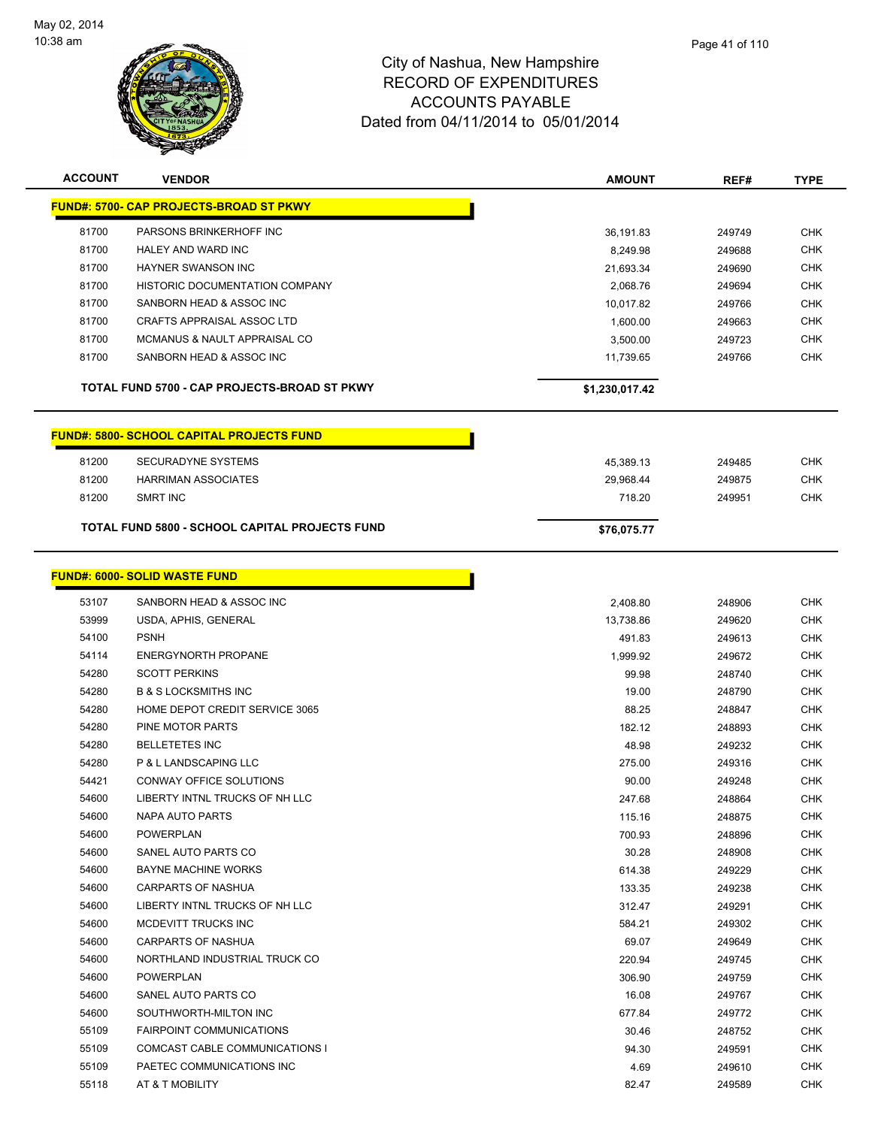

| <b>ACCOUNT</b> | <b>VENDOR</b>                                    | <b>AMOUNT</b>  | REF#   | <b>TYPE</b> |
|----------------|--------------------------------------------------|----------------|--------|-------------|
|                | <u> FUND#: 5700- CAP PROJECTS-BROAD ST PKWY</u>  |                |        |             |
| 81700          | PARSONS BRINKERHOFF INC                          | 36,191.83      | 249749 | <b>CHK</b>  |
| 81700          | HALEY AND WARD INC                               | 8,249.98       | 249688 | <b>CHK</b>  |
| 81700          | <b>HAYNER SWANSON INC</b>                        | 21,693.34      | 249690 | <b>CHK</b>  |
| 81700          | HISTORIC DOCUMENTATION COMPANY                   | 2,068.76       | 249694 | <b>CHK</b>  |
| 81700          | SANBORN HEAD & ASSOC INC                         | 10,017.82      | 249766 | <b>CHK</b>  |
| 81700          | CRAFTS APPRAISAL ASSOC LTD                       | 1,600.00       | 249663 | <b>CHK</b>  |
| 81700          | <b>MCMANUS &amp; NAULT APPRAISAL CO</b>          | 3,500.00       | 249723 | <b>CHK</b>  |
| 81700          | SANBORN HEAD & ASSOC INC                         | 11,739.65      | 249766 | <b>CHK</b>  |
|                | TOTAL FUND 5700 - CAP PROJECTS-BROAD ST PKWY     | \$1,230,017.42 |        |             |
|                | <b>FUND#: 5800- SCHOOL CAPITAL PROJECTS FUND</b> |                |        |             |
| 81200          | <b>SECURADYNE SYSTEMS</b>                        | 45,389.13      | 249485 | <b>CHK</b>  |
| 81200          | <b>HARRIMAN ASSOCIATES</b>                       | 29,968.44      | 249875 | <b>CHK</b>  |
| 81200          | SMRT INC                                         | 718.20         | 249951 | CHK         |
|                | TOTAL FUND 5800 - SCHOOL CAPITAL PROJECTS FUND   | \$76,075.77    |        |             |
|                | <b>FUND#: 6000- SOLID WASTE FUND</b>             |                |        |             |
| 53107          | SANBORN HEAD & ASSOC INC                         | 2,408.80       | 248906 | <b>CHK</b>  |
| 53999          | USDA, APHIS, GENERAL                             | 13,738.86      | 249620 | <b>CHK</b>  |
| 54100          | <b>PSNH</b>                                      | 491.83         | 249613 | <b>CHK</b>  |
| 54114          | <b>ENERGYNORTH PROPANE</b>                       | 1,999.92       | 249672 | <b>CHK</b>  |
| 54280          | <b>SCOTT PERKINS</b>                             | 99.98          | 248740 | <b>CHK</b>  |
| 54280          | <b>B &amp; S LOCKSMITHS INC</b>                  | 19.00          | 248790 | <b>CHK</b>  |
| 54280          | HOME DEPOT CREDIT SERVICE 3065                   | 88.25          | 248847 | <b>CHK</b>  |
| 54280          | PINE MOTOR PARTS                                 | 182.12         | 248893 | <b>CHK</b>  |
| 54280          | <b>BELLETETES INC</b>                            | 48.98          | 249232 | <b>CHK</b>  |
| 54280          | P & L LANDSCAPING LLC                            | 275.00         | 249316 | <b>CHK</b>  |
| 54421          | <b>CONWAY OFFICE SOLUTIONS</b>                   | 90.00          | 249248 | <b>CHK</b>  |
| 54600          | LIBERTY INTNL TRUCKS OF NH LLC                   | 247.68         | 248864 | <b>CHK</b>  |
| 54600          | NAPA AUTO PARTS                                  | 115.16         | 248875 | CHK         |
| 54600          | <b>POWERPLAN</b>                                 | 700.93         | 248896 | <b>CHK</b>  |
| 54600          | SANEL AUTO PARTS CO                              | 30.28          | 248908 | <b>CHK</b>  |
| 54600          | <b>BAYNE MACHINE WORKS</b>                       | 614.38         | 249229 | <b>CHK</b>  |
| 54600          | <b>CARPARTS OF NASHUA</b>                        | 133.35         | 249238 | <b>CHK</b>  |
| 54600          | LIBERTY INTNL TRUCKS OF NH LLC                   | 312.47         | 249291 | <b>CHK</b>  |
| 54600          | MCDEVITT TRUCKS INC                              | 584.21         | 249302 | <b>CHK</b>  |
| 54600          | <b>CARPARTS OF NASHUA</b>                        | 69.07          | 249649 | CHK         |
| 54600          | NORTHLAND INDUSTRIAL TRUCK CO                    | 220.94         | 249745 | <b>CHK</b>  |
| 54600          | <b>POWERPLAN</b>                                 | 306.90         | 249759 | <b>CHK</b>  |
| 54600          | SANEL AUTO PARTS CO                              | 16.08          | 249767 | CHK         |
| 54600          | SOUTHWORTH-MILTON INC                            | 677.84         | 249772 | <b>CHK</b>  |
| 55109          | <b>FAIRPOINT COMMUNICATIONS</b>                  | 30.46          | 248752 | CHK         |
| 55109          | COMCAST CABLE COMMUNICATIONS I                   | 94.30          | 249591 | CHK         |
| 55109          | PAETEC COMMUNICATIONS INC                        | 4.69           | 249610 | <b>CHK</b>  |
| 55118          | AT & T MOBILITY                                  | 82.47          | 249589 | <b>CHK</b>  |
|                |                                                  |                |        |             |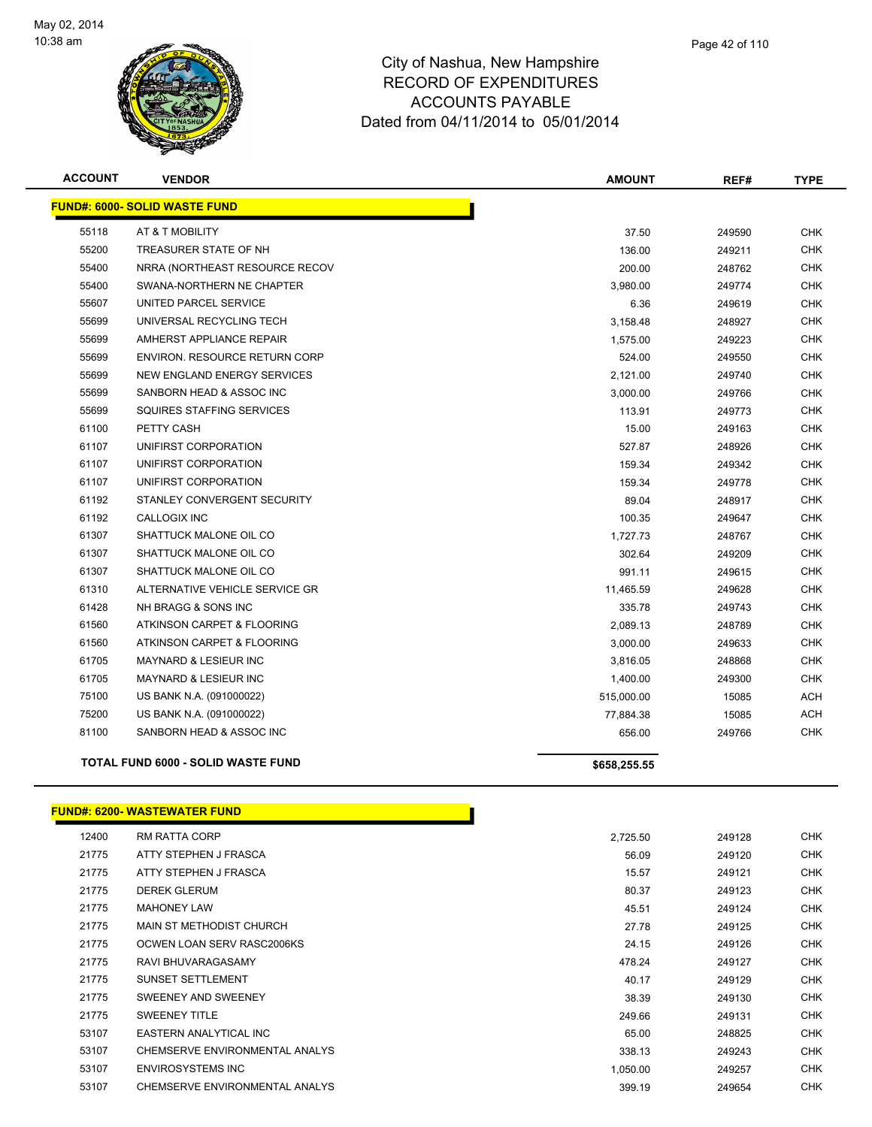

| <b>ACCOUNT</b> | <b>VENDOR</b>                        | <b>AMOUNT</b> | REF#   | <b>TYPE</b> |
|----------------|--------------------------------------|---------------|--------|-------------|
|                | <b>FUND#: 6000- SOLID WASTE FUND</b> |               |        |             |
| 55118          | AT & T MOBILITY                      | 37.50         | 249590 | <b>CHK</b>  |
| 55200          | TREASURER STATE OF NH                | 136.00        | 249211 | <b>CHK</b>  |
| 55400          | NRRA (NORTHEAST RESOURCE RECOV       | 200.00        | 248762 | <b>CHK</b>  |
| 55400          | SWANA-NORTHERN NE CHAPTER            | 3,980.00      | 249774 | <b>CHK</b>  |
| 55607          | UNITED PARCEL SERVICE                | 6.36          | 249619 | CHK         |
| 55699          | UNIVERSAL RECYCLING TECH             | 3,158.48      | 248927 | <b>CHK</b>  |
| 55699          | AMHERST APPLIANCE REPAIR             | 1,575.00      | 249223 | <b>CHK</b>  |
| 55699          | ENVIRON. RESOURCE RETURN CORP        | 524.00        | 249550 | <b>CHK</b>  |
| 55699          | NEW ENGLAND ENERGY SERVICES          | 2,121.00      | 249740 | <b>CHK</b>  |
| 55699          | SANBORN HEAD & ASSOC INC             | 3,000.00      | 249766 | CHK         |
| 55699          | SQUIRES STAFFING SERVICES            | 113.91        | 249773 | <b>CHK</b>  |
| 61100          | PETTY CASH                           | 15.00         | 249163 | <b>CHK</b>  |
| 61107          | UNIFIRST CORPORATION                 | 527.87        | 248926 | <b>CHK</b>  |
| 61107          | UNIFIRST CORPORATION                 | 159.34        | 249342 | <b>CHK</b>  |
| 61107          | UNIFIRST CORPORATION                 | 159.34        | 249778 | <b>CHK</b>  |
| 61192          | STANLEY CONVERGENT SECURITY          | 89.04         | 248917 | <b>CHK</b>  |
| 61192          | <b>CALLOGIX INC</b>                  | 100.35        | 249647 | <b>CHK</b>  |
| 61307          | SHATTUCK MALONE OIL CO               | 1,727.73      | 248767 | <b>CHK</b>  |
| 61307          | SHATTUCK MALONE OIL CO               | 302.64        | 249209 | <b>CHK</b>  |
| 61307          | SHATTUCK MALONE OIL CO               | 991.11        | 249615 | <b>CHK</b>  |
| 61310          | ALTERNATIVE VEHICLE SERVICE GR       | 11,465.59     | 249628 | <b>CHK</b>  |
| 61428          | NH BRAGG & SONS INC                  | 335.78        | 249743 | <b>CHK</b>  |
| 61560          | ATKINSON CARPET & FLOORING           | 2,089.13      | 248789 | <b>CHK</b>  |
| 61560          | ATKINSON CARPET & FLOORING           | 3,000.00      | 249633 | <b>CHK</b>  |
| 61705          | <b>MAYNARD &amp; LESIEUR INC</b>     | 3,816.05      | 248868 | <b>CHK</b>  |
| 61705          | MAYNARD & LESIEUR INC                | 1,400.00      | 249300 | <b>CHK</b>  |
| 75100          | US BANK N.A. (091000022)             | 515,000.00    | 15085  | ACH         |
| 75200          | US BANK N.A. (091000022)             | 77,884.38     | 15085  | <b>ACH</b>  |
| 81100          | SANBORN HEAD & ASSOC INC             | 656.00        | 249766 | <b>CHK</b>  |
|                | TOTAL FUND 6000 - SOLID WASTE FUND   | \$658,255.55  |        |             |
|                |                                      |               |        |             |

#### **FUND#: 6200- WASTEWATER FUND**

| 12400 | RM RATTA CORP                  | 2,725.50 | 249128 | <b>CHK</b> |
|-------|--------------------------------|----------|--------|------------|
| 21775 | ATTY STEPHEN J FRASCA          | 56.09    | 249120 | <b>CHK</b> |
| 21775 | ATTY STEPHEN J FRASCA          | 15.57    | 249121 | <b>CHK</b> |
| 21775 | <b>DEREK GLERUM</b>            | 80.37    | 249123 | <b>CHK</b> |
| 21775 | <b>MAHONEY LAW</b>             | 45.51    | 249124 | <b>CHK</b> |
| 21775 | MAIN ST METHODIST CHURCH       | 27.78    | 249125 | <b>CHK</b> |
| 21775 | OCWEN LOAN SERV RASC2006KS     | 24.15    | 249126 | <b>CHK</b> |
| 21775 | RAVI BHUVARAGASAMY             | 478.24   | 249127 | <b>CHK</b> |
| 21775 | <b>SUNSET SETTLEMENT</b>       | 40.17    | 249129 | <b>CHK</b> |
| 21775 | SWEENEY AND SWEENEY            | 38.39    | 249130 | <b>CHK</b> |
| 21775 | <b>SWEENEY TITLE</b>           | 249.66   | 249131 | <b>CHK</b> |
| 53107 | EASTERN ANALYTICAL INC         | 65.00    | 248825 | <b>CHK</b> |
| 53107 | CHEMSERVE ENVIRONMENTAL ANALYS | 338.13   | 249243 | <b>CHK</b> |
| 53107 | <b>ENVIROSYSTEMS INC</b>       | 1,050.00 | 249257 | <b>CHK</b> |
| 53107 | CHEMSERVE ENVIRONMENTAL ANALYS | 399.19   | 249654 | <b>CHK</b> |
|       |                                |          |        |            |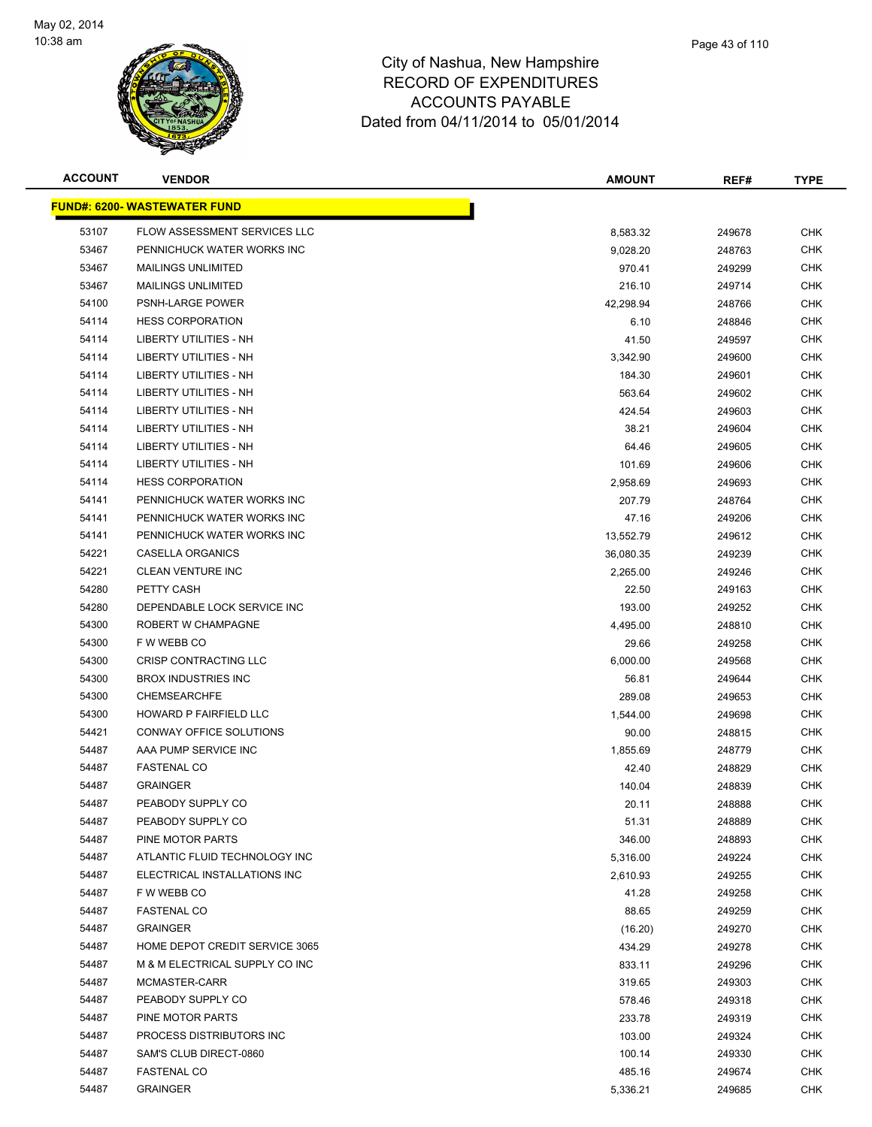

| <b>ACCOUNT</b> | <b>VENDOR</b>                        | <b>AMOUNT</b> | REF#   | <b>TYPE</b> |
|----------------|--------------------------------------|---------------|--------|-------------|
|                | <u> FUND#: 6200- WASTEWATER FUND</u> |               |        |             |
| 53107          | FLOW ASSESSMENT SERVICES LLC         | 8,583.32      | 249678 | <b>CHK</b>  |
| 53467          | PENNICHUCK WATER WORKS INC           | 9,028.20      | 248763 | <b>CHK</b>  |
| 53467          | <b>MAILINGS UNLIMITED</b>            | 970.41        | 249299 | <b>CHK</b>  |
| 53467          | <b>MAILINGS UNLIMITED</b>            | 216.10        | 249714 | <b>CHK</b>  |
| 54100          | PSNH-LARGE POWER                     | 42,298.94     | 248766 | <b>CHK</b>  |
| 54114          | <b>HESS CORPORATION</b>              | 6.10          | 248846 | <b>CHK</b>  |
| 54114          | LIBERTY UTILITIES - NH               | 41.50         | 249597 | CHK         |
| 54114          | LIBERTY UTILITIES - NH               | 3,342.90      | 249600 | <b>CHK</b>  |
| 54114          | <b>LIBERTY UTILITIES - NH</b>        | 184.30        | 249601 | <b>CHK</b>  |
| 54114          | <b>LIBERTY UTILITIES - NH</b>        | 563.64        | 249602 | <b>CHK</b>  |
| 54114          | LIBERTY UTILITIES - NH               | 424.54        | 249603 | <b>CHK</b>  |
| 54114          | LIBERTY UTILITIES - NH               | 38.21         | 249604 | <b>CHK</b>  |
| 54114          | LIBERTY UTILITIES - NH               | 64.46         | 249605 | <b>CHK</b>  |
| 54114          | LIBERTY UTILITIES - NH               | 101.69        | 249606 | <b>CHK</b>  |
| 54114          | <b>HESS CORPORATION</b>              | 2,958.69      | 249693 | <b>CHK</b>  |
| 54141          | PENNICHUCK WATER WORKS INC           | 207.79        | 248764 | <b>CHK</b>  |
| 54141          | PENNICHUCK WATER WORKS INC           | 47.16         | 249206 | <b>CHK</b>  |
| 54141          | PENNICHUCK WATER WORKS INC           | 13,552.79     | 249612 | <b>CHK</b>  |
| 54221          | CASELLA ORGANICS                     | 36,080.35     | 249239 | <b>CHK</b>  |
| 54221          | <b>CLEAN VENTURE INC</b>             | 2,265.00      | 249246 | <b>CHK</b>  |
| 54280          | PETTY CASH                           | 22.50         | 249163 | <b>CHK</b>  |
| 54280          | DEPENDABLE LOCK SERVICE INC          | 193.00        | 249252 | CHK         |
| 54300          | ROBERT W CHAMPAGNE                   | 4,495.00      | 248810 | <b>CHK</b>  |
| 54300          | F W WEBB CO                          | 29.66         | 249258 | <b>CHK</b>  |
| 54300          | CRISP CONTRACTING LLC                | 6,000.00      | 249568 | <b>CHK</b>  |
| 54300          | <b>BROX INDUSTRIES INC</b>           | 56.81         | 249644 | <b>CHK</b>  |
| 54300          | CHEMSEARCHFE                         | 289.08        | 249653 | <b>CHK</b>  |
| 54300          | HOWARD P FAIRFIELD LLC               | 1,544.00      | 249698 | <b>CHK</b>  |
| 54421          | <b>CONWAY OFFICE SOLUTIONS</b>       | 90.00         | 248815 | CHK         |
| 54487          | AAA PUMP SERVICE INC                 | 1,855.69      | 248779 | CHK         |
| 54487          | <b>FASTENAL CO</b>                   | 42.40         | 248829 | CHK         |
| 54487          | <b>GRAINGER</b>                      | 140.04        | 248839 | <b>CHK</b>  |
| 54487          | PEABODY SUPPLY CO                    | 20.11         | 248888 | <b>CHK</b>  |
| 54487          | PEABODY SUPPLY CO                    | 51.31         | 248889 | <b>CHK</b>  |
| 54487          | PINE MOTOR PARTS                     | 346.00        | 248893 | <b>CHK</b>  |
| 54487          | ATLANTIC FLUID TECHNOLOGY INC        | 5,316.00      | 249224 | <b>CHK</b>  |
| 54487          | ELECTRICAL INSTALLATIONS INC         | 2,610.93      | 249255 | <b>CHK</b>  |
| 54487          | F W WEBB CO                          | 41.28         | 249258 | <b>CHK</b>  |
| 54487          | <b>FASTENAL CO</b>                   | 88.65         | 249259 | <b>CHK</b>  |
| 54487          | GRAINGER                             | (16.20)       | 249270 | CHK         |
| 54487          | HOME DEPOT CREDIT SERVICE 3065       | 434.29        | 249278 | <b>CHK</b>  |
| 54487          | M & M ELECTRICAL SUPPLY CO INC       | 833.11        | 249296 | <b>CHK</b>  |
| 54487          | MCMASTER-CARR                        | 319.65        | 249303 | <b>CHK</b>  |
| 54487          | PEABODY SUPPLY CO                    | 578.46        | 249318 | <b>CHK</b>  |
| 54487          | PINE MOTOR PARTS                     | 233.78        | 249319 | <b>CHK</b>  |
| 54487          | PROCESS DISTRIBUTORS INC             | 103.00        | 249324 | <b>CHK</b>  |
| 54487          | SAM'S CLUB DIRECT-0860               | 100.14        | 249330 | <b>CHK</b>  |
| 54487          | <b>FASTENAL CO</b>                   | 485.16        | 249674 | <b>CHK</b>  |
| 54487          | GRAINGER                             | 5,336.21      | 249685 | <b>CHK</b>  |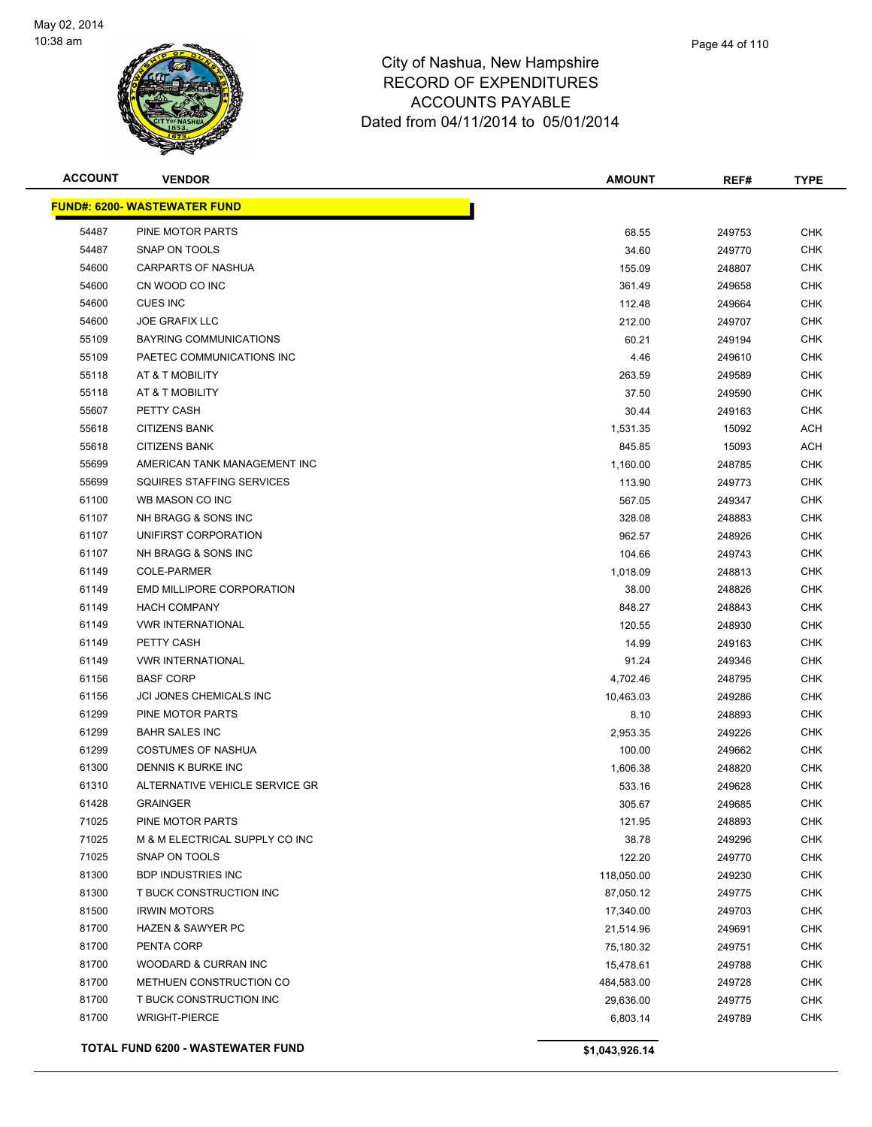

| <b>ACCOUNT</b> | <b>VENDOR</b>                        | <b>AMOUNT</b>  | REF#   | <b>TYPE</b> |
|----------------|--------------------------------------|----------------|--------|-------------|
|                | <u> FUND#: 6200- WASTEWATER FUND</u> |                |        |             |
| 54487          | PINE MOTOR PARTS                     | 68.55          | 249753 | <b>CHK</b>  |
| 54487          | SNAP ON TOOLS                        | 34.60          | 249770 | CHK         |
| 54600          | CARPARTS OF NASHUA                   | 155.09         | 248807 | CHK         |
| 54600          | CN WOOD CO INC                       | 361.49         | 249658 | <b>CHK</b>  |
| 54600          | <b>CUES INC</b>                      | 112.48         | 249664 | CHK         |
| 54600          | <b>JOE GRAFIX LLC</b>                | 212.00         | 249707 | <b>CHK</b>  |
| 55109          | BAYRING COMMUNICATIONS               | 60.21          | 249194 | <b>CHK</b>  |
| 55109          | PAETEC COMMUNICATIONS INC            | 4.46           | 249610 | CHK         |
| 55118          | AT & T MOBILITY                      | 263.59         | 249589 | <b>CHK</b>  |
| 55118          | AT & T MOBILITY                      | 37.50          | 249590 | CHK         |
| 55607          | PETTY CASH                           | 30.44          | 249163 | CHK         |
| 55618          | <b>CITIZENS BANK</b>                 | 1,531.35       | 15092  | ACH         |
| 55618          | <b>CITIZENS BANK</b>                 | 845.85         | 15093  | ACH         |
| 55699          | AMERICAN TANK MANAGEMENT INC         | 1,160.00       | 248785 | CHK         |
| 55699          | SQUIRES STAFFING SERVICES            | 113.90         | 249773 | CHK         |
| 61100          | WB MASON CO INC                      | 567.05         | 249347 | CHK         |
| 61107          | NH BRAGG & SONS INC                  | 328.08         | 248883 | <b>CHK</b>  |
| 61107          | UNIFIRST CORPORATION                 | 962.57         | 248926 | <b>CHK</b>  |
| 61107          | NH BRAGG & SONS INC                  | 104.66         | 249743 | <b>CHK</b>  |
| 61149          | <b>COLE-PARMER</b>                   | 1,018.09       | 248813 | <b>CHK</b>  |
| 61149          | EMD MILLIPORE CORPORATION            | 38.00          | 248826 | CHK         |
| 61149          | <b>HACH COMPANY</b>                  | 848.27         | 248843 | CHK         |
| 61149          | <b>VWR INTERNATIONAL</b>             | 120.55         | 248930 | CHK         |
| 61149          | PETTY CASH                           | 14.99          | 249163 | CHK         |
| 61149          | <b>VWR INTERNATIONAL</b>             | 91.24          | 249346 | CHK         |
| 61156          | <b>BASF CORP</b>                     | 4,702.46       | 248795 | CHK         |
| 61156          | JCI JONES CHEMICALS INC              | 10,463.03      | 249286 | CHK         |
| 61299          | PINE MOTOR PARTS                     | 8.10           | 248893 | <b>CHK</b>  |
| 61299          | <b>BAHR SALES INC</b>                | 2,953.35       | 249226 | <b>CHK</b>  |
| 61299          | <b>COSTUMES OF NASHUA</b>            | 100.00         | 249662 | CHK         |
| 61300          | DENNIS K BURKE INC                   | 1,606.38       | 248820 | CHK         |
| 61310          | ALTERNATIVE VEHICLE SERVICE GR       | 533.16         | 249628 | CHK         |
| 61428          | <b>GRAINGER</b>                      | 305.67         | 249685 | <b>CHK</b>  |
| 71025          | PINE MOTOR PARTS                     | 121.95         | 248893 | <b>CHK</b>  |
| 71025          | M & M ELECTRICAL SUPPLY CO INC       | 38.78          | 249296 | <b>CHK</b>  |
| 71025          | SNAP ON TOOLS                        | 122.20         | 249770 | <b>CHK</b>  |
| 81300          | <b>BDP INDUSTRIES INC</b>            | 118,050.00     | 249230 | <b>CHK</b>  |
| 81300          | T BUCK CONSTRUCTION INC              | 87,050.12      | 249775 | <b>CHK</b>  |
| 81500          | <b>IRWIN MOTORS</b>                  | 17,340.00      | 249703 | <b>CHK</b>  |
| 81700          | <b>HAZEN &amp; SAWYER PC</b>         | 21,514.96      | 249691 | <b>CHK</b>  |
| 81700          | PENTA CORP                           | 75,180.32      | 249751 | <b>CHK</b>  |
| 81700          | WOODARD & CURRAN INC                 | 15,478.61      | 249788 | <b>CHK</b>  |
| 81700          | METHUEN CONSTRUCTION CO              | 484,583.00     | 249728 | <b>CHK</b>  |
| 81700          | T BUCK CONSTRUCTION INC              | 29,636.00      | 249775 | <b>CHK</b>  |
| 81700          | <b>WRIGHT-PIERCE</b>                 | 6,803.14       | 249789 | <b>CHK</b>  |
|                | TOTAL FUND 6200 - WASTEWATER FUND    | \$1,043,926.14 |        |             |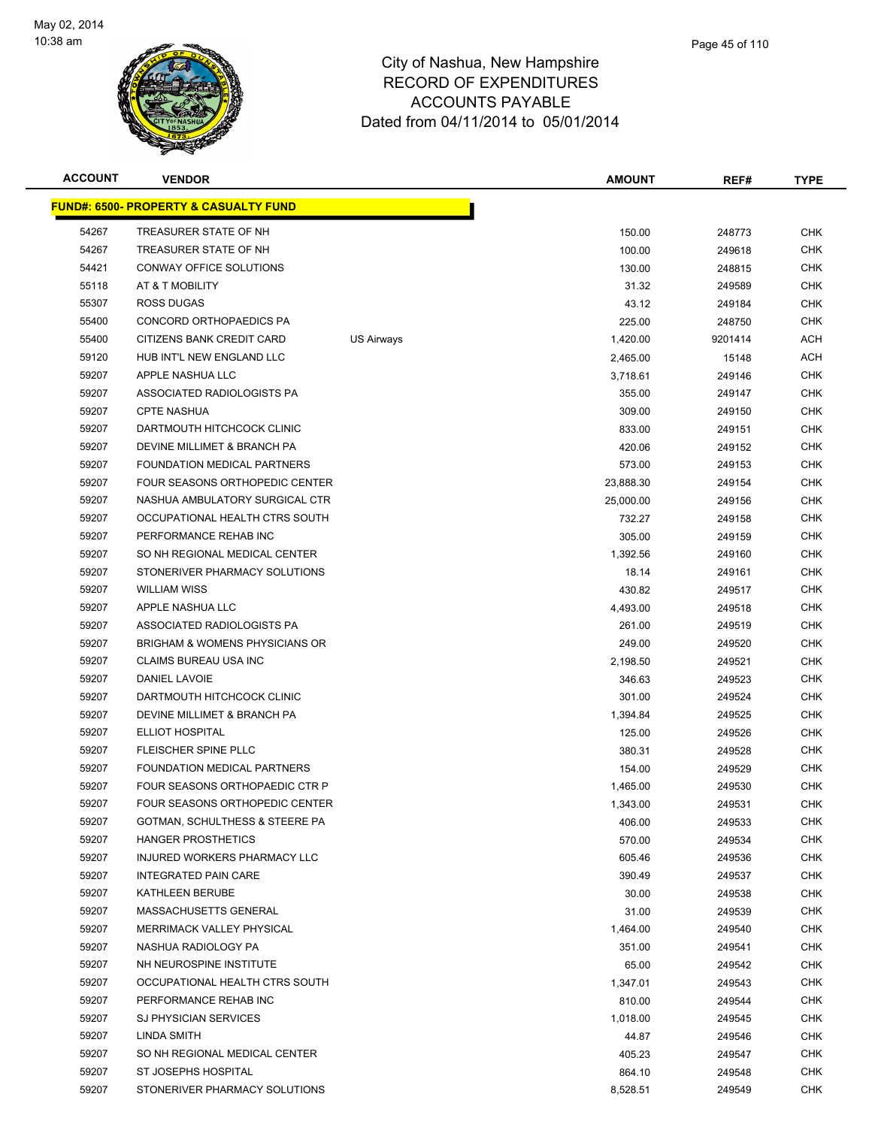

|   | Page 45 of 110 |  |
|---|----------------|--|
| э |                |  |
| ۰ |                |  |

| <b>ACCOUNT</b> | <b>VENDOR</b>                                      |            | <b>AMOUNT</b>    | REF#             | <b>TYPE</b>              |
|----------------|----------------------------------------------------|------------|------------------|------------------|--------------------------|
|                | <b>FUND#: 6500- PROPERTY &amp; CASUALTY FUND</b>   |            |                  |                  |                          |
| 54267          | TREASURER STATE OF NH                              |            | 150.00           | 248773           | <b>CHK</b>               |
| 54267          | TREASURER STATE OF NH                              |            | 100.00           | 249618           | <b>CHK</b>               |
| 54421          | CONWAY OFFICE SOLUTIONS                            |            | 130.00           | 248815           | <b>CHK</b>               |
| 55118          | AT & T MOBILITY                                    |            | 31.32            | 249589           | <b>CHK</b>               |
| 55307          | <b>ROSS DUGAS</b>                                  |            | 43.12            | 249184           | <b>CHK</b>               |
| 55400          | CONCORD ORTHOPAEDICS PA                            |            | 225.00           | 248750           | <b>CHK</b>               |
| 55400          | CITIZENS BANK CREDIT CARD                          | US Airways | 1,420.00         | 9201414          | <b>ACH</b>               |
| 59120          | HUB INT'L NEW ENGLAND LLC                          |            | 2,465.00         | 15148            | <b>ACH</b>               |
| 59207          | APPLE NASHUA LLC                                   |            | 3,718.61         | 249146           | <b>CHK</b>               |
| 59207          | ASSOCIATED RADIOLOGISTS PA                         |            | 355.00           | 249147           | <b>CHK</b>               |
| 59207          | <b>CPTE NASHUA</b>                                 |            | 309.00           | 249150           | <b>CHK</b>               |
| 59207          | DARTMOUTH HITCHCOCK CLINIC                         |            | 833.00           | 249151           | <b>CHK</b>               |
| 59207          | DEVINE MILLIMET & BRANCH PA                        |            | 420.06           | 249152           | <b>CHK</b>               |
| 59207          | FOUNDATION MEDICAL PARTNERS                        |            | 573.00           | 249153           | <b>CHK</b>               |
| 59207          | <b>FOUR SEASONS ORTHOPEDIC CENTER</b>              |            | 23,888.30        | 249154           | <b>CHK</b>               |
| 59207          | NASHUA AMBULATORY SURGICAL CTR                     |            | 25,000.00        | 249156           | <b>CHK</b>               |
| 59207          | OCCUPATIONAL HEALTH CTRS SOUTH                     |            | 732.27           | 249158           | <b>CHK</b>               |
| 59207          | PERFORMANCE REHAB INC                              |            | 305.00           | 249159           | <b>CHK</b>               |
| 59207          | SO NH REGIONAL MEDICAL CENTER                      |            | 1,392.56         | 249160           | <b>CHK</b>               |
| 59207          | STONERIVER PHARMACY SOLUTIONS                      |            | 18.14            | 249161           | <b>CHK</b>               |
| 59207          | <b>WILLIAM WISS</b>                                |            | 430.82           | 249517           | <b>CHK</b>               |
| 59207          | APPLE NASHUA LLC                                   |            | 4,493.00         | 249518           | <b>CHK</b>               |
| 59207          | ASSOCIATED RADIOLOGISTS PA                         |            | 261.00           | 249519           | <b>CHK</b>               |
| 59207          | <b>BRIGHAM &amp; WOMENS PHYSICIANS OR</b>          |            | 249.00           | 249520           | <b>CHK</b>               |
| 59207          | CLAIMS BUREAU USA INC                              |            | 2,198.50         | 249521           | <b>CHK</b>               |
| 59207          | DANIEL LAVOIE                                      |            | 346.63           | 249523           | <b>CHK</b>               |
| 59207          | DARTMOUTH HITCHCOCK CLINIC                         |            | 301.00           | 249524           | <b>CHK</b>               |
| 59207          | DEVINE MILLIMET & BRANCH PA                        |            | 1,394.84         | 249525           | <b>CHK</b>               |
| 59207          | <b>ELLIOT HOSPITAL</b>                             |            | 125.00           | 249526           | <b>CHK</b>               |
| 59207          | FLEISCHER SPINE PLLC                               |            | 380.31           | 249528           | <b>CHK</b>               |
| 59207          | FOUNDATION MEDICAL PARTNERS                        |            | 154.00           | 249529           | <b>CHK</b>               |
| 59207          | FOUR SEASONS ORTHOPAEDIC CTR P                     |            | 1,465.00         | 249530           | <b>CHK</b>               |
| 59207          | FOUR SEASONS ORTHOPEDIC CENTER                     |            | 1,343.00         | 249531           | CHK                      |
| 59207          | GOTMAN, SCHULTHESS & STEERE PA                     |            | 406.00           | 249533           | <b>CHK</b>               |
| 59207<br>59207 | HANGER PROSTHETICS<br>INJURED WORKERS PHARMACY LLC |            | 570.00           | 249534           | <b>CHK</b><br><b>CHK</b> |
| 59207          | <b>INTEGRATED PAIN CARE</b>                        |            | 605.46<br>390.49 | 249536<br>249537 | <b>CHK</b>               |
| 59207          | KATHLEEN BERUBE                                    |            | 30.00            | 249538           | <b>CHK</b>               |
| 59207          | MASSACHUSETTS GENERAL                              |            | 31.00            | 249539           | <b>CHK</b>               |
| 59207          | MERRIMACK VALLEY PHYSICAL                          |            | 1,464.00         | 249540           | <b>CHK</b>               |
| 59207          | NASHUA RADIOLOGY PA                                |            | 351.00           | 249541           | <b>CHK</b>               |
| 59207          | NH NEUROSPINE INSTITUTE                            |            | 65.00            | 249542           | <b>CHK</b>               |
| 59207          | OCCUPATIONAL HEALTH CTRS SOUTH                     |            | 1,347.01         | 249543           | <b>CHK</b>               |
| 59207          | PERFORMANCE REHAB INC                              |            | 810.00           | 249544           | CHK                      |
| 59207          | <b>SJ PHYSICIAN SERVICES</b>                       |            | 1,018.00         | 249545           | <b>CHK</b>               |
| 59207          | LINDA SMITH                                        |            | 44.87            | 249546           | <b>CHK</b>               |
| 59207          | SO NH REGIONAL MEDICAL CENTER                      |            | 405.23           | 249547           | CHK                      |
| 59207          | ST JOSEPHS HOSPITAL                                |            | 864.10           | 249548           | <b>CHK</b>               |
| 59207          | STONERIVER PHARMACY SOLUTIONS                      |            | 8,528.51         | 249549           | <b>CHK</b>               |
|                |                                                    |            |                  |                  |                          |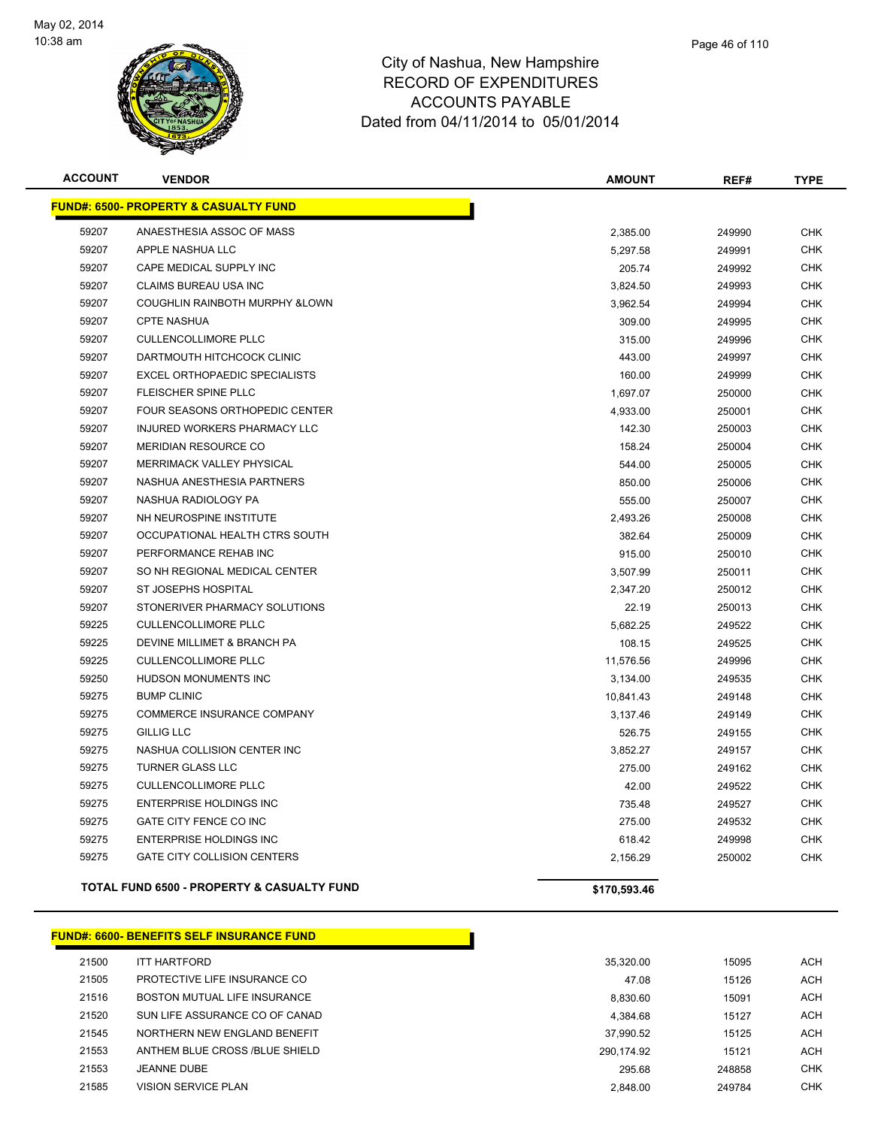

| <b>ACCOUNT</b> | <b>VENDOR</b>                                    | <b>AMOUNT</b> | REF#   | <b>TYPE</b> |
|----------------|--------------------------------------------------|---------------|--------|-------------|
|                | <b>FUND#: 6500- PROPERTY &amp; CASUALTY FUND</b> |               |        |             |
| 59207          | ANAESTHESIA ASSOC OF MASS                        | 2,385.00      | 249990 | <b>CHK</b>  |
| 59207          | APPLE NASHUA LLC                                 | 5,297.58      | 249991 | <b>CHK</b>  |
| 59207          | CAPE MEDICAL SUPPLY INC                          | 205.74        | 249992 | <b>CHK</b>  |
| 59207          | <b>CLAIMS BUREAU USA INC</b>                     | 3,824.50      | 249993 | <b>CHK</b>  |
| 59207          | COUGHLIN RAINBOTH MURPHY & LOWN                  | 3,962.54      | 249994 | <b>CHK</b>  |
| 59207          | <b>CPTE NASHUA</b>                               | 309.00        | 249995 | <b>CHK</b>  |
| 59207          | <b>CULLENCOLLIMORE PLLC</b>                      | 315.00        | 249996 | <b>CHK</b>  |
| 59207          | DARTMOUTH HITCHCOCK CLINIC                       | 443.00        | 249997 | <b>CHK</b>  |
| 59207          | <b>EXCEL ORTHOPAEDIC SPECIALISTS</b>             | 160.00        | 249999 | <b>CHK</b>  |
| 59207          | FLEISCHER SPINE PLLC                             | 1,697.07      | 250000 | <b>CHK</b>  |
| 59207          | FOUR SEASONS ORTHOPEDIC CENTER                   | 4,933.00      | 250001 | <b>CHK</b>  |
| 59207          | INJURED WORKERS PHARMACY LLC                     | 142.30        | 250003 | <b>CHK</b>  |
| 59207          | MERIDIAN RESOURCE CO                             | 158.24        | 250004 | <b>CHK</b>  |
| 59207          | MERRIMACK VALLEY PHYSICAL                        | 544.00        | 250005 | <b>CHK</b>  |
| 59207          | NASHUA ANESTHESIA PARTNERS                       | 850.00        | 250006 | <b>CHK</b>  |
| 59207          | NASHUA RADIOLOGY PA                              | 555.00        | 250007 | <b>CHK</b>  |
| 59207          | NH NEUROSPINE INSTITUTE                          | 2,493.26      | 250008 | <b>CHK</b>  |
| 59207          | OCCUPATIONAL HEALTH CTRS SOUTH                   | 382.64        | 250009 | <b>CHK</b>  |
| 59207          | PERFORMANCE REHAB INC                            | 915.00        | 250010 | <b>CHK</b>  |
| 59207          | SO NH REGIONAL MEDICAL CENTER                    | 3,507.99      | 250011 | <b>CHK</b>  |
| 59207          | <b>ST JOSEPHS HOSPITAL</b>                       | 2,347.20      | 250012 | <b>CHK</b>  |
| 59207          | STONERIVER PHARMACY SOLUTIONS                    | 22.19         | 250013 | <b>CHK</b>  |
| 59225          | <b>CULLENCOLLIMORE PLLC</b>                      | 5,682.25      | 249522 | <b>CHK</b>  |
| 59225          | DEVINE MILLIMET & BRANCH PA                      | 108.15        | 249525 | <b>CHK</b>  |
| 59225          | <b>CULLENCOLLIMORE PLLC</b>                      | 11,576.56     | 249996 | <b>CHK</b>  |
| 59250          | <b>HUDSON MONUMENTS INC</b>                      | 3,134.00      | 249535 | <b>CHK</b>  |
| 59275          | <b>BUMP CLINIC</b>                               | 10,841.43     | 249148 | <b>CHK</b>  |
| 59275          | COMMERCE INSURANCE COMPANY                       | 3,137.46      | 249149 | <b>CHK</b>  |
| 59275          | <b>GILLIG LLC</b>                                | 526.75        | 249155 | <b>CHK</b>  |
| 59275          | NASHUA COLLISION CENTER INC                      | 3,852.27      | 249157 | <b>CHK</b>  |
| 59275          | <b>TURNER GLASS LLC</b>                          | 275.00        | 249162 | <b>CHK</b>  |
| 59275          | <b>CULLENCOLLIMORE PLLC</b>                      | 42.00         | 249522 | <b>CHK</b>  |
| 59275          | ENTERPRISE HOLDINGS INC                          | 735.48        | 249527 | <b>CHK</b>  |
| 59275          | GATE CITY FENCE CO INC                           | 275.00        | 249532 | <b>CHK</b>  |
| 59275          | <b>ENTERPRISE HOLDINGS INC</b>                   | 618.42        | 249998 | <b>CHK</b>  |
| 59275          | <b>GATE CITY COLLISION CENTERS</b>               | 2,156.29      | 250002 | <b>CHK</b>  |
|                |                                                  |               |        |             |

#### TOTAL FUND 6500 - PROPERTY & CASUALTY FUND<br>
\$170,593.46

|       | <b>FUND#: 6600- BENEFITS SELF INSURANCE FUND</b> |            |        |            |
|-------|--------------------------------------------------|------------|--------|------------|
| 21500 | <b>ITT HARTFORD</b>                              | 35.320.00  | 15095  | ACH        |
| 21505 | PROTECTIVE LIFE INSURANCE CO                     | 47.08      | 15126  | ACH        |
| 21516 | BOSTON MUTUAL LIFE INSURANCE                     | 8.830.60   | 15091  | ACH        |
| 21520 | SUN LIFE ASSURANCE CO OF CANAD                   | 4.384.68   | 15127  | ACH        |
| 21545 | NORTHERN NEW ENGLAND BENEFIT                     | 37.990.52  | 15125  | ACH        |
| 21553 | ANTHEM BLUE CROSS /BLUE SHIELD                   | 290.174.92 | 15121  | ACH        |
| 21553 | <b>JEANNE DUBE</b>                               | 295.68     | 248858 | <b>CHK</b> |
| 21585 | <b>VISION SERVICE PLAN</b>                       | 2.848.00   | 249784 | <b>CHK</b> |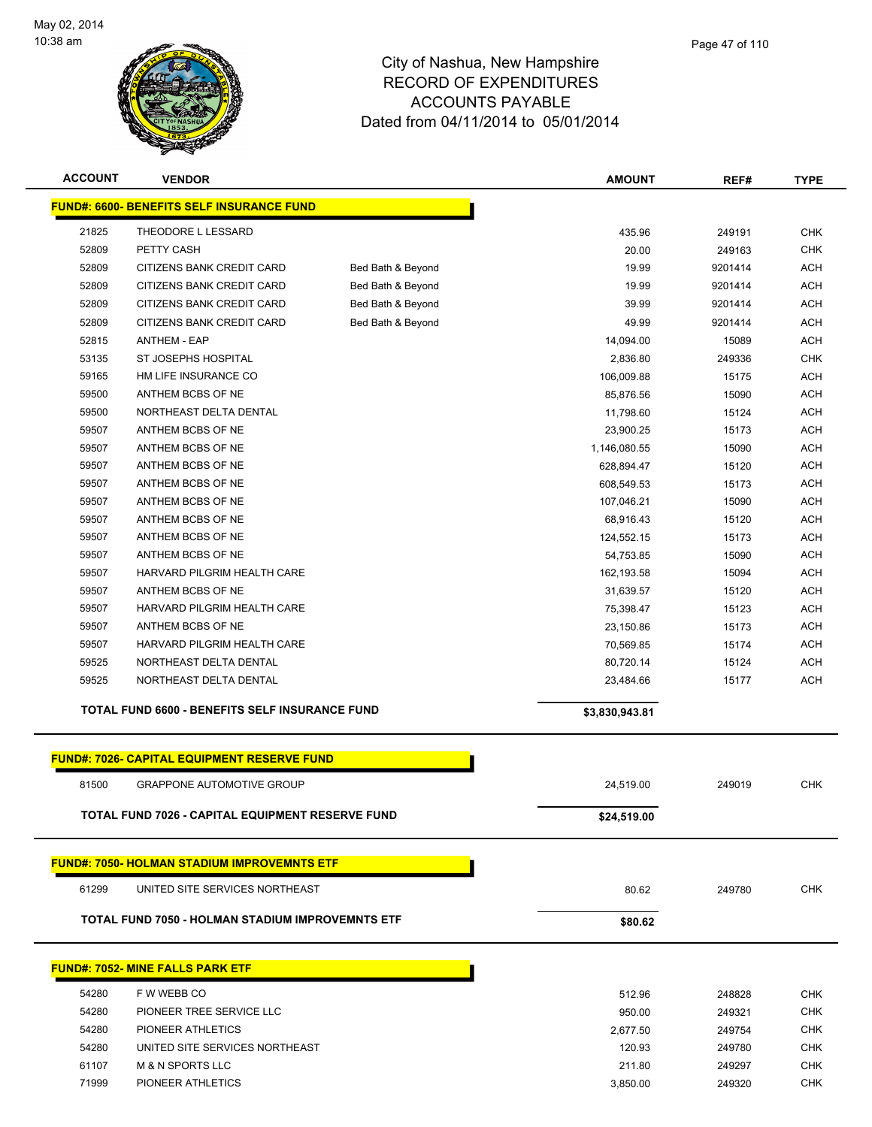

| <b>ACCOUNT</b> | <b>VENDOR</b>                                      |                   | <b>AMOUNT</b>  | REF#    | <b>TYPE</b> |
|----------------|----------------------------------------------------|-------------------|----------------|---------|-------------|
|                | <b>FUND#: 6600- BENEFITS SELF INSURANCE FUND</b>   |                   |                |         |             |
| 21825          | THEODORE L LESSARD                                 |                   | 435.96         | 249191  | <b>CHK</b>  |
| 52809          | PETTY CASH                                         |                   | 20.00          | 249163  | <b>CHK</b>  |
| 52809          | CITIZENS BANK CREDIT CARD                          | Bed Bath & Beyond | 19.99          | 9201414 | <b>ACH</b>  |
| 52809          | CITIZENS BANK CREDIT CARD                          | Bed Bath & Beyond | 19.99          | 9201414 | <b>ACH</b>  |
| 52809          | CITIZENS BANK CREDIT CARD                          | Bed Bath & Beyond | 39.99          | 9201414 | <b>ACH</b>  |
| 52809          | CITIZENS BANK CREDIT CARD                          | Bed Bath & Beyond | 49.99          | 9201414 | <b>ACH</b>  |
| 52815          | <b>ANTHEM - EAP</b>                                |                   | 14,094.00      | 15089   | <b>ACH</b>  |
| 53135          | ST JOSEPHS HOSPITAL                                |                   | 2,836.80       | 249336  | <b>CHK</b>  |
| 59165          | HM LIFE INSURANCE CO                               |                   | 106,009.88     | 15175   | <b>ACH</b>  |
| 59500          | ANTHEM BCBS OF NE                                  |                   | 85,876.56      | 15090   | <b>ACH</b>  |
| 59500          | NORTHEAST DELTA DENTAL                             |                   | 11,798.60      | 15124   | <b>ACH</b>  |
| 59507          | ANTHEM BCBS OF NE                                  |                   | 23,900.25      | 15173   | <b>ACH</b>  |
| 59507          | ANTHEM BCBS OF NE                                  |                   | 1,146,080.55   | 15090   | <b>ACH</b>  |
| 59507          | ANTHEM BCBS OF NE                                  |                   | 628,894.47     | 15120   | <b>ACH</b>  |
| 59507          | ANTHEM BCBS OF NE                                  |                   | 608,549.53     | 15173   | <b>ACH</b>  |
| 59507          | ANTHEM BCBS OF NE                                  |                   | 107,046.21     | 15090   | <b>ACH</b>  |
| 59507          | ANTHEM BCBS OF NE                                  |                   | 68,916.43      | 15120   | <b>ACH</b>  |
| 59507          | ANTHEM BCBS OF NE                                  |                   | 124,552.15     | 15173   | <b>ACH</b>  |
| 59507          | ANTHEM BCBS OF NE                                  |                   | 54,753.85      | 15090   | <b>ACH</b>  |
| 59507          | HARVARD PILGRIM HEALTH CARE                        |                   | 162,193.58     | 15094   | <b>ACH</b>  |
| 59507          | ANTHEM BCBS OF NE                                  |                   | 31,639.57      | 15120   | <b>ACH</b>  |
| 59507          | HARVARD PILGRIM HEALTH CARE                        |                   | 75,398.47      | 15123   | <b>ACH</b>  |
| 59507          | ANTHEM BCBS OF NE                                  |                   | 23,150.86      | 15173   | <b>ACH</b>  |
| 59507          | HARVARD PILGRIM HEALTH CARE                        |                   | 70,569.85      | 15174   | <b>ACH</b>  |
| 59525          | NORTHEAST DELTA DENTAL                             |                   | 80,720.14      | 15124   | <b>ACH</b>  |
| 59525          | NORTHEAST DELTA DENTAL                             |                   | 23,484.66      | 15177   | <b>ACH</b>  |
|                | TOTAL FUND 6600 - BENEFITS SELF INSURANCE FUND     |                   | \$3,830,943.81 |         |             |
|                | <b>FUND#: 7026- CAPITAL EQUIPMENT RESERVE FUND</b> |                   |                |         |             |
| 81500          | <b>GRAPPONE AUTOMOTIVE GROUP</b>                   |                   | 24,519.00      | 249019  | <b>CHK</b>  |
|                |                                                    |                   |                |         |             |
|                | TOTAL FUND 7026 - CAPITAL EQUIPMENT RESERVE FUND   |                   | \$24,519.00    |         |             |
|                | <b>FUND#: 7050- HOLMAN STADIUM IMPROVEMNTS ETF</b> |                   |                |         |             |
| 61299          | UNITED SITE SERVICES NORTHEAST                     |                   | 80.62          | 249780  | <b>CHK</b>  |
|                | TOTAL FUND 7050 - HOLMAN STADIUM IMPROVEMNTS ETF   |                   | \$80.62        |         |             |
|                |                                                    |                   |                |         |             |
|                | <b>FUND#: 7052- MINE FALLS PARK ETF</b>            |                   |                |         |             |
| 54280          | F W WEBB CO                                        |                   | 512.96         | 248828  | <b>CHK</b>  |
| 54280          | PIONEER TREE SERVICE LLC                           |                   | 950.00         | 249321  | <b>CHK</b>  |
| 54280          | PIONEER ATHLETICS                                  |                   | 2,677.50       | 249754  | <b>CHK</b>  |
| 54280          | UNITED SITE SERVICES NORTHEAST                     |                   | 120.93         | 249780  | <b>CHK</b>  |
| 61107          | <b>M &amp; N SPORTS LLC</b>                        |                   | 211.80         | 249297  | <b>CHK</b>  |
| 71999          | PIONEER ATHLETICS                                  |                   | 3,850.00       | 249320  | <b>CHK</b>  |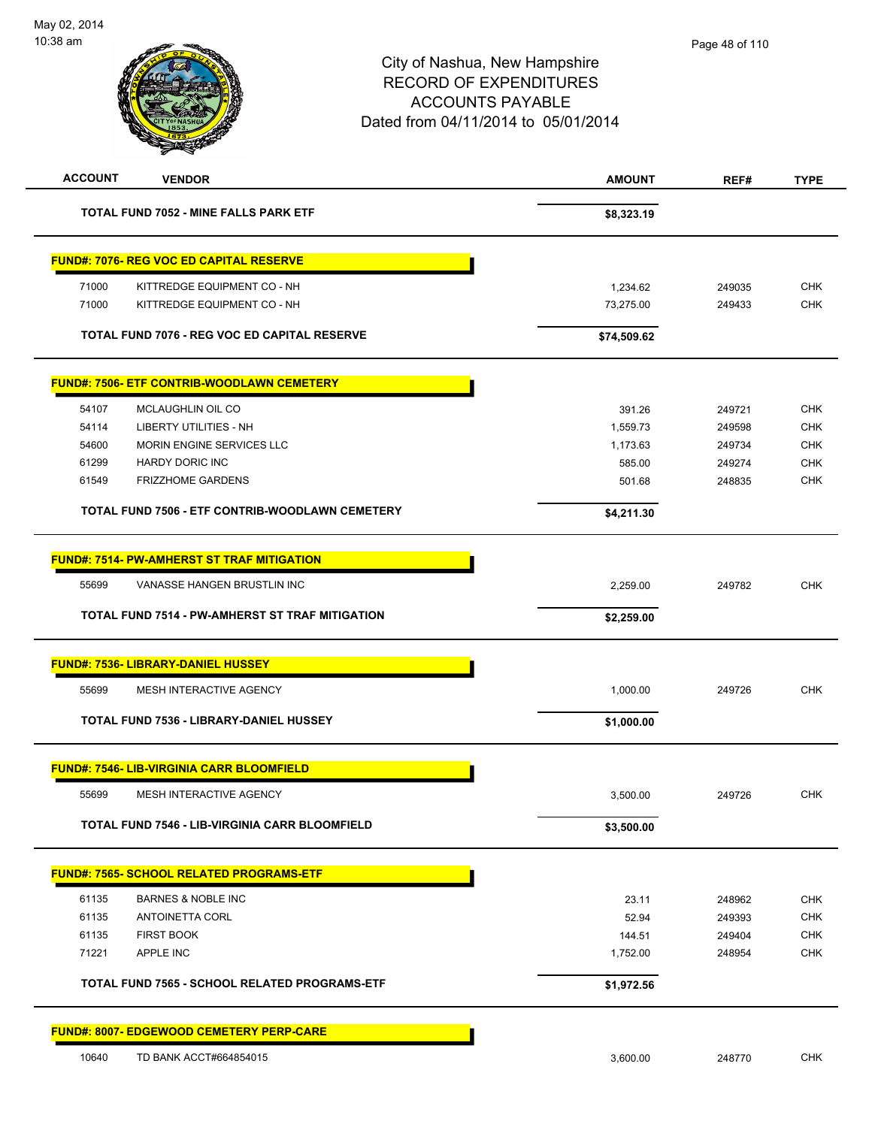| <b>ACCOUNT</b> | <b>VENDOR</b>                                         | <b>AMOUNT</b> | REF#   | <b>TYPE</b> |
|----------------|-------------------------------------------------------|---------------|--------|-------------|
|                | <b>TOTAL FUND 7052 - MINE FALLS PARK ETF</b>          | \$8,323.19    |        |             |
|                | <b>FUND#: 7076- REG VOC ED CAPITAL RESERVE</b>        |               |        |             |
| 71000          | KITTREDGE EQUIPMENT CO - NH                           | 1,234.62      | 249035 | <b>CHK</b>  |
| 71000          | KITTREDGE EQUIPMENT CO - NH                           | 73,275.00     | 249433 | <b>CHK</b>  |
|                | TOTAL FUND 7076 - REG VOC ED CAPITAL RESERVE          | \$74,509.62   |        |             |
|                | <b>FUND#: 7506- ETF CONTRIB-WOODLAWN CEMETERY</b>     |               |        |             |
| 54107          | MCLAUGHLIN OIL CO                                     | 391.26        | 249721 | <b>CHK</b>  |
| 54114          | <b>LIBERTY UTILITIES - NH</b>                         | 1,559.73      | 249598 | <b>CHK</b>  |
| 54600          | MORIN ENGINE SERVICES LLC                             | 1,173.63      | 249734 | <b>CHK</b>  |
| 61299          | <b>HARDY DORIC INC</b>                                | 585.00        | 249274 | <b>CHK</b>  |
| 61549          | <b>FRIZZHOME GARDENS</b>                              | 501.68        | 248835 | <b>CHK</b>  |
|                | TOTAL FUND 7506 - ETF CONTRIB-WOODLAWN CEMETERY       | \$4,211.30    |        |             |
|                | <b>FUND#: 7514- PW-AMHERST ST TRAF MITIGATION</b>     |               |        |             |
| 55699          | VANASSE HANGEN BRUSTLIN INC                           | 2,259.00      | 249782 | <b>CHK</b>  |
|                | TOTAL FUND 7514 - PW-AMHERST ST TRAF MITIGATION       | \$2,259.00    |        |             |
|                | <b>FUND#: 7536- LIBRARY-DANIEL HUSSEY</b>             |               |        |             |
| 55699          | MESH INTERACTIVE AGENCY                               | 1,000.00      | 249726 | <b>CHK</b>  |
|                | <b>TOTAL FUND 7536 - LIBRARY-DANIEL HUSSEY</b>        | \$1,000.00    |        |             |
|                | <b>FUND#: 7546- LIB-VIRGINIA CARR BLOOMFIELD</b>      |               |        |             |
| 55699          | MESH INTERACTIVE AGENCY                               | 3,500.00      | 249726 | <b>CHK</b>  |
|                | <b>TOTAL FUND 7546 - LIB-VIRGINIA CARR BLOOMFIELD</b> | \$3,500.00    |        |             |
|                | FUND#: 7565- SCHOOL RELATED PROGRAMS-ETF              |               |        |             |
| 61135          | <b>BARNES &amp; NOBLE INC</b>                         | 23.11         | 248962 | <b>CHK</b>  |
| 61135          | <b>ANTOINETTA CORL</b>                                | 52.94         | 249393 | <b>CHK</b>  |
| 61135          | <b>FIRST BOOK</b>                                     | 144.51        | 249404 | <b>CHK</b>  |
| 71221          | APPLE INC                                             | 1,752.00      | 248954 | <b>CHK</b>  |
|                | TOTAL FUND 7565 - SCHOOL RELATED PROGRAMS-ETF         | \$1,972.56    |        |             |
|                | <b>FUND#: 8007- EDGEWOOD CEMETERY PERP-CARE</b>       |               |        |             |
| 10640          | TD BANK ACCT#664854015                                | 3,600.00      | 248770 | <b>CHK</b>  |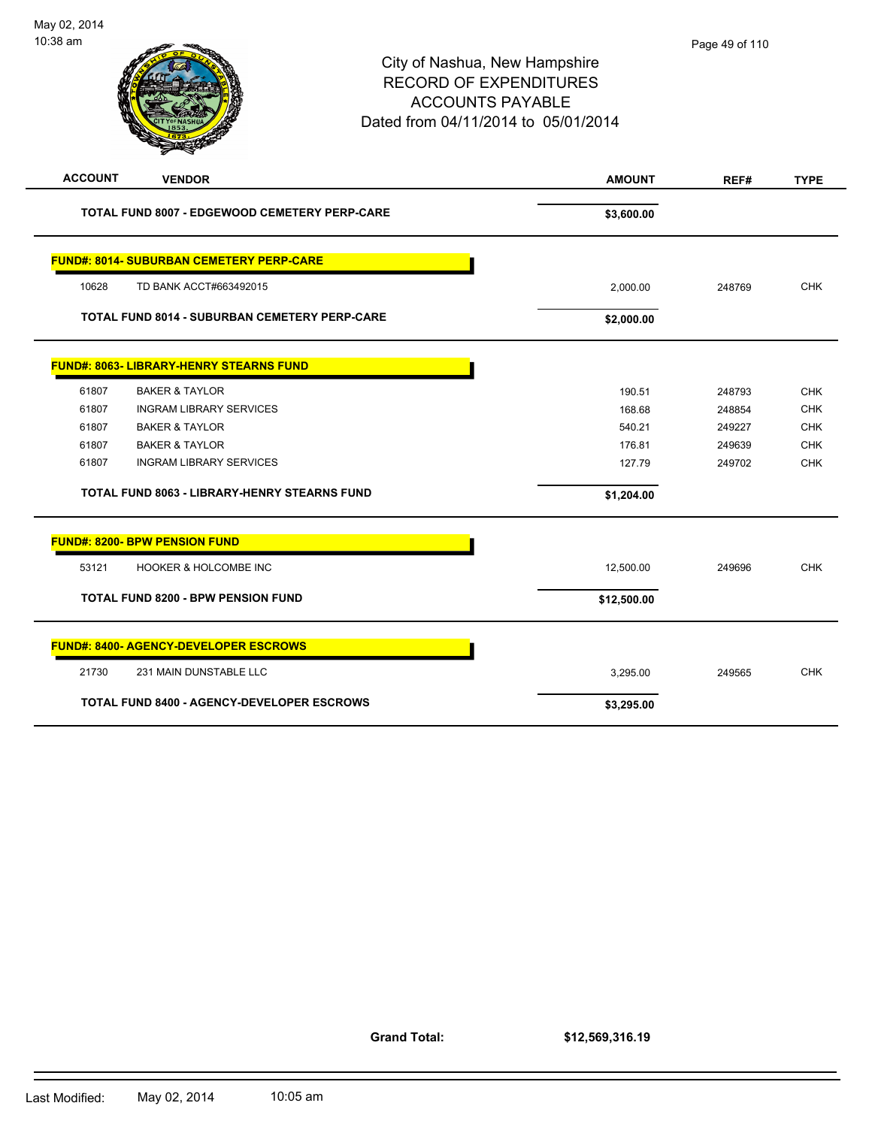| 10:38 am       |                                                      | City of Nashua, New Hampshire<br><b>RECORD OF EXPENDITURES</b><br><b>ACCOUNTS PAYABLE</b><br>Dated from 04/11/2014 to 05/01/2014 | Page 49 of 110 |             |
|----------------|------------------------------------------------------|----------------------------------------------------------------------------------------------------------------------------------|----------------|-------------|
| <b>ACCOUNT</b> | <b>VENDOR</b>                                        | <b>AMOUNT</b>                                                                                                                    | REF#           | <b>TYPE</b> |
|                | <b>TOTAL FUND 8007 - EDGEWOOD CEMETERY PERP-CARE</b> | \$3,600.00                                                                                                                       |                |             |
|                | <b>FUND#: 8014- SUBURBAN CEMETERY PERP-CARE</b>      |                                                                                                                                  |                |             |
| 10628          | TD BANK ACCT#663492015                               | 2,000.00                                                                                                                         | 248769         | <b>CHK</b>  |
|                | <b>TOTAL FUND 8014 - SUBURBAN CEMETERY PERP-CARE</b> | \$2,000.00                                                                                                                       |                |             |
|                | <b>FUND#: 8063- LIBRARY-HENRY STEARNS FUND</b>       |                                                                                                                                  |                |             |
| 61807          | <b>BAKER &amp; TAYLOR</b>                            | 190.51                                                                                                                           | 248793         | <b>CHK</b>  |
| 61807          | <b>INGRAM LIBRARY SERVICES</b>                       | 168.68                                                                                                                           | 248854         | <b>CHK</b>  |
| 61807          | <b>BAKER &amp; TAYLOR</b>                            | 540.21                                                                                                                           | 249227         | <b>CHK</b>  |
| 61807          | <b>BAKER &amp; TAYLOR</b>                            | 176.81                                                                                                                           | 249639         | <b>CHK</b>  |
| 61807          | <b>INGRAM LIBRARY SERVICES</b>                       | 127.79                                                                                                                           | 249702         | <b>CHK</b>  |
|                | <b>TOTAL FUND 8063 - LIBRARY-HENRY STEARNS FUND</b>  | \$1,204.00                                                                                                                       |                |             |
|                | <b>FUND#: 8200- BPW PENSION FUND</b>                 |                                                                                                                                  |                |             |
| 53121          | HOOKER & HOLCOMBE INC                                | 12,500.00                                                                                                                        | 249696         | <b>CHK</b>  |
|                | <b>TOTAL FUND 8200 - BPW PENSION FUND</b>            | \$12,500.00                                                                                                                      |                |             |
|                | <b>FUND#: 8400- AGENCY-DEVELOPER ESCROWS</b>         |                                                                                                                                  |                |             |

21730 231 MAIN DUNSTABLE LLC **CHING A SERVER SERVER SERVER SERVER STATE** 3,295.00 249565 CHK

TOTAL FUND 8400 - AGENCY-DEVELOPER ESCROWS \$3,295.00

**Grand Total:**

**\$12,569,316.19**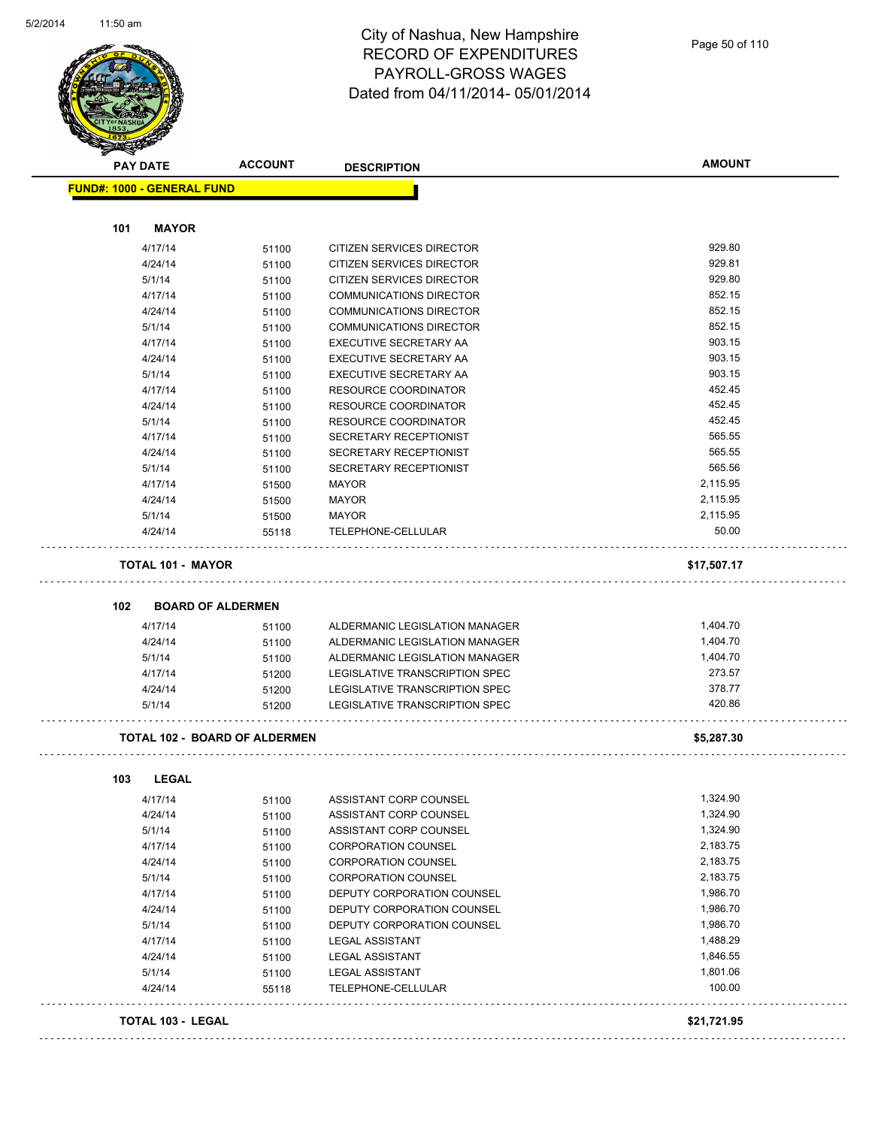

|                                   |                                      | <b>DESCRIPTION</b>               | <b>AMOUNT</b> |
|-----------------------------------|--------------------------------------|----------------------------------|---------------|
| <b>FUND#: 1000 - GENERAL FUND</b> |                                      |                                  |               |
|                                   |                                      |                                  |               |
| <b>MAYOR</b><br>101               |                                      |                                  |               |
| 4/17/14                           | 51100                                | <b>CITIZEN SERVICES DIRECTOR</b> | 929.80        |
| 4/24/14                           | 51100                                | CITIZEN SERVICES DIRECTOR        | 929.81        |
| 5/1/14                            | 51100                                | CITIZEN SERVICES DIRECTOR        | 929.80        |
| 4/17/14                           | 51100                                | <b>COMMUNICATIONS DIRECTOR</b>   | 852.15        |
| 4/24/14                           | 51100                                | COMMUNICATIONS DIRECTOR          | 852.15        |
| 5/1/14                            | 51100                                | COMMUNICATIONS DIRECTOR          | 852.15        |
| 4/17/14                           | 51100                                | EXECUTIVE SECRETARY AA           | 903.15        |
| 4/24/14                           | 51100                                | EXECUTIVE SECRETARY AA           | 903.15        |
| 5/1/14                            | 51100                                | EXECUTIVE SECRETARY AA           | 903.15        |
| 4/17/14                           | 51100                                | RESOURCE COORDINATOR             | 452.45        |
| 4/24/14                           | 51100                                | <b>RESOURCE COORDINATOR</b>      | 452.45        |
| 5/1/14                            | 51100                                | <b>RESOURCE COORDINATOR</b>      | 452.45        |
| 4/17/14                           | 51100                                | SECRETARY RECEPTIONIST           | 565.55        |
| 4/24/14                           | 51100                                | SECRETARY RECEPTIONIST           | 565.55        |
| 5/1/14                            | 51100                                | SECRETARY RECEPTIONIST           | 565.56        |
| 4/17/14                           | 51500                                | <b>MAYOR</b>                     | 2,115.95      |
| 4/24/14                           | 51500                                | <b>MAYOR</b>                     | 2,115.95      |
| 5/1/14                            | 51500                                | <b>MAYOR</b>                     | 2,115.95      |
| 4/24/14                           | 55118                                | TELEPHONE-CELLULAR               | 50.00         |
|                                   |                                      |                                  | \$17,507.17   |
| <b>TOTAL 101 - MAYOR</b>          |                                      |                                  |               |
|                                   | <b>BOARD OF ALDERMEN</b>             |                                  |               |
| 4/17/14                           | 51100                                | ALDERMANIC LEGISLATION MANAGER   | 1,404.70      |
| 4/24/14                           | 51100                                | ALDERMANIC LEGISLATION MANAGER   | 1,404.70      |
| 5/1/14                            | 51100                                | ALDERMANIC LEGISLATION MANAGER   | 1,404.70      |
| 4/17/14                           | 51200                                | LEGISLATIVE TRANSCRIPTION SPEC   | 273.57        |
| 4/24/14                           | 51200                                | LEGISLATIVE TRANSCRIPTION SPEC   | 378.77        |
| 5/1/14                            | 51200                                | LEGISLATIVE TRANSCRIPTION SPEC   | 420.86        |
|                                   | <b>TOTAL 102 - BOARD OF ALDERMEN</b> |                                  | \$5,287.30    |
|                                   |                                      |                                  |               |
| <b>LEGAL</b>                      |                                      |                                  |               |
| 4/17/14                           | 51100                                | ASSISTANT CORP COUNSEL           | 1,324.90      |
| 4/24/14                           | 51100                                | ASSISTANT CORP COUNSEL           | 1,324.90      |
| 5/1/14                            | 51100                                | ASSISTANT CORP COUNSEL           | 1,324.90      |
| 4/17/14                           | 51100                                | <b>CORPORATION COUNSEL</b>       | 2,183.75      |
| 4/24/14                           | 51100                                | <b>CORPORATION COUNSEL</b>       | 2,183.75      |
| 5/1/14                            | 51100                                | <b>CORPORATION COUNSEL</b>       | 2,183.75      |
| 4/17/14                           | 51100                                | DEPUTY CORPORATION COUNSEL       | 1,986.70      |
| 4/24/14                           | 51100                                | DEPUTY CORPORATION COUNSEL       | 1,986.70      |
| 5/1/14                            | 51100                                | DEPUTY CORPORATION COUNSEL       | 1,986.70      |
| 4/17/14                           | 51100                                | <b>LEGAL ASSISTANT</b>           | 1,488.29      |
| 102<br>103<br>4/24/14             | 51100                                | <b>LEGAL ASSISTANT</b>           | 1,846.55      |
| 5/1/14                            | 51100                                | <b>LEGAL ASSISTANT</b>           | 1,801.06      |
| 4/24/14                           | 55118                                | TELEPHONE-CELLULAR               | 100.00        |
| <b>TOTAL 103 - LEGAL</b>          |                                      |                                  | \$21,721.95   |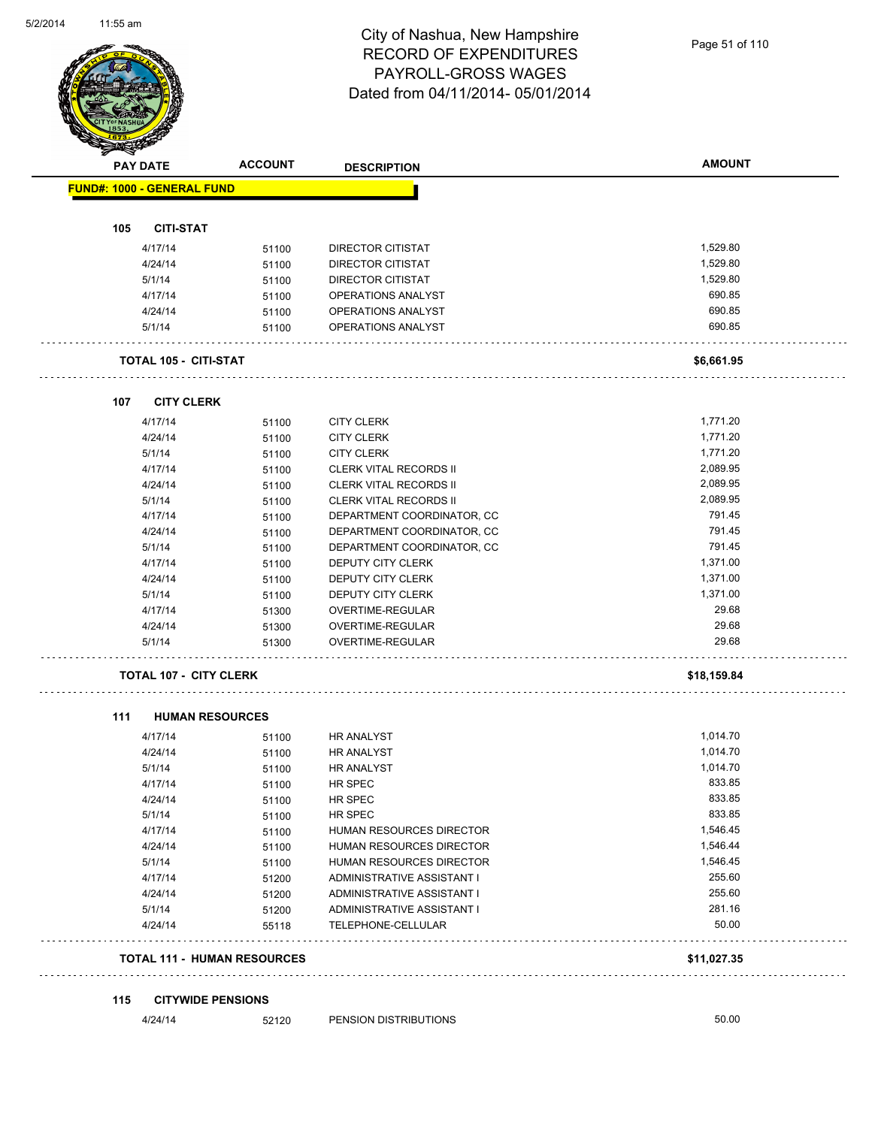Page 51 of 110

|                                    | <b>ACCOUNT</b> | <b>DESCRIPTION</b>                       | <b>AMOUNT</b>      |
|------------------------------------|----------------|------------------------------------------|--------------------|
| <b>FUND#: 1000 - GENERAL FUND</b>  |                |                                          |                    |
|                                    |                |                                          |                    |
| <b>CITI-STAT</b><br>105            |                |                                          |                    |
| 4/17/14                            | 51100          | DIRECTOR CITISTAT                        | 1,529.80           |
| 4/24/14                            | 51100          | <b>DIRECTOR CITISTAT</b>                 | 1,529.80           |
| 5/1/14                             | 51100          | DIRECTOR CITISTAT                        | 1,529.80<br>690.85 |
| 4/17/14                            | 51100          | OPERATIONS ANALYST<br>OPERATIONS ANALYST | 690.85             |
| 4/24/14<br>5/1/14                  | 51100<br>51100 | OPERATIONS ANALYST                       | 690.85             |
|                                    |                |                                          |                    |
| TOTAL 105 - CITI-STAT              |                |                                          | \$6,661.95         |
| <b>CITY CLERK</b><br>107           |                |                                          |                    |
| 4/17/14                            | 51100          | <b>CITY CLERK</b>                        | 1,771.20           |
| 4/24/14                            | 51100          | <b>CITY CLERK</b>                        | 1,771.20           |
| 5/1/14                             | 51100          | <b>CITY CLERK</b>                        | 1,771.20           |
| 4/17/14                            | 51100          | <b>CLERK VITAL RECORDS II</b>            | 2,089.95           |
| 4/24/14                            | 51100          | <b>CLERK VITAL RECORDS II</b>            | 2,089.95           |
| 5/1/14                             | 51100          | <b>CLERK VITAL RECORDS II</b>            | 2,089.95           |
| 4/17/14                            | 51100          | DEPARTMENT COORDINATOR, CC               | 791.45             |
| 4/24/14                            | 51100          | DEPARTMENT COORDINATOR, CC               | 791.45             |
| 5/1/14                             | 51100          | DEPARTMENT COORDINATOR, CC               | 791.45             |
| 4/17/14                            | 51100          | DEPUTY CITY CLERK                        | 1,371.00           |
| 4/24/14                            | 51100          | DEPUTY CITY CLERK                        | 1,371.00           |
| 5/1/14                             | 51100          | DEPUTY CITY CLERK                        | 1,371.00           |
| 4/17/14                            | 51300          | OVERTIME-REGULAR                         | 29.68              |
| 4/24/14                            | 51300          | OVERTIME-REGULAR                         | 29.68              |
| 5/1/14                             | 51300          | OVERTIME-REGULAR                         | 29.68              |
| <b>TOTAL 107 - CITY CLERK</b>      |                |                                          | \$18,159.84        |
| 111<br><b>HUMAN RESOURCES</b>      |                |                                          |                    |
| 4/17/14                            | 51100          | <b>HR ANALYST</b>                        | 1,014.70           |
| 4/24/14                            | 51100          | HR ANALYST                               | 1,014.70           |
| 5/1/14                             | 51100          | HR ANALYST                               | 1,014.70           |
| 4/17/14                            | 51100          | HR SPEC                                  | 833.85             |
| 4/24/14                            | 51100          | HR SPEC                                  | 833.85             |
| 5/1/14                             | 51100          | HR SPEC                                  | 833.85             |
| 4/17/14                            | 51100          | HUMAN RESOURCES DIRECTOR                 | 1,546.45           |
| 4/24/14                            | 51100          | HUMAN RESOURCES DIRECTOR                 | 1,546.44           |
| 5/1/14                             | 51100          | HUMAN RESOURCES DIRECTOR                 | 1,546.45           |
| 4/17/14                            | 51200          | ADMINISTRATIVE ASSISTANT I               | 255.60             |
| 4/24/14                            | 51200          | ADMINISTRATIVE ASSISTANT I               | 255.60             |
| 5/1/14                             | 51200          | ADMINISTRATIVE ASSISTANT I               | 281.16             |
| 4/24/14                            | 55118          | TELEPHONE-CELLULAR                       | 50.00              |
| <b>TOTAL 111 - HUMAN RESOURCES</b> |                |                                          | \$11,027.35        |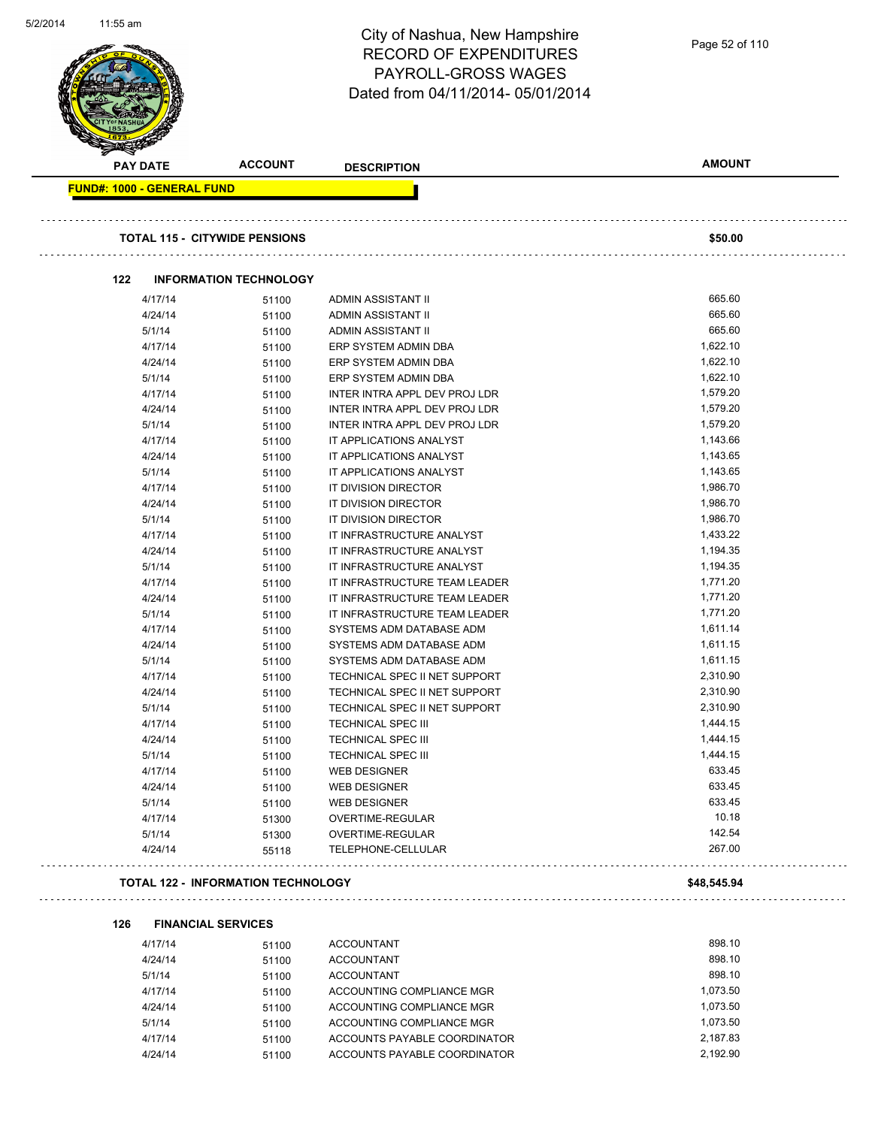| $1.00$ and                        |                                           | City of Nashua, New Hampshire<br><b>RECORD OF EXPENDITURES</b><br>PAYROLL-GROSS WAGES<br>Dated from 04/11/2014-05/01/2014 | Page 52 of 110   |
|-----------------------------------|-------------------------------------------|---------------------------------------------------------------------------------------------------------------------------|------------------|
| <b>PAY DATE</b>                   | <b>ACCOUNT</b>                            | <b>DESCRIPTION</b>                                                                                                        | <b>AMOUNT</b>    |
| <b>FUND#: 1000 - GENERAL FUND</b> |                                           |                                                                                                                           |                  |
|                                   | <b>TOTAL 115 - CITYWIDE PENSIONS</b>      |                                                                                                                           | \$50.00          |
| 122                               | <b>INFORMATION TECHNOLOGY</b>             |                                                                                                                           |                  |
| 4/17/14                           | 51100                                     | ADMIN ASSISTANT II                                                                                                        | 665.60           |
| 4/24/14                           | 51100                                     | ADMIN ASSISTANT II                                                                                                        | 665.60           |
| 5/1/14                            | 51100                                     | ADMIN ASSISTANT II                                                                                                        | 665.60           |
| 4/17/14                           | 51100                                     | ERP SYSTEM ADMIN DBA                                                                                                      | 1,622.10         |
| 4/24/14                           | 51100                                     | ERP SYSTEM ADMIN DBA                                                                                                      | 1,622.10         |
| 5/1/14                            | 51100                                     | ERP SYSTEM ADMIN DBA                                                                                                      | 1,622.10         |
| 4/17/14                           | 51100                                     | INTER INTRA APPL DEV PROJ LDR                                                                                             | 1,579.20         |
| 4/24/14                           | 51100                                     | INTER INTRA APPL DEV PROJ LDR                                                                                             | 1,579.20         |
| 5/1/14                            | 51100                                     | INTER INTRA APPL DEV PROJ LDR                                                                                             | 1,579.20         |
| 4/17/14                           | 51100                                     | IT APPLICATIONS ANALYST                                                                                                   | 1,143.66         |
| 4/24/14                           | 51100                                     | IT APPLICATIONS ANALYST                                                                                                   | 1,143.65         |
| 5/1/14                            | 51100                                     | IT APPLICATIONS ANALYST                                                                                                   | 1,143.65         |
| 4/17/14                           | 51100                                     | IT DIVISION DIRECTOR                                                                                                      | 1,986.70         |
| 4/24/14                           | 51100                                     | IT DIVISION DIRECTOR                                                                                                      | 1,986.70         |
| 5/1/14                            | 51100                                     | IT DIVISION DIRECTOR                                                                                                      | 1,986.70         |
| 4/17/14                           | 51100                                     | IT INFRASTRUCTURE ANALYST                                                                                                 | 1,433.22         |
| 4/24/14                           | 51100                                     | IT INFRASTRUCTURE ANALYST                                                                                                 | 1,194.35         |
| 5/1/14                            | 51100                                     | IT INFRASTRUCTURE ANALYST                                                                                                 | 1,194.35         |
| 4/17/14                           | 51100                                     | IT INFRASTRUCTURE TEAM LEADER                                                                                             | 1,771.20         |
| 4/24/14                           | 51100                                     | IT INFRASTRUCTURE TEAM LEADER                                                                                             | 1,771.20         |
| 5/1/14                            | 51100                                     | IT INFRASTRUCTURE TEAM LEADER                                                                                             | 1,771.20         |
| 4/17/14                           | 51100                                     | SYSTEMS ADM DATABASE ADM                                                                                                  | 1,611.14         |
| 4/24/14                           | 51100                                     | SYSTEMS ADM DATABASE ADM                                                                                                  | 1,611.15         |
| 5/1/14                            | 51100                                     | SYSTEMS ADM DATABASE ADM                                                                                                  | 1,611.15         |
| 4/17/14                           | 51100                                     | TECHNICAL SPEC II NET SUPPORT                                                                                             | 2,310.90         |
| 4/24/14                           | 51100                                     | TECHNICAL SPEC II NET SUPPORT                                                                                             | 2,310.90         |
| 5/1/14                            | 51100                                     | TECHNICAL SPEC II NET SUPPORT                                                                                             | 2,310.90         |
| 4/17/14                           | 51100                                     | <b>TECHNICAL SPEC III</b>                                                                                                 | 1,444.15         |
| 4/24/14                           | 51100                                     | <b>TECHNICAL SPEC III</b>                                                                                                 | 1,444.15         |
| 5/1/14                            | 51100                                     | <b>TECHNICAL SPEC III</b>                                                                                                 | 1,444.15         |
| 4/17/14                           | 51100                                     | <b>WEB DESIGNER</b>                                                                                                       | 633.45           |
| 4/24/14                           | 51100                                     | <b>WEB DESIGNER</b>                                                                                                       | 633.45           |
| 5/1/14                            | 51100                                     | <b>WEB DESIGNER</b>                                                                                                       | 633.45           |
| 4/17/14                           | 51300                                     | OVERTIME-REGULAR                                                                                                          | 10.18            |
| 5/1/14<br>4/24/14                 | 51300<br>55118                            | OVERTIME-REGULAR<br>TELEPHONE-CELLULAR                                                                                    | 142.54<br>267.00 |
|                                   | <b>TOTAL 122 - INFORMATION TECHNOLOGY</b> |                                                                                                                           | \$48,545.94      |
|                                   |                                           |                                                                                                                           |                  |
| 126                               | <b>FINANCIAL SERVICES</b>                 |                                                                                                                           |                  |
|                                   |                                           |                                                                                                                           |                  |

5/2/2014

11:55 am

| 4/17/14 | 51100 | <b>ACCOUNTANT</b>            | 898.10   |
|---------|-------|------------------------------|----------|
| 4/24/14 | 51100 | <b>ACCOUNTANT</b>            | 898.10   |
| 5/1/14  | 51100 | <b>ACCOUNTANT</b>            | 898.10   |
| 4/17/14 | 51100 | ACCOUNTING COMPLIANCE MGR    | 1.073.50 |
| 4/24/14 | 51100 | ACCOUNTING COMPLIANCE MGR    | 1.073.50 |
| 5/1/14  | 51100 | ACCOUNTING COMPLIANCE MGR    | 1.073.50 |
| 4/17/14 | 51100 | ACCOUNTS PAYABLE COORDINATOR | 2.187.83 |
| 4/24/14 | 51100 | ACCOUNTS PAYABLE COORDINATOR | 2.192.90 |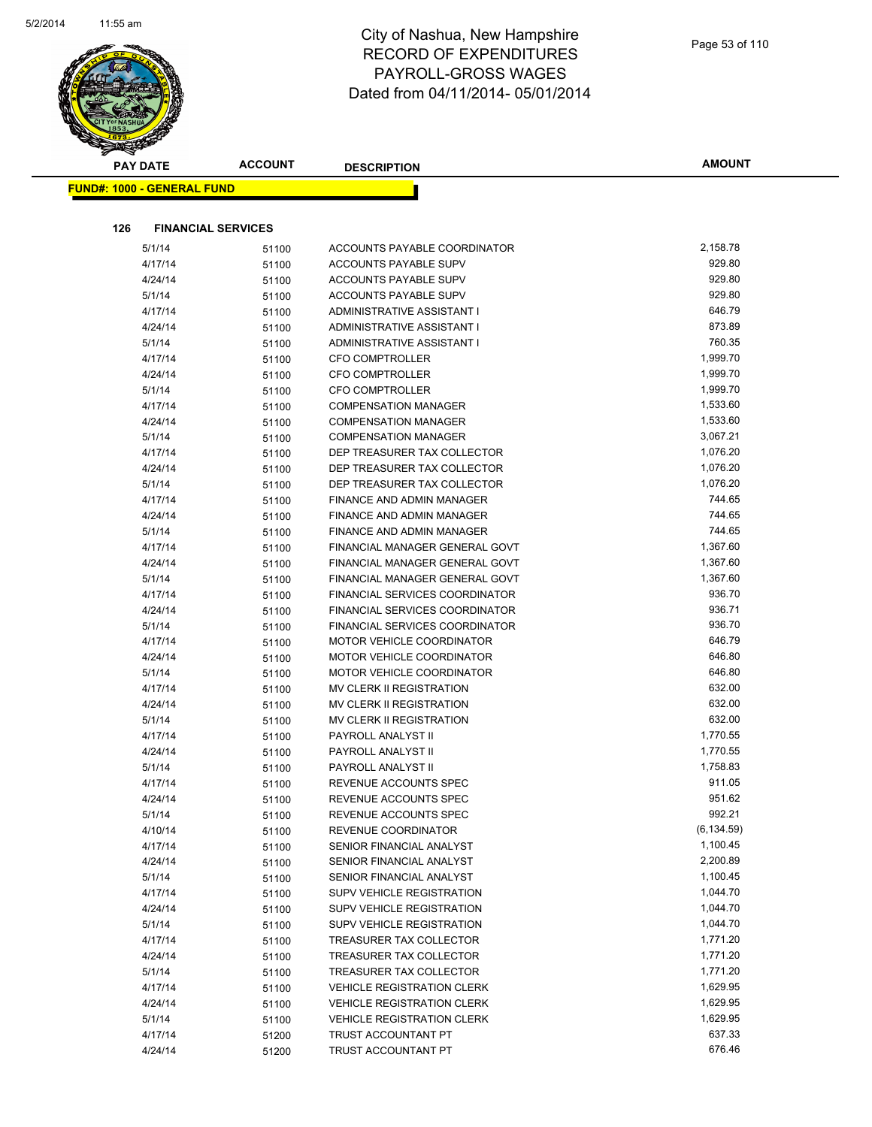

| <b>PAY DATE</b>                   | <b>ACCOUNT</b>            | <b>DESCRIPTION</b>                | <b>AMOUNT</b> |
|-----------------------------------|---------------------------|-----------------------------------|---------------|
| <b>FUND#: 1000 - GENERAL FUND</b> |                           |                                   |               |
|                                   |                           |                                   |               |
| 126                               | <b>FINANCIAL SERVICES</b> |                                   |               |
| 5/1/14                            | 51100                     | ACCOUNTS PAYABLE COORDINATOR      | 2,158.78      |
| 4/17/14                           | 51100                     | ACCOUNTS PAYABLE SUPV             | 929.80        |
| 4/24/14                           | 51100                     | ACCOUNTS PAYABLE SUPV             | 929.80        |
| 5/1/14                            | 51100                     | <b>ACCOUNTS PAYABLE SUPV</b>      | 929.80        |
| 4/17/14                           | 51100                     | ADMINISTRATIVE ASSISTANT I        | 646.79        |
| 4/24/14                           | 51100                     | ADMINISTRATIVE ASSISTANT I        | 873.89        |
| 5/1/14                            | 51100                     | ADMINISTRATIVE ASSISTANT I        | 760.35        |
| 4/17/14                           | 51100                     | <b>CFO COMPTROLLER</b>            | 1,999.70      |
| 4/24/14                           | 51100                     | <b>CFO COMPTROLLER</b>            | 1,999.70      |
| 5/1/14                            | 51100                     | <b>CFO COMPTROLLER</b>            | 1,999.70      |
| 4/17/14                           | 51100                     | <b>COMPENSATION MANAGER</b>       | 1,533.60      |
| 4/24/14                           | 51100                     | <b>COMPENSATION MANAGER</b>       | 1,533.60      |
| 5/1/14                            | 51100                     | <b>COMPENSATION MANAGER</b>       | 3,067.21      |
| 4/17/14                           | 51100                     | DEP TREASURER TAX COLLECTOR       | 1,076.20      |
| 4/24/14                           | 51100                     | DEP TREASURER TAX COLLECTOR       | 1,076.20      |
| 5/1/14                            | 51100                     | DEP TREASURER TAX COLLECTOR       | 1,076.20      |
| 4/17/14                           | 51100                     | FINANCE AND ADMIN MANAGER         | 744.65        |
| 4/24/14                           | 51100                     | <b>FINANCE AND ADMIN MANAGER</b>  | 744.65        |
| 5/1/14                            | 51100                     | FINANCE AND ADMIN MANAGER         | 744.65        |
| 4/17/14                           | 51100                     | FINANCIAL MANAGER GENERAL GOVT    | 1,367.60      |
| 4/24/14                           | 51100                     | FINANCIAL MANAGER GENERAL GOVT    | 1,367.60      |
| 5/1/14                            | 51100                     | FINANCIAL MANAGER GENERAL GOVT    | 1,367.60      |
| 4/17/14                           | 51100                     | FINANCIAL SERVICES COORDINATOR    | 936.70        |
| 4/24/14                           | 51100                     | FINANCIAL SERVICES COORDINATOR    | 936.71        |
| 5/1/14                            | 51100                     | FINANCIAL SERVICES COORDINATOR    | 936.70        |
| 4/17/14                           | 51100                     | MOTOR VEHICLE COORDINATOR         | 646.79        |
| 4/24/14                           | 51100                     | MOTOR VEHICLE COORDINATOR         | 646.80        |
| 5/1/14                            | 51100                     | MOTOR VEHICLE COORDINATOR         | 646.80        |
| 4/17/14                           | 51100                     | MV CLERK II REGISTRATION          | 632.00        |
| 4/24/14                           | 51100                     | <b>MV CLERK II REGISTRATION</b>   | 632.00        |
| 5/1/14                            | 51100                     | MV CLERK II REGISTRATION          | 632.00        |
| 4/17/14                           | 51100                     | PAYROLL ANALYST II                | 1,770.55      |
| 4/24/14                           | 51100                     | PAYROLL ANALYST II                | 1,770.55      |
| 5/1/14                            | 51100                     | PAYROLL ANALYST II                | 1,758.83      |
| 4/17/14                           | 51100                     | REVENUE ACCOUNTS SPEC             | 911.05        |
| 4/24/14                           | 51100                     | REVENUE ACCOUNTS SPEC             | 951.62        |
| 5/1/14                            | 51100                     | REVENUE ACCOUNTS SPEC             | 992.21        |
| 4/10/14                           | 51100                     | REVENUE COORDINATOR               | (6, 134.59)   |
| 4/17/14                           | 51100                     | SENIOR FINANCIAL ANALYST          | 1,100.45      |
| 4/24/14                           | 51100                     | SENIOR FINANCIAL ANALYST          | 2,200.89      |
| 5/1/14                            | 51100                     | SENIOR FINANCIAL ANALYST          | 1,100.45      |
| 4/17/14                           | 51100                     | <b>SUPV VEHICLE REGISTRATION</b>  | 1,044.70      |
| 4/24/14                           | 51100                     | SUPV VEHICLE REGISTRATION         | 1,044.70      |
| 5/1/14                            | 51100                     | SUPV VEHICLE REGISTRATION         | 1,044.70      |
| 4/17/14                           | 51100                     | TREASURER TAX COLLECTOR           | 1,771.20      |
| 4/24/14                           | 51100                     | TREASURER TAX COLLECTOR           | 1,771.20      |
| 5/1/14                            | 51100                     | TREASURER TAX COLLECTOR           | 1,771.20      |
| 4/17/14                           | 51100                     | <b>VEHICLE REGISTRATION CLERK</b> | 1,629.95      |
| 4/24/14                           | 51100                     | <b>VEHICLE REGISTRATION CLERK</b> | 1,629.95      |
| 5/1/14                            | 51100                     | <b>VEHICLE REGISTRATION CLERK</b> | 1,629.95      |
| 4/17/14                           | 51200                     | TRUST ACCOUNTANT PT               | 637.33        |
| 4/24/14                           | 51200                     | TRUST ACCOUNTANT PT               | 676.46        |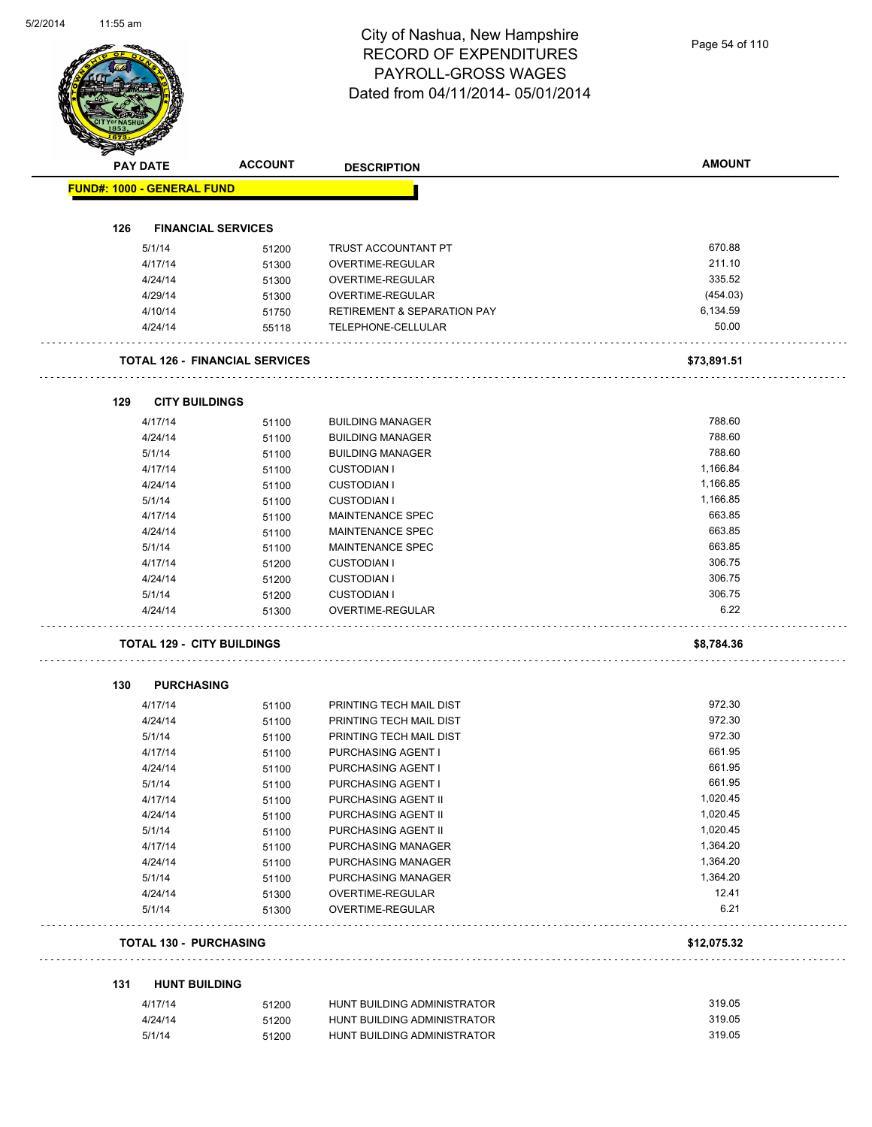|     | <b>PAY DATE</b>                   | <b>ACCOUNT</b>                        | <b>DESCRIPTION</b>                                         | <b>AMOUNT</b>    |
|-----|-----------------------------------|---------------------------------------|------------------------------------------------------------|------------------|
|     | <b>FUND#: 1000 - GENERAL FUND</b> |                                       |                                                            |                  |
|     |                                   |                                       |                                                            |                  |
| 126 |                                   | <b>FINANCIAL SERVICES</b>             |                                                            |                  |
|     | 5/1/14                            | 51200                                 | TRUST ACCOUNTANT PT                                        | 670.88           |
|     | 4/17/14                           | 51300                                 | OVERTIME-REGULAR                                           | 211.10           |
|     | 4/24/14                           | 51300                                 | OVERTIME-REGULAR                                           | 335.52           |
|     | 4/29/14                           | 51300                                 | OVERTIME-REGULAR                                           | (454.03)         |
|     | 4/10/14                           | 51750                                 | <b>RETIREMENT &amp; SEPARATION PAY</b>                     | 6,134.59         |
|     | 4/24/14                           | 55118                                 | TELEPHONE-CELLULAR                                         | 50.00            |
|     |                                   | <b>TOTAL 126 - FINANCIAL SERVICES</b> |                                                            | \$73,891.51      |
| 129 | <b>CITY BUILDINGS</b>             |                                       |                                                            |                  |
|     | 4/17/14                           | 51100                                 | <b>BUILDING MANAGER</b>                                    | 788.60           |
|     | 4/24/14                           | 51100                                 | <b>BUILDING MANAGER</b>                                    | 788.60           |
|     | 5/1/14                            | 51100                                 | <b>BUILDING MANAGER</b>                                    | 788.60           |
|     | 4/17/14                           | 51100                                 | <b>CUSTODIAN I</b>                                         | 1,166.84         |
|     | 4/24/14                           | 51100                                 | <b>CUSTODIAN I</b>                                         | 1,166.85         |
|     | 5/1/14                            | 51100                                 | <b>CUSTODIAN I</b>                                         | 1,166.85         |
|     | 4/17/14                           | 51100                                 | MAINTENANCE SPEC                                           | 663.85           |
|     | 4/24/14                           | 51100                                 | MAINTENANCE SPEC                                           | 663.85           |
|     | 5/1/14                            | 51100                                 | MAINTENANCE SPEC                                           | 663.85           |
|     | 4/17/14                           | 51200                                 | <b>CUSTODIAN I</b>                                         | 306.75           |
|     | 4/24/14                           | 51200                                 | <b>CUSTODIAN I</b>                                         | 306.75           |
|     | 5/1/14                            | 51200                                 | <b>CUSTODIAN I</b>                                         | 306.75           |
|     | 4/24/14                           | 51300                                 | OVERTIME-REGULAR                                           | 6.22             |
|     |                                   | <b>TOTAL 129 - CITY BUILDINGS</b>     |                                                            | \$8,784.36       |
| 130 | <b>PURCHASING</b>                 |                                       |                                                            |                  |
|     | 4/17/14                           | 51100                                 | PRINTING TECH MAIL DIST                                    | 972.30           |
|     | 4/24/14                           | 51100                                 | PRINTING TECH MAIL DIST                                    | 972.30           |
|     | 5/1/14                            | 51100                                 | PRINTING TECH MAIL DIST                                    | 972.30           |
|     | 4/17/14                           | 51100                                 | PURCHASING AGENT I                                         | 661.95           |
|     | 4/24/14                           | 51100                                 | PURCHASING AGENT I                                         | 661.95           |
|     | 5/1/14                            | 51100                                 | PURCHASING AGENT I                                         | 661.95           |
|     | 4/17/14                           | 51100                                 | PURCHASING AGENT II                                        | 1,020.45         |
|     | 4/24/14                           | 51100                                 | PURCHASING AGENT II                                        | 1,020.45         |
|     | 5/1/14                            | 51100                                 | PURCHASING AGENT II                                        | 1,020.45         |
|     | 4/17/14                           | 51100                                 | PURCHASING MANAGER                                         | 1,364.20         |
|     | 4/24/14                           | 51100                                 | PURCHASING MANAGER                                         | 1,364.20         |
|     |                                   | 51100                                 | PURCHASING MANAGER                                         | 1,364.20         |
|     | 5/1/14                            | 51300                                 | OVERTIME-REGULAR                                           | 12.41            |
|     | 4/24/14                           |                                       |                                                            | 6.21             |
|     | 5/1/14                            | 51300                                 | OVERTIME-REGULAR                                           |                  |
|     | <b>TOTAL 130 - PURCHASING</b>     |                                       |                                                            | \$12,075.32      |
| 131 | <b>HUNT BUILDING</b>              |                                       |                                                            |                  |
|     |                                   |                                       |                                                            |                  |
|     | 4/17/14<br>4/24/14                | 51200<br>51200                        | HUNT BUILDING ADMINISTRATOR<br>HUNT BUILDING ADMINISTRATOR | 319.05<br>319.05 |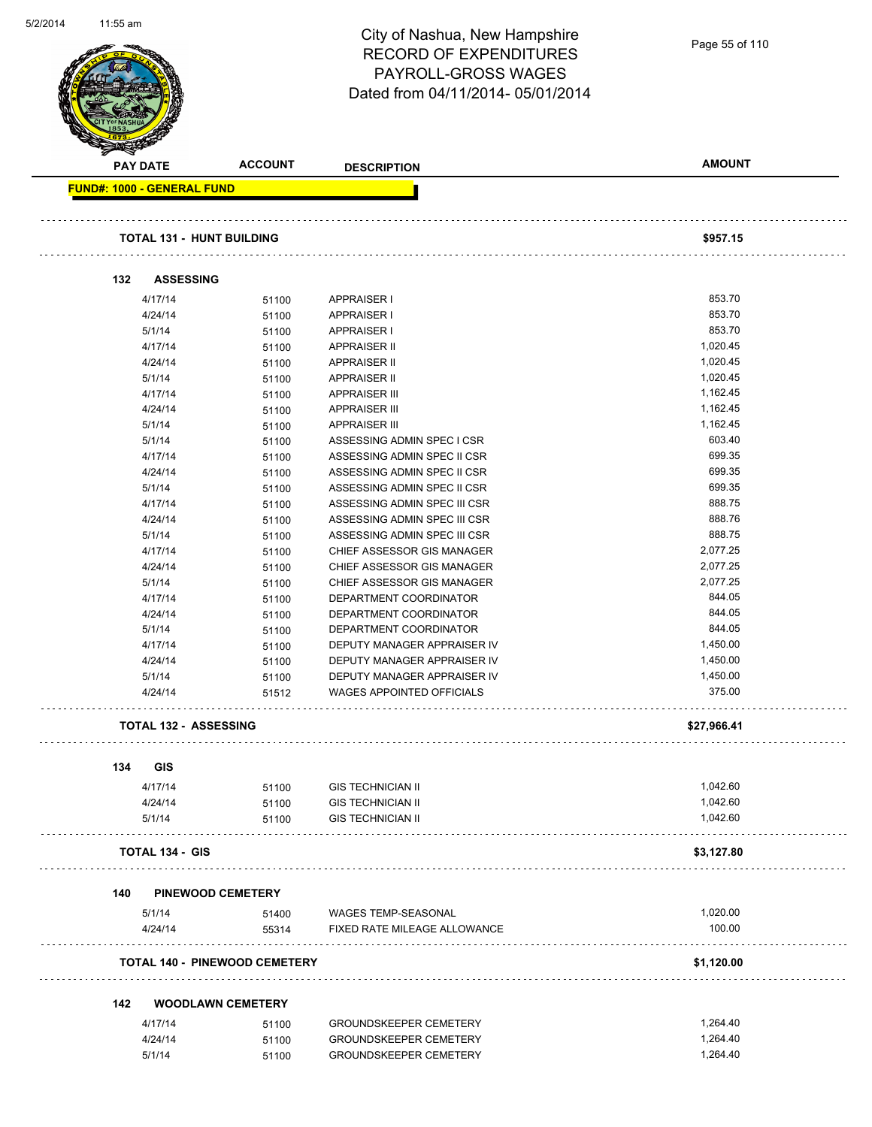| 5/2/2014 | 11:55 am                          |                        |                                      |                                  |                |
|----------|-----------------------------------|------------------------|--------------------------------------|----------------------------------|----------------|
|          |                                   |                        |                                      | City of Nashua, New Hampshire    |                |
|          |                                   |                        |                                      | <b>RECORD OF EXPENDITURES</b>    | Page 55 of 110 |
|          |                                   |                        |                                      |                                  |                |
|          |                                   |                        |                                      | PAYROLL-GROSS WAGES              |                |
|          |                                   |                        |                                      | Dated from 04/11/2014-05/01/2014 |                |
|          |                                   |                        |                                      |                                  |                |
|          |                                   |                        |                                      |                                  |                |
|          |                                   |                        |                                      |                                  |                |
|          |                                   |                        |                                      |                                  |                |
|          |                                   | <b>PAY DATE</b>        | <b>ACCOUNT</b>                       | <b>DESCRIPTION</b>               | <b>AMOUNT</b>  |
|          |                                   |                        |                                      |                                  |                |
|          | <b>FUND#: 1000 - GENERAL FUND</b> |                        |                                      |                                  |                |
|          |                                   |                        |                                      |                                  |                |
|          |                                   |                        |                                      |                                  |                |
|          |                                   |                        | <b>TOTAL 131 - HUNT BUILDING</b>     |                                  | \$957.15       |
|          |                                   |                        |                                      |                                  |                |
|          | 132                               |                        | <b>ASSESSING</b>                     |                                  |                |
|          |                                   |                        |                                      |                                  |                |
|          |                                   | 4/17/14                | 51100                                | <b>APPRAISER I</b>               | 853.70         |
|          |                                   | 4/24/14                | 51100                                | <b>APPRAISER I</b>               | 853.70         |
|          |                                   | 5/1/14                 | 51100                                | <b>APPRAISER I</b>               | 853.70         |
|          |                                   | 4/17/14                | 51100                                | <b>APPRAISER II</b>              | 1,020.45       |
|          |                                   | 4/24/14                | 51100                                | <b>APPRAISER II</b>              | 1,020.45       |
|          |                                   | 5/1/14                 | 51100                                | <b>APPRAISER II</b>              | 1,020.45       |
|          |                                   | 4/17/14                | 51100                                | <b>APPRAISER III</b>             | 1,162.45       |
|          |                                   | 4/24/14                | 51100                                | <b>APPRAISER III</b>             | 1,162.45       |
|          |                                   |                        |                                      |                                  | 1,162.45       |
|          |                                   | 5/1/14                 | 51100                                | <b>APPRAISER III</b>             |                |
|          |                                   | 5/1/14                 | 51100                                | ASSESSING ADMIN SPEC I CSR       | 603.40         |
|          |                                   | 4/17/14                | 51100                                | ASSESSING ADMIN SPEC II CSR      | 699.35         |
|          |                                   | 4/24/14                | 51100                                | ASSESSING ADMIN SPEC II CSR      | 699.35         |
|          |                                   | 5/1/14                 | 51100                                | ASSESSING ADMIN SPEC II CSR      | 699.35         |
|          |                                   | 4/17/14                | 51100                                | ASSESSING ADMIN SPEC III CSR     | 888.75         |
|          |                                   | 4/24/14                | 51100                                | ASSESSING ADMIN SPEC III CSR     | 888.76         |
|          |                                   | 5/1/14                 | 51100                                | ASSESSING ADMIN SPEC III CSR     | 888.75         |
|          |                                   | 4/17/14                | 51100                                | CHIEF ASSESSOR GIS MANAGER       | 2,077.25       |
|          |                                   | 4/24/14                | 51100                                | CHIEF ASSESSOR GIS MANAGER       | 2,077.25       |
|          |                                   | 5/1/14                 | 51100                                | CHIEF ASSESSOR GIS MANAGER       | 2,077.25       |
|          |                                   | 4/17/14                | 51100                                | DEPARTMENT COORDINATOR           | 844.05         |
|          |                                   | 4/24/14                | 51100                                | DEPARTMENT COORDINATOR           | 844.05         |
|          |                                   | 5/1/14                 |                                      | DEPARTMENT COORDINATOR           | 844.05         |
|          |                                   | 4/17/14                | 51100                                | DEPUTY MANAGER APPRAISER IV      |                |
|          |                                   |                        | 51100                                |                                  | 1,450.00       |
|          |                                   | 4/24/14                | 51100                                | DEPUTY MANAGER APPRAISER IV      | 1,450.00       |
|          |                                   | 5/1/14                 | 51100                                | DEPUTY MANAGER APPRAISER IV      | 1,450.00       |
|          |                                   | 4/24/14                | 51512                                | WAGES APPOINTED OFFICIALS        | 375.00         |
|          |                                   |                        |                                      |                                  |                |
|          |                                   |                        | <b>TOTAL 132 - ASSESSING</b>         |                                  | \$27,966.41    |
|          |                                   |                        |                                      |                                  |                |
|          | 134                               | <b>GIS</b>             |                                      |                                  |                |
|          |                                   |                        |                                      |                                  |                |
|          |                                   | 4/17/14                | 51100                                | <b>GIS TECHNICIAN II</b>         | 1,042.60       |
|          |                                   | 4/24/14                | 51100                                | <b>GIS TECHNICIAN II</b>         | 1,042.60       |
|          |                                   | 5/1/14                 | 51100                                | <b>GIS TECHNICIAN II</b>         | 1,042.60       |
|          |                                   |                        |                                      |                                  |                |
|          |                                   | <b>TOTAL 134 - GIS</b> |                                      |                                  | \$3,127.80     |
|          |                                   |                        |                                      |                                  |                |
|          |                                   |                        |                                      |                                  |                |
|          | 140                               |                        | <b>PINEWOOD CEMETERY</b>             |                                  |                |
|          |                                   | 5/1/14                 | 51400                                | WAGES TEMP-SEASONAL              | 1,020.00       |
|          |                                   | 4/24/14                | 55314                                | FIXED RATE MILEAGE ALLOWANCE     | 100.00         |
|          |                                   |                        |                                      |                                  |                |
|          |                                   |                        | <b>TOTAL 140 - PINEWOOD CEMETERY</b> |                                  | \$1,120.00     |
|          |                                   |                        |                                      |                                  |                |
|          |                                   |                        |                                      |                                  |                |
|          | 142                               |                        | <b>WOODLAWN CEMETERY</b>             |                                  |                |
|          |                                   | 4/17/14                | 51100                                | <b>GROUNDSKEEPER CEMETERY</b>    | 1,264.40       |
|          |                                   | 4/24/14                | 51100                                | <b>GROUNDSKEEPER CEMETERY</b>    | 1,264.40       |
|          |                                   | 5/1/14                 | 51100                                | GROUNDSKEEPER CEMETERY           | 1,264.40       |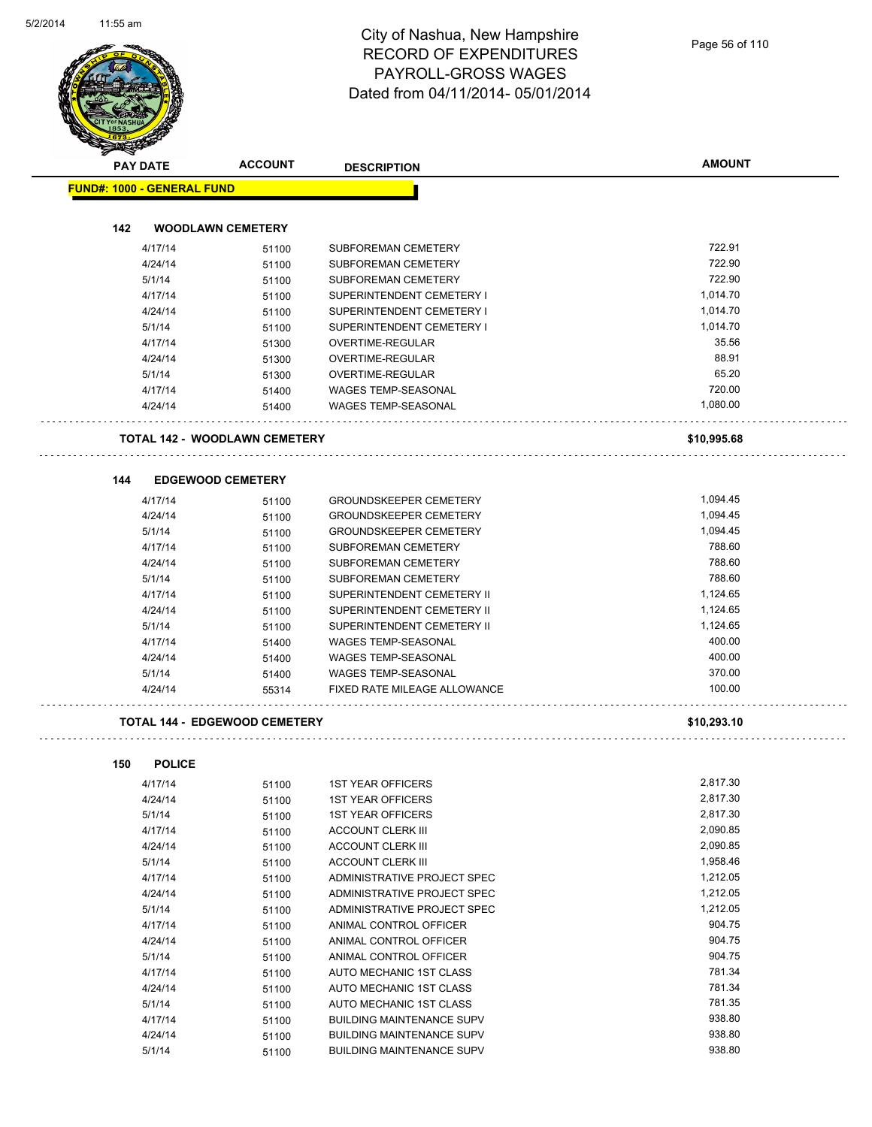| <b>PAY DATE</b>                   | <b>ACCOUNT</b>                       | <b>DESCRIPTION</b>               | <b>AMOUNT</b> |
|-----------------------------------|--------------------------------------|----------------------------------|---------------|
| <b>FUND#: 1000 - GENERAL FUND</b> |                                      |                                  |               |
|                                   |                                      |                                  |               |
| 142                               | <b>WOODLAWN CEMETERY</b>             |                                  |               |
| 4/17/14                           | 51100                                | SUBFOREMAN CEMETERY              | 722.91        |
| 4/24/14                           | 51100                                | SUBFOREMAN CEMETERY              | 722.90        |
| 5/1/14                            | 51100                                | <b>SUBFOREMAN CEMETERY</b>       | 722.90        |
| 4/17/14                           | 51100                                | SUPERINTENDENT CEMETERY I        | 1,014.70      |
| 4/24/14                           | 51100                                | SUPERINTENDENT CEMETERY I        | 1,014.70      |
| 5/1/14                            | 51100                                | SUPERINTENDENT CEMETERY I        | 1,014.70      |
| 4/17/14                           | 51300                                | OVERTIME-REGULAR                 | 35.56         |
| 4/24/14                           | 51300                                | OVERTIME-REGULAR                 | 88.91         |
| 5/1/14                            | 51300                                | OVERTIME-REGULAR                 | 65.20         |
| 4/17/14                           | 51400                                | <b>WAGES TEMP-SEASONAL</b>       | 720.00        |
| 4/24/14                           | 51400                                | <b>WAGES TEMP-SEASONAL</b>       | 1,080.00      |
|                                   | <b>TOTAL 142 - WOODLAWN CEMETERY</b> |                                  | \$10,995.68   |
| 144                               | <b>EDGEWOOD CEMETERY</b>             |                                  |               |
| 4/17/14                           |                                      | <b>GROUNDSKEEPER CEMETERY</b>    | 1,094.45      |
|                                   | 51100                                | <b>GROUNDSKEEPER CEMETERY</b>    |               |
| 4/24/14                           | 51100                                |                                  | 1,094.45      |
| 5/1/14                            | 51100                                | <b>GROUNDSKEEPER CEMETERY</b>    | 1,094.45      |
| 4/17/14                           | 51100                                | <b>SUBFOREMAN CEMETERY</b>       | 788.60        |
| 4/24/14                           | 51100                                | SUBFOREMAN CEMETERY              | 788.60        |
| 5/1/14                            | 51100                                | SUBFOREMAN CEMETERY              | 788.60        |
| 4/17/14                           | 51100                                | SUPERINTENDENT CEMETERY II       | 1,124.65      |
| 4/24/14                           | 51100                                | SUPERINTENDENT CEMETERY II       | 1,124.65      |
| 5/1/14                            | 51100                                | SUPERINTENDENT CEMETERY II       | 1,124.65      |
| 4/17/14                           | 51400                                | <b>WAGES TEMP-SEASONAL</b>       | 400.00        |
| 4/24/14                           | 51400                                | <b>WAGES TEMP-SEASONAL</b>       | 400.00        |
| 5/1/14                            | 51400                                | <b>WAGES TEMP-SEASONAL</b>       | 370.00        |
| 4/24/14                           | 55314                                | FIXED RATE MILEAGE ALLOWANCE     | 100.00        |
|                                   | <b>TOTAL 144 - EDGEWOOD CEMETERY</b> |                                  | \$10,293.10   |
| 150<br><b>POLICE</b>              |                                      |                                  |               |
| 4/17/14                           | 51100                                | <b>1ST YEAR OFFICERS</b>         | 2,817.30      |
| 4/24/14                           | 51100                                | <b>1ST YEAR OFFICERS</b>         | 2,817.30      |
| 5/1/14                            | 51100                                | <b>1ST YEAR OFFICERS</b>         | 2,817.30      |
| 4/17/14                           | 51100                                | <b>ACCOUNT CLERK III</b>         | 2,090.85      |
| 4/24/14                           | 51100                                | <b>ACCOUNT CLERK III</b>         | 2,090.85      |
| 5/1/14                            | 51100                                | <b>ACCOUNT CLERK III</b>         | 1,958.46      |
| 4/17/14                           | 51100                                | ADMINISTRATIVE PROJECT SPEC      | 1,212.05      |
| 4/24/14                           | 51100                                | ADMINISTRATIVE PROJECT SPEC      | 1,212.05      |
| 5/1/14                            | 51100                                | ADMINISTRATIVE PROJECT SPEC      | 1,212.05      |
| 4/17/14                           | 51100                                | ANIMAL CONTROL OFFICER           | 904.75        |
| 4/24/14                           | 51100                                | ANIMAL CONTROL OFFICER           | 904.75        |
| 5/1/14                            | 51100                                | ANIMAL CONTROL OFFICER           | 904.75        |
| 4/17/14                           | 51100                                | AUTO MECHANIC 1ST CLASS          | 781.34        |
| 4/24/14                           | 51100                                | AUTO MECHANIC 1ST CLASS          | 781.34        |
| 5/1/14                            | 51100                                | AUTO MECHANIC 1ST CLASS          | 781.35        |
| 4/17/14                           | 51100                                | <b>BUILDING MAINTENANCE SUPV</b> | 938.80        |
| 4/24/14                           | 51100                                | BUILDING MAINTENANCE SUPV        | 938.80        |
|                                   |                                      |                                  |               |

5/1/14 51100 BUILDING MAINTENANCE SUPV 938.80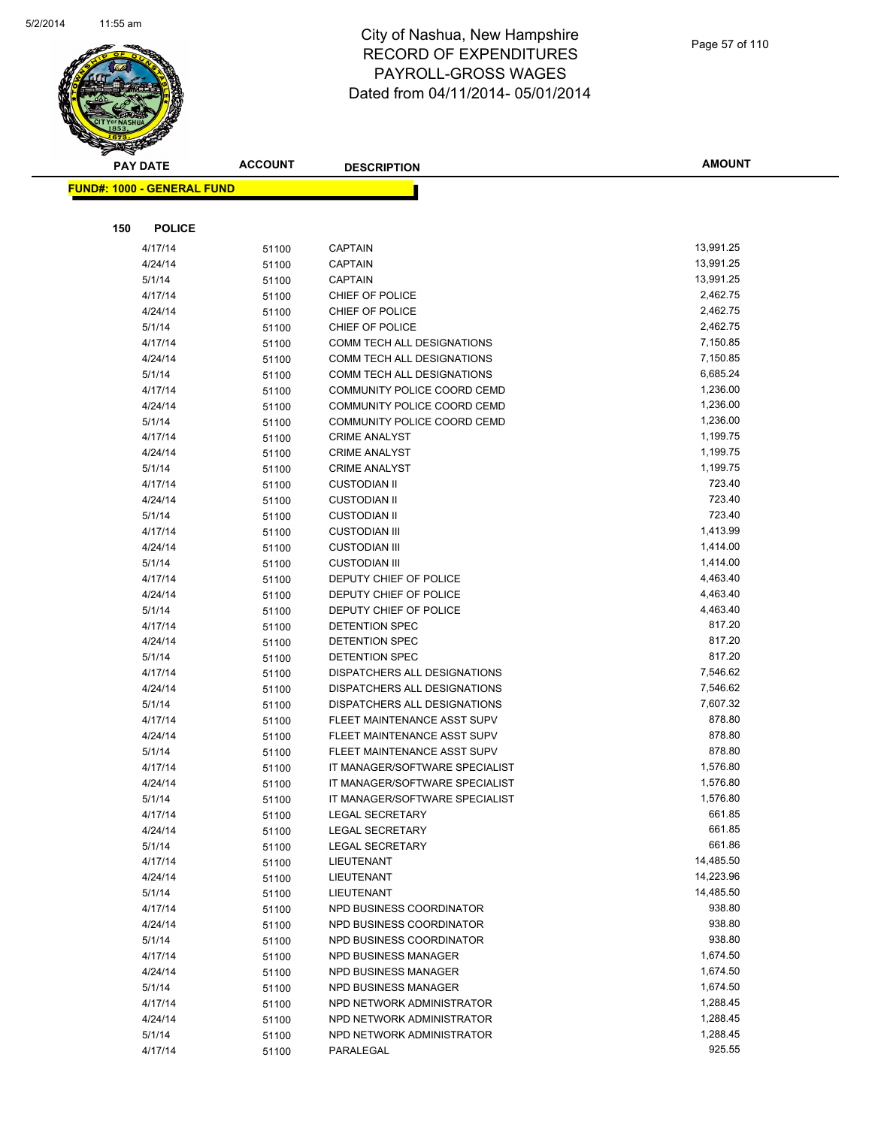

|     | <b>PAY DATE</b>                   | <b>ACCOUNT</b> | <b>DESCRIPTION</b>                           | <b>AMOUNT</b>        |
|-----|-----------------------------------|----------------|----------------------------------------------|----------------------|
|     | <b>FUND#: 1000 - GENERAL FUND</b> |                |                                              |                      |
|     |                                   |                |                                              |                      |
|     |                                   |                |                                              |                      |
| 150 | <b>POLICE</b>                     |                |                                              |                      |
|     | 4/17/14                           | 51100          | <b>CAPTAIN</b>                               | 13,991.25            |
|     | 4/24/14                           | 51100          | <b>CAPTAIN</b>                               | 13,991.25            |
|     | 5/1/14                            | 51100          | <b>CAPTAIN</b>                               | 13,991.25            |
|     | 4/17/14                           | 51100          | CHIEF OF POLICE                              | 2,462.75             |
|     | 4/24/14                           | 51100          | CHIEF OF POLICE                              | 2,462.75             |
|     | 5/1/14                            | 51100          | CHIEF OF POLICE                              | 2,462.75             |
|     | 4/17/14                           | 51100          | COMM TECH ALL DESIGNATIONS                   | 7,150.85             |
|     | 4/24/14                           | 51100          | COMM TECH ALL DESIGNATIONS                   | 7,150.85             |
|     | 5/1/14                            | 51100          | COMM TECH ALL DESIGNATIONS                   | 6,685.24             |
|     | 4/17/14                           | 51100          | COMMUNITY POLICE COORD CEMD                  | 1,236.00             |
|     | 4/24/14                           | 51100          | COMMUNITY POLICE COORD CEMD                  | 1,236.00             |
|     | 5/1/14                            | 51100          | COMMUNITY POLICE COORD CEMD                  | 1,236.00             |
|     | 4/17/14                           | 51100          | <b>CRIME ANALYST</b>                         | 1,199.75<br>1,199.75 |
|     | 4/24/14                           | 51100          | <b>CRIME ANALYST</b><br><b>CRIME ANALYST</b> | 1,199.75             |
|     | 5/1/14                            | 51100          |                                              | 723.40               |
|     | 4/17/14<br>4/24/14                | 51100          | <b>CUSTODIAN II</b><br><b>CUSTODIAN II</b>   | 723.40               |
|     | 5/1/14                            | 51100          | <b>CUSTODIAN II</b>                          | 723.40               |
|     | 4/17/14                           | 51100          | <b>CUSTODIAN III</b>                         | 1,413.99             |
|     | 4/24/14                           | 51100          | <b>CUSTODIAN III</b>                         | 1,414.00             |
|     | 5/1/14                            | 51100          | <b>CUSTODIAN III</b>                         | 1,414.00             |
|     | 4/17/14                           | 51100<br>51100 | DEPUTY CHIEF OF POLICE                       | 4,463.40             |
|     | 4/24/14                           | 51100          | DEPUTY CHIEF OF POLICE                       | 4,463.40             |
|     | 5/1/14                            | 51100          | DEPUTY CHIEF OF POLICE                       | 4,463.40             |
|     | 4/17/14                           | 51100          | DETENTION SPEC                               | 817.20               |
|     | 4/24/14                           | 51100          | DETENTION SPEC                               | 817.20               |
|     | 5/1/14                            | 51100          | DETENTION SPEC                               | 817.20               |
|     | 4/17/14                           | 51100          | DISPATCHERS ALL DESIGNATIONS                 | 7,546.62             |
|     | 4/24/14                           | 51100          | DISPATCHERS ALL DESIGNATIONS                 | 7,546.62             |
|     | 5/1/14                            | 51100          | DISPATCHERS ALL DESIGNATIONS                 | 7,607.32             |
|     | 4/17/14                           | 51100          | FLEET MAINTENANCE ASST SUPV                  | 878.80               |
|     | 4/24/14                           | 51100          | FLEET MAINTENANCE ASST SUPV                  | 878.80               |
|     | 5/1/14                            | 51100          | FLEET MAINTENANCE ASST SUPV                  | 878.80               |
|     | 4/17/14                           | 51100          | IT MANAGER/SOFTWARE SPECIALIST               | 1,576.80             |
|     | 4/24/14                           | 51100          | IT MANAGER/SOFTWARE SPECIALIST               | 1,576.80             |
|     | 5/1/14                            | 51100          | IT MANAGER/SOFTWARE SPECIALIST               | 1,576.80             |
|     | 4/17/14                           | 51100          | <b>LEGAL SECRETARY</b>                       | 661.85               |
|     | 4/24/14                           | 51100          | <b>LEGAL SECRETARY</b>                       | 661.85               |
|     | 5/1/14                            | 51100          | <b>LEGAL SECRETARY</b>                       | 661.86               |
|     | 4/17/14                           | 51100          | LIEUTENANT                                   | 14,485.50            |
|     | 4/24/14                           | 51100          | LIEUTENANT                                   | 14,223.96            |
|     | 5/1/14                            | 51100          | LIEUTENANT                                   | 14,485.50            |
|     | 4/17/14                           | 51100          | NPD BUSINESS COORDINATOR                     | 938.80               |
|     | 4/24/14                           | 51100          | NPD BUSINESS COORDINATOR                     | 938.80               |
|     | 5/1/14                            | 51100          | NPD BUSINESS COORDINATOR                     | 938.80               |
|     | 4/17/14                           | 51100          | NPD BUSINESS MANAGER                         | 1,674.50             |
|     | 4/24/14                           | 51100          | NPD BUSINESS MANAGER                         | 1,674.50             |
|     | 5/1/14                            | 51100          | NPD BUSINESS MANAGER                         | 1,674.50             |
|     | 4/17/14                           | 51100          | NPD NETWORK ADMINISTRATOR                    | 1,288.45             |
|     | 4/24/14                           | 51100          | NPD NETWORK ADMINISTRATOR                    | 1,288.45             |
|     | 5/1/14                            | 51100          | NPD NETWORK ADMINISTRATOR                    | 1,288.45             |
|     | 4/17/14                           | 51100          | PARALEGAL                                    | 925.55               |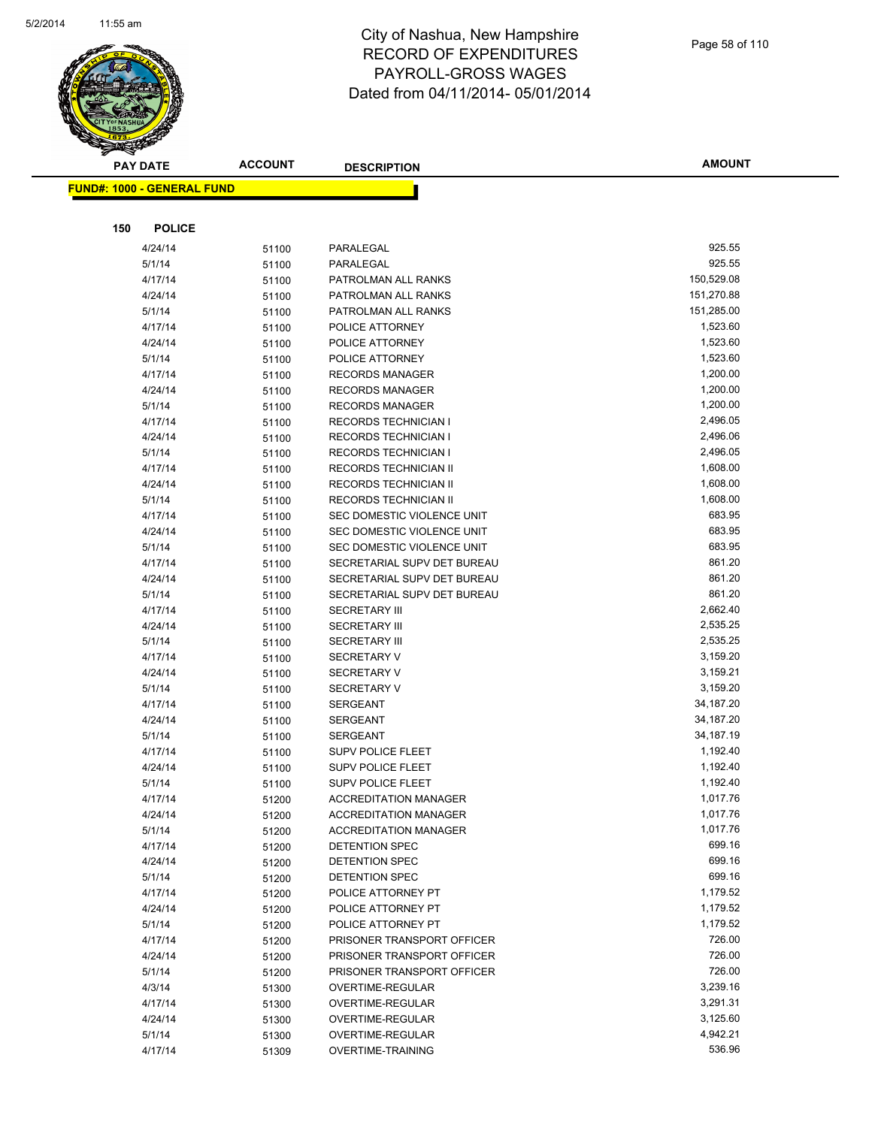

| <b>PAY DATE</b>                   | <b>ACCOUNT</b> | <b>DESCRIPTION</b>                           | <b>AMOUNT</b>        |
|-----------------------------------|----------------|----------------------------------------------|----------------------|
| <b>FUND#: 1000 - GENERAL FUND</b> |                |                                              |                      |
|                                   |                |                                              |                      |
|                                   |                |                                              |                      |
| 150<br><b>POLICE</b>              |                |                                              |                      |
| 4/24/14                           | 51100          | PARALEGAL                                    | 925.55               |
| 5/1/14                            | 51100          | PARALEGAL                                    | 925.55               |
| 4/17/14                           | 51100          | PATROLMAN ALL RANKS                          | 150,529.08           |
| 4/24/14                           | 51100          | PATROLMAN ALL RANKS                          | 151,270.88           |
| 5/1/14                            | 51100          | PATROLMAN ALL RANKS                          | 151,285.00           |
| 4/17/14                           | 51100          | POLICE ATTORNEY                              | 1,523.60             |
| 4/24/14                           | 51100          | POLICE ATTORNEY                              | 1,523.60             |
| 5/1/14                            | 51100          | POLICE ATTORNEY                              | 1,523.60             |
| 4/17/14                           | 51100          | <b>RECORDS MANAGER</b>                       | 1,200.00<br>1,200.00 |
| 4/24/14                           | 51100          | <b>RECORDS MANAGER</b>                       | 1,200.00             |
| 5/1/14                            | 51100          | <b>RECORDS MANAGER</b>                       | 2,496.05             |
| 4/17/14<br>4/24/14                | 51100          | RECORDS TECHNICIAN I<br>RECORDS TECHNICIAN I | 2,496.06             |
| 5/1/14                            | 51100          | <b>RECORDS TECHNICIAN I</b>                  | 2,496.05             |
| 4/17/14                           | 51100          | RECORDS TECHNICIAN II                        | 1,608.00             |
| 4/24/14                           | 51100          | RECORDS TECHNICIAN II                        | 1,608.00             |
| 5/1/14                            | 51100          | RECORDS TECHNICIAN II                        | 1,608.00             |
| 4/17/14                           | 51100<br>51100 | SEC DOMESTIC VIOLENCE UNIT                   | 683.95               |
| 4/24/14                           | 51100          | SEC DOMESTIC VIOLENCE UNIT                   | 683.95               |
| 5/1/14                            | 51100          | SEC DOMESTIC VIOLENCE UNIT                   | 683.95               |
| 4/17/14                           | 51100          | SECRETARIAL SUPV DET BUREAU                  | 861.20               |
| 4/24/14                           | 51100          | SECRETARIAL SUPV DET BUREAU                  | 861.20               |
| 5/1/14                            | 51100          | SECRETARIAL SUPV DET BUREAU                  | 861.20               |
| 4/17/14                           | 51100          | <b>SECRETARY III</b>                         | 2,662.40             |
| 4/24/14                           | 51100          | <b>SECRETARY III</b>                         | 2,535.25             |
| 5/1/14                            | 51100          | <b>SECRETARY III</b>                         | 2,535.25             |
| 4/17/14                           | 51100          | <b>SECRETARY V</b>                           | 3,159.20             |
| 4/24/14                           | 51100          | <b>SECRETARY V</b>                           | 3,159.21             |
| 5/1/14                            | 51100          | <b>SECRETARY V</b>                           | 3,159.20             |
| 4/17/14                           | 51100          | <b>SERGEANT</b>                              | 34,187.20            |
| 4/24/14                           | 51100          | SERGEANT                                     | 34,187.20            |
| 5/1/14                            | 51100          | SERGEANT                                     | 34,187.19            |
| 4/17/14                           | 51100          | <b>SUPV POLICE FLEET</b>                     | 1,192.40             |
| 4/24/14                           | 51100          | <b>SUPV POLICE FLEET</b>                     | 1,192.40             |
| 5/1/14                            | 51100          | <b>SUPV POLICE FLEET</b>                     | 1,192.40             |
| 4/17/14                           | 51200          | <b>ACCREDITATION MANAGER</b>                 | 1,017.76             |
| 4/24/14                           | 51200          | <b>ACCREDITATION MANAGER</b>                 | 1,017.76             |
| 5/1/14                            | 51200          | <b>ACCREDITATION MANAGER</b>                 | 1,017.76             |
| 4/17/14                           | 51200          | DETENTION SPEC                               | 699.16               |
| 4/24/14                           | 51200          | DETENTION SPEC                               | 699.16               |
| 5/1/14                            | 51200          | DETENTION SPEC                               | 699.16               |
| 4/17/14                           | 51200          | POLICE ATTORNEY PT                           | 1,179.52             |
| 4/24/14                           | 51200          | POLICE ATTORNEY PT                           | 1,179.52             |
| 5/1/14                            | 51200          | POLICE ATTORNEY PT                           | 1,179.52             |
| 4/17/14                           | 51200          | PRISONER TRANSPORT OFFICER                   | 726.00               |
| 4/24/14                           | 51200          | PRISONER TRANSPORT OFFICER                   | 726.00               |
| 5/1/14                            | 51200          | PRISONER TRANSPORT OFFICER                   | 726.00               |
| 4/3/14                            | 51300          | OVERTIME-REGULAR                             | 3,239.16             |
| 4/17/14                           | 51300          | OVERTIME-REGULAR                             | 3,291.31             |
| 4/24/14                           | 51300          | OVERTIME-REGULAR                             | 3,125.60             |
| 5/1/14                            | 51300          | OVERTIME-REGULAR                             | 4,942.21             |
| 4/17/14                           | 51309          | OVERTIME-TRAINING                            | 536.96               |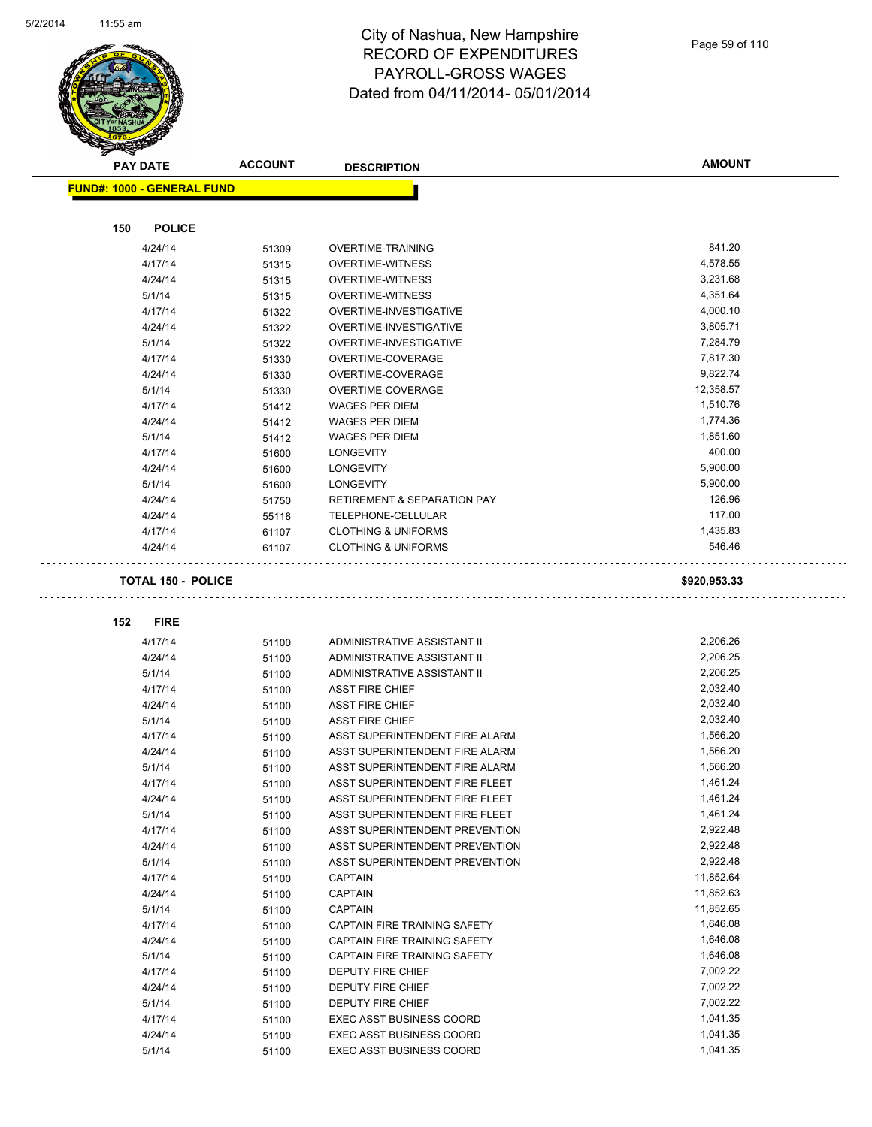L.



| <b>PAY DATE</b>                   | <b>ACCOUNT</b>            | <b>DESCRIPTION</b>                                         | <b>AMOUNT</b>        |
|-----------------------------------|---------------------------|------------------------------------------------------------|----------------------|
| <b>FUND#: 1000 - GENERAL FUND</b> |                           |                                                            |                      |
|                                   |                           |                                                            |                      |
| 150                               | <b>POLICE</b>             |                                                            |                      |
| 4/24/14                           | 51309                     | <b>OVERTIME-TRAINING</b>                                   | 841.20               |
| 4/17/14                           | 51315                     | <b>OVERTIME-WITNESS</b>                                    | 4,578.55             |
| 4/24/14                           | 51315                     | <b>OVERTIME-WITNESS</b>                                    | 3,231.68             |
| 5/1/14                            | 51315                     | <b>OVERTIME-WITNESS</b>                                    | 4,351.64             |
| 4/17/14                           | 51322                     | OVERTIME-INVESTIGATIVE                                     | 4,000.10             |
| 4/24/14                           | 51322                     | OVERTIME-INVESTIGATIVE                                     | 3,805.71             |
| 5/1/14                            | 51322                     | OVERTIME-INVESTIGATIVE                                     | 7,284.79             |
| 4/17/14                           | 51330                     | OVERTIME-COVERAGE                                          | 7,817.30             |
| 4/24/14                           | 51330                     | OVERTIME-COVERAGE                                          | 9,822.74             |
| 5/1/14                            | 51330                     | OVERTIME-COVERAGE                                          | 12,358.57            |
| 4/17/14                           | 51412                     | <b>WAGES PER DIEM</b>                                      | 1,510.76             |
| 4/24/14                           | 51412                     | WAGES PER DIEM                                             | 1,774.36             |
| 5/1/14                            | 51412                     | <b>WAGES PER DIEM</b>                                      | 1,851.60             |
| 4/17/14                           | 51600                     | <b>LONGEVITY</b>                                           | 400.00               |
| 4/24/14                           | 51600                     | <b>LONGEVITY</b>                                           | 5,900.00             |
| 5/1/14                            | 51600                     | <b>LONGEVITY</b>                                           | 5,900.00             |
| 4/24/14                           | 51750                     | <b>RETIREMENT &amp; SEPARATION PAY</b>                     | 126.96               |
| 4/24/14                           | 55118                     | TELEPHONE-CELLULAR                                         | 117.00               |
| 4/17/14                           | 61107                     | <b>CLOTHING &amp; UNIFORMS</b>                             | 1,435.83             |
| 4/24/14                           | 61107                     | <b>CLOTHING &amp; UNIFORMS</b>                             | 546.46               |
|                                   | <b>TOTAL 150 - POLICE</b> |                                                            | \$920,953.33         |
| <b>FIRE</b>                       |                           |                                                            |                      |
| 152                               |                           |                                                            |                      |
| 4/17/14<br>4/24/14                | 51100                     | ADMINISTRATIVE ASSISTANT II<br>ADMINISTRATIVE ASSISTANT II | 2,206.26<br>2,206.25 |
| 5/1/14                            | 51100                     | ADMINISTRATIVE ASSISTANT II                                | 2,206.25             |
| 4/17/14                           | 51100                     | <b>ASST FIRE CHIEF</b>                                     | 2,032.40             |
| 4/24/14                           | 51100<br>51100            | <b>ASST FIRE CHIEF</b>                                     | 2,032.40             |
| 5/1/14                            | 51100                     | <b>ASST FIRE CHIEF</b>                                     | 2,032.40             |
| 4/17/14                           | 51100                     | ASST SUPERINTENDENT FIRE ALARM                             | 1,566.20             |
| 4/24/14                           | 51100                     | ASST SUPERINTENDENT FIRE ALARM                             | 1,566.20             |
| 5/1/14                            | 51100                     | ASST SUPERINTENDENT FIRE ALARM                             | 1,566.20             |
| 4/17/14                           | 51100                     | ASST SUPERINTENDENT FIRE FLEET                             | 1,461.24             |
| 4/24/14                           | 51100                     | ASST SUPERINTENDENT FIRE FLEET                             | 1,461.24             |
| 5/1/14                            | 51100                     | ASST SUPERINTENDENT FIRE FLEET                             | 1,461.24             |
| 4/17/14                           | 51100                     | ASST SUPERINTENDENT PREVENTION                             | 2,922.48             |
| 4/24/14                           | 51100                     | ASST SUPERINTENDENT PREVENTION                             | 2,922.48             |
| 5/1/14                            | 51100                     | ASST SUPERINTENDENT PREVENTION                             | 2,922.48             |
| 4/17/14                           | 51100                     | <b>CAPTAIN</b>                                             | 11,852.64            |
| 4/24/14                           | 51100                     | <b>CAPTAIN</b>                                             | 11,852.63            |
| 5/1/14                            | 51100                     | <b>CAPTAIN</b>                                             | 11,852.65            |
| 4/17/14                           | 51100                     | CAPTAIN FIRE TRAINING SAFETY                               | 1,646.08             |
| 4/24/14                           | 51100                     | CAPTAIN FIRE TRAINING SAFETY                               | 1,646.08             |
| 5/1/14                            | 51100                     | CAPTAIN FIRE TRAINING SAFETY                               | 1,646.08             |
| 4/17/14                           | 51100                     | DEPUTY FIRE CHIEF                                          | 7,002.22             |
| 4/24/14                           | 51100                     | DEPUTY FIRE CHIEF                                          | 7,002.22             |
| 5/1/14                            | 51100                     | DEPUTY FIRE CHIEF                                          | 7,002.22             |
| 4/17/14                           | 51100                     | <b>EXEC ASST BUSINESS COORD</b>                            | 1,041.35             |
| 4/24/14                           | 51100                     | <b>EXEC ASST BUSINESS COORD</b>                            | 1,041.35             |
| 5/1/14                            | 51100                     | <b>EXEC ASST BUSINESS COORD</b>                            | 1,041.35             |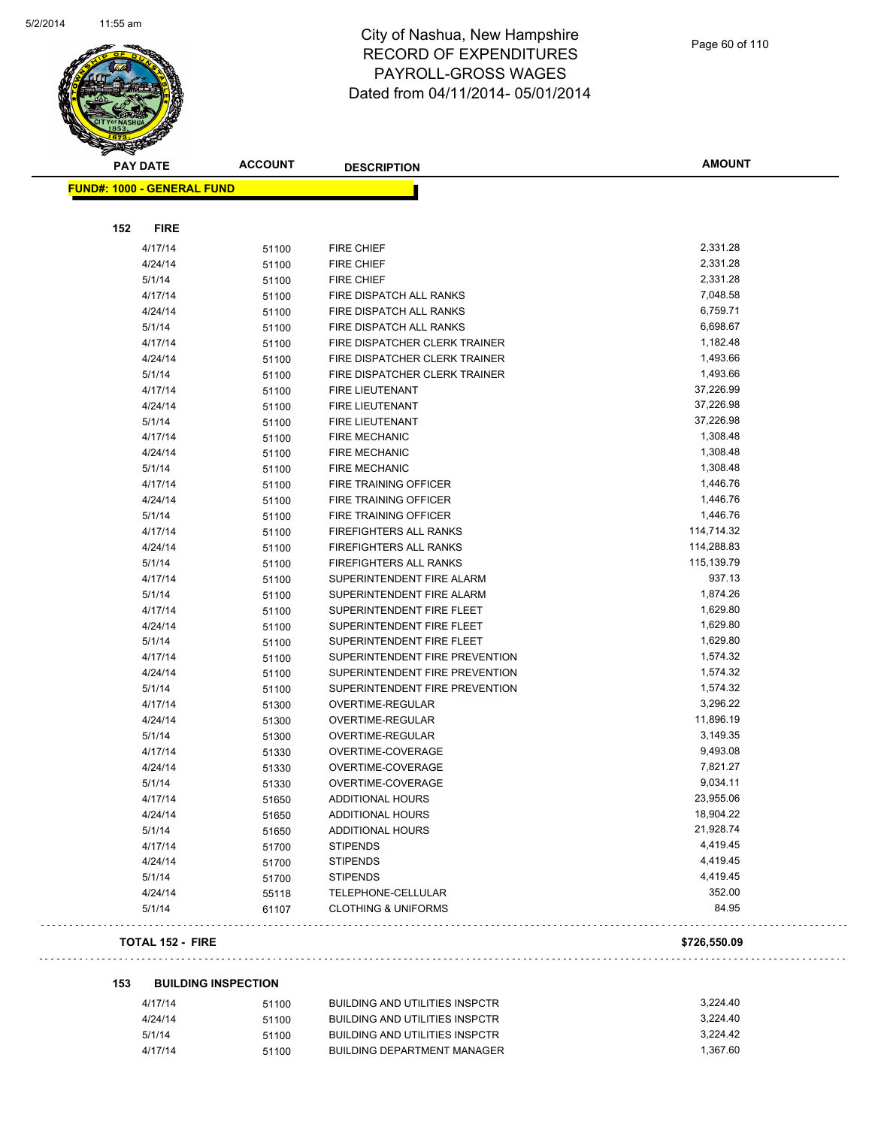

| <b>PAY DATE</b>                   | <b>ACCOUNT</b> | <b>DESCRIPTION</b>             | <b>AMOUNT</b> |
|-----------------------------------|----------------|--------------------------------|---------------|
| <b>FUND#: 1000 - GENERAL FUND</b> |                |                                |               |
|                                   |                |                                |               |
| 152<br><b>FIRE</b>                |                |                                |               |
| 4/17/14                           | 51100          | <b>FIRE CHIEF</b>              | 2,331.28      |
| 4/24/14                           | 51100          | <b>FIRE CHIEF</b>              | 2,331.28      |
| 5/1/14                            | 51100          | <b>FIRE CHIEF</b>              | 2,331.28      |
| 4/17/14                           | 51100          | FIRE DISPATCH ALL RANKS        | 7,048.58      |
| 4/24/14                           | 51100          | FIRE DISPATCH ALL RANKS        | 6,759.71      |
| 5/1/14                            | 51100          | FIRE DISPATCH ALL RANKS        | 6,698.67      |
| 4/17/14                           | 51100          | FIRE DISPATCHER CLERK TRAINER  | 1,182.48      |
| 4/24/14                           | 51100          | FIRE DISPATCHER CLERK TRAINER  | 1,493.66      |
| 5/1/14                            | 51100          | FIRE DISPATCHER CLERK TRAINER  | 1,493.66      |
| 4/17/14                           | 51100          | <b>FIRE LIEUTENANT</b>         | 37,226.99     |
| 4/24/14                           | 51100          | FIRE LIEUTENANT                | 37,226.98     |
| 5/1/14                            | 51100          | FIRE LIEUTENANT                | 37,226.98     |
| 4/17/14                           | 51100          | <b>FIRE MECHANIC</b>           | 1,308.48      |
| 4/24/14                           | 51100          | <b>FIRE MECHANIC</b>           | 1,308.48      |
| 5/1/14                            | 51100          | <b>FIRE MECHANIC</b>           | 1,308.48      |
| 4/17/14                           | 51100          | FIRE TRAINING OFFICER          | 1,446.76      |
| 4/24/14                           | 51100          | FIRE TRAINING OFFICER          | 1,446.76      |
| 5/1/14                            | 51100          | FIRE TRAINING OFFICER          | 1,446.76      |
| 4/17/14                           | 51100          | FIREFIGHTERS ALL RANKS         | 114,714.32    |
| 4/24/14                           | 51100          | <b>FIREFIGHTERS ALL RANKS</b>  | 114,288.83    |
| 5/1/14                            | 51100          | FIREFIGHTERS ALL RANKS         | 115,139.79    |
| 4/17/14                           | 51100          | SUPERINTENDENT FIRE ALARM      | 937.13        |
| 5/1/14                            | 51100          | SUPERINTENDENT FIRE ALARM      | 1,874.26      |
| 4/17/14                           | 51100          | SUPERINTENDENT FIRE FLEET      | 1,629.80      |
| 4/24/14                           | 51100          | SUPERINTENDENT FIRE FLEET      | 1,629.80      |
| 5/1/14                            | 51100          | SUPERINTENDENT FIRE FLEET      | 1,629.80      |
| 4/17/14                           | 51100          | SUPERINTENDENT FIRE PREVENTION | 1,574.32      |
| 4/24/14                           | 51100          | SUPERINTENDENT FIRE PREVENTION | 1,574.32      |
| 5/1/14                            | 51100          | SUPERINTENDENT FIRE PREVENTION | 1,574.32      |
| 4/17/14                           | 51300          | OVERTIME-REGULAR               | 3,296.22      |
| 4/24/14                           | 51300          | OVERTIME-REGULAR               | 11,896.19     |
| 5/1/14                            | 51300          | OVERTIME-REGULAR               | 3,149.35      |
| 4/17/14                           | 51330          | OVERTIME-COVERAGE              | 9,493.08      |
| 4/24/14                           | 51330          | OVERTIME-COVERAGE              | 7,821.27      |
| 5/1/14                            | 51330          | OVERTIME-COVERAGE              | 9,034.11      |
| 4/17/14                           | 51650          | ADDITIONAL HOURS               | 23,955.06     |
| 4/24/14                           | 51650          | <b>ADDITIONAL HOURS</b>        | 18,904.22     |
| 5/1/14                            | 51650          | ADDITIONAL HOURS               | 21,928.74     |
| 4/17/14                           | 51700          | <b>STIPENDS</b>                | 4,419.45      |
| 4/24/14                           | 51700          | <b>STIPENDS</b>                | 4,419.45      |
| 5/1/14                            | 51700          | <b>STIPENDS</b>                | 4,419.45      |
| 4/24/14                           | 55118          | TELEPHONE-CELLULAR             | 352.00        |
| 5/1/14                            | 61107          | <b>CLOTHING &amp; UNIFORMS</b> | 84.95         |
| <b>TOTAL 152 - FIRE</b>           |                |                                | \$726,550.09  |

# 

. . .

#### **153 BUILDING INSPECTION**

| 4/17/14 | 51100 | BUILDING AND UTILITIES INSPCTR | 3.224.40 |
|---------|-------|--------------------------------|----------|
| 4/24/14 | 51100 | BUILDING AND UTILITIES INSPCTR | 3.224.40 |
| 5/1/14  | 51100 | BUILDING AND UTILITIES INSPCTR | 3.224.42 |
| 4/17/14 | 51100 | BUILDING DEPARTMENT MANAGER    | 1.367.60 |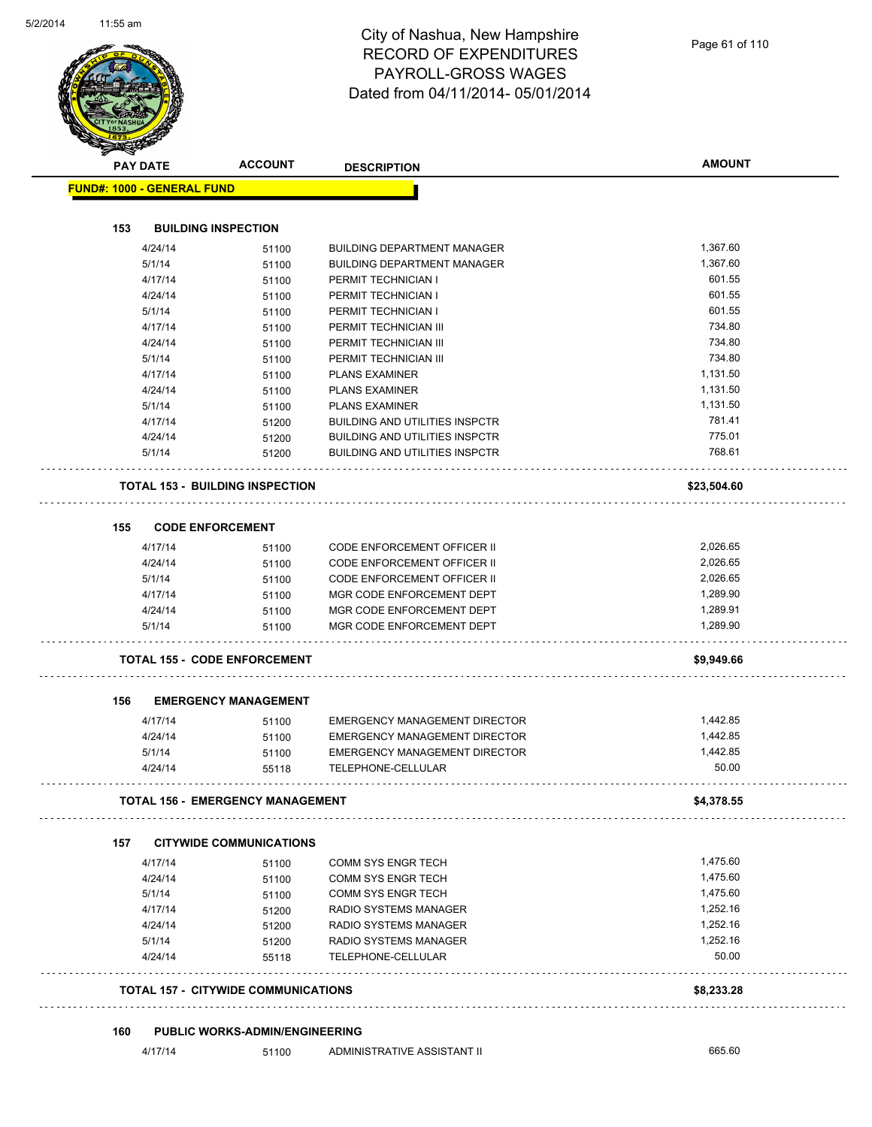| <b>PAY DATE</b>                   | <b>ACCOUNT</b>                             | <b>DESCRIPTION</b>                                                    | <b>AMOUNT</b>        |
|-----------------------------------|--------------------------------------------|-----------------------------------------------------------------------|----------------------|
| <b>FUND#: 1000 - GENERAL FUND</b> |                                            |                                                                       |                      |
|                                   |                                            |                                                                       |                      |
| 153                               | <b>BUILDING INSPECTION</b>                 |                                                                       |                      |
| 4/24/14                           | 51100                                      | <b>BUILDING DEPARTMENT MANAGER</b>                                    | 1,367.60             |
| 5/1/14                            | 51100                                      | <b>BUILDING DEPARTMENT MANAGER</b>                                    | 1,367.60             |
| 4/17/14                           | 51100                                      | PERMIT TECHNICIAN I                                                   | 601.55               |
| 4/24/14                           | 51100                                      | PERMIT TECHNICIAN I                                                   | 601.55               |
| 5/1/14                            | 51100                                      | PERMIT TECHNICIAN I                                                   | 601.55               |
| 4/17/14                           | 51100                                      | PERMIT TECHNICIAN III                                                 | 734.80               |
| 4/24/14                           | 51100                                      | PERMIT TECHNICIAN III                                                 | 734.80<br>734.80     |
| 5/1/14                            | 51100                                      | PERMIT TECHNICIAN III                                                 | 1,131.50             |
| 4/17/14                           | 51100                                      | <b>PLANS EXAMINER</b>                                                 | 1,131.50             |
| 4/24/14                           | 51100                                      | <b>PLANS EXAMINER</b>                                                 | 1,131.50             |
| 5/1/14<br>4/17/14                 | 51100                                      | <b>PLANS EXAMINER</b><br><b>BUILDING AND UTILITIES INSPCTR</b>        | 781.41               |
| 4/24/14                           | 51200                                      | <b>BUILDING AND UTILITIES INSPCTR</b>                                 | 775.01               |
| 5/1/14                            | 51200<br>51200                             | <b>BUILDING AND UTILITIES INSPCTR</b>                                 | 768.61               |
|                                   |                                            |                                                                       |                      |
|                                   | <b>TOTAL 153 - BUILDING INSPECTION</b>     |                                                                       | \$23,504.60          |
| 155                               | <b>CODE ENFORCEMENT</b>                    |                                                                       |                      |
| 4/17/14                           | 51100                                      | CODE ENFORCEMENT OFFICER II                                           | 2,026.65             |
| 4/24/14                           | 51100                                      | <b>CODE ENFORCEMENT OFFICER II</b>                                    | 2,026.65             |
| 5/1/14                            | 51100                                      | CODE ENFORCEMENT OFFICER II                                           | 2,026.65             |
| 4/17/14                           | 51100                                      | MGR CODE ENFORCEMENT DEPT                                             | 1,289.90             |
| 4/24/14                           | 51100                                      | MGR CODE ENFORCEMENT DEPT                                             | 1,289.91             |
| 5/1/14                            | 51100                                      | MGR CODE ENFORCEMENT DEPT                                             | 1,289.90             |
|                                   | <b>TOTAL 155 - CODE ENFORCEMENT</b>        |                                                                       | \$9,949.66           |
|                                   |                                            |                                                                       |                      |
| 156                               | <b>EMERGENCY MANAGEMENT</b>                |                                                                       |                      |
| 4/17/14<br>4/24/14                | 51100                                      | EMERGENCY MANAGEMENT DIRECTOR<br><b>EMERGENCY MANAGEMENT DIRECTOR</b> | 1,442.85<br>1,442.85 |
| 5/1/14                            | 51100<br>51100                             | EMERGENCY MANAGEMENT DIRECTOR                                         | 1,442.85             |
| 4/24/14                           | 55118                                      | TELEPHONE-CELLULAR                                                    | 50.00                |
|                                   | TOTAL 156 - EMERGENCY MANAGEMENT           |                                                                       | \$4,378.55           |
|                                   |                                            |                                                                       |                      |
| 157                               | <b>CITYWIDE COMMUNICATIONS</b>             |                                                                       |                      |
| 4/17/14                           | 51100                                      | COMM SYS ENGR TECH                                                    | 1,475.60             |
| 4/24/14                           | 51100                                      | COMM SYS ENGR TECH                                                    | 1,475.60             |
| 5/1/14                            | 51100                                      | COMM SYS ENGR TECH                                                    | 1,475.60             |
| 4/17/14                           | 51200                                      | RADIO SYSTEMS MANAGER                                                 | 1,252.16             |
| 4/24/14                           | 51200                                      | RADIO SYSTEMS MANAGER                                                 | 1,252.16             |
| 5/1/14<br>4/24/14                 | 51200<br>55118                             | RADIO SYSTEMS MANAGER<br>TELEPHONE-CELLULAR                           | 1,252.16<br>50.00    |
|                                   |                                            |                                                                       |                      |
|                                   | <b>TOTAL 157 - CITYWIDE COMMUNICATIONS</b> |                                                                       | \$8,233.28           |
|                                   |                                            |                                                                       |                      |
| 160                               | <b>PUBLIC WORKS-ADMIN/ENGINEERING</b>      |                                                                       |                      |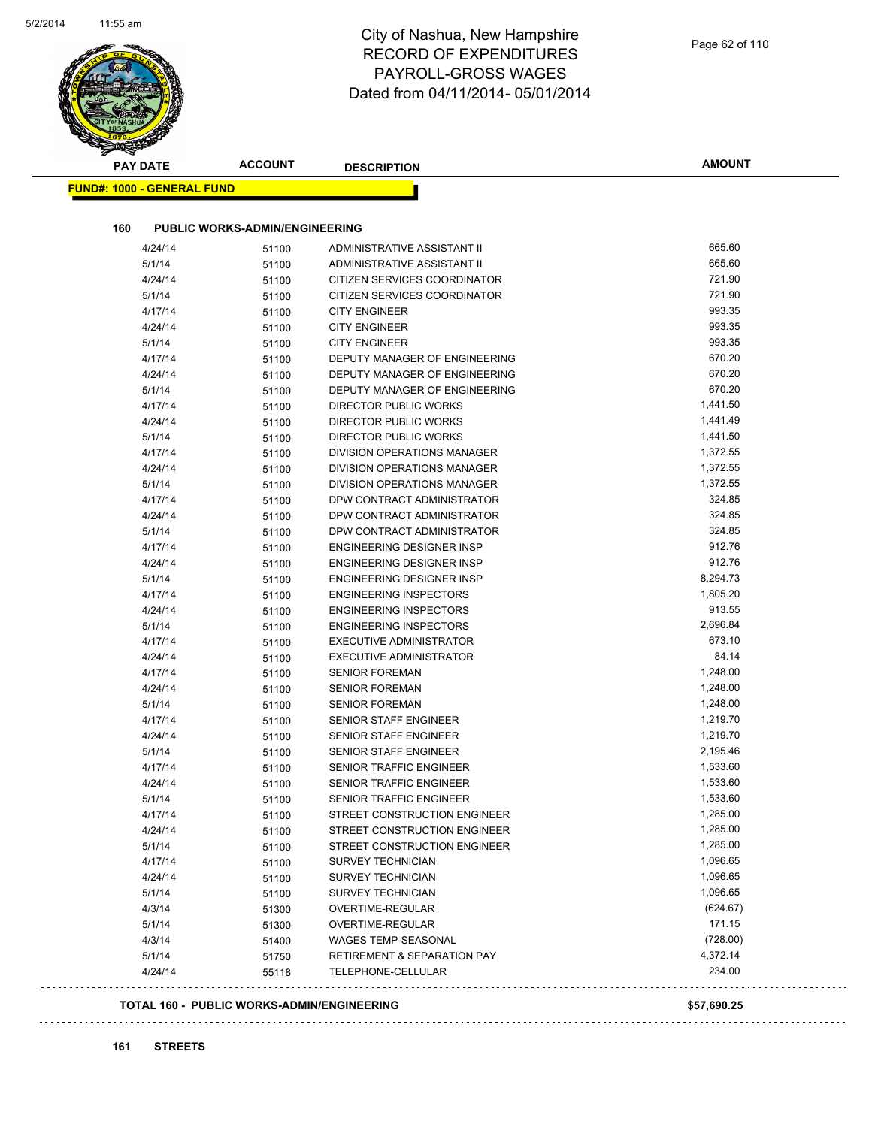$\overline{\phantom{a}}$ 

| <b>PAY DATE</b>                   | <b>ACCOUNT</b>                        | <b>DESCRIPTION</b>                     | <b>AMOUNT</b> |
|-----------------------------------|---------------------------------------|----------------------------------------|---------------|
| <b>FUND#: 1000 - GENERAL FUND</b> |                                       |                                        |               |
|                                   |                                       |                                        |               |
| 160                               | <b>PUBLIC WORKS-ADMIN/ENGINEERING</b> |                                        |               |
| 4/24/14                           | 51100                                 | ADMINISTRATIVE ASSISTANT II            | 665.60        |
| 5/1/14                            | 51100                                 | ADMINISTRATIVE ASSISTANT II            | 665.60        |
| 4/24/14                           | 51100                                 | CITIZEN SERVICES COORDINATOR           | 721.90        |
| 5/1/14                            | 51100                                 | CITIZEN SERVICES COORDINATOR           | 721.90        |
| 4/17/14                           | 51100                                 | <b>CITY ENGINEER</b>                   | 993.35        |
| 4/24/14                           | 51100                                 | <b>CITY ENGINEER</b>                   | 993.35        |
| 5/1/14                            | 51100                                 | <b>CITY ENGINEER</b>                   | 993.35        |
| 4/17/14                           | 51100                                 | DEPUTY MANAGER OF ENGINEERING          | 670.20        |
| 4/24/14                           | 51100                                 | DEPUTY MANAGER OF ENGINEERING          | 670.20        |
| 5/1/14                            | 51100                                 | DEPUTY MANAGER OF ENGINEERING          | 670.20        |
| 4/17/14                           | 51100                                 | DIRECTOR PUBLIC WORKS                  | 1,441.50      |
| 4/24/14                           | 51100                                 | DIRECTOR PUBLIC WORKS                  | 1,441.49      |
| 5/1/14                            | 51100                                 | <b>DIRECTOR PUBLIC WORKS</b>           | 1,441.50      |
| 4/17/14                           | 51100                                 | DIVISION OPERATIONS MANAGER            | 1,372.55      |
| 4/24/14                           | 51100                                 | DIVISION OPERATIONS MANAGER            | 1,372.55      |
| 5/1/14                            | 51100                                 | DIVISION OPERATIONS MANAGER            | 1,372.55      |
| 4/17/14                           | 51100                                 | DPW CONTRACT ADMINISTRATOR             | 324.85        |
| 4/24/14                           | 51100                                 | DPW CONTRACT ADMINISTRATOR             | 324.85        |
| 5/1/14                            | 51100                                 | DPW CONTRACT ADMINISTRATOR             | 324.85        |
| 4/17/14                           | 51100                                 | ENGINEERING DESIGNER INSP              | 912.76        |
| 4/24/14                           | 51100                                 | <b>ENGINEERING DESIGNER INSP</b>       | 912.76        |
| 5/1/14                            | 51100                                 | ENGINEERING DESIGNER INSP              | 8,294.73      |
| 4/17/14                           | 51100                                 | <b>ENGINEERING INSPECTORS</b>          | 1,805.20      |
| 4/24/14                           | 51100                                 | <b>ENGINEERING INSPECTORS</b>          | 913.55        |
| 5/1/14                            | 51100                                 | <b>ENGINEERING INSPECTORS</b>          | 2,696.84      |
| 4/17/14                           | 51100                                 | <b>EXECUTIVE ADMINISTRATOR</b>         | 673.10        |
| 4/24/14                           | 51100                                 | <b>EXECUTIVE ADMINISTRATOR</b>         | 84.14         |
| 4/17/14                           | 51100                                 | <b>SENIOR FOREMAN</b>                  | 1,248.00      |
| 4/24/14                           | 51100                                 | <b>SENIOR FOREMAN</b>                  | 1,248.00      |
| 5/1/14                            | 51100                                 | <b>SENIOR FOREMAN</b>                  | 1,248.00      |
| 4/17/14                           | 51100                                 | SENIOR STAFF ENGINEER                  | 1,219.70      |
| 4/24/14                           | 51100                                 | SENIOR STAFF ENGINEER                  | 1,219.70      |
| 5/1/14                            | 51100                                 | SENIOR STAFF ENGINEER                  | 2,195.46      |
| 4/17/14                           | 51100                                 | SENIOR TRAFFIC ENGINEER                | 1,533.60      |
| 4/24/14                           | 51100                                 | SENIOR TRAFFIC ENGINEER                | 1,533.60      |
| 5/1/14                            | 51100                                 | SENIOR TRAFFIC ENGINEER                | 1,533.60      |
| 4/17/14                           | 51100                                 | STREET CONSTRUCTION ENGINEER           | 1,285.00      |
| 4/24/14                           | 51100                                 | STREET CONSTRUCTION ENGINEER           | 1,285.00      |
| 5/1/14                            | 51100                                 | STREET CONSTRUCTION ENGINEER           | 1,285.00      |
| 4/17/14                           | 51100                                 | <b>SURVEY TECHNICIAN</b>               | 1,096.65      |
| 4/24/14                           | 51100                                 | <b>SURVEY TECHNICIAN</b>               | 1,096.65      |
| 5/1/14                            | 51100                                 | <b>SURVEY TECHNICIAN</b>               | 1,096.65      |
| 4/3/14                            | 51300                                 | OVERTIME-REGULAR                       | (624.67)      |
| 5/1/14                            | 51300                                 | OVERTIME-REGULAR                       | 171.15        |
| 4/3/14                            | 51400                                 | WAGES TEMP-SEASONAL                    | (728.00)      |
| 5/1/14                            | 51750                                 | <b>RETIREMENT &amp; SEPARATION PAY</b> | 4,372.14      |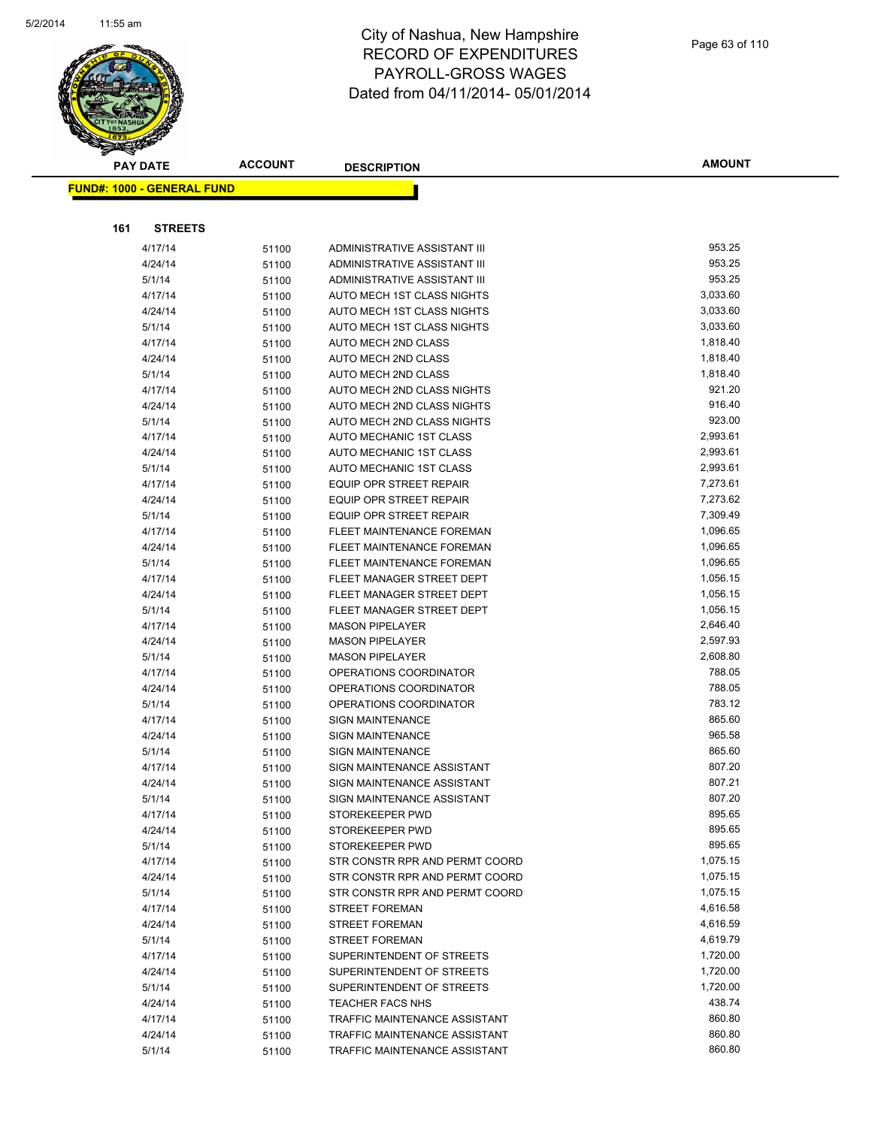

|     | <b>PAY DATE</b>                   | <b>ACCOUNT</b> | <b>DESCRIPTION</b>                                          | <b>AMOUNT</b>        |
|-----|-----------------------------------|----------------|-------------------------------------------------------------|----------------------|
|     | <b>FUND#: 1000 - GENERAL FUND</b> |                |                                                             |                      |
|     |                                   |                |                                                             |                      |
|     |                                   |                |                                                             |                      |
| 161 | <b>STREETS</b>                    |                |                                                             |                      |
|     | 4/17/14                           | 51100          | ADMINISTRATIVE ASSISTANT III                                | 953.25               |
|     | 4/24/14                           | 51100          | ADMINISTRATIVE ASSISTANT III                                | 953.25               |
|     | 5/1/14                            | 51100          | ADMINISTRATIVE ASSISTANT III                                | 953.25               |
|     | 4/17/14                           | 51100          | AUTO MECH 1ST CLASS NIGHTS                                  | 3,033.60             |
|     | 4/24/14                           | 51100          | AUTO MECH 1ST CLASS NIGHTS                                  | 3,033.60             |
|     | 5/1/14                            | 51100          | AUTO MECH 1ST CLASS NIGHTS                                  | 3,033.60             |
|     | 4/17/14                           | 51100          | AUTO MECH 2ND CLASS                                         | 1,818.40             |
|     | 4/24/14                           | 51100          | <b>AUTO MECH 2ND CLASS</b>                                  | 1,818.40             |
|     | 5/1/14                            | 51100          | <b>AUTO MECH 2ND CLASS</b>                                  | 1,818.40             |
|     | 4/17/14                           | 51100          | AUTO MECH 2ND CLASS NIGHTS                                  | 921.20               |
|     | 4/24/14                           | 51100          | AUTO MECH 2ND CLASS NIGHTS                                  | 916.40               |
|     | 5/1/14                            | 51100          | AUTO MECH 2ND CLASS NIGHTS                                  | 923.00               |
|     | 4/17/14                           | 51100          | AUTO MECHANIC 1ST CLASS                                     | 2,993.61             |
|     | 4/24/14                           | 51100          | AUTO MECHANIC 1ST CLASS                                     | 2,993.61<br>2,993.61 |
|     | 5/1/14                            | 51100          | AUTO MECHANIC 1ST CLASS                                     |                      |
|     | 4/17/14                           | 51100          | <b>EQUIP OPR STREET REPAIR</b>                              | 7,273.61             |
|     | 4/24/14                           | 51100          | <b>EQUIP OPR STREET REPAIR</b>                              | 7,273.62<br>7,309.49 |
|     | 5/1/14                            | 51100          | <b>EQUIP OPR STREET REPAIR</b><br>FLEET MAINTENANCE FOREMAN | 1,096.65             |
|     | 4/17/14                           | 51100          |                                                             | 1,096.65             |
|     | 4/24/14<br>5/1/14                 | 51100          | FLEET MAINTENANCE FOREMAN<br>FLEET MAINTENANCE FOREMAN      | 1,096.65             |
|     | 4/17/14                           | 51100          | FLEET MANAGER STREET DEPT                                   | 1,056.15             |
|     | 4/24/14                           | 51100          | FLEET MANAGER STREET DEPT                                   | 1,056.15             |
|     | 5/1/14                            | 51100          | FLEET MANAGER STREET DEPT                                   | 1,056.15             |
|     | 4/17/14                           | 51100<br>51100 | <b>MASON PIPELAYER</b>                                      | 2,646.40             |
|     | 4/24/14                           | 51100          | <b>MASON PIPELAYER</b>                                      | 2,597.93             |
|     | 5/1/14                            | 51100          | <b>MASON PIPELAYER</b>                                      | 2,608.80             |
|     | 4/17/14                           | 51100          | OPERATIONS COORDINATOR                                      | 788.05               |
|     | 4/24/14                           | 51100          | OPERATIONS COORDINATOR                                      | 788.05               |
|     | 5/1/14                            | 51100          | OPERATIONS COORDINATOR                                      | 783.12               |
|     | 4/17/14                           | 51100          | <b>SIGN MAINTENANCE</b>                                     | 865.60               |
|     | 4/24/14                           | 51100          | <b>SIGN MAINTENANCE</b>                                     | 965.58               |
|     | 5/1/14                            | 51100          | <b>SIGN MAINTENANCE</b>                                     | 865.60               |
|     | 4/17/14                           | 51100          | SIGN MAINTENANCE ASSISTANT                                  | 807.20               |
|     | 4/24/14                           | 51100          | SIGN MAINTENANCE ASSISTANT                                  | 807.21               |
|     | 5/1/14                            | 51100          | SIGN MAINTENANCE ASSISTANT                                  | 807.20               |
|     | 4/17/14                           | 51100          | STOREKEEPER PWD                                             | 895.65               |
|     | 4/24/14                           | 51100          | STOREKEEPER PWD                                             | 895.65               |
|     | 5/1/14                            | 51100          | STOREKEEPER PWD                                             | 895.65               |
|     | 4/17/14                           | 51100          | STR CONSTR RPR AND PERMT COORD                              | 1,075.15             |
|     | 4/24/14                           | 51100          | STR CONSTR RPR AND PERMT COORD                              | 1,075.15             |
|     | 5/1/14                            | 51100          | STR CONSTR RPR AND PERMT COORD                              | 1,075.15             |
|     | 4/17/14                           | 51100          | <b>STREET FOREMAN</b>                                       | 4,616.58             |
|     | 4/24/14                           | 51100          | <b>STREET FOREMAN</b>                                       | 4,616.59             |
|     | 5/1/14                            | 51100          | <b>STREET FOREMAN</b>                                       | 4,619.79             |
|     | 4/17/14                           | 51100          | SUPERINTENDENT OF STREETS                                   | 1,720.00             |
|     | 4/24/14                           | 51100          | SUPERINTENDENT OF STREETS                                   | 1,720.00             |
|     | 5/1/14                            | 51100          | SUPERINTENDENT OF STREETS                                   | 1,720.00             |
|     | 4/24/14                           | 51100          | TEACHER FACS NHS                                            | 438.74               |
|     | 4/17/14                           | 51100          | TRAFFIC MAINTENANCE ASSISTANT                               | 860.80               |
|     | 4/24/14                           | 51100          | TRAFFIC MAINTENANCE ASSISTANT                               | 860.80               |
|     | 5/1/14                            | 51100          | TRAFFIC MAINTENANCE ASSISTANT                               | 860.80               |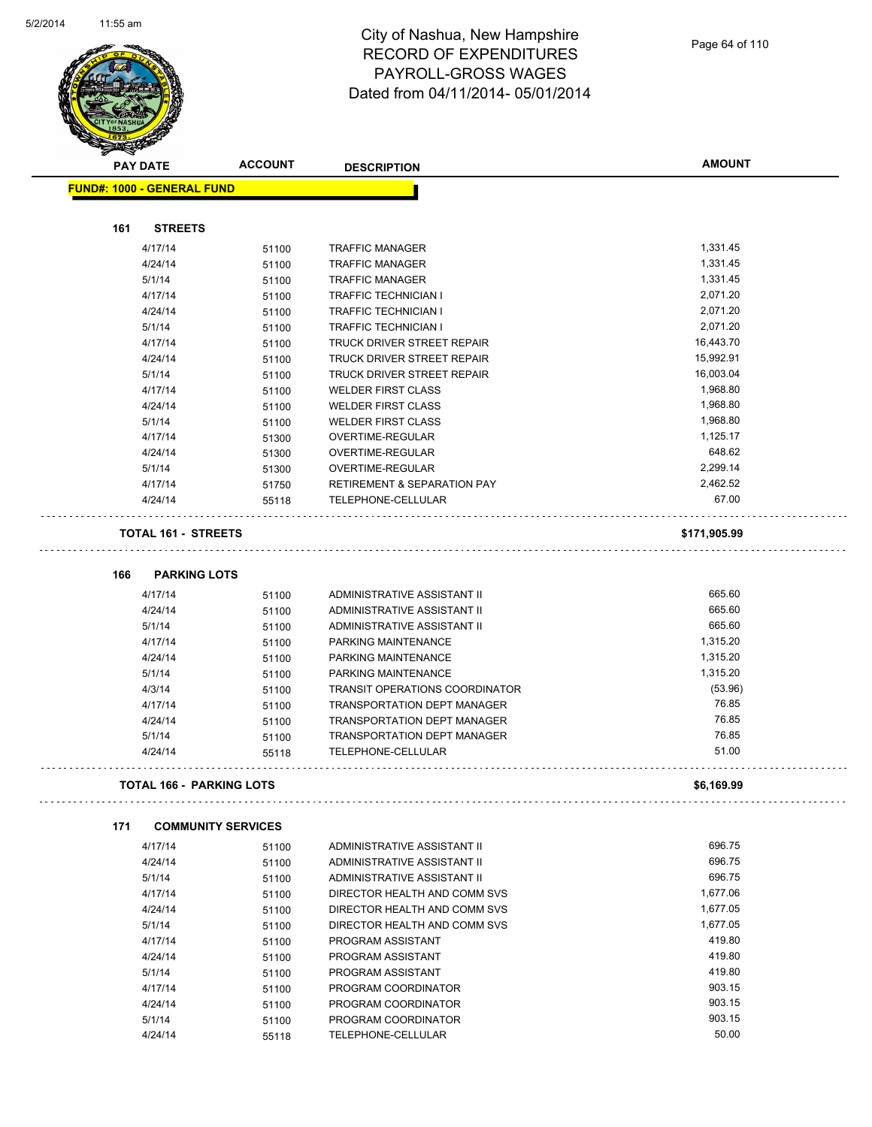

| <b>PAY DATE</b>                   | <b>ACCOUNT</b>            | <b>DESCRIPTION</b>                     | <b>AMOUNT</b> |
|-----------------------------------|---------------------------|----------------------------------------|---------------|
| <b>FUND#: 1000 - GENERAL FUND</b> |                           |                                        |               |
|                                   |                           |                                        |               |
| 161<br><b>STREETS</b>             |                           |                                        |               |
| 4/17/14                           | 51100                     | <b>TRAFFIC MANAGER</b>                 | 1,331.45      |
| 4/24/14                           | 51100                     | <b>TRAFFIC MANAGER</b>                 | 1,331.45      |
| 5/1/14                            | 51100                     | <b>TRAFFIC MANAGER</b>                 | 1,331.45      |
| 4/17/14                           | 51100                     | <b>TRAFFIC TECHNICIAN I</b>            | 2,071.20      |
| 4/24/14                           | 51100                     | <b>TRAFFIC TECHNICIAN I</b>            | 2,071.20      |
| 5/1/14                            | 51100                     | TRAFFIC TECHNICIAN I                   | 2,071.20      |
| 4/17/14                           | 51100                     | <b>TRUCK DRIVER STREET REPAIR</b>      | 16,443.70     |
| 4/24/14                           | 51100                     | TRUCK DRIVER STREET REPAIR             | 15,992.91     |
| 5/1/14                            | 51100                     | TRUCK DRIVER STREET REPAIR             | 16,003.04     |
| 4/17/14                           | 51100                     | <b>WELDER FIRST CLASS</b>              | 1,968.80      |
| 4/24/14                           | 51100                     | <b>WELDER FIRST CLASS</b>              | 1,968.80      |
| 5/1/14                            | 51100                     | <b>WELDER FIRST CLASS</b>              | 1,968.80      |
| 4/17/14                           | 51300                     | OVERTIME-REGULAR                       | 1,125.17      |
| 4/24/14                           | 51300                     | OVERTIME-REGULAR                       | 648.62        |
| 5/1/14                            | 51300                     | OVERTIME-REGULAR                       | 2,299.14      |
| 4/17/14                           | 51750                     | <b>RETIREMENT &amp; SEPARATION PAY</b> | 2,462.52      |
| 4/24/14                           | 55118                     | TELEPHONE-CELLULAR                     | 67.00         |
| <b>TOTAL 161 - STREETS</b>        |                           |                                        | \$171,905.99  |
|                                   |                           |                                        |               |
| 166<br><b>PARKING LOTS</b>        |                           |                                        |               |
| 4/17/14                           | 51100                     | ADMINISTRATIVE ASSISTANT II            | 665.60        |
| 4/24/14                           | 51100                     | ADMINISTRATIVE ASSISTANT II            | 665.60        |
| 5/1/14                            | 51100                     | ADMINISTRATIVE ASSISTANT II            | 665.60        |
| 4/17/14                           | 51100                     | PARKING MAINTENANCE                    | 1,315.20      |
| 4/24/14                           | 51100                     | PARKING MAINTENANCE                    | 1,315.20      |
| 5/1/14                            | 51100                     | PARKING MAINTENANCE                    | 1,315.20      |
| 4/3/14                            | 51100                     | <b>TRANSIT OPERATIONS COORDINATOR</b>  | (53.96)       |
| 4/17/14                           | 51100                     | TRANSPORTATION DEPT MANAGER            | 76.85         |
| 4/24/14                           | 51100                     | <b>TRANSPORTATION DEPT MANAGER</b>     | 76.85         |
| 5/1/14                            | 51100                     | <b>TRANSPORTATION DEPT MANAGER</b>     | 76.85         |
| 4/24/14                           | 55118                     | TELEPHONE-CELLULAR                     | 51.00         |
| <b>TOTAL 166 - PARKING LOTS</b>   |                           |                                        | \$6,169.99    |
| 171                               | <b>COMMUNITY SERVICES</b> |                                        |               |
| 4/17/14                           | 51100                     | ADMINISTRATIVE ASSISTANT II            | 696.75        |
| 4/24/14                           | 51100                     | ADMINISTRATIVE ASSISTANT II            | 696.75        |
| 5/1/14                            | 51100                     | ADMINISTRATIVE ASSISTANT II            | 696.75        |
| 4/17/14                           | 51100                     | DIRECTOR HEALTH AND COMM SVS           | 1,677.06      |
| 4/24/14                           | 51100                     | DIRECTOR HEALTH AND COMM SVS           | 1,677.05      |
| 5/1/14                            | 51100                     | DIRECTOR HEALTH AND COMM SVS           | 1,677.05      |
| 4/17/14                           | 51100                     | PROGRAM ASSISTANT                      | 419.80        |
| 4/24/14                           | 51100                     | PROGRAM ASSISTANT                      | 419.80        |
| 5/1/14                            | 51100                     | PROGRAM ASSISTANT                      | 419.80        |
| 4/17/14                           | 51100                     | PROGRAM COORDINATOR                    | 903.15        |
| 4/24/14                           |                           | PROGRAM COORDINATOR                    | 903.15        |
| 5/1/14                            | 51100                     | PROGRAM COORDINATOR                    | 903.15        |
| 4/24/14                           | 51100                     | TELEPHONE-CELLULAR                     | 50.00         |
|                                   | 55118                     |                                        |               |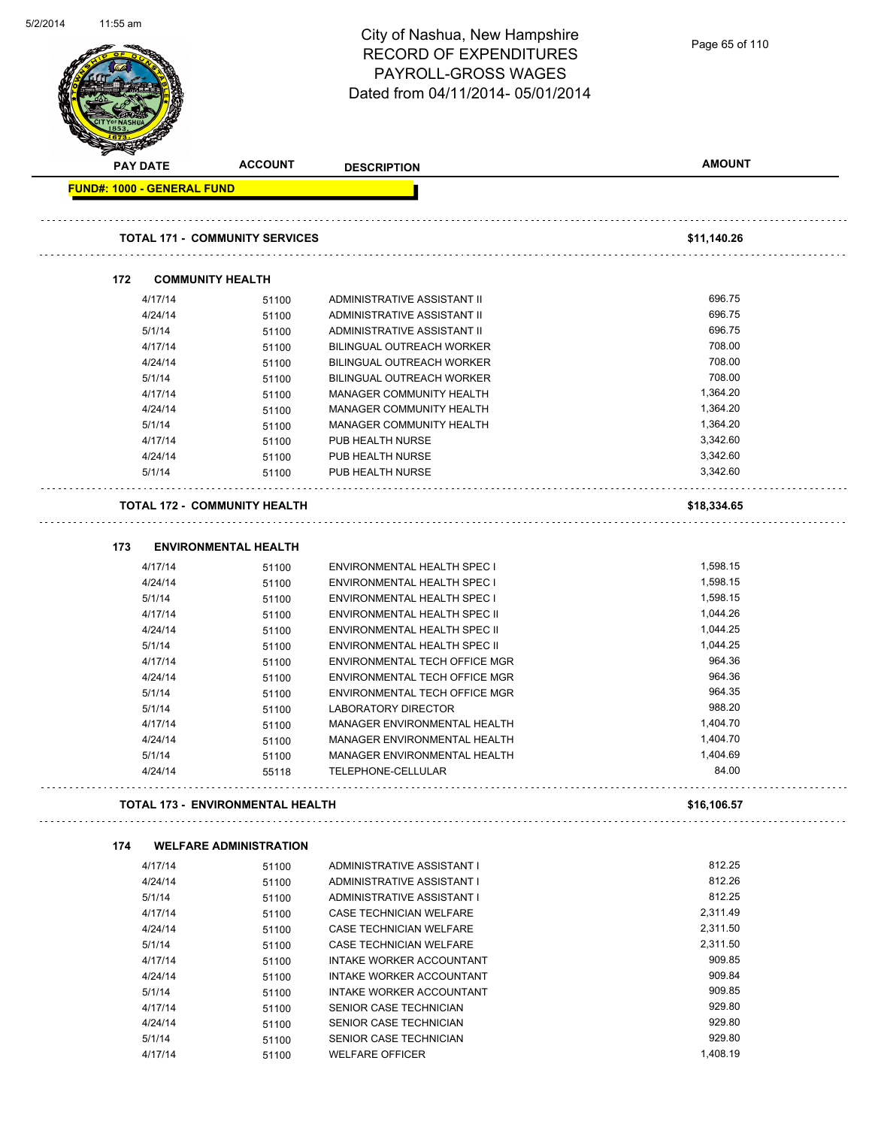| 5/2/2014 | 11:55 am                          |                                         |                                    |                |
|----------|-----------------------------------|-----------------------------------------|------------------------------------|----------------|
|          |                                   |                                         | City of Nashua, New Hampshire      |                |
|          |                                   |                                         | <b>RECORD OF EXPENDITURES</b>      | Page 65 of 110 |
|          |                                   |                                         |                                    |                |
|          |                                   |                                         | PAYROLL-GROSS WAGES                |                |
|          |                                   |                                         | Dated from 04/11/2014-05/01/2014   |                |
|          |                                   |                                         |                                    |                |
|          |                                   |                                         |                                    |                |
|          |                                   |                                         |                                    |                |
|          |                                   |                                         |                                    |                |
|          | <b>PAY DATE</b>                   | <b>ACCOUNT</b>                          | <b>DESCRIPTION</b>                 | <b>AMOUNT</b>  |
|          | <b>FUND#: 1000 - GENERAL FUND</b> |                                         |                                    |                |
|          |                                   |                                         |                                    |                |
|          |                                   |                                         |                                    |                |
|          |                                   | <b>TOTAL 171 - COMMUNITY SERVICES</b>   |                                    | \$11,140.26    |
|          |                                   |                                         |                                    |                |
|          | 172                               | <b>COMMUNITY HEALTH</b>                 |                                    |                |
|          | 4/17/14                           | 51100                                   | ADMINISTRATIVE ASSISTANT II        | 696.75         |
|          | 4/24/14                           | 51100                                   | ADMINISTRATIVE ASSISTANT II        | 696.75         |
|          | 5/1/14                            |                                         | ADMINISTRATIVE ASSISTANT II        | 696.75         |
|          |                                   | 51100                                   |                                    | 708.00         |
|          | 4/17/14                           | 51100                                   | BILINGUAL OUTREACH WORKER          |                |
|          | 4/24/14                           | 51100                                   | <b>BILINGUAL OUTREACH WORKER</b>   | 708.00         |
|          | 5/1/14                            | 51100                                   | BILINGUAL OUTREACH WORKER          | 708.00         |
|          | 4/17/14                           | 51100                                   | MANAGER COMMUNITY HEALTH           | 1,364.20       |
|          | 4/24/14                           | 51100                                   | MANAGER COMMUNITY HEALTH           | 1,364.20       |
|          | 5/1/14                            | 51100                                   | MANAGER COMMUNITY HEALTH           | 1,364.20       |
|          | 4/17/14                           | 51100                                   | PUB HEALTH NURSE                   | 3,342.60       |
|          | 4/24/14                           | 51100                                   | PUB HEALTH NURSE                   | 3,342.60       |
|          | 5/1/14                            | 51100                                   | PUB HEALTH NURSE                   | 3,342.60       |
|          |                                   |                                         |                                    |                |
|          |                                   | <b>TOTAL 172 - COMMUNITY HEALTH</b>     |                                    | \$18,334.65    |
|          |                                   |                                         |                                    |                |
|          | 173                               | <b>ENVIRONMENTAL HEALTH</b>             |                                    |                |
|          | 4/17/14                           | 51100                                   | ENVIRONMENTAL HEALTH SPEC I        | 1,598.15       |
|          | 4/24/14                           | 51100                                   | <b>ENVIRONMENTAL HEALTH SPEC I</b> | 1,598.15       |
|          | 5/1/14                            |                                         | <b>ENVIRONMENTAL HEALTH SPEC I</b> | 1,598.15       |
|          | 4/17/14                           | 51100                                   | ENVIRONMENTAL HEALTH SPEC II       | 1,044.26       |
|          |                                   | 51100                                   |                                    |                |
|          | 4/24/14                           | 51100                                   | ENVIRONMENTAL HEALTH SPEC II       | 1,044.25       |
|          | 5/1/14                            | 51100                                   | ENVIRONMENTAL HEALTH SPEC II       | 1,044.25       |
|          | 4/17/14                           | 51100                                   | ENVIRONMENTAL TECH OFFICE MGR      | 964.36         |
|          | 4/24/14                           | 51100                                   | ENVIRONMENTAL TECH OFFICE MGR      | 964.36         |
|          | 5/1/14                            | 51100                                   | ENVIRONMENTAL TECH OFFICE MGR      | 964.35         |
|          | 5/1/14                            | 51100                                   | LABORATORY DIRECTOR                | 988.20         |
|          | 4/17/14                           | 51100                                   | MANAGER ENVIRONMENTAL HEALTH       | 1,404.70       |
|          | 4/24/14                           | 51100                                   | MANAGER ENVIRONMENTAL HEALTH       | 1,404.70       |
|          | 5/1/14                            | 51100                                   | MANAGER ENVIRONMENTAL HEALTH       | 1,404.69       |
|          | 4/24/14                           | 55118                                   | TELEPHONE-CELLULAR                 | 84.00          |
|          |                                   |                                         |                                    |                |
|          |                                   | <b>TOTAL 173 - ENVIRONMENTAL HEALTH</b> |                                    | \$16,106.57    |
|          |                                   |                                         |                                    |                |
|          | 174                               | <b>WELFARE ADMINISTRATION</b>           |                                    |                |
|          | 4/17/14                           | 51100                                   | ADMINISTRATIVE ASSISTANT I         | 812.25         |
|          | 4/24/14                           | 51100                                   | ADMINISTRATIVE ASSISTANT I         | 812.26         |
|          | 5/1/14                            | 51100                                   | ADMINISTRATIVE ASSISTANT I         | 812.25         |
|          | 4/17/14                           | 51100                                   | CASE TECHNICIAN WELFARE            | 2,311.49       |
|          | 4/24/14                           | 51100                                   | CASE TECHNICIAN WELFARE            | 2,311.50       |
|          | 5/1/14                            | 51100                                   | CASE TECHNICIAN WELFARE            | 2,311.50       |
|          | 4/17/14                           | 51100                                   | INTAKE WORKER ACCOUNTANT           | 909.85         |
|          | 4/24/14                           | 51100                                   | INTAKE WORKER ACCOUNTANT           | 909.84         |
|          | 5/1/14                            | 51100                                   | <b>INTAKE WORKER ACCOUNTANT</b>    | 909.85         |
|          | 4/17/14                           | 51100                                   | SENIOR CASE TECHNICIAN             | 929.80         |
|          | 4/24/14                           | 51100                                   | SENIOR CASE TECHNICIAN             | 929.80         |
|          | 5/1/14                            |                                         | SENIOR CASE TECHNICIAN             | 929.80         |
|          | 4/17/14                           | 51100                                   | <b>WELFARE OFFICER</b>             | 1,408.19       |
|          |                                   | 51100                                   |                                    |                |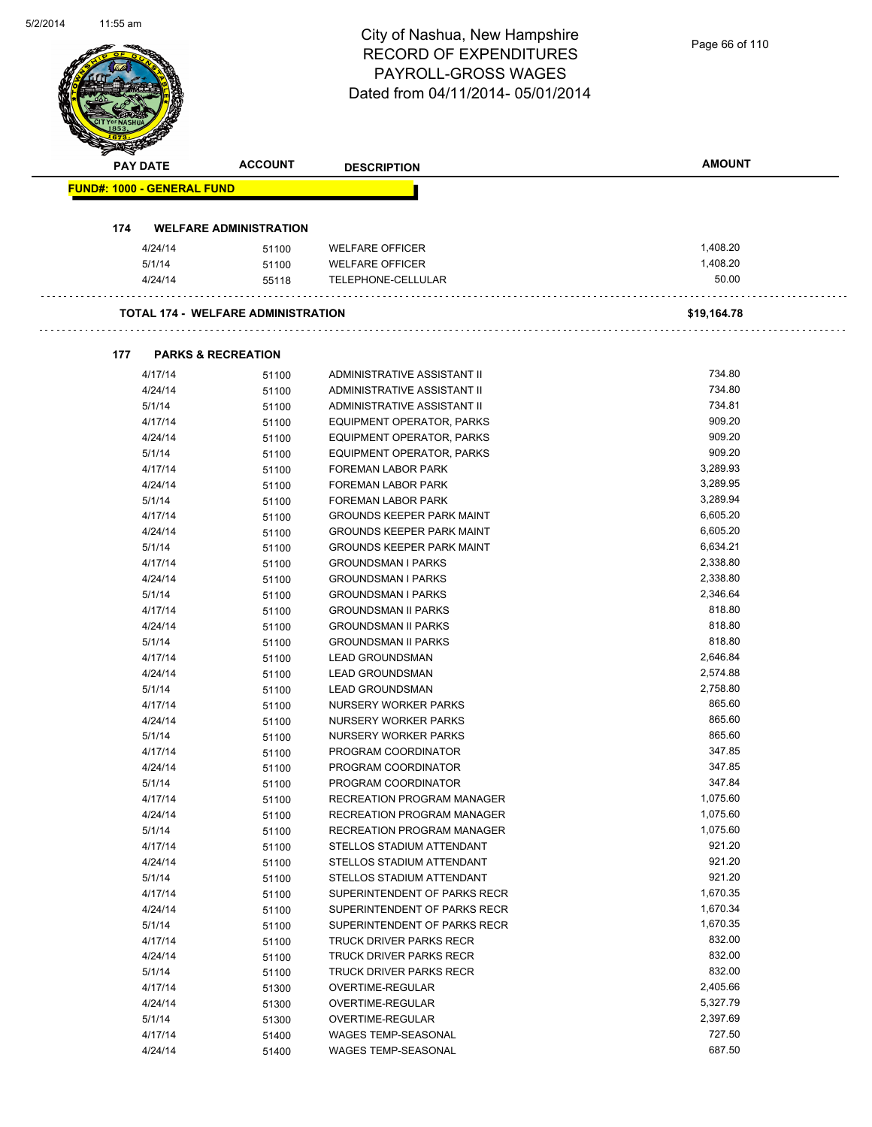| 5/2/2014 | וזוג כפנדד      |                                   |                                           | City of Nashua, New Hampshire<br><b>RECORD OF EXPENDITURES</b><br>PAYROLL-GROSS WAGES<br>Dated from 04/11/2014-05/01/2014 | Page 66 of 110       |
|----------|-----------------|-----------------------------------|-------------------------------------------|---------------------------------------------------------------------------------------------------------------------------|----------------------|
|          |                 |                                   |                                           |                                                                                                                           |                      |
|          | <b>PAY DATE</b> |                                   | <b>ACCOUNT</b>                            | <b>DESCRIPTION</b>                                                                                                        | <b>AMOUNT</b>        |
|          |                 | <b>FUND#: 1000 - GENERAL FUND</b> |                                           |                                                                                                                           |                      |
|          |                 |                                   |                                           |                                                                                                                           |                      |
|          | 174             |                                   | <b>WELFARE ADMINISTRATION</b>             |                                                                                                                           |                      |
|          |                 | 4/24/14                           | 51100                                     | <b>WELFARE OFFICER</b>                                                                                                    | 1,408.20             |
|          |                 | 5/1/14                            | 51100                                     | <b>WELFARE OFFICER</b>                                                                                                    | 1,408.20             |
|          |                 | 4/24/14                           | 55118                                     | TELEPHONE-CELLULAR                                                                                                        | 50.00                |
|          |                 |                                   |                                           |                                                                                                                           |                      |
|          |                 |                                   | <b>TOTAL 174 - WELFARE ADMINISTRATION</b> |                                                                                                                           | \$19,164.78          |
|          |                 |                                   |                                           |                                                                                                                           |                      |
|          | 177             | <b>PARKS &amp; RECREATION</b>     |                                           |                                                                                                                           | 734.80               |
|          |                 | 4/17/14<br>4/24/14                | 51100                                     | ADMINISTRATIVE ASSISTANT II<br>ADMINISTRATIVE ASSISTANT II                                                                | 734.80               |
|          |                 | 5/1/14                            | 51100<br>51100                            | ADMINISTRATIVE ASSISTANT II                                                                                               | 734.81               |
|          |                 | 4/17/14                           | 51100                                     | <b>EQUIPMENT OPERATOR, PARKS</b>                                                                                          | 909.20               |
|          |                 | 4/24/14                           | 51100                                     | EQUIPMENT OPERATOR, PARKS                                                                                                 | 909.20               |
|          |                 | 5/1/14                            | 51100                                     | EQUIPMENT OPERATOR, PARKS                                                                                                 | 909.20               |
|          |                 | 4/17/14                           | 51100                                     | FOREMAN LABOR PARK                                                                                                        | 3,289.93             |
|          |                 | 4/24/14                           | 51100                                     | FOREMAN LABOR PARK                                                                                                        | 3,289.95             |
|          |                 | 5/1/14                            | 51100                                     | FOREMAN LABOR PARK                                                                                                        | 3,289.94             |
|          |                 | 4/17/14                           | 51100                                     | <b>GROUNDS KEEPER PARK MAINT</b>                                                                                          | 6,605.20             |
|          |                 | 4/24/14                           | 51100                                     | <b>GROUNDS KEEPER PARK MAINT</b>                                                                                          | 6,605.20             |
|          |                 | 5/1/14                            | 51100                                     | <b>GROUNDS KEEPER PARK MAINT</b>                                                                                          | 6,634.21             |
|          |                 | 4/17/14                           | 51100                                     | <b>GROUNDSMAN I PARKS</b>                                                                                                 | 2,338.80             |
|          |                 | 4/24/14                           | 51100                                     | <b>GROUNDSMAN I PARKS</b>                                                                                                 | 2,338.80             |
|          |                 | 5/1/14                            | 51100                                     | <b>GROUNDSMAN I PARKS</b>                                                                                                 | 2,346.64<br>818.80   |
|          |                 | 4/17/14<br>4/24/14                | 51100<br>51100                            | <b>GROUNDSMAN II PARKS</b><br><b>GROUNDSMAN II PARKS</b>                                                                  | 818.80               |
|          |                 | 5/1/14                            | 51100                                     | <b>GROUNDSMAN II PARKS</b>                                                                                                | 818.80               |
|          |                 | 4/17/14                           | 51100                                     | LEAD GROUNDSMAN                                                                                                           | 2,646.84             |
|          |                 | 4/24/14                           | 51100                                     | <b>LEAD GROUNDSMAN</b>                                                                                                    | 2,574.88             |
|          |                 | 5/1/14                            | 51100                                     | <b>LEAD GROUNDSMAN</b>                                                                                                    | 2,758.80             |
|          |                 | 4/17/14                           | 51100                                     | NURSERY WORKER PARKS                                                                                                      | 865.60               |
|          |                 | 4/24/14                           | 51100                                     | NURSERY WORKER PARKS                                                                                                      | 865.60               |
|          |                 | 5/1/14                            | 51100                                     | NURSERY WORKER PARKS                                                                                                      | 865.60               |
|          |                 | 4/17/14                           | 51100                                     | PROGRAM COORDINATOR                                                                                                       | 347.85               |
|          |                 | 4/24/14                           | 51100                                     | PROGRAM COORDINATOR                                                                                                       | 347.85               |
|          |                 | 5/1/14                            | 51100                                     | PROGRAM COORDINATOR                                                                                                       | 347.84               |
|          |                 | 4/17/14                           | 51100                                     | RECREATION PROGRAM MANAGER                                                                                                | 1,075.60             |
|          |                 | 4/24/14<br>5/1/14                 | 51100                                     | RECREATION PROGRAM MANAGER<br>RECREATION PROGRAM MANAGER                                                                  | 1,075.60<br>1,075.60 |
|          |                 | 4/17/14                           | 51100<br>51100                            | STELLOS STADIUM ATTENDANT                                                                                                 | 921.20               |
|          |                 | 4/24/14                           | 51100                                     | STELLOS STADIUM ATTENDANT                                                                                                 | 921.20               |
|          |                 | 5/1/14                            | 51100                                     | STELLOS STADIUM ATTENDANT                                                                                                 | 921.20               |
|          |                 | 4/17/14                           | 51100                                     | SUPERINTENDENT OF PARKS RECR                                                                                              | 1,670.35             |
|          |                 | 4/24/14                           | 51100                                     | SUPERINTENDENT OF PARKS RECR                                                                                              | 1,670.34             |
|          |                 | 5/1/14                            | 51100                                     | SUPERINTENDENT OF PARKS RECR                                                                                              | 1,670.35             |
|          |                 | 4/17/14                           | 51100                                     | TRUCK DRIVER PARKS RECR                                                                                                   | 832.00               |
|          |                 | 4/24/14                           | 51100                                     | TRUCK DRIVER PARKS RECR                                                                                                   | 832.00               |
|          |                 | 5/1/14                            | 51100                                     | TRUCK DRIVER PARKS RECR                                                                                                   | 832.00               |
|          |                 | 4/17/14                           | 51300                                     | OVERTIME-REGULAR                                                                                                          | 2,405.66             |
|          |                 | 4/24/14                           | 51300                                     | OVERTIME-REGULAR                                                                                                          | 5,327.79             |
|          |                 | 5/1/14                            | 51300                                     | OVERTIME-REGULAR                                                                                                          | 2,397.69             |
|          |                 | 4/17/14                           | 51400                                     | <b>WAGES TEMP-SEASONAL</b>                                                                                                | 727.50<br>687.50     |
|          |                 | 4/24/14                           | 51400                                     | WAGES TEMP-SEASONAL                                                                                                       |                      |

5/2/2014

11:55 am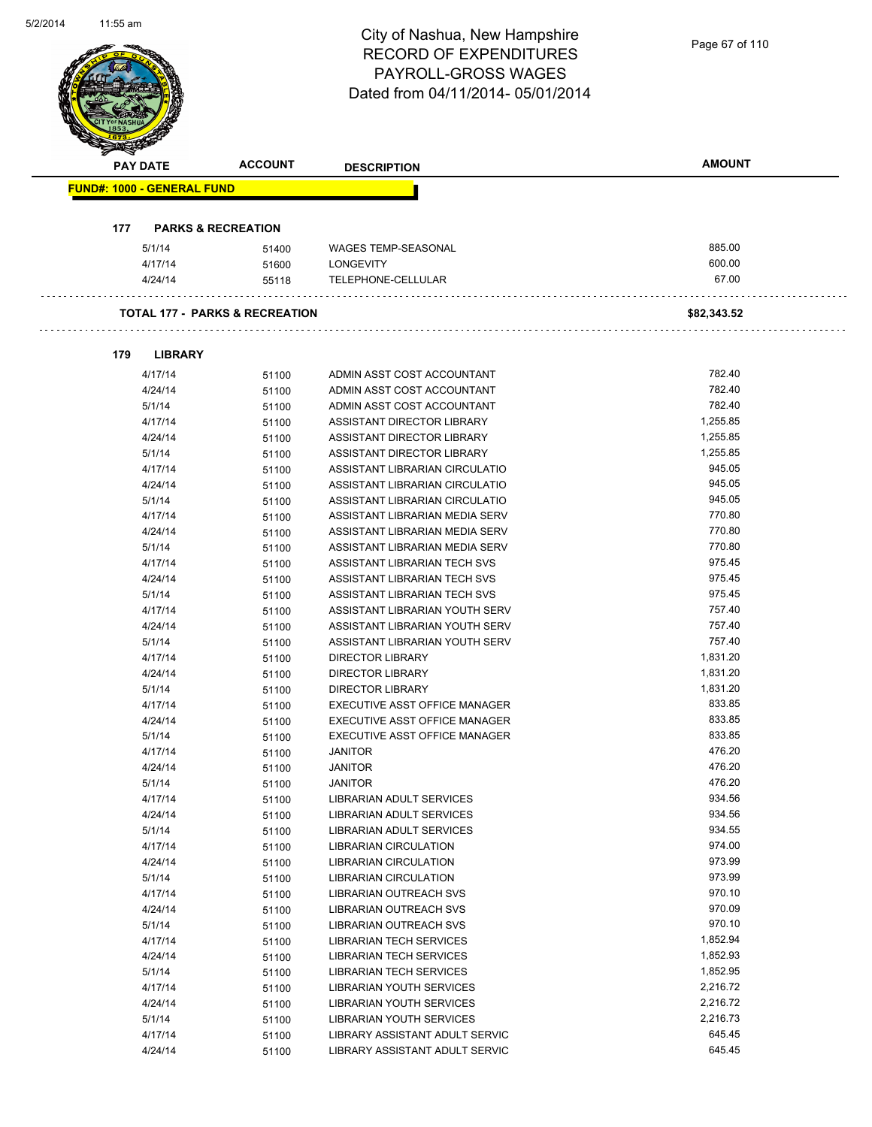| 5/2/2014 | וזוג כפנדד                        |                               |                                           | City of Nashua, New Hampshire<br><b>RECORD OF EXPENDITURES</b><br><b>PAYROLL-GROSS WAGES</b> | Page 67 of 110   |
|----------|-----------------------------------|-------------------------------|-------------------------------------------|----------------------------------------------------------------------------------------------|------------------|
|          |                                   |                               |                                           | Dated from 04/11/2014-05/01/2014                                                             |                  |
|          | <b>PAY DATE</b>                   |                               | <b>ACCOUNT</b>                            | <b>DESCRIPTION</b>                                                                           | <b>AMOUNT</b>    |
|          | <b>FUND#: 1000 - GENERAL FUND</b> |                               |                                           |                                                                                              |                  |
|          |                                   |                               |                                           |                                                                                              |                  |
|          | 177                               | <b>PARKS &amp; RECREATION</b> |                                           |                                                                                              |                  |
|          | 5/1/14                            |                               | 51400                                     | <b>WAGES TEMP-SEASONAL</b>                                                                   | 885.00           |
|          |                                   | 4/17/14                       | 51600                                     | <b>LONGEVITY</b>                                                                             | 600.00           |
|          |                                   | 4/24/14                       | 55118                                     | TELEPHONE-CELLULAR                                                                           | 67.00            |
|          |                                   |                               | <b>TOTAL 177 - PARKS &amp; RECREATION</b> |                                                                                              | \$82,343.52      |
|          |                                   |                               |                                           |                                                                                              |                  |
|          | 179                               | <b>LIBRARY</b>                |                                           |                                                                                              |                  |
|          |                                   | 4/17/14                       | 51100                                     | ADMIN ASST COST ACCOUNTANT                                                                   | 782.40           |
|          |                                   | 4/24/14                       | 51100                                     | ADMIN ASST COST ACCOUNTANT                                                                   | 782.40           |
|          | 5/1/14                            |                               | 51100                                     | ADMIN ASST COST ACCOUNTANT                                                                   | 782.40           |
|          |                                   | 4/17/14                       | 51100                                     | ASSISTANT DIRECTOR LIBRARY                                                                   | 1,255.85         |
|          |                                   | 4/24/14                       | 51100                                     | ASSISTANT DIRECTOR LIBRARY                                                                   | 1,255.85         |
|          | 5/1/14                            |                               | 51100                                     | ASSISTANT DIRECTOR LIBRARY                                                                   | 1,255.85         |
|          |                                   | 4/17/14                       | 51100                                     | ASSISTANT LIBRARIAN CIRCULATIO                                                               | 945.05           |
|          |                                   | 4/24/14                       | 51100                                     | ASSISTANT LIBRARIAN CIRCULATIO                                                               | 945.05           |
|          | 5/1/14                            |                               | 51100                                     | ASSISTANT LIBRARIAN CIRCULATIO                                                               | 945.05           |
|          |                                   | 4/17/14                       | 51100                                     | ASSISTANT LIBRARIAN MEDIA SERV                                                               | 770.80           |
|          |                                   | 4/24/14                       | 51100                                     | ASSISTANT LIBRARIAN MEDIA SERV                                                               | 770.80           |
|          | 5/1/14                            |                               | 51100                                     | ASSISTANT LIBRARIAN MEDIA SERV                                                               | 770.80<br>975.45 |
|          |                                   | 4/17/14<br>4/24/14            | 51100                                     | ASSISTANT LIBRARIAN TECH SVS<br>ASSISTANT LIBRARIAN TECH SVS                                 | 975.45           |
|          | 5/1/14                            |                               | 51100<br>51100                            | ASSISTANT LIBRARIAN TECH SVS                                                                 | 975.45           |
|          |                                   | 4/17/14                       | 51100                                     | ASSISTANT LIBRARIAN YOUTH SERV                                                               | 757.40           |
|          |                                   | 4/24/14                       | 51100                                     | ASSISTANT LIBRARIAN YOUTH SERV                                                               | 757.40           |
|          | 5/1/14                            |                               | 51100                                     | ASSISTANT LIBRARIAN YOUTH SERV                                                               | 757.40           |
|          |                                   | 4/17/14                       | 51100                                     | DIRECTOR LIBRARY                                                                             | 1,831.20         |
|          |                                   | 4/24/14                       | 51100                                     | <b>DIRECTOR LIBRARY</b>                                                                      | 1,831.20         |
|          | 5/1/14                            |                               | 51100                                     | <b>DIRECTOR LIBRARY</b>                                                                      | 1,831.20         |
|          |                                   | 4/17/14                       | 51100                                     | EXECUTIVE ASST OFFICE MANAGER                                                                | 833.85           |
|          |                                   | 4/24/14                       | 51100                                     | EXECUTIVE ASST OFFICE MANAGER                                                                | 833.85           |
|          | 5/1/14                            |                               | 51100                                     | EXECUTIVE ASST OFFICE MANAGER                                                                | 833.85           |
|          |                                   | 4/17/14                       | 51100                                     | <b>JANITOR</b>                                                                               | 476.20           |
|          |                                   | 4/24/14                       | 51100                                     | <b>JANITOR</b>                                                                               | 476.20           |
|          | 5/1/14                            |                               | 51100                                     | <b>JANITOR</b>                                                                               | 476.20           |
|          |                                   | 4/17/14                       | 51100                                     | <b>LIBRARIAN ADULT SERVICES</b>                                                              | 934.56           |
|          |                                   | 4/24/14                       | 51100                                     | LIBRARIAN ADULT SERVICES                                                                     | 934.56           |
|          | 5/1/14                            |                               | 51100                                     | <b>LIBRARIAN ADULT SERVICES</b>                                                              | 934.55<br>974.00 |
|          |                                   | 4/17/14<br>4/24/14            | 51100<br>51100                            | LIBRARIAN CIRCULATION<br><b>LIBRARIAN CIRCULATION</b>                                        | 973.99           |
|          | 5/1/14                            |                               | 51100                                     | LIBRARIAN CIRCULATION                                                                        | 973.99           |
|          |                                   | 4/17/14                       | 51100                                     | LIBRARIAN OUTREACH SVS                                                                       | 970.10           |
|          |                                   | 4/24/14                       | 51100                                     | LIBRARIAN OUTREACH SVS                                                                       | 970.09           |
|          | 5/1/14                            |                               | 51100                                     | LIBRARIAN OUTREACH SVS                                                                       | 970.10           |
|          |                                   | 4/17/14                       | 51100                                     | LIBRARIAN TECH SERVICES                                                                      | 1,852.94         |
|          |                                   | 4/24/14                       | 51100                                     | LIBRARIAN TECH SERVICES                                                                      | 1,852.93         |
|          | 5/1/14                            |                               | 51100                                     | LIBRARIAN TECH SERVICES                                                                      | 1,852.95         |
|          |                                   | 4/17/14                       | 51100                                     | LIBRARIAN YOUTH SERVICES                                                                     | 2,216.72         |
|          |                                   | 4/24/14                       | 51100                                     | LIBRARIAN YOUTH SERVICES                                                                     | 2,216.72         |
|          | 5/1/14                            |                               | 51100                                     | LIBRARIAN YOUTH SERVICES                                                                     | 2,216.73         |
|          |                                   | 4/17/14                       | 51100                                     | LIBRARY ASSISTANT ADULT SERVIC                                                               | 645.45           |
|          |                                   | 4/24/14                       | 51100                                     | LIBRARY ASSISTANT ADULT SERVIC                                                               | 645.45           |

5/2/2014

11:55 am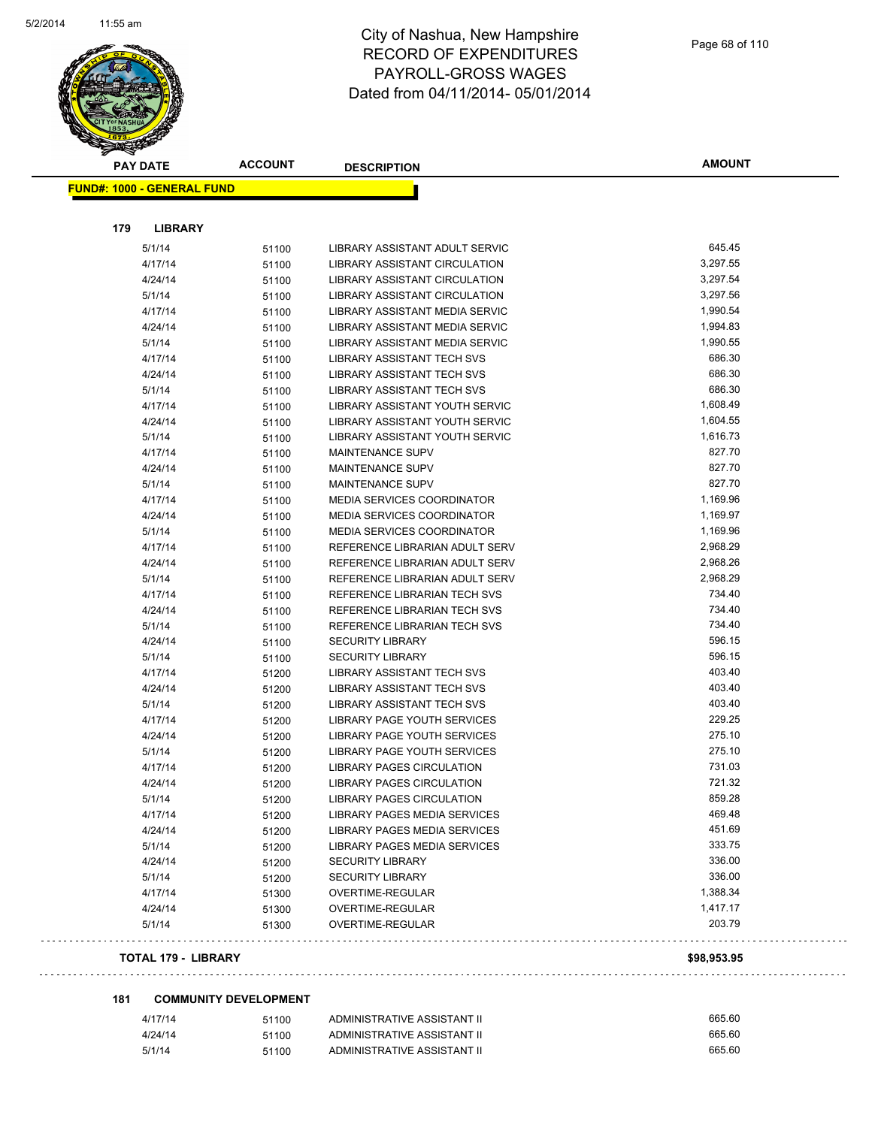

|     | <b>PAY DATE</b>                   | <b>ACCOUNT</b> | <b>DESCRIPTION</b>                 | <b>AMOUNT</b> |
|-----|-----------------------------------|----------------|------------------------------------|---------------|
|     | <b>FUND#: 1000 - GENERAL FUND</b> |                |                                    |               |
|     |                                   |                |                                    |               |
| 179 | <b>LIBRARY</b>                    |                |                                    |               |
|     | 5/1/14                            | 51100          | LIBRARY ASSISTANT ADULT SERVIC     | 645.45        |
|     | 4/17/14                           | 51100          | LIBRARY ASSISTANT CIRCULATION      | 3,297.55      |
|     | 4/24/14                           | 51100          | LIBRARY ASSISTANT CIRCULATION      | 3,297.54      |
|     | 5/1/14                            | 51100          | LIBRARY ASSISTANT CIRCULATION      | 3,297.56      |
|     | 4/17/14                           | 51100          | LIBRARY ASSISTANT MEDIA SERVIC     | 1,990.54      |
|     | 4/24/14                           | 51100          | LIBRARY ASSISTANT MEDIA SERVIC     | 1,994.83      |
|     | 5/1/14                            | 51100          | LIBRARY ASSISTANT MEDIA SERVIC     | 1,990.55      |
|     | 4/17/14                           | 51100          | LIBRARY ASSISTANT TECH SVS         | 686.30        |
|     | 4/24/14                           | 51100          | LIBRARY ASSISTANT TECH SVS         | 686.30        |
|     | 5/1/14                            | 51100          | LIBRARY ASSISTANT TECH SVS         | 686.30        |
|     | 4/17/14                           | 51100          | LIBRARY ASSISTANT YOUTH SERVIC     | 1,608.49      |
|     | 4/24/14                           | 51100          | LIBRARY ASSISTANT YOUTH SERVIC     | 1,604.55      |
|     | 5/1/14                            | 51100          | LIBRARY ASSISTANT YOUTH SERVIC     | 1,616.73      |
|     | 4/17/14                           | 51100          | <b>MAINTENANCE SUPV</b>            | 827.70        |
|     | 4/24/14                           | 51100          | <b>MAINTENANCE SUPV</b>            | 827.70        |
|     | 5/1/14                            | 51100          | <b>MAINTENANCE SUPV</b>            | 827.70        |
|     | 4/17/14                           | 51100          | <b>MEDIA SERVICES COORDINATOR</b>  | 1,169.96      |
|     | 4/24/14                           | 51100          | MEDIA SERVICES COORDINATOR         | 1,169.97      |
|     | 5/1/14                            | 51100          | MEDIA SERVICES COORDINATOR         | 1,169.96      |
|     | 4/17/14                           | 51100          | REFERENCE LIBRARIAN ADULT SERV     | 2,968.29      |
|     | 4/24/14                           | 51100          | REFERENCE LIBRARIAN ADULT SERV     | 2,968.26      |
|     | 5/1/14                            | 51100          | REFERENCE LIBRARIAN ADULT SERV     | 2,968.29      |
|     | 4/17/14                           | 51100          | REFERENCE LIBRARIAN TECH SVS       | 734.40        |
|     | 4/24/14                           | 51100          | REFERENCE LIBRARIAN TECH SVS       | 734.40        |
|     | 5/1/14                            | 51100          | REFERENCE LIBRARIAN TECH SVS       | 734.40        |
|     | 4/24/14                           | 51100          | <b>SECURITY LIBRARY</b>            | 596.15        |
|     | 5/1/14                            | 51100          | <b>SECURITY LIBRARY</b>            | 596.15        |
|     | 4/17/14                           | 51200          | <b>LIBRARY ASSISTANT TECH SVS</b>  | 403.40        |
|     | 4/24/14                           | 51200          | LIBRARY ASSISTANT TECH SVS         | 403.40        |
|     | 5/1/14                            | 51200          | LIBRARY ASSISTANT TECH SVS         | 403.40        |
|     | 4/17/14                           | 51200          | LIBRARY PAGE YOUTH SERVICES        | 229.25        |
|     | 4/24/14                           | 51200          | LIBRARY PAGE YOUTH SERVICES        | 275.10        |
|     | 5/1/14                            | 51200          | <b>LIBRARY PAGE YOUTH SERVICES</b> | 275.10        |
|     | 4/17/14                           | 51200          | <b>LIBRARY PAGES CIRCULATION</b>   | 731.03        |
|     | 4/24/14                           | 51200          | <b>LIBRARY PAGES CIRCULATION</b>   | 721.32        |
|     | 5/1/14                            | 51200          | <b>LIBRARY PAGES CIRCULATION</b>   | 859.28        |
|     | 4/17/14                           | 51200          | LIBRARY PAGES MEDIA SERVICES       | 469.48        |
|     | 4/24/14                           | 51200          | LIBRARY PAGES MEDIA SERVICES       | 451.69        |
|     | 5/1/14                            | 51200          | LIBRARY PAGES MEDIA SERVICES       | 333.75        |
|     | 4/24/14                           | 51200          | <b>SECURITY LIBRARY</b>            | 336.00        |
|     | 5/1/14                            | 51200          | <b>SECURITY LIBRARY</b>            | 336.00        |
|     | 4/17/14                           | 51300          | OVERTIME-REGULAR                   | 1,388.34      |
|     | 4/24/14                           | 51300          | OVERTIME-REGULAR                   | 1,417.17      |
|     | 5/1/14                            | 51300          | OVERTIME-REGULAR                   | 203.79        |
|     | <b>TOTAL 179 - LIBRARY</b>        |                |                                    | \$98,953.95   |

 $\alpha$  ,  $\alpha$  ,  $\alpha$  ,  $\alpha$ 

#### **181 COMMUNITY DEVELOPMENT**

 $\sim$   $\sim$   $\sim$ 

| 4/17/14 | 51100 | ADMINISTRATIVE ASSISTANT II | 665.60 |
|---------|-------|-----------------------------|--------|
| 4/24/14 | 51100 | ADMINISTRATIVE ASSISTANT II | 665.60 |
| 5/1/14  | 51100 | ADMINISTRATIVE ASSISTANT II | 665.60 |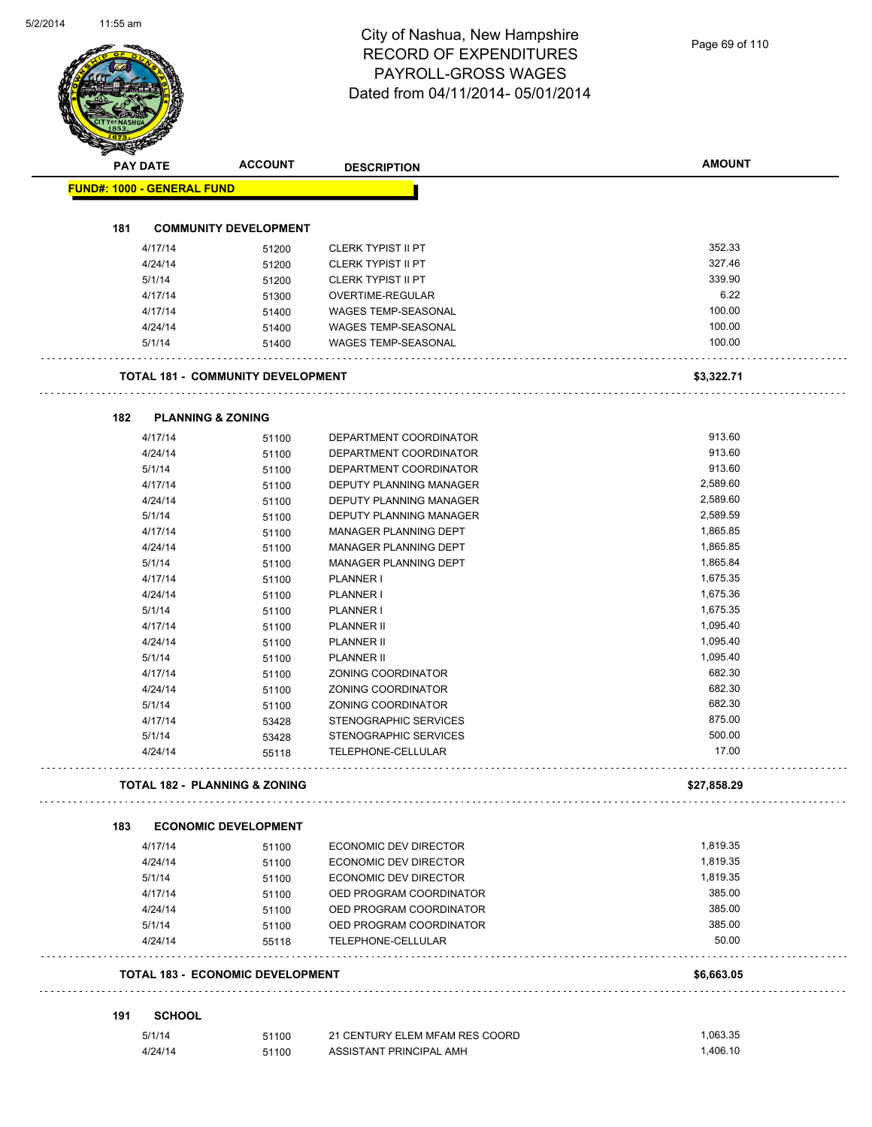|     | <b>PAY DATE</b>                          | <b>ACCOUNT</b>               | <b>DESCRIPTION</b>             | <b>AMOUNT</b> |
|-----|------------------------------------------|------------------------------|--------------------------------|---------------|
|     | <b>FUND#: 1000 - GENERAL FUND</b>        |                              |                                |               |
|     |                                          |                              |                                |               |
| 181 |                                          | <b>COMMUNITY DEVELOPMENT</b> |                                |               |
|     | 4/17/14                                  | 51200                        | <b>CLERK TYPIST II PT</b>      | 352.33        |
|     | 4/24/14                                  | 51200                        | <b>CLERK TYPIST II PT</b>      | 327.46        |
|     | 5/1/14                                   | 51200                        | <b>CLERK TYPIST II PT</b>      | 339.90        |
|     | 4/17/14                                  | 51300                        | OVERTIME-REGULAR               | 6.22          |
|     | 4/17/14                                  | 51400                        | <b>WAGES TEMP-SEASONAL</b>     | 100.00        |
|     | 4/24/14                                  | 51400                        | WAGES TEMP-SEASONAL            | 100.00        |
|     | 5/1/14                                   | 51400                        | <b>WAGES TEMP-SEASONAL</b>     | 100.00        |
|     | <b>TOTAL 181 - COMMUNITY DEVELOPMENT</b> |                              |                                | \$3,322.71    |
| 182 | <b>PLANNING &amp; ZONING</b>             |                              |                                |               |
|     | 4/17/14                                  | 51100                        | DEPARTMENT COORDINATOR         | 913.60        |
|     | 4/24/14                                  | 51100                        | DEPARTMENT COORDINATOR         | 913.60        |
|     | 5/1/14                                   | 51100                        | DEPARTMENT COORDINATOR         | 913.60        |
|     | 4/17/14                                  | 51100                        | DEPUTY PLANNING MANAGER        | 2,589.60      |
|     | 4/24/14                                  | 51100                        | DEPUTY PLANNING MANAGER        | 2,589.60      |
|     | 5/1/14                                   | 51100                        | DEPUTY PLANNING MANAGER        | 2,589.59      |
|     | 4/17/14                                  | 51100                        | MANAGER PLANNING DEPT          | 1,865.85      |
|     | 4/24/14                                  | 51100                        | MANAGER PLANNING DEPT          | 1,865.85      |
|     | 5/1/14                                   | 51100                        | MANAGER PLANNING DEPT          | 1,865.84      |
|     | 4/17/14                                  | 51100                        | PLANNER I                      | 1,675.35      |
|     | 4/24/14                                  | 51100                        | PLANNER I                      | 1,675.36      |
|     | 5/1/14                                   | 51100                        | PLANNER I                      | 1,675.35      |
|     | 4/17/14                                  | 51100                        | PLANNER II                     | 1,095.40      |
|     | 4/24/14                                  | 51100                        | <b>PLANNER II</b>              | 1,095.40      |
|     | 5/1/14                                   | 51100                        | <b>PLANNER II</b>              | 1,095.40      |
|     | 4/17/14                                  | 51100                        | ZONING COORDINATOR             | 682.30        |
|     | 4/24/14                                  | 51100                        | ZONING COORDINATOR             | 682.30        |
|     | 5/1/14                                   | 51100                        | ZONING COORDINATOR             | 682.30        |
|     | 4/17/14                                  | 53428                        | <b>STENOGRAPHIC SERVICES</b>   | 875.00        |
|     | 5/1/14                                   | 53428                        | STENOGRAPHIC SERVICES          | 500.00        |
|     | 4/24/14                                  | 55118                        | TELEPHONE-CELLULAR             | 17.00         |
|     | <b>TOTAL 182 - PLANNING &amp; ZONING</b> |                              |                                | \$27,858.29   |
| 183 |                                          | <b>ECONOMIC DEVELOPMENT</b>  |                                |               |
|     | 4/17/14                                  | 51100                        | ECONOMIC DEV DIRECTOR          | 1,819.35      |
|     | 4/24/14                                  | 51100                        | ECONOMIC DEV DIRECTOR          | 1,819.35      |
|     | 5/1/14                                   | 51100                        | ECONOMIC DEV DIRECTOR          | 1,819.35      |
|     | 4/17/14                                  | 51100                        | OED PROGRAM COORDINATOR        | 385.00        |
|     | 4/24/14                                  | 51100                        | OED PROGRAM COORDINATOR        | 385.00        |
|     | 5/1/14                                   | 51100                        | OED PROGRAM COORDINATOR        | 385.00        |
|     | 4/24/14                                  | 55118                        | TELEPHONE-CELLULAR             | 50.00         |
|     | <b>TOTAL 183 - ECONOMIC DEVELOPMENT</b>  |                              |                                | \$6,663.05    |
| 191 | <b>SCHOOL</b>                            |                              |                                |               |
|     |                                          |                              |                                |               |
|     | 5/1/14                                   | 51100                        | 21 CENTURY ELEM MFAM RES COORD | 1,063.35      |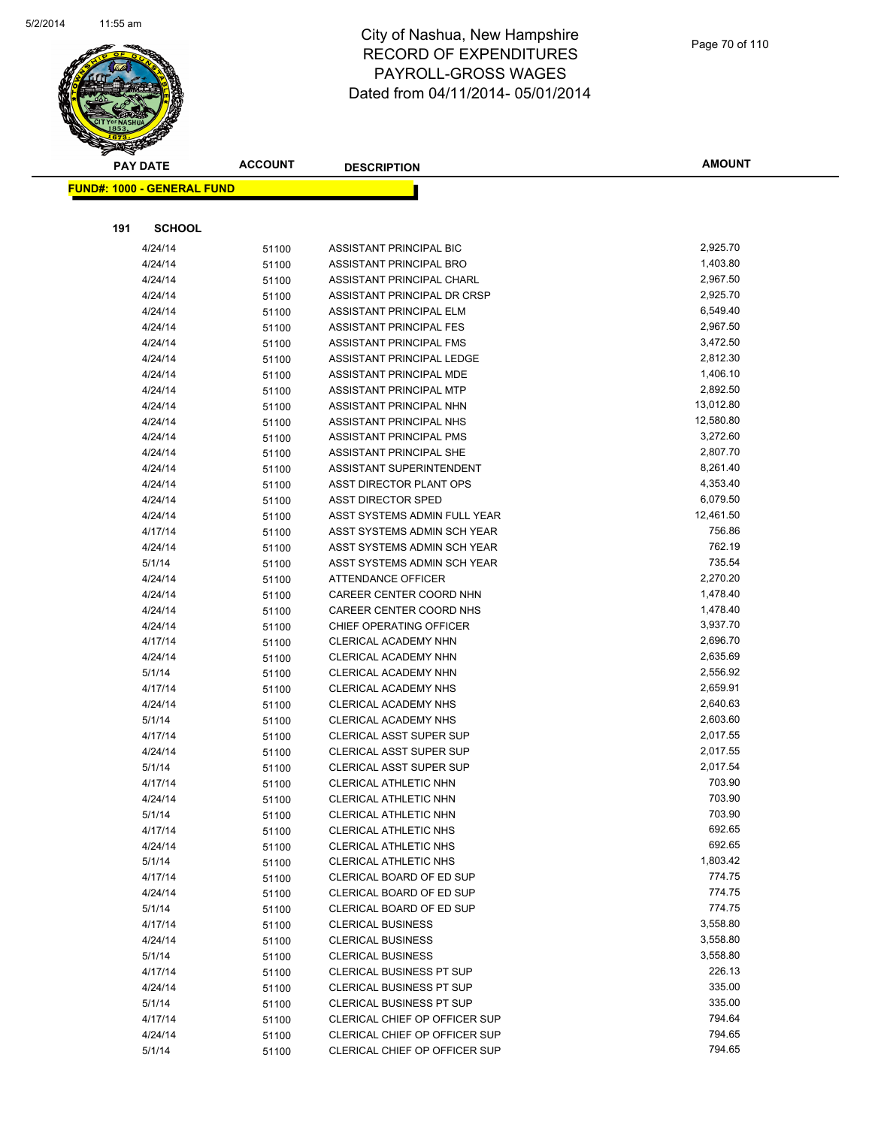

|     | <b>PAY DATE</b>                    | <b>ACCOUNT</b> | <b>DESCRIPTION</b>                                 | <b>AMOUNT</b>          |
|-----|------------------------------------|----------------|----------------------------------------------------|------------------------|
|     | <u> FUND#: 1000 - GENERAL FUND</u> |                |                                                    |                        |
|     |                                    |                |                                                    |                        |
|     |                                    |                |                                                    |                        |
| 191 | <b>SCHOOL</b>                      |                |                                                    |                        |
|     | 4/24/14                            | 51100          | ASSISTANT PRINCIPAL BIC                            | 2,925.70               |
|     | 4/24/14                            | 51100          | ASSISTANT PRINCIPAL BRO                            | 1,403.80               |
|     | 4/24/14                            | 51100          | ASSISTANT PRINCIPAL CHARL                          | 2,967.50               |
|     | 4/24/14                            | 51100          | ASSISTANT PRINCIPAL DR CRSP                        | 2,925.70               |
|     | 4/24/14                            | 51100          | ASSISTANT PRINCIPAL ELM                            | 6,549.40               |
|     | 4/24/14                            | 51100          | ASSISTANT PRINCIPAL FES                            | 2,967.50               |
|     | 4/24/14                            | 51100          | ASSISTANT PRINCIPAL FMS                            | 3,472.50               |
|     | 4/24/14                            | 51100          | ASSISTANT PRINCIPAL LEDGE                          | 2,812.30               |
|     | 4/24/14                            | 51100          | ASSISTANT PRINCIPAL MDE                            | 1,406.10               |
|     | 4/24/14                            | 51100          | ASSISTANT PRINCIPAL MTP                            | 2,892.50               |
|     | 4/24/14                            | 51100          | ASSISTANT PRINCIPAL NHN                            | 13,012.80<br>12,580.80 |
|     | 4/24/14<br>4/24/14                 | 51100          | ASSISTANT PRINCIPAL NHS<br>ASSISTANT PRINCIPAL PMS | 3,272.60               |
|     | 4/24/14                            | 51100<br>51100 | ASSISTANT PRINCIPAL SHE                            | 2,807.70               |
|     | 4/24/14                            |                | ASSISTANT SUPERINTENDENT                           | 8,261.40               |
|     | 4/24/14                            | 51100<br>51100 | ASST DIRECTOR PLANT OPS                            | 4,353.40               |
|     | 4/24/14                            | 51100          | <b>ASST DIRECTOR SPED</b>                          | 6,079.50               |
|     | 4/24/14                            | 51100          | ASST SYSTEMS ADMIN FULL YEAR                       | 12,461.50              |
|     | 4/17/14                            | 51100          | ASST SYSTEMS ADMIN SCH YEAR                        | 756.86                 |
|     | 4/24/14                            | 51100          | ASST SYSTEMS ADMIN SCH YEAR                        | 762.19                 |
|     | 5/1/14                             | 51100          | ASST SYSTEMS ADMIN SCH YEAR                        | 735.54                 |
|     | 4/24/14                            | 51100          | ATTENDANCE OFFICER                                 | 2,270.20               |
|     | 4/24/14                            | 51100          | CAREER CENTER COORD NHN                            | 1,478.40               |
|     | 4/24/14                            | 51100          | CAREER CENTER COORD NHS                            | 1,478.40               |
|     | 4/24/14                            | 51100          | CHIEF OPERATING OFFICER                            | 3,937.70               |
|     | 4/17/14                            | 51100          | CLERICAL ACADEMY NHN                               | 2,696.70               |
|     | 4/24/14                            | 51100          | CLERICAL ACADEMY NHN                               | 2,635.69               |
|     | 5/1/14                             | 51100          | CLERICAL ACADEMY NHN                               | 2,556.92               |
|     | 4/17/14                            | 51100          | CLERICAL ACADEMY NHS                               | 2,659.91               |
|     | 4/24/14                            | 51100          | CLERICAL ACADEMY NHS                               | 2,640.63               |
|     | 5/1/14                             | 51100          | CLERICAL ACADEMY NHS                               | 2,603.60               |
|     | 4/17/14                            | 51100          | <b>CLERICAL ASST SUPER SUP</b>                     | 2,017.55               |
|     | 4/24/14                            | 51100          | CLERICAL ASST SUPER SUP                            | 2,017.55               |
|     | 5/1/14                             | 51100          | <b>CLERICAL ASST SUPER SUP</b>                     | 2,017.54               |
|     | 4/17/14                            | 51100          | CLERICAL ATHLETIC NHN                              | 703.90                 |
|     | 4/24/14                            | 51100          | CLERICAL ATHLETIC NHN                              | 703.90                 |
|     | 5/1/14                             | 51100          | CLERICAL ATHLETIC NHN                              | 703.90                 |
|     | 4/17/14                            | 51100          | CLERICAL ATHLETIC NHS                              | 692.65                 |
|     | 4/24/14                            | 51100          | CLERICAL ATHLETIC NHS                              | 692.65                 |
|     | 5/1/14                             | 51100          | CLERICAL ATHLETIC NHS                              | 1,803.42               |
|     | 4/17/14                            | 51100          | CLERICAL BOARD OF ED SUP                           | 774.75                 |
|     | 4/24/14                            | 51100          | CLERICAL BOARD OF ED SUP                           | 774.75                 |
|     | 5/1/14                             | 51100          | CLERICAL BOARD OF ED SUP                           | 774.75                 |
|     | 4/17/14                            | 51100          | <b>CLERICAL BUSINESS</b>                           | 3,558.80               |
|     | 4/24/14                            | 51100          | <b>CLERICAL BUSINESS</b>                           | 3,558.80               |
|     | 5/1/14                             | 51100          | <b>CLERICAL BUSINESS</b>                           | 3,558.80               |
|     | 4/17/14                            | 51100          | <b>CLERICAL BUSINESS PT SUP</b>                    | 226.13                 |
|     | 4/24/14                            | 51100          | <b>CLERICAL BUSINESS PT SUP</b>                    | 335.00                 |
|     | 5/1/14                             | 51100          | <b>CLERICAL BUSINESS PT SUP</b>                    | 335.00                 |
|     | 4/17/14                            | 51100          | CLERICAL CHIEF OP OFFICER SUP                      | 794.64                 |
|     | 4/24/14                            | 51100          | CLERICAL CHIEF OP OFFICER SUP                      | 794.65                 |
|     | 5/1/14                             | 51100          | CLERICAL CHIEF OP OFFICER SUP                      | 794.65                 |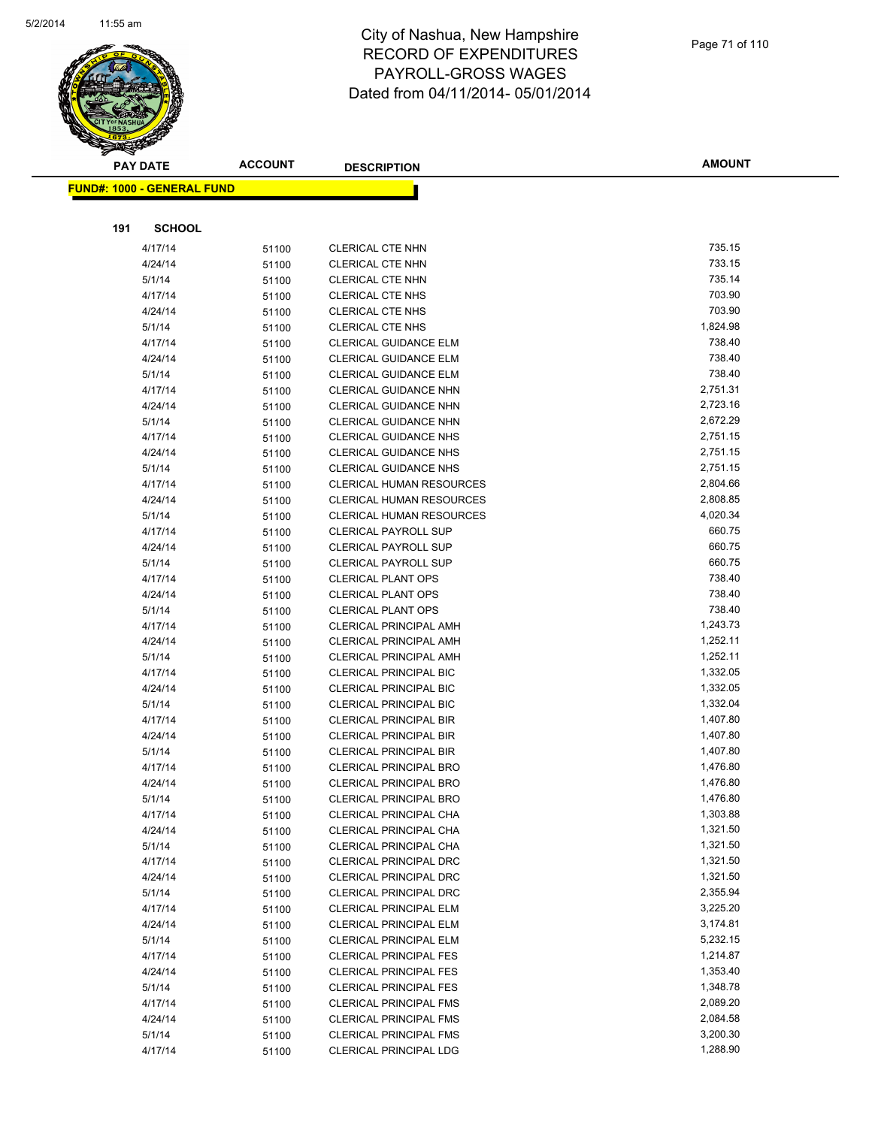

|     | <b>PAY DATE</b>                    | <b>ACCOUNT</b> | <b>DESCRIPTION</b>                                           | <b>AMOUNT</b>        |
|-----|------------------------------------|----------------|--------------------------------------------------------------|----------------------|
|     | <u> FUND#: 1000 - GENERAL FUND</u> |                |                                                              |                      |
|     |                                    |                |                                                              |                      |
|     |                                    |                |                                                              |                      |
| 191 | <b>SCHOOL</b>                      |                |                                                              |                      |
|     | 4/17/14                            | 51100          | CLERICAL CTE NHN                                             | 735.15               |
|     | 4/24/14                            | 51100          | <b>CLERICAL CTE NHN</b>                                      | 733.15               |
|     | 5/1/14                             | 51100          | <b>CLERICAL CTE NHN</b>                                      | 735.14               |
|     | 4/17/14                            | 51100          | <b>CLERICAL CTE NHS</b>                                      | 703.90               |
|     | 4/24/14                            | 51100          | <b>CLERICAL CTE NHS</b>                                      | 703.90               |
|     | 5/1/14                             | 51100          | <b>CLERICAL CTE NHS</b>                                      | 1,824.98             |
|     | 4/17/14                            | 51100          | <b>CLERICAL GUIDANCE ELM</b>                                 | 738.40               |
|     | 4/24/14                            | 51100          | <b>CLERICAL GUIDANCE ELM</b>                                 | 738.40               |
|     | 5/1/14                             | 51100          | <b>CLERICAL GUIDANCE ELM</b>                                 | 738.40               |
|     | 4/17/14                            | 51100          | CLERICAL GUIDANCE NHN                                        | 2,751.31             |
|     | 4/24/14                            | 51100          | CLERICAL GUIDANCE NHN                                        | 2,723.16             |
|     | 5/1/14                             | 51100          | CLERICAL GUIDANCE NHN                                        | 2,672.29             |
|     | 4/17/14                            | 51100          | <b>CLERICAL GUIDANCE NHS</b><br><b>CLERICAL GUIDANCE NHS</b> | 2,751.15<br>2,751.15 |
|     | 4/24/14<br>5/1/14                  | 51100          | <b>CLERICAL GUIDANCE NHS</b>                                 | 2,751.15             |
|     | 4/17/14                            | 51100          | <b>CLERICAL HUMAN RESOURCES</b>                              | 2,804.66             |
|     | 4/24/14                            | 51100          | <b>CLERICAL HUMAN RESOURCES</b>                              | 2,808.85             |
|     | 5/1/14                             | 51100<br>51100 | <b>CLERICAL HUMAN RESOURCES</b>                              | 4,020.34             |
|     | 4/17/14                            |                | <b>CLERICAL PAYROLL SUP</b>                                  | 660.75               |
|     | 4/24/14                            | 51100<br>51100 | <b>CLERICAL PAYROLL SUP</b>                                  | 660.75               |
|     | 5/1/14                             | 51100          | <b>CLERICAL PAYROLL SUP</b>                                  | 660.75               |
|     | 4/17/14                            | 51100          | <b>CLERICAL PLANT OPS</b>                                    | 738.40               |
|     | 4/24/14                            | 51100          | <b>CLERICAL PLANT OPS</b>                                    | 738.40               |
|     | 5/1/14                             | 51100          | <b>CLERICAL PLANT OPS</b>                                    | 738.40               |
|     | 4/17/14                            | 51100          | <b>CLERICAL PRINCIPAL AMH</b>                                | 1,243.73             |
|     | 4/24/14                            | 51100          | <b>CLERICAL PRINCIPAL AMH</b>                                | 1,252.11             |
|     | 5/1/14                             | 51100          | <b>CLERICAL PRINCIPAL AMH</b>                                | 1,252.11             |
|     | 4/17/14                            | 51100          | <b>CLERICAL PRINCIPAL BIC</b>                                | 1,332.05             |
|     | 4/24/14                            | 51100          | <b>CLERICAL PRINCIPAL BIC</b>                                | 1,332.05             |
|     | 5/1/14                             | 51100          | <b>CLERICAL PRINCIPAL BIC</b>                                | 1,332.04             |
|     | 4/17/14                            | 51100          | <b>CLERICAL PRINCIPAL BIR</b>                                | 1,407.80             |
|     | 4/24/14                            | 51100          | <b>CLERICAL PRINCIPAL BIR</b>                                | 1,407.80             |
|     | 5/1/14                             | 51100          | <b>CLERICAL PRINCIPAL BIR</b>                                | 1,407.80             |
|     | 4/17/14                            | 51100          | <b>CLERICAL PRINCIPAL BRO</b>                                | 1,476.80             |
|     | 4/24/14                            | 51100          | <b>CLERICAL PRINCIPAL BRO</b>                                | 1,476.80             |
|     | 5/1/14                             | 51100          | CLERICAL PRINCIPAL BRO                                       | 1,476.80             |
|     | 4/17/14                            | 51100          | CLERICAL PRINCIPAL CHA                                       | 1,303.88             |
|     | 4/24/14                            | 51100          | CLERICAL PRINCIPAL CHA                                       | 1,321.50             |
|     | 5/1/14                             | 51100          | CLERICAL PRINCIPAL CHA                                       | 1,321.50             |
|     | 4/17/14                            | 51100          | <b>CLERICAL PRINCIPAL DRC</b>                                | 1,321.50             |
|     | 4/24/14                            | 51100          | <b>CLERICAL PRINCIPAL DRC</b>                                | 1,321.50             |
|     | 5/1/14                             | 51100          | <b>CLERICAL PRINCIPAL DRC</b>                                | 2,355.94             |
|     | 4/17/14                            | 51100          | <b>CLERICAL PRINCIPAL ELM</b>                                | 3,225.20             |
|     | 4/24/14                            | 51100          | CLERICAL PRINCIPAL ELM                                       | 3,174.81             |
|     | 5/1/14                             | 51100          | <b>CLERICAL PRINCIPAL ELM</b>                                | 5,232.15             |
|     | 4/17/14                            | 51100          | <b>CLERICAL PRINCIPAL FES</b>                                | 1,214.87             |
|     | 4/24/14                            | 51100          | <b>CLERICAL PRINCIPAL FES</b>                                | 1,353.40             |
|     | 5/1/14                             | 51100          | <b>CLERICAL PRINCIPAL FES</b>                                | 1,348.78             |
|     | 4/17/14                            | 51100          | <b>CLERICAL PRINCIPAL FMS</b>                                | 2,089.20             |
|     | 4/24/14                            | 51100          | <b>CLERICAL PRINCIPAL FMS</b>                                | 2,084.58             |
|     | 5/1/14                             | 51100          | <b>CLERICAL PRINCIPAL FMS</b>                                | 3,200.30             |
|     | 4/17/14                            | 51100          | CLERICAL PRINCIPAL LDG                                       | 1,288.90             |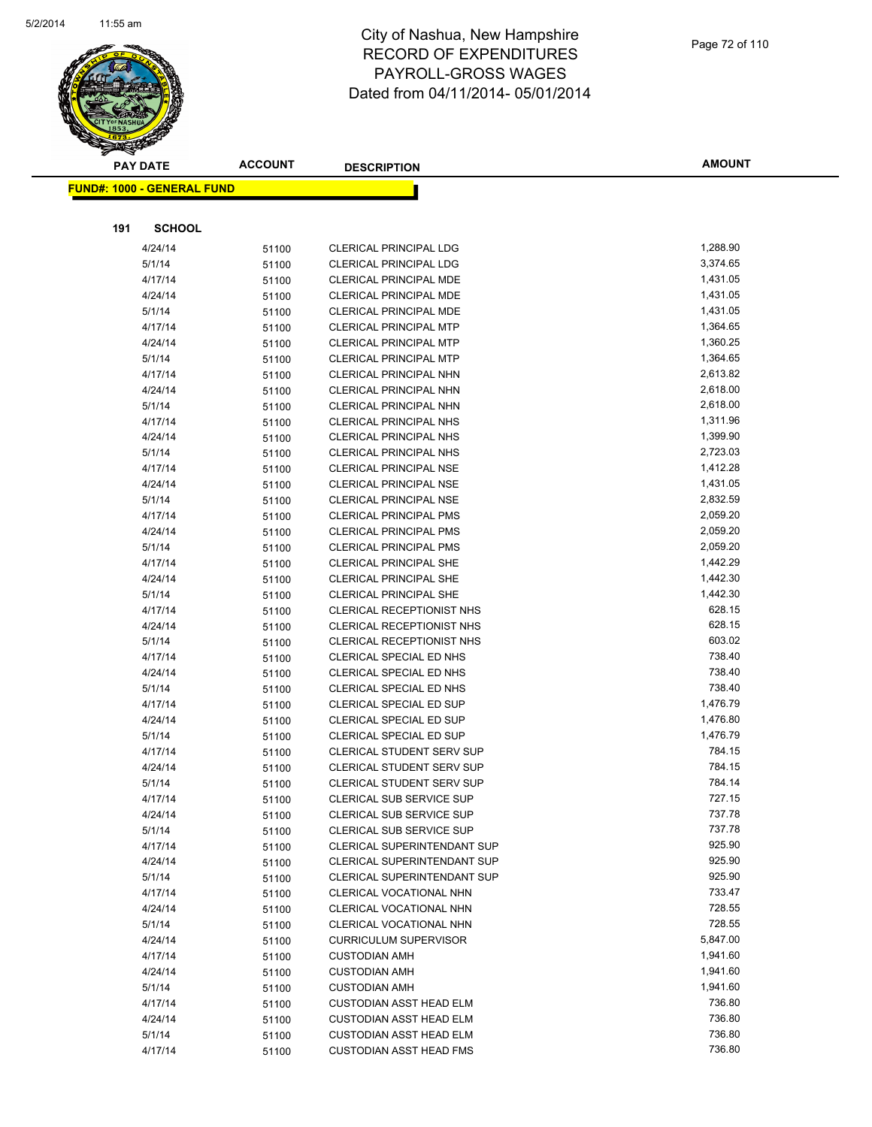

|     | <b>PAY DATE</b>                   | <b>ACCOUNT</b> | <b>DESCRIPTION</b>                                             | <b>AMOUNT</b>        |
|-----|-----------------------------------|----------------|----------------------------------------------------------------|----------------------|
|     | <b>FUND#: 1000 - GENERAL FUND</b> |                |                                                                |                      |
|     |                                   |                |                                                                |                      |
|     | <b>SCHOOL</b>                     |                |                                                                |                      |
| 191 |                                   |                |                                                                |                      |
|     | 4/24/14                           | 51100          | <b>CLERICAL PRINCIPAL LDG</b>                                  | 1,288.90             |
|     | 5/1/14                            | 51100          | <b>CLERICAL PRINCIPAL LDG</b>                                  | 3,374.65             |
|     | 4/17/14                           | 51100          | <b>CLERICAL PRINCIPAL MDE</b>                                  | 1,431.05             |
|     | 4/24/14                           | 51100          | <b>CLERICAL PRINCIPAL MDE</b>                                  | 1,431.05             |
|     | 5/1/14                            | 51100          | <b>CLERICAL PRINCIPAL MDE</b>                                  | 1,431.05             |
|     | 4/17/14                           | 51100          | <b>CLERICAL PRINCIPAL MTP</b>                                  | 1,364.65             |
|     | 4/24/14                           | 51100          | <b>CLERICAL PRINCIPAL MTP</b>                                  | 1,360.25             |
|     | 5/1/14                            | 51100          | <b>CLERICAL PRINCIPAL MTP</b>                                  | 1,364.65<br>2,613.82 |
|     | 4/17/14                           | 51100          | <b>CLERICAL PRINCIPAL NHN</b>                                  | 2,618.00             |
|     | 4/24/14<br>5/1/14                 | 51100          | <b>CLERICAL PRINCIPAL NHN</b><br><b>CLERICAL PRINCIPAL NHN</b> | 2,618.00             |
|     | 4/17/14                           | 51100          | <b>CLERICAL PRINCIPAL NHS</b>                                  | 1,311.96             |
|     | 4/24/14                           | 51100          | <b>CLERICAL PRINCIPAL NHS</b>                                  | 1,399.90             |
|     | 5/1/14                            | 51100<br>51100 | <b>CLERICAL PRINCIPAL NHS</b>                                  | 2,723.03             |
|     | 4/17/14                           |                | <b>CLERICAL PRINCIPAL NSE</b>                                  | 1,412.28             |
|     | 4/24/14                           | 51100<br>51100 | <b>CLERICAL PRINCIPAL NSE</b>                                  | 1,431.05             |
|     | 5/1/14                            | 51100          | <b>CLERICAL PRINCIPAL NSE</b>                                  | 2,832.59             |
|     | 4/17/14                           | 51100          | <b>CLERICAL PRINCIPAL PMS</b>                                  | 2,059.20             |
|     | 4/24/14                           | 51100          | <b>CLERICAL PRINCIPAL PMS</b>                                  | 2,059.20             |
|     | 5/1/14                            | 51100          | <b>CLERICAL PRINCIPAL PMS</b>                                  | 2,059.20             |
|     | 4/17/14                           | 51100          | <b>CLERICAL PRINCIPAL SHE</b>                                  | 1,442.29             |
|     | 4/24/14                           | 51100          | <b>CLERICAL PRINCIPAL SHE</b>                                  | 1,442.30             |
|     | 5/1/14                            | 51100          | <b>CLERICAL PRINCIPAL SHE</b>                                  | 1,442.30             |
|     | 4/17/14                           | 51100          | CLERICAL RECEPTIONIST NHS                                      | 628.15               |
|     | 4/24/14                           | 51100          | CLERICAL RECEPTIONIST NHS                                      | 628.15               |
|     | 5/1/14                            | 51100          | CLERICAL RECEPTIONIST NHS                                      | 603.02               |
|     | 4/17/14                           | 51100          | CLERICAL SPECIAL ED NHS                                        | 738.40               |
|     | 4/24/14                           | 51100          | CLERICAL SPECIAL ED NHS                                        | 738.40               |
|     | 5/1/14                            | 51100          | CLERICAL SPECIAL ED NHS                                        | 738.40               |
|     | 4/17/14                           | 51100          | <b>CLERICAL SPECIAL ED SUP</b>                                 | 1,476.79             |
|     | 4/24/14                           | 51100          | <b>CLERICAL SPECIAL ED SUP</b>                                 | 1,476.80             |
|     | 5/1/14                            | 51100          | CLERICAL SPECIAL ED SUP                                        | 1,476.79             |
|     | 4/17/14                           | 51100          | CLERICAL STUDENT SERV SUP                                      | 784.15               |
|     | 4/24/14                           | 51100          | CLERICAL STUDENT SERV SUP                                      | 784.15               |
|     | 5/1/14                            | 51100          | CLERICAL STUDENT SERV SUP                                      | 784.14               |
|     | 4/17/14                           | 51100          | CLERICAL SUB SERVICE SUP                                       | 727.15               |
|     | 4/24/14                           | 51100          | <b>CLERICAL SUB SERVICE SUP</b>                                | 737.78               |
|     | 5/1/14                            | 51100          | CLERICAL SUB SERVICE SUP                                       | 737.78               |
|     | 4/17/14                           | 51100          | CLERICAL SUPERINTENDANT SUP                                    | 925.90               |
|     | 4/24/14                           | 51100          | CLERICAL SUPERINTENDANT SUP                                    | 925.90               |
|     | 5/1/14                            | 51100          | CLERICAL SUPERINTENDANT SUP                                    | 925.90               |
|     | 4/17/14                           | 51100          | CLERICAL VOCATIONAL NHN                                        | 733.47               |
|     | 4/24/14                           | 51100          | CLERICAL VOCATIONAL NHN                                        | 728.55               |
|     | 5/1/14                            | 51100          | <b>CLERICAL VOCATIONAL NHN</b>                                 | 728.55               |
|     | 4/24/14                           | 51100          | <b>CURRICULUM SUPERVISOR</b>                                   | 5,847.00             |
|     | 4/17/14                           | 51100          | <b>CUSTODIAN AMH</b>                                           | 1,941.60             |
|     | 4/24/14                           | 51100          | <b>CUSTODIAN AMH</b>                                           | 1,941.60             |
|     | 5/1/14                            | 51100          | <b>CUSTODIAN AMH</b>                                           | 1,941.60             |
|     | 4/17/14                           | 51100          | <b>CUSTODIAN ASST HEAD ELM</b>                                 | 736.80               |
|     | 4/24/14                           | 51100          | <b>CUSTODIAN ASST HEAD ELM</b>                                 | 736.80               |
|     | 5/1/14                            | 51100          | <b>CUSTODIAN ASST HEAD ELM</b>                                 | 736.80               |
|     | 4/17/14                           | 51100          | <b>CUSTODIAN ASST HEAD FMS</b>                                 | 736.80               |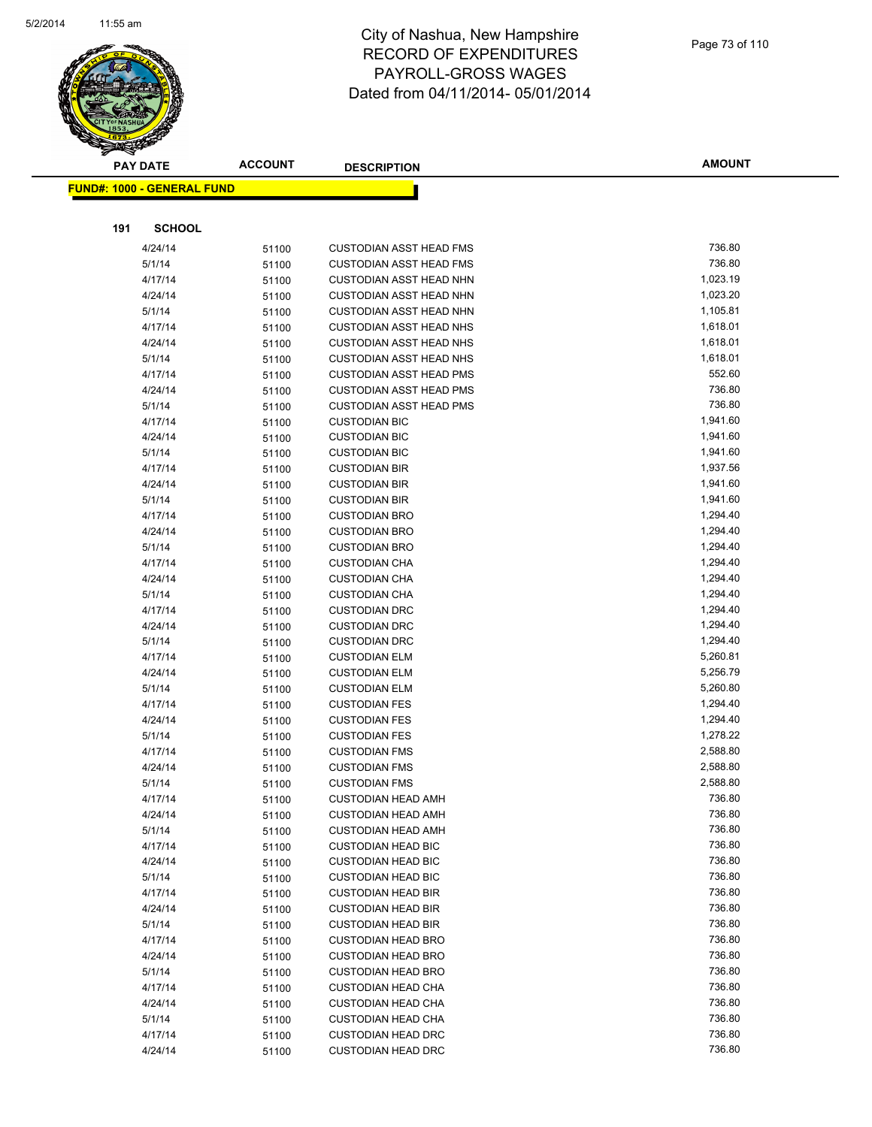

|     | <b>PAY DATE</b>                   | <b>ACCOUNT</b> | <b>DESCRIPTION</b>                           | <b>AMOUNT</b>        |
|-----|-----------------------------------|----------------|----------------------------------------------|----------------------|
|     | <b>FUND#: 1000 - GENERAL FUND</b> |                |                                              |                      |
|     |                                   |                |                                              |                      |
|     |                                   |                |                                              |                      |
| 191 | <b>SCHOOL</b>                     |                |                                              |                      |
|     | 4/24/14                           | 51100          | <b>CUSTODIAN ASST HEAD FMS</b>               | 736.80               |
|     | 5/1/14                            | 51100          | <b>CUSTODIAN ASST HEAD FMS</b>               | 736.80               |
|     | 4/17/14                           | 51100          | <b>CUSTODIAN ASST HEAD NHN</b>               | 1,023.19             |
|     | 4/24/14                           | 51100          | <b>CUSTODIAN ASST HEAD NHN</b>               | 1,023.20             |
|     | 5/1/14                            | 51100          | <b>CUSTODIAN ASST HEAD NHN</b>               | 1,105.81             |
|     | 4/17/14                           | 51100          | <b>CUSTODIAN ASST HEAD NHS</b>               | 1,618.01             |
|     | 4/24/14                           | 51100          | <b>CUSTODIAN ASST HEAD NHS</b>               | 1,618.01             |
|     | 5/1/14                            | 51100          | <b>CUSTODIAN ASST HEAD NHS</b>               | 1,618.01             |
|     | 4/17/14                           | 51100          | <b>CUSTODIAN ASST HEAD PMS</b>               | 552.60               |
|     | 4/24/14                           | 51100          | <b>CUSTODIAN ASST HEAD PMS</b>               | 736.80               |
|     | 5/1/14                            | 51100          | <b>CUSTODIAN ASST HEAD PMS</b>               | 736.80               |
|     | 4/17/14                           | 51100          | <b>CUSTODIAN BIC</b>                         | 1,941.60             |
|     | 4/24/14                           | 51100          | <b>CUSTODIAN BIC</b>                         | 1,941.60             |
|     | 5/1/14                            | 51100          | <b>CUSTODIAN BIC</b>                         | 1,941.60             |
|     | 4/17/14                           | 51100          | <b>CUSTODIAN BIR</b>                         | 1,937.56             |
|     | 4/24/14                           | 51100          | <b>CUSTODIAN BIR</b>                         | 1,941.60             |
|     | 5/1/14                            | 51100          | <b>CUSTODIAN BIR</b>                         | 1,941.60             |
|     | 4/17/14                           | 51100          | <b>CUSTODIAN BRO</b>                         | 1,294.40             |
|     | 4/24/14                           | 51100          | <b>CUSTODIAN BRO</b>                         | 1,294.40<br>1,294.40 |
|     | 5/1/14                            | 51100          | <b>CUSTODIAN BRO</b>                         | 1,294.40             |
|     | 4/17/14                           | 51100          | <b>CUSTODIAN CHA</b>                         | 1,294.40             |
|     | 4/24/14<br>5/1/14                 | 51100          | <b>CUSTODIAN CHA</b><br><b>CUSTODIAN CHA</b> | 1,294.40             |
|     | 4/17/14                           | 51100<br>51100 | <b>CUSTODIAN DRC</b>                         | 1,294.40             |
|     | 4/24/14                           | 51100          | <b>CUSTODIAN DRC</b>                         | 1,294.40             |
|     | 5/1/14                            | 51100          | <b>CUSTODIAN DRC</b>                         | 1,294.40             |
|     | 4/17/14                           | 51100          | <b>CUSTODIAN ELM</b>                         | 5,260.81             |
|     | 4/24/14                           | 51100          | <b>CUSTODIAN ELM</b>                         | 5,256.79             |
|     | 5/1/14                            | 51100          | <b>CUSTODIAN ELM</b>                         | 5,260.80             |
|     | 4/17/14                           | 51100          | <b>CUSTODIAN FES</b>                         | 1,294.40             |
|     | 4/24/14                           | 51100          | <b>CUSTODIAN FES</b>                         | 1,294.40             |
|     | 5/1/14                            | 51100          | <b>CUSTODIAN FES</b>                         | 1,278.22             |
|     | 4/17/14                           | 51100          | <b>CUSTODIAN FMS</b>                         | 2,588.80             |
|     | 4/24/14                           | 51100          | <b>CUSTODIAN FMS</b>                         | 2,588.80             |
|     | 5/1/14                            | 51100          | <b>CUSTODIAN FMS</b>                         | 2,588.80             |
|     | 4/17/14                           | 51100          | <b>CUSTODIAN HEAD AMH</b>                    | 736.80               |
|     | 4/24/14                           | 51100          | <b>CUSTODIAN HEAD AMH</b>                    | 736.80               |
|     | 5/1/14                            | 51100          | <b>CUSTODIAN HEAD AMH</b>                    | 736.80               |
|     | 4/17/14                           | 51100          | <b>CUSTODIAN HEAD BIC</b>                    | 736.80               |
|     | 4/24/14                           | 51100          | <b>CUSTODIAN HEAD BIC</b>                    | 736.80               |
|     | 5/1/14                            | 51100          | <b>CUSTODIAN HEAD BIC</b>                    | 736.80               |
|     | 4/17/14                           | 51100          | <b>CUSTODIAN HEAD BIR</b>                    | 736.80               |
|     | 4/24/14                           | 51100          | <b>CUSTODIAN HEAD BIR</b>                    | 736.80               |
|     | 5/1/14                            | 51100          | <b>CUSTODIAN HEAD BIR</b>                    | 736.80               |
|     | 4/17/14                           | 51100          | <b>CUSTODIAN HEAD BRO</b>                    | 736.80               |
|     | 4/24/14                           | 51100          | <b>CUSTODIAN HEAD BRO</b>                    | 736.80               |
|     | 5/1/14                            | 51100          | <b>CUSTODIAN HEAD BRO</b>                    | 736.80               |
|     | 4/17/14                           | 51100          | <b>CUSTODIAN HEAD CHA</b>                    | 736.80               |
|     | 4/24/14                           | 51100          | <b>CUSTODIAN HEAD CHA</b>                    | 736.80               |
|     | 5/1/14                            | 51100          | <b>CUSTODIAN HEAD CHA</b>                    | 736.80               |
|     | 4/17/14                           | 51100          | <b>CUSTODIAN HEAD DRC</b>                    | 736.80               |
|     | 4/24/14                           | 51100          | <b>CUSTODIAN HEAD DRC</b>                    | 736.80               |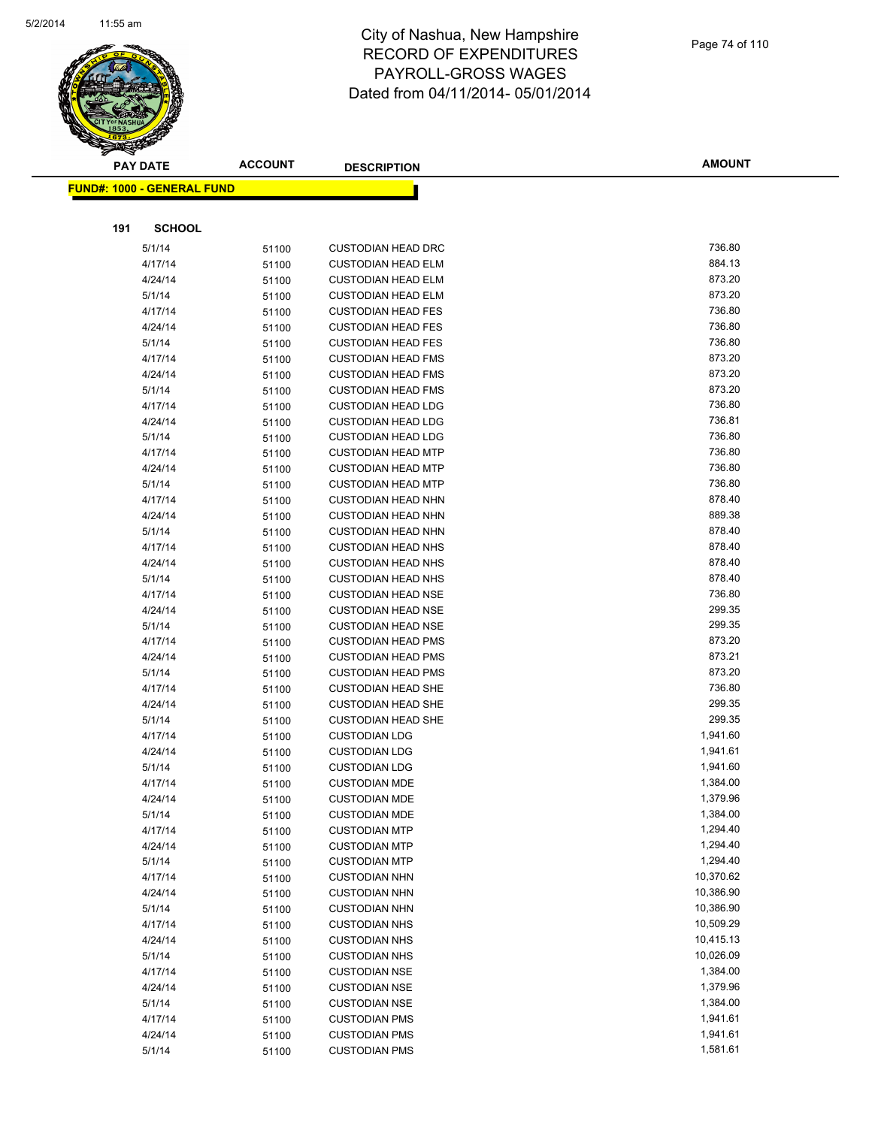

|     | <b>PAY DATE</b>                    | <b>ACCOUNT</b> | <b>DESCRIPTION</b>                                     | <b>AMOUNT</b>    |
|-----|------------------------------------|----------------|--------------------------------------------------------|------------------|
|     | <u> FUND#: 1000 - GENERAL FUND</u> |                |                                                        |                  |
|     |                                    |                |                                                        |                  |
|     |                                    |                |                                                        |                  |
| 191 | <b>SCHOOL</b>                      |                |                                                        |                  |
|     | 5/1/14                             | 51100          | <b>CUSTODIAN HEAD DRC</b>                              | 736.80           |
|     | 4/17/14                            | 51100          | <b>CUSTODIAN HEAD ELM</b>                              | 884.13           |
|     | 4/24/14                            | 51100          | <b>CUSTODIAN HEAD ELM</b>                              | 873.20           |
|     | 5/1/14                             | 51100          | <b>CUSTODIAN HEAD ELM</b>                              | 873.20           |
|     | 4/17/14                            | 51100          | <b>CUSTODIAN HEAD FES</b>                              | 736.80           |
|     | 4/24/14                            | 51100          | <b>CUSTODIAN HEAD FES</b>                              | 736.80           |
|     | 5/1/14                             | 51100          | <b>CUSTODIAN HEAD FES</b>                              | 736.80           |
|     | 4/17/14                            | 51100          | <b>CUSTODIAN HEAD FMS</b>                              | 873.20           |
|     | 4/24/14                            | 51100          | <b>CUSTODIAN HEAD FMS</b>                              | 873.20           |
|     | 5/1/14                             | 51100          | <b>CUSTODIAN HEAD FMS</b>                              | 873.20           |
|     | 4/17/14                            | 51100          | <b>CUSTODIAN HEAD LDG</b>                              | 736.80<br>736.81 |
|     | 4/24/14<br>5/1/14                  | 51100          | <b>CUSTODIAN HEAD LDG</b>                              | 736.80           |
|     |                                    | 51100          | <b>CUSTODIAN HEAD LDG</b><br><b>CUSTODIAN HEAD MTP</b> | 736.80           |
|     | 4/17/14<br>4/24/14                 | 51100          | <b>CUSTODIAN HEAD MTP</b>                              | 736.80           |
|     | 5/1/14                             | 51100          | <b>CUSTODIAN HEAD MTP</b>                              | 736.80           |
|     | 4/17/14                            | 51100<br>51100 | <b>CUSTODIAN HEAD NHN</b>                              | 878.40           |
|     | 4/24/14                            | 51100          | <b>CUSTODIAN HEAD NHN</b>                              | 889.38           |
|     | 5/1/14                             | 51100          | <b>CUSTODIAN HEAD NHN</b>                              | 878.40           |
|     | 4/17/14                            | 51100          | <b>CUSTODIAN HEAD NHS</b>                              | 878.40           |
|     | 4/24/14                            | 51100          | <b>CUSTODIAN HEAD NHS</b>                              | 878.40           |
|     | 5/1/14                             | 51100          | <b>CUSTODIAN HEAD NHS</b>                              | 878.40           |
|     | 4/17/14                            | 51100          | <b>CUSTODIAN HEAD NSE</b>                              | 736.80           |
|     | 4/24/14                            | 51100          | <b>CUSTODIAN HEAD NSE</b>                              | 299.35           |
|     | 5/1/14                             | 51100          | <b>CUSTODIAN HEAD NSE</b>                              | 299.35           |
|     | 4/17/14                            | 51100          | <b>CUSTODIAN HEAD PMS</b>                              | 873.20           |
|     | 4/24/14                            | 51100          | <b>CUSTODIAN HEAD PMS</b>                              | 873.21           |
|     | 5/1/14                             | 51100          | <b>CUSTODIAN HEAD PMS</b>                              | 873.20           |
|     | 4/17/14                            | 51100          | <b>CUSTODIAN HEAD SHE</b>                              | 736.80           |
|     | 4/24/14                            | 51100          | <b>CUSTODIAN HEAD SHE</b>                              | 299.35           |
|     | 5/1/14                             | 51100          | <b>CUSTODIAN HEAD SHE</b>                              | 299.35           |
|     | 4/17/14                            | 51100          | <b>CUSTODIAN LDG</b>                                   | 1,941.60         |
|     | 4/24/14                            | 51100          | <b>CUSTODIAN LDG</b>                                   | 1,941.61         |
|     | 5/1/14                             | 51100          | <b>CUSTODIAN LDG</b>                                   | 1,941.60         |
|     | 4/17/14                            | 51100          | <b>CUSTODIAN MDE</b>                                   | 1,384.00         |
|     | 4/24/14                            | 51100          | <b>CUSTODIAN MDE</b>                                   | 1,379.96         |
|     | 5/1/14                             | 51100          | <b>CUSTODIAN MDE</b>                                   | 1,384.00         |
|     | 4/17/14                            | 51100          | <b>CUSTODIAN MTP</b>                                   | 1,294.40         |
|     | 4/24/14                            | 51100          | <b>CUSTODIAN MTP</b>                                   | 1,294.40         |
|     | 5/1/14                             | 51100          | <b>CUSTODIAN MTP</b>                                   | 1,294.40         |
|     | 4/17/14                            | 51100          | <b>CUSTODIAN NHN</b>                                   | 10,370.62        |
|     | 4/24/14                            | 51100          | <b>CUSTODIAN NHN</b>                                   | 10,386.90        |
|     | 5/1/14                             | 51100          | <b>CUSTODIAN NHN</b>                                   | 10,386.90        |
|     | 4/17/14                            | 51100          | <b>CUSTODIAN NHS</b>                                   | 10,509.29        |
|     | 4/24/14                            | 51100          | <b>CUSTODIAN NHS</b>                                   | 10,415.13        |
|     | 5/1/14                             | 51100          | <b>CUSTODIAN NHS</b>                                   | 10,026.09        |
|     | 4/17/14                            | 51100          | <b>CUSTODIAN NSE</b>                                   | 1,384.00         |
|     | 4/24/14                            | 51100          | <b>CUSTODIAN NSE</b>                                   | 1,379.96         |
|     | 5/1/14                             | 51100          | <b>CUSTODIAN NSE</b>                                   | 1,384.00         |
|     | 4/17/14                            | 51100          | <b>CUSTODIAN PMS</b>                                   | 1,941.61         |
|     | 4/24/14                            | 51100          | <b>CUSTODIAN PMS</b>                                   | 1,941.61         |
|     | 5/1/14                             | 51100          | <b>CUSTODIAN PMS</b>                                   | 1,581.61         |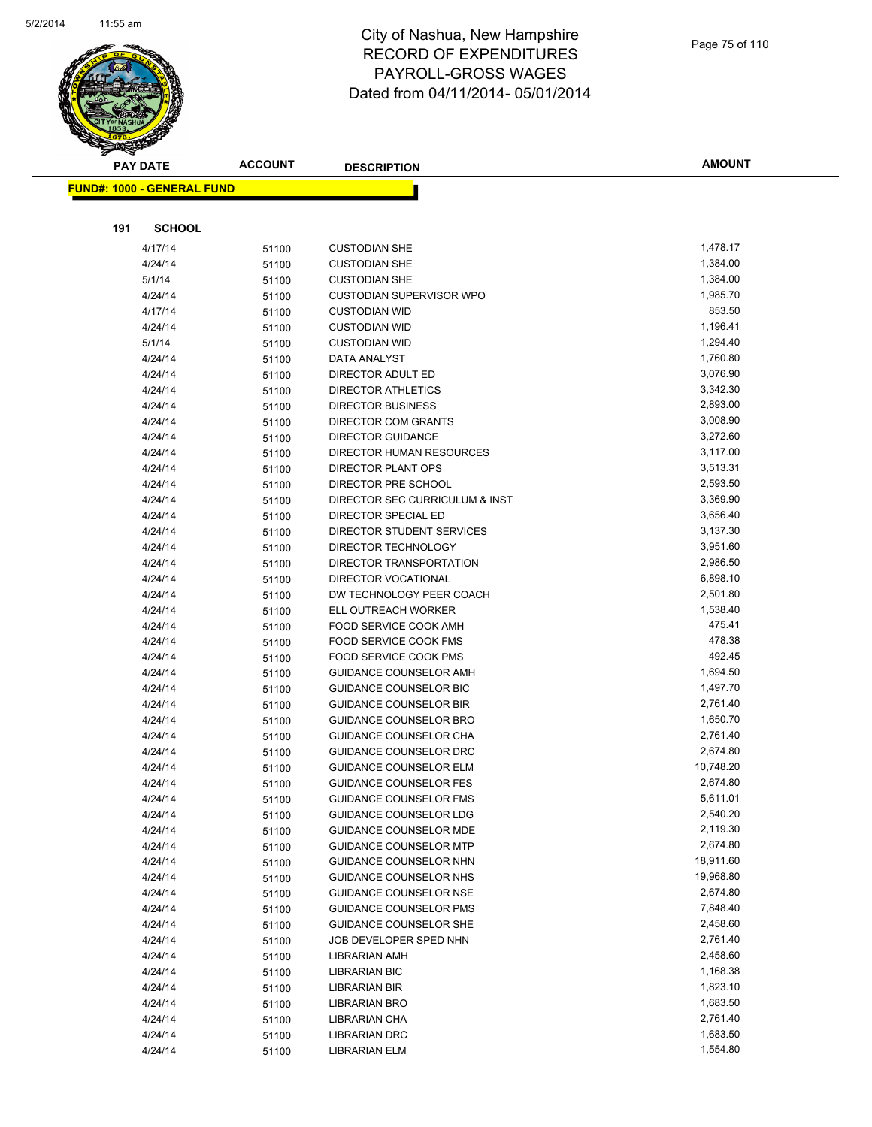

|     | <b>PAY DATE</b>                   | <b>ACCOUNT</b> | <b>DESCRIPTION</b>                        | <b>AMOUNT</b>        |
|-----|-----------------------------------|----------------|-------------------------------------------|----------------------|
|     | <b>FUND#: 1000 - GENERAL FUND</b> |                |                                           |                      |
|     |                                   |                |                                           |                      |
|     |                                   |                |                                           |                      |
| 191 | <b>SCHOOL</b>                     |                |                                           |                      |
|     | 4/17/14                           | 51100          | <b>CUSTODIAN SHE</b>                      | 1,478.17             |
|     | 4/24/14                           | 51100          | <b>CUSTODIAN SHE</b>                      | 1,384.00             |
|     | 5/1/14                            | 51100          | <b>CUSTODIAN SHE</b>                      | 1,384.00             |
|     | 4/24/14                           | 51100          | <b>CUSTODIAN SUPERVISOR WPO</b>           | 1,985.70             |
|     | 4/17/14                           | 51100          | <b>CUSTODIAN WID</b>                      | 853.50               |
|     | 4/24/14                           | 51100          | <b>CUSTODIAN WID</b>                      | 1,196.41             |
|     | 5/1/14                            | 51100          | <b>CUSTODIAN WID</b>                      | 1,294.40             |
|     | 4/24/14                           | 51100          | DATA ANALYST                              | 1,760.80             |
|     | 4/24/14                           | 51100          | DIRECTOR ADULT ED                         | 3,076.90             |
|     | 4/24/14                           | 51100          | DIRECTOR ATHLETICS                        | 3,342.30             |
|     | 4/24/14                           | 51100          | <b>DIRECTOR BUSINESS</b>                  | 2,893.00             |
|     | 4/24/14                           | 51100          | <b>DIRECTOR COM GRANTS</b>                | 3,008.90             |
|     | 4/24/14                           | 51100          | <b>DIRECTOR GUIDANCE</b>                  | 3,272.60             |
|     | 4/24/14                           | 51100          | <b>DIRECTOR HUMAN RESOURCES</b>           | 3,117.00             |
|     | 4/24/14                           | 51100          | DIRECTOR PLANT OPS<br>DIRECTOR PRE SCHOOL | 3,513.31<br>2,593.50 |
|     | 4/24/14<br>4/24/14                | 51100          | DIRECTOR SEC CURRICULUM & INST            | 3,369.90             |
|     | 4/24/14                           | 51100          | DIRECTOR SPECIAL ED                       | 3,656.40             |
|     | 4/24/14                           | 51100          | DIRECTOR STUDENT SERVICES                 | 3,137.30             |
|     | 4/24/14                           | 51100          | DIRECTOR TECHNOLOGY                       | 3,951.60             |
|     | 4/24/14                           | 51100<br>51100 | DIRECTOR TRANSPORTATION                   | 2,986.50             |
|     | 4/24/14                           | 51100          | <b>DIRECTOR VOCATIONAL</b>                | 6,898.10             |
|     | 4/24/14                           | 51100          | DW TECHNOLOGY PEER COACH                  | 2,501.80             |
|     | 4/24/14                           | 51100          | ELL OUTREACH WORKER                       | 1,538.40             |
|     | 4/24/14                           | 51100          | FOOD SERVICE COOK AMH                     | 475.41               |
|     | 4/24/14                           | 51100          | FOOD SERVICE COOK FMS                     | 478.38               |
|     | 4/24/14                           | 51100          | FOOD SERVICE COOK PMS                     | 492.45               |
|     | 4/24/14                           | 51100          | <b>GUIDANCE COUNSELOR AMH</b>             | 1,694.50             |
|     | 4/24/14                           | 51100          | <b>GUIDANCE COUNSELOR BIC</b>             | 1,497.70             |
|     | 4/24/14                           | 51100          | <b>GUIDANCE COUNSELOR BIR</b>             | 2,761.40             |
|     | 4/24/14                           | 51100          | <b>GUIDANCE COUNSELOR BRO</b>             | 1,650.70             |
|     | 4/24/14                           | 51100          | GUIDANCE COUNSELOR CHA                    | 2,761.40             |
|     | 4/24/14                           | 51100          | <b>GUIDANCE COUNSELOR DRC</b>             | 2,674.80             |
|     | 4/24/14                           | 51100          | <b>GUIDANCE COUNSELOR ELM</b>             | 10,748.20            |
|     | 4/24/14                           | 51100          | <b>GUIDANCE COUNSELOR FES</b>             | 2,674.80             |
|     | 4/24/14                           | 51100          | GUIDANCE COUNSELOR FMS                    | 5,611.01             |
|     | 4/24/14                           | 51100          | <b>GUIDANCE COUNSELOR LDG</b>             | 2,540.20             |
|     | 4/24/14                           | 51100          | <b>GUIDANCE COUNSELOR MDE</b>             | 2,119.30             |
|     | 4/24/14                           | 51100          | <b>GUIDANCE COUNSELOR MTP</b>             | 2,674.80             |
|     | 4/24/14                           | 51100          | GUIDANCE COUNSELOR NHN                    | 18,911.60            |
|     | 4/24/14                           | 51100          | GUIDANCE COUNSELOR NHS                    | 19,968.80            |
|     | 4/24/14                           | 51100          | <b>GUIDANCE COUNSELOR NSE</b>             | 2,674.80             |
|     | 4/24/14                           | 51100          | <b>GUIDANCE COUNSELOR PMS</b>             | 7,848.40             |
|     | 4/24/14                           | 51100          | <b>GUIDANCE COUNSELOR SHE</b>             | 2,458.60             |
|     | 4/24/14                           | 51100          | JOB DEVELOPER SPED NHN                    | 2,761.40             |
|     | 4/24/14                           | 51100          | <b>LIBRARIAN AMH</b>                      | 2,458.60             |
|     | 4/24/14                           | 51100          | <b>LIBRARIAN BIC</b>                      | 1,168.38             |
|     | 4/24/14                           | 51100          | <b>LIBRARIAN BIR</b>                      | 1,823.10             |
|     | 4/24/14                           | 51100          | <b>LIBRARIAN BRO</b>                      | 1,683.50             |
|     | 4/24/14                           | 51100          | LIBRARIAN CHA                             | 2,761.40             |
|     | 4/24/14                           | 51100          | <b>LIBRARIAN DRC</b>                      | 1,683.50             |
|     | 4/24/14                           | 51100          | <b>LIBRARIAN ELM</b>                      | 1,554.80             |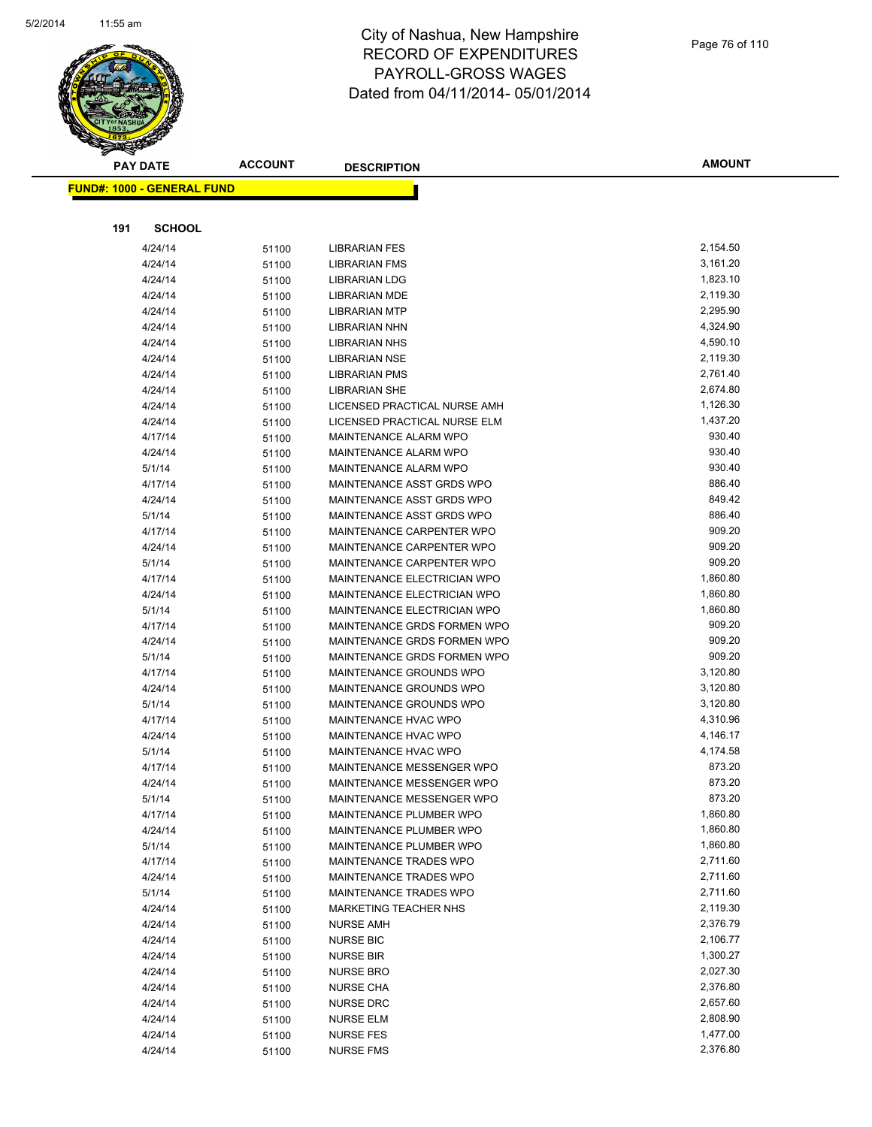

|     | <b>FUND#: 1000 - GENERAL FUND</b> |                |                              |          |
|-----|-----------------------------------|----------------|------------------------------|----------|
|     |                                   |                |                              |          |
| 191 | <b>SCHOOL</b>                     |                |                              |          |
|     | 4/24/14                           |                | <b>LIBRARIAN FES</b>         | 2,154.50 |
|     | 4/24/14                           | 51100          | <b>LIBRARIAN FMS</b>         | 3,161.20 |
|     | 4/24/14                           | 51100<br>51100 | <b>LIBRARIAN LDG</b>         | 1,823.10 |
|     | 4/24/14                           |                | LIBRARIAN MDE                | 2,119.30 |
|     | 4/24/14                           | 51100          | <b>LIBRARIAN MTP</b>         | 2,295.90 |
|     | 4/24/14                           | 51100          | LIBRARIAN NHN                | 4,324.90 |
|     | 4/24/14                           | 51100          | <b>LIBRARIAN NHS</b>         | 4,590.10 |
|     | 4/24/14                           | 51100          | <b>LIBRARIAN NSE</b>         | 2,119.30 |
|     | 4/24/14                           | 51100          | <b>LIBRARIAN PMS</b>         | 2,761.40 |
|     | 4/24/14                           | 51100          | <b>LIBRARIAN SHE</b>         | 2,674.80 |
|     | 4/24/14                           | 51100          | LICENSED PRACTICAL NURSE AMH | 1,126.30 |
|     | 4/24/14                           | 51100          | LICENSED PRACTICAL NURSE ELM | 1,437.20 |
|     | 4/17/14                           | 51100<br>51100 | MAINTENANCE ALARM WPO        | 930.40   |
|     | 4/24/14                           | 51100          | MAINTENANCE ALARM WPO        | 930.40   |
|     | 5/1/14                            |                | MAINTENANCE ALARM WPO        | 930.40   |
|     | 4/17/14                           | 51100<br>51100 | MAINTENANCE ASST GRDS WPO    | 886.40   |
|     | 4/24/14                           | 51100          | MAINTENANCE ASST GRDS WPO    | 849.42   |
|     | 5/1/14                            | 51100          | MAINTENANCE ASST GRDS WPO    | 886.40   |
|     | 4/17/14                           | 51100          | MAINTENANCE CARPENTER WPO    | 909.20   |
|     | 4/24/14                           | 51100          | MAINTENANCE CARPENTER WPO    | 909.20   |
|     | 5/1/14                            | 51100          | MAINTENANCE CARPENTER WPO    | 909.20   |
|     | 4/17/14                           | 51100          | MAINTENANCE ELECTRICIAN WPO  | 1,860.80 |
|     | 4/24/14                           | 51100          | MAINTENANCE ELECTRICIAN WPO  | 1,860.80 |
|     | 5/1/14                            | 51100          | MAINTENANCE ELECTRICIAN WPO  | 1,860.80 |
|     | 4/17/14                           | 51100          | MAINTENANCE GRDS FORMEN WPO  | 909.20   |
|     | 4/24/14                           | 51100          | MAINTENANCE GRDS FORMEN WPO  | 909.20   |
|     | 5/1/14                            | 51100          | MAINTENANCE GRDS FORMEN WPO  | 909.20   |
|     | 4/17/14                           | 51100          | MAINTENANCE GROUNDS WPO      | 3,120.80 |
|     | 4/24/14                           | 51100          | MAINTENANCE GROUNDS WPO      | 3,120.80 |
|     | 5/1/14                            | 51100          | MAINTENANCE GROUNDS WPO      | 3,120.80 |
|     | 4/17/14                           | 51100          | MAINTENANCE HVAC WPO         | 4,310.96 |
|     | 4/24/14                           | 51100          | MAINTENANCE HVAC WPO         | 4,146.17 |
|     | 5/1/14                            | 51100          | MAINTENANCE HVAC WPO         | 4,174.58 |
|     | 4/17/14                           | 51100          | MAINTENANCE MESSENGER WPO    | 873.20   |
|     | 4/24/14                           | 51100          | MAINTENANCE MESSENGER WPO    | 873.20   |
|     | 5/1/14                            | 51100          | MAINTENANCE MESSENGER WPO    | 873.20   |
|     | 4/17/14                           | 51100          | MAINTENANCE PLUMBER WPO      | 1,860.80 |
|     | 4/24/14                           | 51100          | MAINTENANCE PLUMBER WPO      | 1,860.80 |
|     | 5/1/14                            | 51100          | MAINTENANCE PLUMBER WPO      | 1,860.80 |
|     | 4/17/14                           | 51100          | MAINTENANCE TRADES WPO       | 2,711.60 |
|     | 4/24/14                           | 51100          | MAINTENANCE TRADES WPO       | 2,711.60 |
|     | 5/1/14                            | 51100          | MAINTENANCE TRADES WPO       | 2,711.60 |
|     | 4/24/14                           | 51100          | MARKETING TEACHER NHS        | 2,119.30 |
|     | 4/24/14                           | 51100          | <b>NURSE AMH</b>             | 2,376.79 |
|     | 4/24/14                           | 51100          | <b>NURSE BIC</b>             | 2,106.77 |
|     | 4/24/14                           | 51100          | <b>NURSE BIR</b>             | 1,300.27 |
|     | 4/24/14                           | 51100          | <b>NURSE BRO</b>             | 2,027.30 |
|     | 4/24/14                           | 51100          | <b>NURSE CHA</b>             | 2,376.80 |
|     | 4/24/14                           | 51100          | <b>NURSE DRC</b>             | 2,657.60 |
|     | 4/24/14                           | 51100          | <b>NURSE ELM</b>             | 2,808.90 |
|     | 4/24/14                           | 51100          | <b>NURSE FES</b>             | 1,477.00 |
|     | 4/24/14                           | 51100          | <b>NURSE FMS</b>             | 2,376.80 |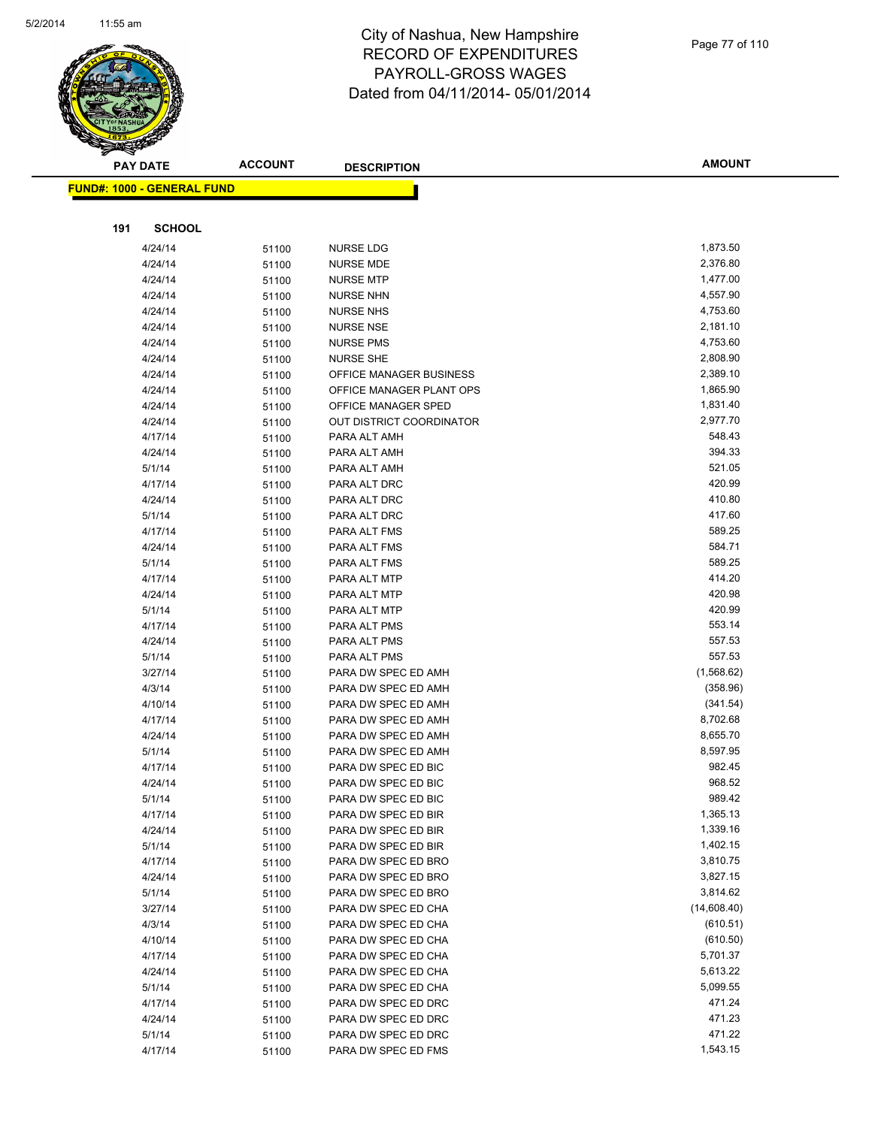

|     | <b>FUND#: 1000 - GENERAL FUND</b> |                |                                            |                      |
|-----|-----------------------------------|----------------|--------------------------------------------|----------------------|
|     |                                   |                |                                            |                      |
| 191 | <b>SCHOOL</b>                     |                |                                            |                      |
|     |                                   |                |                                            | 1,873.50             |
|     | 4/24/14<br>4/24/14                | 51100          | <b>NURSE LDG</b><br><b>NURSE MDE</b>       | 2,376.80             |
|     | 4/24/14                           | 51100          | <b>NURSE MTP</b>                           | 1,477.00             |
|     | 4/24/14                           | 51100<br>51100 | <b>NURSE NHN</b>                           | 4,557.90             |
|     | 4/24/14                           | 51100          | <b>NURSE NHS</b>                           | 4,753.60             |
|     | 4/24/14                           | 51100          | <b>NURSE NSE</b>                           | 2,181.10             |
|     | 4/24/14                           | 51100          | <b>NURSE PMS</b>                           | 4,753.60             |
|     | 4/24/14                           | 51100          | <b>NURSE SHE</b>                           | 2,808.90             |
|     | 4/24/14                           | 51100          | OFFICE MANAGER BUSINESS                    | 2,389.10             |
|     | 4/24/14                           | 51100          | OFFICE MANAGER PLANT OPS                   | 1,865.90             |
|     | 4/24/14                           | 51100          | OFFICE MANAGER SPED                        | 1,831.40             |
|     | 4/24/14                           | 51100          | OUT DISTRICT COORDINATOR                   | 2,977.70             |
|     | 4/17/14                           | 51100          | PARA ALT AMH                               | 548.43               |
|     | 4/24/14                           | 51100          | PARA ALT AMH                               | 394.33               |
|     | 5/1/14                            | 51100          | PARA ALT AMH                               | 521.05               |
|     | 4/17/14                           | 51100          | PARA ALT DRC                               | 420.99               |
|     | 4/24/14                           | 51100          | PARA ALT DRC                               | 410.80               |
|     | 5/1/14                            | 51100          | PARA ALT DRC                               | 417.60               |
|     | 4/17/14                           | 51100          | PARA ALT FMS                               | 589.25               |
|     | 4/24/14                           | 51100          | PARA ALT FMS                               | 584.71               |
|     | 5/1/14                            | 51100          | PARA ALT FMS                               | 589.25               |
|     | 4/17/14                           | 51100          | PARA ALT MTP                               | 414.20               |
|     | 4/24/14                           | 51100          | PARA ALT MTP                               | 420.98               |
|     | 5/1/14                            | 51100          | PARA ALT MTP                               | 420.99               |
|     | 4/17/14                           | 51100          | PARA ALT PMS                               | 553.14               |
|     | 4/24/14                           | 51100          | PARA ALT PMS                               | 557.53               |
|     | 5/1/14                            | 51100          | PARA ALT PMS                               | 557.53               |
|     | 3/27/14                           | 51100          | PARA DW SPEC ED AMH                        | (1,568.62)           |
|     | 4/3/14                            | 51100          | PARA DW SPEC ED AMH                        | (358.96)             |
|     | 4/10/14                           | 51100          | PARA DW SPEC ED AMH                        | (341.54)<br>8,702.68 |
|     | 4/17/14<br>4/24/14                | 51100          | PARA DW SPEC ED AMH<br>PARA DW SPEC ED AMH | 8,655.70             |
|     | 5/1/14                            | 51100<br>51100 | PARA DW SPEC ED AMH                        | 8,597.95             |
|     | 4/17/14                           | 51100          | PARA DW SPEC ED BIC                        | 982.45               |
|     | 4/24/14                           | 51100          | PARA DW SPEC ED BIC                        | 968.52               |
|     | 5/1/14                            | 51100          | PARA DW SPEC ED BIC                        | 989.42               |
|     | 4/17/14                           | 51100          | PARA DW SPEC ED BIR                        | 1,365.13             |
|     | 4/24/14                           | 51100          | PARA DW SPEC ED BIR                        | 1,339.16             |
|     | 5/1/14                            | 51100          | PARA DW SPEC ED BIR                        | 1,402.15             |
|     | 4/17/14                           | 51100          | PARA DW SPEC ED BRO                        | 3,810.75             |
|     | 4/24/14                           | 51100          | PARA DW SPEC ED BRO                        | 3,827.15             |
|     | 5/1/14                            | 51100          | PARA DW SPEC ED BRO                        | 3,814.62             |
|     | 3/27/14                           | 51100          | PARA DW SPEC ED CHA                        | (14,608.40)          |
|     | 4/3/14                            | 51100          | PARA DW SPEC ED CHA                        | (610.51)             |
|     | 4/10/14                           | 51100          | PARA DW SPEC ED CHA                        | (610.50)             |
|     | 4/17/14                           | 51100          | PARA DW SPEC ED CHA                        | 5,701.37             |
|     | 4/24/14                           | 51100          | PARA DW SPEC ED CHA                        | 5,613.22             |
|     | 5/1/14                            | 51100          | PARA DW SPEC ED CHA                        | 5,099.55             |
|     | 4/17/14                           | 51100          | PARA DW SPEC ED DRC                        | 471.24               |
|     | 4/24/14                           | 51100          | PARA DW SPEC ED DRC                        | 471.23               |
|     | 5/1/14                            | 51100          | PARA DW SPEC ED DRC                        | 471.22               |
|     | 4/17/14                           | 51100          | PARA DW SPEC ED FMS                        | 1,543.15             |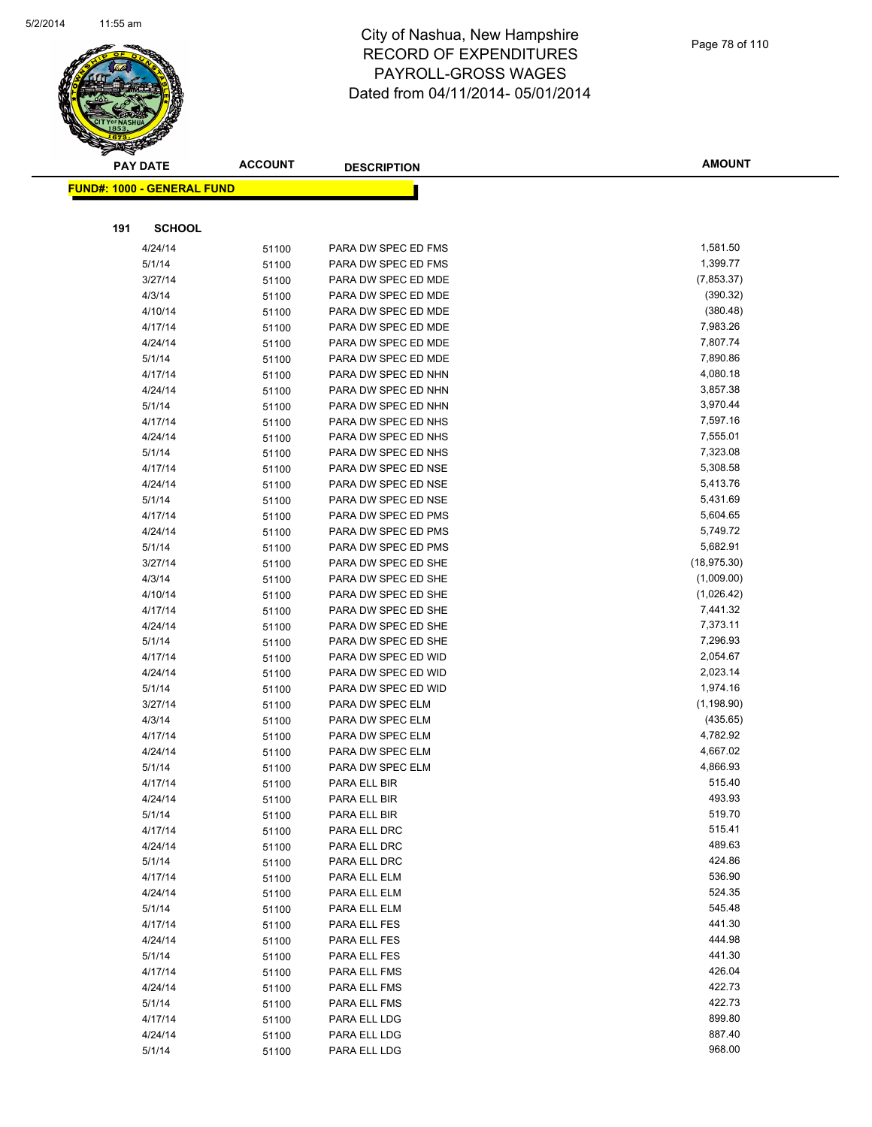

|     | <b>PAY DATE</b>                         | <b>ACCOUNT</b> | <b>DESCRIPTION</b>  | <b>AMOUNT</b> |
|-----|-----------------------------------------|----------------|---------------------|---------------|
|     | <mark>FUND#: 1000 - GENERAL FUND</mark> |                |                     |               |
|     |                                         |                |                     |               |
|     |                                         |                |                     |               |
| 191 | <b>SCHOOL</b>                           |                |                     |               |
|     | 4/24/14                                 | 51100          | PARA DW SPEC ED FMS | 1,581.50      |
|     | 5/1/14                                  | 51100          | PARA DW SPEC ED FMS | 1,399.77      |
|     | 3/27/14                                 | 51100          | PARA DW SPEC ED MDE | (7,853.37)    |
|     | 4/3/14                                  | 51100          | PARA DW SPEC ED MDE | (390.32)      |
|     | 4/10/14                                 | 51100          | PARA DW SPEC ED MDE | (380.48)      |
|     | 4/17/14                                 | 51100          | PARA DW SPEC ED MDE | 7,983.26      |
|     | 4/24/14                                 | 51100          | PARA DW SPEC ED MDE | 7,807.74      |
|     | 5/1/14                                  | 51100          | PARA DW SPEC ED MDE | 7,890.86      |
|     | 4/17/14                                 | 51100          | PARA DW SPEC ED NHN | 4,080.18      |
|     | 4/24/14                                 | 51100          | PARA DW SPEC ED NHN | 3,857.38      |
|     | 5/1/14                                  | 51100          | PARA DW SPEC ED NHN | 3,970.44      |
|     | 4/17/14                                 | 51100          | PARA DW SPEC ED NHS | 7,597.16      |
|     | 4/24/14                                 | 51100          | PARA DW SPEC ED NHS | 7,555.01      |
|     | 5/1/14                                  | 51100          | PARA DW SPEC ED NHS | 7,323.08      |
|     | 4/17/14                                 | 51100          | PARA DW SPEC ED NSE | 5,308.58      |
|     | 4/24/14                                 | 51100          | PARA DW SPEC ED NSE | 5,413.76      |
|     | 5/1/14                                  | 51100          | PARA DW SPEC ED NSE | 5,431.69      |
|     | 4/17/14                                 | 51100          | PARA DW SPEC ED PMS | 5,604.65      |
|     | 4/24/14                                 | 51100          | PARA DW SPEC ED PMS | 5,749.72      |
|     | 5/1/14                                  | 51100          | PARA DW SPEC ED PMS | 5,682.91      |
|     | 3/27/14                                 | 51100          | PARA DW SPEC ED SHE | (18, 975.30)  |
|     | 4/3/14                                  | 51100          | PARA DW SPEC ED SHE | (1,009.00)    |
|     | 4/10/14                                 | 51100          | PARA DW SPEC ED SHE | (1,026.42)    |
|     | 4/17/14                                 | 51100          | PARA DW SPEC ED SHE | 7,441.32      |
|     | 4/24/14                                 | 51100          | PARA DW SPEC ED SHE | 7,373.11      |
|     | 5/1/14                                  | 51100          | PARA DW SPEC ED SHE | 7,296.93      |
|     | 4/17/14                                 | 51100          | PARA DW SPEC ED WID | 2,054.67      |
|     | 4/24/14                                 | 51100          | PARA DW SPEC ED WID | 2,023.14      |
|     | 5/1/14                                  | 51100          | PARA DW SPEC ED WID | 1,974.16      |
|     | 3/27/14                                 | 51100          | PARA DW SPEC ELM    | (1, 198.90)   |
|     | 4/3/14                                  | 51100          | PARA DW SPEC ELM    | (435.65)      |
|     | 4/17/14                                 | 51100          | PARA DW SPEC ELM    | 4,782.92      |
|     | 4/24/14                                 | 51100          | PARA DW SPEC ELM    | 4,667.02      |
|     | 5/1/14                                  | 51100          | PARA DW SPEC ELM    | 4,866.93      |
|     | 4/17/14                                 | 51100          | PARA ELL BIR        | 515.40        |
|     | 4/24/14                                 | 51100          | PARA ELL BIR        | 493.93        |
|     | 5/1/14                                  | 51100          | PARA ELL BIR        | 519.70        |
|     | 4/17/14                                 | 51100          | PARA ELL DRC        | 515.41        |
|     | 4/24/14                                 | 51100          | PARA ELL DRC        | 489.63        |
|     | 5/1/14                                  | 51100          | PARA ELL DRC        | 424.86        |
|     | 4/17/14                                 | 51100          | PARA ELL ELM        | 536.90        |
|     | 4/24/14                                 | 51100          | PARA ELL ELM        | 524.35        |
|     | 5/1/14                                  | 51100          | PARA ELL ELM        | 545.48        |
|     | 4/17/14                                 | 51100          | PARA ELL FES        | 441.30        |
|     | 4/24/14                                 | 51100          | PARA ELL FES        | 444.98        |
|     | 5/1/14                                  | 51100          | PARA ELL FES        | 441.30        |
|     | 4/17/14                                 | 51100          | PARA ELL FMS        | 426.04        |
|     | 4/24/14                                 | 51100          | PARA ELL FMS        | 422.73        |
|     | 5/1/14                                  | 51100          | PARA ELL FMS        | 422.73        |
|     | 4/17/14                                 | 51100          | PARA ELL LDG        | 899.80        |
|     | 4/24/14                                 | 51100          | PARA ELL LDG        | 887.40        |
|     | 5/1/14                                  | 51100          | PARA ELL LDG        | 968.00        |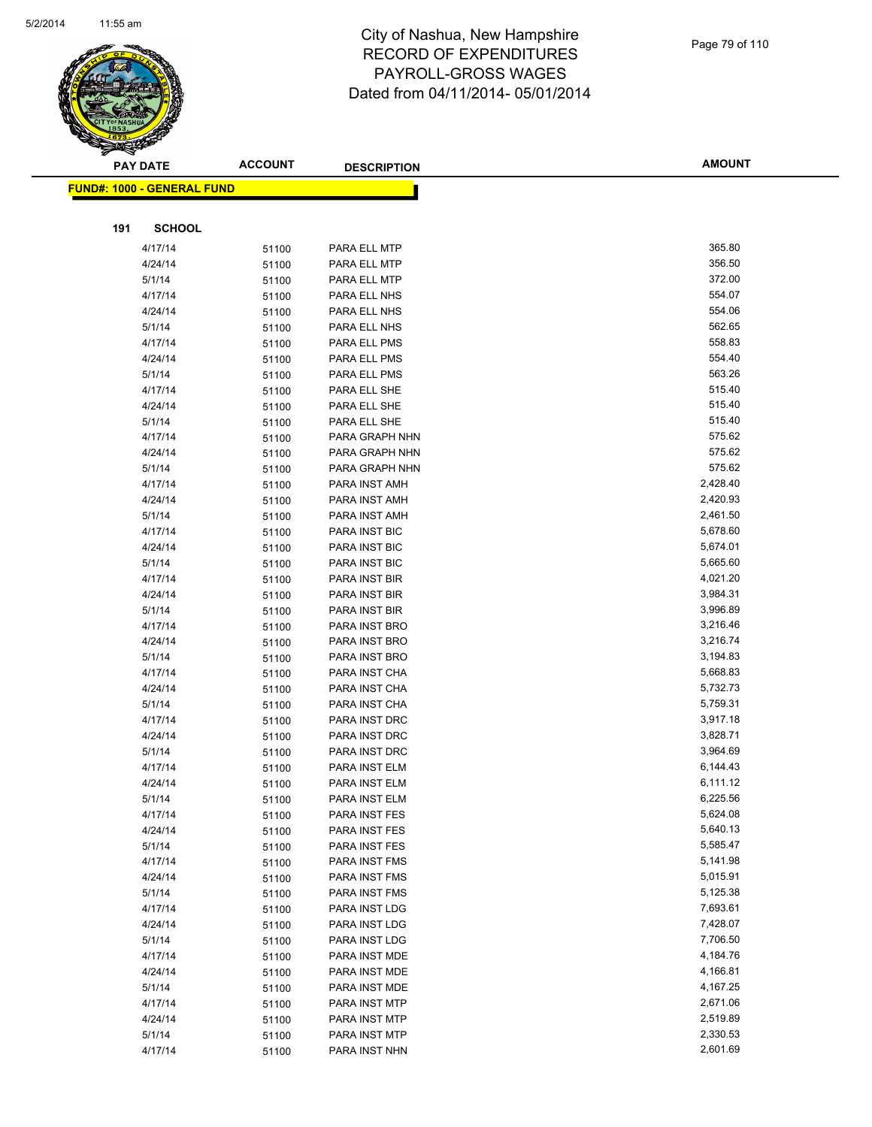

|     | <b>PAY DATE</b>                    | <b>ACCOUNT</b> | <b>DESCRIPTION</b> | <b>AMOUNT</b> |
|-----|------------------------------------|----------------|--------------------|---------------|
|     | <u> FUND#: 1000 - GENERAL FUND</u> |                |                    |               |
|     |                                    |                |                    |               |
| 191 | <b>SCHOOL</b>                      |                |                    |               |
|     | 4/17/14                            | 51100          | PARA ELL MTP       | 365.80        |
|     | 4/24/14                            | 51100          | PARA ELL MTP       | 356.50        |
|     | 5/1/14                             | 51100          | PARA ELL MTP       | 372.00        |
|     | 4/17/14                            | 51100          | PARA ELL NHS       | 554.07        |
|     | 4/24/14                            | 51100          | PARA ELL NHS       | 554.06        |
|     | 5/1/14                             | 51100          | PARA ELL NHS       | 562.65        |
|     | 4/17/14                            | 51100          | PARA ELL PMS       | 558.83        |
|     | 4/24/14                            | 51100          | PARA ELL PMS       | 554.40        |
|     | 5/1/14                             | 51100          | PARA ELL PMS       | 563.26        |
|     | 4/17/14                            | 51100          | PARA ELL SHE       | 515.40        |
|     | 4/24/14                            | 51100          | PARA ELL SHE       | 515.40        |
|     | 5/1/14                             | 51100          | PARA ELL SHE       | 515.40        |
|     | 4/17/14                            | 51100          | PARA GRAPH NHN     | 575.62        |
|     | 4/24/14                            | 51100          | PARA GRAPH NHN     | 575.62        |
|     | 5/1/14                             | 51100          | PARA GRAPH NHN     | 575.62        |
|     | 4/17/14                            | 51100          | PARA INST AMH      | 2,428.40      |
|     | 4/24/14                            | 51100          | PARA INST AMH      | 2,420.93      |
|     | 5/1/14                             | 51100          | PARA INST AMH      | 2,461.50      |
|     | 4/17/14                            | 51100          | PARA INST BIC      | 5,678.60      |
|     | 4/24/14                            | 51100          | PARA INST BIC      | 5,674.01      |
|     | 5/1/14                             | 51100          | PARA INST BIC      | 5,665.60      |
|     | 4/17/14                            | 51100          | PARA INST BIR      | 4,021.20      |
|     | 4/24/14                            | 51100          | PARA INST BIR      | 3,984.31      |
|     | 5/1/14                             | 51100          | PARA INST BIR      | 3,996.89      |
|     | 4/17/14                            | 51100          | PARA INST BRO      | 3,216.46      |
|     | 4/24/14                            | 51100          | PARA INST BRO      | 3,216.74      |
|     | 5/1/14                             | 51100          | PARA INST BRO      | 3,194.83      |
|     | 4/17/14                            | 51100          | PARA INST CHA      | 5,668.83      |
|     | 4/24/14                            | 51100          | PARA INST CHA      | 5,732.73      |
|     | 5/1/14                             | 51100          | PARA INST CHA      | 5,759.31      |
|     | 4/17/14                            | 51100          | PARA INST DRC      | 3,917.18      |
|     | 4/24/14                            | 51100          | PARA INST DRC      | 3,828.71      |
|     | 5/1/14                             | 51100          | PARA INST DRC      | 3,964.69      |
|     | 4/17/14                            | 51100          | PARA INST ELM      | 6,144.43      |
|     | 4/24/14                            | 51100          | PARA INST ELM      | 6,111.12      |
|     | 5/1/14                             | 51100          | PARA INST ELM      | 6,225.56      |
|     | 4/17/14                            | 51100          | PARA INST FES      | 5,624.08      |
|     | 4/24/14                            | 51100          | PARA INST FES      | 5,640.13      |
|     | 5/1/14                             | 51100          | PARA INST FES      | 5,585.47      |
|     | 4/17/14                            | 51100          | PARA INST FMS      | 5,141.98      |
|     | 4/24/14                            | 51100          | PARA INST FMS      | 5,015.91      |
|     | 5/1/14                             | 51100          | PARA INST FMS      | 5,125.38      |
|     | 4/17/14                            | 51100          | PARA INST LDG      | 7,693.61      |
|     | 4/24/14                            | 51100          | PARA INST LDG      | 7,428.07      |
|     | 5/1/14                             | 51100          | PARA INST LDG      | 7,706.50      |
|     | 4/17/14                            | 51100          | PARA INST MDE      | 4,184.76      |
|     | 4/24/14                            | 51100          | PARA INST MDE      | 4,166.81      |
|     | 5/1/14                             | 51100          | PARA INST MDE      | 4,167.25      |
|     | 4/17/14                            | 51100          | PARA INST MTP      | 2,671.06      |
|     | 4/24/14                            | 51100          | PARA INST MTP      | 2,519.89      |
|     | 5/1/14                             | 51100          | PARA INST MTP      | 2,330.53      |
|     | 4/17/14                            | 51100          | PARA INST NHN      | 2,601.69      |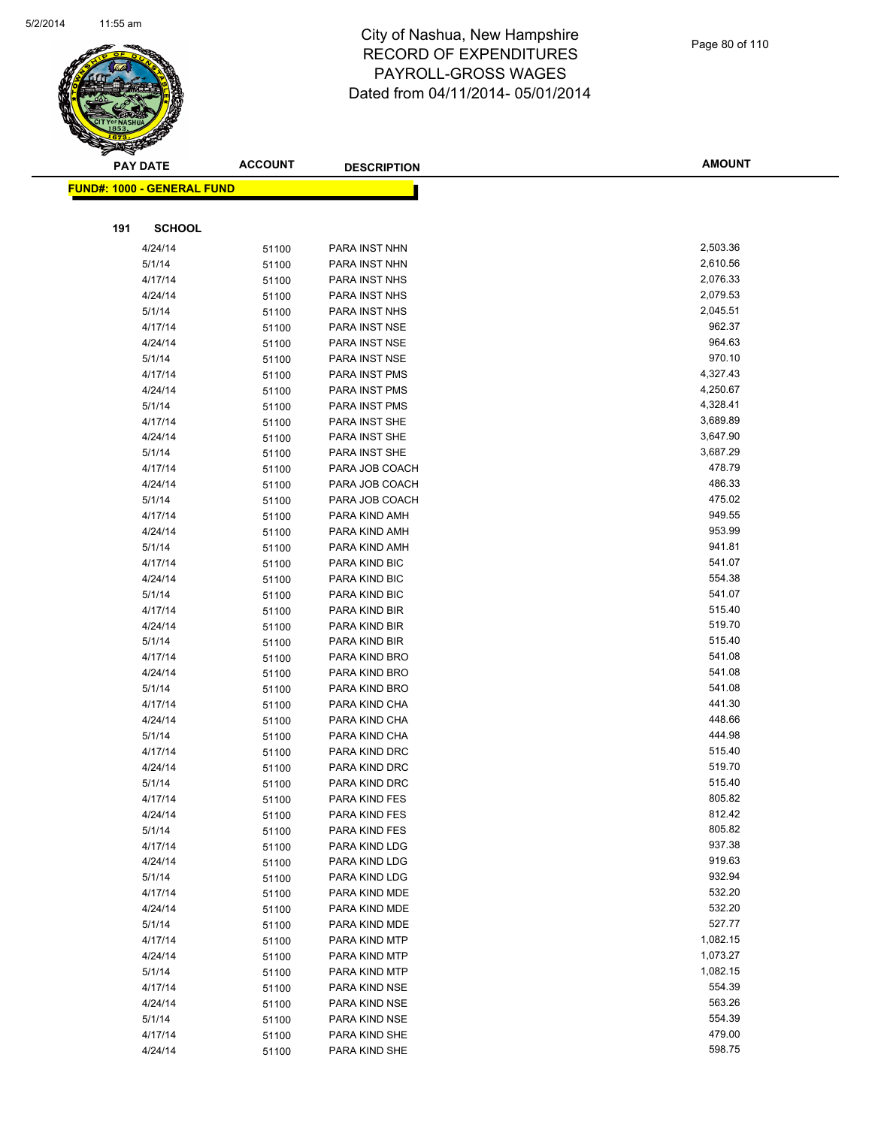

|     | <b>PAY DATE</b>                   | <b>ACCOUNT</b> | <b>DESCRIPTION</b>             | <b>AMOUNT</b>    |
|-----|-----------------------------------|----------------|--------------------------------|------------------|
|     | <b>FUND#: 1000 - GENERAL FUND</b> |                |                                |                  |
|     |                                   |                |                                |                  |
|     |                                   |                |                                |                  |
| 191 | <b>SCHOOL</b>                     |                |                                |                  |
|     | 4/24/14                           | 51100          | PARA INST NHN                  | 2,503.36         |
|     | 5/1/14                            | 51100          | PARA INST NHN                  | 2,610.56         |
|     | 4/17/14                           | 51100          | PARA INST NHS                  | 2,076.33         |
|     | 4/24/14                           | 51100          | PARA INST NHS                  | 2,079.53         |
|     | 5/1/14                            | 51100          | PARA INST NHS                  | 2,045.51         |
|     | 4/17/14                           | 51100          | PARA INST NSE                  | 962.37           |
|     | 4/24/14                           | 51100          | PARA INST NSE                  | 964.63           |
|     | 5/1/14                            | 51100          | PARA INST NSE                  | 970.10           |
|     | 4/17/14                           | 51100          | PARA INST PMS                  | 4,327.43         |
|     | 4/24/14                           | 51100          | PARA INST PMS                  | 4,250.67         |
|     | 5/1/14                            | 51100          | PARA INST PMS                  | 4,328.41         |
|     | 4/17/14                           | 51100          | PARA INST SHE                  | 3,689.89         |
|     | 4/24/14                           | 51100          | PARA INST SHE                  | 3,647.90         |
|     | 5/1/14                            | 51100          | PARA INST SHE                  | 3,687.29         |
|     | 4/17/14                           | 51100          | PARA JOB COACH                 | 478.79           |
|     | 4/24/14                           | 51100          | PARA JOB COACH                 | 486.33           |
|     | 5/1/14                            | 51100          | PARA JOB COACH                 | 475.02           |
|     | 4/17/14                           | 51100          | PARA KIND AMH                  | 949.55           |
|     | 4/24/14                           | 51100          | PARA KIND AMH                  | 953.99           |
|     | 5/1/14                            | 51100          | PARA KIND AMH                  | 941.81           |
|     | 4/17/14                           | 51100          | PARA KIND BIC                  | 541.07           |
|     | 4/24/14                           | 51100          | PARA KIND BIC                  | 554.38           |
|     | 5/1/14                            | 51100          | PARA KIND BIC                  | 541.07           |
|     | 4/17/14                           | 51100          | PARA KIND BIR                  | 515.40<br>519.70 |
|     | 4/24/14                           | 51100          | PARA KIND BIR                  | 515.40           |
|     | 5/1/14                            | 51100          | PARA KIND BIR                  | 541.08           |
|     | 4/17/14                           | 51100          | PARA KIND BRO                  | 541.08           |
|     | 4/24/14                           | 51100          | PARA KIND BRO                  | 541.08           |
|     | 5/1/14<br>4/17/14                 | 51100          | PARA KIND BRO                  | 441.30           |
|     |                                   | 51100          | PARA KIND CHA                  | 448.66           |
|     | 4/24/14<br>5/1/14                 | 51100          | PARA KIND CHA<br>PARA KIND CHA | 444.98           |
|     | 4/17/14                           | 51100          | PARA KIND DRC                  | 515.40           |
|     | 4/24/14                           | 51100          | PARA KIND DRC                  | 519.70           |
|     | 5/1/14                            | 51100<br>51100 | PARA KIND DRC                  | 515.40           |
|     | 4/17/14                           |                | PARA KIND FES                  | 805.82           |
|     | 4/24/14                           | 51100<br>51100 | PARA KIND FES                  | 812.42           |
|     | 5/1/14                            | 51100          | PARA KIND FES                  | 805.82           |
|     | 4/17/14                           | 51100          | PARA KIND LDG                  | 937.38           |
|     | 4/24/14                           | 51100          | PARA KIND LDG                  | 919.63           |
|     | 5/1/14                            | 51100          | PARA KIND LDG                  | 932.94           |
|     | 4/17/14                           | 51100          | PARA KIND MDE                  | 532.20           |
|     | 4/24/14                           | 51100          | PARA KIND MDE                  | 532.20           |
|     | 5/1/14                            | 51100          | PARA KIND MDE                  | 527.77           |
|     | 4/17/14                           | 51100          | PARA KIND MTP                  | 1,082.15         |
|     | 4/24/14                           | 51100          | PARA KIND MTP                  | 1,073.27         |
|     | 5/1/14                            | 51100          | PARA KIND MTP                  | 1,082.15         |
|     | 4/17/14                           | 51100          | PARA KIND NSE                  | 554.39           |
|     | 4/24/14                           | 51100          | PARA KIND NSE                  | 563.26           |
|     | 5/1/14                            | 51100          | PARA KIND NSE                  | 554.39           |
|     | 4/17/14                           | 51100          | PARA KIND SHE                  | 479.00           |
|     | 4/24/14                           | 51100          | PARA KIND SHE                  | 598.75           |
|     |                                   |                |                                |                  |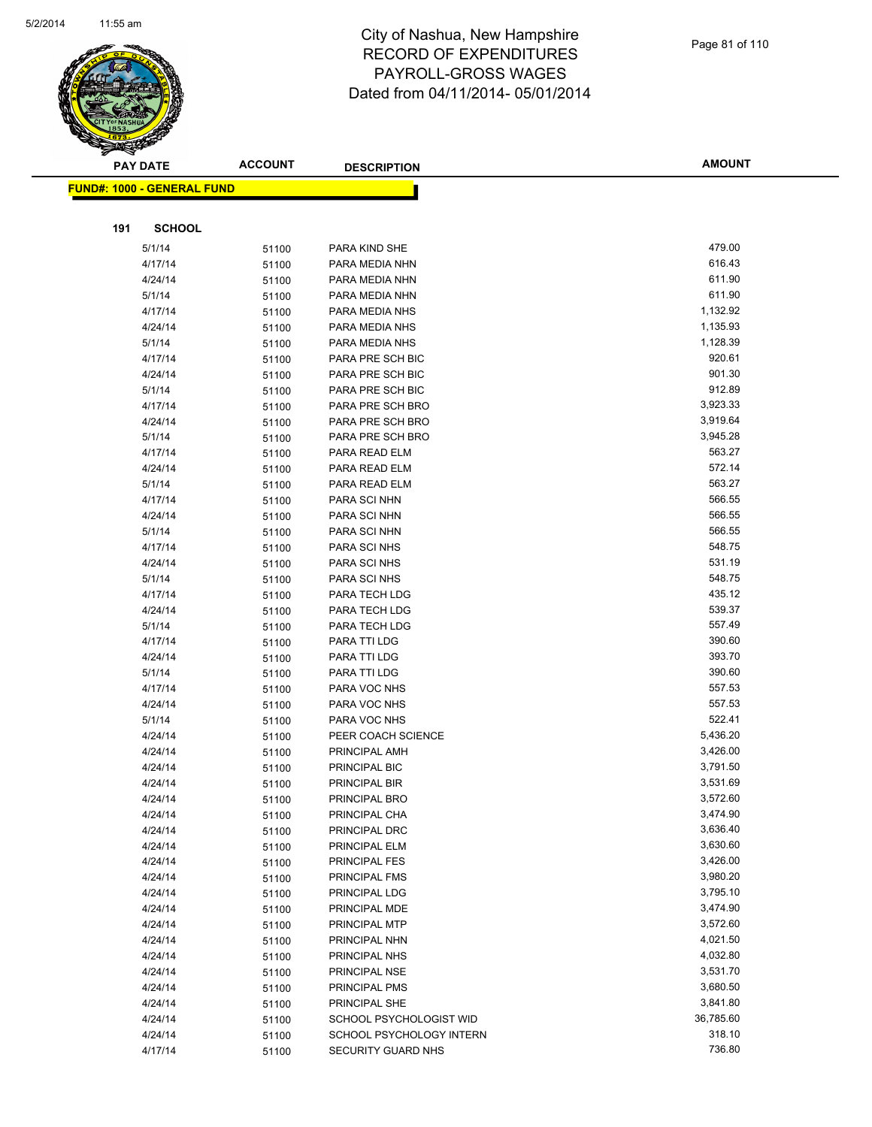

|     | <b>PAY DATE</b>                    | <b>ACCOUNT</b> | <b>DESCRIPTION</b>                   | <b>AMOUNT</b>        |
|-----|------------------------------------|----------------|--------------------------------------|----------------------|
|     | <u> FUND#: 1000 - GENERAL FUND</u> |                |                                      |                      |
|     |                                    |                |                                      |                      |
|     |                                    |                |                                      |                      |
| 191 | <b>SCHOOL</b>                      |                |                                      |                      |
|     | 5/1/14                             | 51100          | PARA KIND SHE                        | 479.00               |
|     | 4/17/14                            | 51100          | PARA MEDIA NHN                       | 616.43               |
|     | 4/24/14                            | 51100          | PARA MEDIA NHN                       | 611.90               |
|     | 5/1/14                             | 51100          | PARA MEDIA NHN                       | 611.90               |
|     | 4/17/14                            | 51100          | PARA MEDIA NHS                       | 1,132.92             |
|     | 4/24/14                            | 51100          | PARA MEDIA NHS                       | 1,135.93             |
|     | 5/1/14                             | 51100          | PARA MEDIA NHS                       | 1,128.39             |
|     | 4/17/14                            | 51100          | PARA PRE SCH BIC                     | 920.61               |
|     | 4/24/14                            | 51100          | PARA PRE SCH BIC                     | 901.30               |
|     | 5/1/14                             | 51100          | PARA PRE SCH BIC                     | 912.89               |
|     | 4/17/14                            | 51100          | PARA PRE SCH BRO                     | 3,923.33<br>3,919.64 |
|     | 4/24/14<br>5/1/14                  | 51100          | PARA PRE SCH BRO<br>PARA PRE SCH BRO | 3,945.28             |
|     | 4/17/14                            | 51100          | PARA READ ELM                        | 563.27               |
|     | 4/24/14                            | 51100          | PARA READ ELM                        | 572.14               |
|     | 5/1/14                             | 51100          | PARA READ ELM                        | 563.27               |
|     | 4/17/14                            | 51100          | PARA SCI NHN                         | 566.55               |
|     | 4/24/14                            | 51100<br>51100 | PARA SCI NHN                         | 566.55               |
|     | 5/1/14                             | 51100          | PARA SCI NHN                         | 566.55               |
|     | 4/17/14                            | 51100          | PARA SCI NHS                         | 548.75               |
|     | 4/24/14                            | 51100          | PARA SCI NHS                         | 531.19               |
|     | 5/1/14                             | 51100          | PARA SCI NHS                         | 548.75               |
|     | 4/17/14                            | 51100          | PARA TECH LDG                        | 435.12               |
|     | 4/24/14                            | 51100          | PARA TECH LDG                        | 539.37               |
|     | 5/1/14                             | 51100          | PARA TECH LDG                        | 557.49               |
|     | 4/17/14                            | 51100          | PARA TTI LDG                         | 390.60               |
|     | 4/24/14                            | 51100          | PARA TTI LDG                         | 393.70               |
|     | 5/1/14                             | 51100          | PARA TTI LDG                         | 390.60               |
|     | 4/17/14                            | 51100          | PARA VOC NHS                         | 557.53               |
|     | 4/24/14                            | 51100          | PARA VOC NHS                         | 557.53               |
|     | 5/1/14                             | 51100          | PARA VOC NHS                         | 522.41               |
|     | 4/24/14                            | 51100          | PEER COACH SCIENCE                   | 5,436.20             |
|     | 4/24/14                            | 51100          | PRINCIPAL AMH                        | 3,426.00             |
|     | 4/24/14                            | 51100          | PRINCIPAL BIC                        | 3,791.50             |
|     | 4/24/14                            | 51100          | PRINCIPAL BIR                        | 3,531.69             |
|     | 4/24/14                            | 51100          | PRINCIPAL BRO                        | 3,572.60             |
|     | 4/24/14                            | 51100          | PRINCIPAL CHA                        | 3,474.90             |
|     | 4/24/14                            | 51100          | PRINCIPAL DRC                        | 3,636.40             |
|     | 4/24/14                            | 51100          | PRINCIPAL ELM                        | 3,630.60             |
|     | 4/24/14                            | 51100          | <b>PRINCIPAL FES</b>                 | 3,426.00             |
|     | 4/24/14                            | 51100          | <b>PRINCIPAL FMS</b>                 | 3,980.20             |
|     | 4/24/14                            | 51100          | PRINCIPAL LDG                        | 3,795.10             |
|     | 4/24/14                            | 51100          | PRINCIPAL MDE                        | 3,474.90             |
|     | 4/24/14                            | 51100          | PRINCIPAL MTP                        | 3,572.60             |
|     | 4/24/14                            | 51100          | PRINCIPAL NHN                        | 4,021.50             |
|     | 4/24/14                            | 51100          | PRINCIPAL NHS                        | 4,032.80             |
|     | 4/24/14                            | 51100          | PRINCIPAL NSE                        | 3,531.70             |
|     | 4/24/14                            | 51100          | PRINCIPAL PMS                        | 3,680.50             |
|     | 4/24/14                            | 51100          | PRINCIPAL SHE                        | 3,841.80             |
|     | 4/24/14                            | 51100          | SCHOOL PSYCHOLOGIST WID              | 36,785.60            |
|     | 4/24/14                            | 51100          | SCHOOL PSYCHOLOGY INTERN             | 318.10               |
|     | 4/17/14                            | 51100          | SECURITY GUARD NHS                   | 736.80               |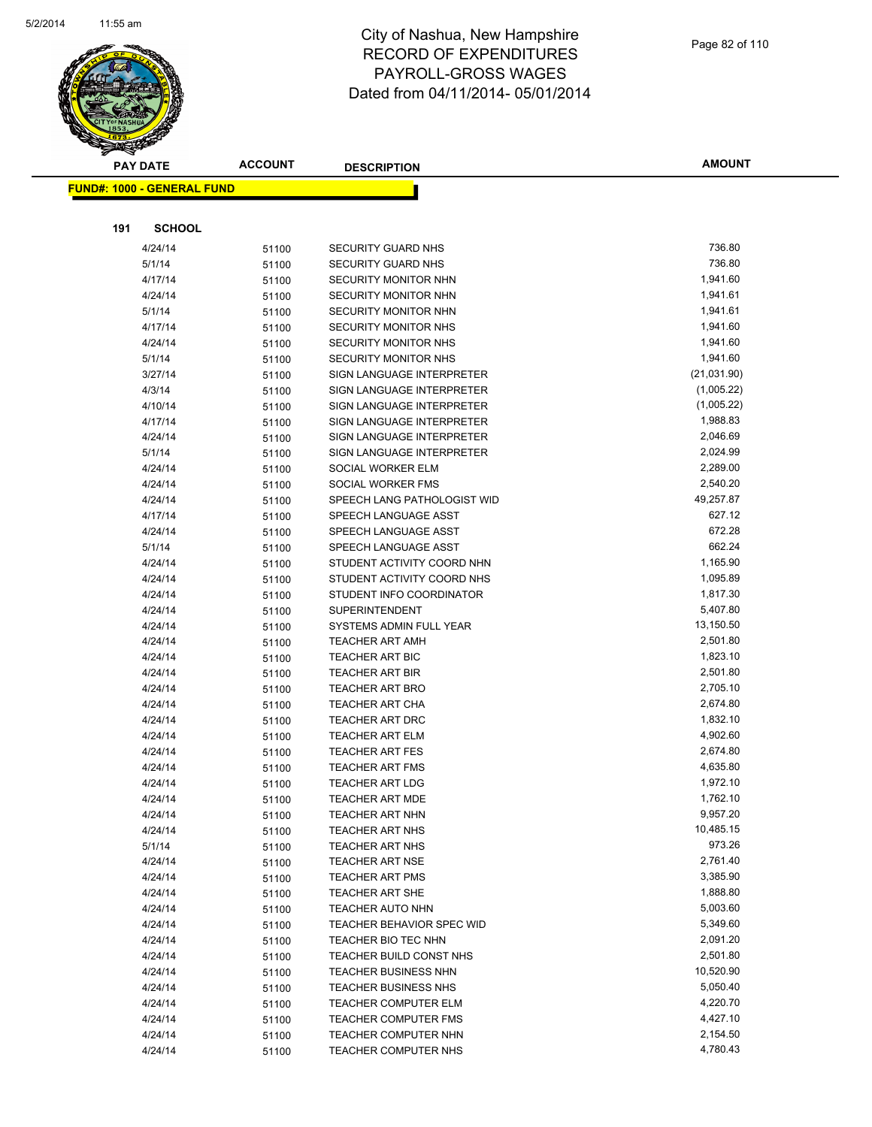

|     | <u> FUND#: 1000 - GENERAL FUND</u> |       |                                  |             |
|-----|------------------------------------|-------|----------------------------------|-------------|
|     |                                    |       |                                  |             |
| 191 | <b>SCHOOL</b>                      |       |                                  |             |
|     | 4/24/14                            | 51100 | <b>SECURITY GUARD NHS</b>        | 736.80      |
|     | 5/1/14                             | 51100 | <b>SECURITY GUARD NHS</b>        | 736.80      |
|     | 4/17/14                            | 51100 | <b>SECURITY MONITOR NHN</b>      | 1,941.60    |
|     | 4/24/14                            | 51100 | SECURITY MONITOR NHN             | 1,941.61    |
|     | 5/1/14                             | 51100 | SECURITY MONITOR NHN             | 1,941.61    |
|     | 4/17/14                            | 51100 | <b>SECURITY MONITOR NHS</b>      | 1,941.60    |
|     | 4/24/14                            | 51100 | <b>SECURITY MONITOR NHS</b>      | 1,941.60    |
|     | 5/1/14                             | 51100 | SECURITY MONITOR NHS             | 1,941.60    |
|     | 3/27/14                            | 51100 | <b>SIGN LANGUAGE INTERPRETER</b> | (21,031.90) |
|     | 4/3/14                             | 51100 | SIGN LANGUAGE INTERPRETER        | (1,005.22)  |
|     | 4/10/14                            | 51100 | SIGN LANGUAGE INTERPRETER        | (1,005.22)  |
|     | 4/17/14                            | 51100 | SIGN LANGUAGE INTERPRETER        | 1,988.83    |
|     | 4/24/14                            | 51100 | SIGN LANGUAGE INTERPRETER        | 2,046.69    |
|     | 5/1/14                             | 51100 | SIGN LANGUAGE INTERPRETER        | 2,024.99    |
|     | 4/24/14                            | 51100 | SOCIAL WORKER ELM                | 2,289.00    |
|     | 4/24/14                            | 51100 | SOCIAL WORKER FMS                | 2,540.20    |
|     | 4/24/14                            | 51100 | SPEECH LANG PATHOLOGIST WID      | 49,257.87   |
|     | 4/17/14                            | 51100 | SPEECH LANGUAGE ASST             | 627.12      |
|     | 4/24/14                            | 51100 | SPEECH LANGUAGE ASST             | 672.28      |
|     | 5/1/14                             | 51100 | SPEECH LANGUAGE ASST             | 662.24      |
|     | 4/24/14                            | 51100 | STUDENT ACTIVITY COORD NHN       | 1,165.90    |
|     | 4/24/14                            | 51100 | STUDENT ACTIVITY COORD NHS       | 1,095.89    |
|     | 4/24/14                            | 51100 | STUDENT INFO COORDINATOR         | 1,817.30    |
|     | 4/24/14                            | 51100 | <b>SUPERINTENDENT</b>            | 5,407.80    |
|     | 4/24/14                            | 51100 | SYSTEMS ADMIN FULL YEAR          | 13,150.50   |
|     | 4/24/14                            | 51100 | <b>TEACHER ART AMH</b>           | 2,501.80    |
|     | 4/24/14                            | 51100 | <b>TEACHER ART BIC</b>           | 1,823.10    |
|     | 4/24/14                            | 51100 | <b>TEACHER ART BIR</b>           | 2,501.80    |
|     | 4/24/14                            | 51100 | <b>TEACHER ART BRO</b>           | 2,705.10    |
|     | 4/24/14                            | 51100 | <b>TEACHER ART CHA</b>           | 2,674.80    |
|     | 4/24/14                            | 51100 | <b>TEACHER ART DRC</b>           | 1,832.10    |
|     | 4/24/14                            | 51100 | <b>TEACHER ART ELM</b>           | 4,902.60    |
|     | 4/24/14                            | 51100 | <b>TEACHER ART FES</b>           | 2,674.80    |
|     | 4/24/14                            | 51100 | <b>TEACHER ART FMS</b>           | 4,635.80    |
|     | 4/24/14                            | 51100 | <b>TEACHER ART LDG</b>           | 1,972.10    |
|     | 4/24/14                            | 51100 | <b>TEACHER ART MDE</b>           | 1,762.10    |
|     | 4/24/14                            | 51100 | <b>TEACHER ART NHN</b>           | 9,957.20    |
|     | 4/24/14                            | 51100 | <b>TEACHER ART NHS</b>           | 10,485.15   |
|     | 5/1/14                             | 51100 | <b>TEACHER ART NHS</b>           | 973.26      |
|     | 4/24/14                            | 51100 | <b>TEACHER ART NSE</b>           | 2,761.40    |
|     | 4/24/14                            | 51100 | <b>TEACHER ART PMS</b>           | 3,385.90    |
|     | 4/24/14                            | 51100 | <b>TEACHER ART SHE</b>           | 1,888.80    |
|     | 4/24/14                            | 51100 | TEACHER AUTO NHN                 | 5,003.60    |
|     | 4/24/14                            | 51100 | TEACHER BEHAVIOR SPEC WID        | 5,349.60    |
|     | 4/24/14                            | 51100 | TEACHER BIO TEC NHN              | 2,091.20    |
|     | 4/24/14                            | 51100 | TEACHER BUILD CONST NHS          | 2,501.80    |
|     | 4/24/14                            | 51100 | <b>TEACHER BUSINESS NHN</b>      | 10,520.90   |
|     | 4/24/14                            | 51100 | TEACHER BUSINESS NHS             | 5,050.40    |
|     | 4/24/14                            | 51100 | <b>TEACHER COMPUTER ELM</b>      | 4,220.70    |
|     | 4/24/14                            | 51100 | <b>TEACHER COMPUTER FMS</b>      | 4,427.10    |
|     | 4/24/14                            | 51100 | TEACHER COMPUTER NHN             | 2,154.50    |
|     | 4/24/14                            | 51100 | TEACHER COMPUTER NHS             | 4,780.43    |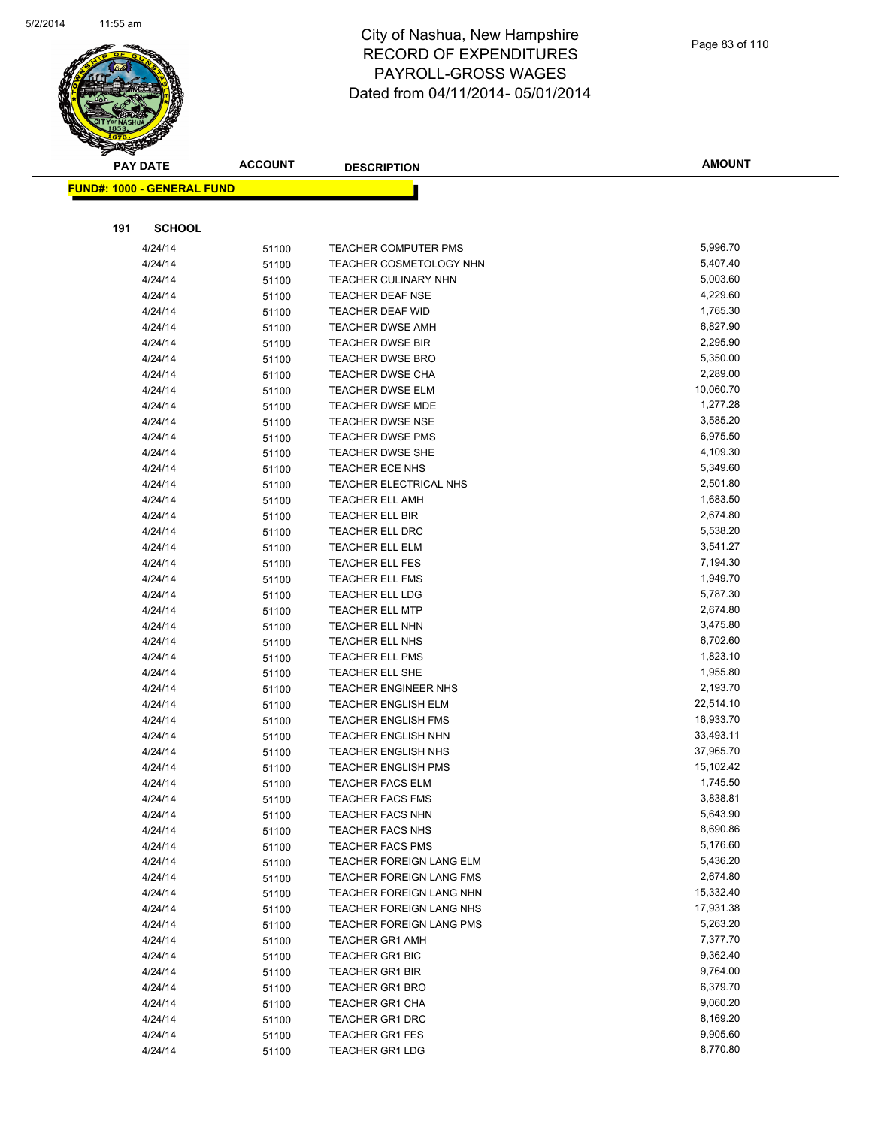

|     | <b>PAY DATE</b>                   | <b>ACCOUNT</b> | <b>DESCRIPTION</b>                        | <b>AMOUNT</b>        |
|-----|-----------------------------------|----------------|-------------------------------------------|----------------------|
|     | <b>FUND#: 1000 - GENERAL FUND</b> |                |                                           |                      |
|     |                                   |                |                                           |                      |
|     |                                   |                |                                           |                      |
| 191 | <b>SCHOOL</b>                     |                |                                           |                      |
|     | 4/24/14                           | 51100          | TEACHER COMPUTER PMS                      | 5,996.70             |
|     | 4/24/14                           | 51100          | <b>TEACHER COSMETOLOGY NHN</b>            | 5,407.40             |
|     | 4/24/14                           | 51100          | <b>TEACHER CULINARY NHN</b>               | 5,003.60             |
|     | 4/24/14                           | 51100          | <b>TEACHER DEAF NSE</b>                   | 4,229.60             |
|     | 4/24/14                           | 51100          | TEACHER DEAF WID                          | 1,765.30             |
|     | 4/24/14                           | 51100          | <b>TEACHER DWSE AMH</b>                   | 6,827.90             |
|     | 4/24/14                           | 51100          | <b>TEACHER DWSE BIR</b>                   | 2,295.90             |
|     | 4/24/14                           | 51100          | <b>TEACHER DWSE BRO</b>                   | 5,350.00             |
|     | 4/24/14                           | 51100          | <b>TEACHER DWSE CHA</b>                   | 2,289.00             |
|     | 4/24/14                           | 51100          | <b>TEACHER DWSE ELM</b>                   | 10,060.70            |
|     | 4/24/14                           | 51100          | <b>TEACHER DWSE MDE</b>                   | 1,277.28             |
|     | 4/24/14                           | 51100          | <b>TEACHER DWSE NSE</b>                   | 3,585.20             |
|     | 4/24/14                           | 51100          | <b>TEACHER DWSE PMS</b>                   | 6,975.50             |
|     | 4/24/14                           | 51100          | <b>TEACHER DWSE SHE</b>                   | 4,109.30             |
|     | 4/24/14                           | 51100          | <b>TEACHER ECE NHS</b>                    | 5,349.60             |
|     | 4/24/14                           | 51100          | TEACHER ELECTRICAL NHS                    | 2,501.80             |
|     | 4/24/14                           | 51100          | <b>TEACHER ELL AMH</b>                    | 1,683.50             |
|     | 4/24/14                           | 51100          | TEACHER ELL BIR                           | 2,674.80             |
|     | 4/24/14                           | 51100          | TEACHER ELL DRC                           | 5,538.20             |
|     | 4/24/14                           | 51100          | <b>TEACHER ELL ELM</b>                    | 3,541.27             |
|     | 4/24/14                           | 51100          | <b>TEACHER ELL FES</b>                    | 7,194.30             |
|     | 4/24/14                           | 51100          | <b>TEACHER ELL FMS</b>                    | 1,949.70             |
|     | 4/24/14                           | 51100          | <b>TEACHER ELL LDG</b>                    | 5,787.30             |
|     | 4/24/14                           | 51100          | <b>TEACHER ELL MTP</b>                    | 2,674.80<br>3,475.80 |
|     | 4/24/14<br>4/24/14                | 51100          | TEACHER ELL NHN                           | 6,702.60             |
|     |                                   | 51100          | TEACHER ELL NHS                           | 1,823.10             |
|     | 4/24/14<br>4/24/14                | 51100          | <b>TEACHER ELL PMS</b><br>TEACHER ELL SHE | 1,955.80             |
|     | 4/24/14                           | 51100          | <b>TEACHER ENGINEER NHS</b>               | 2,193.70             |
|     | 4/24/14                           | 51100          | <b>TEACHER ENGLISH ELM</b>                | 22,514.10            |
|     | 4/24/14                           | 51100<br>51100 | <b>TEACHER ENGLISH FMS</b>                | 16,933.70            |
|     | 4/24/14                           |                | <b>TEACHER ENGLISH NHN</b>                | 33,493.11            |
|     | 4/24/14                           | 51100<br>51100 | <b>TEACHER ENGLISH NHS</b>                | 37,965.70            |
|     | 4/24/14                           | 51100          | <b>TEACHER ENGLISH PMS</b>                | 15,102.42            |
|     | 4/24/14                           | 51100          | <b>TEACHER FACS ELM</b>                   | 1,745.50             |
|     | 4/24/14                           | 51100          | TEACHER FACS FMS                          | 3,838.81             |
|     | 4/24/14                           | 51100          | <b>TEACHER FACS NHN</b>                   | 5,643.90             |
|     | 4/24/14                           | 51100          | <b>TEACHER FACS NHS</b>                   | 8,690.86             |
|     | 4/24/14                           | 51100          | <b>TEACHER FACS PMS</b>                   | 5,176.60             |
|     | 4/24/14                           | 51100          | TEACHER FOREIGN LANG ELM                  | 5,436.20             |
|     | 4/24/14                           | 51100          | <b>TEACHER FOREIGN LANG FMS</b>           | 2,674.80             |
|     | 4/24/14                           | 51100          | TEACHER FOREIGN LANG NHN                  | 15,332.40            |
|     | 4/24/14                           | 51100          | TEACHER FOREIGN LANG NHS                  | 17,931.38            |
|     | 4/24/14                           | 51100          | TEACHER FOREIGN LANG PMS                  | 5,263.20             |
|     | 4/24/14                           | 51100          | <b>TEACHER GR1 AMH</b>                    | 7,377.70             |
|     | 4/24/14                           | 51100          | <b>TEACHER GR1 BIC</b>                    | 9,362.40             |
|     | 4/24/14                           | 51100          | <b>TEACHER GR1 BIR</b>                    | 9,764.00             |
|     | 4/24/14                           | 51100          | <b>TEACHER GR1 BRO</b>                    | 6,379.70             |
|     | 4/24/14                           | 51100          | <b>TEACHER GR1 CHA</b>                    | 9,060.20             |
|     | 4/24/14                           | 51100          | <b>TEACHER GR1 DRC</b>                    | 8,169.20             |
|     | 4/24/14                           | 51100          | <b>TEACHER GR1 FES</b>                    | 9,905.60             |
|     | 4/24/14                           | 51100          | <b>TEACHER GR1 LDG</b>                    | 8,770.80             |
|     |                                   |                |                                           |                      |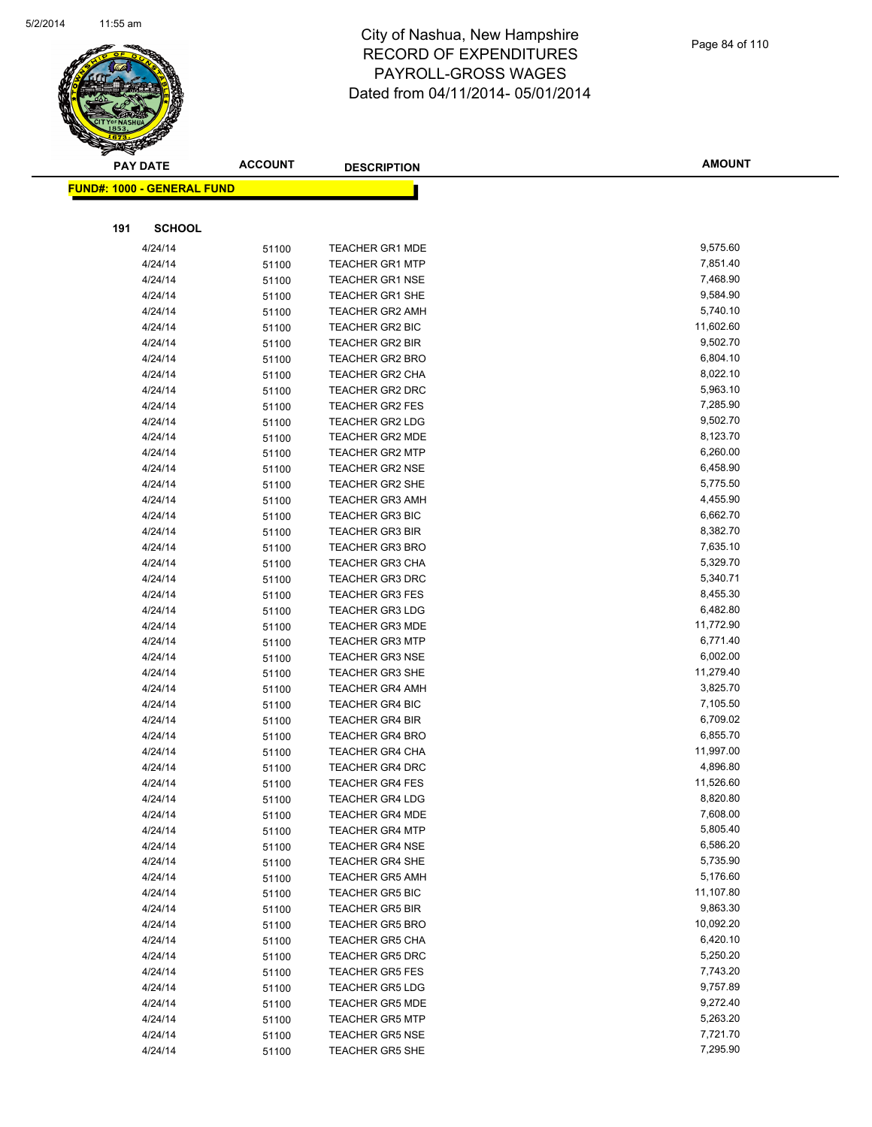

|     | <b>PAY DATE</b>                    | <b>ACCOUNT</b> | <b>DESCRIPTION</b>                               | <b>AMOUNT</b>        |
|-----|------------------------------------|----------------|--------------------------------------------------|----------------------|
|     | <u> FUND#: 1000 - GENERAL FUND</u> |                |                                                  |                      |
|     |                                    |                |                                                  |                      |
|     |                                    |                |                                                  |                      |
| 191 | <b>SCHOOL</b>                      |                |                                                  |                      |
|     | 4/24/14                            | 51100          | <b>TEACHER GR1 MDE</b>                           | 9,575.60             |
|     | 4/24/14                            | 51100          | <b>TEACHER GR1 MTP</b>                           | 7,851.40             |
|     | 4/24/14                            | 51100          | <b>TEACHER GR1 NSE</b>                           | 7,468.90             |
|     | 4/24/14                            | 51100          | <b>TEACHER GR1 SHE</b>                           | 9,584.90             |
|     | 4/24/14                            | 51100          | <b>TEACHER GR2 AMH</b>                           | 5,740.10             |
|     | 4/24/14                            | 51100          | <b>TEACHER GR2 BIC</b>                           | 11,602.60            |
|     | 4/24/14                            | 51100          | <b>TEACHER GR2 BIR</b>                           | 9,502.70             |
|     | 4/24/14                            | 51100          | <b>TEACHER GR2 BRO</b>                           | 6,804.10             |
|     | 4/24/14                            | 51100          | <b>TEACHER GR2 CHA</b>                           | 8,022.10             |
|     | 4/24/14                            | 51100          | <b>TEACHER GR2 DRC</b>                           | 5,963.10             |
|     | 4/24/14                            | 51100          | <b>TEACHER GR2 FES</b>                           | 7,285.90             |
|     | 4/24/14                            | 51100          | <b>TEACHER GR2 LDG</b>                           | 9,502.70             |
|     | 4/24/14                            | 51100          | <b>TEACHER GR2 MDE</b>                           | 8,123.70             |
|     | 4/24/14                            | 51100          | TEACHER GR2 MTP                                  | 6,260.00             |
|     | 4/24/14                            | 51100          | <b>TEACHER GR2 NSE</b>                           | 6,458.90             |
|     | 4/24/14                            | 51100          | TEACHER GR2 SHE                                  | 5,775.50             |
|     | 4/24/14                            | 51100          | <b>TEACHER GR3 AMH</b>                           | 4,455.90             |
|     | 4/24/14                            | 51100          | <b>TEACHER GR3 BIC</b>                           | 6,662.70             |
|     | 4/24/14                            | 51100          | <b>TEACHER GR3 BIR</b>                           | 8,382.70             |
|     | 4/24/14                            | 51100          | <b>TEACHER GR3 BRO</b>                           | 7,635.10             |
|     | 4/24/14                            | 51100          | <b>TEACHER GR3 CHA</b>                           | 5,329.70<br>5,340.71 |
|     | 4/24/14                            | 51100          | <b>TEACHER GR3 DRC</b>                           | 8,455.30             |
|     | 4/24/14<br>4/24/14                 | 51100          | <b>TEACHER GR3 FES</b><br><b>TEACHER GR3 LDG</b> | 6,482.80             |
|     | 4/24/14                            | 51100          | <b>TEACHER GR3 MDE</b>                           | 11,772.90            |
|     | 4/24/14                            | 51100          | <b>TEACHER GR3 MTP</b>                           | 6,771.40             |
|     | 4/24/14                            | 51100          | <b>TEACHER GR3 NSE</b>                           | 6,002.00             |
|     | 4/24/14                            | 51100          | <b>TEACHER GR3 SHE</b>                           | 11,279.40            |
|     | 4/24/14                            | 51100          | <b>TEACHER GR4 AMH</b>                           | 3,825.70             |
|     | 4/24/14                            | 51100<br>51100 | <b>TEACHER GR4 BIC</b>                           | 7,105.50             |
|     | 4/24/14                            | 51100          | <b>TEACHER GR4 BIR</b>                           | 6,709.02             |
|     | 4/24/14                            | 51100          | <b>TEACHER GR4 BRO</b>                           | 6,855.70             |
|     | 4/24/14                            | 51100          | <b>TEACHER GR4 CHA</b>                           | 11,997.00            |
|     | 4/24/14                            | 51100          | <b>TEACHER GR4 DRC</b>                           | 4,896.80             |
|     | 4/24/14                            | 51100          | <b>TEACHER GR4 FES</b>                           | 11,526.60            |
|     | 4/24/14                            | 51100          | TEACHER GR4 LDG                                  | 8,820.80             |
|     | 4/24/14                            | 51100          | <b>TEACHER GR4 MDE</b>                           | 7,608.00             |
|     | 4/24/14                            | 51100          | <b>TEACHER GR4 MTP</b>                           | 5,805.40             |
|     | 4/24/14                            | 51100          | <b>TEACHER GR4 NSE</b>                           | 6,586.20             |
|     | 4/24/14                            | 51100          | <b>TEACHER GR4 SHE</b>                           | 5,735.90             |
|     | 4/24/14                            | 51100          | <b>TEACHER GR5 AMH</b>                           | 5,176.60             |
|     | 4/24/14                            | 51100          | <b>TEACHER GR5 BIC</b>                           | 11,107.80            |
|     | 4/24/14                            | 51100          | <b>TEACHER GR5 BIR</b>                           | 9,863.30             |
|     | 4/24/14                            | 51100          | <b>TEACHER GR5 BRO</b>                           | 10,092.20            |
|     | 4/24/14                            | 51100          | <b>TEACHER GR5 CHA</b>                           | 6,420.10             |
|     | 4/24/14                            | 51100          | <b>TEACHER GR5 DRC</b>                           | 5,250.20             |
|     | 4/24/14                            | 51100          | <b>TEACHER GR5 FES</b>                           | 7,743.20             |
|     | 4/24/14                            | 51100          | <b>TEACHER GR5 LDG</b>                           | 9,757.89             |
|     | 4/24/14                            | 51100          | <b>TEACHER GR5 MDE</b>                           | 9,272.40             |
|     | 4/24/14                            | 51100          | <b>TEACHER GR5 MTP</b>                           | 5,263.20             |
|     | 4/24/14                            | 51100          | <b>TEACHER GR5 NSE</b>                           | 7,721.70             |
|     | 4/24/14                            | 51100          | <b>TEACHER GR5 SHE</b>                           | 7,295.90             |
|     |                                    |                |                                                  |                      |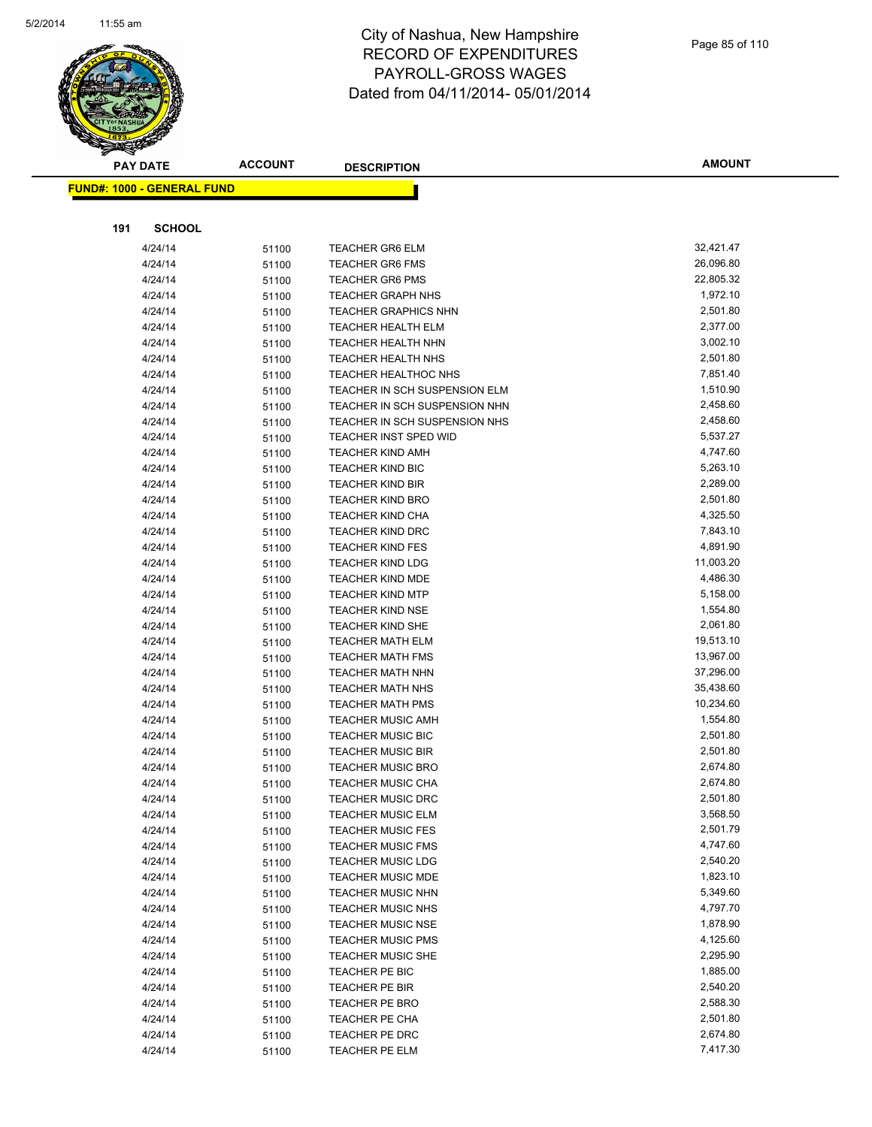

|     | <b>PAY DATE</b>                   | <b>ACCOUNT</b> | <b>DESCRIPTION</b>                                     | <b>AMOUNT</b>        |
|-----|-----------------------------------|----------------|--------------------------------------------------------|----------------------|
|     | <b>FUND#: 1000 - GENERAL FUND</b> |                |                                                        |                      |
|     |                                   |                |                                                        |                      |
| 191 | <b>SCHOOL</b>                     |                |                                                        |                      |
|     |                                   |                |                                                        |                      |
|     | 4/24/14                           | 51100          | <b>TEACHER GR6 ELM</b>                                 | 32,421.47            |
|     | 4/24/14                           | 51100          | <b>TEACHER GR6 FMS</b>                                 | 26,096.80            |
|     | 4/24/14                           | 51100          | <b>TEACHER GR6 PMS</b>                                 | 22,805.32            |
|     | 4/24/14                           | 51100          | <b>TEACHER GRAPH NHS</b>                               | 1,972.10             |
|     | 4/24/14                           | 51100          | <b>TEACHER GRAPHICS NHN</b>                            | 2,501.80             |
|     | 4/24/14                           | 51100          | <b>TEACHER HEALTH ELM</b>                              | 2,377.00<br>3,002.10 |
|     | 4/24/14<br>4/24/14                | 51100          | <b>TEACHER HEALTH NHN</b><br><b>TEACHER HEALTH NHS</b> | 2,501.80             |
|     | 4/24/14                           | 51100          | <b>TEACHER HEALTHOC NHS</b>                            | 7,851.40             |
|     | 4/24/14                           | 51100<br>51100 | TEACHER IN SCH SUSPENSION ELM                          | 1,510.90             |
|     | 4/24/14                           | 51100          | TEACHER IN SCH SUSPENSION NHN                          | 2,458.60             |
|     | 4/24/14                           | 51100          | TEACHER IN SCH SUSPENSION NHS                          | 2,458.60             |
|     | 4/24/14                           | 51100          | TEACHER INST SPED WID                                  | 5,537.27             |
|     | 4/24/14                           | 51100          | <b>TEACHER KIND AMH</b>                                | 4,747.60             |
|     | 4/24/14                           | 51100          | <b>TEACHER KIND BIC</b>                                | 5,263.10             |
|     | 4/24/14                           | 51100          | <b>TEACHER KIND BIR</b>                                | 2,289.00             |
|     | 4/24/14                           | 51100          | <b>TEACHER KIND BRO</b>                                | 2,501.80             |
|     | 4/24/14                           | 51100          | <b>TEACHER KIND CHA</b>                                | 4,325.50             |
|     | 4/24/14                           | 51100          | <b>TEACHER KIND DRC</b>                                | 7,843.10             |
|     | 4/24/14                           | 51100          | <b>TEACHER KIND FES</b>                                | 4,891.90             |
|     | 4/24/14                           | 51100          | <b>TEACHER KIND LDG</b>                                | 11,003.20            |
|     | 4/24/14                           | 51100          | <b>TEACHER KIND MDE</b>                                | 4,486.30             |
|     | 4/24/14                           | 51100          | <b>TEACHER KIND MTP</b>                                | 5,158.00             |
|     | 4/24/14                           | 51100          | <b>TEACHER KIND NSE</b>                                | 1,554.80             |
|     | 4/24/14                           | 51100          | <b>TEACHER KIND SHE</b>                                | 2,061.80             |
|     | 4/24/14                           | 51100          | <b>TEACHER MATH ELM</b>                                | 19,513.10            |
|     | 4/24/14                           | 51100          | <b>TEACHER MATH FMS</b>                                | 13,967.00            |
|     | 4/24/14                           | 51100          | <b>TEACHER MATH NHN</b>                                | 37,296.00            |
|     | 4/24/14                           | 51100          | <b>TEACHER MATH NHS</b>                                | 35,438.60            |
|     | 4/24/14                           | 51100          | <b>TEACHER MATH PMS</b>                                | 10,234.60            |
|     | 4/24/14                           | 51100          | <b>TEACHER MUSIC AMH</b>                               | 1,554.80             |
|     | 4/24/14                           | 51100          | <b>TEACHER MUSIC BIC</b>                               | 2,501.80             |
|     | 4/24/14                           | 51100          | <b>TEACHER MUSIC BIR</b>                               | 2,501.80             |
|     | 4/24/14                           | 51100          | <b>TEACHER MUSIC BRO</b>                               | 2,674.80             |
|     | 4/24/14                           | 51100          | <b>TEACHER MUSIC CHA</b>                               | 2,674.80             |
|     | 4/24/14                           | 51100          | TEACHER MUSIC DRC                                      | 2,501.80             |
|     | 4/24/14                           | 51100          | <b>TEACHER MUSIC ELM</b>                               | 3,568.50             |
|     | 4/24/14                           | 51100          | <b>TEACHER MUSIC FES</b>                               | 2,501.79             |
|     | 4/24/14                           | 51100          | <b>TEACHER MUSIC FMS</b>                               | 4,747.60             |
|     | 4/24/14                           | 51100          | <b>TEACHER MUSIC LDG</b>                               | 2,540.20             |
|     | 4/24/14                           | 51100          | <b>TEACHER MUSIC MDE</b>                               | 1,823.10             |
|     | 4/24/14                           | 51100          | <b>TEACHER MUSIC NHN</b>                               | 5,349.60             |
|     | 4/24/14                           | 51100          | <b>TEACHER MUSIC NHS</b>                               | 4,797.70<br>1,878.90 |
|     | 4/24/14                           | 51100          | <b>TEACHER MUSIC NSE</b>                               | 4,125.60             |
|     | 4/24/14<br>4/24/14                | 51100          | <b>TEACHER MUSIC PMS</b><br><b>TEACHER MUSIC SHE</b>   | 2,295.90             |
|     | 4/24/14                           | 51100          | TEACHER PE BIC                                         | 1,885.00             |
|     | 4/24/14                           | 51100          | TEACHER PE BIR                                         | 2,540.20             |
|     | 4/24/14                           | 51100          | TEACHER PE BRO                                         | 2,588.30             |
|     | 4/24/14                           | 51100<br>51100 | <b>TEACHER PE CHA</b>                                  | 2,501.80             |
|     | 4/24/14                           | 51100          | TEACHER PE DRC                                         | 2,674.80             |
|     | 4/24/14                           | 51100          | <b>TEACHER PE ELM</b>                                  | 7,417.30             |
|     |                                   |                |                                                        |                      |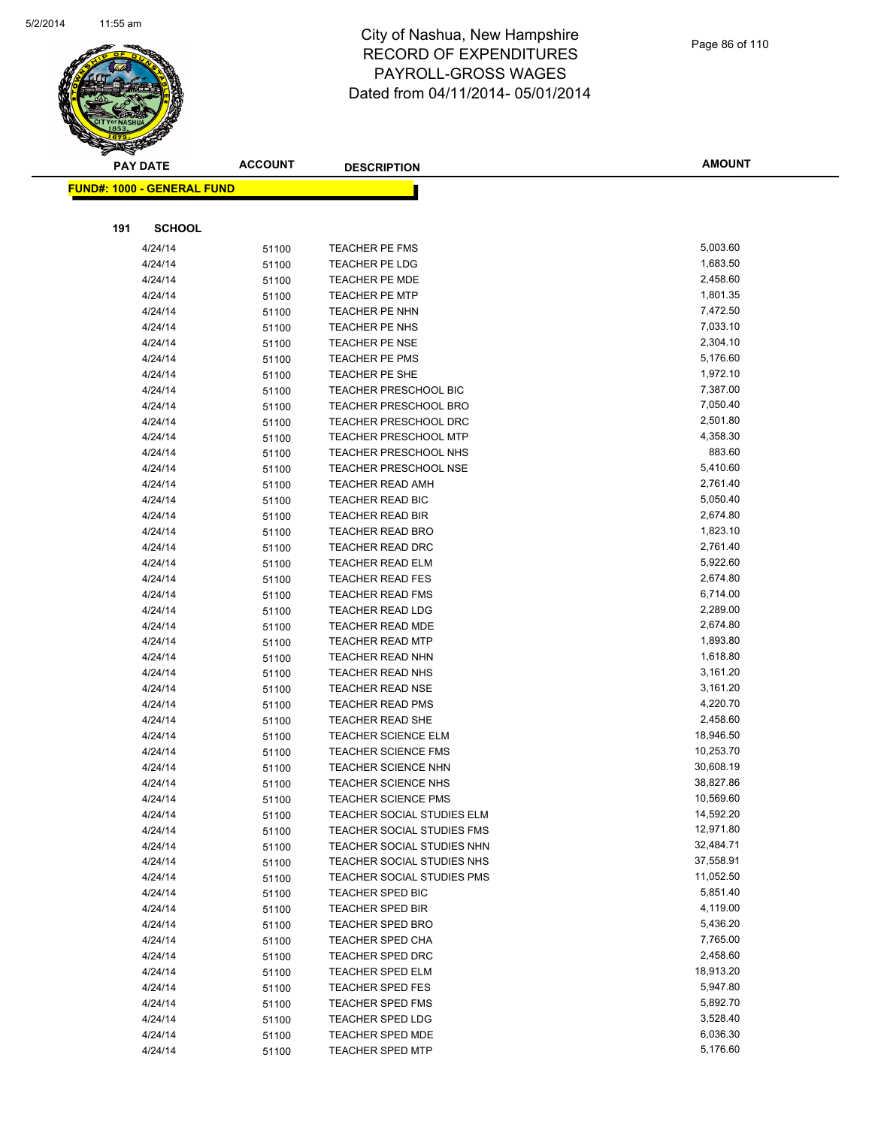

| <b>FUND#: 1000 - GENERAL FUND</b> |       |                                                    |                      |
|-----------------------------------|-------|----------------------------------------------------|----------------------|
|                                   |       |                                                    |                      |
| 191<br><b>SCHOOL</b>              |       |                                                    |                      |
| 4/24/14                           | 51100 | <b>TEACHER PE FMS</b>                              | 5,003.60             |
| 4/24/14                           | 51100 | <b>TEACHER PE LDG</b>                              | 1,683.50             |
| 4/24/14                           | 51100 | <b>TEACHER PE MDE</b>                              | 2,458.60             |
| 4/24/14                           | 51100 | <b>TEACHER PE MTP</b>                              | 1,801.35             |
| 4/24/14                           | 51100 | TEACHER PE NHN                                     | 7,472.50             |
| 4/24/14                           | 51100 | <b>TEACHER PE NHS</b>                              | 7,033.10             |
| 4/24/14                           | 51100 | <b>TEACHER PE NSE</b>                              | 2,304.10             |
| 4/24/14                           | 51100 | <b>TEACHER PE PMS</b>                              | 5,176.60             |
| 4/24/14                           | 51100 | <b>TEACHER PE SHE</b>                              | 1,972.10             |
| 4/24/14                           | 51100 | <b>TEACHER PRESCHOOL BIC</b>                       | 7,387.00             |
| 4/24/14                           | 51100 | <b>TEACHER PRESCHOOL BRO</b>                       | 7,050.40             |
| 4/24/14                           | 51100 | <b>TEACHER PRESCHOOL DRC</b>                       | 2,501.80             |
| 4/24/14                           | 51100 | <b>TEACHER PRESCHOOL MTP</b>                       | 4,358.30             |
| 4/24/14                           | 51100 | TEACHER PRESCHOOL NHS                              | 883.60               |
| 4/24/14                           | 51100 | <b>TEACHER PRESCHOOL NSE</b>                       | 5,410.60             |
| 4/24/14                           | 51100 | <b>TEACHER READ AMH</b>                            | 2,761.40             |
| 4/24/14                           | 51100 | <b>TEACHER READ BIC</b>                            | 5,050.40             |
| 4/24/14                           | 51100 | <b>TEACHER READ BIR</b>                            | 2,674.80             |
| 4/24/14                           | 51100 | <b>TEACHER READ BRO</b>                            | 1,823.10             |
| 4/24/14                           | 51100 | <b>TEACHER READ DRC</b>                            | 2,761.40             |
| 4/24/14                           | 51100 | <b>TEACHER READ ELM</b>                            | 5,922.60             |
| 4/24/14                           | 51100 | <b>TEACHER READ FES</b>                            | 2,674.80             |
| 4/24/14                           | 51100 | <b>TEACHER READ FMS</b>                            | 6,714.00             |
| 4/24/14                           | 51100 | <b>TEACHER READ LDG</b>                            | 2,289.00             |
| 4/24/14                           | 51100 | <b>TEACHER READ MDE</b>                            | 2,674.80             |
| 4/24/14                           | 51100 | <b>TEACHER READ MTP</b>                            | 1,893.80             |
| 4/24/14                           | 51100 | <b>TEACHER READ NHN</b>                            | 1,618.80             |
| 4/24/14                           | 51100 | <b>TEACHER READ NHS</b>                            | 3,161.20             |
| 4/24/14                           | 51100 | <b>TEACHER READ NSE</b>                            | 3,161.20             |
| 4/24/14                           | 51100 | <b>TEACHER READ PMS</b>                            | 4,220.70             |
| 4/24/14                           | 51100 | TEACHER READ SHE                                   | 2,458.60             |
| 4/24/14                           | 51100 | <b>TEACHER SCIENCE ELM</b>                         | 18,946.50            |
| 4/24/14                           | 51100 | <b>TEACHER SCIENCE FMS</b>                         | 10,253.70            |
| 4/24/14                           | 51100 | <b>TEACHER SCIENCE NHN</b>                         | 30,608.19            |
| 4/24/14                           | 51100 | <b>TEACHER SCIENCE NHS</b>                         | 38,827.86            |
| 4/24/14                           | 51100 | <b>TEACHER SCIENCE PMS</b>                         | 10,569.60            |
| 4/24/14                           | 51100 | TEACHER SOCIAL STUDIES ELM                         | 14,592.20            |
| 4/24/14                           | 51100 | <b>TEACHER SOCIAL STUDIES FMS</b>                  | 12,971.80            |
| 4/24/14                           | 51100 | TEACHER SOCIAL STUDIES NHN                         | 32,484.71            |
| 4/24/14                           | 51100 | TEACHER SOCIAL STUDIES NHS                         | 37,558.91            |
| 4/24/14                           | 51100 | TEACHER SOCIAL STUDIES PMS                         | 11,052.50            |
| 4/24/14                           | 51100 | TEACHER SPED BIC                                   | 5,851.40             |
| 4/24/14                           | 51100 | <b>TEACHER SPED BIR</b>                            | 4,119.00             |
| 4/24/14                           | 51100 | <b>TEACHER SPED BRO</b>                            | 5,436.20             |
| 4/24/14                           | 51100 | <b>TEACHER SPED CHA</b>                            | 7,765.00             |
| 4/24/14                           | 51100 | <b>TEACHER SPED DRC</b>                            | 2,458.60             |
| 4/24/14                           | 51100 | <b>TEACHER SPED ELM</b>                            | 18,913.20            |
| 4/24/14                           | 51100 | <b>TEACHER SPED FES</b>                            | 5,947.80             |
| 4/24/14                           | 51100 | <b>TEACHER SPED FMS</b>                            | 5,892.70<br>3,528.40 |
| 4/24/14                           | 51100 | <b>TEACHER SPED LDG</b><br><b>TEACHER SPED MDE</b> | 6,036.30             |
| 4/24/14                           | 51100 |                                                    | 5,176.60             |
| 4/24/14                           | 51100 | <b>TEACHER SPED MTP</b>                            |                      |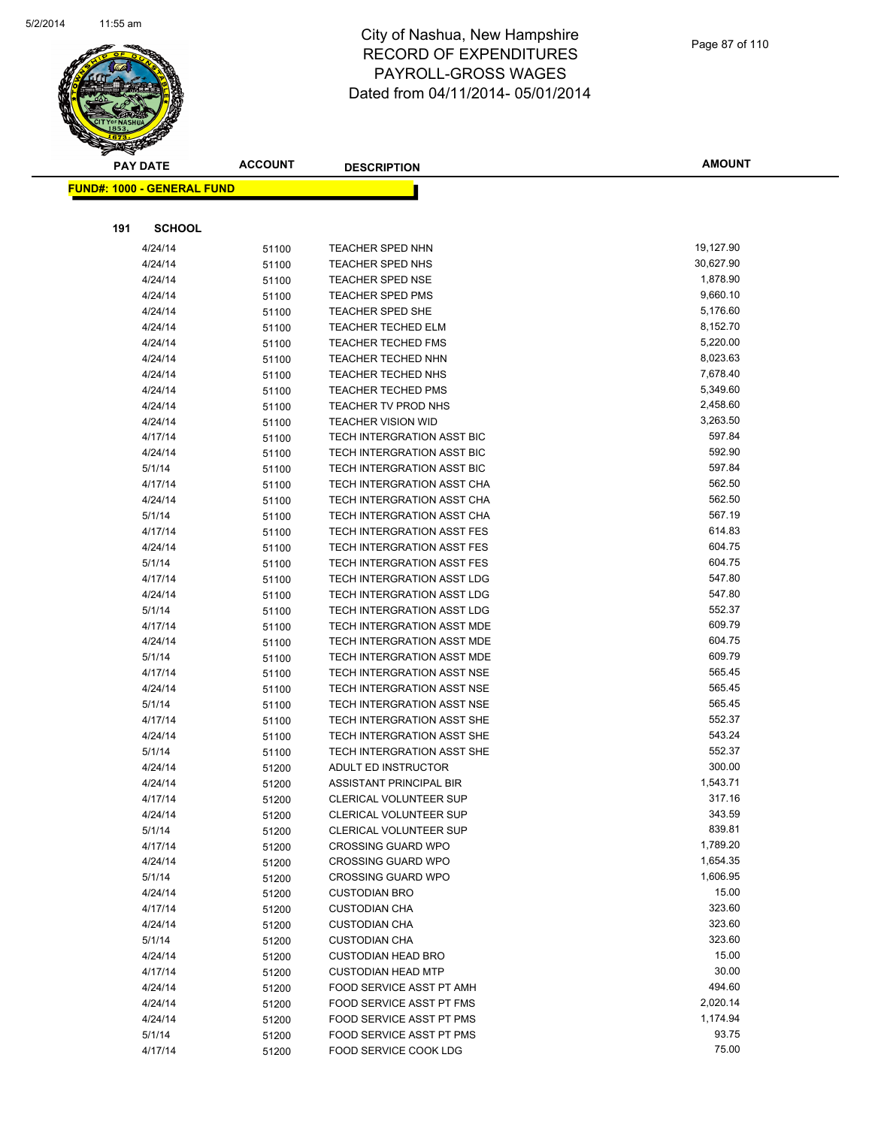

|     | <b>FUND#: 1000 - GENERAL FUND</b> |                |                                                       |                   |
|-----|-----------------------------------|----------------|-------------------------------------------------------|-------------------|
|     |                                   |                |                                                       |                   |
| 191 | <b>SCHOOL</b>                     |                |                                                       |                   |
|     | 4/24/14                           | 51100          | <b>TEACHER SPED NHN</b>                               | 19,127.90         |
|     | 4/24/14                           | 51100          | <b>TEACHER SPED NHS</b>                               | 30,627.90         |
|     | 4/24/14                           | 51100          | <b>TEACHER SPED NSE</b>                               | 1,878.90          |
|     | 4/24/14                           | 51100          | <b>TEACHER SPED PMS</b>                               | 9,660.10          |
|     | 4/24/14                           | 51100          | <b>TEACHER SPED SHE</b>                               | 5,176.60          |
|     | 4/24/14                           | 51100          | <b>TEACHER TECHED ELM</b>                             | 8,152.70          |
|     | 4/24/14                           | 51100          | <b>TEACHER TECHED FMS</b>                             | 5,220.00          |
|     | 4/24/14                           | 51100          | TEACHER TECHED NHN                                    | 8,023.63          |
|     | 4/24/14                           | 51100          | <b>TEACHER TECHED NHS</b>                             | 7,678.40          |
|     | 4/24/14                           | 51100          | <b>TEACHER TECHED PMS</b>                             | 5,349.60          |
|     | 4/24/14                           | 51100          | TEACHER TV PROD NHS                                   | 2,458.60          |
|     | 4/24/14                           | 51100          | <b>TEACHER VISION WID</b>                             | 3,263.50          |
|     | 4/17/14                           | 51100          | TECH INTERGRATION ASST BIC                            | 597.84            |
|     | 4/24/14                           | 51100          | TECH INTERGRATION ASST BIC                            | 592.90            |
|     | 5/1/14                            | 51100          | TECH INTERGRATION ASST BIC                            | 597.84            |
|     | 4/17/14                           | 51100          | TECH INTERGRATION ASST CHA                            | 562.50            |
|     | 4/24/14                           | 51100          | TECH INTERGRATION ASST CHA                            | 562.50            |
|     | 5/1/14                            | 51100          | TECH INTERGRATION ASST CHA                            | 567.19            |
|     | 4/17/14                           | 51100          | TECH INTERGRATION ASST FES                            | 614.83            |
|     | 4/24/14                           | 51100          | TECH INTERGRATION ASST FES                            | 604.75            |
|     | 5/1/14                            | 51100          | TECH INTERGRATION ASST FES                            | 604.75            |
|     | 4/17/14                           | 51100          | TECH INTERGRATION ASST LDG                            | 547.80            |
|     | 4/24/14                           | 51100          | TECH INTERGRATION ASST LDG                            | 547.80            |
|     | 5/1/14                            | 51100          | TECH INTERGRATION ASST LDG                            | 552.37            |
|     | 4/17/14                           | 51100          | TECH INTERGRATION ASST MDE                            | 609.79            |
|     | 4/24/14                           | 51100          | TECH INTERGRATION ASST MDE                            | 604.75            |
|     | 5/1/14                            | 51100          | TECH INTERGRATION ASST MDE                            | 609.79            |
|     | 4/17/14                           | 51100          | TECH INTERGRATION ASST NSE                            | 565.45            |
|     | 4/24/14                           | 51100          | TECH INTERGRATION ASST NSE                            | 565.45            |
|     | 5/1/14                            | 51100          | TECH INTERGRATION ASST NSE                            | 565.45            |
|     | 4/17/14                           | 51100          | TECH INTERGRATION ASST SHE                            | 552.37            |
|     | 4/24/14                           | 51100          | TECH INTERGRATION ASST SHE                            | 543.24            |
|     | 5/1/14                            | 51100          | TECH INTERGRATION ASST SHE                            | 552.37            |
|     | 4/24/14                           | 51200          | ADULT ED INSTRUCTOR                                   | 300.00            |
|     | 4/24/14                           | 51200          | ASSISTANT PRINCIPAL BIR                               | 1,543.71          |
|     | 4/17/14                           | 51200          | <b>CLERICAL VOLUNTEER SUP</b>                         | 317.16            |
|     | 4/24/14                           | 51200          | <b>CLERICAL VOLUNTEER SUP</b>                         | 343.59            |
|     | 5/1/14                            | 51200          | <b>CLERICAL VOLUNTEER SUP</b>                         | 839.81            |
|     | 4/17/14                           | 51200          | <b>CROSSING GUARD WPO</b>                             | 1,789.20          |
|     | 4/24/14                           | 51200          | <b>CROSSING GUARD WPO</b>                             | 1,654.35          |
|     | 5/1/14                            | 51200          | <b>CROSSING GUARD WPO</b>                             | 1,606.95<br>15.00 |
|     | 4/24/14                           | 51200          | <b>CUSTODIAN BRO</b>                                  | 323.60            |
|     | 4/17/14                           | 51200          | <b>CUSTODIAN CHA</b><br><b>CUSTODIAN CHA</b>          | 323.60            |
|     | 4/24/14                           | 51200          |                                                       | 323.60            |
|     | 5/1/14                            | 51200          | <b>CUSTODIAN CHA</b><br><b>CUSTODIAN HEAD BRO</b>     | 15.00             |
|     | 4/24/14                           | 51200          |                                                       | 30.00             |
|     | 4/17/14<br>4/24/14                | 51200          | <b>CUSTODIAN HEAD MTP</b><br>FOOD SERVICE ASST PT AMH | 494.60            |
|     | 4/24/14                           | 51200          | FOOD SERVICE ASST PT FMS                              | 2,020.14          |
|     | 4/24/14                           | 51200<br>51200 | FOOD SERVICE ASST PT PMS                              | 1,174.94          |
|     | 5/1/14                            | 51200          | FOOD SERVICE ASST PT PMS                              | 93.75             |
|     | 4/17/14                           | 51200          | FOOD SERVICE COOK LDG                                 | 75.00             |
|     |                                   |                |                                                       |                   |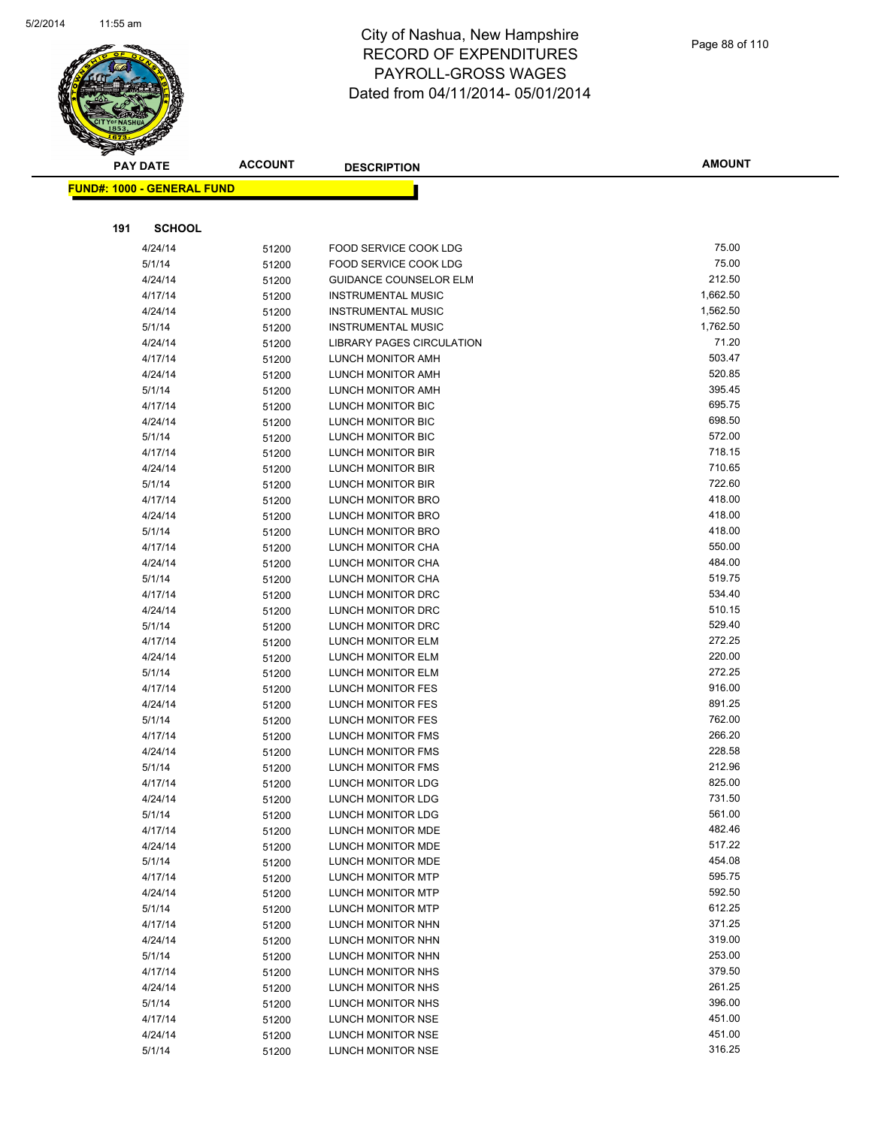

|     | <b>PAY DATE</b>                   | <b>ACCOUNT</b> | <b>DESCRIPTION</b>            | <b>AMOUNT</b> |
|-----|-----------------------------------|----------------|-------------------------------|---------------|
|     | <b>FUND#: 1000 - GENERAL FUND</b> |                |                               |               |
|     |                                   |                |                               |               |
|     |                                   |                |                               |               |
| 191 | <b>SCHOOL</b>                     |                |                               |               |
|     | 4/24/14                           | 51200          | FOOD SERVICE COOK LDG         | 75.00         |
|     | 5/1/14                            | 51200          | FOOD SERVICE COOK LDG         | 75.00         |
|     | 4/24/14                           | 51200          | <b>GUIDANCE COUNSELOR ELM</b> | 212.50        |
|     | 4/17/14                           | 51200          | <b>INSTRUMENTAL MUSIC</b>     | 1,662.50      |
|     | 4/24/14                           | 51200          | <b>INSTRUMENTAL MUSIC</b>     | 1,562.50      |
|     | 5/1/14                            | 51200          | <b>INSTRUMENTAL MUSIC</b>     | 1,762.50      |
|     | 4/24/14                           | 51200          | LIBRARY PAGES CIRCULATION     | 71.20         |
|     | 4/17/14                           | 51200          | LUNCH MONITOR AMH             | 503.47        |
|     | 4/24/14                           | 51200          | LUNCH MONITOR AMH             | 520.85        |
|     | 5/1/14                            | 51200          | LUNCH MONITOR AMH             | 395.45        |
|     | 4/17/14                           | 51200          | LUNCH MONITOR BIC             | 695.75        |
|     | 4/24/14                           | 51200          | LUNCH MONITOR BIC             | 698.50        |
|     | 5/1/14                            | 51200          | LUNCH MONITOR BIC             | 572.00        |
|     | 4/17/14                           | 51200          | <b>LUNCH MONITOR BIR</b>      | 718.15        |
|     | 4/24/14                           | 51200          | LUNCH MONITOR BIR             | 710.65        |
|     | 5/1/14                            | 51200          | LUNCH MONITOR BIR             | 722.60        |
|     | 4/17/14                           | 51200          | LUNCH MONITOR BRO             | 418.00        |
|     | 4/24/14                           | 51200          | LUNCH MONITOR BRO             | 418.00        |
|     | 5/1/14                            | 51200          | <b>LUNCH MONITOR BRO</b>      | 418.00        |
|     | 4/17/14                           | 51200          | LUNCH MONITOR CHA             | 550.00        |
|     | 4/24/14                           | 51200          | LUNCH MONITOR CHA             | 484.00        |
|     | 5/1/14                            | 51200          | LUNCH MONITOR CHA             | 519.75        |
|     | 4/17/14                           | 51200          | LUNCH MONITOR DRC             | 534.40        |
|     | 4/24/14                           | 51200          | LUNCH MONITOR DRC             | 510.15        |
|     | 5/1/14                            | 51200          | LUNCH MONITOR DRC             | 529.40        |
|     | 4/17/14                           | 51200          | LUNCH MONITOR ELM             | 272.25        |
|     | 4/24/14                           | 51200          | LUNCH MONITOR ELM             | 220.00        |
|     | 5/1/14                            | 51200          | LUNCH MONITOR ELM             | 272.25        |
|     | 4/17/14                           | 51200          | LUNCH MONITOR FES             | 916.00        |
|     | 4/24/14                           | 51200          | LUNCH MONITOR FES             | 891.25        |
|     | 5/1/14                            | 51200          | LUNCH MONITOR FES             | 762.00        |
|     | 4/17/14                           | 51200          | <b>LUNCH MONITOR FMS</b>      | 266.20        |
|     | 4/24/14                           | 51200          | LUNCH MONITOR FMS             | 228.58        |
|     | 5/1/14                            | 51200          | LUNCH MONITOR FMS             | 212.96        |
|     | 4/17/14                           | 51200          | LUNCH MONITOR LDG             | 825.00        |
|     | 4/24/14                           | 51200          | LUNCH MONITOR LDG             | 731.50        |
|     | 5/1/14                            | 51200          | LUNCH MONITOR LDG             | 561.00        |
|     | 4/17/14                           | 51200          | LUNCH MONITOR MDE             | 482.46        |
|     | 4/24/14                           | 51200          | LUNCH MONITOR MDE             | 517.22        |
|     | 5/1/14                            | 51200          | LUNCH MONITOR MDE             | 454.08        |
|     | 4/17/14                           | 51200          | LUNCH MONITOR MTP             | 595.75        |
|     | 4/24/14                           | 51200          | LUNCH MONITOR MTP             | 592.50        |
|     | 5/1/14                            | 51200          | LUNCH MONITOR MTP             | 612.25        |
|     | 4/17/14                           | 51200          | LUNCH MONITOR NHN             | 371.25        |
|     | 4/24/14                           | 51200          | LUNCH MONITOR NHN             | 319.00        |
|     | 5/1/14                            | 51200          | LUNCH MONITOR NHN             | 253.00        |
|     | 4/17/14                           | 51200          | LUNCH MONITOR NHS             | 379.50        |
|     | 4/24/14                           | 51200          | LUNCH MONITOR NHS             | 261.25        |
|     | 5/1/14                            | 51200          | LUNCH MONITOR NHS             | 396.00        |
|     | 4/17/14                           | 51200          | LUNCH MONITOR NSE             | 451.00        |
|     | 4/24/14                           | 51200          | LUNCH MONITOR NSE             | 451.00        |
|     | 5/1/14                            | 51200          | LUNCH MONITOR NSE             | 316.25        |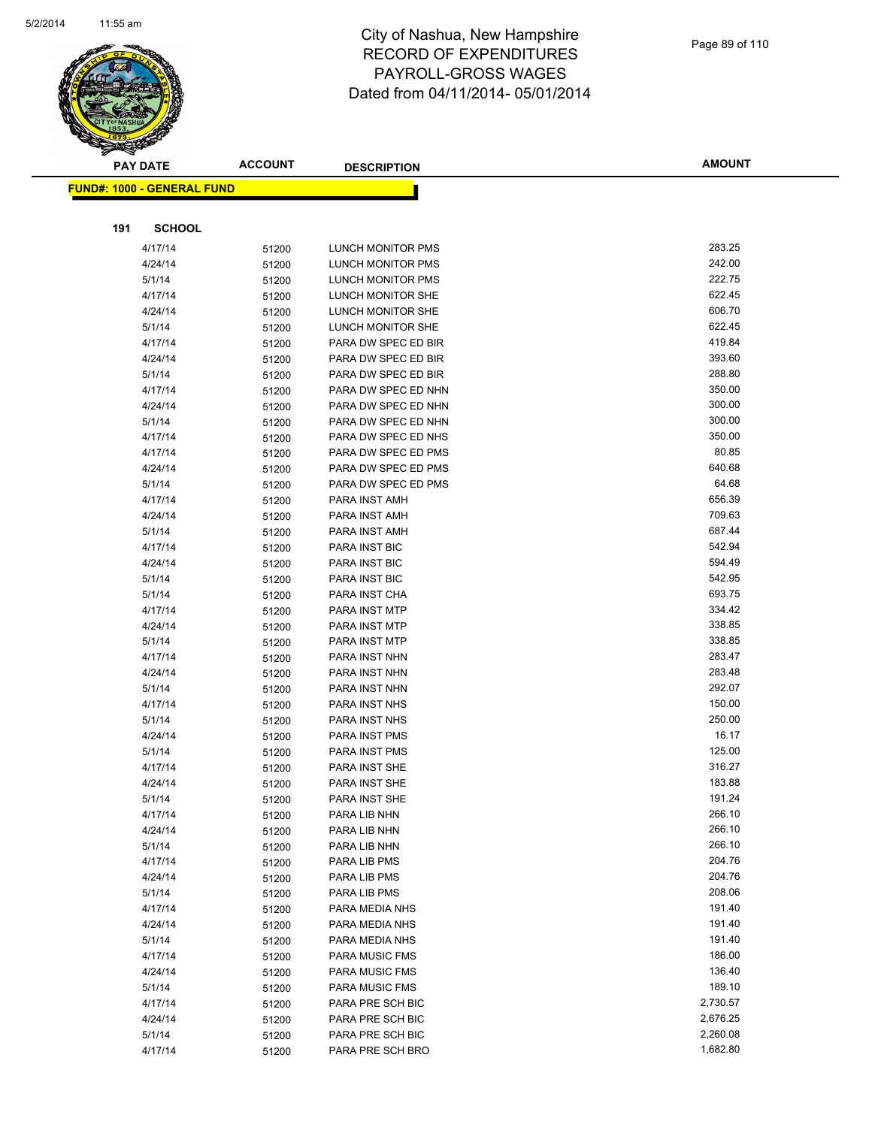

|     | <b>PAY DATE</b>                    | <b>ACCOUNT</b> | <b>DESCRIPTION</b>             | <b>AMOUNT</b>    |
|-----|------------------------------------|----------------|--------------------------------|------------------|
|     | <u> FUND#: 1000 - GENERAL FUND</u> |                |                                |                  |
|     |                                    |                |                                |                  |
|     |                                    |                |                                |                  |
| 191 | <b>SCHOOL</b>                      |                |                                |                  |
|     | 4/17/14                            | 51200          | <b>LUNCH MONITOR PMS</b>       | 283.25           |
|     | 4/24/14                            | 51200          | LUNCH MONITOR PMS              | 242.00           |
|     | 5/1/14                             | 51200          | LUNCH MONITOR PMS              | 222.75           |
|     | 4/17/14                            | 51200          | LUNCH MONITOR SHE              | 622.45           |
|     | 4/24/14                            | 51200          | LUNCH MONITOR SHE              | 606.70           |
|     | 5/1/14                             | 51200          | LUNCH MONITOR SHE              | 622.45           |
|     | 4/17/14                            | 51200          | PARA DW SPEC ED BIR            | 419.84           |
|     | 4/24/14                            | 51200          | PARA DW SPEC ED BIR            | 393.60           |
|     | 5/1/14                             | 51200          | PARA DW SPEC ED BIR            | 288.80           |
|     | 4/17/14                            | 51200          | PARA DW SPEC ED NHN            | 350.00           |
|     | 4/24/14                            | 51200          | PARA DW SPEC ED NHN            | 300.00<br>300.00 |
|     | 5/1/14                             | 51200          | PARA DW SPEC ED NHN            |                  |
|     | 4/17/14                            | 51200          | PARA DW SPEC ED NHS            | 350.00<br>80.85  |
|     | 4/17/14                            | 51200          | PARA DW SPEC ED PMS            | 640.68           |
|     | 4/24/14                            | 51200          | PARA DW SPEC ED PMS            | 64.68            |
|     | 5/1/14                             | 51200          | PARA DW SPEC ED PMS            | 656.39           |
|     | 4/17/14                            | 51200          | PARA INST AMH                  | 709.63           |
|     | 4/24/14                            | 51200          | PARA INST AMH<br>PARA INST AMH | 687.44           |
|     | 5/1/14                             | 51200          |                                | 542.94           |
|     | 4/17/14<br>4/24/14                 | 51200          | PARA INST BIC<br>PARA INST BIC | 594.49           |
|     | 5/1/14                             | 51200          |                                | 542.95           |
|     | 5/1/14                             | 51200          | PARA INST BIC<br>PARA INST CHA | 693.75           |
|     | 4/17/14                            | 51200          | PARA INST MTP                  | 334.42           |
|     | 4/24/14                            | 51200          | PARA INST MTP                  | 338.85           |
|     | 5/1/14                             | 51200<br>51200 | PARA INST MTP                  | 338.85           |
|     | 4/17/14                            |                | PARA INST NHN                  | 283.47           |
|     | 4/24/14                            | 51200          | PARA INST NHN                  | 283.48           |
|     | 5/1/14                             | 51200<br>51200 | PARA INST NHN                  | 292.07           |
|     | 4/17/14                            | 51200          | PARA INST NHS                  | 150.00           |
|     | 5/1/14                             | 51200          | PARA INST NHS                  | 250.00           |
|     | 4/24/14                            | 51200          | PARA INST PMS                  | 16.17            |
|     | 5/1/14                             | 51200          | PARA INST PMS                  | 125.00           |
|     | 4/17/14                            | 51200          | PARA INST SHE                  | 316.27           |
|     | 4/24/14                            | 51200          | <b>PARA INST SHE</b>           | 183.88           |
|     | 5/1/14                             | 51200          | PARA INST SHE                  | 191.24           |
|     | 4/17/14                            | 51200          | PARA LIB NHN                   | 266.10           |
|     | 4/24/14                            | 51200          | PARA LIB NHN                   | 266.10           |
|     | 5/1/14                             | 51200          | PARA LIB NHN                   | 266.10           |
|     | 4/17/14                            | 51200          | PARA LIB PMS                   | 204.76           |
|     | 4/24/14                            | 51200          | PARA LIB PMS                   | 204.76           |
|     | 5/1/14                             | 51200          | PARA LIB PMS                   | 208.06           |
|     | 4/17/14                            | 51200          | PARA MEDIA NHS                 | 191.40           |
|     | 4/24/14                            | 51200          | PARA MEDIA NHS                 | 191.40           |
|     | 5/1/14                             | 51200          | PARA MEDIA NHS                 | 191.40           |
|     | 4/17/14                            | 51200          | <b>PARA MUSIC FMS</b>          | 186.00           |
|     | 4/24/14                            | 51200          | <b>PARA MUSIC FMS</b>          | 136.40           |
|     | 5/1/14                             | 51200          | <b>PARA MUSIC FMS</b>          | 189.10           |
|     | 4/17/14                            | 51200          | PARA PRE SCH BIC               | 2,730.57         |
|     | 4/24/14                            | 51200          | PARA PRE SCH BIC               | 2,676.25         |
|     | 5/1/14                             | 51200          | PARA PRE SCH BIC               | 2,260.08         |
|     | 4/17/14                            | 51200          | PARA PRE SCH BRO               | 1,682.80         |
|     |                                    |                |                                |                  |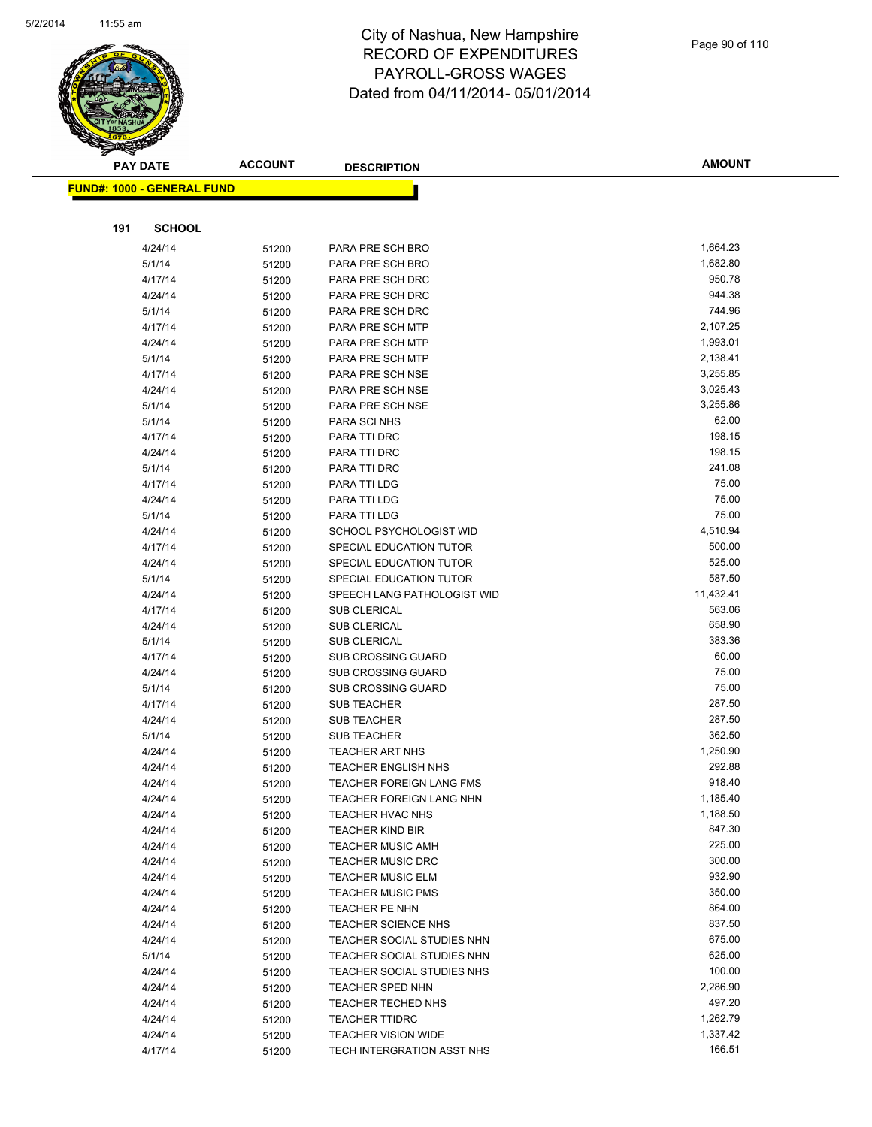

| <u> FUND#: 1000 - GENERAL FUND</u> |                |                                                        |                  |
|------------------------------------|----------------|--------------------------------------------------------|------------------|
|                                    |                |                                                        |                  |
| 191<br><b>SCHOOL</b>               |                |                                                        |                  |
| 4/24/14                            | 51200          | PARA PRE SCH BRO                                       | 1,664.23         |
| 5/1/14                             | 51200          | PARA PRE SCH BRO                                       | 1,682.80         |
| 4/17/14                            | 51200          | PARA PRE SCH DRC                                       | 950.78           |
| 4/24/14                            | 51200          | PARA PRE SCH DRC                                       | 944.38           |
| 5/1/14                             | 51200          | PARA PRE SCH DRC                                       | 744.96           |
| 4/17/14                            | 51200          | PARA PRE SCH MTP                                       | 2,107.25         |
| 4/24/14                            | 51200          | PARA PRE SCH MTP                                       | 1,993.01         |
| 5/1/14                             | 51200          | PARA PRE SCH MTP                                       | 2,138.41         |
| 4/17/14                            | 51200          | PARA PRE SCH NSE                                       | 3,255.85         |
| 4/24/14                            | 51200          | PARA PRE SCH NSE                                       | 3,025.43         |
| 5/1/14                             | 51200          | PARA PRE SCH NSE                                       | 3,255.86         |
| 5/1/14                             | 51200          | PARA SCI NHS                                           | 62.00            |
| 4/17/14                            | 51200          | PARA TTI DRC                                           | 198.15           |
| 4/24/14                            | 51200          | PARA TTI DRC                                           | 198.15           |
| 5/1/14                             | 51200          | PARA TTI DRC                                           | 241.08           |
| 4/17/14                            | 51200          | PARA TTI LDG                                           | 75.00            |
| 4/24/14                            | 51200          | PARA TTI LDG                                           | 75.00            |
| 5/1/14                             | 51200          | <b>PARA TTI LDG</b>                                    | 75.00            |
| 4/24/14                            | 51200          | SCHOOL PSYCHOLOGIST WID                                | 4,510.94         |
| 4/17/14                            | 51200          | SPECIAL EDUCATION TUTOR                                | 500.00           |
| 4/24/14                            | 51200          | SPECIAL EDUCATION TUTOR                                | 525.00           |
| 5/1/14                             | 51200          | SPECIAL EDUCATION TUTOR                                | 587.50           |
| 4/24/14                            | 51200          | SPEECH LANG PATHOLOGIST WID                            | 11,432.41        |
| 4/17/14                            | 51200          | <b>SUB CLERICAL</b>                                    | 563.06<br>658.90 |
| 4/24/14                            | 51200          | <b>SUB CLERICAL</b>                                    | 383.36           |
| 5/1/14                             | 51200          | <b>SUB CLERICAL</b>                                    | 60.00            |
| 4/17/14                            | 51200          | <b>SUB CROSSING GUARD</b>                              | 75.00            |
| 4/24/14                            | 51200          | <b>SUB CROSSING GUARD</b><br><b>SUB CROSSING GUARD</b> | 75.00            |
| 5/1/14<br>4/17/14                  | 51200          | <b>SUB TEACHER</b>                                     | 287.50           |
| 4/24/14                            | 51200          | <b>SUB TEACHER</b>                                     | 287.50           |
| 5/1/14                             | 51200          | <b>SUB TEACHER</b>                                     | 362.50           |
| 4/24/14                            | 51200<br>51200 | <b>TEACHER ART NHS</b>                                 | 1,250.90         |
| 4/24/14                            | 51200          | <b>TEACHER ENGLISH NHS</b>                             | 292.88           |
| 4/24/14                            | 51200          | <b>TEACHER FOREIGN LANG FMS</b>                        | 918.40           |
| 4/24/14                            | 51200          | <b>TEACHER FOREIGN LANG NHN</b>                        | 1,185.40         |
| 4/24/14                            | 51200          | TEACHER HVAC NHS                                       | 1,188.50         |
| 4/24/14                            | 51200          | <b>TEACHER KIND BIR</b>                                | 847.30           |
| 4/24/14                            | 51200          | <b>TEACHER MUSIC AMH</b>                               | 225.00           |
| 4/24/14                            | 51200          | <b>TEACHER MUSIC DRC</b>                               | 300.00           |
| 4/24/14                            | 51200          | <b>TEACHER MUSIC ELM</b>                               | 932.90           |
| 4/24/14                            | 51200          | <b>TEACHER MUSIC PMS</b>                               | 350.00           |
| 4/24/14                            | 51200          | TEACHER PE NHN                                         | 864.00           |
| 4/24/14                            | 51200          | <b>TEACHER SCIENCE NHS</b>                             | 837.50           |
| 4/24/14                            | 51200          | TEACHER SOCIAL STUDIES NHN                             | 675.00           |
| 5/1/14                             | 51200          | TEACHER SOCIAL STUDIES NHN                             | 625.00           |
| 4/24/14                            | 51200          | TEACHER SOCIAL STUDIES NHS                             | 100.00           |
| 4/24/14                            | 51200          | TEACHER SPED NHN                                       | 2,286.90         |
| 4/24/14                            | 51200          | <b>TEACHER TECHED NHS</b>                              | 497.20           |
| 4/24/14                            | 51200          | <b>TEACHER TTIDRC</b>                                  | 1,262.79         |
| 4/24/14                            | 51200          | <b>TEACHER VISION WIDE</b>                             | 1,337.42         |
| 4/17/14                            | 51200          | TECH INTERGRATION ASST NHS                             | 166.51           |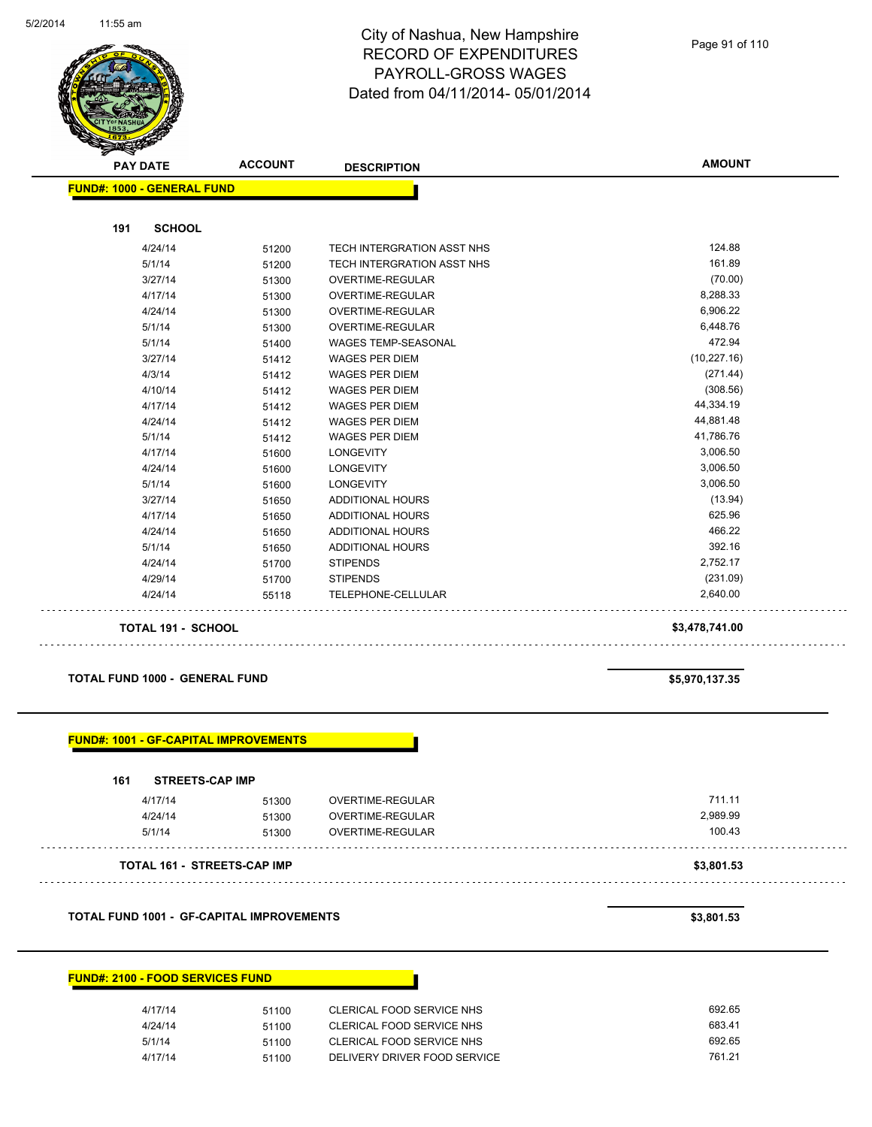

|     | <b>PAY DATE</b>                   | <b>ACCOUNT</b> | <b>DESCRIPTION</b>         | <b>AMOUNT</b>  |
|-----|-----------------------------------|----------------|----------------------------|----------------|
|     | <b>FUND#: 1000 - GENERAL FUND</b> |                |                            |                |
| 191 | <b>SCHOOL</b>                     |                |                            |                |
|     | 4/24/14                           | 51200          | TECH INTERGRATION ASST NHS | 124.88         |
|     | 5/1/14                            | 51200          | TECH INTERGRATION ASST NHS | 161.89         |
|     | 3/27/14                           | 51300          | OVERTIME-REGULAR           | (70.00)        |
|     | 4/17/14                           | 51300          | OVERTIME-REGULAR           | 8,288.33       |
|     | 4/24/14                           | 51300          | <b>OVERTIME-REGULAR</b>    | 6,906.22       |
|     | 5/1/14                            | 51300          | OVERTIME-REGULAR           | 6,448.76       |
|     | 5/1/14                            | 51400          | <b>WAGES TEMP-SEASONAL</b> | 472.94         |
|     | 3/27/14                           | 51412          | <b>WAGES PER DIEM</b>      | (10, 227.16)   |
|     | 4/3/14                            | 51412          | <b>WAGES PER DIEM</b>      | (271.44)       |
|     | 4/10/14                           | 51412          | <b>WAGES PER DIEM</b>      | (308.56)       |
|     | 4/17/14                           | 51412          | <b>WAGES PER DIEM</b>      | 44,334.19      |
|     | 4/24/14                           | 51412          | <b>WAGES PER DIEM</b>      | 44,881.48      |
|     | 5/1/14                            | 51412          | <b>WAGES PER DIEM</b>      | 41,786.76      |
|     | 4/17/14                           | 51600          | <b>LONGEVITY</b>           | 3,006.50       |
|     | 4/24/14                           | 51600          | <b>LONGEVITY</b>           | 3,006.50       |
|     | 5/1/14                            | 51600          | <b>LONGEVITY</b>           | 3,006.50       |
|     | 3/27/14                           | 51650          | <b>ADDITIONAL HOURS</b>    | (13.94)        |
|     | 4/17/14                           | 51650          | <b>ADDITIONAL HOURS</b>    | 625.96         |
|     | 4/24/14                           | 51650          | <b>ADDITIONAL HOURS</b>    | 466.22         |
|     | 5/1/14                            | 51650          | <b>ADDITIONAL HOURS</b>    | 392.16         |
|     | 4/24/14                           | 51700          | <b>STIPENDS</b>            | 2,752.17       |
|     | 4/29/14                           | 51700          | <b>STIPENDS</b>            | (231.09)       |
|     | 4/24/14                           | 55118          | TELEPHONE-CELLULAR         | 2,640.00       |
|     | TOTAL 191 - SCHOOL                |                |                            | \$3,478,741.00 |

#### **TOTAL FUND 1000 - GENERAL FUND \$5,970,137.35**

| 161<br><b>STREETS-CAP IMP</b> |       |                  |          |
|-------------------------------|-------|------------------|----------|
| 4/17/14                       | 51300 | OVERTIME-REGULAR | 711.11   |
| 4/24/14                       | 51300 | OVERTIME-REGULAR | 2,989.99 |
| 5/1/14                        | 51300 | OVERTIME-REGULAR | 100.43   |

#### **TOTAL FUND 1001 - GF-CAPITAL IMPROVEMENTS \$3,801.53**

#### **FUND#: 2100 - FOOD SERVICES FUND**

| 4/17/14 | 51100 | CLERICAL FOOD SERVICE NHS    | 692.65 |
|---------|-------|------------------------------|--------|
| 4/24/14 | 51100 | CLERICAL FOOD SERVICE NHS    | 683.41 |
| 5/1/14  | 51100 | CLERICAL FOOD SERVICE NHS    | 692.65 |
| 4/17/14 | 51100 | DELIVERY DRIVER FOOD SERVICE | 761.21 |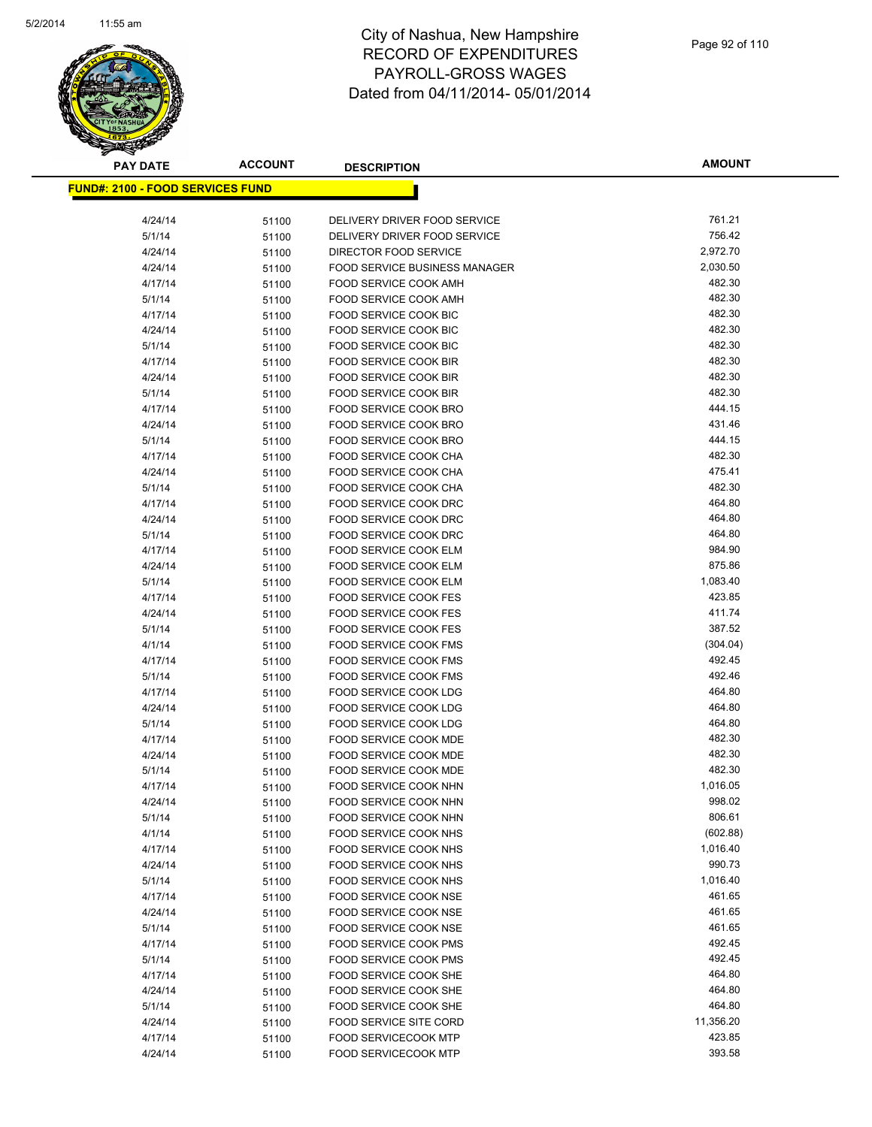

| <b>PAY DATE</b>                          | <b>ACCOUNT</b> | <b>DESCRIPTION</b>                                           | <b>AMOUNT</b>      |
|------------------------------------------|----------------|--------------------------------------------------------------|--------------------|
| <u> FUND#: 2100 - FOOD SERVICES FUND</u> |                |                                                              |                    |
|                                          |                |                                                              |                    |
| 4/24/14                                  | 51100          | DELIVERY DRIVER FOOD SERVICE                                 | 761.21             |
| 5/1/14                                   | 51100          | DELIVERY DRIVER FOOD SERVICE                                 | 756.42             |
| 4/24/14                                  | 51100          | DIRECTOR FOOD SERVICE                                        | 2,972.70           |
| 4/24/14                                  | 51100          | <b>FOOD SERVICE BUSINESS MANAGER</b>                         | 2,030.50           |
| 4/17/14                                  | 51100          | <b>FOOD SERVICE COOK AMH</b>                                 | 482.30             |
| 5/1/14                                   | 51100          | FOOD SERVICE COOK AMH                                        | 482.30             |
| 4/17/14                                  | 51100          | FOOD SERVICE COOK BIC                                        | 482.30             |
| 4/24/14                                  | 51100          | <b>FOOD SERVICE COOK BIC</b>                                 | 482.30             |
| 5/1/14                                   | 51100          | FOOD SERVICE COOK BIC                                        | 482.30             |
| 4/17/14                                  | 51100          | FOOD SERVICE COOK BIR                                        | 482.30             |
| 4/24/14                                  | 51100          | <b>FOOD SERVICE COOK BIR</b>                                 | 482.30             |
| 5/1/14                                   | 51100          | <b>FOOD SERVICE COOK BIR</b>                                 | 482.30             |
| 4/17/14                                  | 51100          | FOOD SERVICE COOK BRO                                        | 444.15             |
| 4/24/14                                  | 51100          | FOOD SERVICE COOK BRO                                        | 431.46             |
| 5/1/14                                   | 51100          | FOOD SERVICE COOK BRO                                        | 444.15             |
| 4/17/14                                  | 51100          | FOOD SERVICE COOK CHA                                        | 482.30             |
| 4/24/14                                  | 51100          | FOOD SERVICE COOK CHA                                        | 475.41             |
| 5/1/14                                   | 51100          | FOOD SERVICE COOK CHA                                        | 482.30             |
| 4/17/14                                  | 51100          | FOOD SERVICE COOK DRC                                        | 464.80             |
| 4/24/14                                  | 51100          | FOOD SERVICE COOK DRC                                        | 464.80             |
| 5/1/14                                   | 51100          | <b>FOOD SERVICE COOK DRC</b>                                 | 464.80             |
| 4/17/14                                  | 51100          | FOOD SERVICE COOK ELM                                        | 984.90             |
| 4/24/14                                  | 51100          | FOOD SERVICE COOK ELM                                        | 875.86             |
| 5/1/14                                   | 51100          | FOOD SERVICE COOK ELM                                        | 1,083.40<br>423.85 |
| 4/17/14                                  | 51100          | <b>FOOD SERVICE COOK FES</b>                                 | 411.74             |
| 4/24/14<br>5/1/14                        | 51100          | <b>FOOD SERVICE COOK FES</b><br><b>FOOD SERVICE COOK FES</b> | 387.52             |
| 4/1/14                                   | 51100<br>51100 | <b>FOOD SERVICE COOK FMS</b>                                 | (304.04)           |
| 4/17/14                                  | 51100          | <b>FOOD SERVICE COOK FMS</b>                                 | 492.45             |
| 5/1/14                                   | 51100          | <b>FOOD SERVICE COOK FMS</b>                                 | 492.46             |
| 4/17/14                                  | 51100          | FOOD SERVICE COOK LDG                                        | 464.80             |
| 4/24/14                                  | 51100          | <b>FOOD SERVICE COOK LDG</b>                                 | 464.80             |
| 5/1/14                                   | 51100          | <b>FOOD SERVICE COOK LDG</b>                                 | 464.80             |
| 4/17/14                                  | 51100          | FOOD SERVICE COOK MDE                                        | 482.30             |
| 4/24/14                                  | 51100          | <b>FOOD SERVICE COOK MDE</b>                                 | 482.30             |
| 5/1/14                                   | 51100          | FOOD SERVICE COOK MDE                                        | 482.30             |
| 4/17/14                                  | 51100          | FOOD SERVICE COOK NHN                                        | 1,016.05           |
| 4/24/14                                  | 51100          | FOOD SERVICE COOK NHN                                        | 998.02             |
| 5/1/14                                   | 51100          | <b>FOOD SERVICE COOK NHN</b>                                 | 806.61             |
| 4/1/14                                   | 51100          | FOOD SERVICE COOK NHS                                        | (602.88)           |
| 4/17/14                                  | 51100          | FOOD SERVICE COOK NHS                                        | 1,016.40           |
| 4/24/14                                  | 51100          | FOOD SERVICE COOK NHS                                        | 990.73             |
| 5/1/14                                   | 51100          | FOOD SERVICE COOK NHS                                        | 1,016.40           |
| 4/17/14                                  | 51100          | FOOD SERVICE COOK NSE                                        | 461.65             |
| 4/24/14                                  | 51100          | FOOD SERVICE COOK NSE                                        | 461.65             |
| 5/1/14                                   | 51100          | FOOD SERVICE COOK NSE                                        | 461.65             |
| 4/17/14                                  | 51100          | <b>FOOD SERVICE COOK PMS</b>                                 | 492.45             |
| 5/1/14                                   | 51100          | FOOD SERVICE COOK PMS                                        | 492.45             |
| 4/17/14                                  | 51100          | FOOD SERVICE COOK SHE                                        | 464.80             |
| 4/24/14                                  | 51100          | FOOD SERVICE COOK SHE                                        | 464.80             |
| 5/1/14                                   | 51100          | FOOD SERVICE COOK SHE                                        | 464.80             |
| 4/24/14                                  | 51100          | <b>FOOD SERVICE SITE CORD</b>                                | 11,356.20          |
| 4/17/14                                  | 51100          | <b>FOOD SERVICECOOK MTP</b>                                  | 423.85             |
| 4/24/14                                  | 51100          | FOOD SERVICECOOK MTP                                         | 393.58             |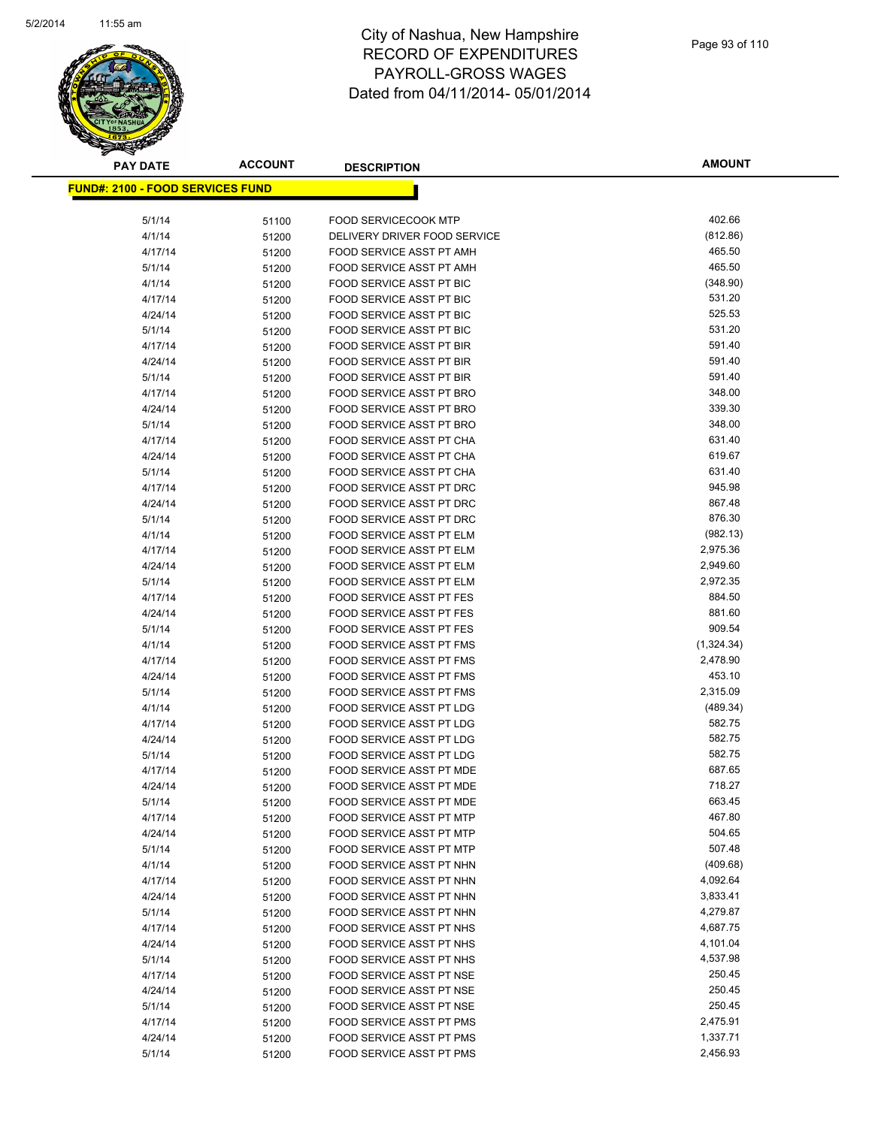

| <u> FUND#: 2100 - FOOD SERVICES FUND</u> |                |                                                             |                    |
|------------------------------------------|----------------|-------------------------------------------------------------|--------------------|
| 5/1/14                                   | 51100          | FOOD SERVICECOOK MTP                                        | 402.66             |
| 4/1/14                                   | 51200          | DELIVERY DRIVER FOOD SERVICE                                | (812.86)           |
| 4/17/14                                  | 51200          | FOOD SERVICE ASST PT AMH                                    | 465.50             |
| 5/1/14                                   | 51200          | FOOD SERVICE ASST PT AMH                                    | 465.50             |
| 4/1/14                                   | 51200          | FOOD SERVICE ASST PT BIC                                    | (348.90)           |
| 4/17/14                                  | 51200          | FOOD SERVICE ASST PT BIC                                    | 531.20             |
| 4/24/14                                  | 51200          | FOOD SERVICE ASST PT BIC                                    | 525.53             |
| 5/1/14                                   | 51200          | FOOD SERVICE ASST PT BIC                                    | 531.20             |
| 4/17/14                                  | 51200          | FOOD SERVICE ASST PT BIR                                    | 591.40             |
| 4/24/14                                  | 51200          | FOOD SERVICE ASST PT BIR                                    | 591.40             |
| 5/1/14                                   | 51200          | FOOD SERVICE ASST PT BIR                                    | 591.40             |
| 4/17/14                                  | 51200          | FOOD SERVICE ASST PT BRO                                    | 348.00             |
| 4/24/14                                  | 51200          | FOOD SERVICE ASST PT BRO                                    | 339.30             |
| 5/1/14                                   | 51200          | FOOD SERVICE ASST PT BRO                                    | 348.00             |
| 4/17/14                                  | 51200          | FOOD SERVICE ASST PT CHA                                    | 631.40             |
| 4/24/14                                  | 51200          | FOOD SERVICE ASST PT CHA                                    | 619.67             |
| 5/1/14                                   | 51200          | FOOD SERVICE ASST PT CHA                                    | 631.40             |
| 4/17/14                                  | 51200          | FOOD SERVICE ASST PT DRC                                    | 945.98             |
| 4/24/14                                  | 51200          | FOOD SERVICE ASST PT DRC                                    | 867.48             |
| 5/1/14                                   | 51200          | FOOD SERVICE ASST PT DRC                                    | 876.30             |
| 4/1/14                                   | 51200          | FOOD SERVICE ASST PT ELM                                    | (982.13)           |
| 4/17/14                                  | 51200          | FOOD SERVICE ASST PT ELM                                    | 2,975.36           |
| 4/24/14                                  | 51200          | <b>FOOD SERVICE ASST PT ELM</b>                             | 2,949.60           |
| 5/1/14                                   | 51200          | FOOD SERVICE ASST PT ELM                                    | 2,972.35           |
| 4/17/14                                  | 51200          | FOOD SERVICE ASST PT FES                                    | 884.50             |
| 4/24/14                                  | 51200          | FOOD SERVICE ASST PT FES                                    | 881.60             |
| 5/1/14                                   | 51200          | FOOD SERVICE ASST PT FES                                    | 909.54             |
| 4/1/14                                   | 51200          | FOOD SERVICE ASST PT FMS                                    | (1,324.34)         |
| 4/17/14                                  | 51200          | FOOD SERVICE ASST PT FMS                                    | 2,478.90           |
| 4/24/14                                  | 51200          | FOOD SERVICE ASST PT FMS                                    | 453.10             |
| 5/1/14                                   | 51200          | FOOD SERVICE ASST PT FMS                                    | 2,315.09           |
| 4/1/14                                   | 51200          | FOOD SERVICE ASST PT LDG                                    | (489.34)           |
| 4/17/14                                  | 51200          | <b>FOOD SERVICE ASST PT LDG</b>                             | 582.75             |
| 4/24/14                                  | 51200          | <b>FOOD SERVICE ASST PT LDG</b>                             | 582.75             |
| 5/1/14                                   | 51200          | FOOD SERVICE ASST PT LDG                                    | 582.75             |
| 4/17/14                                  | 51200          | FOOD SERVICE ASST PT MDE                                    | 687.65             |
| 4/24/14                                  | 51200          | FOOD SERVICE ASST PT MDE                                    | 718.27             |
| 5/1/14                                   | 51200          | FOOD SERVICE ASST PT MDE                                    | 663.45             |
| 4/17/14                                  | 51200          | FOOD SERVICE ASST PT MTP                                    | 467.80             |
| 4/24/14                                  | 51200          | FOOD SERVICE ASST PT MTP                                    | 504.65             |
| 5/1/14                                   | 51200          | <b>FOOD SERVICE ASST PT MTP</b>                             | 507.48             |
| 4/1/14                                   | 51200          | FOOD SERVICE ASST PT NHN                                    | (409.68)           |
| 4/17/14                                  | 51200          | FOOD SERVICE ASST PT NHN                                    | 4,092.64           |
| 4/24/14                                  | 51200          | FOOD SERVICE ASST PT NHN                                    | 3,833.41           |
| 5/1/14                                   | 51200          | FOOD SERVICE ASST PT NHN                                    | 4,279.87           |
| 4/17/14                                  | 51200          | FOOD SERVICE ASST PT NHS                                    | 4,687.75           |
| 4/24/14                                  | 51200          | FOOD SERVICE ASST PT NHS                                    | 4,101.04           |
| 5/1/14                                   | 51200          | FOOD SERVICE ASST PT NHS                                    | 4,537.98<br>250.45 |
| 4/17/14<br>4/24/14                       | 51200          | FOOD SERVICE ASST PT NSE<br><b>FOOD SERVICE ASST PT NSE</b> | 250.45             |
| 5/1/14                                   | 51200          | FOOD SERVICE ASST PT NSE                                    | 250.45             |
| 4/17/14                                  | 51200          | FOOD SERVICE ASST PT PMS                                    | 2,475.91           |
| 4/24/14                                  | 51200<br>51200 | FOOD SERVICE ASST PT PMS                                    | 1,337.71           |
| 5/1/14                                   | 51200          | FOOD SERVICE ASST PT PMS                                    | 2,456.93           |
|                                          |                |                                                             |                    |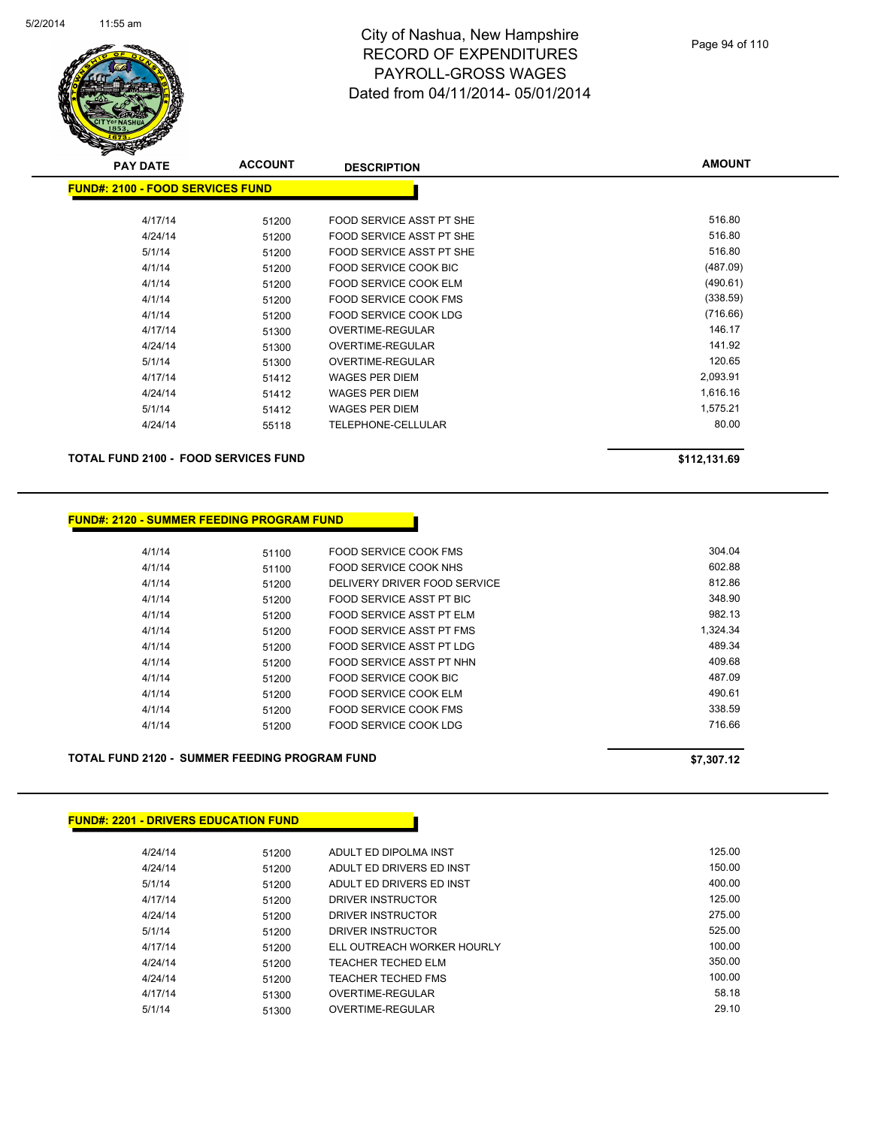

| <b>PAY DATE</b>                           | <b>ACCOUNT</b> | <b>DESCRIPTION</b>           | <b>AMOUNT</b> |
|-------------------------------------------|----------------|------------------------------|---------------|
| <u> FUND#: 2100 - FOOD SERVICES FUNDI</u> |                |                              |               |
|                                           |                |                              |               |
| 4/17/14                                   | 51200          | FOOD SERVICE ASST PT SHE     | 516.80        |
| 4/24/14                                   | 51200          | FOOD SERVICE ASST PT SHE     | 516.80        |
| 5/1/14                                    | 51200          | FOOD SERVICE ASST PT SHE     | 516.80        |
| 4/1/14                                    | 51200          | FOOD SERVICE COOK BIC        | (487.09)      |
| 4/1/14                                    | 51200          | <b>FOOD SERVICE COOK ELM</b> | (490.61)      |
| 4/1/14                                    | 51200          | <b>FOOD SERVICE COOK FMS</b> | (338.59)      |
| 4/1/14                                    | 51200          | FOOD SERVICE COOK LDG        | (716.66)      |
| 4/17/14                                   | 51300          | OVERTIME-REGULAR             | 146.17        |
| 4/24/14                                   | 51300          | <b>OVERTIME-REGULAR</b>      | 141.92        |
| 5/1/14                                    | 51300          | <b>OVERTIME-REGULAR</b>      | 120.65        |
| 4/17/14                                   | 51412          | <b>WAGES PER DIEM</b>        | 2,093.91      |
| 4/24/14                                   | 51412          | <b>WAGES PER DIEM</b>        | 1,616.16      |
| 5/1/14                                    | 51412          | <b>WAGES PER DIEM</b>        | 1,575.21      |
| 4/24/14                                   | 55118          | TELEPHONE-CELLULAR           | 80.00         |
|                                           |                |                              |               |

**TOTAL FUND 2100 - FOOD SERVICES FUND \$112,131.69** 

### **FUND#: 2120 - SUMMER FEEDING PROGRAM FUND**

| 4/1/14 | 51100 | FOOD SERVICE COOK FMS        | 304.04   |
|--------|-------|------------------------------|----------|
| 4/1/14 | 51100 | FOOD SERVICE COOK NHS        | 602.88   |
| 4/1/14 | 51200 | DELIVERY DRIVER FOOD SERVICE | 812.86   |
| 4/1/14 | 51200 | FOOD SERVICE ASST PT BIC     | 348.90   |
| 4/1/14 | 51200 | FOOD SERVICE ASST PT ELM     | 982.13   |
| 4/1/14 | 51200 | FOOD SERVICE ASST PT FMS     | 1.324.34 |
| 4/1/14 | 51200 | FOOD SERVICE ASST PT LDG     | 489.34   |
| 4/1/14 | 51200 | FOOD SERVICE ASST PT NHN     | 409.68   |
| 4/1/14 | 51200 | FOOD SERVICE COOK BIC        | 487.09   |
| 4/1/14 | 51200 | FOOD SERVICE COOK ELM        | 490.61   |
| 4/1/14 | 51200 | FOOD SERVICE COOK FMS        | 338.59   |
| 4/1/14 | 51200 | FOOD SERVICE COOK LDG        | 716.66   |
|        |       |                              |          |

### **TOTAL FUND 2120 - SUMMER FEEDING PROGRAM FUND \$7,307.12**

### **FUND#: 2201 - DRIVERS EDUCATION FUND**

| 4/24/14 | 51200 | ADULT ED DIPOLMA INST      | 125.00 |
|---------|-------|----------------------------|--------|
| 4/24/14 | 51200 | ADULT ED DRIVERS ED INST   | 150.00 |
| 5/1/14  | 51200 | ADULT ED DRIVERS ED INST   | 400.00 |
| 4/17/14 | 51200 | DRIVER INSTRUCTOR          | 125.00 |
| 4/24/14 | 51200 | DRIVER INSTRUCTOR          | 275.00 |
| 5/1/14  | 51200 | DRIVER INSTRUCTOR          | 525.00 |
| 4/17/14 | 51200 | ELL OUTREACH WORKER HOURLY | 100.00 |
| 4/24/14 | 51200 | <b>TEACHER TECHED ELM</b>  | 350.00 |
| 4/24/14 | 51200 | TEACHER TECHED FMS         | 100.00 |
| 4/17/14 | 51300 | OVERTIME-REGULAR           | 58.18  |
| 5/1/14  | 51300 | OVERTIME-REGULAR           | 29.10  |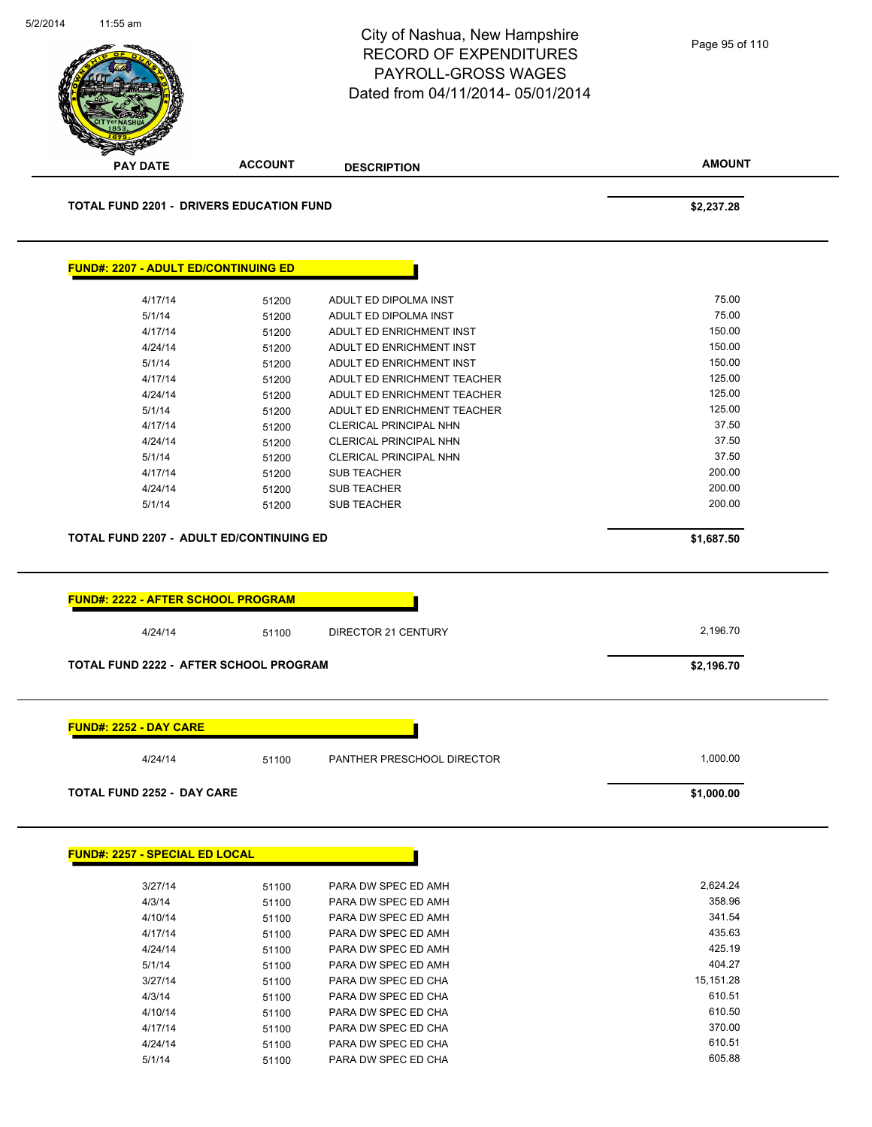|                                                           |                | City of Nashua, New Hampshire<br><b>RECORD OF EXPENDITURES</b><br><b>PAYROLL-GROSS WAGES</b><br>Dated from 04/11/2014-05/01/2014 | Page 95 of 110       |
|-----------------------------------------------------------|----------------|----------------------------------------------------------------------------------------------------------------------------------|----------------------|
| <b>PAY DATE</b>                                           | <b>ACCOUNT</b> | <b>DESCRIPTION</b>                                                                                                               | <b>AMOUNT</b>        |
| <b>TOTAL FUND 2201 - DRIVERS EDUCATION FUND</b>           |                |                                                                                                                                  | \$2,237.28           |
| <b>FUND#: 2207 - ADULT ED/CONTINUING ED</b>               |                |                                                                                                                                  |                      |
| 4/17/14                                                   | 51200          | ADULT ED DIPOLMA INST                                                                                                            | 75.00                |
| 5/1/14                                                    | 51200          | ADULT ED DIPOLMA INST                                                                                                            | 75.00                |
| 4/17/14                                                   | 51200          | ADULT ED ENRICHMENT INST                                                                                                         | 150.00               |
| 4/24/14                                                   | 51200          | ADULT ED ENRICHMENT INST                                                                                                         | 150.00               |
| 5/1/14                                                    | 51200          | ADULT ED ENRICHMENT INST                                                                                                         | 150.00               |
| 4/17/14                                                   | 51200          | ADULT ED ENRICHMENT TEACHER                                                                                                      | 125.00               |
| 4/24/14                                                   | 51200          | ADULT ED ENRICHMENT TEACHER                                                                                                      | 125.00               |
| 5/1/14                                                    | 51200          | ADULT ED ENRICHMENT TEACHER                                                                                                      | 125.00               |
| 4/17/14                                                   | 51200          | <b>CLERICAL PRINCIPAL NHN</b>                                                                                                    | 37.50                |
| 4/24/14                                                   | 51200          | <b>CLERICAL PRINCIPAL NHN</b>                                                                                                    | 37.50                |
| 5/1/14                                                    | 51200          | <b>CLERICAL PRINCIPAL NHN</b>                                                                                                    | 37.50                |
| 4/17/14                                                   | 51200          | <b>SUB TEACHER</b>                                                                                                               | 200.00               |
| 4/24/14                                                   | 51200          | <b>SUB TEACHER</b>                                                                                                               | 200.00               |
|                                                           |                |                                                                                                                                  |                      |
| 5/1/14<br><b>TOTAL FUND 2207 - ADULT ED/CONTINUING ED</b> | 51200          | <b>SUB TEACHER</b>                                                                                                               | 200.00<br>\$1,687.50 |
| <b>FUND#: 2222 - AFTER SCHOOL PROGRAM</b>                 |                |                                                                                                                                  |                      |
| 4/24/14                                                   | 51100          | DIRECTOR 21 CENTURY                                                                                                              | 2,196.70             |
| TOTAL FUND 2222 - AFTER SCHOOL PROGRAM                    |                |                                                                                                                                  | \$2,196.70           |
| <b>FUND#: 2252 - DAY CARE</b>                             |                |                                                                                                                                  |                      |
| 4/24/14                                                   | 51100          | PANTHER PRESCHOOL DIRECTOR                                                                                                       | 1,000.00             |
| <b>TOTAL FUND 2252 - DAY CARE</b>                         |                |                                                                                                                                  | \$1,000.00           |
| FUND#: 2257 - SPECIAL ED LOCAL                            |                |                                                                                                                                  |                      |
| 3/27/14                                                   |                | PARA DW SPEC ED AMH                                                                                                              | 2,624.24             |
| 4/3/14                                                    | 51100          | PARA DW SPEC ED AMH                                                                                                              | 358.96               |
| 4/10/14                                                   | 51100          | PARA DW SPEC ED AMH                                                                                                              | 341.54               |
| 4/17/14                                                   | 51100          | PARA DW SPEC ED AMH                                                                                                              | 435.63               |
|                                                           | 51100          |                                                                                                                                  | 425.19               |
| 4/24/14                                                   | 51100          | PARA DW SPEC ED AMH                                                                                                              |                      |
| 5/1/14                                                    | 51100          | PARA DW SPEC ED AMH                                                                                                              | 404.27               |
| 3/27/14                                                   | 51100          | PARA DW SPEC ED CHA                                                                                                              | 15,151.28            |
| 4/3/14                                                    | 51100          | PARA DW SPEC ED CHA                                                                                                              | 610.51               |
| 4/10/14                                                   | 51100          | PARA DW SPEC ED CHA                                                                                                              | 610.50               |
| 4/17/14<br>4/24/14                                        | 51100<br>51100 | PARA DW SPEC ED CHA<br>PARA DW SPEC ED CHA                                                                                       | 370.00<br>610.51     |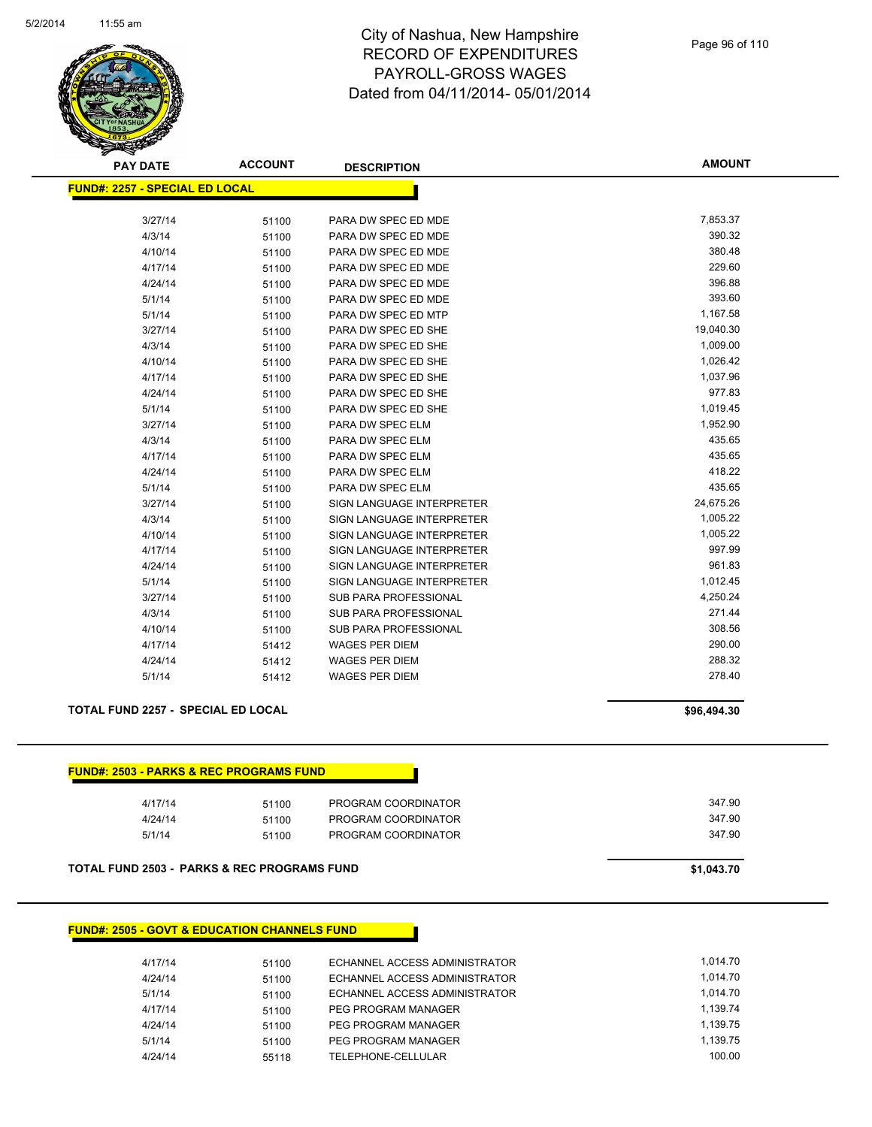

| Page 96 of 110 |  |  |
|----------------|--|--|
|                |  |  |

**AMOUNT**

| <b>FUND#: 2257 - SPECIAL ED LOCAL</b><br>3/27/14<br>PARA DW SPEC ED MDE<br>51100<br>4/3/14<br>51100<br>PARA DW SPEC ED MDE<br>4/10/14<br>PARA DW SPEC ED MDE<br>51100<br>4/17/14<br>PARA DW SPEC ED MDE<br>51100<br>4/24/14<br>PARA DW SPEC ED MDE<br>51100 | 7,853.37<br>390.32<br>380.48<br>229.60<br>396.88<br>393.60<br>1,167.58<br>19,040.30 |
|-------------------------------------------------------------------------------------------------------------------------------------------------------------------------------------------------------------------------------------------------------------|-------------------------------------------------------------------------------------|
|                                                                                                                                                                                                                                                             |                                                                                     |
|                                                                                                                                                                                                                                                             |                                                                                     |
|                                                                                                                                                                                                                                                             |                                                                                     |
|                                                                                                                                                                                                                                                             |                                                                                     |
|                                                                                                                                                                                                                                                             |                                                                                     |
|                                                                                                                                                                                                                                                             |                                                                                     |
|                                                                                                                                                                                                                                                             |                                                                                     |
| 5/1/14<br>PARA DW SPEC ED MDE<br>51100                                                                                                                                                                                                                      |                                                                                     |
| 5/1/14<br>PARA DW SPEC ED MTP<br>51100                                                                                                                                                                                                                      |                                                                                     |
| 3/27/14<br>PARA DW SPEC ED SHE<br>51100                                                                                                                                                                                                                     |                                                                                     |
| 4/3/14<br>PARA DW SPEC ED SHE<br>51100                                                                                                                                                                                                                      | 1,009.00                                                                            |
| 4/10/14<br>PARA DW SPEC ED SHE<br>51100                                                                                                                                                                                                                     | 1,026.42                                                                            |
| 4/17/14<br>PARA DW SPEC ED SHE<br>51100                                                                                                                                                                                                                     | 1,037.96                                                                            |
| PARA DW SPEC ED SHE<br>4/24/14<br>51100                                                                                                                                                                                                                     | 977.83                                                                              |
| 5/1/14<br>PARA DW SPEC ED SHE<br>51100                                                                                                                                                                                                                      | 1,019.45                                                                            |
| 3/27/14<br>PARA DW SPEC ELM<br>51100                                                                                                                                                                                                                        | 1,952.90                                                                            |
| 4/3/14<br>PARA DW SPEC ELM<br>51100                                                                                                                                                                                                                         | 435.65                                                                              |
| 4/17/14<br>PARA DW SPEC ELM<br>51100                                                                                                                                                                                                                        | 435.65                                                                              |
| 4/24/14<br>PARA DW SPEC ELM<br>51100                                                                                                                                                                                                                        | 418.22                                                                              |
| 5/1/14<br>PARA DW SPEC ELM<br>51100                                                                                                                                                                                                                         | 435.65                                                                              |
| SIGN LANGUAGE INTERPRETER<br>3/27/14<br>51100                                                                                                                                                                                                               | 24,675.26                                                                           |
| 4/3/14<br>SIGN LANGUAGE INTERPRETER<br>51100                                                                                                                                                                                                                | 1,005.22                                                                            |
| 4/10/14<br>SIGN LANGUAGE INTERPRETER<br>51100                                                                                                                                                                                                               | 1,005.22                                                                            |
| 4/17/14<br>SIGN LANGUAGE INTERPRETER<br>51100                                                                                                                                                                                                               | 997.99                                                                              |
| 4/24/14<br>SIGN LANGUAGE INTERPRETER<br>51100                                                                                                                                                                                                               | 961.83                                                                              |
| 5/1/14<br>SIGN LANGUAGE INTERPRETER<br>51100                                                                                                                                                                                                                | 1,012.45                                                                            |
| 3/27/14<br><b>SUB PARA PROFESSIONAL</b><br>51100                                                                                                                                                                                                            | 4,250.24                                                                            |
| 4/3/14<br><b>SUB PARA PROFESSIONAL</b><br>51100                                                                                                                                                                                                             | 271.44                                                                              |
| 4/10/14<br><b>SUB PARA PROFESSIONAL</b><br>51100                                                                                                                                                                                                            | 308.56                                                                              |
| 4/17/14<br><b>WAGES PER DIEM</b><br>51412                                                                                                                                                                                                                   | 290.00                                                                              |
| <b>WAGES PER DIEM</b><br>4/24/14<br>51412                                                                                                                                                                                                                   | 288.32                                                                              |
| 5/1/14<br><b>WAGES PER DIEM</b><br>51412                                                                                                                                                                                                                    | 278.40                                                                              |

## **TOTAL FUND 2257 - SPECIAL ED LOCAL \$96,494.30**

| 4/17/14 | 51100 | PROGRAM COORDINATOR | 347.90 |
|---------|-------|---------------------|--------|
| 4/24/14 | 51100 | PROGRAM COORDINATOR | 347.90 |
| 5/1/14  | 51100 | PROGRAM COORDINATOR | 347.90 |

## **FUND#: 2505 - GOVT & EDUCATION CHANNELS FUND**

| 4/17/14 | 51100 | ECHANNEL ACCESS ADMINISTRATOR | 1.014.70 |
|---------|-------|-------------------------------|----------|
| 4/24/14 | 51100 | ECHANNEL ACCESS ADMINISTRATOR | 1.014.70 |
| 5/1/14  | 51100 | ECHANNEL ACCESS ADMINISTRATOR | 1.014.70 |
| 4/17/14 | 51100 | PEG PROGRAM MANAGER           | 1.139.74 |
| 4/24/14 | 51100 | PEG PROGRAM MANAGER           | 1.139.75 |
| 5/1/14  | 51100 | PEG PROGRAM MANAGER           | 1.139.75 |
| 4/24/14 | 55118 | TELEPHONE-CELLULAR            | 100.00   |
|         |       |                               |          |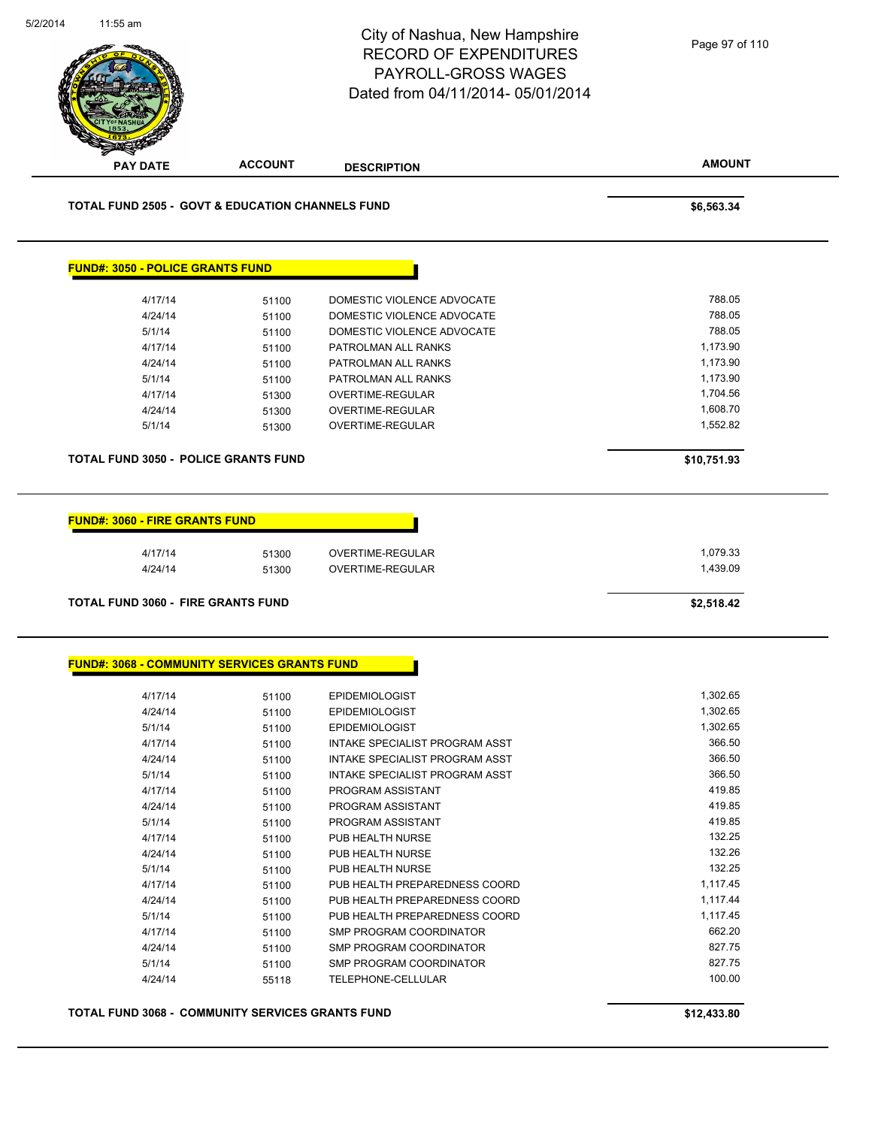|                                             |                                                             | City of Nashua, New Hampshire<br><b>RECORD OF EXPENDITURES</b><br>PAYROLL-GROSS WAGES<br>Dated from 04/11/2014-05/01/2014 | Page 97 of 110       |
|---------------------------------------------|-------------------------------------------------------------|---------------------------------------------------------------------------------------------------------------------------|----------------------|
| <b>PAY DATE</b>                             | <b>ACCOUNT</b>                                              | <b>DESCRIPTION</b>                                                                                                        | <b>AMOUNT</b>        |
|                                             | <b>TOTAL FUND 2505 - GOVT &amp; EDUCATION CHANNELS FUND</b> |                                                                                                                           | \$6,563.34           |
| <b>FUND#: 3050 - POLICE GRANTS FUND</b>     |                                                             |                                                                                                                           |                      |
| 4/17/14                                     | 51100                                                       | DOMESTIC VIOLENCE ADVOCATE                                                                                                | 788.05               |
| 4/24/14                                     | 51100                                                       | DOMESTIC VIOLENCE ADVOCATE                                                                                                | 788.05               |
| 5/1/14                                      | 51100                                                       | DOMESTIC VIOLENCE ADVOCATE                                                                                                | 788.05               |
| 4/17/14                                     | 51100                                                       | PATROLMAN ALL RANKS                                                                                                       | 1,173.90             |
| 4/24/14                                     | 51100                                                       | PATROLMAN ALL RANKS                                                                                                       | 1,173.90<br>1,173.90 |
| 5/1/14<br>4/17/14                           | 51100<br>51300                                              | PATROLMAN ALL RANKS<br>OVERTIME-REGULAR                                                                                   | 1,704.56             |
| 4/24/14                                     | 51300                                                       | OVERTIME-REGULAR                                                                                                          | 1,608.70             |
| 5/1/14                                      | 51300                                                       | <b>OVERTIME-REGULAR</b>                                                                                                   | 1,552.82             |
|                                             |                                                             |                                                                                                                           |                      |
| <b>TOTAL FUND 3050 - POLICE GRANTS FUND</b> |                                                             |                                                                                                                           | \$10,751.93          |
| <b>FUND#: 3060 - FIRE GRANTS FUND</b>       |                                                             |                                                                                                                           |                      |
| 4/17/14                                     | 51300                                                       | OVERTIME-REGULAR                                                                                                          | 1,079.33             |
| 4/24/14                                     | 51300                                                       | OVERTIME-REGULAR                                                                                                          | 1,439.09             |
| TOTAL FUND 3060 - FIRE GRANTS FUND          |                                                             |                                                                                                                           | \$2,518.42           |
|                                             | <b>FUND#: 3068 - COMMUNITY SERVICES GRANTS FUND</b>         |                                                                                                                           |                      |
| 4/17/14                                     | 51100                                                       | <b>EPIDEMIOLOGIST</b>                                                                                                     | 1,302.65             |
| 4/24/14                                     | 51100                                                       | <b>EPIDEMIOLOGIST</b>                                                                                                     | 1,302.65             |
| 5/1/14                                      | 51100                                                       | <b>EPIDEMIOLOGIST</b>                                                                                                     | 1,302.65             |
| 4/17/14                                     | 51100                                                       | INTAKE SPECIALIST PROGRAM ASST                                                                                            | 366.50               |
| 4/24/14                                     | 51100                                                       | INTAKE SPECIALIST PROGRAM ASST                                                                                            | 366.50<br>366.50     |
| 5/1/14<br>4/17/14                           | 51100<br>51100                                              | INTAKE SPECIALIST PROGRAM ASST<br>PROGRAM ASSISTANT                                                                       | 419.85               |
| 4/24/14                                     | 51100                                                       | PROGRAM ASSISTANT                                                                                                         | 419.85               |
| 5/1/14                                      | 51100                                                       | PROGRAM ASSISTANT                                                                                                         | 419.85               |
| 4/17/14                                     | 51100                                                       | PUB HEALTH NURSE                                                                                                          | 132.25               |
| 4/24/14                                     | 51100                                                       | PUB HEALTH NURSE                                                                                                          | 132.26               |
| 5/1/14                                      | 51100                                                       | PUB HEALTH NURSE                                                                                                          | 132.25               |
| 4/17/14                                     | 51100                                                       | PUB HEALTH PREPAREDNESS COORD                                                                                             | 1,117.45             |
| 4/24/14                                     | 51100                                                       | PUB HEALTH PREPAREDNESS COORD                                                                                             | 1,117.44             |
| 5/1/14                                      | 51100                                                       | PUB HEALTH PREPAREDNESS COORD                                                                                             | 1,117.45             |
| 4/17/14                                     | 51100                                                       | SMP PROGRAM COORDINATOR                                                                                                   | 662.20               |
|                                             | 51100                                                       | SMP PROGRAM COORDINATOR                                                                                                   | 827.75               |
| 4/24/14                                     |                                                             |                                                                                                                           |                      |
| 5/1/14                                      | 51100                                                       | SMP PROGRAM COORDINATOR                                                                                                   | 827.75               |
| 4/24/14                                     | 55118                                                       | TELEPHONE-CELLULAR                                                                                                        | 100.00               |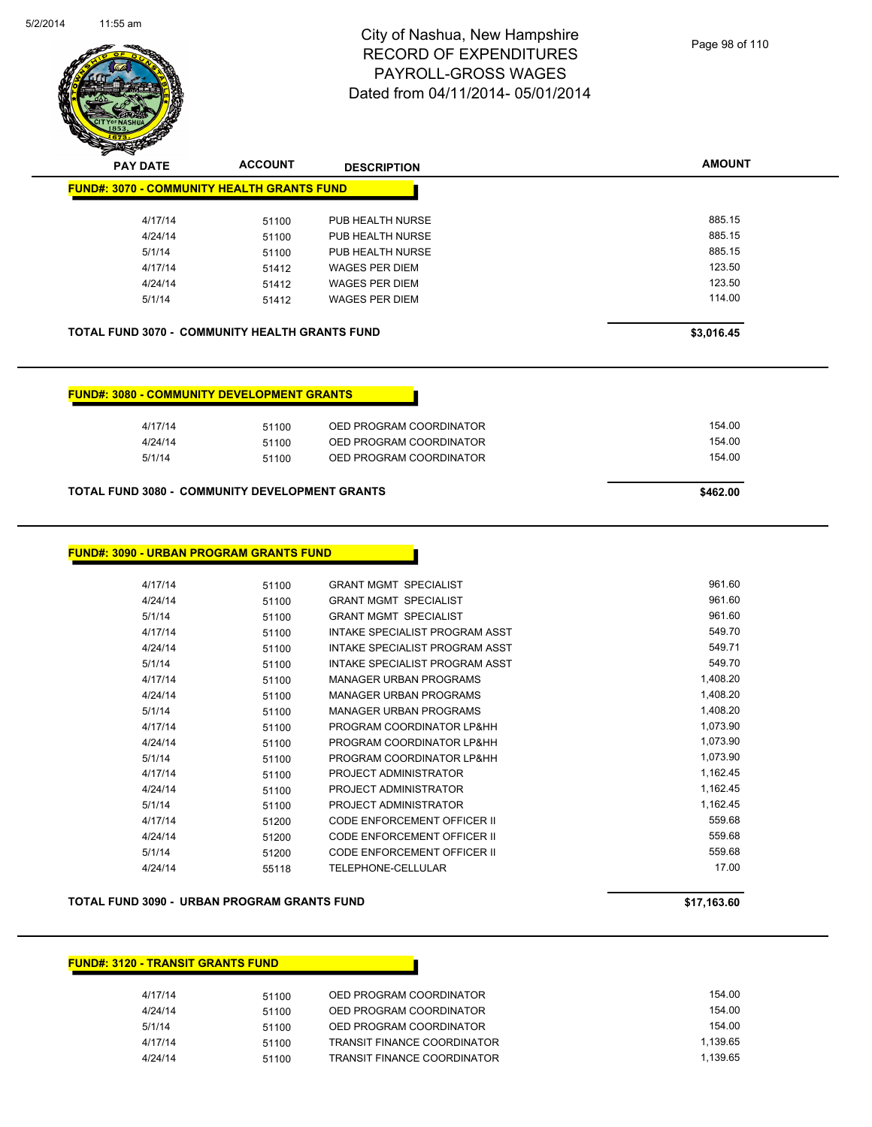

Page 98 of 110

| <b>PAY DATE</b>                                       | <b>ACCOUNT</b> | <b>DESCRIPTION</b>      | <b>AMOUNT</b> |
|-------------------------------------------------------|----------------|-------------------------|---------------|
| <b>FUND#: 3070 - COMMUNITY HEALTH GRANTS FUND</b>     |                |                         |               |
| 4/17/14                                               | 51100          | PUB HEALTH NURSE        | 885.15        |
| 4/24/14                                               | 51100          | PUB HEALTH NURSE        | 885.15        |
| 5/1/14                                                | 51100          | PUB HEALTH NURSE        | 885.15        |
| 4/17/14                                               | 51412          | <b>WAGES PER DIEM</b>   | 123.50        |
| 4/24/14                                               | 51412          | <b>WAGES PER DIEM</b>   | 123.50        |
|                                                       |                |                         | 114.00        |
| 5/1/14                                                | 51412          | WAGES PER DIEM          |               |
|                                                       |                |                         |               |
| <b>TOTAL FUND 3070 - COMMUNITY HEALTH GRANTS FUND</b> |                |                         | \$3,016.45    |
|                                                       |                |                         |               |
|                                                       |                |                         |               |
| <b>FUND#: 3080 - COMMUNITY DEVELOPMENT GRANTS</b>     |                |                         |               |
| 4/17/14                                               | 51100          | OED PROGRAM COORDINATOR | 154.00        |
| 4/24/14                                               | 51100          | OED PROGRAM COORDINATOR | 154.00        |

| TOTAL FUND 3080 - COMMUNITY DEVELOPMENT GRANTS | \$462.00 |
|------------------------------------------------|----------|
|------------------------------------------------|----------|

|  | <b>FUND#: 3090 - URBAN PROGRAM GRANTS FUND</b> |  |
|--|------------------------------------------------|--|
|--|------------------------------------------------|--|

| 4/17/14 | 51100 | <b>GRANT MGMT SPECIALIST</b>          | 961.60   |
|---------|-------|---------------------------------------|----------|
| 4/24/14 | 51100 | <b>GRANT MGMT SPECIALIST</b>          | 961.60   |
| 5/1/14  | 51100 | <b>GRANT MGMT SPECIALIST</b>          | 961.60   |
| 4/17/14 | 51100 | INTAKE SPECIALIST PROGRAM ASST        | 549.70   |
| 4/24/14 | 51100 | <b>INTAKE SPECIALIST PROGRAM ASST</b> | 549.71   |
| 5/1/14  | 51100 | INTAKE SPECIALIST PROGRAM ASST        | 549.70   |
| 4/17/14 | 51100 | <b>MANAGER URBAN PROGRAMS</b>         | 1,408.20 |
| 4/24/14 | 51100 | <b>MANAGER URBAN PROGRAMS</b>         | 1,408.20 |
| 5/1/14  | 51100 | <b>MANAGER URBAN PROGRAMS</b>         | 1,408.20 |
| 4/17/14 | 51100 | PROGRAM COORDINATOR LP&HH             | 1,073.90 |
| 4/24/14 | 51100 | PROGRAM COORDINATOR LP&HH             | 1,073.90 |
| 5/1/14  | 51100 | PROGRAM COORDINATOR LP&HH             | 1,073.90 |
| 4/17/14 | 51100 | PROJECT ADMINISTRATOR                 | 1,162.45 |
| 4/24/14 | 51100 | PROJECT ADMINISTRATOR                 | 1,162.45 |
| 5/1/14  | 51100 | PROJECT ADMINISTRATOR                 | 1,162.45 |
| 4/17/14 | 51200 | <b>CODE ENFORCEMENT OFFICER II</b>    | 559.68   |
| 4/24/14 | 51200 | CODE ENFORCEMENT OFFICER II           | 559.68   |
| 5/1/14  | 51200 | CODE ENFORCEMENT OFFICER II           | 559.68   |
| 4/24/14 | 55118 | <b>TELEPHONE-CELLULAR</b>             | 17.00    |
|         |       |                                       |          |

#### **TOTAL FUND 3090 - URBAN PROGRAM GRANTS FUND \$17,163.60**

## **FUND#: 3120 - TRANSIT GRANTS FUND**

| 4/17/14 | 51100 | OED PROGRAM COORDINATOR     | 154.00   |
|---------|-------|-----------------------------|----------|
| 4/24/14 | 51100 | OED PROGRAM COORDINATOR     | 154.00   |
| 5/1/14  | 51100 | OED PROGRAM COORDINATOR     | 154.00   |
| 4/17/14 | 51100 | TRANSIT FINANCE COORDINATOR | 1.139.65 |
| 4/24/14 | 51100 | TRANSIT FINANCE COORDINATOR | 1.139.65 |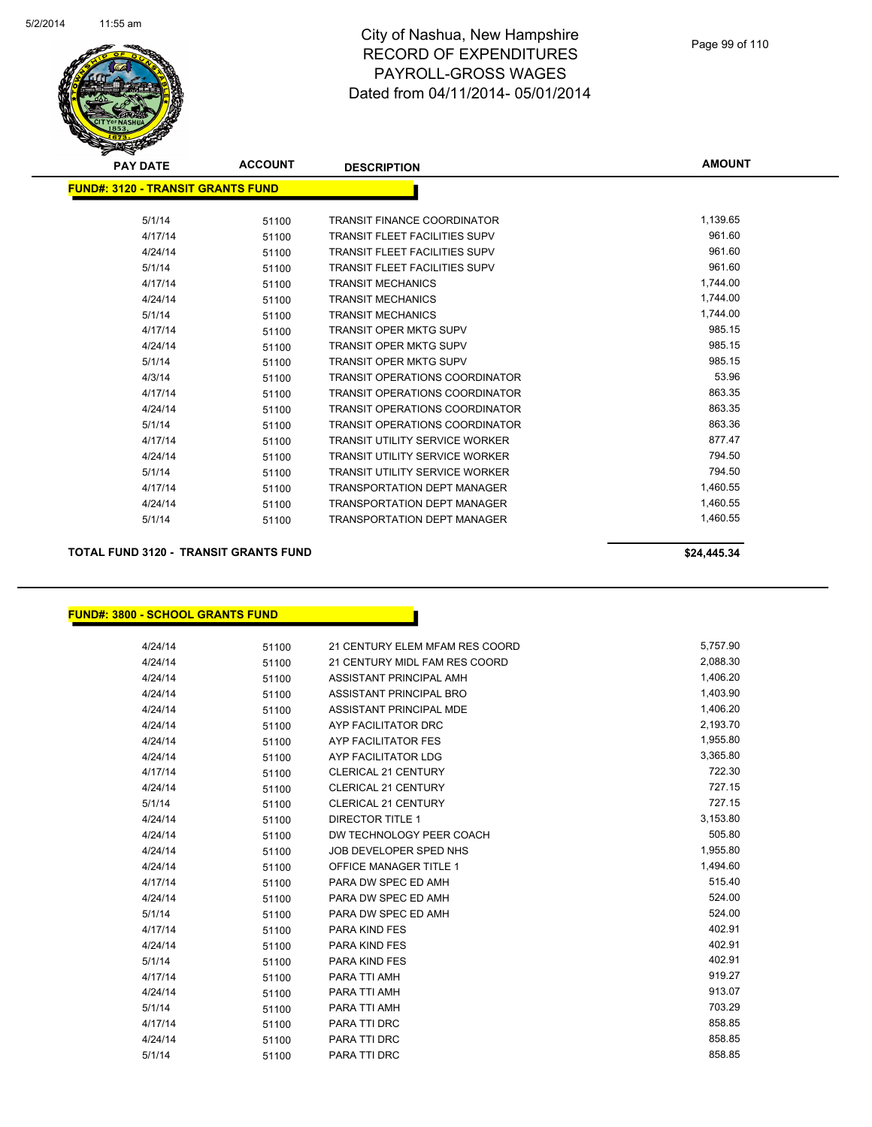

| <b>PAY DATE</b>                   | <b>ACCOUNT</b> | <b>DESCRIPTION</b>                    | <b>AMOUNT</b> |
|-----------------------------------|----------------|---------------------------------------|---------------|
| FUND#: 3120 - TRANSIT GRANTS FUND |                |                                       |               |
|                                   |                |                                       |               |
| 5/1/14                            | 51100          | <b>TRANSIT FINANCE COORDINATOR</b>    | 1,139.65      |
| 4/17/14                           | 51100          | <b>TRANSIT FLEET FACILITIES SUPV</b>  | 961.60        |
| 4/24/14                           | 51100          | <b>TRANSIT FLEET FACILITIES SUPV</b>  | 961.60        |
| 5/1/14                            | 51100          | <b>TRANSIT FLEET FACILITIES SUPV</b>  | 961.60        |
| 4/17/14                           | 51100          | <b>TRANSIT MECHANICS</b>              | 1,744.00      |
| 4/24/14                           | 51100          | <b>TRANSIT MECHANICS</b>              | 1,744.00      |
| 5/1/14                            | 51100          | <b>TRANSIT MECHANICS</b>              | 1,744.00      |
| 4/17/14                           | 51100          | <b>TRANSIT OPER MKTG SUPV</b>         | 985.15        |
| 4/24/14                           | 51100          | <b>TRANSIT OPER MKTG SUPV</b>         | 985.15        |
| 5/1/14                            | 51100          | <b>TRANSIT OPER MKTG SUPV</b>         | 985.15        |
| 4/3/14                            | 51100          | <b>TRANSIT OPERATIONS COORDINATOR</b> | 53.96         |
| 4/17/14                           | 51100          | <b>TRANSIT OPERATIONS COORDINATOR</b> | 863.35        |
| 4/24/14                           | 51100          | <b>TRANSIT OPERATIONS COORDINATOR</b> | 863.35        |
| 5/1/14                            | 51100          | <b>TRANSIT OPERATIONS COORDINATOR</b> | 863.36        |
| 4/17/14                           | 51100          | <b>TRANSIT UTILITY SERVICE WORKER</b> | 877.47        |
| 4/24/14                           | 51100          | <b>TRANSIT UTILITY SERVICE WORKER</b> | 794.50        |
| 5/1/14                            | 51100          | <b>TRANSIT UTILITY SERVICE WORKER</b> | 794.50        |
| 4/17/14                           | 51100          | <b>TRANSPORTATION DEPT MANAGER</b>    | 1,460.55      |
| 4/24/14                           | 51100          | <b>TRANSPORTATION DEPT MANAGER</b>    | 1,460.55      |
| 5/1/14                            | 51100          | <b>TRANSPORTATION DEPT MANAGER</b>    | 1,460.55      |

## **TOTAL FUND 3120 - TRANSIT GRANTS FUND \$24,445.34**

### **FUND#: 3800 - SCHOOL GRANTS FUND**

| 4/24/14 | 51100 | 21 CENTURY ELEM MFAM RES COORD | 5,757.90 |
|---------|-------|--------------------------------|----------|
| 4/24/14 | 51100 | 21 CENTURY MIDL FAM RES COORD  | 2,088.30 |
| 4/24/14 | 51100 | ASSISTANT PRINCIPAL AMH        | 1,406.20 |
| 4/24/14 | 51100 | ASSISTANT PRINCIPAL BRO        | 1,403.90 |
| 4/24/14 | 51100 | ASSISTANT PRINCIPAL MDE        | 1,406.20 |
| 4/24/14 | 51100 | AYP FACILITATOR DRC            | 2,193.70 |
| 4/24/14 | 51100 | AYP FACILITATOR FES            | 1,955.80 |
| 4/24/14 | 51100 | AYP FACILITATOR LDG            | 3,365.80 |
| 4/17/14 | 51100 | <b>CLERICAL 21 CENTURY</b>     | 722.30   |
| 4/24/14 | 51100 | CLERICAL 21 CENTURY            | 727.15   |
| 5/1/14  | 51100 | <b>CLERICAL 21 CENTURY</b>     | 727.15   |
| 4/24/14 | 51100 | <b>DIRECTOR TITLE 1</b>        | 3,153.80 |
| 4/24/14 | 51100 | DW TECHNOLOGY PEER COACH       | 505.80   |
| 4/24/14 | 51100 | JOB DEVELOPER SPED NHS         | 1,955.80 |
| 4/24/14 | 51100 | <b>OFFICE MANAGER TITLE 1</b>  | 1,494.60 |
| 4/17/14 | 51100 | PARA DW SPEC ED AMH            | 515.40   |
| 4/24/14 | 51100 | PARA DW SPEC ED AMH            | 524.00   |
| 5/1/14  | 51100 | PARA DW SPEC ED AMH            | 524.00   |
| 4/17/14 | 51100 | <b>PARA KIND FES</b>           | 402.91   |
| 4/24/14 | 51100 | PARA KIND FES                  | 402.91   |
| 5/1/14  | 51100 | <b>PARA KIND FES</b>           | 402.91   |
| 4/17/14 | 51100 | PARA TTI AMH                   | 919.27   |
| 4/24/14 | 51100 | PARA TTI AMH                   | 913.07   |
| 5/1/14  | 51100 | PARA TTI AMH                   | 703.29   |
| 4/17/14 | 51100 | PARA TTI DRC                   | 858.85   |
| 4/24/14 | 51100 | PARA TTI DRC                   | 858.85   |
| 5/1/14  | 51100 | PARA TTI DRC                   | 858.85   |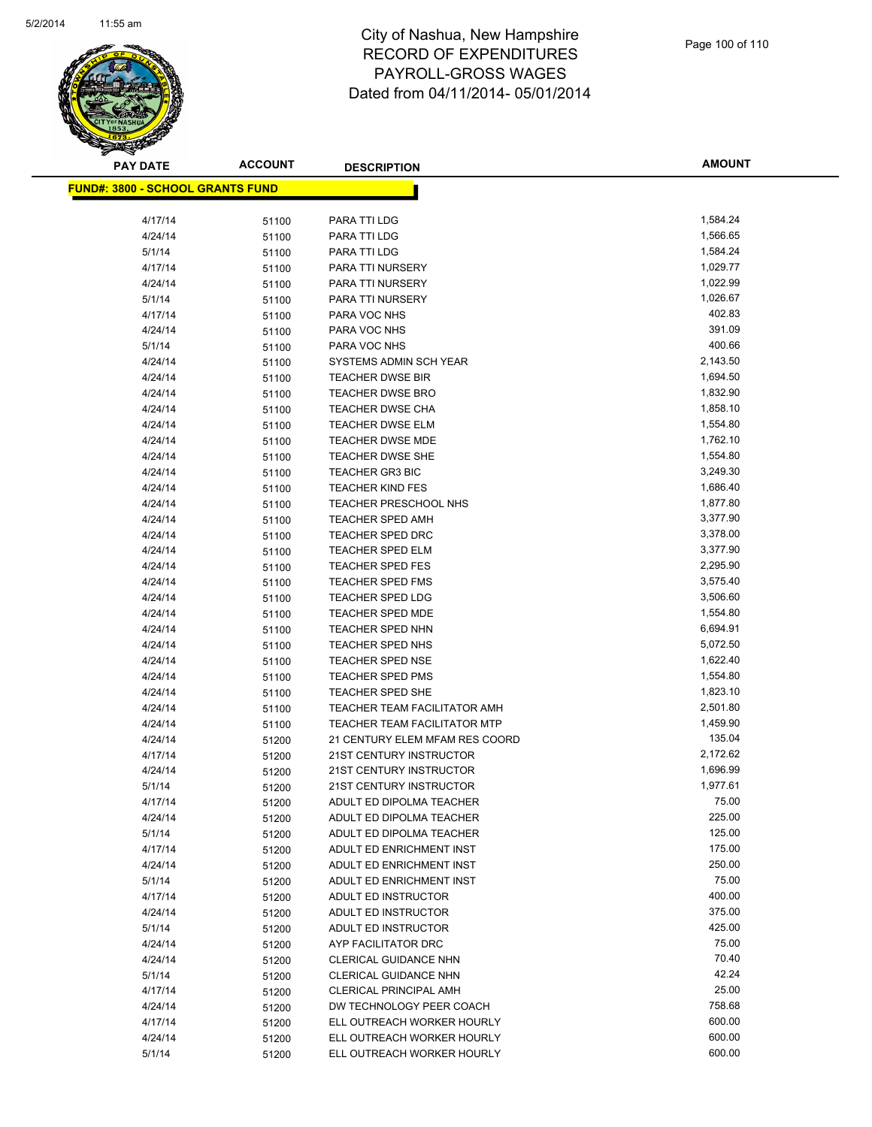

| <u> FUND#: 3800 - SCHOOL GRANTS FUND</u> |       |                                     |          |
|------------------------------------------|-------|-------------------------------------|----------|
| 4/17/14                                  | 51100 | PARA TTI LDG                        | 1,584.24 |
| 4/24/14                                  | 51100 | PARA TTI LDG                        | 1,566.65 |
| 5/1/14                                   | 51100 | PARA TTI LDG                        | 1,584.24 |
| 4/17/14                                  | 51100 | PARA TTI NURSERY                    | 1,029.77 |
| 4/24/14                                  | 51100 | PARA TTI NURSERY                    | 1,022.99 |
| 5/1/14                                   | 51100 | PARA TTI NURSERY                    | 1,026.67 |
| 4/17/14                                  | 51100 | PARA VOC NHS                        | 402.83   |
| 4/24/14                                  | 51100 | PARA VOC NHS                        | 391.09   |
| 5/1/14                                   | 51100 | PARA VOC NHS                        | 400.66   |
| 4/24/14                                  | 51100 | SYSTEMS ADMIN SCH YEAR              | 2,143.50 |
| 4/24/14                                  | 51100 | <b>TEACHER DWSE BIR</b>             | 1,694.50 |
| 4/24/14                                  | 51100 | <b>TEACHER DWSE BRO</b>             | 1,832.90 |
| 4/24/14                                  | 51100 | <b>TEACHER DWSE CHA</b>             | 1,858.10 |
| 4/24/14                                  | 51100 | <b>TEACHER DWSE ELM</b>             | 1,554.80 |
| 4/24/14                                  | 51100 | <b>TEACHER DWSE MDE</b>             | 1,762.10 |
| 4/24/14                                  | 51100 | TEACHER DWSE SHE                    | 1,554.80 |
| 4/24/14                                  | 51100 | <b>TEACHER GR3 BIC</b>              | 3,249.30 |
| 4/24/14                                  | 51100 | <b>TEACHER KIND FES</b>             | 1,686.40 |
| 4/24/14                                  | 51100 | <b>TEACHER PRESCHOOL NHS</b>        | 1,877.80 |
| 4/24/14                                  | 51100 | <b>TEACHER SPED AMH</b>             | 3,377.90 |
| 4/24/14                                  | 51100 | TEACHER SPED DRC                    | 3,378.00 |
| 4/24/14                                  | 51100 | <b>TEACHER SPED ELM</b>             | 3,377.90 |
| 4/24/14                                  | 51100 | <b>TEACHER SPED FES</b>             | 2,295.90 |
| 4/24/14                                  | 51100 | <b>TEACHER SPED FMS</b>             | 3,575.40 |
| 4/24/14                                  | 51100 | <b>TEACHER SPED LDG</b>             | 3,506.60 |
| 4/24/14                                  | 51100 | <b>TEACHER SPED MDE</b>             | 1,554.80 |
| 4/24/14                                  | 51100 | <b>TEACHER SPED NHN</b>             | 6,694.91 |
| 4/24/14                                  | 51100 | TEACHER SPED NHS                    | 5,072.50 |
| 4/24/14                                  | 51100 | <b>TEACHER SPED NSE</b>             | 1,622.40 |
| 4/24/14                                  | 51100 | <b>TEACHER SPED PMS</b>             | 1,554.80 |
| 4/24/14                                  | 51100 | <b>TEACHER SPED SHE</b>             | 1,823.10 |
| 4/24/14                                  | 51100 | TEACHER TEAM FACILITATOR AMH        | 2,501.80 |
| 4/24/14                                  | 51100 | <b>TEACHER TEAM FACILITATOR MTP</b> | 1,459.90 |
| 4/24/14                                  | 51200 | 21 CENTURY ELEM MFAM RES COORD      | 135.04   |
| 4/17/14                                  | 51200 | 21ST CENTURY INSTRUCTOR             | 2,172.62 |
| 4/24/14                                  | 51200 | 21ST CENTURY INSTRUCTOR             | 1,696.99 |
| 5/1/14                                   | 51200 | 21ST CENTURY INSTRUCTOR             | 1,977.61 |
| 4/17/14                                  | 51200 | ADULT ED DIPOLMA TEACHER            | 75.00    |
| 4/24/14                                  | 51200 | ADULT ED DIPOLMA TEACHER            | 225.00   |
| 5/1/14                                   | 51200 | ADULT ED DIPOLMA TEACHER            | 125.00   |
| 4/17/14                                  | 51200 | ADULT ED ENRICHMENT INST            | 175.00   |
| 4/24/14                                  | 51200 | ADULT ED ENRICHMENT INST            | 250.00   |
| 5/1/14                                   | 51200 | ADULT ED ENRICHMENT INST            | 75.00    |
| 4/17/14                                  | 51200 | ADULT ED INSTRUCTOR                 | 400.00   |
| 4/24/14                                  | 51200 | ADULT ED INSTRUCTOR                 | 375.00   |
| 5/1/14                                   | 51200 | ADULT ED INSTRUCTOR                 | 425.00   |
| 4/24/14                                  | 51200 | AYP FACILITATOR DRC                 | 75.00    |
| 4/24/14                                  | 51200 | CLERICAL GUIDANCE NHN               | 70.40    |
| 5/1/14                                   | 51200 | CLERICAL GUIDANCE NHN               | 42.24    |
| 4/17/14                                  | 51200 | <b>CLERICAL PRINCIPAL AMH</b>       | 25.00    |
| 4/24/14                                  | 51200 | DW TECHNOLOGY PEER COACH            | 758.68   |
| 4/17/14                                  | 51200 | ELL OUTREACH WORKER HOURLY          | 600.00   |
| 4/24/14                                  | 51200 | ELL OUTREACH WORKER HOURLY          | 600.00   |
| 5/1/14                                   | 51200 | ELL OUTREACH WORKER HOURLY          | 600.00   |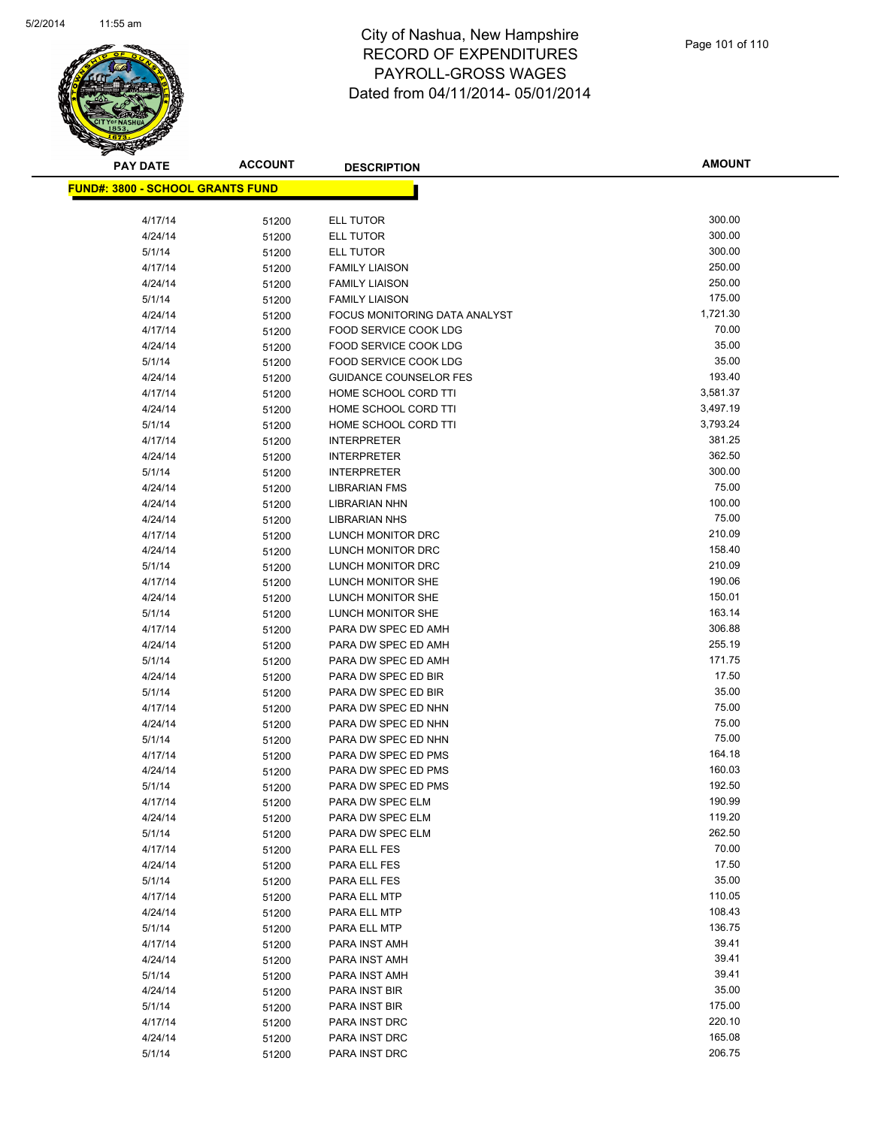

| <u> FUND#: 3800 - SCHOOL GRANTS FUND</u> |       |                                                  |          |
|------------------------------------------|-------|--------------------------------------------------|----------|
| 4/17/14                                  | 51200 | <b>ELL TUTOR</b>                                 | 300.00   |
| 4/24/14                                  | 51200 | <b>ELL TUTOR</b>                                 | 300.00   |
| 5/1/14                                   | 51200 | ELL TUTOR                                        | 300.00   |
| 4/17/14                                  | 51200 | <b>FAMILY LIAISON</b>                            | 250.00   |
| 4/24/14                                  | 51200 | <b>FAMILY LIAISON</b>                            | 250.00   |
| 5/1/14                                   | 51200 | <b>FAMILY LIAISON</b>                            | 175.00   |
| 4/24/14                                  | 51200 | FOCUS MONITORING DATA ANALYST                    | 1,721.30 |
| 4/17/14                                  | 51200 | FOOD SERVICE COOK LDG                            | 70.00    |
| 4/24/14                                  | 51200 | FOOD SERVICE COOK LDG                            | 35.00    |
| 5/1/14                                   | 51200 | <b>FOOD SERVICE COOK LDG</b>                     | 35.00    |
| 4/24/14                                  | 51200 | <b>GUIDANCE COUNSELOR FES</b>                    | 193.40   |
| 4/17/14                                  | 51200 | HOME SCHOOL CORD TTI                             | 3,581.37 |
| 4/24/14                                  | 51200 | HOME SCHOOL CORD TTI                             | 3,497.19 |
| 5/1/14                                   | 51200 | HOME SCHOOL CORD TTI                             | 3,793.24 |
| 4/17/14                                  | 51200 | <b>INTERPRETER</b>                               | 381.25   |
| 4/24/14                                  | 51200 | <b>INTERPRETER</b>                               | 362.50   |
| 5/1/14                                   |       | <b>INTERPRETER</b>                               | 300.00   |
| 4/24/14                                  | 51200 | <b>LIBRARIAN FMS</b>                             | 75.00    |
|                                          | 51200 |                                                  | 100.00   |
| 4/24/14                                  | 51200 | LIBRARIAN NHN                                    | 75.00    |
| 4/24/14                                  | 51200 | <b>LIBRARIAN NHS</b><br><b>LUNCH MONITOR DRC</b> | 210.09   |
| 4/17/14                                  | 51200 |                                                  | 158.40   |
| 4/24/14                                  | 51200 | LUNCH MONITOR DRC                                | 210.09   |
| 5/1/14                                   | 51200 | LUNCH MONITOR DRC                                | 190.06   |
| 4/17/14                                  | 51200 | LUNCH MONITOR SHE                                |          |
| 4/24/14                                  | 51200 | LUNCH MONITOR SHE                                | 150.01   |
| 5/1/14                                   | 51200 | LUNCH MONITOR SHE                                | 163.14   |
| 4/17/14                                  | 51200 | PARA DW SPEC ED AMH                              | 306.88   |
| 4/24/14                                  | 51200 | PARA DW SPEC ED AMH                              | 255.19   |
| 5/1/14                                   | 51200 | PARA DW SPEC ED AMH                              | 171.75   |
| 4/24/14                                  | 51200 | PARA DW SPEC ED BIR                              | 17.50    |
| 5/1/14                                   | 51200 | PARA DW SPEC ED BIR                              | 35.00    |
| 4/17/14                                  | 51200 | PARA DW SPEC ED NHN                              | 75.00    |
| 4/24/14                                  | 51200 | PARA DW SPEC ED NHN                              | 75.00    |
| 5/1/14                                   | 51200 | PARA DW SPEC ED NHN                              | 75.00    |
| 4/17/14                                  | 51200 | PARA DW SPEC ED PMS                              | 164.18   |
| 4/24/14                                  | 51200 | PARA DW SPEC ED PMS                              | 160.03   |
| 5/1/14                                   | 51200 | PARA DW SPEC ED PMS                              | 192.50   |
| 4/17/14                                  | 51200 | PARA DW SPEC ELM                                 | 190.99   |
| 4/24/14                                  | 51200 | PARA DW SPEC ELM                                 | 119.20   |
| 5/1/14                                   | 51200 | PARA DW SPEC ELM                                 | 262.50   |
| 4/17/14                                  | 51200 | PARA ELL FES                                     | 70.00    |
| 4/24/14                                  | 51200 | PARA ELL FES                                     | 17.50    |
| 5/1/14                                   | 51200 | PARA ELL FES                                     | 35.00    |
| 4/17/14                                  | 51200 | PARA ELL MTP                                     | 110.05   |
| 4/24/14                                  | 51200 | PARA ELL MTP                                     | 108.43   |
| 5/1/14                                   | 51200 | PARA ELL MTP                                     | 136.75   |
| 4/17/14                                  | 51200 | PARA INST AMH                                    | 39.41    |
| 4/24/14                                  | 51200 | PARA INST AMH                                    | 39.41    |
| 5/1/14                                   | 51200 | PARA INST AMH                                    | 39.41    |
| 4/24/14                                  | 51200 | PARA INST BIR                                    | 35.00    |
| 5/1/14                                   | 51200 | PARA INST BIR                                    | 175.00   |
| 4/17/14                                  | 51200 | PARA INST DRC                                    | 220.10   |
| 4/24/14                                  | 51200 | PARA INST DRC                                    | 165.08   |
| 5/1/14                                   | 51200 | PARA INST DRC                                    | 206.75   |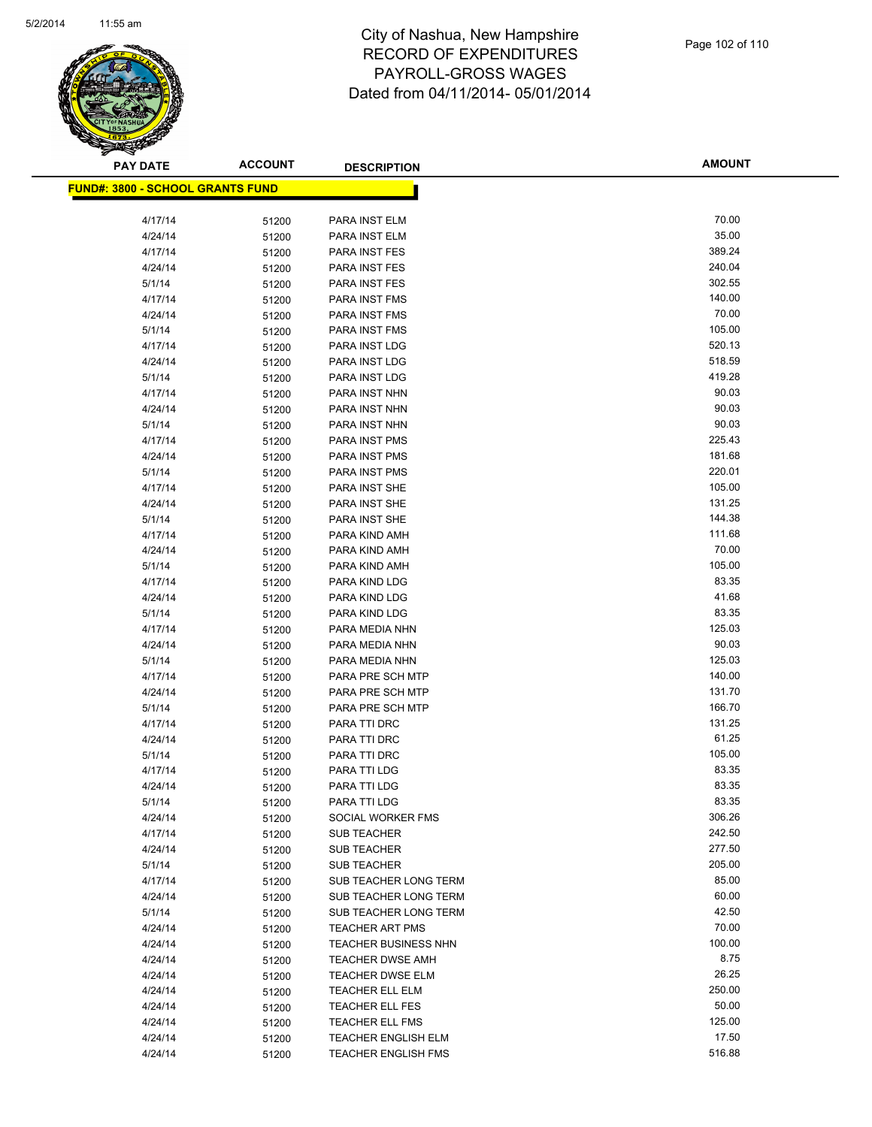

| <u> FUND#: 3800 - SCHOOL GRANTS FUND</u> |       |                             |                  |
|------------------------------------------|-------|-----------------------------|------------------|
| 4/17/14                                  |       | PARA INST ELM               | 70.00            |
| 4/24/14                                  | 51200 | PARA INST ELM               | 35.00            |
| 4/17/14                                  | 51200 | PARA INST FES               | 389.24           |
|                                          | 51200 | PARA INST FES               | 240.04           |
| 4/24/14                                  | 51200 |                             | 302.55           |
| 5/1/14                                   | 51200 | PARA INST FES               |                  |
| 4/17/14                                  | 51200 | PARA INST FMS               | 140.00<br>70.00  |
| 4/24/14                                  | 51200 | PARA INST FMS               |                  |
| 5/1/14                                   | 51200 | PARA INST FMS               | 105.00<br>520.13 |
| 4/17/14                                  | 51200 | PARA INST LDG               |                  |
| 4/24/14                                  | 51200 | PARA INST LDG               | 518.59<br>419.28 |
| 5/1/14                                   | 51200 | PARA INST LDG               |                  |
| 4/17/14                                  | 51200 | PARA INST NHN               | 90.03            |
| 4/24/14                                  | 51200 | PARA INST NHN               | 90.03            |
| 5/1/14                                   | 51200 | PARA INST NHN               | 90.03            |
| 4/17/14                                  | 51200 | PARA INST PMS               | 225.43           |
| 4/24/14                                  | 51200 | PARA INST PMS               | 181.68           |
| 5/1/14                                   | 51200 | PARA INST PMS               | 220.01           |
| 4/17/14                                  | 51200 | PARA INST SHE               | 105.00           |
| 4/24/14                                  | 51200 | PARA INST SHE               | 131.25           |
| 5/1/14                                   | 51200 | PARA INST SHE               | 144.38           |
| 4/17/14                                  | 51200 | PARA KIND AMH               | 111.68           |
| 4/24/14                                  | 51200 | PARA KIND AMH               | 70.00            |
| 5/1/14                                   | 51200 | PARA KIND AMH               | 105.00           |
| 4/17/14                                  | 51200 | PARA KIND LDG               | 83.35            |
| 4/24/14                                  | 51200 | PARA KIND LDG               | 41.68            |
| 5/1/14                                   | 51200 | PARA KIND LDG               | 83.35            |
| 4/17/14                                  | 51200 | PARA MEDIA NHN              | 125.03           |
| 4/24/14                                  | 51200 | PARA MEDIA NHN              | 90.03            |
| 5/1/14                                   | 51200 | PARA MEDIA NHN              | 125.03           |
| 4/17/14                                  | 51200 | PARA PRE SCH MTP            | 140.00           |
| 4/24/14                                  | 51200 | PARA PRE SCH MTP            | 131.70           |
| 5/1/14                                   | 51200 | PARA PRE SCH MTP            | 166.70           |
| 4/17/14                                  | 51200 | PARA TTI DRC                | 131.25           |
| 4/24/14                                  | 51200 | PARA TTI DRC                | 61.25            |
| 5/1/14                                   | 51200 | PARA TTI DRC                | 105.00           |
| 4/17/14                                  | 51200 | PARA TTI LDG                | 83.35            |
| 4/24/14                                  | 51200 | PARA TTI LDG                | 83.35            |
| 5/1/14                                   | 51200 | PARA TTI LDG                | 83.35            |
| 4/24/14                                  | 51200 | SOCIAL WORKER FMS           | 306.26           |
| 4/17/14                                  | 51200 | <b>SUB TEACHER</b>          | 242.50           |
| 4/24/14                                  | 51200 | <b>SUB TEACHER</b>          | 277.50           |
| 5/1/14                                   | 51200 | <b>SUB TEACHER</b>          | 205.00           |
| 4/17/14                                  | 51200 | SUB TEACHER LONG TERM       | 85.00            |
| 4/24/14                                  | 51200 | SUB TEACHER LONG TERM       | 60.00            |
| 5/1/14                                   | 51200 | SUB TEACHER LONG TERM       | 42.50            |
| 4/24/14                                  | 51200 | <b>TEACHER ART PMS</b>      | 70.00            |
| 4/24/14                                  | 51200 | <b>TEACHER BUSINESS NHN</b> | 100.00           |
| 4/24/14                                  | 51200 | TEACHER DWSE AMH            | 8.75             |
| 4/24/14                                  | 51200 | TEACHER DWSE ELM            | 26.25            |
| 4/24/14                                  | 51200 | TEACHER ELL ELM             | 250.00           |
| 4/24/14                                  | 51200 | <b>TEACHER ELL FES</b>      | 50.00            |
| 4/24/14                                  | 51200 | TEACHER ELL FMS             | 125.00           |
| 4/24/14                                  | 51200 | <b>TEACHER ENGLISH ELM</b>  | 17.50            |
| 4/24/14                                  | 51200 | <b>TEACHER ENGLISH FMS</b>  | 516.88           |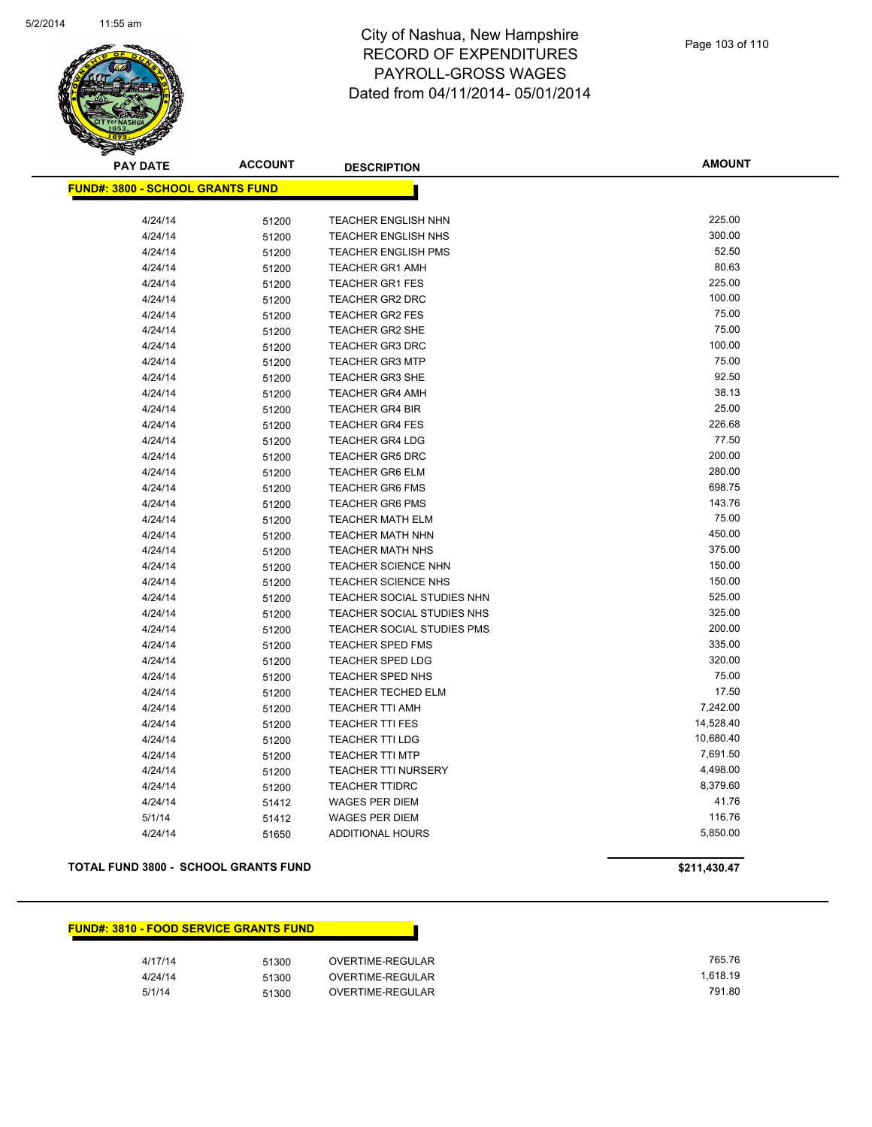

**AMOUNT**

| <u> FUND#: 3800 - SCHOOL GRANTS FUND</u> |       |                            |           |
|------------------------------------------|-------|----------------------------|-----------|
|                                          |       |                            |           |
| 4/24/14                                  | 51200 | <b>TEACHER ENGLISH NHN</b> | 225.00    |
| 4/24/14                                  | 51200 | TEACHER ENGLISH NHS        | 300.00    |
| 4/24/14                                  | 51200 | <b>TEACHER ENGLISH PMS</b> | 52.50     |
| 4/24/14                                  | 51200 | <b>TEACHER GR1 AMH</b>     | 80.63     |
| 4/24/14                                  | 51200 | <b>TEACHER GR1 FES</b>     | 225.00    |
| 4/24/14                                  | 51200 | <b>TEACHER GR2 DRC</b>     | 100.00    |
| 4/24/14                                  | 51200 | <b>TEACHER GR2 FES</b>     | 75.00     |
| 4/24/14                                  | 51200 | <b>TEACHER GR2 SHE</b>     | 75.00     |
| 4/24/14                                  | 51200 | <b>TEACHER GR3 DRC</b>     | 100.00    |
| 4/24/14                                  | 51200 | <b>TEACHER GR3 MTP</b>     | 75.00     |
| 4/24/14                                  | 51200 | <b>TEACHER GR3 SHE</b>     | 92.50     |
| 4/24/14                                  | 51200 | <b>TEACHER GR4 AMH</b>     | 38.13     |
| 4/24/14                                  | 51200 | <b>TEACHER GR4 BIR</b>     | 25.00     |
| 4/24/14                                  | 51200 | <b>TEACHER GR4 FES</b>     | 226.68    |
| 4/24/14                                  | 51200 | <b>TEACHER GR4 LDG</b>     | 77.50     |
| 4/24/14                                  | 51200 | <b>TEACHER GR5 DRC</b>     | 200.00    |
| 4/24/14                                  | 51200 | <b>TEACHER GR6 ELM</b>     | 280.00    |
| 4/24/14                                  | 51200 | <b>TEACHER GR6 FMS</b>     | 698.75    |
| 4/24/14                                  | 51200 | <b>TEACHER GR6 PMS</b>     | 143.76    |
| 4/24/14                                  | 51200 | <b>TEACHER MATH ELM</b>    | 75.00     |
| 4/24/14                                  | 51200 | <b>TEACHER MATH NHN</b>    | 450.00    |
| 4/24/14                                  | 51200 | <b>TEACHER MATH NHS</b>    | 375.00    |
| 4/24/14                                  | 51200 | <b>TEACHER SCIENCE NHN</b> | 150.00    |
| 4/24/14                                  | 51200 | TEACHER SCIENCE NHS        | 150.00    |
| 4/24/14                                  | 51200 | TEACHER SOCIAL STUDIES NHN | 525.00    |
| 4/24/14                                  | 51200 | TEACHER SOCIAL STUDIES NHS | 325.00    |
| 4/24/14                                  | 51200 | TEACHER SOCIAL STUDIES PMS | 200.00    |
| 4/24/14                                  | 51200 | <b>TEACHER SPED FMS</b>    | 335.00    |
| 4/24/14                                  | 51200 | <b>TEACHER SPED LDG</b>    | 320.00    |
| 4/24/14                                  | 51200 | TEACHER SPED NHS           | 75.00     |
| 4/24/14                                  | 51200 | TEACHER TECHED ELM         | 17.50     |
| 4/24/14                                  | 51200 | <b>TEACHER TTI AMH</b>     | 7,242.00  |
| 4/24/14                                  | 51200 | <b>TEACHER TTI FES</b>     | 14,528.40 |
| 4/24/14                                  | 51200 | <b>TEACHER TTI LDG</b>     | 10,680.40 |
| 4/24/14                                  | 51200 | <b>TEACHER TTI MTP</b>     | 7,691.50  |
| 4/24/14                                  | 51200 | TEACHER TTI NURSERY        | 4,498.00  |
| 4/24/14                                  | 51200 | <b>TEACHER TTIDRC</b>      | 8,379.60  |
| 4/24/14                                  | 51412 | <b>WAGES PER DIEM</b>      | 41.76     |
| 5/1/14                                   | 51412 | <b>WAGES PER DIEM</b>      | 116.76    |
| 4/24/14                                  | 51650 | <b>ADDITIONAL HOURS</b>    | 5,850.00  |

#### **TOTAL FUND 3800 - SCHOOL GRANTS FUND \$211,430.47**

### **FUND#: 3810 - FOOD SERVICE GRANTS FUND**

| 4/17/14 | 51300 | OVERTIME-REGULAR | 765.76   |
|---------|-------|------------------|----------|
| 4/24/14 | 51300 | OVERTIME-REGULAR | 1.618.19 |
| 5/1/14  | 51300 | OVERTIME-REGULAR | 791.80   |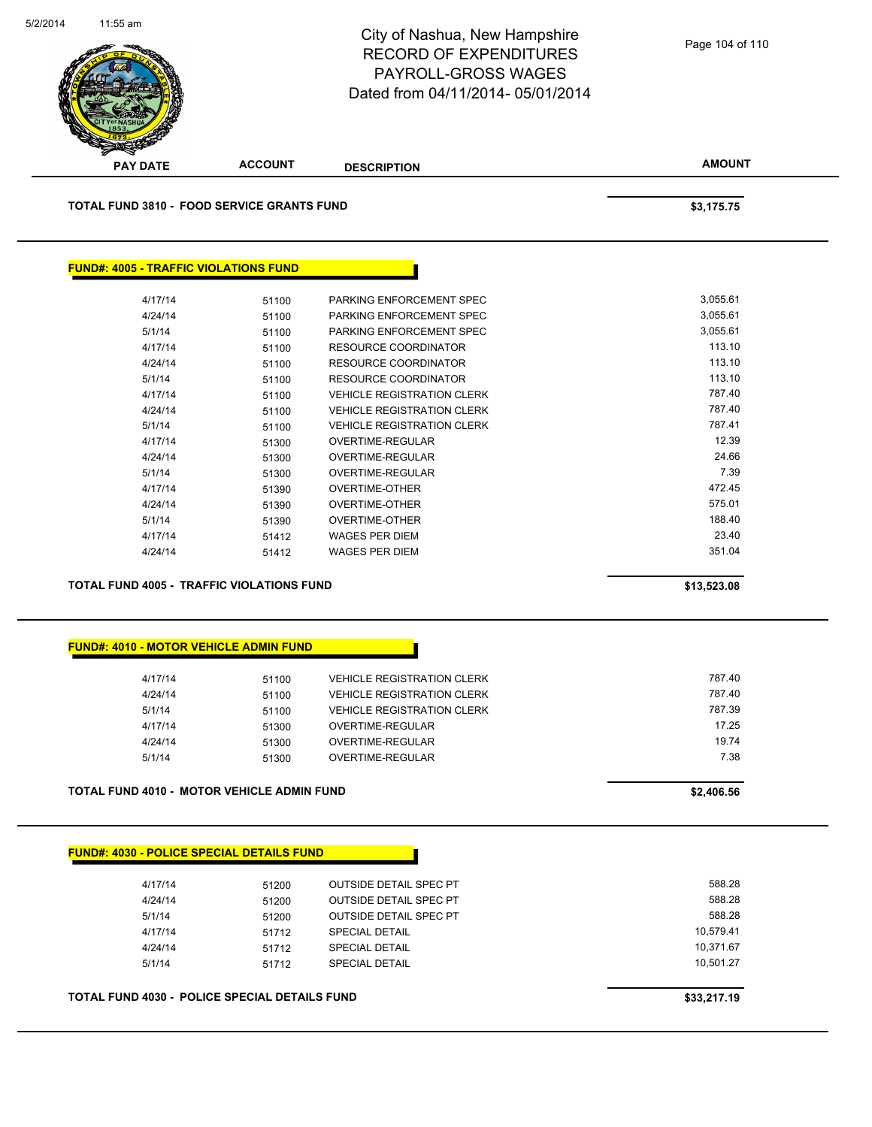

| <u> FUND#. 4030 - FULICE SFECIAL DETAILS FUND</u> |       |                               |
|---------------------------------------------------|-------|-------------------------------|
|                                                   |       |                               |
| 4/17/14                                           | 51200 | <b>OUTSIDE DETAIL SPEC PT</b> |
| 4/24/14                                           | 51200 | <b>OUTSIDE DETAIL SPEC PT</b> |
| 5/1/14                                            | 51200 | <b>OUTSIDE DETAIL SPEC PT</b> |
| 4/17/14                                           | 51712 | <b>SPECIAL DETAIL</b>         |
| 4/24/14                                           | 51712 | <b>SPECIAL DETAIL</b>         |
| 5/1/14                                            | 51712 | <b>SPECIAL DETAIL</b>         |

**TOTAL FUND 4030 - POLICE SPECIAL DETAILS FUND \$33,217.19**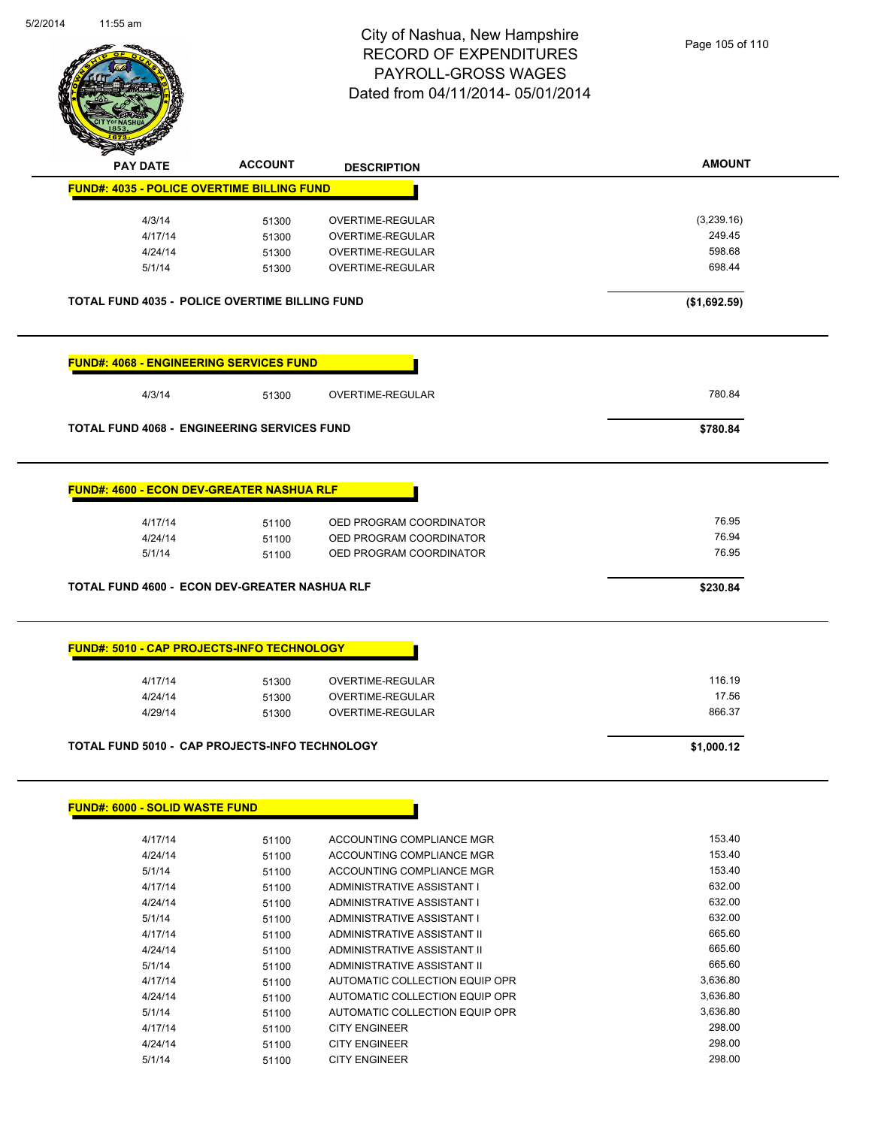

| <b>Anthon</b>                                         |                |                                                        |                |
|-------------------------------------------------------|----------------|--------------------------------------------------------|----------------|
| <b>PAY DATE</b>                                       | <b>ACCOUNT</b> | <b>DESCRIPTION</b>                                     | <b>AMOUNT</b>  |
| <b>FUND#: 4035 - POLICE OVERTIME BILLING FUND</b>     |                |                                                        |                |
| 4/3/14                                                | 51300          | <b>OVERTIME-REGULAR</b>                                | (3,239.16)     |
| 4/17/14                                               | 51300          | OVERTIME-REGULAR                                       | 249.45         |
| 4/24/14                                               | 51300          | OVERTIME-REGULAR                                       | 598.68         |
| 5/1/14                                                | 51300          | OVERTIME-REGULAR                                       | 698.44         |
| <b>TOTAL FUND 4035 - POLICE OVERTIME BILLING FUND</b> |                |                                                        | (\$1,692.59)   |
| <b>FUND#: 4068 - ENGINEERING SERVICES FUND</b>        |                |                                                        |                |
| 4/3/14                                                | 51300          | OVERTIME-REGULAR                                       | 780.84         |
| <b>TOTAL FUND 4068 - ENGINEERING SERVICES FUND</b>    |                |                                                        | \$780.84       |
| <b>FUND#: 4600 - ECON DEV-GREATER NASHUA RLF</b>      |                |                                                        |                |
|                                                       |                |                                                        | 76.95          |
| 4/17/14                                               | 51100          | OED PROGRAM COORDINATOR                                |                |
| 4/24/14<br>5/1/14                                     | 51100          | OED PROGRAM COORDINATOR<br>OED PROGRAM COORDINATOR     | 76.94<br>76.95 |
|                                                       | 51100          |                                                        |                |
| TOTAL FUND 4600 - ECON DEV-GREATER NASHUA RLF         |                |                                                        | \$230.84       |
| <b>FUND#: 5010 - CAP PROJECTS-INFO TECHNOLOGY</b>     |                |                                                        |                |
| 4/17/14                                               | 51300          | OVERTIME-REGULAR                                       | 116.19         |
| 4/24/14                                               | 51300          | OVERTIME-REGULAR                                       | 17.56          |
| 4/29/14                                               | 51300          | OVERTIME-REGULAR                                       | 866.37         |
| TOTAL FUND 5010 - CAP PROJECTS-INFO TECHNOLOGY        |                |                                                        | \$1,000.12     |
|                                                       |                |                                                        |                |
| <b>FUND#: 6000 - SOLID WASTE FUND</b>                 |                |                                                        |                |
| 4/17/14                                               | 51100          | ACCOUNTING COMPLIANCE MGR                              | 153.40         |
| 4/24/14                                               | 51100          | ACCOUNTING COMPLIANCE MGR                              | 153.40         |
| 5/1/14                                                | 51100          | ACCOUNTING COMPLIANCE MGR                              | 153.40         |
| 4/17/14                                               | 51100          | ADMINISTRATIVE ASSISTANT I                             | 632.00         |
| 4/24/14                                               | 51100          | ADMINISTRATIVE ASSISTANT I                             | 632.00         |
| 5/1/14                                                | 51100          | ADMINISTRATIVE ASSISTANT I                             | 632.00         |
| 4/17/14                                               | 51100          | ADMINISTRATIVE ASSISTANT II                            | 665.60         |
| 4/24/14                                               | 51100          | ADMINISTRATIVE ASSISTANT II                            | 665.60         |
| 5/1/14                                                | 51100          | ADMINISTRATIVE ASSISTANT II                            | 665.60         |
| 4/17/14                                               | 51100          | AUTOMATIC COLLECTION EQUIP OPR                         | 3,636.80       |
| 4/24/14                                               | 51100          | AUTOMATIC COLLECTION EQUIP OPR                         | 3,636.80       |
|                                                       |                |                                                        |                |
|                                                       |                |                                                        | 3,636.80       |
| 5/1/14<br>4/17/14                                     | 51100<br>51100 | AUTOMATIC COLLECTION EQUIP OPR<br><b>CITY ENGINEER</b> | 298.00         |

4/24/14 51100 CITY ENGINEER 298.00 5/1/14 51100 CITY ENGINEER 298.00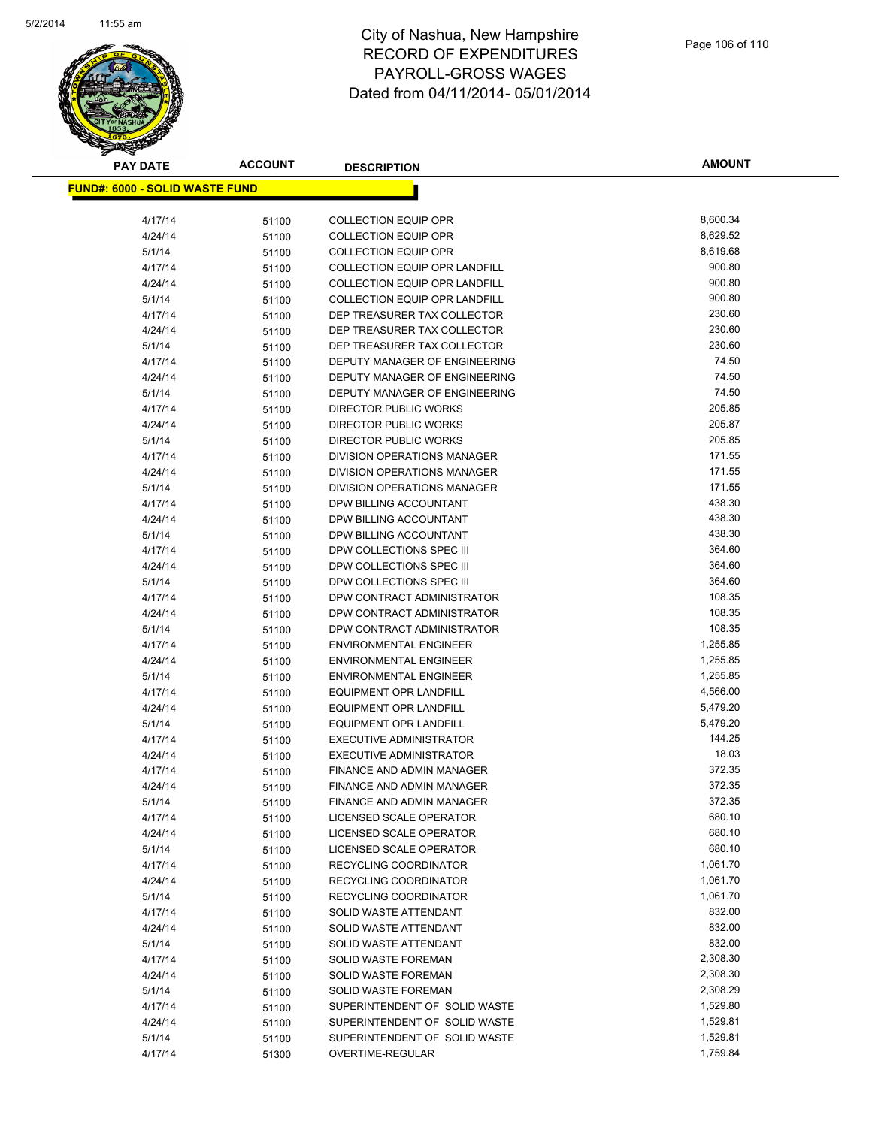

| <b>FUND#: 6000 - SOLID WASTE FUND</b> |                |                                      |          |
|---------------------------------------|----------------|--------------------------------------|----------|
| 4/17/14                               |                | <b>COLLECTION EQUIP OPR</b>          | 8,600.34 |
| 4/24/14                               | 51100          | <b>COLLECTION EQUIP OPR</b>          | 8,629.52 |
| 5/1/14                                | 51100          | <b>COLLECTION EQUIP OPR</b>          | 8,619.68 |
| 4/17/14                               | 51100          | <b>COLLECTION EQUIP OPR LANDFILL</b> | 900.80   |
| 4/24/14                               | 51100<br>51100 | <b>COLLECTION EQUIP OPR LANDFILL</b> | 900.80   |
| 5/1/14                                | 51100          | <b>COLLECTION EQUIP OPR LANDFILL</b> | 900.80   |
| 4/17/14                               | 51100          | DEP TREASURER TAX COLLECTOR          | 230.60   |
| 4/24/14                               | 51100          | DEP TREASURER TAX COLLECTOR          | 230.60   |
| 5/1/14                                | 51100          | DEP TREASURER TAX COLLECTOR          | 230.60   |
| 4/17/14                               | 51100          | DEPUTY MANAGER OF ENGINEERING        | 74.50    |
| 4/24/14                               | 51100          | DEPUTY MANAGER OF ENGINEERING        | 74.50    |
| 5/1/14                                | 51100          | DEPUTY MANAGER OF ENGINEERING        | 74.50    |
| 4/17/14                               | 51100          | DIRECTOR PUBLIC WORKS                | 205.85   |
| 4/24/14                               | 51100          | DIRECTOR PUBLIC WORKS                | 205.87   |
| 5/1/14                                | 51100          | DIRECTOR PUBLIC WORKS                | 205.85   |
| 4/17/14                               | 51100          | DIVISION OPERATIONS MANAGER          | 171.55   |
| 4/24/14                               | 51100          | DIVISION OPERATIONS MANAGER          | 171.55   |
| 5/1/14                                | 51100          | DIVISION OPERATIONS MANAGER          | 171.55   |
| 4/17/14                               | 51100          | DPW BILLING ACCOUNTANT               | 438.30   |
| 4/24/14                               | 51100          | DPW BILLING ACCOUNTANT               | 438.30   |
| 5/1/14                                | 51100          | DPW BILLING ACCOUNTANT               | 438.30   |
| 4/17/14                               | 51100          | DPW COLLECTIONS SPEC III             | 364.60   |
| 4/24/14                               | 51100          | DPW COLLECTIONS SPEC III             | 364.60   |
| 5/1/14                                | 51100          | DPW COLLECTIONS SPEC III             | 364.60   |
| 4/17/14                               | 51100          | DPW CONTRACT ADMINISTRATOR           | 108.35   |
| 4/24/14                               | 51100          | DPW CONTRACT ADMINISTRATOR           | 108.35   |
| 5/1/14                                | 51100          | DPW CONTRACT ADMINISTRATOR           | 108.35   |
| 4/17/14                               | 51100          | <b>ENVIRONMENTAL ENGINEER</b>        | 1,255.85 |
| 4/24/14                               | 51100          | <b>ENVIRONMENTAL ENGINEER</b>        | 1,255.85 |
| 5/1/14                                | 51100          | <b>ENVIRONMENTAL ENGINEER</b>        | 1,255.85 |
| 4/17/14                               | 51100          | <b>EQUIPMENT OPR LANDFILL</b>        | 4,566.00 |
| 4/24/14                               | 51100          | EQUIPMENT OPR LANDFILL               | 5,479.20 |
| 5/1/14                                | 51100          | <b>EQUIPMENT OPR LANDFILL</b>        | 5,479.20 |
| 4/17/14                               | 51100          | <b>EXECUTIVE ADMINISTRATOR</b>       | 144.25   |
| 4/24/14                               | 51100          | <b>EXECUTIVE ADMINISTRATOR</b>       | 18.03    |
| 4/17/14                               | 51100          | FINANCE AND ADMIN MANAGER            | 372.35   |
| 4/24/14                               | 51100          | FINANCE AND ADMIN MANAGER            | 372.35   |
| 5/1/14                                | 51100          | FINANCE AND ADMIN MANAGER            | 372.35   |
| 4/17/14                               | 51100          | LICENSED SCALE OPERATOR              | 680.10   |
| 4/24/14                               | 51100          | LICENSED SCALE OPERATOR              | 680.10   |
| 5/1/14                                | 51100          | LICENSED SCALE OPERATOR              | 680.10   |
| 4/17/14                               | 51100          | RECYCLING COORDINATOR                | 1,061.70 |
| 4/24/14                               | 51100          | RECYCLING COORDINATOR                | 1,061.70 |
| 5/1/14                                | 51100          | RECYCLING COORDINATOR                | 1,061.70 |
| 4/17/14                               | 51100          | SOLID WASTE ATTENDANT                | 832.00   |
| 4/24/14                               | 51100          | SOLID WASTE ATTENDANT                | 832.00   |
| 5/1/14                                | 51100          | SOLID WASTE ATTENDANT                | 832.00   |
| 4/17/14                               | 51100          | SOLID WASTE FOREMAN                  | 2,308.30 |
| 4/24/14                               | 51100          | SOLID WASTE FOREMAN                  | 2,308.30 |
| 5/1/14                                | 51100          | SOLID WASTE FOREMAN                  | 2,308.29 |
| 4/17/14                               | 51100          | SUPERINTENDENT OF SOLID WASTE        | 1,529.80 |
| 4/24/14                               | 51100          | SUPERINTENDENT OF SOLID WASTE        | 1,529.81 |
| 5/1/14                                | 51100          | SUPERINTENDENT OF SOLID WASTE        | 1,529.81 |
| 4/17/14                               | 51300          | OVERTIME-REGULAR                     | 1,759.84 |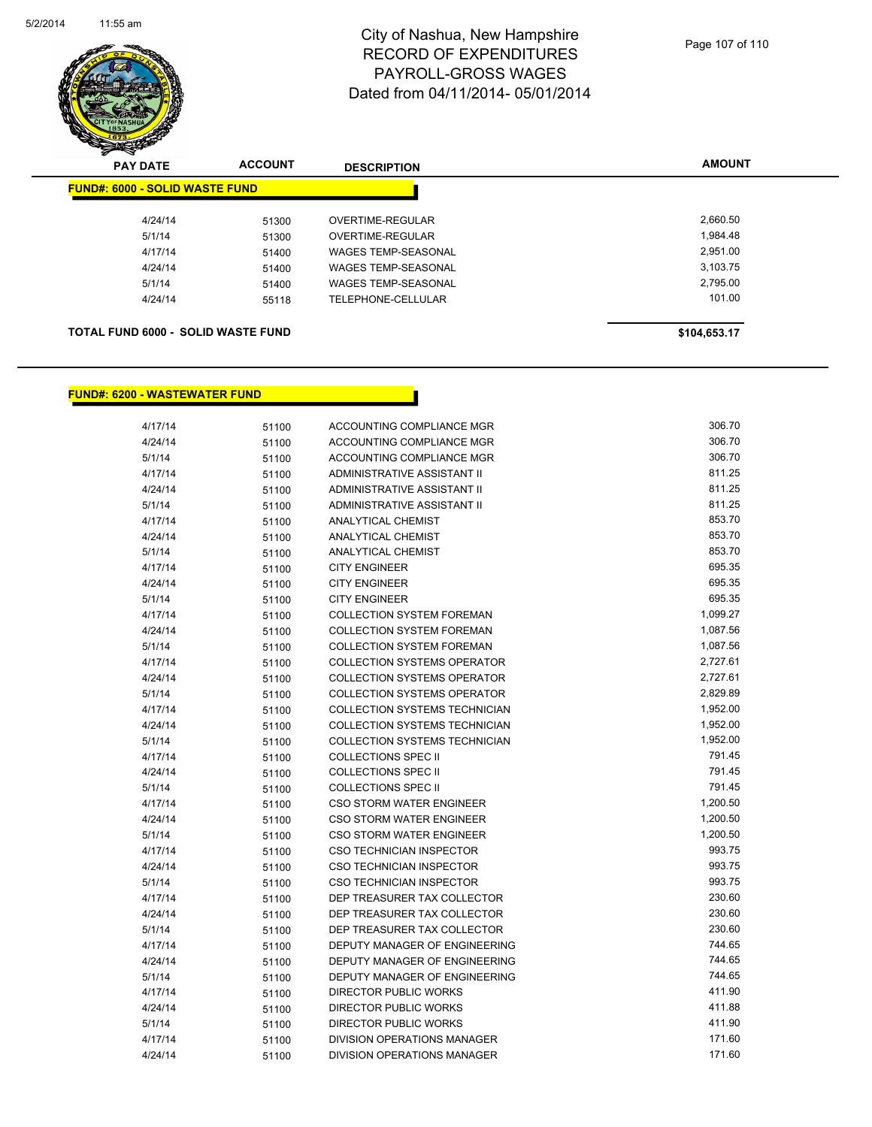

| <b>PAY DATE</b>                           | <b>ACCOUNT</b> | <b>DESCRIPTION</b>         | <b>AMOUNT</b> |
|-------------------------------------------|----------------|----------------------------|---------------|
| <b>FUND#: 6000 - SOLID WASTE FUND</b>     |                |                            |               |
| 4/24/14                                   | 51300          | OVERTIME-REGULAR           | 2,660.50      |
| 5/1/14                                    | 51300          | OVERTIME-REGULAR           | 1,984.48      |
| 4/17/14                                   | 51400          | <b>WAGES TEMP-SEASONAL</b> | 2.951.00      |
| 4/24/14                                   | 51400          | <b>WAGES TEMP-SEASONAL</b> | 3.103.75      |
| 5/1/14                                    | 51400          | <b>WAGES TEMP-SEASONAL</b> | 2,795.00      |
| 4/24/14                                   | 55118          | TELEPHONE-CELLULAR         | 101.00        |
| <b>TOTAL FUND 6000 - SOLID WASTE FUND</b> |                |                            | \$104,653.17  |

## **FUND#: 6200 - WASTEWATER FUND**

| 4/17/14 | 51100 | ACCOUNTING COMPLIANCE MGR          | 306.70   |
|---------|-------|------------------------------------|----------|
| 4/24/14 | 51100 | ACCOUNTING COMPLIANCE MGR          | 306.70   |
| 5/1/14  | 51100 | ACCOUNTING COMPLIANCE MGR          | 306.70   |
| 4/17/14 | 51100 | <b>ADMINISTRATIVE ASSISTANT II</b> | 811.25   |
| 4/24/14 | 51100 | ADMINISTRATIVE ASSISTANT II        | 811.25   |
| 5/1/14  | 51100 | ADMINISTRATIVE ASSISTANT II        | 811.25   |
| 4/17/14 | 51100 | <b>ANALYTICAL CHEMIST</b>          | 853.70   |
| 4/24/14 | 51100 | <b>ANALYTICAL CHEMIST</b>          | 853.70   |
| 5/1/14  | 51100 | <b>ANALYTICAL CHEMIST</b>          | 853.70   |
| 4/17/14 | 51100 | <b>CITY ENGINEER</b>               | 695.35   |
| 4/24/14 | 51100 | <b>CITY ENGINEER</b>               | 695.35   |
| 5/1/14  | 51100 | <b>CITY ENGINEER</b>               | 695.35   |
| 4/17/14 | 51100 | <b>COLLECTION SYSTEM FOREMAN</b>   | 1,099.27 |
| 4/24/14 | 51100 | <b>COLLECTION SYSTEM FOREMAN</b>   | 1,087.56 |
| 5/1/14  | 51100 | <b>COLLECTION SYSTEM FOREMAN</b>   | 1,087.56 |
| 4/17/14 | 51100 | <b>COLLECTION SYSTEMS OPERATOR</b> | 2,727.61 |
| 4/24/14 | 51100 | <b>COLLECTION SYSTEMS OPERATOR</b> | 2,727.61 |
| 5/1/14  | 51100 | <b>COLLECTION SYSTEMS OPERATOR</b> | 2,829.89 |
| 4/17/14 | 51100 | COLLECTION SYSTEMS TECHNICIAN      | 1,952.00 |
| 4/24/14 | 51100 | COLLECTION SYSTEMS TECHNICIAN      | 1,952.00 |
| 5/1/14  | 51100 | COLLECTION SYSTEMS TECHNICIAN      | 1,952.00 |
| 4/17/14 | 51100 | <b>COLLECTIONS SPEC II</b>         | 791.45   |
| 4/24/14 | 51100 | <b>COLLECTIONS SPEC II</b>         | 791.45   |
| 5/1/14  | 51100 | <b>COLLECTIONS SPEC II</b>         | 791.45   |
| 4/17/14 | 51100 | CSO STORM WATER ENGINEER           | 1,200.50 |
| 4/24/14 | 51100 | CSO STORM WATER ENGINEER           | 1,200.50 |
| 5/1/14  | 51100 | CSO STORM WATER ENGINEER           | 1,200.50 |
| 4/17/14 | 51100 | <b>CSO TECHNICIAN INSPECTOR</b>    | 993.75   |
| 4/24/14 | 51100 | CSO TECHNICIAN INSPECTOR           | 993.75   |
| 5/1/14  | 51100 | CSO TECHNICIAN INSPECTOR           | 993.75   |
| 4/17/14 | 51100 | DEP TREASURER TAX COLLECTOR        | 230.60   |
| 4/24/14 | 51100 | DEP TREASURER TAX COLLECTOR        | 230.60   |
| 5/1/14  | 51100 | DEP TREASURER TAX COLLECTOR        | 230.60   |
| 4/17/14 | 51100 | DEPUTY MANAGER OF ENGINEERING      | 744.65   |
| 4/24/14 | 51100 | DEPUTY MANAGER OF ENGINEERING      | 744.65   |
| 5/1/14  | 51100 | DEPUTY MANAGER OF ENGINEERING      | 744.65   |
| 4/17/14 | 51100 | <b>DIRECTOR PUBLIC WORKS</b>       | 411.90   |
| 4/24/14 | 51100 | DIRECTOR PUBLIC WORKS              | 411.88   |
| 5/1/14  | 51100 | <b>DIRECTOR PUBLIC WORKS</b>       | 411.90   |
| 4/17/14 | 51100 | <b>DIVISION OPERATIONS MANAGER</b> | 171.60   |
| 4/24/14 | 51100 | <b>DIVISION OPERATIONS MANAGER</b> | 171.60   |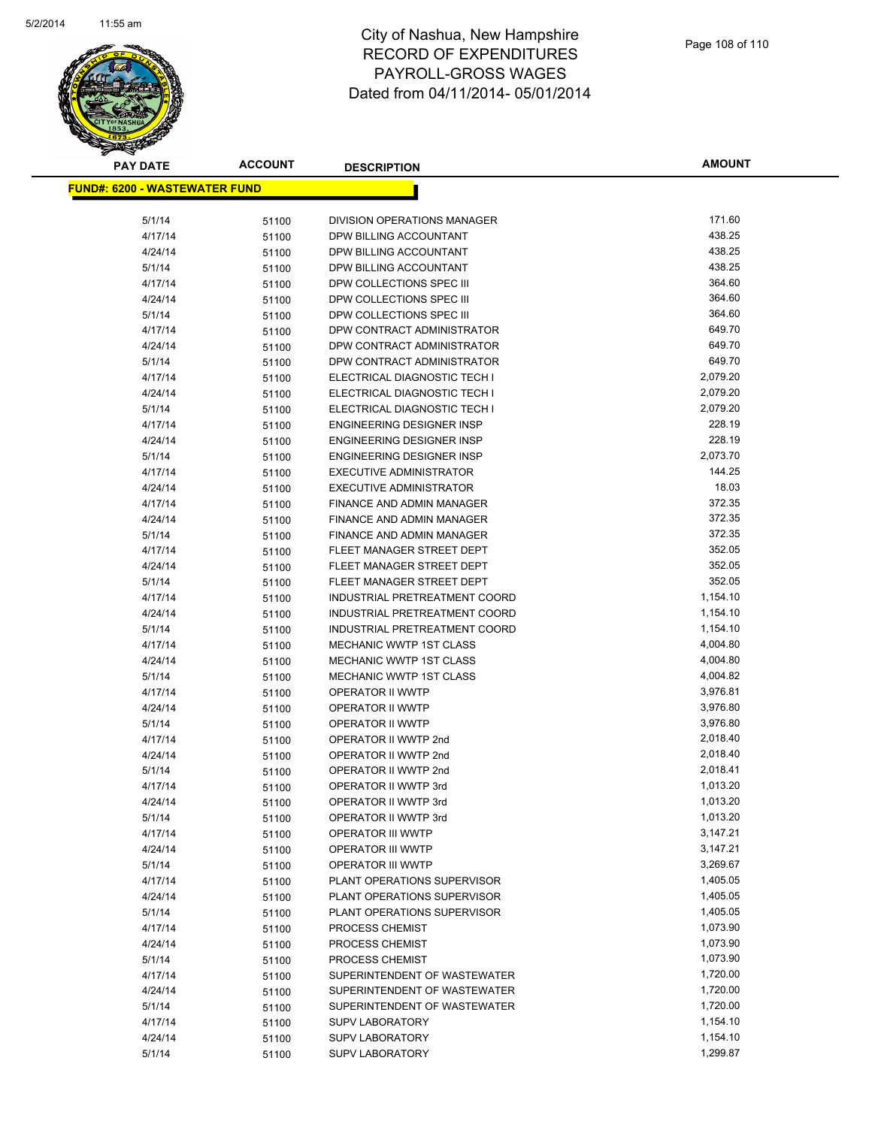

| <u> FUND#: 6200 - WASTEWATER FUND</u> |       |                                  |          |
|---------------------------------------|-------|----------------------------------|----------|
| 5/1/14                                | 51100 | DIVISION OPERATIONS MANAGER      | 171.60   |
| 4/17/14                               | 51100 | DPW BILLING ACCOUNTANT           | 438.25   |
| 4/24/14                               | 51100 | DPW BILLING ACCOUNTANT           | 438.25   |
| 5/1/14                                | 51100 | DPW BILLING ACCOUNTANT           | 438.25   |
| 4/17/14                               | 51100 | DPW COLLECTIONS SPEC III         | 364.60   |
| 4/24/14                               | 51100 | DPW COLLECTIONS SPEC III         | 364.60   |
| 5/1/14                                | 51100 | DPW COLLECTIONS SPEC III         | 364.60   |
| 4/17/14                               | 51100 | DPW CONTRACT ADMINISTRATOR       | 649.70   |
| 4/24/14                               | 51100 | DPW CONTRACT ADMINISTRATOR       | 649.70   |
| 5/1/14                                | 51100 | DPW CONTRACT ADMINISTRATOR       | 649.70   |
| 4/17/14                               | 51100 | ELECTRICAL DIAGNOSTIC TECH I     | 2,079.20 |
| 4/24/14                               | 51100 | ELECTRICAL DIAGNOSTIC TECH I     | 2,079.20 |
| 5/1/14                                | 51100 | ELECTRICAL DIAGNOSTIC TECH I     | 2,079.20 |
| 4/17/14                               | 51100 | <b>ENGINEERING DESIGNER INSP</b> | 228.19   |
| 4/24/14                               | 51100 | ENGINEERING DESIGNER INSP        | 228.19   |
| 5/1/14                                | 51100 | ENGINEERING DESIGNER INSP        | 2,073.70 |
| 4/17/14                               | 51100 | <b>EXECUTIVE ADMINISTRATOR</b>   | 144.25   |
| 4/24/14                               | 51100 | <b>EXECUTIVE ADMINISTRATOR</b>   | 18.03    |
| 4/17/14                               | 51100 | FINANCE AND ADMIN MANAGER        | 372.35   |
| 4/24/14                               | 51100 | FINANCE AND ADMIN MANAGER        | 372.35   |
| 5/1/14                                | 51100 | FINANCE AND ADMIN MANAGER        | 372.35   |
| 4/17/14                               | 51100 | FLEET MANAGER STREET DEPT        | 352.05   |
| 4/24/14                               | 51100 | FLEET MANAGER STREET DEPT        | 352.05   |
| 5/1/14                                | 51100 | FLEET MANAGER STREET DEPT        | 352.05   |
| 4/17/14                               | 51100 | INDUSTRIAL PRETREATMENT COORD    | 1,154.10 |
| 4/24/14                               | 51100 | INDUSTRIAL PRETREATMENT COORD    | 1,154.10 |
| 5/1/14                                | 51100 | INDUSTRIAL PRETREATMENT COORD    | 1,154.10 |
| 4/17/14                               | 51100 | MECHANIC WWTP 1ST CLASS          | 4,004.80 |
| 4/24/14                               | 51100 | <b>MECHANIC WWTP 1ST CLASS</b>   | 4,004.80 |
| 5/1/14                                | 51100 | MECHANIC WWTP 1ST CLASS          | 4,004.82 |
| 4/17/14                               | 51100 | OPERATOR II WWTP                 | 3,976.81 |
| 4/24/14                               | 51100 | OPERATOR II WWTP                 | 3,976.80 |
| 5/1/14                                | 51100 | OPERATOR II WWTP                 | 3,976.80 |
| 4/17/14                               | 51100 | OPERATOR II WWTP 2nd             | 2,018.40 |
| 4/24/14                               | 51100 | OPERATOR II WWTP 2nd             | 2,018.40 |
| 5/1/14                                | 51100 | OPERATOR II WWTP 2nd             | 2,018.41 |
| 4/17/14                               | 51100 | OPERATOR II WWTP 3rd             | 1,013.20 |
| 4/24/14                               | 51100 | OPERATOR II WWTP 3rd             | 1,013.20 |
| 5/1/14                                | 51100 | OPERATOR II WWTP 3rd             | 1,013.20 |
| 4/17/14                               |       | <b>OPERATOR III WWTP</b>         | 3,147.21 |
| 4/24/14                               | 51100 | <b>OPERATOR III WWTP</b>         | 3,147.21 |
| 5/1/14                                | 51100 | OPERATOR III WWTP                | 3,269.67 |
| 4/17/14                               | 51100 | PLANT OPERATIONS SUPERVISOR      | 1,405.05 |
| 4/24/14                               | 51100 | PLANT OPERATIONS SUPERVISOR      | 1,405.05 |
|                                       | 51100 | PLANT OPERATIONS SUPERVISOR      | 1,405.05 |
| 5/1/14<br>4/17/14                     | 51100 | PROCESS CHEMIST                  | 1,073.90 |
|                                       | 51100 |                                  |          |
| 4/24/14                               | 51100 | PROCESS CHEMIST                  | 1,073.90 |
| 5/1/14                                | 51100 | PROCESS CHEMIST                  | 1,073.90 |
| 4/17/14                               | 51100 | SUPERINTENDENT OF WASTEWATER     | 1,720.00 |
| 4/24/14                               | 51100 | SUPERINTENDENT OF WASTEWATER     | 1,720.00 |
| 5/1/14                                | 51100 | SUPERINTENDENT OF WASTEWATER     | 1,720.00 |
| 4/17/14                               | 51100 | <b>SUPV LABORATORY</b>           | 1,154.10 |
| 4/24/14                               | 51100 | <b>SUPV LABORATORY</b>           | 1,154.10 |
| 5/1/14                                | 51100 | <b>SUPV LABORATORY</b>           | 1,299.87 |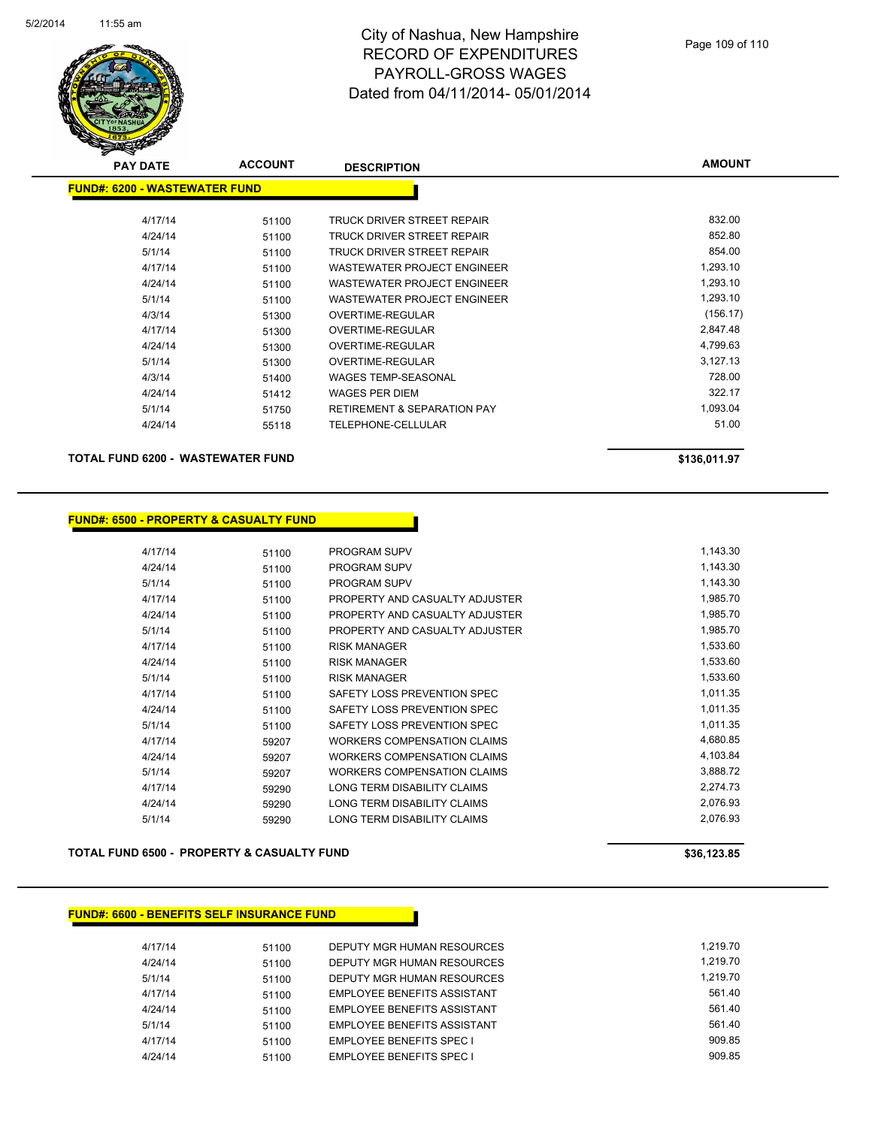

## City of Nashua, New Hampshire RECORD OF EXPENDITURES PAYROLL-GROSS WAGES Dated from 04/11/2014- 05/01/2014

| <b>PAY DATE</b>               | <b>ACCOUNT</b> | <b>DESCRIPTION</b>                     | <b>AMOUNT</b> |
|-------------------------------|----------------|----------------------------------------|---------------|
| FUND#: 6200 - WASTEWATER FUND |                |                                        |               |
|                               |                |                                        |               |
| 4/17/14                       | 51100          | TRUCK DRIVER STREET REPAIR             | 832.00        |
| 4/24/14                       | 51100          | TRUCK DRIVER STREET REPAIR             | 852.80        |
| 5/1/14                        | 51100          | TRUCK DRIVER STREET REPAIR             | 854.00        |
| 4/17/14                       | 51100          | <b>WASTEWATER PROJECT ENGINEER</b>     | 1,293.10      |
| 4/24/14                       | 51100          | WASTEWATER PROJECT ENGINEER            | 1,293.10      |
| 5/1/14                        | 51100          | WASTEWATER PROJECT ENGINEER            | 1,293.10      |
| 4/3/14                        | 51300          | OVERTIME-REGULAR                       | (156.17)      |
| 4/17/14                       | 51300          | <b>OVERTIME-REGULAR</b>                | 2,847.48      |
| 4/24/14                       | 51300          | <b>OVERTIME-REGULAR</b>                | 4,799.63      |
| 5/1/14                        | 51300          | OVERTIME-REGULAR                       | 3,127.13      |
| 4/3/14                        | 51400          | <b>WAGES TEMP-SEASONAL</b>             | 728.00        |
| 4/24/14                       | 51412          | WAGES PER DIEM                         | 322.17        |
| 5/1/14                        | 51750          | <b>RETIREMENT &amp; SEPARATION PAY</b> | 1,093.04      |
| 4/24/14                       | 55118          | <b>TELEPHONE-CELLULAR</b>              | 51.00         |
|                               |                |                                        |               |

#### **TOTAL FUND 6200 - WASTEWATER FUND \$136,011.97**

## **FUND#: 6500 - PROPERTY & CASUALTY FUND**

| 4/17/14 | 51100 | <b>PROGRAM SUPV</b>                | 1,143.30 |
|---------|-------|------------------------------------|----------|
| 4/24/14 | 51100 | <b>PROGRAM SUPV</b>                | 1,143.30 |
| 5/1/14  | 51100 | PROGRAM SUPV                       | 1,143.30 |
| 4/17/14 | 51100 | PROPERTY AND CASUALTY ADJUSTER     | 1,985.70 |
| 4/24/14 | 51100 | PROPERTY AND CASUALTY ADJUSTER     | 1,985.70 |
| 5/1/14  | 51100 | PROPERTY AND CASUALTY ADJUSTER     | 1,985.70 |
| 4/17/14 | 51100 | <b>RISK MANAGER</b>                | 1,533.60 |
| 4/24/14 | 51100 | <b>RISK MANAGER</b>                | 1,533.60 |
| 5/1/14  | 51100 | <b>RISK MANAGER</b>                | 1,533.60 |
| 4/17/14 | 51100 | SAFETY LOSS PREVENTION SPEC        | 1,011.35 |
| 4/24/14 | 51100 | SAFETY LOSS PREVENTION SPEC        | 1,011.35 |
| 5/1/14  | 51100 | SAFETY LOSS PREVENTION SPEC        | 1,011.35 |
| 4/17/14 | 59207 | WORKERS COMPENSATION CLAIMS        | 4,680.85 |
| 4/24/14 | 59207 | <b>WORKERS COMPENSATION CLAIMS</b> | 4,103.84 |
| 5/1/14  | 59207 | <b>WORKERS COMPENSATION CLAIMS</b> | 3,888.72 |
| 4/17/14 | 59290 | LONG TERM DISABILITY CLAIMS        | 2,274.73 |
| 4/24/14 | 59290 | LONG TERM DISABILITY CLAIMS        | 2,076.93 |
| 5/1/14  | 59290 | LONG TERM DISABILITY CLAIMS        | 2,076.93 |

#### **TOTAL FUND 6500 - PROPERTY & CASUALTY FUND \$36,123.85**  \$36,123.85

## **FUND#: 6600 - BENEFITS SELF INSURANCE FUND**

| 4/17/14 | 51100 | DEPUTY MGR HUMAN RESOURCES      | 1.219.70 |
|---------|-------|---------------------------------|----------|
| 4/24/14 | 51100 | DEPUTY MGR HUMAN RESOURCES      | 1.219.70 |
| 5/1/14  | 51100 | DEPUTY MGR HUMAN RESOURCES      | 1.219.70 |
| 4/17/14 | 51100 | EMPLOYEE BENEFITS ASSISTANT     | 561.40   |
| 4/24/14 | 51100 | EMPLOYEE BENEFITS ASSISTANT     | 561.40   |
| 5/1/14  | 51100 | EMPLOYEE BENEFITS ASSISTANT     | 561.40   |
| 4/17/14 | 51100 | <b>EMPLOYEE BENEFITS SPEC I</b> | 909.85   |
| 4/24/14 | 51100 | <b>EMPLOYEE BENEFITS SPEC I</b> | 909.85   |
|         |       |                                 |          |